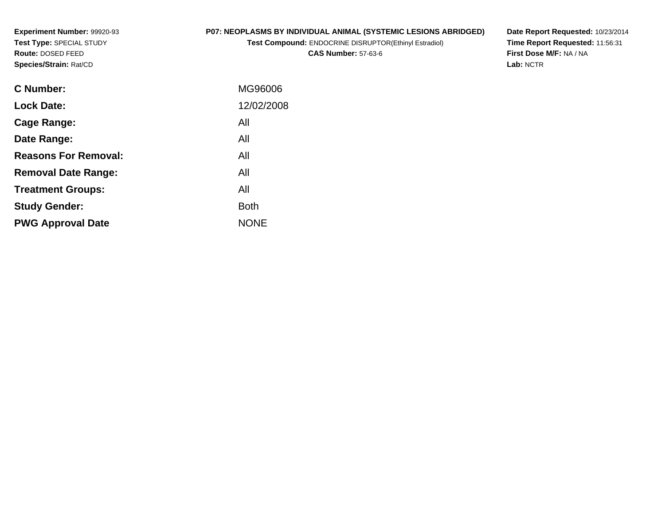**Experiment Number:** 99920-93**Test Type:** SPECIAL STUDY**Route:** DOSED FEED**Species/Strain:** Rat/CD

# **P07: NEOPLASMS BY INDIVIDUAL ANIMAL (SYSTEMIC LESIONS ABRIDGED)**

**Test Compound:** ENDOCRINE DISRUPTOR(Ethinyl Estradiol)

**CAS Number:** 57-63-6

**Date Report Requested:** 10/23/2014 **Time Report Requested:** 11:56:31**First Dose M/F:** NA / NA**Lab:** NCTR

| <b>C</b> Number:            | MG96006     |
|-----------------------------|-------------|
| <b>Lock Date:</b>           | 12/02/2008  |
| Cage Range:                 | All         |
| Date Range:                 | All         |
| <b>Reasons For Removal:</b> | All         |
| <b>Removal Date Range:</b>  | All         |
| <b>Treatment Groups:</b>    | All         |
| <b>Study Gender:</b>        | <b>Both</b> |
| <b>PWG Approval Date</b>    | <b>NONE</b> |
|                             |             |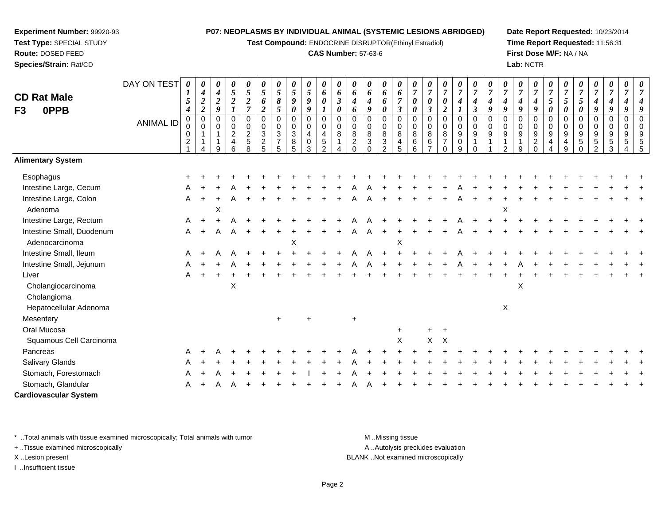**Test Compound:** ENDOCRINE DISRUPTOR(Ethinyl Estradiol)

# **CAS Number:** 57-63-6

**Date Report Requested:** 10/23/2014**Time Report Requested:** 11:56:31**First Dose M/F:** NA / NA**Lab:** NCTR

| <b>CD Rat Male</b><br>0PPB<br>F3 | DAY ON TEST<br><b>ANIMAL ID</b> | 0<br>1<br>5<br>$\boldsymbol{4}$<br>$\pmb{0}$<br>$\mathbf 0$ | $\boldsymbol{\theta}$<br>$\boldsymbol{4}$<br>$\overline{\mathbf{c}}$<br>$\overline{2}$<br>$\pmb{0}$<br>$\mathbf 0$ | 0<br>4<br>$\boldsymbol{2}$<br>9<br>$\Omega$<br>$\Omega$ | $\pmb{\theta}$<br>$\sqrt{5}$<br>$\boldsymbol{2}$<br>$\mathbf 0$ | $\pmb{\theta}$<br>$\mathfrak{s}$<br>$\boldsymbol{2}$<br>$\overline{7}$<br>$\pmb{0}$<br>$\pmb{0}$ | $\pmb{\theta}$<br>$\overline{5}$<br>6<br>$\boldsymbol{2}$<br>0 | 0<br>$\mathfrak{s}$<br>8<br>5<br>$\mathbf 0$<br>$\mathbf 0$ | 0<br>5<br>9<br>0<br>$\mathbf 0$ | $\pmb{\theta}$<br>$\mathfrak{z}$<br>9<br>9<br>$\pmb{0}$ | 0<br>6<br>$\boldsymbol{\theta}$<br>$\pmb{0}$<br>$\pmb{0}$ | $\pmb{\theta}$<br>6<br>$\boldsymbol{\beta}$<br>0<br>$\mathbf 0$ | $\boldsymbol{\theta}$<br>6<br>4<br>6<br>$\Omega$<br>$\mathbf 0$ | 0<br>6<br>4<br>9<br>$\Omega$<br>0 | $\pmb{\theta}$<br>6<br>6<br>0<br>0      | $\pmb{\theta}$<br>6<br>$\overline{7}$<br>$\mathfrak{z}$<br>$\mathsf 0$<br>$\pmb{0}$ | 0<br>$\overline{7}$<br>$\boldsymbol{\theta}$<br>0<br>$\mathbf 0$ | 0<br>$\overline{7}$<br>$\boldsymbol{\theta}$<br>$\boldsymbol{\beta}$<br>$\overline{0}$<br>$\mathbf 0$ | 0<br>$\overline{7}$<br>0<br>$\overline{c}$<br>0 | $\frac{\theta}{7}$<br>$\boldsymbol{4}$<br>$\,0\,$ | $\pmb{\theta}$<br>$\overline{7}$<br>$\boldsymbol{4}$<br>$\boldsymbol{\beta}$<br>$\pmb{0}$<br>$\pmb{0}$ | $\pmb{\theta}$<br>$\overline{7}$<br>$\boldsymbol{4}$<br>9<br>$\mathbf 0$ | 0<br>$\overline{7}$<br>9<br>$\Omega$<br>$\Omega$ | 0<br>$\overline{7}$<br>4<br>9<br>$\Omega$<br>$\Omega$ | $\pmb{\theta}$<br>$\boldsymbol{7}$<br>$\boldsymbol{4}$<br>9<br>$\mathbf 0$ | $\pmb{\theta}$<br>$\overline{7}$<br>5<br>0<br>$\mathbf 0$<br>$\mathbf 0$ | 0<br>$\overline{7}$<br>$5\overline{)}$<br>0<br>$\mathbf{0}$<br>0 | 0<br>$\overline{7}$<br>5<br>0<br>$\Omega$<br>$\Omega$ | $\frac{\boldsymbol{0}}{7}$<br>4<br>9<br>$\mathbf 0$<br>0 | $\pmb{\theta}$<br>$\boldsymbol{7}$<br>4<br>9<br>$\pmb{0}$ | 0<br>$\overline{7}$<br>9<br>$\pmb{0}$<br>$\mathbf 0$ |  |
|----------------------------------|---------------------------------|-------------------------------------------------------------|--------------------------------------------------------------------------------------------------------------------|---------------------------------------------------------|-----------------------------------------------------------------|--------------------------------------------------------------------------------------------------|----------------------------------------------------------------|-------------------------------------------------------------|---------------------------------|---------------------------------------------------------|-----------------------------------------------------------|-----------------------------------------------------------------|-----------------------------------------------------------------|-----------------------------------|-----------------------------------------|-------------------------------------------------------------------------------------|------------------------------------------------------------------|-------------------------------------------------------------------------------------------------------|-------------------------------------------------|---------------------------------------------------|--------------------------------------------------------------------------------------------------------|--------------------------------------------------------------------------|--------------------------------------------------|-------------------------------------------------------|----------------------------------------------------------------------------|--------------------------------------------------------------------------|------------------------------------------------------------------|-------------------------------------------------------|----------------------------------------------------------|-----------------------------------------------------------|------------------------------------------------------|--|
|                                  |                                 | $\mathbf 0$<br>$\overline{2}$                               | $\overline{1}$<br>-1                                                                                               | g                                                       | 0<br>$\boldsymbol{2}$<br>$\overline{\mathbf{4}}$<br>6           | $\boldsymbol{2}$<br>$\,$ 5 $\,$<br>8                                                             | $\pmb{0}$<br>$\sqrt{3}$<br>$\frac{2}{5}$                       | $\sqrt{3}$<br>$\overline{7}$<br>5                           | 0<br>3<br>8<br>5                | $\pmb{0}$<br>$\overline{\mathbf{4}}$<br>$\pmb{0}$<br>3  | $\overline{4}$<br>$\,$ 5 $\,$<br>$\overline{2}$           | $\mathbf 0$<br>$\,8\,$<br>$\mathbf{1}$                          | $\bf 8$<br>$\overline{2}$<br>$\Omega$                           | 8<br>3                            | $\pmb{0}$<br>$\bf 8$<br>$\sqrt{3}$<br>2 | $\,8\,$<br>4<br>5                                                                   | 0<br>$\,8\,$<br>$\,6$<br>6                                       | 8<br>$\,6$                                                                                            | 0<br>$\bf 8$<br>$\overline{7}$                  | $\pmb{0}$<br>$\boldsymbol{9}$<br>0<br>9           | $\boldsymbol{9}$<br>$\mathbf{1}$<br>$\Omega$                                                           | $\mathbf 0$<br>$\boldsymbol{9}$<br>1                                     | 9<br>ົ                                           | $9\,$<br>q                                            | $\,0\,$<br>$\boldsymbol{9}$<br>$\overline{c}$<br>$\Omega$                  | $\boldsymbol{9}$<br>4                                                    | $\boldsymbol{9}$<br>4<br>9                                       | $\boldsymbol{9}$<br>5                                 | 9<br>5                                                   | $\pmb{0}$<br>$\boldsymbol{9}$<br>$\sqrt{5}$               | $\boldsymbol{9}$<br>$\sqrt{5}$                       |  |
| <b>Alimentary System</b>         |                                 |                                                             |                                                                                                                    |                                                         |                                                                 |                                                                                                  |                                                                |                                                             |                                 |                                                         |                                                           |                                                                 |                                                                 |                                   |                                         |                                                                                     |                                                                  |                                                                                                       |                                                 |                                                   |                                                                                                        |                                                                          |                                                  |                                                       |                                                                            |                                                                          |                                                                  |                                                       |                                                          |                                                           |                                                      |  |
| Esophagus                        |                                 |                                                             |                                                                                                                    |                                                         |                                                                 |                                                                                                  |                                                                |                                                             |                                 |                                                         |                                                           |                                                                 |                                                                 |                                   |                                         |                                                                                     |                                                                  |                                                                                                       |                                                 |                                                   |                                                                                                        |                                                                          |                                                  |                                                       |                                                                            |                                                                          |                                                                  |                                                       |                                                          |                                                           |                                                      |  |
| Intestine Large, Cecum           |                                 |                                                             |                                                                                                                    |                                                         |                                                                 |                                                                                                  |                                                                |                                                             |                                 |                                                         |                                                           |                                                                 |                                                                 |                                   |                                         |                                                                                     |                                                                  |                                                                                                       |                                                 |                                                   |                                                                                                        |                                                                          |                                                  |                                                       |                                                                            |                                                                          |                                                                  |                                                       |                                                          |                                                           |                                                      |  |
| Intestine Large, Colon           |                                 | A                                                           |                                                                                                                    |                                                         |                                                                 |                                                                                                  |                                                                |                                                             |                                 |                                                         |                                                           |                                                                 |                                                                 |                                   |                                         |                                                                                     |                                                                  |                                                                                                       |                                                 |                                                   |                                                                                                        |                                                                          |                                                  |                                                       |                                                                            |                                                                          |                                                                  |                                                       |                                                          |                                                           |                                                      |  |
| Adenoma                          |                                 |                                                             |                                                                                                                    | X                                                       |                                                                 |                                                                                                  |                                                                |                                                             |                                 |                                                         |                                                           |                                                                 |                                                                 |                                   |                                         |                                                                                     |                                                                  |                                                                                                       |                                                 |                                                   |                                                                                                        |                                                                          | X                                                |                                                       |                                                                            |                                                                          |                                                                  |                                                       |                                                          |                                                           |                                                      |  |
| Intestine Large, Rectum          |                                 | A                                                           |                                                                                                                    |                                                         |                                                                 |                                                                                                  |                                                                |                                                             |                                 |                                                         |                                                           |                                                                 |                                                                 |                                   |                                         |                                                                                     |                                                                  |                                                                                                       |                                                 |                                                   |                                                                                                        |                                                                          |                                                  |                                                       |                                                                            |                                                                          |                                                                  |                                                       |                                                          |                                                           |                                                      |  |
| Intestine Small, Duodenum        |                                 | Α                                                           |                                                                                                                    | A                                                       |                                                                 |                                                                                                  |                                                                |                                                             |                                 |                                                         |                                                           |                                                                 |                                                                 |                                   |                                         |                                                                                     |                                                                  |                                                                                                       |                                                 |                                                   |                                                                                                        |                                                                          |                                                  |                                                       |                                                                            |                                                                          |                                                                  |                                                       |                                                          |                                                           |                                                      |  |
| Adenocarcinoma                   |                                 |                                                             |                                                                                                                    |                                                         |                                                                 |                                                                                                  |                                                                |                                                             | X                               |                                                         |                                                           |                                                                 |                                                                 |                                   |                                         | X                                                                                   |                                                                  |                                                                                                       |                                                 |                                                   |                                                                                                        |                                                                          |                                                  |                                                       |                                                                            |                                                                          |                                                                  |                                                       |                                                          |                                                           |                                                      |  |
| Intestine Small, Ileum           |                                 | Α                                                           |                                                                                                                    | A                                                       |                                                                 |                                                                                                  |                                                                |                                                             |                                 |                                                         |                                                           |                                                                 |                                                                 |                                   |                                         |                                                                                     |                                                                  |                                                                                                       |                                                 |                                                   |                                                                                                        |                                                                          |                                                  |                                                       |                                                                            |                                                                          |                                                                  |                                                       |                                                          |                                                           |                                                      |  |
| Intestine Small, Jejunum         |                                 | A                                                           |                                                                                                                    |                                                         |                                                                 |                                                                                                  |                                                                |                                                             |                                 |                                                         |                                                           |                                                                 |                                                                 |                                   |                                         |                                                                                     |                                                                  |                                                                                                       |                                                 |                                                   |                                                                                                        |                                                                          |                                                  |                                                       |                                                                            |                                                                          |                                                                  |                                                       |                                                          |                                                           |                                                      |  |
| Liver                            |                                 | A                                                           |                                                                                                                    |                                                         |                                                                 |                                                                                                  |                                                                |                                                             |                                 |                                                         |                                                           |                                                                 |                                                                 |                                   |                                         |                                                                                     |                                                                  |                                                                                                       |                                                 |                                                   |                                                                                                        |                                                                          |                                                  |                                                       |                                                                            |                                                                          |                                                                  |                                                       |                                                          |                                                           |                                                      |  |
| Cholangiocarcinoma               |                                 |                                                             |                                                                                                                    |                                                         | $\boldsymbol{\mathsf{X}}$                                       |                                                                                                  |                                                                |                                                             |                                 |                                                         |                                                           |                                                                 |                                                                 |                                   |                                         |                                                                                     |                                                                  |                                                                                                       |                                                 |                                                   |                                                                                                        |                                                                          |                                                  | X                                                     |                                                                            |                                                                          |                                                                  |                                                       |                                                          |                                                           |                                                      |  |
| Cholangioma                      |                                 |                                                             |                                                                                                                    |                                                         |                                                                 |                                                                                                  |                                                                |                                                             |                                 |                                                         |                                                           |                                                                 |                                                                 |                                   |                                         |                                                                                     |                                                                  |                                                                                                       |                                                 |                                                   |                                                                                                        |                                                                          |                                                  |                                                       |                                                                            |                                                                          |                                                                  |                                                       |                                                          |                                                           |                                                      |  |
| Hepatocellular Adenoma           |                                 |                                                             |                                                                                                                    |                                                         |                                                                 |                                                                                                  |                                                                |                                                             |                                 |                                                         |                                                           |                                                                 |                                                                 |                                   |                                         |                                                                                     |                                                                  |                                                                                                       |                                                 |                                                   |                                                                                                        |                                                                          | X                                                |                                                       |                                                                            |                                                                          |                                                                  |                                                       |                                                          |                                                           |                                                      |  |
| Mesentery                        |                                 |                                                             |                                                                                                                    |                                                         |                                                                 |                                                                                                  |                                                                | $\ddot{}$                                                   |                                 |                                                         |                                                           |                                                                 | $\ddot{}$                                                       |                                   |                                         |                                                                                     |                                                                  |                                                                                                       |                                                 |                                                   |                                                                                                        |                                                                          |                                                  |                                                       |                                                                            |                                                                          |                                                                  |                                                       |                                                          |                                                           |                                                      |  |
| Oral Mucosa                      |                                 |                                                             |                                                                                                                    |                                                         |                                                                 |                                                                                                  |                                                                |                                                             |                                 |                                                         |                                                           |                                                                 |                                                                 |                                   |                                         | $\ddot{}$                                                                           |                                                                  | $+$                                                                                                   | $+$                                             |                                                   |                                                                                                        |                                                                          |                                                  |                                                       |                                                                            |                                                                          |                                                                  |                                                       |                                                          |                                                           |                                                      |  |
| Squamous Cell Carcinoma          |                                 |                                                             |                                                                                                                    |                                                         |                                                                 |                                                                                                  |                                                                |                                                             |                                 |                                                         |                                                           |                                                                 |                                                                 |                                   |                                         | X                                                                                   |                                                                  | $\mathsf{X}$                                                                                          | $\times$                                        |                                                   |                                                                                                        |                                                                          |                                                  |                                                       |                                                                            |                                                                          |                                                                  |                                                       |                                                          |                                                           |                                                      |  |
| Pancreas                         |                                 | A                                                           |                                                                                                                    |                                                         |                                                                 |                                                                                                  |                                                                |                                                             |                                 |                                                         |                                                           |                                                                 |                                                                 |                                   |                                         |                                                                                     |                                                                  |                                                                                                       |                                                 |                                                   |                                                                                                        |                                                                          |                                                  |                                                       |                                                                            |                                                                          |                                                                  |                                                       |                                                          |                                                           |                                                      |  |
| Salivary Glands                  |                                 | A                                                           |                                                                                                                    |                                                         |                                                                 |                                                                                                  |                                                                |                                                             |                                 |                                                         |                                                           |                                                                 |                                                                 |                                   |                                         |                                                                                     |                                                                  |                                                                                                       |                                                 |                                                   |                                                                                                        |                                                                          |                                                  |                                                       |                                                                            |                                                                          |                                                                  |                                                       |                                                          |                                                           |                                                      |  |
| Stomach, Forestomach             |                                 | A                                                           |                                                                                                                    |                                                         |                                                                 |                                                                                                  |                                                                |                                                             |                                 |                                                         |                                                           |                                                                 |                                                                 |                                   |                                         |                                                                                     |                                                                  |                                                                                                       |                                                 |                                                   |                                                                                                        |                                                                          |                                                  |                                                       |                                                                            |                                                                          |                                                                  |                                                       |                                                          |                                                           |                                                      |  |
| Stomach, Glandular               |                                 | A                                                           |                                                                                                                    |                                                         |                                                                 |                                                                                                  |                                                                |                                                             |                                 |                                                         |                                                           |                                                                 |                                                                 |                                   |                                         |                                                                                     |                                                                  |                                                                                                       |                                                 |                                                   |                                                                                                        |                                                                          |                                                  |                                                       |                                                                            |                                                                          |                                                                  |                                                       |                                                          |                                                           |                                                      |  |
| <b>Cardiovascular System</b>     |                                 |                                                             |                                                                                                                    |                                                         |                                                                 |                                                                                                  |                                                                |                                                             |                                 |                                                         |                                                           |                                                                 |                                                                 |                                   |                                         |                                                                                     |                                                                  |                                                                                                       |                                                 |                                                   |                                                                                                        |                                                                          |                                                  |                                                       |                                                                            |                                                                          |                                                                  |                                                       |                                                          |                                                           |                                                      |  |

\* ..Total animals with tissue examined microscopically; Total animals with tumor **M** . Missing tissue M ..Missing tissue

+ ..Tissue examined microscopically

**Experiment Number:** 99920-93**Test Type:** SPECIAL STUDY**Route:** DOSED FEED**Species/Strain:** Rat/CD

I ..Insufficient tissue

A ..Autolysis precludes evaluation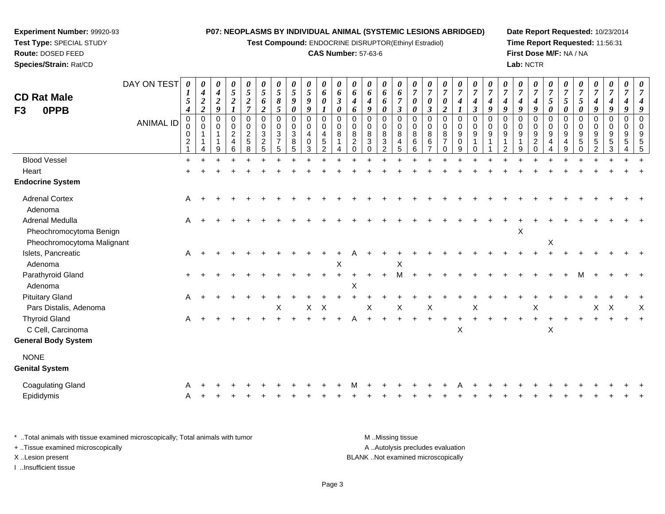**Test Compound:** ENDOCRINE DISRUPTOR(Ethinyl Estradiol)

### **CAS Number:** 57-63-6

**Date Report Requested:** 10/23/2014**Time Report Requested:** 11:56:31**First Dose M/F:** NA / NA**Lab:** NCTR

| <b>CD Rat Male</b>                               | DAY ON TEST      | 0<br>$\bm{l}$<br>5                      | 0<br>4<br>$\boldsymbol{2}$                                  | 0<br>4<br>$\boldsymbol{2}$ | 0<br>$\sqrt{5}$<br>$\boldsymbol{2}$                       | 0<br>$\sqrt{5}$<br>$\boldsymbol{2}$            | 0<br>$\overline{5}$<br>6                                                 | $\boldsymbol{\theta}$<br>5<br>$\pmb{8}$                           | 0<br>5<br>9                  | 0<br>$\sqrt{5}$<br>9                                 | 0<br>6<br>0                                                                  | 0<br>6<br>$\boldsymbol{\beta}$             | 0<br>6<br>$\boldsymbol{4}$                                 | 0<br>6<br>4                | 0<br>6<br>6                    | 0<br>6<br>$\overline{7}$                                     | 0<br>$\overline{7}$<br>0    | $\overline{7}$<br>0               | 0<br>$\overline{7}$<br>0      | 0<br>$\overline{7}$<br>4            | 0<br>$\overline{7}$<br>4                                                           | 0<br>$\overline{7}$<br>4                        | $\overline{7}$<br>4            | 0<br>$\overline{7}$<br>4 | 0<br>$\overline{7}$<br>4                                 | 0<br>$\overline{7}$<br>5                       | $\boldsymbol{\theta}$<br>$\overline{7}$<br>$\mathfrak{s}$ | 5                              | 0<br>$\overline{7}$<br>4 | 0<br>$\overline{7}$<br>4      | 0<br>$\overline{7}$<br>4             | $\boldsymbol{\theta}$<br>7 |
|--------------------------------------------------|------------------|-----------------------------------------|-------------------------------------------------------------|----------------------------|-----------------------------------------------------------|------------------------------------------------|--------------------------------------------------------------------------|-------------------------------------------------------------------|------------------------------|------------------------------------------------------|------------------------------------------------------------------------------|--------------------------------------------|------------------------------------------------------------|----------------------------|--------------------------------|--------------------------------------------------------------|-----------------------------|-----------------------------------|-------------------------------|-------------------------------------|------------------------------------------------------------------------------------|-------------------------------------------------|--------------------------------|--------------------------|----------------------------------------------------------|------------------------------------------------|-----------------------------------------------------------|--------------------------------|--------------------------|-------------------------------|--------------------------------------|----------------------------|
| F3<br>0PPB                                       |                  | $\boldsymbol{4}$                        | $\boldsymbol{2}$                                            | 9                          |                                                           | $\overline{7}$                                 | $\boldsymbol{2}$                                                         | 5                                                                 | 0                            | 9                                                    |                                                                              | 0                                          | 6                                                          | 9                          | 0                              | $\boldsymbol{\beta}$                                         | 0                           | $\boldsymbol{\beta}$              | $\boldsymbol{2}$              | 1                                   | $\boldsymbol{\beta}$                                                               | $\boldsymbol{9}$                                | 9                              | 9                        | 9                                                        | $\boldsymbol{\theta}$                          | 0                                                         | 0                              | 9                        | 9                             | 9                                    |                            |
|                                                  | <b>ANIMAL ID</b> | $\mathbf 0$<br>0<br>0<br>$\overline{c}$ | $\mathbf 0$<br>$\mathbf 0$<br>$\overline{1}$<br>$\mathbf 1$ | $\Omega$<br>0<br>9         | 0<br>$\mathbf 0$<br>$\overline{2}$<br>$\overline{4}$<br>6 | $\mathbf 0$<br>$\pmb{0}$<br>$\frac{2}{5}$<br>8 | $\mathbf 0$<br>$\mathbf 0$<br>$\sqrt{3}$<br>$\overline{c}$<br>$\sqrt{5}$ | $\mathbf 0$<br>$\mathbf 0$<br>$\mathbf{3}$<br>$\overline{7}$<br>5 | $\Omega$<br>0<br>3<br>8<br>5 | $\mathbf 0$<br>0<br>$\overline{4}$<br>$\pmb{0}$<br>3 | $\mathbf 0$<br>$\mathbf 0$<br>$\overline{4}$<br>$\sqrt{5}$<br>$\overline{2}$ | 0<br>$\mathbf 0$<br>8<br>$\mathbf{1}$<br>4 | $\Omega$<br>$\mathbf 0$<br>8<br>$\overline{2}$<br>$\Omega$ | 0<br>$\mathbf 0$<br>8<br>3 | 0<br>0<br>8<br>$\sqrt{3}$<br>2 | $\mathbf 0$<br>$\mathbf 0$<br>$\,8\,$<br>$\overline{4}$<br>5 | 0<br>0<br>8<br>$\,6\,$<br>6 | $\Omega$<br>$\mathbf 0$<br>8<br>6 | 0<br>0<br>8<br>$\overline{7}$ | $\,0\,$<br>0<br>9<br>$\pmb{0}$<br>9 | $\mathbf 0$<br>$\mathsf{O}\xspace$<br>$\boldsymbol{9}$<br>$\mathbf{1}$<br>$\Omega$ | $\mathbf 0$<br>$\mathbf 0$<br>9<br>$\mathbf{1}$ | $\Omega$<br>$\Omega$<br>9<br>2 | $\Omega$<br>0<br>9<br>9  | 0<br>0<br>$\boldsymbol{9}$<br>$\overline{c}$<br>$\Omega$ | $\Omega$<br>$\mathbf 0$<br>9<br>$\overline{4}$ | 0<br>0<br>9<br>4<br>9                                     | $\Omega$<br>$\Omega$<br>9<br>5 | 0<br>0<br>9<br>5         | 0<br>0<br>9<br>$\overline{5}$ | $\mathbf 0$<br>$\mathbf 0$<br>9<br>5 |                            |
| <b>Blood Vessel</b>                              |                  | ÷                                       |                                                             |                            |                                                           |                                                |                                                                          |                                                                   |                              |                                                      |                                                                              |                                            |                                                            |                            |                                |                                                              |                             |                                   |                               |                                     |                                                                                    |                                                 |                                |                          |                                                          |                                                |                                                           |                                |                          |                               |                                      |                            |
| Heart                                            |                  |                                         |                                                             |                            |                                                           |                                                |                                                                          |                                                                   |                              |                                                      |                                                                              |                                            |                                                            |                            |                                |                                                              |                             |                                   |                               |                                     |                                                                                    |                                                 |                                |                          |                                                          |                                                |                                                           |                                |                          |                               |                                      |                            |
| <b>Endocrine System</b>                          |                  |                                         |                                                             |                            |                                                           |                                                |                                                                          |                                                                   |                              |                                                      |                                                                              |                                            |                                                            |                            |                                |                                                              |                             |                                   |                               |                                     |                                                                                    |                                                 |                                |                          |                                                          |                                                |                                                           |                                |                          |                               |                                      |                            |
| <b>Adrenal Cortex</b><br>Adenoma                 |                  | A                                       |                                                             |                            |                                                           |                                                |                                                                          |                                                                   |                              |                                                      |                                                                              |                                            |                                                            |                            |                                |                                                              |                             |                                   |                               |                                     |                                                                                    |                                                 |                                |                          |                                                          |                                                |                                                           |                                |                          |                               |                                      |                            |
| Adrenal Medulla<br>Pheochromocytoma Benign       |                  | Α                                       |                                                             |                            |                                                           |                                                |                                                                          |                                                                   |                              |                                                      |                                                                              |                                            |                                                            |                            |                                |                                                              |                             |                                   |                               |                                     |                                                                                    |                                                 |                                | X                        |                                                          |                                                |                                                           |                                |                          |                               |                                      |                            |
| Pheochromocytoma Malignant<br>Islets, Pancreatic |                  | A                                       |                                                             |                            |                                                           |                                                |                                                                          |                                                                   |                              |                                                      |                                                                              | X                                          |                                                            |                            |                                | X                                                            |                             |                                   |                               |                                     |                                                                                    |                                                 |                                |                          |                                                          | $\boldsymbol{\mathsf{X}}$                      |                                                           |                                |                          |                               |                                      |                            |
| Adenoma<br>Parathyroid Gland<br>Adenoma          |                  |                                         |                                                             |                            |                                                           |                                                |                                                                          |                                                                   |                              |                                                      |                                                                              |                                            | X                                                          |                            |                                | м                                                            |                             |                                   |                               |                                     |                                                                                    |                                                 |                                |                          |                                                          |                                                |                                                           |                                |                          |                               |                                      |                            |
| <b>Pituitary Gland</b><br>Pars Distalis, Adenoma |                  | A                                       |                                                             |                            |                                                           |                                                |                                                                          | X                                                                 |                              | $\mathsf X$                                          | $\mathsf{X}$                                                                 |                                            |                                                            | Χ                          |                                | $\mathsf X$                                                  |                             | $\mathsf{X}$                      |                               |                                     | X                                                                                  |                                                 |                                |                          | X                                                        |                                                |                                                           |                                | X                        | $\boldsymbol{X}$              |                                      |                            |
| <b>Thyroid Gland</b><br>C Cell, Carcinoma        |                  | A                                       |                                                             |                            |                                                           |                                                |                                                                          |                                                                   |                              |                                                      |                                                                              |                                            |                                                            |                            |                                |                                                              |                             |                                   |                               | $\mathsf X$                         |                                                                                    |                                                 |                                |                          | $+$                                                      | $\boldsymbol{\mathsf{X}}$                      |                                                           |                                |                          |                               |                                      |                            |
| <b>General Body System</b>                       |                  |                                         |                                                             |                            |                                                           |                                                |                                                                          |                                                                   |                              |                                                      |                                                                              |                                            |                                                            |                            |                                |                                                              |                             |                                   |                               |                                     |                                                                                    |                                                 |                                |                          |                                                          |                                                |                                                           |                                |                          |                               |                                      |                            |
| <b>NONE</b><br><b>Genital System</b>             |                  |                                         |                                                             |                            |                                                           |                                                |                                                                          |                                                                   |                              |                                                      |                                                                              |                                            |                                                            |                            |                                |                                                              |                             |                                   |                               |                                     |                                                                                    |                                                 |                                |                          |                                                          |                                                |                                                           |                                |                          |                               |                                      |                            |
| <b>Coagulating Gland</b>                         |                  |                                         |                                                             |                            |                                                           |                                                |                                                                          |                                                                   |                              |                                                      |                                                                              |                                            |                                                            |                            |                                |                                                              |                             |                                   |                               |                                     |                                                                                    |                                                 |                                |                          |                                                          |                                                |                                                           |                                |                          |                               |                                      |                            |
| Epididymis                                       |                  | A                                       |                                                             |                            |                                                           |                                                |                                                                          |                                                                   |                              |                                                      |                                                                              |                                            |                                                            |                            |                                |                                                              |                             |                                   |                               |                                     |                                                                                    |                                                 |                                |                          |                                                          |                                                |                                                           |                                |                          |                               |                                      |                            |

\* ..Total animals with tissue examined microscopically; Total animals with tumor **M** . Missing tissue M ..Missing tissue A ..Autolysis precludes evaluation + ..Tissue examined microscopically X ..Lesion present BLANK ..Not examined microscopicallyI ..Insufficient tissue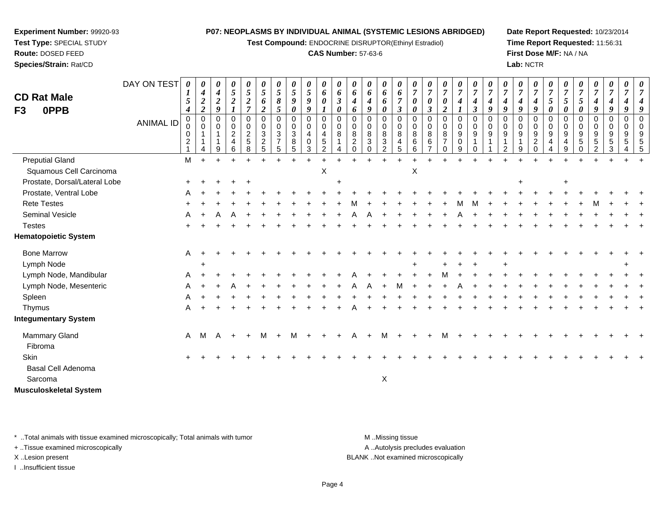**Test Compound:** ENDOCRINE DISRUPTOR(Ethinyl Estradiol)

### **CAS Number:** 57-63-6

**Date Report Requested:** 10/23/2014**Time Report Requested:** 11:56:31**First Dose M/F:** NA / NA**Lab:** NCTR

| <b>CD Rat Male</b><br>0PPB<br>F3 | DAY ON TEST<br><b>ANIMAL ID</b> | $\theta$<br>1<br>5<br>4<br>$\mathbf 0$<br>0<br>0<br>$\overline{c}$ | 0<br>$\boldsymbol{4}$<br>$\boldsymbol{2}$<br>$\boldsymbol{2}$<br>$\mathbf 0$<br>$\mathbf 0$<br>1 | 0<br>$\boldsymbol{4}$<br>$\boldsymbol{2}$<br>9<br>0<br>0<br>9 | $\boldsymbol{\theta}$<br>$\sqrt{5}$<br>$\boldsymbol{2}$<br>$\boldsymbol{l}$<br>0<br>$\mathsf 0$<br>$\overline{2}$<br>$\overline{\mathbf{4}}$<br>6 | 0<br>$\mathfrak{I}$<br>$\boldsymbol{2}$<br>$\overline{7}$<br>$\mathbf 0$<br>$\,0\,$<br>$\frac{2}{5}$<br>8 | 0<br>$\overline{5}$<br>6<br>$\boldsymbol{2}$<br>$\Omega$<br>0<br>3<br>$\frac{2}{5}$ | 0<br>$\overline{5}$<br>$\boldsymbol{\delta}$<br>5<br>0<br>$\pmb{0}$<br>$\sqrt{3}$<br>$\overline{7}$<br>5 | $\boldsymbol{\theta}$<br>5 <sup>5</sup><br>$\boldsymbol{9}$<br>0<br>0<br>$\mathbf 0$<br>3<br>8<br>5 | 0<br>$5\overline{)}$<br>$\boldsymbol{g}$<br>9<br>$\mathbf 0$<br>$\mathsf 0$<br>4<br>$_{3}^{\rm 0}$ | 0<br>6<br>$\pmb{\theta}$<br>$\mathbf 0$<br>$\pmb{0}$<br>4<br>$\sqrt{5}$<br>$\overline{2}$ | 0<br>6<br>$\boldsymbol{\beta}$<br>$\boldsymbol{\theta}$<br>$\Omega$<br>0<br>8 | 0<br>6<br>4<br>6<br>$\Omega$<br>0<br>$\,8\,$<br>$\sqrt{2}$<br>$\Omega$ | 0<br>6<br>4<br>9<br>$\Omega$<br>0<br>8<br>3<br>$\Omega$ | 0<br>6<br>6<br>0<br>0<br>$\mathsf 0$<br>$\bf 8$<br>$\frac{3}{2}$ | $\boldsymbol{\theta}$<br>6<br>$\overline{7}$<br>$\boldsymbol{\beta}$<br>$\Omega$<br>$\pmb{0}$<br>$\bf 8$<br>4<br>5 | 0<br>$\overline{7}$<br>$\boldsymbol{\theta}$<br>$\boldsymbol{\theta}$<br>$\Omega$<br>0<br>$\bf 8$<br>$\,6\,$<br>6 | $\boldsymbol{\theta}$<br>$\overline{7}$<br>$\boldsymbol{\theta}$<br>$\boldsymbol{\beta}$<br>$\Omega$<br>$\mathbf 0$<br>$\,8\,$<br>$\,6$<br>$\overline{z}$ | $\boldsymbol{\theta}$<br>$\boldsymbol{7}$<br>$\boldsymbol{\theta}$<br>$\overline{c}$<br>0<br>$\mathbf 0$<br>8<br>$\overline{7}$<br>$\Omega$ | 0<br>$\boldsymbol{7}$<br>4<br>0<br>$\mathbf 0$<br>$\overline{9}$<br>$\pmb{0}$<br>$\overline{9}$ | $\boldsymbol{\theta}$<br>$\overline{7}$<br>$\boldsymbol{4}$<br>$\boldsymbol{\beta}$<br>$\Omega$<br>$\pmb{0}$<br>$\boldsymbol{9}$<br>$\Omega$ | 0<br>$\overline{7}$<br>$\boldsymbol{4}$<br>9<br>$\Omega$<br>0<br>$9\,$ | $\overline{7}$<br>4<br>9<br>$\Omega$<br>0<br>$9\,$<br>1<br>$\mathfrak{p}$ | 0<br>$\overline{7}$<br>4<br>9<br>$\Omega$<br>0<br>9<br>9 | 0<br>$\boldsymbol{7}$<br>4<br>9<br>0<br>0<br>$\boldsymbol{9}$<br>$\overline{c}$<br>$\Omega$ | $\boldsymbol{\theta}$<br>$\overline{7}$<br>5<br>$\boldsymbol{\theta}$<br>$\Omega$<br>$\pmb{0}$<br>$\boldsymbol{9}$<br>4<br>4 | 0<br>$\overline{7}$<br>$\mathfrak{s}$<br>$\boldsymbol{\theta}$<br>$\Omega$<br>0<br>$9\,$<br>4<br>9 | $\overline{7}$<br>$\overline{5}$<br>0<br>$\Omega$<br>0<br>9<br>$\sqrt{5}$<br>$\Omega$ | 0<br>$\overline{7}$<br>4<br>9<br>$\Omega$<br>0<br>9<br>5<br>$\mathfrak{p}$ | 0<br>$\overline{7}$<br>4<br>9<br>$\Omega$<br>$\mathbf 0$<br>$\boldsymbol{9}$<br>5<br>3 | 0<br>$\overline{7}$<br>4<br>9<br>$\mathbf 0$<br>$\pmb{0}$<br>9<br>5 | $\boldsymbol{\theta}$<br>$\overline{7}$ |
|----------------------------------|---------------------------------|--------------------------------------------------------------------|--------------------------------------------------------------------------------------------------|---------------------------------------------------------------|---------------------------------------------------------------------------------------------------------------------------------------------------|-----------------------------------------------------------------------------------------------------------|-------------------------------------------------------------------------------------|----------------------------------------------------------------------------------------------------------|-----------------------------------------------------------------------------------------------------|----------------------------------------------------------------------------------------------------|-------------------------------------------------------------------------------------------|-------------------------------------------------------------------------------|------------------------------------------------------------------------|---------------------------------------------------------|------------------------------------------------------------------|--------------------------------------------------------------------------------------------------------------------|-------------------------------------------------------------------------------------------------------------------|-----------------------------------------------------------------------------------------------------------------------------------------------------------|---------------------------------------------------------------------------------------------------------------------------------------------|-------------------------------------------------------------------------------------------------|----------------------------------------------------------------------------------------------------------------------------------------------|------------------------------------------------------------------------|---------------------------------------------------------------------------|----------------------------------------------------------|---------------------------------------------------------------------------------------------|------------------------------------------------------------------------------------------------------------------------------|----------------------------------------------------------------------------------------------------|---------------------------------------------------------------------------------------|----------------------------------------------------------------------------|----------------------------------------------------------------------------------------|---------------------------------------------------------------------|-----------------------------------------|
| <b>Preputial Gland</b>           |                                 | M                                                                  |                                                                                                  |                                                               |                                                                                                                                                   |                                                                                                           |                                                                                     |                                                                                                          |                                                                                                     |                                                                                                    |                                                                                           |                                                                               |                                                                        |                                                         |                                                                  |                                                                                                                    |                                                                                                                   |                                                                                                                                                           |                                                                                                                                             |                                                                                                 |                                                                                                                                              |                                                                        |                                                                           |                                                          |                                                                                             |                                                                                                                              |                                                                                                    |                                                                                       |                                                                            |                                                                                        |                                                                     |                                         |
| Squamous Cell Carcinoma          |                                 |                                                                    |                                                                                                  |                                                               |                                                                                                                                                   |                                                                                                           |                                                                                     |                                                                                                          |                                                                                                     |                                                                                                    | X                                                                                         |                                                                               |                                                                        |                                                         |                                                                  |                                                                                                                    | $\mathsf X$                                                                                                       |                                                                                                                                                           |                                                                                                                                             |                                                                                                 |                                                                                                                                              |                                                                        |                                                                           |                                                          |                                                                                             |                                                                                                                              |                                                                                                    |                                                                                       |                                                                            |                                                                                        |                                                                     |                                         |
| Prostate, Dorsal/Lateral Lobe    |                                 |                                                                    |                                                                                                  |                                                               |                                                                                                                                                   |                                                                                                           |                                                                                     |                                                                                                          |                                                                                                     |                                                                                                    |                                                                                           |                                                                               |                                                                        |                                                         |                                                                  |                                                                                                                    |                                                                                                                   |                                                                                                                                                           |                                                                                                                                             |                                                                                                 |                                                                                                                                              |                                                                        |                                                                           |                                                          |                                                                                             |                                                                                                                              | $\ddot{}$                                                                                          |                                                                                       |                                                                            |                                                                                        |                                                                     |                                         |
| Prostate, Ventral Lobe           |                                 |                                                                    |                                                                                                  |                                                               |                                                                                                                                                   |                                                                                                           |                                                                                     |                                                                                                          |                                                                                                     |                                                                                                    |                                                                                           |                                                                               |                                                                        |                                                         |                                                                  |                                                                                                                    |                                                                                                                   |                                                                                                                                                           |                                                                                                                                             |                                                                                                 |                                                                                                                                              |                                                                        |                                                                           |                                                          |                                                                                             |                                                                                                                              |                                                                                                    |                                                                                       |                                                                            |                                                                                        |                                                                     |                                         |
| <b>Rete Testes</b>               |                                 |                                                                    |                                                                                                  |                                                               |                                                                                                                                                   |                                                                                                           |                                                                                     |                                                                                                          |                                                                                                     |                                                                                                    |                                                                                           |                                                                               |                                                                        |                                                         |                                                                  |                                                                                                                    |                                                                                                                   |                                                                                                                                                           |                                                                                                                                             |                                                                                                 |                                                                                                                                              |                                                                        |                                                                           |                                                          |                                                                                             |                                                                                                                              |                                                                                                    |                                                                                       |                                                                            |                                                                                        |                                                                     |                                         |
| <b>Seminal Vesicle</b>           |                                 | A                                                                  |                                                                                                  |                                                               |                                                                                                                                                   |                                                                                                           |                                                                                     |                                                                                                          |                                                                                                     |                                                                                                    |                                                                                           |                                                                               |                                                                        |                                                         |                                                                  |                                                                                                                    |                                                                                                                   |                                                                                                                                                           |                                                                                                                                             |                                                                                                 |                                                                                                                                              |                                                                        |                                                                           |                                                          |                                                                                             |                                                                                                                              |                                                                                                    |                                                                                       |                                                                            |                                                                                        |                                                                     |                                         |
| <b>Testes</b>                    |                                 |                                                                    |                                                                                                  |                                                               |                                                                                                                                                   |                                                                                                           |                                                                                     |                                                                                                          |                                                                                                     |                                                                                                    |                                                                                           |                                                                               |                                                                        |                                                         |                                                                  |                                                                                                                    |                                                                                                                   |                                                                                                                                                           |                                                                                                                                             |                                                                                                 |                                                                                                                                              |                                                                        |                                                                           |                                                          |                                                                                             |                                                                                                                              |                                                                                                    |                                                                                       |                                                                            |                                                                                        |                                                                     |                                         |
| <b>Hematopoietic System</b>      |                                 |                                                                    |                                                                                                  |                                                               |                                                                                                                                                   |                                                                                                           |                                                                                     |                                                                                                          |                                                                                                     |                                                                                                    |                                                                                           |                                                                               |                                                                        |                                                         |                                                                  |                                                                                                                    |                                                                                                                   |                                                                                                                                                           |                                                                                                                                             |                                                                                                 |                                                                                                                                              |                                                                        |                                                                           |                                                          |                                                                                             |                                                                                                                              |                                                                                                    |                                                                                       |                                                                            |                                                                                        |                                                                     |                                         |
| <b>Bone Marrow</b>               |                                 | A                                                                  |                                                                                                  |                                                               |                                                                                                                                                   |                                                                                                           |                                                                                     |                                                                                                          |                                                                                                     |                                                                                                    |                                                                                           |                                                                               |                                                                        |                                                         |                                                                  |                                                                                                                    |                                                                                                                   |                                                                                                                                                           |                                                                                                                                             |                                                                                                 |                                                                                                                                              |                                                                        |                                                                           |                                                          |                                                                                             |                                                                                                                              |                                                                                                    |                                                                                       |                                                                            |                                                                                        |                                                                     |                                         |
| Lymph Node                       |                                 |                                                                    |                                                                                                  |                                                               |                                                                                                                                                   |                                                                                                           |                                                                                     |                                                                                                          |                                                                                                     |                                                                                                    |                                                                                           |                                                                               |                                                                        |                                                         |                                                                  |                                                                                                                    |                                                                                                                   |                                                                                                                                                           |                                                                                                                                             |                                                                                                 |                                                                                                                                              |                                                                        |                                                                           |                                                          |                                                                                             |                                                                                                                              |                                                                                                    |                                                                                       |                                                                            |                                                                                        |                                                                     |                                         |
| Lymph Node, Mandibular           |                                 | A                                                                  |                                                                                                  |                                                               |                                                                                                                                                   |                                                                                                           |                                                                                     |                                                                                                          |                                                                                                     |                                                                                                    |                                                                                           |                                                                               |                                                                        |                                                         |                                                                  |                                                                                                                    |                                                                                                                   |                                                                                                                                                           |                                                                                                                                             |                                                                                                 |                                                                                                                                              |                                                                        |                                                                           |                                                          |                                                                                             |                                                                                                                              |                                                                                                    |                                                                                       |                                                                            |                                                                                        |                                                                     |                                         |
| Lymph Node, Mesenteric           |                                 | A                                                                  |                                                                                                  |                                                               |                                                                                                                                                   |                                                                                                           |                                                                                     |                                                                                                          |                                                                                                     |                                                                                                    |                                                                                           |                                                                               |                                                                        |                                                         |                                                                  |                                                                                                                    |                                                                                                                   |                                                                                                                                                           |                                                                                                                                             |                                                                                                 |                                                                                                                                              |                                                                        |                                                                           |                                                          |                                                                                             |                                                                                                                              |                                                                                                    |                                                                                       |                                                                            |                                                                                        |                                                                     |                                         |
| Spleen                           |                                 |                                                                    |                                                                                                  |                                                               |                                                                                                                                                   |                                                                                                           |                                                                                     |                                                                                                          |                                                                                                     |                                                                                                    |                                                                                           |                                                                               |                                                                        |                                                         |                                                                  |                                                                                                                    |                                                                                                                   |                                                                                                                                                           |                                                                                                                                             |                                                                                                 |                                                                                                                                              |                                                                        |                                                                           |                                                          |                                                                                             |                                                                                                                              |                                                                                                    |                                                                                       |                                                                            |                                                                                        |                                                                     |                                         |
| Thymus                           |                                 | A                                                                  |                                                                                                  |                                                               |                                                                                                                                                   |                                                                                                           |                                                                                     |                                                                                                          |                                                                                                     |                                                                                                    |                                                                                           |                                                                               |                                                                        |                                                         |                                                                  |                                                                                                                    |                                                                                                                   |                                                                                                                                                           |                                                                                                                                             |                                                                                                 |                                                                                                                                              |                                                                        |                                                                           |                                                          |                                                                                             |                                                                                                                              |                                                                                                    |                                                                                       |                                                                            |                                                                                        |                                                                     |                                         |
| <b>Integumentary System</b>      |                                 |                                                                    |                                                                                                  |                                                               |                                                                                                                                                   |                                                                                                           |                                                                                     |                                                                                                          |                                                                                                     |                                                                                                    |                                                                                           |                                                                               |                                                                        |                                                         |                                                                  |                                                                                                                    |                                                                                                                   |                                                                                                                                                           |                                                                                                                                             |                                                                                                 |                                                                                                                                              |                                                                        |                                                                           |                                                          |                                                                                             |                                                                                                                              |                                                                                                    |                                                                                       |                                                                            |                                                                                        |                                                                     |                                         |
| Mammary Gland<br>Fibroma         |                                 | A                                                                  | M                                                                                                | A                                                             |                                                                                                                                                   |                                                                                                           | м                                                                                   |                                                                                                          | м                                                                                                   |                                                                                                    |                                                                                           |                                                                               |                                                                        |                                                         | м                                                                |                                                                                                                    |                                                                                                                   |                                                                                                                                                           |                                                                                                                                             |                                                                                                 |                                                                                                                                              |                                                                        |                                                                           |                                                          |                                                                                             |                                                                                                                              |                                                                                                    |                                                                                       |                                                                            |                                                                                        |                                                                     |                                         |
| Skin                             |                                 |                                                                    |                                                                                                  |                                                               |                                                                                                                                                   |                                                                                                           |                                                                                     |                                                                                                          |                                                                                                     |                                                                                                    |                                                                                           |                                                                               |                                                                        |                                                         |                                                                  |                                                                                                                    |                                                                                                                   |                                                                                                                                                           |                                                                                                                                             |                                                                                                 |                                                                                                                                              |                                                                        |                                                                           |                                                          |                                                                                             |                                                                                                                              |                                                                                                    |                                                                                       |                                                                            |                                                                                        |                                                                     |                                         |
| Basal Cell Adenoma               |                                 |                                                                    |                                                                                                  |                                                               |                                                                                                                                                   |                                                                                                           |                                                                                     |                                                                                                          |                                                                                                     |                                                                                                    |                                                                                           |                                                                               |                                                                        |                                                         |                                                                  |                                                                                                                    |                                                                                                                   |                                                                                                                                                           |                                                                                                                                             |                                                                                                 |                                                                                                                                              |                                                                        |                                                                           |                                                          |                                                                                             |                                                                                                                              |                                                                                                    |                                                                                       |                                                                            |                                                                                        |                                                                     |                                         |
| Sarcoma                          |                                 |                                                                    |                                                                                                  |                                                               |                                                                                                                                                   |                                                                                                           |                                                                                     |                                                                                                          |                                                                                                     |                                                                                                    |                                                                                           |                                                                               |                                                                        |                                                         | X                                                                |                                                                                                                    |                                                                                                                   |                                                                                                                                                           |                                                                                                                                             |                                                                                                 |                                                                                                                                              |                                                                        |                                                                           |                                                          |                                                                                             |                                                                                                                              |                                                                                                    |                                                                                       |                                                                            |                                                                                        |                                                                     |                                         |
| Musculoskeletal System           |                                 |                                                                    |                                                                                                  |                                                               |                                                                                                                                                   |                                                                                                           |                                                                                     |                                                                                                          |                                                                                                     |                                                                                                    |                                                                                           |                                                                               |                                                                        |                                                         |                                                                  |                                                                                                                    |                                                                                                                   |                                                                                                                                                           |                                                                                                                                             |                                                                                                 |                                                                                                                                              |                                                                        |                                                                           |                                                          |                                                                                             |                                                                                                                              |                                                                                                    |                                                                                       |                                                                            |                                                                                        |                                                                     |                                         |

\* ..Total animals with tissue examined microscopically; Total animals with tumor **M** . Missing tissue M ..Missing tissue + ..Tissue examined microscopically

I ..Insufficient tissue

**Experiment Number:** 99920-93**Test Type:** SPECIAL STUDY**Route:** DOSED FEED**Species/Strain:** Rat/CD

A ..Autolysis precludes evaluation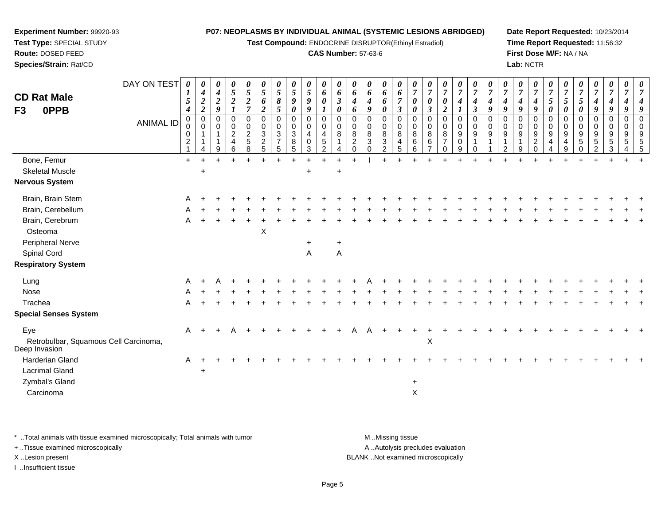**Test Compound:** ENDOCRINE DISRUPTOR(Ethinyl Estradiol)

### **CAS Number:** 57-63-6

**Date Report Requested:** 10/23/2014**Time Report Requested:** 11:56:32**First Dose M/F:** NA / NA**Lab:** NCTR

| <b>CD Rat Male</b><br><b>OPPB</b><br>F3                | DAY ON TEST<br><b>ANIMAL ID</b> | $\boldsymbol{\theta}$<br>$\boldsymbol{I}$<br>5<br>$\boldsymbol{4}$<br>$\mathbf 0$<br>0<br>0 | 0<br>$\boldsymbol{4}$<br>$\frac{2}{2}$<br>$\mathbf 0$<br>0<br>$\mathbf 1$ | 0<br>$\boldsymbol{4}$<br>$\boldsymbol{2}$<br>9<br>$\mathbf 0$<br>0 | 0<br>$\mathfrak{s}$<br>$\boldsymbol{2}$<br>$\mathbf{I}$<br>0<br>0<br>$\overline{c}$ | 0<br>$\mathfrak{s}$<br>$\boldsymbol{2}$<br>$\overline{\tau}$<br>$\mathbf 0$<br>0 | $\boldsymbol{\theta}$<br>$\sqrt{5}$<br>6<br>$\boldsymbol{2}$<br>$\mathbf 0$<br>0 | $\boldsymbol{\theta}$<br>$\sqrt{5}$<br>$\pmb{8}$<br>5<br>$\mathbf 0$<br>0<br>$\mathbf{3}$ | 0<br>$\mathfrak{s}$<br>9<br>0<br>$\mathbf 0$<br>0<br>3 | 0<br>$\mathfrak{s}$<br>9<br>9<br>$\mathbf 0$<br>0<br>4 | 0<br>6<br>0<br>$\mathbf 0$<br>$\mathbf 0$<br>4 | $\boldsymbol{\theta}$<br>6<br>$\boldsymbol{\beta}$<br>$\boldsymbol{\theta}$<br>$\mathbf 0$<br>0<br>8 | $\boldsymbol{\theta}$<br>6<br>$\boldsymbol{4}$<br>6<br>$\mathbf 0$<br>0<br>8 | 0<br>6<br>4<br>9<br>0<br>0<br>8 | 0<br>6<br>6<br>0<br>0<br>0<br>$\bf 8$ | $\boldsymbol{\theta}$<br>6<br>$\overline{7}$<br>$\boldsymbol{\beta}$<br>$\mathbf 0$<br>$\mathbf 0$<br>$\bf 8$ | 0<br>$\overline{7}$<br>0<br>0<br>$\mathbf 0$<br>0<br>$\bf8$ | $\boldsymbol{\theta}$<br>$\overline{7}$<br>$\boldsymbol{\theta}$<br>$\boldsymbol{\beta}$<br>$\mathbf 0$<br>0<br>8 | 0<br>$\overline{7}$<br>0<br>$\overline{2}$<br>$\mathbf 0$<br>0<br>8 | 0<br>$\overline{7}$<br>$\boldsymbol{4}$<br>$\mathbf 0$<br>0<br>$\boldsymbol{9}$ | $\boldsymbol{\theta}$<br>$\overline{7}$<br>4<br>$\boldsymbol{\beta}$<br>$\mathbf 0$<br>$\pmb{0}$<br>$\boldsymbol{9}$ | $\boldsymbol{\theta}$<br>$\overline{7}$<br>$\boldsymbol{4}$<br>9<br>$\mathbf 0$<br>0<br>$9\,$ | $\overline{7}$<br>$\boldsymbol{4}$<br>9<br>$\mathbf 0$<br>0<br>9 | 0<br>$\overline{7}$<br>4<br>9<br>0<br>$\mathbf 0$<br>9 | 0<br>$\boldsymbol{7}$<br>$\boldsymbol{4}$<br>9<br>0<br>0 | $\boldsymbol{\theta}$<br>$\overline{7}$<br>5<br>$\boldsymbol{\theta}$<br>$\mathbf 0$<br>0<br>9 | 0<br>$\overline{7}$<br>5<br>$\boldsymbol{\theta}$<br>$\mathbf 0$<br>0<br>9 | $\overline{7}$<br>5<br>$\boldsymbol{\theta}$<br>$\mathbf 0$<br>0<br>9 | 0<br>$\overline{7}$<br>4<br>9<br>0<br>0<br>9 | 0<br>$\overline{7}$<br>4<br>9<br>0<br>0<br>9 | $\boldsymbol{\theta}$<br>$\overline{7}$<br>4<br>9<br>$\mathbf 0$<br>0<br>9 | $\boldsymbol{\theta}$<br>$\overline{7}$ |
|--------------------------------------------------------|---------------------------------|---------------------------------------------------------------------------------------------|---------------------------------------------------------------------------|--------------------------------------------------------------------|-------------------------------------------------------------------------------------|----------------------------------------------------------------------------------|----------------------------------------------------------------------------------|-------------------------------------------------------------------------------------------|--------------------------------------------------------|--------------------------------------------------------|------------------------------------------------|------------------------------------------------------------------------------------------------------|------------------------------------------------------------------------------|---------------------------------|---------------------------------------|---------------------------------------------------------------------------------------------------------------|-------------------------------------------------------------|-------------------------------------------------------------------------------------------------------------------|---------------------------------------------------------------------|---------------------------------------------------------------------------------|----------------------------------------------------------------------------------------------------------------------|-----------------------------------------------------------------------------------------------|------------------------------------------------------------------|--------------------------------------------------------|----------------------------------------------------------|------------------------------------------------------------------------------------------------|----------------------------------------------------------------------------|-----------------------------------------------------------------------|----------------------------------------------|----------------------------------------------|----------------------------------------------------------------------------|-----------------------------------------|
|                                                        |                                 | $\frac{2}{1}$                                                                               | $\mathbf 1$<br>4                                                          | 9                                                                  | 4<br>6                                                                              | $\frac{2}{5}$                                                                    | $\frac{3}{2}$                                                                    | $\boldsymbol{7}$<br>$\overline{5}$                                                        | 8<br>$\overline{5}$                                    | 0<br>$\overline{3}$                                    | $\frac{5}{2}$                                  | $\overline{1}$<br>4                                                                                  | $^2_{\rm 0}$                                                                 | 3<br>$\Omega$                   | $\overline{3}$<br>$\overline{2}$      | $\overline{4}$<br>$\overline{5}$                                                                              | 6<br>$6\overline{6}$                                        | $\,6$<br>$\overline{7}$                                                                                           | $\overline{7}$<br>$\mathbf 0$                                       | $\mathbf 0$<br>$\overline{9}$                                                   | $\mathbf 0$                                                                                                          |                                                                                               | $\mathbf{1}$<br>$\overline{2}$                                   | 9                                                      | $\frac{9}{2}$                                            | 4<br>4                                                                                         | 4<br>$\boldsymbol{9}$                                                      | 5<br>$\mathbf 0$                                                      | 5<br>$\overline{2}$                          | $\overline{5}$<br>3                          | $\overline{5}$<br>4                                                        | 5<br>5                                  |
| Bone, Femur                                            |                                 | $+$                                                                                         |                                                                           |                                                                    |                                                                                     | $\ddot{}$                                                                        |                                                                                  |                                                                                           |                                                        |                                                        |                                                |                                                                                                      |                                                                              |                                 |                                       | $\ddot{}$                                                                                                     |                                                             |                                                                                                                   |                                                                     |                                                                                 |                                                                                                                      |                                                                                               |                                                                  |                                                        |                                                          |                                                                                                |                                                                            |                                                                       |                                              |                                              |                                                                            |                                         |
| <b>Skeletal Muscle</b>                                 |                                 |                                                                                             | +                                                                         |                                                                    |                                                                                     |                                                                                  |                                                                                  |                                                                                           |                                                        | $\ddot{}$                                              |                                                | $\ddot{}$                                                                                            |                                                                              |                                 |                                       |                                                                                                               |                                                             |                                                                                                                   |                                                                     |                                                                                 |                                                                                                                      |                                                                                               |                                                                  |                                                        |                                                          |                                                                                                |                                                                            |                                                                       |                                              |                                              |                                                                            |                                         |
| Nervous System                                         |                                 |                                                                                             |                                                                           |                                                                    |                                                                                     |                                                                                  |                                                                                  |                                                                                           |                                                        |                                                        |                                                |                                                                                                      |                                                                              |                                 |                                       |                                                                                                               |                                                             |                                                                                                                   |                                                                     |                                                                                 |                                                                                                                      |                                                                                               |                                                                  |                                                        |                                                          |                                                                                                |                                                                            |                                                                       |                                              |                                              |                                                                            |                                         |
| Brain, Brain Stem                                      |                                 | A                                                                                           |                                                                           |                                                                    |                                                                                     |                                                                                  |                                                                                  |                                                                                           |                                                        |                                                        |                                                |                                                                                                      |                                                                              |                                 |                                       |                                                                                                               |                                                             |                                                                                                                   |                                                                     |                                                                                 |                                                                                                                      |                                                                                               |                                                                  |                                                        |                                                          |                                                                                                |                                                                            |                                                                       |                                              |                                              |                                                                            |                                         |
| Brain, Cerebellum                                      |                                 |                                                                                             |                                                                           |                                                                    |                                                                                     |                                                                                  |                                                                                  |                                                                                           |                                                        |                                                        |                                                |                                                                                                      |                                                                              |                                 |                                       |                                                                                                               |                                                             |                                                                                                                   |                                                                     |                                                                                 |                                                                                                                      |                                                                                               |                                                                  |                                                        |                                                          |                                                                                                |                                                                            |                                                                       |                                              |                                              |                                                                            |                                         |
| Brain, Cerebrum                                        |                                 | A                                                                                           |                                                                           |                                                                    |                                                                                     |                                                                                  |                                                                                  |                                                                                           |                                                        |                                                        |                                                |                                                                                                      |                                                                              |                                 |                                       |                                                                                                               |                                                             |                                                                                                                   |                                                                     |                                                                                 |                                                                                                                      |                                                                                               |                                                                  |                                                        |                                                          |                                                                                                |                                                                            |                                                                       |                                              |                                              |                                                                            |                                         |
| Osteoma                                                |                                 |                                                                                             |                                                                           |                                                                    |                                                                                     |                                                                                  | $\mathsf X$                                                                      |                                                                                           |                                                        |                                                        |                                                |                                                                                                      |                                                                              |                                 |                                       |                                                                                                               |                                                             |                                                                                                                   |                                                                     |                                                                                 |                                                                                                                      |                                                                                               |                                                                  |                                                        |                                                          |                                                                                                |                                                                            |                                                                       |                                              |                                              |                                                                            |                                         |
| Peripheral Nerve                                       |                                 |                                                                                             |                                                                           |                                                                    |                                                                                     |                                                                                  |                                                                                  |                                                                                           |                                                        | +                                                      |                                                | $\ddot{}$                                                                                            |                                                                              |                                 |                                       |                                                                                                               |                                                             |                                                                                                                   |                                                                     |                                                                                 |                                                                                                                      |                                                                                               |                                                                  |                                                        |                                                          |                                                                                                |                                                                            |                                                                       |                                              |                                              |                                                                            |                                         |
| Spinal Cord                                            |                                 |                                                                                             |                                                                           |                                                                    |                                                                                     |                                                                                  |                                                                                  |                                                                                           |                                                        | Α                                                      |                                                | A                                                                                                    |                                                                              |                                 |                                       |                                                                                                               |                                                             |                                                                                                                   |                                                                     |                                                                                 |                                                                                                                      |                                                                                               |                                                                  |                                                        |                                                          |                                                                                                |                                                                            |                                                                       |                                              |                                              |                                                                            |                                         |
| <b>Respiratory System</b>                              |                                 |                                                                                             |                                                                           |                                                                    |                                                                                     |                                                                                  |                                                                                  |                                                                                           |                                                        |                                                        |                                                |                                                                                                      |                                                                              |                                 |                                       |                                                                                                               |                                                             |                                                                                                                   |                                                                     |                                                                                 |                                                                                                                      |                                                                                               |                                                                  |                                                        |                                                          |                                                                                                |                                                                            |                                                                       |                                              |                                              |                                                                            |                                         |
| Lung                                                   |                                 | A                                                                                           |                                                                           |                                                                    |                                                                                     |                                                                                  |                                                                                  |                                                                                           |                                                        |                                                        |                                                |                                                                                                      |                                                                              |                                 |                                       |                                                                                                               |                                                             |                                                                                                                   |                                                                     |                                                                                 |                                                                                                                      |                                                                                               |                                                                  |                                                        |                                                          |                                                                                                |                                                                            |                                                                       |                                              |                                              |                                                                            |                                         |
| Nose                                                   |                                 |                                                                                             |                                                                           |                                                                    |                                                                                     |                                                                                  |                                                                                  |                                                                                           |                                                        |                                                        |                                                |                                                                                                      |                                                                              |                                 |                                       |                                                                                                               |                                                             |                                                                                                                   |                                                                     |                                                                                 |                                                                                                                      |                                                                                               |                                                                  |                                                        |                                                          |                                                                                                |                                                                            |                                                                       |                                              |                                              |                                                                            |                                         |
| Trachea                                                |                                 | A                                                                                           |                                                                           |                                                                    |                                                                                     |                                                                                  |                                                                                  |                                                                                           |                                                        |                                                        |                                                |                                                                                                      |                                                                              |                                 |                                       |                                                                                                               |                                                             |                                                                                                                   |                                                                     |                                                                                 |                                                                                                                      |                                                                                               |                                                                  |                                                        |                                                          |                                                                                                |                                                                            |                                                                       |                                              |                                              |                                                                            |                                         |
| <b>Special Senses System</b>                           |                                 |                                                                                             |                                                                           |                                                                    |                                                                                     |                                                                                  |                                                                                  |                                                                                           |                                                        |                                                        |                                                |                                                                                                      |                                                                              |                                 |                                       |                                                                                                               |                                                             |                                                                                                                   |                                                                     |                                                                                 |                                                                                                                      |                                                                                               |                                                                  |                                                        |                                                          |                                                                                                |                                                                            |                                                                       |                                              |                                              |                                                                            |                                         |
| Eye                                                    |                                 | Α                                                                                           |                                                                           |                                                                    |                                                                                     |                                                                                  |                                                                                  |                                                                                           |                                                        |                                                        |                                                |                                                                                                      |                                                                              |                                 |                                       |                                                                                                               |                                                             |                                                                                                                   |                                                                     |                                                                                 |                                                                                                                      |                                                                                               |                                                                  |                                                        |                                                          |                                                                                                |                                                                            |                                                                       |                                              |                                              |                                                                            |                                         |
| Retrobulbar, Squamous Cell Carcinoma,<br>Deep Invasion |                                 |                                                                                             |                                                                           |                                                                    |                                                                                     |                                                                                  |                                                                                  |                                                                                           |                                                        |                                                        |                                                |                                                                                                      |                                                                              |                                 |                                       |                                                                                                               |                                                             | X                                                                                                                 |                                                                     |                                                                                 |                                                                                                                      |                                                                                               |                                                                  |                                                        |                                                          |                                                                                                |                                                                            |                                                                       |                                              |                                              |                                                                            |                                         |
| Harderian Gland                                        |                                 | Α                                                                                           |                                                                           |                                                                    |                                                                                     |                                                                                  |                                                                                  |                                                                                           |                                                        |                                                        |                                                |                                                                                                      |                                                                              |                                 |                                       |                                                                                                               |                                                             |                                                                                                                   |                                                                     |                                                                                 |                                                                                                                      |                                                                                               |                                                                  |                                                        |                                                          |                                                                                                |                                                                            |                                                                       |                                              |                                              |                                                                            |                                         |
| <b>Lacrimal Gland</b>                                  |                                 |                                                                                             |                                                                           |                                                                    |                                                                                     |                                                                                  |                                                                                  |                                                                                           |                                                        |                                                        |                                                |                                                                                                      |                                                                              |                                 |                                       |                                                                                                               |                                                             |                                                                                                                   |                                                                     |                                                                                 |                                                                                                                      |                                                                                               |                                                                  |                                                        |                                                          |                                                                                                |                                                                            |                                                                       |                                              |                                              |                                                                            |                                         |
| Zymbal's Gland                                         |                                 |                                                                                             |                                                                           |                                                                    |                                                                                     |                                                                                  |                                                                                  |                                                                                           |                                                        |                                                        |                                                |                                                                                                      |                                                                              |                                 |                                       |                                                                                                               | $\ddot{}$                                                   |                                                                                                                   |                                                                     |                                                                                 |                                                                                                                      |                                                                                               |                                                                  |                                                        |                                                          |                                                                                                |                                                                            |                                                                       |                                              |                                              |                                                                            |                                         |
| Carcinoma                                              |                                 |                                                                                             |                                                                           |                                                                    |                                                                                     |                                                                                  |                                                                                  |                                                                                           |                                                        |                                                        |                                                |                                                                                                      |                                                                              |                                 |                                       |                                                                                                               | $\sf X$                                                     |                                                                                                                   |                                                                     |                                                                                 |                                                                                                                      |                                                                                               |                                                                  |                                                        |                                                          |                                                                                                |                                                                            |                                                                       |                                              |                                              |                                                                            |                                         |

\* ..Total animals with tissue examined microscopically; Total animals with tumor **M** . Missing tissue M ..Missing tissue A ..Autolysis precludes evaluation + ..Tissue examined microscopically X ..Lesion present BLANK ..Not examined microscopicallyI ..Insufficient tissue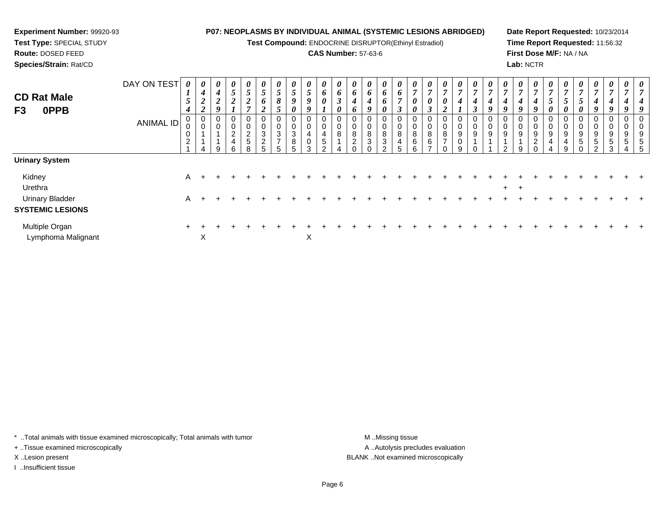# **Experiment Number:** 99920-93**Test Type:** SPECIAL STUDY

**Route:** DOSED FEED

**Species/Strain:** Rat/CD

# **P07: NEOPLASMS BY INDIVIDUAL ANIMAL (SYSTEMIC LESIONS ABRIDGED)**

**Test Compound:** ENDOCRINE DISRUPTOR(Ethinyl Estradiol)

# **CAS Number:** 57-63-6

**Date Report Requested:** 10/23/2014**Time Report Requested:** 11:56:32**First Dose M/F:** NA / NA**Lab:** NCTR

| <b>CD Rat Male</b><br>0PPB<br>F <sub>3</sub>      | DAY ON TEST<br>ANIMAL ID | 0<br>$\mathbf{I}$<br>$\mathfrak{s}$<br>$\boldsymbol{4}$<br>$\mathbf 0$<br>$\overline{2}$ | 0<br>4<br>◢<br>$\mathbf{\hat{}}$<br>0 | 0<br>$\boldsymbol{4}$<br>$\mathbf{\Omega}$<br>◢<br>9<br>0<br>0 | 0<br>5<br>$\mathbf{\hat{z}}$<br>∠<br>0<br>0<br>$\overline{c}$<br>4 | $\frac{\theta}{5}$<br>$\boldsymbol{2}$<br>$\overline{ }$<br>0<br>0<br>$\frac{2}{5}$ | 0<br>$\overline{ }$<br>$\mathfrak{p}$<br>0<br>$\mathbf{\Omega}$<br>∠<br>0<br>0<br>$\sqrt{3}$<br>$\boldsymbol{2}$ | 0<br>$\overline{5}$<br>8<br>$5\overline{)}$<br>0<br>$\pmb{0}$<br>$\mathbf{3}$<br>$\rightarrow$ | 0<br>$\overline{5}$<br>9<br>0<br>0<br>$\pmb{0}$<br>$\sqrt{3}$<br>$\bf8$ | 0<br>$\overline{5}$<br>9<br>9<br>0<br>0<br>4<br>0 | $\boldsymbol{\theta}$<br>$\boldsymbol{6}$<br>$\boldsymbol{\theta}$<br>$\mathbf{r}$<br>$\mathbf{I}$<br>$_{\rm 0}^{\rm 0}$<br>$\overline{4}$<br>$\frac{5}{2}$ | 0<br>6<br>$\rightarrow$<br>$\mathbf{J}$<br>0<br>0<br>$\boldsymbol{0}$<br>8 | 0<br>6<br>$\boldsymbol{4}$<br>6<br>$\boldsymbol{0}$<br>$\mathbf 0$<br>8<br>$\overline{c}$ | 0<br>6<br>4<br>O<br>8<br>3 | 0<br>$\bm{o}$<br>$\bm{o}$<br>$\boldsymbol{\theta}$<br>0<br>$\mathbf 0$<br>8<br>$\ensuremath{\mathsf{3}}$ | 0<br>6<br>$\overline{ }$<br>$\mathbf{\Omega}$<br>J<br>0<br>$\mathbf 0$<br>8<br>4 | $\boldsymbol{\theta}$<br>$\mathbf{r}$<br>0<br>0<br>0<br>8<br>6 | $\boldsymbol{\theta}$<br>$\overline{ }$<br>$\boldsymbol{\theta}$<br>$\boldsymbol{\beta}$<br>0<br>$\pmb{0}$<br>$^8_6$ | $\frac{\theta}{7}$<br>$\boldsymbol{\theta}$<br>$\overline{2}$<br>0<br>$\pmb{0}$<br>$\frac{8}{7}$ | $\boldsymbol{\theta}$<br>$\overline{7}$<br>$\boldsymbol{4}$<br>L<br>0<br>$\pmb{0}$<br>9<br>$\,0\,$ | $\boldsymbol{\theta}$<br>$\overline{ }$<br>4<br>$\boldsymbol{\beta}$<br>$\pmb{0}$<br>$\pmb{0}$<br>9 | $\boldsymbol{\theta}$<br>$\overline{ }$<br>4<br>9<br>0<br>$\boldsymbol{0}$<br>9 | 0<br>$\mathbf{r}$<br>4<br>Q<br>0<br>0<br>9 | $\frac{\theta}{7}$<br>$\boldsymbol{4}$<br>9<br>0<br>0<br>9 | 0<br>$\overline{ }$<br>4<br>9<br>0<br>0<br>9<br>$\overline{c}$ | 0<br>$\overline{ }$<br>$5\overline{)}$<br>$\boldsymbol{\theta}$<br>0<br>$\mathbf 0$<br>9<br>4 | 0<br>$\mathbf{r}$<br>Č<br>0<br>0<br>0<br>9<br>4 | $\boldsymbol{\theta}$<br>$\overline{ }$<br>5<br>$\boldsymbol{\theta}$<br>0<br>0<br>9<br>$\sqrt{5}$ | $\boldsymbol{\theta}$<br>$\overline{7}$<br>$\boldsymbol{4}$<br>$\boldsymbol{g}$<br>0<br>$\pmb{0}$<br>9<br>$\sqrt{5}$ | $\boldsymbol{\theta}$<br>$\overline{7}$<br>4<br>9<br>0<br>$\pmb{0}$<br>9<br>$5\phantom{.0}$ | $\boldsymbol{\theta}$<br>7<br>4<br>9<br>0<br>$\pmb{0}$<br>9<br>$\sqrt{5}$ | $\boldsymbol{\theta}$<br>$\overline{7}$<br>$\boldsymbol{4}$<br>$\boldsymbol{g}$<br>0<br>$\pmb{0}$<br>$\boldsymbol{9}$<br>$\sqrt{5}$ |
|---------------------------------------------------|--------------------------|------------------------------------------------------------------------------------------|---------------------------------------|----------------------------------------------------------------|--------------------------------------------------------------------|-------------------------------------------------------------------------------------|------------------------------------------------------------------------------------------------------------------|------------------------------------------------------------------------------------------------|-------------------------------------------------------------------------|---------------------------------------------------|-------------------------------------------------------------------------------------------------------------------------------------------------------------|----------------------------------------------------------------------------|-------------------------------------------------------------------------------------------|----------------------------|----------------------------------------------------------------------------------------------------------|----------------------------------------------------------------------------------|----------------------------------------------------------------|----------------------------------------------------------------------------------------------------------------------|--------------------------------------------------------------------------------------------------|----------------------------------------------------------------------------------------------------|-----------------------------------------------------------------------------------------------------|---------------------------------------------------------------------------------|--------------------------------------------|------------------------------------------------------------|----------------------------------------------------------------|-----------------------------------------------------------------------------------------------|-------------------------------------------------|----------------------------------------------------------------------------------------------------|----------------------------------------------------------------------------------------------------------------------|---------------------------------------------------------------------------------------------|---------------------------------------------------------------------------|-------------------------------------------------------------------------------------------------------------------------------------|
| <b>Urinary System</b>                             |                          |                                                                                          |                                       | 9                                                              | 6                                                                  | 8                                                                                   | 5                                                                                                                | 5                                                                                              | 5                                                                       | 3                                                 |                                                                                                                                                             |                                                                            |                                                                                           |                            | $\sim$                                                                                                   | 5                                                                                | ิค                                                             | -                                                                                                                    | $\Omega$                                                                                         | 9                                                                                                  | 0                                                                                                   |                                                                                 | C                                          | 9                                                          | $\Omega$                                                       |                                                                                               | 9                                               | $\Omega$                                                                                           | $\overline{2}$                                                                                                       | 3                                                                                           | 4                                                                         | 5                                                                                                                                   |
| Kidney<br>Urethra                                 |                          | $\mathsf{A}$                                                                             |                                       |                                                                |                                                                    |                                                                                     |                                                                                                                  |                                                                                                |                                                                         |                                                   |                                                                                                                                                             |                                                                            |                                                                                           |                            |                                                                                                          |                                                                                  |                                                                |                                                                                                                      |                                                                                                  |                                                                                                    |                                                                                                     |                                                                                 | $+$                                        | $+$                                                        |                                                                |                                                                                               |                                                 |                                                                                                    |                                                                                                                      |                                                                                             |                                                                           |                                                                                                                                     |
| <b>Urinary Bladder</b><br><b>SYSTEMIC LESIONS</b> |                          | $\mathsf{A}$                                                                             |                                       |                                                                |                                                                    |                                                                                     |                                                                                                                  |                                                                                                |                                                                         |                                                   |                                                                                                                                                             |                                                                            |                                                                                           |                            |                                                                                                          |                                                                                  |                                                                |                                                                                                                      |                                                                                                  |                                                                                                    |                                                                                                     |                                                                                 |                                            |                                                            |                                                                |                                                                                               |                                                 |                                                                                                    |                                                                                                                      |                                                                                             |                                                                           |                                                                                                                                     |
| Multiple Organ<br>Lymphoma Malignant              |                          | $+$                                                                                      | $\boldsymbol{\mathsf{X}}$             |                                                                |                                                                    |                                                                                     |                                                                                                                  |                                                                                                |                                                                         | X                                                 |                                                                                                                                                             |                                                                            |                                                                                           |                            |                                                                                                          |                                                                                  |                                                                |                                                                                                                      |                                                                                                  |                                                                                                    |                                                                                                     |                                                                                 |                                            |                                                            |                                                                |                                                                                               |                                                 |                                                                                                    |                                                                                                                      |                                                                                             |                                                                           |                                                                                                                                     |

\* ..Total animals with tissue examined microscopically; Total animals with tumor **M** . Missing tissue M ..Missing tissue

+ ..Tissue examined microscopically

I ..Insufficient tissue

A ..Autolysis precludes evaluation X ..Lesion present BLANK ..Not examined microscopically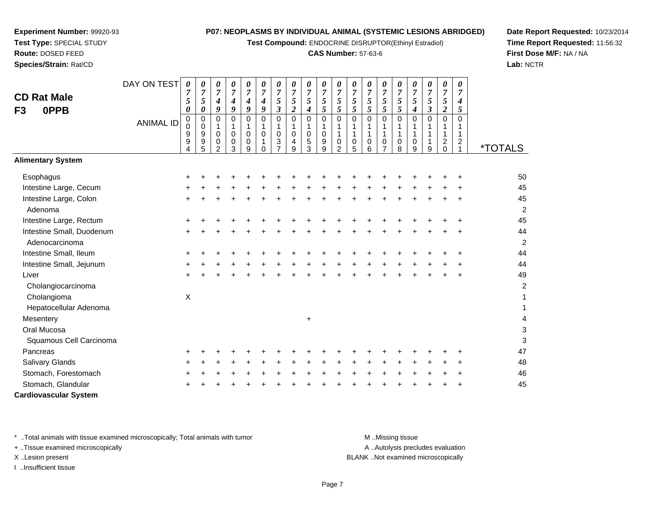**Test Compound:** ENDOCRINE DISRUPTOR(Ethinyl Estradiol)

# **CAS Number:** 57-63-6

**Date Report Requested:** 10/23/2014**Time Report Requested:** 11:56:32**First Dose M/F:** NA / NA**Lab:** NCTR

| <b>CD Rat Male</b><br><b>OPPB</b><br>F <sub>3</sub> | DAY ON TEST      | 0<br>5<br>0<br>$\mathbf 0$ | 0<br>$\overline{7}$<br>$\overline{5}$<br>$\boldsymbol{\theta}$<br>$\mathbf 0$ | 0<br>$\overline{7}$<br>$\boldsymbol{4}$<br>9<br>$\Omega$ | 0<br>$\overline{7}$<br>$\boldsymbol{4}$<br>9<br>$\Omega$ | 0<br>$\overline{7}$<br>4<br>9<br>$\Omega$ | 0<br>7<br>4<br>9<br>$\Omega$                 | 0<br>$\boldsymbol{7}$<br>$\sqrt{5}$<br>$\mathfrak{z}$<br>$\mathsf 0$       | 0<br>$\overline{7}$<br>5<br>$\overline{2}$<br>$\mathbf 0$ | 0<br>$\boldsymbol{7}$<br>5<br>$\boldsymbol{4}$<br>$\mathbf 0$ | 0<br>$\overline{7}$<br>$rac{5}{5}$<br>$\overline{0}$ | 0<br>$\overline{7}$<br>$\frac{5}{5}$<br>$\mathbf 0$ | 0<br>$\overline{7}$<br>$\sqrt{5}$<br>5<br>$\Omega$ | 0<br>$\overline{7}$<br>$\sqrt{5}$<br>5<br>$\Omega$ | 0<br>$\overline{7}$<br>5<br>5<br>$\mathbf 0$ | 0<br>$\boldsymbol{7}$<br>5<br>5<br>$\mathbf 0$ | 0<br>$\overline{7}$<br>5<br>$\boldsymbol{4}$<br>$\overline{0}$ | 0<br>$\overline{7}$<br>5<br>$\mathfrak{z}$<br>$\mathbf 0$ | 0<br>$\overline{7}$<br>5<br>$\boldsymbol{2}$<br>$\mathsf 0$ | 0<br>$\overline{7}$<br>4<br>5<br>$\overline{0}$   |                       |
|-----------------------------------------------------|------------------|----------------------------|-------------------------------------------------------------------------------|----------------------------------------------------------|----------------------------------------------------------|-------------------------------------------|----------------------------------------------|----------------------------------------------------------------------------|-----------------------------------------------------------|---------------------------------------------------------------|------------------------------------------------------|-----------------------------------------------------|----------------------------------------------------|----------------------------------------------------|----------------------------------------------|------------------------------------------------|----------------------------------------------------------------|-----------------------------------------------------------|-------------------------------------------------------------|---------------------------------------------------|-----------------------|
|                                                     | <b>ANIMAL ID</b> | 0<br>9<br>9<br>4           | $\mathbf 0$<br>9<br>$\boldsymbol{9}$<br>5                                     | 1<br>$\mathbf 0$<br>$\mathbf 0$<br>$\overline{2}$        | -1<br>$\mathbf 0$<br>0<br>3                              | $\mathbf 0$<br>0<br>9                     | $\mathbf{1}$<br>0<br>$\mathbf 1$<br>$\Omega$ | $\mathbf{1}$<br>$\mathbf 0$<br>$\ensuremath{\mathsf{3}}$<br>$\overline{7}$ | 1<br>$\mathbf 0$<br>4<br>9                                | $\mathbf{1}$<br>$\mathsf{O}\xspace$<br>$\mathbf 5$<br>3       | 1<br>$\mathbf 0$<br>$\mathsf g$<br>9                 | 1<br>$\mathbf 1$<br>$\mathbf 0$<br>$\overline{2}$   | $\mathbf{1}$<br>1<br>0<br>5                        | 1<br>1<br>0<br>6                                   | 0                                            | 1<br>$\mathbf{1}$<br>0<br>8                    | 1<br>1<br>$\mathbf 0$<br>9                                     | 1<br>1<br>1<br>9                                          | 1<br>$\mathbf{1}$<br>$\overline{\mathbf{c}}$<br>0           | 1<br>1<br>$\overline{\mathbf{c}}$<br>$\mathbf{1}$ | <i><b>*TOTALS</b></i> |
| <b>Alimentary System</b>                            |                  |                            |                                                                               |                                                          |                                                          |                                           |                                              |                                                                            |                                                           |                                                               |                                                      |                                                     |                                                    |                                                    |                                              |                                                |                                                                |                                                           |                                                             |                                                   |                       |
| Esophagus                                           |                  |                            |                                                                               |                                                          |                                                          |                                           |                                              |                                                                            |                                                           |                                                               |                                                      |                                                     |                                                    |                                                    |                                              |                                                |                                                                |                                                           |                                                             |                                                   | 50                    |
| Intestine Large, Cecum                              |                  |                            |                                                                               |                                                          |                                                          |                                           |                                              |                                                                            |                                                           |                                                               |                                                      |                                                     |                                                    |                                                    |                                              |                                                |                                                                |                                                           |                                                             |                                                   | 45                    |
| Intestine Large, Colon<br>Adenoma                   |                  | +                          |                                                                               |                                                          |                                                          |                                           |                                              |                                                                            |                                                           |                                                               |                                                      |                                                     |                                                    |                                                    |                                              |                                                |                                                                |                                                           |                                                             |                                                   | 45<br>$\overline{2}$  |
| Intestine Large, Rectum                             |                  |                            |                                                                               |                                                          |                                                          |                                           |                                              |                                                                            |                                                           |                                                               |                                                      |                                                     |                                                    |                                                    |                                              |                                                |                                                                |                                                           |                                                             |                                                   | 45                    |
| Intestine Small, Duodenum<br>Adenocarcinoma         |                  |                            |                                                                               |                                                          |                                                          |                                           |                                              |                                                                            |                                                           |                                                               |                                                      |                                                     |                                                    |                                                    |                                              |                                                |                                                                |                                                           |                                                             |                                                   | 44<br>$\overline{2}$  |
| Intestine Small, Ileum                              |                  | +                          |                                                                               |                                                          |                                                          |                                           |                                              |                                                                            |                                                           |                                                               |                                                      |                                                     |                                                    |                                                    |                                              |                                                |                                                                |                                                           |                                                             |                                                   | 44                    |
| Intestine Small, Jejunum                            |                  |                            |                                                                               |                                                          |                                                          |                                           |                                              |                                                                            |                                                           |                                                               |                                                      |                                                     |                                                    |                                                    |                                              |                                                |                                                                |                                                           |                                                             |                                                   | 44                    |
| Liver                                               |                  | $\ddot{}$                  |                                                                               |                                                          |                                                          |                                           |                                              |                                                                            |                                                           |                                                               |                                                      |                                                     |                                                    |                                                    |                                              |                                                |                                                                |                                                           |                                                             | $\ddot{}$                                         | 49                    |
| Cholangiocarcinoma                                  |                  |                            |                                                                               |                                                          |                                                          |                                           |                                              |                                                                            |                                                           |                                                               |                                                      |                                                     |                                                    |                                                    |                                              |                                                |                                                                |                                                           |                                                             |                                                   | $\overline{2}$        |
| Cholangioma                                         |                  | $\times$                   |                                                                               |                                                          |                                                          |                                           |                                              |                                                                            |                                                           |                                                               |                                                      |                                                     |                                                    |                                                    |                                              |                                                |                                                                |                                                           |                                                             |                                                   | 1                     |
| Hepatocellular Adenoma                              |                  |                            |                                                                               |                                                          |                                                          |                                           |                                              |                                                                            |                                                           |                                                               |                                                      |                                                     |                                                    |                                                    |                                              |                                                |                                                                |                                                           |                                                             |                                                   | 1                     |
| Mesentery                                           |                  |                            |                                                                               |                                                          |                                                          |                                           |                                              |                                                                            |                                                           | $\ddot{}$                                                     |                                                      |                                                     |                                                    |                                                    |                                              |                                                |                                                                |                                                           |                                                             |                                                   | 4                     |
| Oral Mucosa                                         |                  |                            |                                                                               |                                                          |                                                          |                                           |                                              |                                                                            |                                                           |                                                               |                                                      |                                                     |                                                    |                                                    |                                              |                                                |                                                                |                                                           |                                                             |                                                   | 3                     |
| Squamous Cell Carcinoma                             |                  |                            |                                                                               |                                                          |                                                          |                                           |                                              |                                                                            |                                                           |                                                               |                                                      |                                                     |                                                    |                                                    |                                              |                                                |                                                                |                                                           |                                                             |                                                   | 3                     |
| Pancreas                                            |                  |                            |                                                                               |                                                          |                                                          |                                           |                                              |                                                                            |                                                           |                                                               |                                                      |                                                     |                                                    |                                                    |                                              |                                                |                                                                |                                                           |                                                             |                                                   | 47                    |
| Salivary Glands                                     |                  | +                          |                                                                               |                                                          |                                                          |                                           |                                              |                                                                            |                                                           |                                                               |                                                      |                                                     |                                                    |                                                    |                                              |                                                |                                                                |                                                           |                                                             |                                                   | 48                    |
| Stomach, Forestomach                                |                  |                            |                                                                               |                                                          |                                                          |                                           |                                              |                                                                            |                                                           |                                                               |                                                      |                                                     |                                                    |                                                    |                                              |                                                |                                                                |                                                           |                                                             |                                                   | 46                    |
| Stomach, Glandular                                  |                  |                            |                                                                               |                                                          |                                                          |                                           |                                              |                                                                            |                                                           |                                                               |                                                      |                                                     |                                                    |                                                    |                                              |                                                |                                                                |                                                           |                                                             | +                                                 | 45                    |
| <b>Cardiovascular System</b>                        |                  |                            |                                                                               |                                                          |                                                          |                                           |                                              |                                                                            |                                                           |                                                               |                                                      |                                                     |                                                    |                                                    |                                              |                                                |                                                                |                                                           |                                                             |                                                   |                       |
|                                                     |                  |                            |                                                                               |                                                          |                                                          |                                           |                                              |                                                                            |                                                           |                                                               |                                                      |                                                     |                                                    |                                                    |                                              |                                                |                                                                |                                                           |                                                             |                                                   |                       |

\* ..Total animals with tissue examined microscopically; Total animals with tumor **M** ...Missing tissue M ...Missing tissue

+ ..Tissue examined microscopically

**Experiment Number:** 99920-93**Test Type:** SPECIAL STUDY**Route:** DOSED FEED**Species/Strain:** Rat/CD

I ..Insufficient tissue

A .. Autolysis precludes evaluation X ..Lesion present BLANK ..Not examined microscopically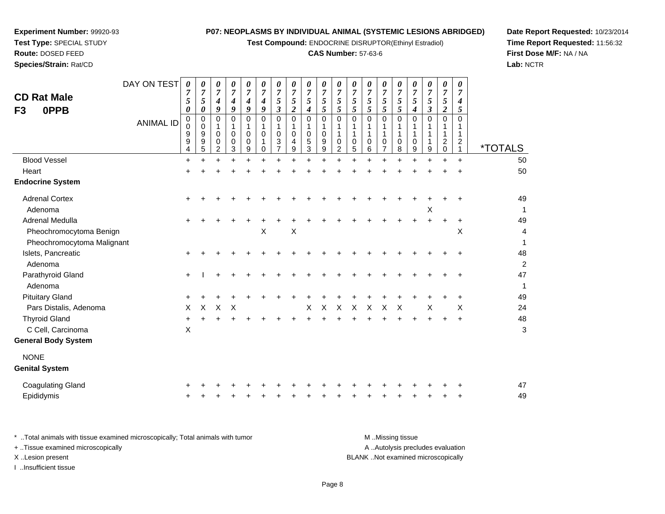**Test Compound:** ENDOCRINE DISRUPTOR(Ethinyl Estradiol)

# **CAS Number:** 57-63-6

**Date Report Requested:** 10/23/2014 **Time Report Requested:** 11:56:32**First Dose M/F:** NA / NA**Lab:** NCTR

|                                         | DAY ON TEST      | $\boldsymbol{\theta}$                        | 0                            | 0                                                      | 0                        | 0                                       | 0                               | 0                                           | 0                                              | 0                                                    | 0                                         | 0                        | 0                                 | 0                                         | 0                            | 0                                         | 0                        | 0                                                        | 0                                     | 0                                                             |                          |
|-----------------------------------------|------------------|----------------------------------------------|------------------------------|--------------------------------------------------------|--------------------------|-----------------------------------------|---------------------------------|---------------------------------------------|------------------------------------------------|------------------------------------------------------|-------------------------------------------|--------------------------|-----------------------------------|-------------------------------------------|------------------------------|-------------------------------------------|--------------------------|----------------------------------------------------------|---------------------------------------|---------------------------------------------------------------|--------------------------|
| <b>CD Rat Male</b><br>F3<br><b>OPPB</b> |                  | $\overline{7}$<br>5<br>$\boldsymbol{\theta}$ | $\overline{7}$<br>5<br>0     | $\overline{7}$<br>$\boldsymbol{4}$<br>$\boldsymbol{g}$ | $\overline{7}$<br>4<br>9 | $\overline{7}$<br>$\boldsymbol{4}$<br>9 | $\overline{7}$<br>4<br>9        | $\overline{7}$<br>5<br>$\boldsymbol{\beta}$ | $\overline{7}$<br>5<br>$\overline{\mathbf{c}}$ | $\overline{7}$<br>5<br>$\boldsymbol{4}$              | $\overline{7}$<br>5<br>5                  | $\overline{7}$<br>5<br>5 | $\overline{7}$<br>$\sqrt{5}$<br>5 | $\overline{7}$<br>5<br>5                  | $\overline{7}$<br>5<br>5     | $\overline{7}$<br>5<br>5                  | $\overline{7}$<br>5<br>4 | $\overline{7}$<br>$\mathfrak{s}$<br>$\boldsymbol{\beta}$ | $\overline{7}$<br>5<br>$\overline{c}$ | $\overline{7}$<br>$\boldsymbol{4}$<br>5                       |                          |
|                                         | <b>ANIMAL ID</b> | 0<br>0<br>9<br>9<br>4                        | 0<br>$\Omega$<br>9<br>9<br>5 | 0<br>0<br>0<br>$\overline{c}$                          | 0<br>1<br>0<br>0<br>3    | $\Omega$<br>0<br>0<br>9                 | 0<br>1<br>0<br>1<br>$\mathbf 0$ | $\Omega$<br>0<br>3<br>$\overline{7}$        | $\mathbf 0$<br>1<br>0<br>4<br>9                | $\mathbf 0$<br>$\mathbf{1}$<br>$\mathbf 0$<br>5<br>3 | $\mathbf 0$<br>1<br>$\mathbf 0$<br>9<br>9 | 0<br>0<br>$\overline{a}$ | 0<br>1<br>1<br>0<br>5             | $\mathbf 0$<br>1<br>1<br>$\mathbf 0$<br>6 | $\Omega$<br>$\mathbf 0$<br>7 | $\mathbf 0$<br>1<br>1<br>$\mathbf 0$<br>8 | $\Omega$<br>0<br>9       | 0<br>1<br>1<br>1<br>9                                    | 0<br>1<br>$\overline{c}$<br>0         | $\Omega$<br>1<br>1<br>$\overline{\mathbf{c}}$<br>$\mathbf{1}$ | <i><b>*TOTALS</b></i>    |
| <b>Blood Vessel</b>                     |                  | $\ddot{}$                                    | +                            | $\ddot{}$                                              | $\pm$                    | $\div$                                  |                                 | $\ddot{}$                                   | $\div$                                         | $\ddot{}$                                            | $\ddot{}$                                 | $\pm$                    | +                                 |                                           | $\ddot{}$                    |                                           | +                        | $\ddot{}$                                                | $\pm$                                 | $\ddot{}$                                                     | 50                       |
| Heart                                   |                  |                                              |                              |                                                        |                          |                                         |                                 |                                             |                                                |                                                      |                                           |                          |                                   |                                           |                              |                                           |                          |                                                          |                                       |                                                               | 50                       |
| <b>Endocrine System</b>                 |                  |                                              |                              |                                                        |                          |                                         |                                 |                                             |                                                |                                                      |                                           |                          |                                   |                                           |                              |                                           |                          |                                                          |                                       |                                                               |                          |
| <b>Adrenal Cortex</b><br>Adenoma        |                  |                                              |                              |                                                        |                          |                                         |                                 |                                             |                                                |                                                      |                                           |                          |                                   |                                           |                              |                                           |                          | X                                                        |                                       |                                                               | 49<br>1                  |
| Adrenal Medulla                         |                  |                                              |                              |                                                        |                          |                                         |                                 |                                             |                                                |                                                      |                                           |                          |                                   |                                           |                              |                                           |                          |                                                          |                                       | $\ddot{}$                                                     | 49                       |
| Pheochromocytoma Benign                 |                  |                                              |                              |                                                        |                          |                                         | X                               |                                             | $\times$                                       |                                                      |                                           |                          |                                   |                                           |                              |                                           |                          |                                                          |                                       | X                                                             | $\overline{\mathcal{A}}$ |
| Pheochromocytoma Malignant              |                  |                                              |                              |                                                        |                          |                                         |                                 |                                             |                                                |                                                      |                                           |                          |                                   |                                           |                              |                                           |                          |                                                          |                                       |                                                               | $\mathbf 1$              |
| Islets, Pancreatic<br>Adenoma           |                  |                                              |                              |                                                        |                          |                                         |                                 |                                             |                                                |                                                      |                                           |                          |                                   |                                           |                              |                                           |                          |                                                          |                                       | ÷                                                             | 48<br>$\overline{c}$     |
| Parathyroid Gland<br>Adenoma            |                  | $+$                                          |                              |                                                        |                          |                                         |                                 |                                             |                                                |                                                      |                                           |                          |                                   |                                           |                              |                                           |                          |                                                          |                                       |                                                               | 47<br>1                  |
| <b>Pituitary Gland</b>                  |                  |                                              |                              |                                                        |                          |                                         |                                 |                                             |                                                |                                                      |                                           |                          |                                   |                                           |                              |                                           |                          |                                                          |                                       |                                                               | 49                       |
| Pars Distalis, Adenoma                  |                  | X                                            | $\mathsf{X}$                 | $\mathsf X$                                            | $\times$                 |                                         |                                 |                                             |                                                | $\pmb{\times}$                                       | $\mathsf X$                               | $\mathsf X$              | $\mathsf{X}$                      | $\mathsf{X}$                              | $\mathsf{X}$                 | $\boldsymbol{\mathsf{X}}$                 |                          | $\boldsymbol{\mathsf{X}}$                                |                                       | X                                                             | 24                       |
| <b>Thyroid Gland</b>                    |                  | $\div$                                       |                              |                                                        |                          |                                         |                                 |                                             |                                                |                                                      |                                           |                          |                                   |                                           |                              |                                           |                          |                                                          |                                       | $\ddot{}$                                                     | 48                       |
| C Cell, Carcinoma                       |                  | $\boldsymbol{\mathsf{X}}$                    |                              |                                                        |                          |                                         |                                 |                                             |                                                |                                                      |                                           |                          |                                   |                                           |                              |                                           |                          |                                                          |                                       |                                                               | 3                        |
| <b>General Body System</b>              |                  |                                              |                              |                                                        |                          |                                         |                                 |                                             |                                                |                                                      |                                           |                          |                                   |                                           |                              |                                           |                          |                                                          |                                       |                                                               |                          |
| <b>NONE</b>                             |                  |                                              |                              |                                                        |                          |                                         |                                 |                                             |                                                |                                                      |                                           |                          |                                   |                                           |                              |                                           |                          |                                                          |                                       |                                                               |                          |
| <b>Genital System</b>                   |                  |                                              |                              |                                                        |                          |                                         |                                 |                                             |                                                |                                                      |                                           |                          |                                   |                                           |                              |                                           |                          |                                                          |                                       |                                                               |                          |
| <b>Coagulating Gland</b>                |                  |                                              |                              |                                                        |                          |                                         |                                 |                                             |                                                |                                                      |                                           |                          |                                   |                                           |                              |                                           |                          |                                                          |                                       |                                                               | 47                       |
| Epididymis                              |                  |                                              |                              |                                                        |                          |                                         |                                 |                                             |                                                |                                                      |                                           |                          |                                   |                                           |                              |                                           |                          |                                                          |                                       |                                                               | 49                       |
|                                         |                  |                                              |                              |                                                        |                          |                                         |                                 |                                             |                                                |                                                      |                                           |                          |                                   |                                           |                              |                                           |                          |                                                          |                                       |                                                               |                          |

| Total animals with tissue examined microscopically; Total animals with tumor | M Missing tissue                   |
|------------------------------------------------------------------------------|------------------------------------|
| + Tissue examined microscopically                                            | A Autolysis precludes evaluation   |
| X Lesion present                                                             | BLANK Not examined microscopically |
| Insufficient tissue                                                          |                                    |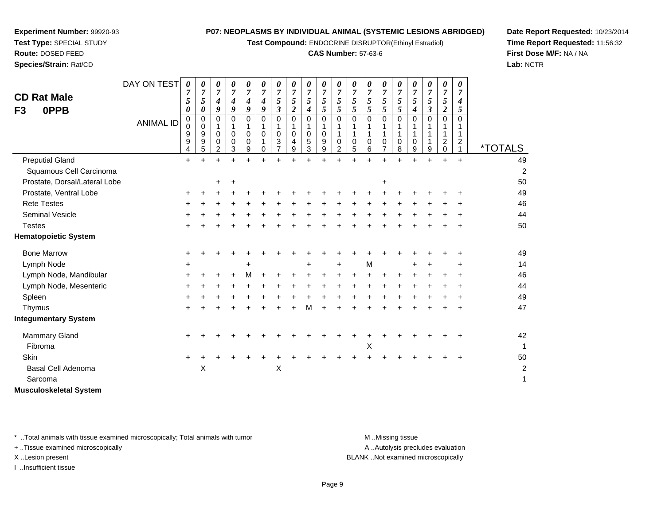**Test Compound:** ENDOCRINE DISRUPTOR(Ethinyl Estradiol)

# **CAS Number:** 57-63-6

*0 7*

*0 7*

*0 7*

*0 7*

*0 7*

*0 7*

*0 7*

*0 7*

*0 7*

**Date Report Requested:** 10/23/2014**Time Report Requested:** 11:56:32**First Dose M/F:** NA / NA**Lab:** NCTR

49

| <b>CD Rat Male</b><br>0PPB<br>F <sub>3</sub> | <b>ANIMAL ID</b> | 7<br>5<br>0<br>0<br>0 | 7<br>5<br>0<br>0<br>$\mathbf 0$ | 7<br>4<br>9<br>0<br>1    | 7<br>4<br>9<br>$\Omega$<br>1 | 7<br>4<br>$\boldsymbol{9}$<br>$\Omega$<br>1 | 7<br>4<br>$\boldsymbol{9}$<br>$\Omega$<br>1 | 7<br>5<br>$\boldsymbol{\beta}$<br>$\mathbf 0$<br>1 | 7<br>5<br>$\boldsymbol{2}$<br>$\mathbf 0$<br>1 | 5<br>4<br>$\mathbf 0$<br>1 | $\sqrt{5}$<br>$\sqrt{5}$<br>$\mathbf 0$<br>$\mathbf{1}$ | 7<br>5<br>5<br>$\Omega$<br>1 | 5<br>5<br>$\Omega$<br>1 | 5<br>5<br>$\Omega$<br>1 | 5<br>5<br>$\Omega$<br>1 | 5<br>$\sqrt{5}$<br>$\Omega$ | 7<br>5<br>$\boldsymbol{4}$<br>$\Omega$ | 7<br>5<br>$\boldsymbol{\beta}$<br>$\Omega$<br>1 | 7<br>5<br>$\boldsymbol{2}$<br>$\mathbf 0$<br>1 | 7<br>4<br>5<br>$\Omega$<br>1                 |                       |
|----------------------------------------------|------------------|-----------------------|---------------------------------|--------------------------|------------------------------|---------------------------------------------|---------------------------------------------|----------------------------------------------------|------------------------------------------------|----------------------------|---------------------------------------------------------|------------------------------|-------------------------|-------------------------|-------------------------|-----------------------------|----------------------------------------|-------------------------------------------------|------------------------------------------------|----------------------------------------------|-----------------------|
|                                              |                  | 9<br>9<br>4           | 9<br>9<br>5                     | 0<br>0<br>$\overline{2}$ | 0<br>0<br>3                  | 0<br>$\mathbf 0$<br>9                       | $\Omega$<br>0                               | 0<br>3<br>$\overline{7}$                           | $\mathbf 0$<br>4<br>9                          | $\mathbf 0$<br>5<br>3      | $\mathbf 0$<br>9<br>9                                   | 0<br>$\overline{c}$          | 1<br>0<br>5             | 0<br>6                  | 0<br>$\overline{7}$     | 1<br>0<br>8                 | 0<br>9                                 | 1<br>1<br>9                                     | 1<br>$\frac{2}{0}$                             | 1<br>$\overline{\mathbf{c}}$<br>$\mathbf{1}$ | <i><b>*TOTALS</b></i> |
| <b>Preputial Gland</b>                       |                  | $+$                   | $\ddot{}$                       | $+$                      | $+$                          |                                             | $\ddot{}$                                   | $\ddot{}$                                          | $\ddot{}$                                      | $+$                        | $\ddot{}$                                               | $\ddot{}$                    | $\ddot{}$               | $+$                     | $+$                     |                             | ÷.                                     | $\ddot{}$                                       | $+$                                            | $+$                                          | 49                    |
| Squamous Cell Carcinoma                      |                  |                       |                                 |                          |                              |                                             |                                             |                                                    |                                                |                            |                                                         |                              |                         |                         |                         |                             |                                        |                                                 |                                                |                                              | $\overline{c}$        |
| Prostate, Dorsal/Lateral Lobe                |                  |                       |                                 | $\ddot{}$                | $\ddot{}$                    |                                             |                                             |                                                    |                                                |                            |                                                         |                              |                         |                         | $\ddot{}$               |                             |                                        |                                                 |                                                |                                              | 50                    |
| Prostate, Ventral Lobe                       |                  | +                     |                                 |                          |                              |                                             |                                             |                                                    |                                                |                            |                                                         |                              |                         |                         |                         |                             |                                        |                                                 |                                                | ٠                                            | 49                    |
| <b>Rete Testes</b>                           |                  |                       |                                 |                          |                              |                                             |                                             |                                                    |                                                |                            |                                                         |                              |                         |                         |                         |                             |                                        |                                                 |                                                |                                              | 46                    |
| <b>Seminal Vesicle</b>                       |                  |                       |                                 |                          |                              |                                             |                                             |                                                    |                                                |                            |                                                         |                              |                         |                         |                         |                             |                                        |                                                 |                                                |                                              | 44                    |
| <b>Testes</b>                                |                  |                       |                                 |                          |                              |                                             |                                             |                                                    |                                                |                            |                                                         |                              |                         |                         |                         |                             |                                        |                                                 |                                                |                                              | 50                    |
| <b>Hematopoietic System</b>                  |                  |                       |                                 |                          |                              |                                             |                                             |                                                    |                                                |                            |                                                         |                              |                         |                         |                         |                             |                                        |                                                 |                                                |                                              |                       |
| <b>Bone Marrow</b>                           |                  | ÷                     |                                 |                          |                              |                                             |                                             |                                                    |                                                |                            |                                                         |                              |                         |                         |                         |                             |                                        |                                                 |                                                | ÷                                            | 49                    |
| Lymph Node                                   |                  | +                     |                                 |                          |                              |                                             |                                             |                                                    |                                                | +                          |                                                         |                              |                         | M                       |                         |                             |                                        |                                                 |                                                |                                              | 14                    |
| Lymph Node, Mandibular                       |                  | +                     |                                 |                          | +                            | M                                           |                                             |                                                    |                                                |                            |                                                         |                              |                         |                         |                         |                             |                                        |                                                 |                                                | ÷                                            | 46                    |
| Lymph Node, Mesenteric                       |                  |                       |                                 |                          |                              |                                             |                                             |                                                    |                                                |                            |                                                         |                              |                         |                         |                         |                             |                                        |                                                 |                                                |                                              | 44                    |
| Spleen                                       |                  |                       |                                 |                          |                              |                                             |                                             |                                                    |                                                |                            |                                                         |                              |                         |                         |                         |                             |                                        |                                                 |                                                | ÷                                            | 49                    |
| Thymus                                       |                  |                       |                                 |                          |                              |                                             |                                             |                                                    |                                                | м                          |                                                         |                              |                         |                         |                         |                             |                                        |                                                 |                                                | ÷                                            | 47                    |
| <b>Integumentary System</b>                  |                  |                       |                                 |                          |                              |                                             |                                             |                                                    |                                                |                            |                                                         |                              |                         |                         |                         |                             |                                        |                                                 |                                                |                                              |                       |
| Mammary Gland                                |                  | +                     |                                 |                          |                              |                                             |                                             |                                                    |                                                |                            |                                                         |                              |                         |                         |                         |                             |                                        |                                                 |                                                |                                              | 42                    |
| Fibroma                                      |                  |                       |                                 |                          |                              |                                             |                                             |                                                    |                                                |                            |                                                         |                              |                         | X                       |                         |                             |                                        |                                                 |                                                |                                              | 1                     |
| Skin                                         |                  | +                     |                                 |                          |                              |                                             |                                             |                                                    |                                                |                            |                                                         |                              |                         |                         |                         |                             |                                        |                                                 |                                                |                                              | 50                    |
| Basal Cell Adenoma                           |                  |                       | X                               |                          |                              |                                             |                                             | Χ                                                  |                                                |                            |                                                         |                              |                         |                         |                         |                             |                                        |                                                 |                                                |                                              | $\overline{a}$        |
| Sarcoma                                      |                  |                       |                                 |                          |                              |                                             |                                             |                                                    |                                                |                            |                                                         |                              |                         |                         |                         |                             |                                        |                                                 |                                                |                                              | 1                     |
| <b>Musculoskeletal System</b>                |                  |                       |                                 |                          |                              |                                             |                                             |                                                    |                                                |                            |                                                         |                              |                         |                         |                         |                             |                                        |                                                 |                                                |                                              |                       |
|                                              |                  |                       |                                 |                          |                              |                                             |                                             |                                                    |                                                |                            |                                                         |                              |                         |                         |                         |                             |                                        |                                                 |                                                |                                              |                       |

\* ..Total animals with tissue examined microscopically; Total animals with tumor **M** ..Missing tissue M ..Missing tissue

DAY ON TEST *0 7*

*0 7*

*0 7*

*0 7*

*0 7*

*0 7*

*0 7*

*0 7*

*0 7*

*0 7*

+ ..Tissue examined microscopically

**Experiment Number:** 99920-93**Test Type:** SPECIAL STUDY**Route:** DOSED FEED**Species/Strain:** Rat/CD

I ..Insufficient tissue

A .. Autolysis precludes evaluation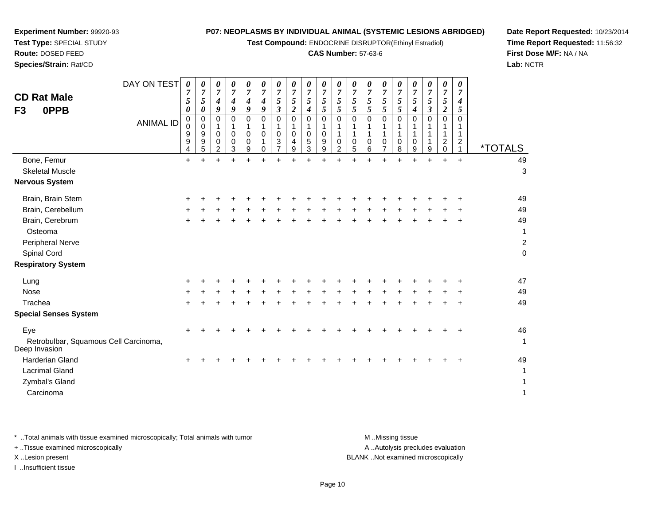**Test Compound:** ENDOCRINE DISRUPTOR(Ethinyl Estradiol)

# **CAS Number:** 57-63-6

**Date Report Requested:** 10/23/2014**Time Report Requested:** 11:56:32**First Dose M/F:** NA / NA**Lab:** NCTR

| <b>CD Rat Male</b><br>0PPB<br>F <sub>3</sub>           | DAY ON TEST<br><b>ANIMAL ID</b> | 0<br>7<br>5<br>0<br>0<br>0<br>9<br>9<br>4 | $\boldsymbol{\theta}$<br>$\overline{7}$<br>$\sqrt{5}$<br>$\boldsymbol{\theta}$<br>0<br>0<br>9<br>$\boldsymbol{9}$<br>5 | 0<br>7<br>$\boldsymbol{4}$<br>9<br>0<br>1<br>0<br>$\mathbf 0$<br>$\overline{2}$ | 0<br>$\overline{7}$<br>$\boldsymbol{4}$<br>9<br>$\Omega$<br>0<br>0<br>3 | 0<br>7<br>4<br>9<br>0<br>0<br>0<br>9 | 0<br>7<br>4<br>9<br>0<br>1<br>0<br>1<br>0 | $\pmb{\theta}$<br>$\overline{7}$<br>$\mathfrak{s}$<br>$\mathfrak{z}$<br>0<br>1<br>$\pmb{0}$<br>3<br>$\overline{7}$ | 0<br>$\overline{7}$<br>5<br>$\overline{c}$<br>0<br>1<br>0<br>4<br>9 | 0<br>$\boldsymbol{7}$<br>5<br>4<br>0<br>$\mathbf{1}$<br>$\pmb{0}$<br>5<br>3 | 0<br>7<br>5<br>5<br>0<br>1<br>0<br>$\boldsymbol{9}$<br>9 | 0<br>$\overline{7}$<br>$\sqrt{5}$<br>5<br>$\mathbf 0$<br>1<br>1<br>$\mathbf 0$<br>$\overline{2}$ | 0<br>$\overline{7}$<br>5<br>5<br>0<br>1<br>1<br>0<br>5 | 0<br>7<br>5<br>5<br>0<br>1<br>0<br>6 | 0<br>7<br>5<br>5<br>0<br>0 | 0<br>$\overline{7}$<br>5<br>5<br>0<br>1<br>1<br>0<br>8 | 0<br>$\overline{7}$<br>5<br>$\boldsymbol{4}$<br>0<br>1<br>1<br>0<br>9 | 0<br>7<br>5<br>$\boldsymbol{\beta}$<br>0<br>1<br>1<br>9 | 0<br>$\overline{7}$<br>5<br>$\boldsymbol{2}$<br>0<br>1<br>$\mathbf{1}$<br>$^2_{\rm 0}$ | 0<br>$\overline{\mathcal{I}}$<br>4<br>5<br>0<br>1<br>$\frac{2}{1}$ | <i><b>*TOTALS</b></i> |
|--------------------------------------------------------|---------------------------------|-------------------------------------------|------------------------------------------------------------------------------------------------------------------------|---------------------------------------------------------------------------------|-------------------------------------------------------------------------|--------------------------------------|-------------------------------------------|--------------------------------------------------------------------------------------------------------------------|---------------------------------------------------------------------|-----------------------------------------------------------------------------|----------------------------------------------------------|--------------------------------------------------------------------------------------------------|--------------------------------------------------------|--------------------------------------|----------------------------|--------------------------------------------------------|-----------------------------------------------------------------------|---------------------------------------------------------|----------------------------------------------------------------------------------------|--------------------------------------------------------------------|-----------------------|
| Bone, Femur                                            |                                 | $\ddot{}$                                 | $\ddot{}$                                                                                                              | $\ddot{}$                                                                       | $\ddot{}$                                                               | $\ddot{}$                            | $\ddot{}$                                 | 4                                                                                                                  | $\div$                                                              | $\ddot{}$                                                                   | $\ddot{}$                                                | ÷                                                                                                | ÷                                                      | $\ddot{}$                            | $\ddot{}$                  | ÷                                                      |                                                                       | +                                                       | $\ddot{}$                                                                              | $+$                                                                | 49                    |
| <b>Skeletal Muscle</b><br><b>Nervous System</b>        |                                 |                                           |                                                                                                                        |                                                                                 |                                                                         |                                      |                                           |                                                                                                                    |                                                                     |                                                                             |                                                          |                                                                                                  |                                                        |                                      |                            |                                                        |                                                                       |                                                         |                                                                                        |                                                                    | $\mathbf{3}$          |
| Brain, Brain Stem                                      |                                 | +                                         |                                                                                                                        |                                                                                 |                                                                         |                                      |                                           |                                                                                                                    |                                                                     |                                                                             |                                                          |                                                                                                  |                                                        |                                      |                            |                                                        |                                                                       |                                                         |                                                                                        |                                                                    | 49                    |
| Brain, Cerebellum                                      |                                 |                                           |                                                                                                                        |                                                                                 |                                                                         |                                      |                                           |                                                                                                                    |                                                                     |                                                                             |                                                          |                                                                                                  |                                                        |                                      |                            |                                                        |                                                                       |                                                         |                                                                                        |                                                                    | 49                    |
| Brain, Cerebrum                                        |                                 | ÷                                         |                                                                                                                        |                                                                                 |                                                                         |                                      |                                           |                                                                                                                    |                                                                     |                                                                             |                                                          |                                                                                                  |                                                        |                                      |                            |                                                        |                                                                       |                                                         |                                                                                        |                                                                    | 49                    |
| Osteoma                                                |                                 |                                           |                                                                                                                        |                                                                                 |                                                                         |                                      |                                           |                                                                                                                    |                                                                     |                                                                             |                                                          |                                                                                                  |                                                        |                                      |                            |                                                        |                                                                       |                                                         |                                                                                        |                                                                    | $\mathbf{1}$          |
| <b>Peripheral Nerve</b>                                |                                 |                                           |                                                                                                                        |                                                                                 |                                                                         |                                      |                                           |                                                                                                                    |                                                                     |                                                                             |                                                          |                                                                                                  |                                                        |                                      |                            |                                                        |                                                                       |                                                         |                                                                                        |                                                                    | $\boldsymbol{2}$      |
| Spinal Cord                                            |                                 |                                           |                                                                                                                        |                                                                                 |                                                                         |                                      |                                           |                                                                                                                    |                                                                     |                                                                             |                                                          |                                                                                                  |                                                        |                                      |                            |                                                        |                                                                       |                                                         |                                                                                        |                                                                    | $\pmb{0}$             |
| <b>Respiratory System</b>                              |                                 |                                           |                                                                                                                        |                                                                                 |                                                                         |                                      |                                           |                                                                                                                    |                                                                     |                                                                             |                                                          |                                                                                                  |                                                        |                                      |                            |                                                        |                                                                       |                                                         |                                                                                        |                                                                    |                       |
| Lung                                                   |                                 | $\ddot{}$                                 |                                                                                                                        |                                                                                 |                                                                         |                                      |                                           |                                                                                                                    |                                                                     |                                                                             |                                                          |                                                                                                  |                                                        |                                      |                            |                                                        |                                                                       |                                                         |                                                                                        |                                                                    | 47                    |
| Nose                                                   |                                 |                                           |                                                                                                                        |                                                                                 |                                                                         |                                      |                                           |                                                                                                                    |                                                                     |                                                                             |                                                          |                                                                                                  |                                                        |                                      |                            |                                                        |                                                                       |                                                         |                                                                                        |                                                                    | 49                    |
| Trachea                                                |                                 | $\ddot{}$                                 |                                                                                                                        |                                                                                 |                                                                         |                                      |                                           |                                                                                                                    |                                                                     |                                                                             |                                                          |                                                                                                  |                                                        |                                      |                            |                                                        |                                                                       |                                                         |                                                                                        |                                                                    | 49                    |
| <b>Special Senses System</b>                           |                                 |                                           |                                                                                                                        |                                                                                 |                                                                         |                                      |                                           |                                                                                                                    |                                                                     |                                                                             |                                                          |                                                                                                  |                                                        |                                      |                            |                                                        |                                                                       |                                                         |                                                                                        |                                                                    |                       |
| Eye                                                    |                                 |                                           |                                                                                                                        |                                                                                 |                                                                         |                                      |                                           |                                                                                                                    |                                                                     |                                                                             |                                                          |                                                                                                  |                                                        |                                      |                            |                                                        |                                                                       |                                                         |                                                                                        |                                                                    | 46                    |
| Retrobulbar, Squamous Cell Carcinoma,<br>Deep Invasion |                                 |                                           |                                                                                                                        |                                                                                 |                                                                         |                                      |                                           |                                                                                                                    |                                                                     |                                                                             |                                                          |                                                                                                  |                                                        |                                      |                            |                                                        |                                                                       |                                                         |                                                                                        |                                                                    | $\mathbf{1}$          |
| Harderian Gland                                        |                                 | $\div$                                    |                                                                                                                        |                                                                                 |                                                                         |                                      |                                           |                                                                                                                    |                                                                     |                                                                             |                                                          |                                                                                                  |                                                        |                                      |                            |                                                        |                                                                       |                                                         |                                                                                        |                                                                    | 49                    |
| <b>Lacrimal Gland</b>                                  |                                 |                                           |                                                                                                                        |                                                                                 |                                                                         |                                      |                                           |                                                                                                                    |                                                                     |                                                                             |                                                          |                                                                                                  |                                                        |                                      |                            |                                                        |                                                                       |                                                         |                                                                                        |                                                                    | 1                     |
| Zymbal's Gland                                         |                                 |                                           |                                                                                                                        |                                                                                 |                                                                         |                                      |                                           |                                                                                                                    |                                                                     |                                                                             |                                                          |                                                                                                  |                                                        |                                      |                            |                                                        |                                                                       |                                                         |                                                                                        |                                                                    | 1                     |
| Carcinoma                                              |                                 |                                           |                                                                                                                        |                                                                                 |                                                                         |                                      |                                           |                                                                                                                    |                                                                     |                                                                             |                                                          |                                                                                                  |                                                        |                                      |                            |                                                        |                                                                       |                                                         |                                                                                        |                                                                    | 1                     |

**Experiment Number:** 99920-93**Test Type:** SPECIAL STUDY**Route:** DOSED FEED**Species/Strain:** Rat/CD

\* ..Total animals with tissue examined microscopically; Total animals with tumor **M** . Missing tissue M ..Missing tissue A ..Autolysis precludes evaluation + ..Tissue examined microscopically X ..Lesion present BLANK ..Not examined microscopicallyI ..Insufficient tissue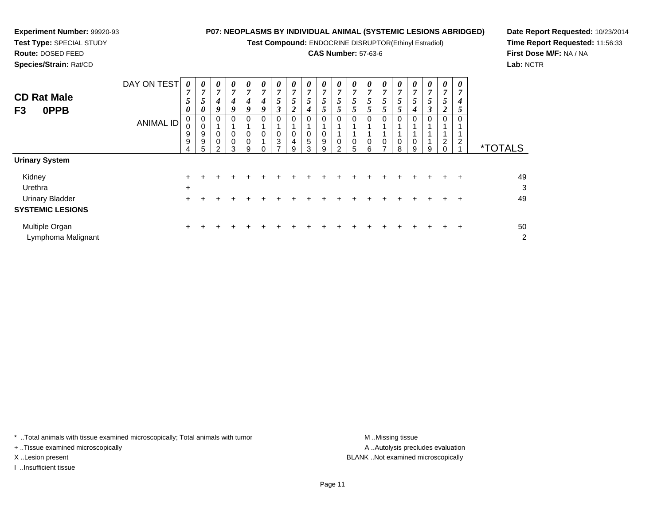**Test Compound:** ENDOCRINE DISRUPTOR(Ethinyl Estradiol)

# **CAS Number:** 57-63-6

**Date Report Requested:** 10/23/2014**Time Report Requested:** 11:56:33**First Dose M/F:** NA / NA**Lab:** NCTR

| Species/Strain: Rat/CD                       |             |                                      |                                                          |                                      |                               |             |                                                     |                                      |                         |                         |                                 |             |             |                         |             |             |             |                                 |                                                   |                                              | Lab:                  |
|----------------------------------------------|-------------|--------------------------------------|----------------------------------------------------------|--------------------------------------|-------------------------------|-------------|-----------------------------------------------------|--------------------------------------|-------------------------|-------------------------|---------------------------------|-------------|-------------|-------------------------|-------------|-------------|-------------|---------------------------------|---------------------------------------------------|----------------------------------------------|-----------------------|
| <b>CD Rat Male</b><br>0PPB<br>F <sub>3</sub> | DAY ON TEST | 0<br>7<br>5<br>$\boldsymbol{\theta}$ | $\boldsymbol{\theta}$<br>7<br>5<br>$\boldsymbol{\theta}$ | $\boldsymbol{\theta}$<br>7<br>4<br>9 | 0<br>$\overline{ }$<br>4<br>9 | 0<br>4<br>9 | $\boldsymbol{\theta}$<br>7<br>$\boldsymbol{4}$<br>9 | $\boldsymbol{\theta}$<br>7<br>5<br>3 | $\theta$<br>7<br>5<br>2 | $\theta$<br>7<br>5<br>4 | $\boldsymbol{\theta}$<br>5<br>5 | 0<br>7<br>5 | U<br>7<br>5 | $\theta$<br>7<br>5<br>C | 0<br>7<br>5 | 0<br>5<br>5 | 0<br>7<br>4 | $\boldsymbol{\theta}$<br>7<br>5 | $\boldsymbol{\theta}$<br>$\overline{7}$<br>5<br>2 | $\boldsymbol{\theta}$<br>$\overline{ }$<br>4 |                       |
|                                              | ANIMAL ID   | 0<br>0<br>9<br>9<br>4                | 0<br>0<br>9<br>9<br>5                                    | 0<br>0<br>0<br>◠                     | 0<br>0<br>0<br>3              | 0<br>9      | 0<br>0<br>$\Omega$                                  | 0<br>3                               | 0<br>0<br>4<br>9        | 0<br>0<br>5<br>3        | υ<br>9<br>9                     | 0<br>0<br>ົ | υ<br>5      | 0<br>0<br>6             | 0<br>0      | 0<br>0<br>8 | 0<br>0<br>9 | 9                               | 0<br>$\overline{2}$<br>0                          | 0<br>2                                       | <i><b>*TOTALS</b></i> |
| <b>Urinary System</b>                        |             |                                      |                                                          |                                      |                               |             |                                                     |                                      |                         |                         |                                 |             |             |                         |             |             |             |                                 |                                                   |                                              |                       |
| Kidney<br>Urethra                            |             | ٠<br>$\ddot{}$                       |                                                          |                                      |                               |             |                                                     |                                      |                         |                         |                                 |             |             |                         |             |             |             |                                 | ÷.                                                | $\div$                                       | 49<br>3               |
| <b>Urinary Bladder</b>                       |             |                                      |                                                          |                                      |                               |             |                                                     |                                      |                         |                         |                                 |             |             |                         |             |             |             |                                 |                                                   | ٠                                            | 49                    |

| Multiple Organ     |  |  |  |  |  | + + + + + + + + + + + + + + + + + + + |  |  |  | 50 |
|--------------------|--|--|--|--|--|---------------------------------------|--|--|--|----|
| Lymphoma Malignant |  |  |  |  |  |                                       |  |  |  |    |

**Experiment Number:** 99920-93**Test Type:** SPECIAL STUDY**Route:** DOSED FEED

\* ..Total animals with tissue examined microscopically; Total animals with tumor **M** ...Missing tissue M ...Missing tissue

+ ..Tissue examined microscopically

I ..Insufficient tissue

A .. Autolysis precludes evaluation X ..Lesion present BLANK ..Not examined microscopically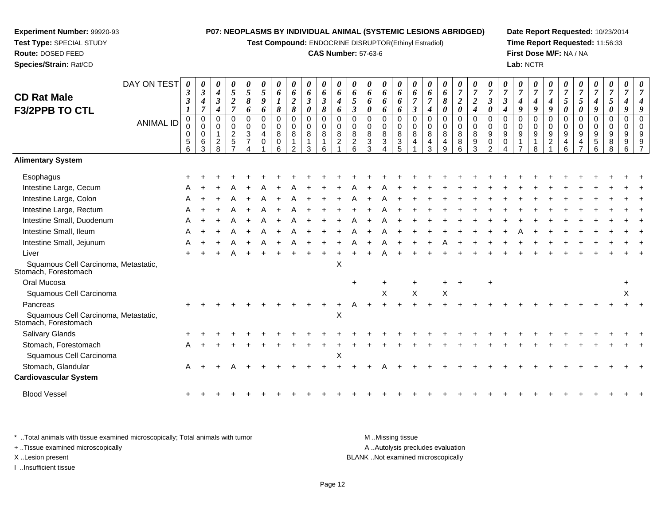**Test Compound:** ENDOCRINE DISRUPTOR(Ethinyl Estradiol)

# **CAS Number:** 57-63-6

**Date Report Requested:** 10/23/2014**Time Report Requested:** 11:56:33**First Dose M/F:** NA / NA**Lab:** NCTR

| <b>CD Rat Male</b><br><b>F3/2PPB TO CTL</b>                  | DAY ON TEST<br><b>ANIMAL ID</b> | 0<br>$\boldsymbol{\beta}$<br>$\boldsymbol{\beta}$<br>$\pmb{0}$<br>0<br>0<br>5<br>6 | 0<br>$\mathfrak{z}$<br>$\boldsymbol{4}$<br>$\overline{7}$<br>$\mathbf 0$<br>$\mathbf 0$<br>$\mathbf 0$<br>6<br>3 | 0<br>$\boldsymbol{4}$<br>$\boldsymbol{\beta}$<br>4<br>$\mathbf 0$<br>0<br>$\mathbf{1}$<br>$\overline{c}$<br>8 | 0<br>$\mathfrak{s}$<br>$\boldsymbol{2}$<br>$\overline{7}$<br>0<br>0<br>$\boldsymbol{2}$<br>$\sqrt{5}$ | 0<br>$\overline{5}$<br>8<br>6<br>$\mathbf 0$<br>0<br>$\mathbf{3}$<br>$\overline{7}$ | 0<br>$\mathfrak{s}$<br>9<br>6<br>$\mathbf 0$<br>0<br>$\overline{4}$<br>$\Omega$ | 0<br>6<br>1<br>8<br>$\Omega$<br>0<br>8<br>0 | 0<br>6<br>$\boldsymbol{2}$<br>8<br>$\mathbf 0$<br>0<br>8<br>າ | 0<br>6<br>$\boldsymbol{\beta}$<br>0<br>0<br>0<br>8<br>3 | 0<br>6<br>$\boldsymbol{\beta}$<br>8<br>$\boldsymbol{0}$<br>0<br>8<br>6 | 0<br>6<br>$\boldsymbol{4}$<br>6<br>0<br>0<br>8<br>$\boldsymbol{2}$ | 0<br>6<br>$\mathfrak{s}$<br>$\boldsymbol{\mathfrak{z}}$<br>$\Omega$<br>$\Omega$<br>8<br>$\overline{c}$<br>6 | 0<br>6<br>6<br>0<br>$\Omega$<br>$\Omega$<br>8<br>3<br>3 | 0<br>6<br>6<br>6<br>$\pmb{0}$<br>0<br>8<br>$\sqrt{3}$<br>$\Delta$ | 0<br>6<br>6<br>6<br>$\mathbf 0$<br>$\mathbf 0$<br>$\bf8$<br>$\sqrt{3}$<br>5 | 0<br>6<br>$\overline{7}$<br>$\boldsymbol{\beta}$<br>0<br>0<br>8<br>4 | 0<br>6<br>7<br>$\Omega$<br>$\Omega$<br>8<br>4<br>3 | 0<br>6<br>8<br>0<br>$\Omega$<br>0<br>8<br>4<br>9 | 0<br>$\overline{7}$<br>$\boldsymbol{2}$<br>0<br>$\mathbf 0$<br>0<br>8<br>8<br>6 | 0<br>$\overline{7}$<br>$\boldsymbol{2}$<br>$\boldsymbol{4}$<br>$\pmb{0}$<br>$\mathbf 0$<br>$\bf 8$<br>$\boldsymbol{9}$<br>3 | 0<br>$\overline{7}$<br>$\boldsymbol{\beta}$<br>0<br>0<br>0<br>9<br>$\mathbf 0$<br>2 | 7<br>$\boldsymbol{\beta}$<br>4<br>$\Omega$<br>$\Omega$<br>9<br>$\mathbf 0$ | 0<br>$\overline{7}$<br>4<br>9<br>$\Omega$<br>0<br>9 | 0<br>$\overline{7}$<br>$\boldsymbol{4}$<br>9<br>$\mathbf{0}$<br>0<br>9<br>8 | 0<br>$\overline{7}$<br>4<br>9<br>$\mathbf 0$<br>$\mathbf 0$<br>$\boldsymbol{9}$<br>$\boldsymbol{2}$ | 0<br>$\overline{7}$<br>$\mathfrak{s}$<br>$\boldsymbol{\theta}$<br>$\mathbf 0$<br>$\mathbf 0$<br>9<br>4<br>6 | 7<br>5<br>0<br>$\Omega$<br>$\Omega$<br>9<br>4 | 0<br>$\overline{7}$<br>4<br>9<br>0<br>0<br>9<br>5 | 0<br>$\overline{7}$<br>5<br>0<br>0<br>0<br>9<br>8<br>8 | $\boldsymbol{\theta}$<br>$\overline{7}$<br>9<br>$\mathbf 0$<br>$\mathbf 0$<br>9<br>9<br>6 | $\Omega$ |
|--------------------------------------------------------------|---------------------------------|------------------------------------------------------------------------------------|------------------------------------------------------------------------------------------------------------------|---------------------------------------------------------------------------------------------------------------|-------------------------------------------------------------------------------------------------------|-------------------------------------------------------------------------------------|---------------------------------------------------------------------------------|---------------------------------------------|---------------------------------------------------------------|---------------------------------------------------------|------------------------------------------------------------------------|--------------------------------------------------------------------|-------------------------------------------------------------------------------------------------------------|---------------------------------------------------------|-------------------------------------------------------------------|-----------------------------------------------------------------------------|----------------------------------------------------------------------|----------------------------------------------------|--------------------------------------------------|---------------------------------------------------------------------------------|-----------------------------------------------------------------------------------------------------------------------------|-------------------------------------------------------------------------------------|----------------------------------------------------------------------------|-----------------------------------------------------|-----------------------------------------------------------------------------|-----------------------------------------------------------------------------------------------------|-------------------------------------------------------------------------------------------------------------|-----------------------------------------------|---------------------------------------------------|--------------------------------------------------------|-------------------------------------------------------------------------------------------|----------|
| <b>Alimentary System</b>                                     |                                 |                                                                                    |                                                                                                                  |                                                                                                               |                                                                                                       |                                                                                     |                                                                                 |                                             |                                                               |                                                         |                                                                        |                                                                    |                                                                                                             |                                                         |                                                                   |                                                                             |                                                                      |                                                    |                                                  |                                                                                 |                                                                                                                             |                                                                                     |                                                                            |                                                     |                                                                             |                                                                                                     |                                                                                                             |                                               |                                                   |                                                        |                                                                                           |          |
| Esophagus                                                    |                                 |                                                                                    |                                                                                                                  |                                                                                                               |                                                                                                       |                                                                                     |                                                                                 |                                             |                                                               |                                                         |                                                                        |                                                                    |                                                                                                             |                                                         |                                                                   |                                                                             |                                                                      |                                                    |                                                  |                                                                                 |                                                                                                                             |                                                                                     |                                                                            |                                                     |                                                                             |                                                                                                     |                                                                                                             |                                               |                                                   |                                                        |                                                                                           |          |
| Intestine Large, Cecum                                       |                                 |                                                                                    |                                                                                                                  |                                                                                                               |                                                                                                       |                                                                                     |                                                                                 |                                             |                                                               |                                                         |                                                                        |                                                                    |                                                                                                             |                                                         |                                                                   |                                                                             |                                                                      |                                                    |                                                  |                                                                                 |                                                                                                                             |                                                                                     |                                                                            |                                                     |                                                                             |                                                                                                     |                                                                                                             |                                               |                                                   |                                                        |                                                                                           |          |
| Intestine Large, Colon                                       |                                 |                                                                                    |                                                                                                                  |                                                                                                               |                                                                                                       |                                                                                     |                                                                                 |                                             |                                                               |                                                         |                                                                        |                                                                    |                                                                                                             |                                                         |                                                                   |                                                                             |                                                                      |                                                    |                                                  |                                                                                 |                                                                                                                             |                                                                                     |                                                                            |                                                     |                                                                             |                                                                                                     |                                                                                                             |                                               |                                                   |                                                        |                                                                                           |          |
| Intestine Large, Rectum                                      |                                 |                                                                                    |                                                                                                                  |                                                                                                               |                                                                                                       |                                                                                     |                                                                                 |                                             |                                                               |                                                         |                                                                        |                                                                    |                                                                                                             |                                                         |                                                                   |                                                                             |                                                                      |                                                    |                                                  |                                                                                 |                                                                                                                             |                                                                                     |                                                                            |                                                     |                                                                             |                                                                                                     |                                                                                                             |                                               |                                                   |                                                        |                                                                                           |          |
| Intestine Small, Duodenum                                    |                                 |                                                                                    |                                                                                                                  |                                                                                                               |                                                                                                       |                                                                                     |                                                                                 |                                             |                                                               |                                                         |                                                                        |                                                                    |                                                                                                             |                                                         |                                                                   |                                                                             |                                                                      |                                                    |                                                  |                                                                                 |                                                                                                                             |                                                                                     |                                                                            |                                                     |                                                                             |                                                                                                     |                                                                                                             |                                               |                                                   |                                                        |                                                                                           |          |
| Intestine Small, Ileum                                       |                                 |                                                                                    |                                                                                                                  |                                                                                                               |                                                                                                       |                                                                                     |                                                                                 |                                             |                                                               |                                                         |                                                                        |                                                                    |                                                                                                             |                                                         |                                                                   |                                                                             |                                                                      |                                                    |                                                  |                                                                                 |                                                                                                                             |                                                                                     |                                                                            |                                                     |                                                                             |                                                                                                     |                                                                                                             |                                               |                                                   |                                                        |                                                                                           |          |
| Intestine Small, Jejunum                                     |                                 |                                                                                    |                                                                                                                  |                                                                                                               |                                                                                                       |                                                                                     |                                                                                 |                                             |                                                               |                                                         |                                                                        |                                                                    |                                                                                                             |                                                         |                                                                   |                                                                             |                                                                      |                                                    |                                                  |                                                                                 |                                                                                                                             |                                                                                     |                                                                            |                                                     |                                                                             |                                                                                                     |                                                                                                             |                                               |                                                   |                                                        |                                                                                           |          |
| Liver                                                        |                                 |                                                                                    |                                                                                                                  |                                                                                                               |                                                                                                       |                                                                                     |                                                                                 |                                             |                                                               |                                                         |                                                                        |                                                                    |                                                                                                             |                                                         |                                                                   |                                                                             |                                                                      |                                                    |                                                  |                                                                                 |                                                                                                                             |                                                                                     |                                                                            |                                                     |                                                                             |                                                                                                     |                                                                                                             |                                               |                                                   |                                                        |                                                                                           |          |
| Squamous Cell Carcinoma, Metastatic,<br>Stomach, Forestomach |                                 |                                                                                    |                                                                                                                  |                                                                                                               |                                                                                                       |                                                                                     |                                                                                 |                                             |                                                               |                                                         |                                                                        | X                                                                  |                                                                                                             |                                                         |                                                                   |                                                                             |                                                                      |                                                    |                                                  |                                                                                 |                                                                                                                             |                                                                                     |                                                                            |                                                     |                                                                             |                                                                                                     |                                                                                                             |                                               |                                                   |                                                        |                                                                                           |          |
| Oral Mucosa                                                  |                                 |                                                                                    |                                                                                                                  |                                                                                                               |                                                                                                       |                                                                                     |                                                                                 |                                             |                                                               |                                                         |                                                                        |                                                                    | $\ddot{}$                                                                                                   |                                                         |                                                                   |                                                                             |                                                                      |                                                    | $\ddot{}$                                        | $\pm$                                                                           |                                                                                                                             | $\ddot{}$                                                                           |                                                                            |                                                     |                                                                             |                                                                                                     |                                                                                                             |                                               |                                                   |                                                        |                                                                                           |          |
| Squamous Cell Carcinoma                                      |                                 |                                                                                    |                                                                                                                  |                                                                                                               |                                                                                                       |                                                                                     |                                                                                 |                                             |                                                               |                                                         |                                                                        |                                                                    |                                                                                                             |                                                         | X                                                                 |                                                                             | $\mathsf X$                                                          |                                                    | X                                                |                                                                                 |                                                                                                                             |                                                                                     |                                                                            |                                                     |                                                                             |                                                                                                     |                                                                                                             |                                               |                                                   |                                                        | Χ                                                                                         |          |
| Pancreas                                                     |                                 |                                                                                    |                                                                                                                  |                                                                                                               |                                                                                                       |                                                                                     |                                                                                 |                                             |                                                               |                                                         |                                                                        |                                                                    |                                                                                                             |                                                         |                                                                   |                                                                             |                                                                      |                                                    |                                                  |                                                                                 |                                                                                                                             |                                                                                     |                                                                            |                                                     |                                                                             |                                                                                                     |                                                                                                             |                                               |                                                   |                                                        |                                                                                           |          |
| Squamous Cell Carcinoma, Metastatic,<br>Stomach, Forestomach |                                 |                                                                                    |                                                                                                                  |                                                                                                               |                                                                                                       |                                                                                     |                                                                                 |                                             |                                                               |                                                         |                                                                        | X                                                                  |                                                                                                             |                                                         |                                                                   |                                                                             |                                                                      |                                                    |                                                  |                                                                                 |                                                                                                                             |                                                                                     |                                                                            |                                                     |                                                                             |                                                                                                     |                                                                                                             |                                               |                                                   |                                                        |                                                                                           |          |
| Salivary Glands                                              |                                 |                                                                                    |                                                                                                                  |                                                                                                               |                                                                                                       |                                                                                     |                                                                                 |                                             |                                                               |                                                         |                                                                        |                                                                    |                                                                                                             |                                                         |                                                                   |                                                                             |                                                                      |                                                    |                                                  |                                                                                 |                                                                                                                             |                                                                                     |                                                                            |                                                     |                                                                             |                                                                                                     |                                                                                                             |                                               |                                                   |                                                        |                                                                                           |          |
| Stomach, Forestomach                                         |                                 |                                                                                    |                                                                                                                  |                                                                                                               |                                                                                                       |                                                                                     |                                                                                 |                                             |                                                               |                                                         |                                                                        |                                                                    |                                                                                                             |                                                         |                                                                   |                                                                             |                                                                      |                                                    |                                                  |                                                                                 |                                                                                                                             |                                                                                     |                                                                            |                                                     |                                                                             |                                                                                                     |                                                                                                             |                                               |                                                   |                                                        |                                                                                           |          |
| Squamous Cell Carcinoma                                      |                                 |                                                                                    |                                                                                                                  |                                                                                                               |                                                                                                       |                                                                                     |                                                                                 |                                             |                                                               |                                                         |                                                                        | X                                                                  |                                                                                                             |                                                         |                                                                   |                                                                             |                                                                      |                                                    |                                                  |                                                                                 |                                                                                                                             |                                                                                     |                                                                            |                                                     |                                                                             |                                                                                                     |                                                                                                             |                                               |                                                   |                                                        |                                                                                           |          |
| Stomach, Glandular                                           |                                 | Α                                                                                  |                                                                                                                  |                                                                                                               |                                                                                                       |                                                                                     |                                                                                 |                                             |                                                               |                                                         |                                                                        |                                                                    |                                                                                                             |                                                         |                                                                   |                                                                             |                                                                      |                                                    |                                                  |                                                                                 |                                                                                                                             |                                                                                     |                                                                            |                                                     |                                                                             |                                                                                                     |                                                                                                             |                                               |                                                   |                                                        |                                                                                           |          |
| <b>Cardiovascular System</b>                                 |                                 |                                                                                    |                                                                                                                  |                                                                                                               |                                                                                                       |                                                                                     |                                                                                 |                                             |                                                               |                                                         |                                                                        |                                                                    |                                                                                                             |                                                         |                                                                   |                                                                             |                                                                      |                                                    |                                                  |                                                                                 |                                                                                                                             |                                                                                     |                                                                            |                                                     |                                                                             |                                                                                                     |                                                                                                             |                                               |                                                   |                                                        |                                                                                           |          |
| <b>Blood Vessel</b>                                          |                                 |                                                                                    |                                                                                                                  |                                                                                                               |                                                                                                       |                                                                                     |                                                                                 |                                             |                                                               |                                                         |                                                                        |                                                                    |                                                                                                             |                                                         |                                                                   |                                                                             |                                                                      |                                                    |                                                  |                                                                                 |                                                                                                                             |                                                                                     |                                                                            |                                                     |                                                                             |                                                                                                     |                                                                                                             |                                               |                                                   |                                                        |                                                                                           |          |

\* ..Total animals with tissue examined microscopically; Total animals with tumor **M** . Missing tissue M ..Missing tissue A ..Autolysis precludes evaluation + ..Tissue examined microscopically X ..Lesion present BLANK ..Not examined microscopicallyI ..Insufficient tissue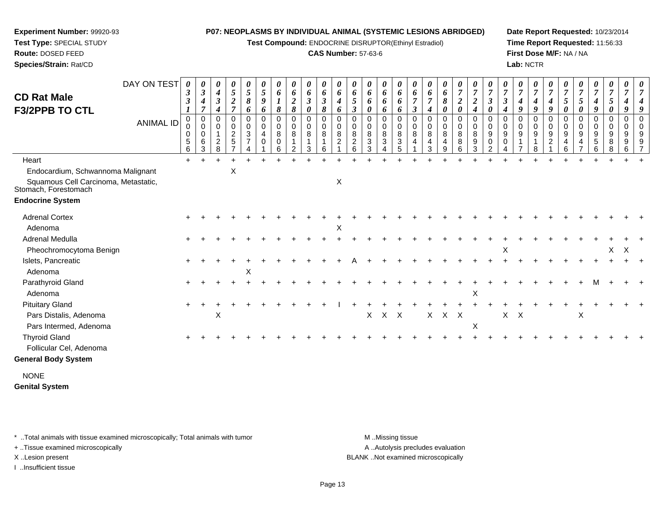**Test Compound:** ENDOCRINE DISRUPTOR(Ethinyl Estradiol)

# **CAS Number:** 57-63-6

**Date Report Requested:** 10/23/2014**Time Report Requested:** 11:56:33**First Dose M/F:** NA / NA**Lab:** NCTR

|                                                              | DAY ON TEST      | 0<br>$\boldsymbol{\beta}$       | 0<br>$\mathfrak{z}$                                 | 0<br>$\boldsymbol{4}$                                                        | 0<br>5                                                                           | 0<br>5                                               | 0<br>$5\phantom{.0}$               | 0<br>6                | 0<br>6                   | 0<br>6                                  | 0<br>6                     | $\boldsymbol{\theta}$<br>6                      | 0<br>6                                                | 0<br>6                                        | 0<br>6                                                          | $\boldsymbol{\theta}$<br>6                              | 0<br>6                               | 0<br>6                                           | 0<br>6                                  | 0<br>$\overline{7}$     | $\boldsymbol{\theta}$<br>$\boldsymbol{7}$ | 0<br>$\overline{7}$                                                          | $\boldsymbol{\theta}$<br>$\overline{7}$                                  | 0<br>$\overline{7}$                                                              | 0<br>$\overline{7}$               | $\overline{7}$                                         | 0<br>$\overline{7}$                                    | 0<br>$\overline{7}$             | 0<br>$\overline{7}$                                                    | 0<br>$\overline{7}$                       | 0<br>$\overline{7}$                            | 0<br>$\overline{7}$                                    |
|--------------------------------------------------------------|------------------|---------------------------------|-----------------------------------------------------|------------------------------------------------------------------------------|----------------------------------------------------------------------------------|------------------------------------------------------|------------------------------------|-----------------------|--------------------------|-----------------------------------------|----------------------------|-------------------------------------------------|-------------------------------------------------------|-----------------------------------------------|-----------------------------------------------------------------|---------------------------------------------------------|--------------------------------------|--------------------------------------------------|-----------------------------------------|-------------------------|-------------------------------------------|------------------------------------------------------------------------------|--------------------------------------------------------------------------|----------------------------------------------------------------------------------|-----------------------------------|--------------------------------------------------------|--------------------------------------------------------|---------------------------------|------------------------------------------------------------------------|-------------------------------------------|------------------------------------------------|--------------------------------------------------------|
| <b>CD Rat Male</b>                                           |                  | 3                               | 4                                                   | $\mathfrak{Z}$                                                               | $\frac{2}{7}$                                                                    | $\pmb{8}$                                            | 9                                  | $\boldsymbol{l}$      | $\frac{2}{8}$            | $\mathfrak{z}$                          | $\boldsymbol{\beta}$       | $\boldsymbol{4}$                                | 5                                                     | 6                                             | 6                                                               | 6                                                       | $\overline{7}$                       | $\overline{7}$                                   | 8                                       | $\overline{\mathbf{c}}$ | $\boldsymbol{2}$                          | $\boldsymbol{\beta}$                                                         | $\boldsymbol{\beta}$                                                     | $\boldsymbol{4}$                                                                 | 4                                 | 4                                                      | 5                                                      | 5                               | $\boldsymbol{4}$                                                       | 5                                         | 4                                              | $\boldsymbol{4}$                                       |
| <b>F3/2PPB TO CTL</b>                                        |                  |                                 | $\overline{7}$                                      | $\boldsymbol{4}$                                                             |                                                                                  | 6                                                    | 6                                  | 8                     |                          | $\boldsymbol{\theta}$                   | $\pmb{8}$                  | 6                                               | $\boldsymbol{\beta}$                                  | $\pmb{\theta}$                                | 6                                                               | 6                                                       | $\boldsymbol{\beta}$                 | 4                                                | 0                                       | $\boldsymbol{\theta}$   | $\boldsymbol{4}$                          | $\pmb{\theta}$                                                               | $\boldsymbol{4}$                                                         | $\boldsymbol{g}$                                                                 | 9                                 | $\boldsymbol{g}$                                       | 0                                                      | 0                               | $\boldsymbol{9}$                                                       | $\pmb{\theta}$                            | 9                                              | 9                                                      |
|                                                              | <b>ANIMAL ID</b> | $\mathbf 0$<br>0<br>0<br>5<br>6 | $\mathbf 0$<br>$\mathbf 0$<br>$\mathbf 0$<br>6<br>3 | $\mathbf 0$<br>$\mathbf 0$<br>$\overline{\mathbf{1}}$<br>$\overline{c}$<br>8 | $\mathbf 0$<br>$\pmb{0}$<br>$\boldsymbol{2}$<br>$\overline{5}$<br>$\overline{ }$ | $\mathbf 0$<br>$\pmb{0}$<br>3<br>$\overline{7}$<br>Δ | $\mathbf 0$<br>$\pmb{0}$<br>4<br>0 | 0<br>0<br>8<br>0<br>6 | 0<br>$\pmb{0}$<br>8<br>2 | $\mathbf 0$<br>$\pmb{0}$<br>$\bf8$<br>3 | 0<br>$\mathbf 0$<br>8<br>6 | $\mathbf 0$<br>$\pmb{0}$<br>8<br>$\overline{2}$ | $\mathbf 0$<br>0<br>8<br>$\overline{\mathbf{c}}$<br>6 | 0<br>0<br>8<br>$\ensuremath{\mathsf{3}}$<br>3 | $\pmb{0}$<br>$\mathbf 0$<br>8<br>$\ensuremath{\mathsf{3}}$<br>Δ | 0<br>$\mathbf 0$<br>8<br>$\ensuremath{\mathsf{3}}$<br>5 | $\mathbf 0$<br>$\mathbf 0$<br>8<br>4 | 0<br>$\pmb{0}$<br>$\bf 8$<br>$\overline{4}$<br>3 | $\mathbf 0$<br>$\pmb{0}$<br>8<br>4<br>9 | 0<br>0<br>8<br>8<br>6   | $\mathbf 0$<br>$\pmb{0}$<br>8<br>9<br>3   | $\mathbf 0$<br>$\mathbf 0$<br>$\boldsymbol{9}$<br>$\pmb{0}$<br>$\mathcal{P}$ | $\mathbf 0$<br>$\mathsf{O}\xspace$<br>$\boldsymbol{9}$<br>$\pmb{0}$<br>4 | $\mathbf 0$<br>$\mathbf 0$<br>$\boldsymbol{9}$<br>$\mathbf{1}$<br>$\overline{7}$ | $\Omega$<br>$\mathbf 0$<br>9<br>8 | 0<br>$\pmb{0}$<br>$\boldsymbol{9}$<br>$\boldsymbol{2}$ | $\mathbf 0$<br>$\pmb{0}$<br>$\boldsymbol{9}$<br>4<br>6 | 0<br>$\mathsf{O}$<br>$9\,$<br>4 | $\mathbf 0$<br>$\pmb{0}$<br>$\boldsymbol{9}$<br>$\,$ 5 $\,$<br>$\,6\,$ | $\mathbf 0$<br>$\mathbf 0$<br>9<br>8<br>8 | $\mathbf 0$<br>0<br>$\boldsymbol{9}$<br>9<br>6 | $\mathbf 0$<br>$\mathbf 0$<br>9<br>9<br>$\overline{7}$ |
| Heart                                                        |                  | $+$                             |                                                     |                                                                              |                                                                                  |                                                      |                                    |                       |                          |                                         |                            |                                                 |                                                       |                                               |                                                                 |                                                         |                                      |                                                  |                                         |                         |                                           |                                                                              |                                                                          |                                                                                  |                                   |                                                        |                                                        |                                 |                                                                        |                                           |                                                |                                                        |
| Endocardium, Schwannoma Malignant                            |                  |                                 |                                                     |                                                                              | X                                                                                |                                                      |                                    |                       |                          |                                         |                            |                                                 |                                                       |                                               |                                                                 |                                                         |                                      |                                                  |                                         |                         |                                           |                                                                              |                                                                          |                                                                                  |                                   |                                                        |                                                        |                                 |                                                                        |                                           |                                                |                                                        |
| Squamous Cell Carcinoma, Metastatic,<br>Stomach, Forestomach |                  |                                 |                                                     |                                                                              |                                                                                  |                                                      |                                    |                       |                          |                                         |                            | X                                               |                                                       |                                               |                                                                 |                                                         |                                      |                                                  |                                         |                         |                                           |                                                                              |                                                                          |                                                                                  |                                   |                                                        |                                                        |                                 |                                                                        |                                           |                                                |                                                        |
| <b>Endocrine System</b>                                      |                  |                                 |                                                     |                                                                              |                                                                                  |                                                      |                                    |                       |                          |                                         |                            |                                                 |                                                       |                                               |                                                                 |                                                         |                                      |                                                  |                                         |                         |                                           |                                                                              |                                                                          |                                                                                  |                                   |                                                        |                                                        |                                 |                                                                        |                                           |                                                |                                                        |
| <b>Adrenal Cortex</b>                                        |                  |                                 |                                                     |                                                                              |                                                                                  |                                                      |                                    |                       |                          |                                         |                            |                                                 |                                                       |                                               |                                                                 |                                                         |                                      |                                                  |                                         |                         |                                           |                                                                              |                                                                          |                                                                                  |                                   |                                                        |                                                        |                                 |                                                                        |                                           |                                                |                                                        |
| Adenoma                                                      |                  |                                 |                                                     |                                                                              |                                                                                  |                                                      |                                    |                       |                          |                                         |                            | X                                               |                                                       |                                               |                                                                 |                                                         |                                      |                                                  |                                         |                         |                                           |                                                                              |                                                                          |                                                                                  |                                   |                                                        |                                                        |                                 |                                                                        |                                           |                                                |                                                        |
| Adrenal Medulla                                              |                  |                                 |                                                     |                                                                              |                                                                                  |                                                      |                                    |                       |                          |                                         |                            |                                                 |                                                       |                                               |                                                                 |                                                         |                                      |                                                  |                                         |                         |                                           |                                                                              |                                                                          |                                                                                  |                                   |                                                        |                                                        |                                 |                                                                        |                                           |                                                |                                                        |
| Pheochromocytoma Benign                                      |                  |                                 |                                                     |                                                                              |                                                                                  |                                                      |                                    |                       |                          |                                         |                            |                                                 |                                                       |                                               |                                                                 |                                                         |                                      |                                                  |                                         |                         |                                           |                                                                              | X                                                                        |                                                                                  |                                   |                                                        |                                                        |                                 |                                                                        | X                                         | Χ                                              |                                                        |
| Islets, Pancreatic                                           |                  |                                 |                                                     |                                                                              |                                                                                  |                                                      |                                    |                       |                          |                                         |                            |                                                 |                                                       |                                               |                                                                 |                                                         |                                      |                                                  |                                         |                         |                                           |                                                                              |                                                                          |                                                                                  |                                   |                                                        |                                                        |                                 |                                                                        |                                           |                                                |                                                        |
| Adenoma                                                      |                  |                                 |                                                     |                                                                              |                                                                                  | X                                                    |                                    |                       |                          |                                         |                            |                                                 |                                                       |                                               |                                                                 |                                                         |                                      |                                                  |                                         |                         |                                           |                                                                              |                                                                          |                                                                                  |                                   |                                                        |                                                        |                                 |                                                                        |                                           |                                                |                                                        |
| Parathyroid Gland                                            |                  | $\ddot{}$                       |                                                     |                                                                              |                                                                                  |                                                      |                                    |                       |                          |                                         |                            |                                                 |                                                       |                                               |                                                                 |                                                         |                                      |                                                  |                                         |                         |                                           |                                                                              |                                                                          |                                                                                  |                                   |                                                        |                                                        |                                 |                                                                        |                                           |                                                |                                                        |
| Adenoma                                                      |                  |                                 |                                                     |                                                                              |                                                                                  |                                                      |                                    |                       |                          |                                         |                            |                                                 |                                                       |                                               |                                                                 |                                                         |                                      |                                                  |                                         |                         | Χ                                         |                                                                              |                                                                          |                                                                                  |                                   |                                                        |                                                        |                                 |                                                                        |                                           |                                                |                                                        |
| <b>Pituitary Gland</b>                                       |                  |                                 |                                                     |                                                                              |                                                                                  |                                                      |                                    |                       |                          |                                         |                            |                                                 |                                                       |                                               |                                                                 |                                                         |                                      |                                                  |                                         |                         |                                           |                                                                              |                                                                          |                                                                                  |                                   |                                                        |                                                        |                                 |                                                                        |                                           |                                                |                                                        |
| Pars Distalis, Adenoma                                       |                  |                                 |                                                     | $\pmb{\times}$                                                               |                                                                                  |                                                      |                                    |                       |                          |                                         |                            |                                                 |                                                       | X                                             | $X$ $X$                                                         |                                                         |                                      | $X -$                                            | $X$ $X$                                 |                         |                                           |                                                                              | X                                                                        | $\mathsf{X}$                                                                     |                                   |                                                        |                                                        | X                               |                                                                        |                                           |                                                |                                                        |
| Pars Intermed, Adenoma                                       |                  |                                 |                                                     |                                                                              |                                                                                  |                                                      |                                    |                       |                          |                                         |                            |                                                 |                                                       |                                               |                                                                 |                                                         |                                      |                                                  |                                         |                         | $\mathsf X$                               |                                                                              |                                                                          |                                                                                  |                                   |                                                        |                                                        |                                 |                                                                        |                                           |                                                |                                                        |
| <b>Thyroid Gland</b>                                         |                  |                                 |                                                     |                                                                              |                                                                                  |                                                      |                                    |                       |                          |                                         |                            |                                                 |                                                       |                                               |                                                                 |                                                         |                                      |                                                  |                                         |                         |                                           |                                                                              |                                                                          |                                                                                  |                                   |                                                        |                                                        |                                 |                                                                        |                                           |                                                |                                                        |
| Follicular Cel, Adenoma                                      |                  |                                 |                                                     |                                                                              |                                                                                  |                                                      |                                    |                       |                          |                                         |                            |                                                 |                                                       |                                               |                                                                 |                                                         |                                      |                                                  |                                         |                         |                                           |                                                                              |                                                                          |                                                                                  |                                   |                                                        |                                                        |                                 |                                                                        |                                           |                                                |                                                        |
| <b>General Body System</b>                                   |                  |                                 |                                                     |                                                                              |                                                                                  |                                                      |                                    |                       |                          |                                         |                            |                                                 |                                                       |                                               |                                                                 |                                                         |                                      |                                                  |                                         |                         |                                           |                                                                              |                                                                          |                                                                                  |                                   |                                                        |                                                        |                                 |                                                                        |                                           |                                                |                                                        |
| <b>NONE</b>                                                  |                  |                                 |                                                     |                                                                              |                                                                                  |                                                      |                                    |                       |                          |                                         |                            |                                                 |                                                       |                                               |                                                                 |                                                         |                                      |                                                  |                                         |                         |                                           |                                                                              |                                                                          |                                                                                  |                                   |                                                        |                                                        |                                 |                                                                        |                                           |                                                |                                                        |
| <b>Genital System</b>                                        |                  |                                 |                                                     |                                                                              |                                                                                  |                                                      |                                    |                       |                          |                                         |                            |                                                 |                                                       |                                               |                                                                 |                                                         |                                      |                                                  |                                         |                         |                                           |                                                                              |                                                                          |                                                                                  |                                   |                                                        |                                                        |                                 |                                                                        |                                           |                                                |                                                        |

\* ..Total animals with tissue examined microscopically; Total animals with tumor **M** . Missing tissue M ..Missing tissue

+ ..Tissue examined microscopically

**Experiment Number:** 99920-93**Test Type:** SPECIAL STUDY**Route:** DOSED FEED**Species/Strain:** Rat/CD

I ..Insufficient tissue

A ..Autolysis precludes evaluation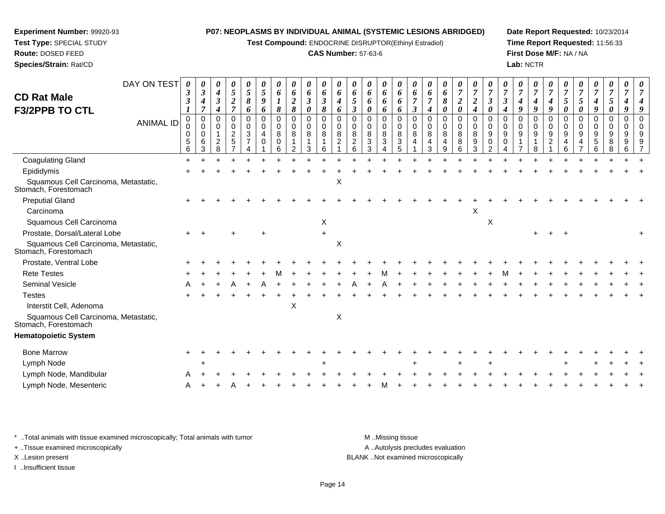**Test Compound:** ENDOCRINE DISRUPTOR(Ethinyl Estradiol)

## **CAS Number:** 57-63-6

**Date Report Requested:** 10/23/2014**Time Report Requested:** 11:56:33**First Dose M/F:** NA / NA**Lab:** NCTR

| <b>CD Rat Male</b><br><b>F3/2PPB TO CTL</b>                  | DAY ON TEST      | $\boldsymbol{\theta}$<br>3<br>$\boldsymbol{\beta}$ | 0<br>$\boldsymbol{\beta}$<br>$\boldsymbol{4}$<br>$\overline{7}$ | 0<br>4<br>$\mathfrak{z}$<br>4                  | 0<br>5<br>$\boldsymbol{2}$<br>$\overline{7}$    | $\boldsymbol{\theta}$<br>5<br>8<br>6     | $\boldsymbol{\theta}$<br>$\overline{5}$<br>9<br>6 | 6<br>1<br>8                | 0<br>6<br>$\overline{c}$<br>8        | 0<br>6<br>$\boldsymbol{\beta}$<br>0 | 0<br>6<br>$\mathfrak{z}$<br>8        | 0<br>6<br>$\boldsymbol{4}$<br>6      | 6<br>$\overline{5}$<br>$\mathfrak{z}$     | 0<br>6<br>6<br>0             | 0<br>6<br>6<br>6                   | 0<br>6<br>6<br>6                                    | 0<br>6<br>$\overline{7}$<br>$\boldsymbol{\beta}$ | 6<br>4                     | 0<br>6<br>8<br>0        | 0<br>$\boldsymbol{7}$<br>$\overline{2}$<br>0 | 0<br>$\overline{7}$<br>$\boldsymbol{2}$<br>$\boldsymbol{4}$ | $\boldsymbol{\theta}$<br>$\overline{7}$<br>$\boldsymbol{\beta}$<br>0 | $\boldsymbol{\beta}$<br>$\overline{4}$ | 0<br>4             | 0<br>$\boldsymbol{7}$<br>4<br>$\boldsymbol{q}$ | 0<br>$\overline{7}$<br>4<br>9                  | $\boldsymbol{\theta}$<br>$\overline{7}$<br>5<br>0 | 5             |               | $\boldsymbol{\theta}$<br>$\boldsymbol{7}$<br>5<br>0 | 0<br>$\overline{7}$                 |  |
|--------------------------------------------------------------|------------------|----------------------------------------------------|-----------------------------------------------------------------|------------------------------------------------|-------------------------------------------------|------------------------------------------|---------------------------------------------------|----------------------------|--------------------------------------|-------------------------------------|--------------------------------------|--------------------------------------|-------------------------------------------|------------------------------|------------------------------------|-----------------------------------------------------|--------------------------------------------------|----------------------------|-------------------------|----------------------------------------------|-------------------------------------------------------------|----------------------------------------------------------------------|----------------------------------------|--------------------|------------------------------------------------|------------------------------------------------|---------------------------------------------------|---------------|---------------|-----------------------------------------------------|-------------------------------------|--|
|                                                              | <b>ANIMAL ID</b> | $\mathbf 0$<br>0<br>0<br>$\sqrt{5}$<br>6           | $\mathbf 0$<br>0<br>0<br>6<br>3                                 | $\Omega$<br>$\mathbf 0$<br>$\overline{c}$<br>8 | 0<br>0<br>$\overline{c}$<br>5<br>$\overline{ }$ | $\mathbf 0$<br>$\mathbf 0$<br>$\sqrt{3}$ | $\Omega$<br>0<br>$\overline{4}$<br>0              | 0<br>$\mathbf 0$<br>8<br>6 | $\Omega$<br>0<br>8<br>$\mathfrak{p}$ | 0<br>0<br>8<br>3                    | $\mathbf 0$<br>$\mathbf 0$<br>8<br>6 | $\Omega$<br>0<br>8<br>$\overline{c}$ | $\Omega$<br>0<br>8<br>$\overline{2}$<br>6 | $\Omega$<br>0<br>8<br>3<br>3 | $\Omega$<br>0<br>8<br>$\mathbf{3}$ | $\Omega$<br>$\mathbf 0$<br>8<br>3<br>$\overline{5}$ | $\Omega$<br>0<br>8                               | $\mathbf 0$<br>0<br>8<br>3 | $\Omega$<br>0<br>8<br>9 | 0<br>0<br>8<br>8<br>6                        | $\Omega$<br>$\pmb{0}$<br>$\,8\,$<br>9<br>$\overline{3}$     | 0<br>0<br>9<br>0<br>$\mathfrak{p}$                                   | $\Omega$<br>0<br>9<br>0                | $\Omega$<br>0<br>9 | $\Omega$<br>0<br>9<br>8                        | $\Omega$<br>$\mathbf 0$<br>9<br>$\overline{2}$ | 0<br>0<br>9<br>4<br>6                             | $\Omega$<br>0 | $\Omega$<br>0 | $\Omega$<br>0<br>9<br>8<br>8                        | $\Omega$<br>$\Omega$<br>9<br>9<br>6 |  |
| <b>Coagulating Gland</b>                                     |                  |                                                    |                                                                 |                                                |                                                 |                                          |                                                   |                            |                                      |                                     |                                      |                                      |                                           |                              |                                    |                                                     |                                                  |                            |                         |                                              |                                                             |                                                                      |                                        |                    |                                                |                                                |                                                   |               |               |                                                     |                                     |  |
| Epididymis                                                   |                  |                                                    |                                                                 |                                                |                                                 |                                          |                                                   |                            |                                      |                                     |                                      |                                      |                                           |                              |                                    |                                                     |                                                  |                            |                         |                                              |                                                             |                                                                      |                                        |                    |                                                |                                                |                                                   |               |               |                                                     |                                     |  |
| Squamous Cell Carcinoma, Metastatic,<br>Stomach, Forestomach |                  |                                                    |                                                                 |                                                |                                                 |                                          |                                                   |                            |                                      |                                     |                                      | $\boldsymbol{\mathsf{X}}$            |                                           |                              |                                    |                                                     |                                                  |                            |                         |                                              |                                                             |                                                                      |                                        |                    |                                                |                                                |                                                   |               |               |                                                     |                                     |  |
| <b>Preputial Gland</b>                                       |                  |                                                    |                                                                 |                                                |                                                 |                                          |                                                   |                            |                                      |                                     |                                      |                                      |                                           |                              |                                    |                                                     |                                                  |                            |                         |                                              |                                                             |                                                                      |                                        |                    |                                                |                                                |                                                   |               |               |                                                     |                                     |  |
| Carcinoma                                                    |                  |                                                    |                                                                 |                                                |                                                 |                                          |                                                   |                            |                                      |                                     |                                      |                                      |                                           |                              |                                    |                                                     |                                                  |                            |                         |                                              | Χ                                                           |                                                                      |                                        |                    |                                                |                                                |                                                   |               |               |                                                     |                                     |  |
| Squamous Cell Carcinoma                                      |                  |                                                    |                                                                 |                                                |                                                 |                                          |                                                   |                            |                                      |                                     | X                                    |                                      |                                           |                              |                                    |                                                     |                                                  |                            |                         |                                              |                                                             | X                                                                    |                                        |                    |                                                |                                                |                                                   |               |               |                                                     |                                     |  |
| Prostate, Dorsal/Lateral Lobe                                |                  |                                                    |                                                                 |                                                |                                                 |                                          |                                                   |                            |                                      |                                     |                                      |                                      |                                           |                              |                                    |                                                     |                                                  |                            |                         |                                              |                                                             |                                                                      |                                        |                    |                                                |                                                |                                                   |               |               |                                                     |                                     |  |
| Squamous Cell Carcinoma, Metastatic,<br>Stomach, Forestomach |                  |                                                    |                                                                 |                                                |                                                 |                                          |                                                   |                            |                                      |                                     |                                      | X                                    |                                           |                              |                                    |                                                     |                                                  |                            |                         |                                              |                                                             |                                                                      |                                        |                    |                                                |                                                |                                                   |               |               |                                                     |                                     |  |
| Prostate, Ventral Lobe                                       |                  |                                                    |                                                                 |                                                |                                                 |                                          |                                                   |                            |                                      |                                     |                                      |                                      |                                           |                              |                                    |                                                     |                                                  |                            |                         |                                              |                                                             |                                                                      |                                        |                    |                                                |                                                |                                                   |               |               |                                                     |                                     |  |
| <b>Rete Testes</b>                                           |                  |                                                    |                                                                 |                                                |                                                 |                                          |                                                   |                            |                                      |                                     |                                      |                                      |                                           |                              |                                    |                                                     |                                                  |                            |                         |                                              |                                                             |                                                                      |                                        |                    |                                                |                                                |                                                   |               |               |                                                     |                                     |  |
| Seminal Vesicle                                              |                  |                                                    |                                                                 |                                                |                                                 |                                          |                                                   |                            |                                      |                                     |                                      |                                      |                                           |                              |                                    |                                                     |                                                  |                            |                         |                                              |                                                             |                                                                      |                                        |                    |                                                |                                                |                                                   |               |               |                                                     |                                     |  |
| <b>Testes</b>                                                |                  |                                                    |                                                                 |                                                |                                                 |                                          |                                                   |                            |                                      |                                     |                                      |                                      |                                           |                              |                                    |                                                     |                                                  |                            |                         |                                              |                                                             |                                                                      |                                        |                    |                                                |                                                |                                                   |               |               |                                                     |                                     |  |
| Interstit Cell, Adenoma                                      |                  |                                                    |                                                                 |                                                |                                                 |                                          |                                                   |                            | Χ                                    |                                     |                                      |                                      |                                           |                              |                                    |                                                     |                                                  |                            |                         |                                              |                                                             |                                                                      |                                        |                    |                                                |                                                |                                                   |               |               |                                                     |                                     |  |
| Squamous Cell Carcinoma, Metastatic,<br>Stomach, Forestomach |                  |                                                    |                                                                 |                                                |                                                 |                                          |                                                   |                            |                                      |                                     |                                      | $\boldsymbol{\mathsf{X}}$            |                                           |                              |                                    |                                                     |                                                  |                            |                         |                                              |                                                             |                                                                      |                                        |                    |                                                |                                                |                                                   |               |               |                                                     |                                     |  |
| <b>Hematopoietic System</b>                                  |                  |                                                    |                                                                 |                                                |                                                 |                                          |                                                   |                            |                                      |                                     |                                      |                                      |                                           |                              |                                    |                                                     |                                                  |                            |                         |                                              |                                                             |                                                                      |                                        |                    |                                                |                                                |                                                   |               |               |                                                     |                                     |  |
| <b>Bone Marrow</b>                                           |                  |                                                    |                                                                 |                                                |                                                 |                                          |                                                   |                            |                                      |                                     |                                      |                                      |                                           |                              |                                    |                                                     |                                                  |                            |                         |                                              |                                                             |                                                                      |                                        |                    |                                                |                                                |                                                   |               |               |                                                     |                                     |  |
| Lymph Node                                                   |                  |                                                    |                                                                 |                                                |                                                 |                                          |                                                   |                            |                                      |                                     |                                      |                                      |                                           |                              |                                    |                                                     |                                                  |                            |                         |                                              |                                                             |                                                                      |                                        |                    |                                                |                                                |                                                   |               |               |                                                     |                                     |  |
| Lymph Node, Mandibular                                       |                  |                                                    |                                                                 |                                                |                                                 |                                          |                                                   |                            |                                      |                                     |                                      |                                      |                                           |                              |                                    |                                                     |                                                  |                            |                         |                                              |                                                             |                                                                      |                                        |                    |                                                |                                                |                                                   |               |               |                                                     |                                     |  |
| Lymph Node, Mesenteric                                       |                  |                                                    |                                                                 |                                                |                                                 |                                          |                                                   |                            |                                      |                                     |                                      |                                      |                                           |                              |                                    |                                                     |                                                  |                            |                         |                                              |                                                             |                                                                      |                                        |                    |                                                |                                                |                                                   |               |               |                                                     |                                     |  |
|                                                              |                  |                                                    |                                                                 |                                                |                                                 |                                          |                                                   |                            |                                      |                                     |                                      |                                      |                                           |                              |                                    |                                                     |                                                  |                            |                         |                                              |                                                             |                                                                      |                                        |                    |                                                |                                                |                                                   |               |               |                                                     |                                     |  |

\* ..Total animals with tissue examined microscopically; Total animals with tumor **M** . Missing tissue M ..Missing tissue

+ ..Tissue examined microscopically

**Experiment Number:** 99920-93**Test Type:** SPECIAL STUDY**Route:** DOSED FEED**Species/Strain:** Rat/CD

I ..Insufficient tissue

A ..Autolysis precludes evaluation X ..Lesion present BLANK ..Not examined microscopically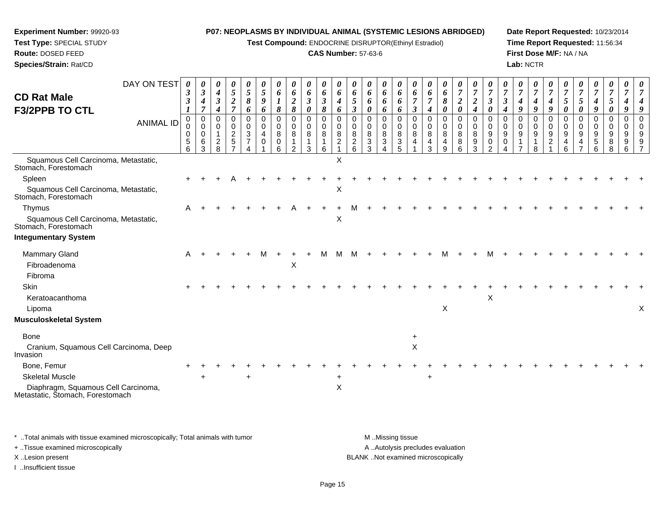**Test Compound:** ENDOCRINE DISRUPTOR(Ethinyl Estradiol)

# **CAS Number:** 57-63-6

**Date Report Requested:** 10/23/2014**Time Report Requested:** 11:56:34**First Dose M/F:** NA / NA**Lab:** NCTR

| DAY ON TEST                                                             | $\boldsymbol{\theta}$ | $\boldsymbol{\theta}$                    | 0                                        | 0                              | 0                        | 0                          | $\theta$                   | $\boldsymbol{\theta}$ | 0                         | 0                          | $\boldsymbol{\theta}$ | $\theta$                          | $\boldsymbol{\theta}$ | 0      | 0                | $\boldsymbol{\theta}$ | $\boldsymbol{\theta}$   | $\boldsymbol{\theta}$ | 0                                | 0                                  | U                  | $\theta$             | $\boldsymbol{\theta}$ | $\boldsymbol{\theta}$   | $\theta$            |               | $\theta$         | $\boldsymbol{\theta}$ | 0                                 | $\theta$            |   |
|-------------------------------------------------------------------------|-----------------------|------------------------------------------|------------------------------------------|--------------------------------|--------------------------|----------------------------|----------------------------|-----------------------|---------------------------|----------------------------|-----------------------|-----------------------------------|-----------------------|--------|------------------|-----------------------|-------------------------|-----------------------|----------------------------------|------------------------------------|--------------------|----------------------|-----------------------|-------------------------|---------------------|---------------|------------------|-----------------------|-----------------------------------|---------------------|---|
| <b>CD Rat Male</b>                                                      | 3<br>3                | $\boldsymbol{\beta}$<br>$\boldsymbol{4}$ | $\boldsymbol{4}$<br>$\boldsymbol{\beta}$ | $\sqrt{5}$<br>$\boldsymbol{2}$ | $\sqrt{5}$<br>8          | $\mathfrak{s}$<br>9        | 6<br>$\boldsymbol{l}$      | 6<br>$\overline{2}$   | 6<br>$\boldsymbol{\beta}$ | 6<br>$\boldsymbol{\beta}$  | 6<br>4                | 6<br>5                            | 6<br>6                | 6<br>6 | 6<br>6           | 6                     | 6<br>7                  | 6<br>8                | $\overline{7}$<br>$\overline{2}$ | $\overline{7}$<br>$\boldsymbol{2}$ | 3                  | 7<br>3               | $\boldsymbol{7}$<br>4 | $\overline{7}$<br>4     | $\overline{7}$<br>4 | 5             | 7<br>5           | $\boldsymbol{7}$<br>4 | $\overline{7}$<br>$5\overline{)}$ | $\overline{7}$<br>4 |   |
| <b>F3/2PPB TO CTL</b>                                                   |                       | $\overline{7}$                           | 4                                        | $\overline{7}$                 | 6                        | 6                          | $\pmb{8}$                  | 8                     | 0                         | 8                          | 6                     | $\boldsymbol{\beta}$              | 0                     | 6      | 6                | 3                     | 4                       | 0                     | 0                                | 4                                  | 0                  | 4                    | 9                     | 9                       | 9                   | 0             | 0                | 9                     | 0                                 | 9                   |   |
| <b>ANIMAL ID</b>                                                        | 0<br>0                | $\mathbf 0$<br>$\mathbf 0$               | 0<br>$\Omega$                            | 0<br>0                         | $\pmb{0}$<br>$\mathbf 0$ | $\mathbf 0$<br>$\mathbf 0$ | $\mathbf 0$<br>$\mathbf 0$ | 0<br>$\mathbf 0$      | 0<br>0                    | $\mathbf 0$<br>$\mathbf 0$ | 0<br>$\Omega$         | $\mathbf 0$<br>$\Omega$           | 0<br>0                | 0<br>0 | 0<br>$\mathbf 0$ | 0<br>$\Omega$         | $\mathbf 0$<br>$\Omega$ | 0<br>0                | 0<br>0                           | 0<br>$\mathbf 0$                   | $\Omega$<br>0      | $\Omega$<br>$\Omega$ | $\Omega$<br>$\Omega$  | $\mathbf 0$<br>$\Omega$ | 0<br>0              | 0<br>$\Omega$ | 0<br>$\mathbf 0$ | 0<br>0                | $\mathbf 0$<br>$\mathbf 0$        | 0<br>$\Omega$       |   |
|                                                                         | 0                     | $\mathbf 0$                              |                                          | $\overline{a}$                 | 3                        | 4                          | 8                          | 8                     | 8                         | 8                          | 8                     | 8                                 | 8                     | 8      | 8                | 8                     | 8                       | 8                     | 8                                | 8                                  | 9                  | 9                    | 9                     | 9                       | 9                   | 9             | 9                | 9                     | 9                                 | 9                   |   |
|                                                                         | $\sqrt{5}$<br>6       | 6<br>3                                   | $\overline{c}$<br>8                      | $\sqrt{5}$<br>$\overline{7}$   | $\overline{7}$<br>4      | 0                          | 0<br>6                     | $\mathcal{P}$         | $\mathbf 1$<br>3          | $\mathbf{1}$<br>6          | $\overline{2}$        | $\overline{2}$<br>$6\overline{6}$ | 3<br>3                | 3      | 3<br>5           | 4                     | 4<br>$\mathcal{R}$      | 4<br>9                | 8<br>6                           | 9<br>3                             | 0<br>$\mathcal{P}$ | 0                    |                       | 1<br>8                  | 2                   | 4<br>6        | 4                | 5<br>6                | 8<br>8                            | 9<br>6              | 9 |
| Squamous Cell Carcinoma, Metastatic,<br>Stomach, Forestomach            |                       |                                          |                                          |                                |                          |                            |                            |                       |                           |                            | X                     |                                   |                       |        |                  |                       |                         |                       |                                  |                                    |                    |                      |                       |                         |                     |               |                  |                       |                                   |                     |   |
| Spleen                                                                  |                       |                                          |                                          |                                |                          |                            |                            |                       |                           |                            |                       |                                   |                       |        |                  |                       |                         |                       |                                  |                                    |                    |                      |                       |                         |                     |               |                  |                       |                                   |                     |   |
| Squamous Cell Carcinoma, Metastatic,<br>Stomach, Forestomach            |                       |                                          |                                          |                                |                          |                            |                            |                       |                           |                            | X                     |                                   |                       |        |                  |                       |                         |                       |                                  |                                    |                    |                      |                       |                         |                     |               |                  |                       |                                   |                     |   |
| Thymus                                                                  | A                     |                                          |                                          |                                |                          |                            |                            |                       |                           |                            |                       |                                   |                       |        |                  |                       |                         |                       |                                  |                                    |                    |                      |                       |                         |                     |               |                  |                       |                                   |                     |   |
| Squamous Cell Carcinoma, Metastatic,<br>Stomach, Forestomach            |                       |                                          |                                          |                                |                          |                            |                            |                       |                           |                            | X                     |                                   |                       |        |                  |                       |                         |                       |                                  |                                    |                    |                      |                       |                         |                     |               |                  |                       |                                   |                     |   |
| <b>Integumentary System</b>                                             |                       |                                          |                                          |                                |                          |                            |                            |                       |                           |                            |                       |                                   |                       |        |                  |                       |                         |                       |                                  |                                    |                    |                      |                       |                         |                     |               |                  |                       |                                   |                     |   |
| <b>Mammary Gland</b>                                                    | A                     |                                          |                                          |                                |                          |                            |                            |                       |                           |                            |                       |                                   |                       |        |                  |                       |                         |                       |                                  |                                    |                    |                      |                       |                         |                     |               |                  |                       |                                   |                     |   |
| Fibroadenoma                                                            |                       |                                          |                                          |                                |                          |                            |                            | Χ                     |                           |                            |                       |                                   |                       |        |                  |                       |                         |                       |                                  |                                    |                    |                      |                       |                         |                     |               |                  |                       |                                   |                     |   |
| Fibroma                                                                 |                       |                                          |                                          |                                |                          |                            |                            |                       |                           |                            |                       |                                   |                       |        |                  |                       |                         |                       |                                  |                                    |                    |                      |                       |                         |                     |               |                  |                       |                                   |                     |   |
| <b>Skin</b>                                                             |                       |                                          |                                          |                                |                          |                            |                            |                       |                           |                            |                       |                                   |                       |        |                  |                       |                         |                       |                                  |                                    |                    |                      |                       |                         |                     |               |                  |                       |                                   |                     |   |
| Keratoacanthoma                                                         |                       |                                          |                                          |                                |                          |                            |                            |                       |                           |                            |                       |                                   |                       |        |                  |                       |                         |                       |                                  |                                    | X                  |                      |                       |                         |                     |               |                  |                       |                                   |                     |   |
| Lipoma                                                                  |                       |                                          |                                          |                                |                          |                            |                            |                       |                           |                            |                       |                                   |                       |        |                  |                       |                         | X                     |                                  |                                    |                    |                      |                       |                         |                     |               |                  |                       |                                   |                     | X |
| Musculoskeletal System                                                  |                       |                                          |                                          |                                |                          |                            |                            |                       |                           |                            |                       |                                   |                       |        |                  |                       |                         |                       |                                  |                                    |                    |                      |                       |                         |                     |               |                  |                       |                                   |                     |   |
| Bone                                                                    |                       |                                          |                                          |                                |                          |                            |                            |                       |                           |                            |                       |                                   |                       |        |                  | $\pm$                 |                         |                       |                                  |                                    |                    |                      |                       |                         |                     |               |                  |                       |                                   |                     |   |
| Cranium, Squamous Cell Carcinoma, Deep<br>Invasion                      |                       |                                          |                                          |                                |                          |                            |                            |                       |                           |                            |                       |                                   |                       |        |                  | $\mathsf X$           |                         |                       |                                  |                                    |                    |                      |                       |                         |                     |               |                  |                       |                                   |                     |   |
| Bone, Femur                                                             |                       |                                          |                                          |                                |                          |                            |                            |                       |                           |                            |                       |                                   |                       |        |                  |                       |                         |                       |                                  |                                    |                    |                      |                       |                         |                     |               |                  |                       |                                   |                     |   |
| <b>Skeletal Muscle</b>                                                  |                       |                                          |                                          |                                | $\div$                   |                            |                            |                       |                           |                            | $\ddot{}$             |                                   |                       |        |                  |                       | $\div$                  |                       |                                  |                                    |                    |                      |                       |                         |                     |               |                  |                       |                                   |                     |   |
| Diaphragm, Squamous Cell Carcinoma,<br>Metastatic, Štomach, Forestomach |                       |                                          |                                          |                                |                          |                            |                            |                       |                           |                            | X                     |                                   |                       |        |                  |                       |                         |                       |                                  |                                    |                    |                      |                       |                         |                     |               |                  |                       |                                   |                     |   |

\* ..Total animals with tissue examined microscopically; Total animals with tumor **M** . Missing tissue M ..Missing tissue A ..Autolysis precludes evaluation + ..Tissue examined microscopically X ..Lesion present BLANK ..Not examined microscopicallyI ..Insufficient tissue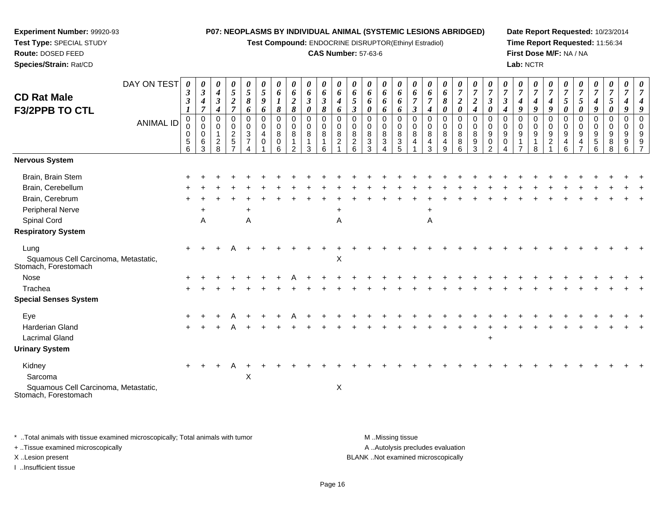**Test Compound:** ENDOCRINE DISRUPTOR(Ethinyl Estradiol)

# **CAS Number:** 57-63-6

**Date Report Requested:** 10/23/2014**Time Report Requested:** 11:56:34**First Dose M/F:** NA / NA**Lab:** NCTR

| <b>CD Rat Male</b>                                                                | DAY ON TEST      | 0<br>$\mathfrak{z}$<br>$\mathfrak{z}$                   | 0<br>$\boldsymbol{\beta}$<br>$\boldsymbol{4}$                  | 0<br>$\boldsymbol{4}$<br>$\mathfrak{z}$                         | 0<br>5<br>$\boldsymbol{2}$                                                  | 0<br>$\mathfrak{s}$<br>8                                             | $\boldsymbol{\theta}$<br>5<br>$\boldsymbol{g}$         | 0<br>6<br>$\boldsymbol{l}$           | 0<br>6<br>$\boldsymbol{2}$                      | $\boldsymbol{\theta}$<br>6<br>$\mathfrak{z}$ | $\boldsymbol{\theta}$<br>6<br>$\mathfrak{z}$   | $\boldsymbol{\theta}$<br>6<br>$\boldsymbol{4}$            | 0<br>6<br>5                                                        | 0<br>6<br>6                                     | 0<br>6<br>6                                                     | $\boldsymbol{\theta}$<br>6<br>6                            | 0<br>6<br>$\overline{7}$                                                    | $\boldsymbol{\theta}$<br>6<br>$\overline{7}$                  | $\boldsymbol{\theta}$<br>6<br>8       | $\boldsymbol{\theta}$<br>$\boldsymbol{7}$<br>$\boldsymbol{2}$ | $\boldsymbol{\theta}$<br>$\overline{7}$<br>$\boldsymbol{2}$          | $\boldsymbol{\theta}$<br>$\overline{7}$<br>$\mathfrak{z}$ | $\boldsymbol{\theta}$<br>$\overline{7}$<br>$\boldsymbol{\beta}$         | 0<br>$\overline{7}$<br>4 | $\boldsymbol{\theta}$<br>$\overline{7}$<br>$\boldsymbol{4}$ | $\boldsymbol{\theta}$<br>$\overline{7}$<br>$\boldsymbol{4}$ | $\boldsymbol{\theta}$<br>$\overline{7}$<br>$\overline{5}$ | $\boldsymbol{7}$<br>5                          | $\frac{\boldsymbol{0}}{7}$<br>4   | $\boldsymbol{\theta}$<br>$\overline{7}$<br>5 | $\boldsymbol{\theta}$<br>$\overline{7}$<br>4   | $\boldsymbol{\theta}$ |
|-----------------------------------------------------------------------------------|------------------|---------------------------------------------------------|----------------------------------------------------------------|-----------------------------------------------------------------|-----------------------------------------------------------------------------|----------------------------------------------------------------------|--------------------------------------------------------|--------------------------------------|-------------------------------------------------|----------------------------------------------|------------------------------------------------|-----------------------------------------------------------|--------------------------------------------------------------------|-------------------------------------------------|-----------------------------------------------------------------|------------------------------------------------------------|-----------------------------------------------------------------------------|---------------------------------------------------------------|---------------------------------------|---------------------------------------------------------------|----------------------------------------------------------------------|-----------------------------------------------------------|-------------------------------------------------------------------------|--------------------------|-------------------------------------------------------------|-------------------------------------------------------------|-----------------------------------------------------------|------------------------------------------------|-----------------------------------|----------------------------------------------|------------------------------------------------|-----------------------|
| F3/2PPB TO CTL                                                                    | <b>ANIMAL ID</b> | 1<br>$\mathbf 0$<br>$\mathbf 0$<br>0<br>$\sqrt{5}$<br>6 | $\overline{7}$<br>$\overline{0}$<br>0<br>$\mathbf 0$<br>6<br>3 | $\boldsymbol{4}$<br>$\mathbf 0$<br>$\mathbf 0$<br>$\frac{2}{8}$ | $\overline{7}$<br>0<br>0<br>$\overline{c}$<br>$\,$ 5 $\,$<br>$\overline{7}$ | 6<br>$\mathbf 0$<br>$\mathbf 0$<br>$\sqrt{3}$<br>$\overline{7}$<br>Δ | 6<br>$\overline{0}$<br>$\mathbf 0$<br>4<br>$\mathbf 0$ | 8<br>0<br>$\mathbf 0$<br>8<br>0<br>6 | 8<br>0<br>$\mathsf 0$<br>8<br>$\mathbf{1}$<br>2 | 0<br>0<br>0<br>8<br>3                        | 8<br>$\mathbf 0$<br>$\mathbf 0$<br>8<br>1<br>6 | 6<br>$\overline{0}$<br>$\mathbf 0$<br>8<br>$\overline{2}$ | $\mathfrak{z}$<br>$\mathbf 0$<br>$\mathbf 0$<br>8<br>$\frac{2}{6}$ | 0<br>$\mathbf 0$<br>0<br>8<br>$\mathbf{3}$<br>3 | 6<br>$\Omega$<br>0<br>$\bf 8$<br>$\ensuremath{\mathsf{3}}$<br>4 | 6<br>$\mathbf 0$<br>$\mathbf 0$<br>$\, 8$<br>$\frac{3}{5}$ | $\mathfrak{z}$<br>$\overline{0}$<br>$\mathbf 0$<br>8<br>$\overline{4}$<br>1 | $\boldsymbol{4}$<br>$\mathbf 0$<br>$\mathbf 0$<br>8<br>4<br>3 | 0<br>$\mathbf{0}$<br>0<br>8<br>4<br>9 | 0<br>0<br>$\mathbf 0$<br>$\bf 8$<br>$^8_6$                    | $\boldsymbol{4}$<br>$\mathbf 0$<br>$\mathbf 0$<br>8<br>$\frac{9}{3}$ | 0<br>$\mathbf 0$<br>$\mathbf 0$<br>9<br>$\mathbf 0$<br>2  | $\boldsymbol{4}$<br>$\mathbf 0$<br>$\mathbf 0$<br>9<br>$\mathbf 0$<br>Δ | 9<br>0<br>0<br>9         | 9<br>0<br>0<br>$\boldsymbol{9}$<br>8                        | 9<br>$\Omega$<br>$\mathbf 0$<br>$9\,$<br>$\overline{c}$     | 0<br>$\Omega$<br>$\mathbf 0$<br>9<br>4<br>6               | 0<br>$\Omega$<br>0<br>9<br>4<br>$\overline{7}$ | 9<br>0<br>0<br>9<br>$\frac{5}{6}$ | 0<br>0<br>0<br>9<br>8<br>8                   | 9<br>$\mathbf 0$<br>$\mathbf 0$<br>9<br>9<br>6 | $\overline{7}$        |
| <b>Nervous System</b>                                                             |                  |                                                         |                                                                |                                                                 |                                                                             |                                                                      |                                                        |                                      |                                                 |                                              |                                                |                                                           |                                                                    |                                                 |                                                                 |                                                            |                                                                             |                                                               |                                       |                                                               |                                                                      |                                                           |                                                                         |                          |                                                             |                                                             |                                                           |                                                |                                   |                                              |                                                |                       |
| Brain, Brain Stem<br>Brain, Cerebellum                                            |                  |                                                         |                                                                |                                                                 |                                                                             |                                                                      |                                                        |                                      |                                                 |                                              |                                                |                                                           |                                                                    |                                                 |                                                                 |                                                            |                                                                             |                                                               |                                       |                                                               |                                                                      |                                                           |                                                                         |                          |                                                             |                                                             |                                                           |                                                |                                   |                                              |                                                |                       |
| Brain, Cerebrum<br>Peripheral Nerve<br>Spinal Cord                                |                  |                                                         | $\ddot{}$<br>A                                                 |                                                                 |                                                                             | $\ddot{}$<br>Α                                                       |                                                        |                                      |                                                 |                                              |                                                | $\ddot{}$<br>A                                            |                                                                    |                                                 |                                                                 |                                                            |                                                                             | ⊣<br>Α                                                        |                                       |                                                               |                                                                      |                                                           |                                                                         |                          |                                                             |                                                             |                                                           |                                                |                                   |                                              |                                                |                       |
| <b>Respiratory System</b>                                                         |                  |                                                         |                                                                |                                                                 |                                                                             |                                                                      |                                                        |                                      |                                                 |                                              |                                                |                                                           |                                                                    |                                                 |                                                                 |                                                            |                                                                             |                                                               |                                       |                                                               |                                                                      |                                                           |                                                                         |                          |                                                             |                                                             |                                                           |                                                |                                   |                                              |                                                |                       |
| Lung<br>Squamous Cell Carcinoma, Metastatic,<br>Stomach, Forestomach              |                  | $\ddot{}$                                               |                                                                |                                                                 |                                                                             |                                                                      |                                                        |                                      |                                                 |                                              |                                                | X                                                         |                                                                    |                                                 |                                                                 |                                                            |                                                                             |                                                               |                                       |                                                               |                                                                      |                                                           |                                                                         |                          |                                                             |                                                             |                                                           |                                                |                                   |                                              |                                                |                       |
| Nose<br>Trachea                                                                   |                  |                                                         |                                                                |                                                                 |                                                                             |                                                                      |                                                        |                                      |                                                 |                                              |                                                |                                                           |                                                                    |                                                 |                                                                 |                                                            |                                                                             |                                                               |                                       |                                                               |                                                                      |                                                           |                                                                         |                          |                                                             |                                                             |                                                           |                                                |                                   |                                              |                                                |                       |
| <b>Special Senses System</b>                                                      |                  |                                                         |                                                                |                                                                 |                                                                             |                                                                      |                                                        |                                      |                                                 |                                              |                                                |                                                           |                                                                    |                                                 |                                                                 |                                                            |                                                                             |                                                               |                                       |                                                               |                                                                      |                                                           |                                                                         |                          |                                                             |                                                             |                                                           |                                                |                                   |                                              |                                                |                       |
| Eye<br>Harderian Gland<br><b>Lacrimal Gland</b><br><b>Urinary System</b>          |                  |                                                         |                                                                |                                                                 |                                                                             |                                                                      |                                                        |                                      |                                                 |                                              |                                                |                                                           |                                                                    |                                                 |                                                                 |                                                            |                                                                             |                                                               |                                       |                                                               |                                                                      | $\ddot{}$                                                 |                                                                         |                          |                                                             |                                                             |                                                           |                                                |                                   |                                              |                                                |                       |
| Kidney<br>Sarcoma<br>Squamous Cell Carcinoma, Metastatic,<br>Stomach, Forestomach |                  | $\ddot{}$                                               |                                                                |                                                                 |                                                                             | X                                                                    |                                                        |                                      |                                                 |                                              |                                                | $\boldsymbol{\mathsf{X}}$                                 |                                                                    |                                                 |                                                                 |                                                            |                                                                             |                                                               |                                       |                                                               |                                                                      |                                                           |                                                                         |                          |                                                             |                                                             |                                                           |                                                |                                   |                                              |                                                |                       |

\* ..Total animals with tissue examined microscopically; Total animals with tumor **M** . Missing tissue M ..Missing tissue A ..Autolysis precludes evaluation + ..Tissue examined microscopically X ..Lesion present BLANK ..Not examined microscopicallyI ..Insufficient tissue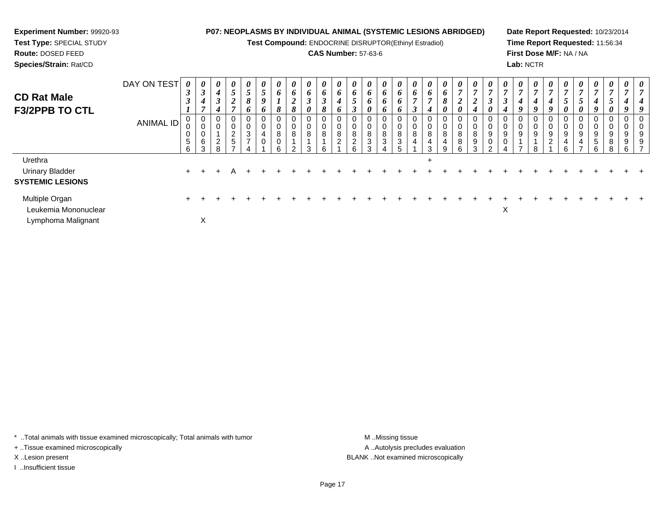**Test Compound:** ENDOCRINE DISRUPTOR(Ethinyl Estradiol)

# **CAS Number:** 57-63-6

**Date Report Requested:** 10/23/2014**Time Report Requested:** 11:56:34**First Dose M/F:** NA / NA**Lab:** NCTR

| <b>CD Rat Male</b>                     | DAY ON TEST | 0<br>3          | 0<br>3                             | $\boldsymbol{\theta}$<br>$\boldsymbol{4}$ | 0<br>$\overline{5}$        | 0<br>J                        | 0<br>5      | 0<br>6      | 0<br>6                   | $\boldsymbol{\theta}$<br>6 | $\boldsymbol{\theta}$<br>6 | $\boldsymbol{\theta}$<br>6 | 0<br>6                        | $\boldsymbol{\theta}$<br>6 | $\boldsymbol{\theta}$<br>$\bm{b}$ | $\boldsymbol{\theta}$<br>6 | $\boldsymbol{\theta}$<br>6               | 0<br>6         | 0<br>6                     | $\boldsymbol{\theta}$<br>$\overline{ }$ | $\boldsymbol{\theta}$ | $\boldsymbol{\theta}$     | $\boldsymbol{\theta}$<br>$\mathbf{r}$ | $\boldsymbol{\theta}$ | 0           | U           | $\boldsymbol{\theta}$<br>$\overline{ }$ | $\boldsymbol{\theta}$                | $\boldsymbol{\theta}$<br>$\overline{7}$ | $\boldsymbol{\theta}$ | $\boldsymbol{\theta}$ | $\boldsymbol{\theta}$ |
|----------------------------------------|-------------|-----------------|------------------------------------|-------------------------------------------|----------------------------|-------------------------------|-------------|-------------|--------------------------|----------------------------|----------------------------|----------------------------|-------------------------------|----------------------------|-----------------------------------|----------------------------|------------------------------------------|----------------|----------------------------|-----------------------------------------|-----------------------|---------------------------|---------------------------------------|-----------------------|-------------|-------------|-----------------------------------------|--------------------------------------|-----------------------------------------|-----------------------|-----------------------|-----------------------|
| <b>F3/2PPB TO CTL</b>                  |             | 3               | $\boldsymbol{4}$<br>$\overline{ }$ | $\rightarrow$<br>J<br>4                   | $\overline{2}$             | $\Omega$<br>$\mathbf{o}$<br>o | O           | 8           | ◠<br>$\overline{a}$<br>8 | $\boldsymbol{\beta}$<br>0  | J<br>8                     | 4<br>o                     | $\overline{\phantom{0}}$<br>J | o<br>0                     | $\bm{o}$<br>$\bm{o}$              | 6<br>O                     | 3                                        | $\overline{ }$ | 8<br>$\boldsymbol{\theta}$ | $\epsilon$<br>0                         | 4                     | $\boldsymbol{\beta}$<br>0 | $\rightarrow$<br>J<br>4               | 4                     | 4<br>Q      | 4<br>9      | $\mathcal{L}$<br>$\boldsymbol{\theta}$  | $\overline{ }$<br>$\mathcal{L}$<br>0 | $\overline{4}$<br>9                     | ◡<br>0                | 9                     | Q                     |
|                                        | ANIMAL ID   | υ<br>0          | 0<br>0<br>0                        | 0<br>0                                    | 0<br>0<br>$\boldsymbol{2}$ | 0<br>U<br>3                   | 0<br>0<br>4 | 0<br>0<br>8 | 0<br>0<br>8              | 0<br>0<br>8                | 0<br>0<br>8                | 8                          | 0<br>0<br>8                   | 0<br>0<br>8                | 0<br>0<br>8                       | 0<br>0<br>8                | $\mathbf 0$<br>$\overline{0}$<br>$\bf 8$ | 0<br>8         | 0<br>$\overline{0}$<br>8   | U<br>0<br>8                             | 0<br>0<br>8           | U<br>0<br>9               | 0<br>0<br>9                           | U<br>0<br>9           | 0<br>0<br>9 | υ<br>U<br>9 | 0<br>0<br>9                             | 0<br>0<br>9                          | 0<br>9                                  | U<br>9                | 0<br>9                | 0<br>9                |
|                                        |             | $\sqrt{5}$<br>6 | 6<br>3                             | $\overline{2}$<br>8                       | $\sqrt{5}$                 | ⇁                             | $\mathbf 0$ | 0<br>6      | ົ                        | 3                          | 6                          | ←                          | ົ<br>$\sim$<br>R.             | $\sqrt{3}$<br>$\mathbf{r}$ | $\sqrt{3}$                        | $\sqrt{3}$                 | 4                                        | 4<br>$\sim$    | 4<br>$\Omega$              | 8<br>ĥ.                                 | 9<br>$\Omega$         | U<br>$\sim$               | 0                                     |                       | $\circ$     | $\sim$<br>∠ | 4<br>6                                  | 4<br>$\rightarrow$                   | 5<br>ĥ                                  | 8<br>$\Omega$         | 9<br>6                | 9                     |
| Urethra                                |             |                 |                                    |                                           |                            |                               |             |             |                          |                            |                            |                            |                               |                            |                                   |                            |                                          | ÷              |                            |                                         |                       |                           |                                       |                       |             |             |                                         |                                      |                                         |                       |                       |                       |
| <b>Urinary Bladder</b>                 |             | $+$             |                                    |                                           |                            |                               |             |             |                          |                            |                            |                            |                               |                            |                                   |                            |                                          |                |                            |                                         |                       |                           |                                       |                       |             |             |                                         |                                      |                                         |                       |                       |                       |
| <b>SYSTEMIC LESIONS</b>                |             |                 |                                    |                                           |                            |                               |             |             |                          |                            |                            |                            |                               |                            |                                   |                            |                                          |                |                            |                                         |                       |                           |                                       |                       |             |             |                                         |                                      |                                         |                       |                       |                       |
| Multiple Organ<br>Leukemia Mononuclear |             | ÷               |                                    |                                           |                            |                               |             |             |                          |                            |                            |                            |                               |                            |                                   |                            |                                          |                |                            |                                         |                       |                           | X                                     |                       |             |             |                                         |                                      |                                         |                       |                       |                       |

\* ..Total animals with tissue examined microscopically; Total animals with tumor **M** . Missing tissue M ..Missing tissue

X

+ ..Tissue examined microscopically

**Experiment Number:** 99920-93**Test Type:** SPECIAL STUDY**Route:** DOSED FEED**Species/Strain:** Rat/CD

Lymphoma Malignant

I ..Insufficient tissue

A ..Autolysis precludes evaluation X ..Lesion present BLANK ..Not examined microscopically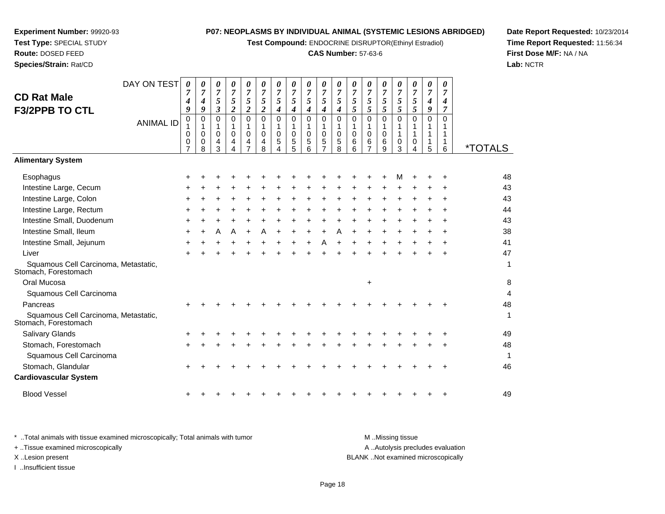**Test Compound:** ENDOCRINE DISRUPTOR(Ethinyl Estradiol)

### **CAS Number:** 57-63-6

6 \*TOTALS

1

1

**Date Report Requested:** 10/23/2014**Time Report Requested:** 11:56:34**First Dose M/F:** NA / NA**Lab:** NCTR

|                                                              |           | 8 | 3 | 4 |           | 8 | 5         | 6         |           | 8         | 6         |           | 9 | 3 | 4 | 5 | 6         | ົIUIALS |
|--------------------------------------------------------------|-----------|---|---|---|-----------|---|-----------|-----------|-----------|-----------|-----------|-----------|---|---|---|---|-----------|---------|
| <b>Alimentary System</b>                                     |           |   |   |   |           |   |           |           |           |           |           |           |   |   |   |   |           |         |
| Esophagus                                                    | +         |   |   |   |           |   |           |           |           |           |           |           |   |   |   |   |           | 48      |
| Intestine Large, Cecum                                       | ÷         |   |   |   |           |   |           |           |           |           |           |           |   | + |   |   |           | 43      |
| Intestine Large, Colon                                       | $\ddot{}$ |   |   |   |           | + | ٠         |           | ÷         |           |           |           |   |   |   |   |           | 43      |
| Intestine Large, Rectum                                      | $\ddot{}$ |   |   |   |           |   |           |           |           |           |           |           |   |   |   |   |           | 44      |
| Intestine Small, Duodenum                                    | $+$       |   |   |   |           |   |           |           |           |           |           |           |   |   |   |   |           | 43      |
| Intestine Small, Ileum                                       | $\ddot{}$ | + | A | A | $\ddot{}$ | Α | $\ddot{}$ | $\pm$     | $\ddot{}$ | A         | $\ddot{}$ |           |   |   |   |   |           | 38      |
| Intestine Small, Jejunum                                     | +         |   |   |   |           |   | $\ddot{}$ | $\ddot{}$ | A         | $\ddot{}$ | $\ddot{}$ |           |   |   |   |   |           | 41      |
| Liver                                                        | $\pm$     |   |   |   |           |   | $\ddot{}$ |           | $\ddot{}$ |           |           |           |   |   |   |   |           | 47      |
| Squamous Cell Carcinoma, Metastatic,<br>Stomach, Forestomach |           |   |   |   |           |   |           |           |           |           |           |           |   |   |   |   |           | 1       |
| Oral Mucosa                                                  |           |   |   |   |           |   |           |           |           |           |           | $\ddot{}$ |   |   |   |   |           | 8       |
| Squamous Cell Carcinoma                                      |           |   |   |   |           |   |           |           |           |           |           |           |   |   |   |   |           | 4       |
| Pancreas                                                     | ÷         |   |   |   |           |   |           |           |           |           |           |           |   |   |   |   |           | 48      |
| Squamous Cell Carcinoma, Metastatic,<br>Stomach, Forestomach |           |   |   |   |           |   |           |           |           |           |           |           |   |   |   |   |           | 1       |
| Salivary Glands                                              | ÷         |   |   |   |           |   |           |           |           |           |           |           |   |   |   |   |           | 49      |
| Stomach, Forestomach                                         | +         |   |   |   |           |   |           |           |           |           |           |           |   |   |   |   | $\ddot{}$ | 48      |
| Squamous Cell Carcinoma                                      |           |   |   |   |           |   |           |           |           |           |           |           |   |   |   |   |           | 1       |
| Stomach, Glandular                                           | $\pm$     |   |   |   |           |   |           |           |           |           |           |           |   |   |   |   | $\pm$     | 46      |
| <b>Cardiovascular System</b>                                 |           |   |   |   |           |   |           |           |           |           |           |           |   |   |   |   |           |         |
| <b>Blood Vessel</b>                                          |           |   |   |   |           |   |           |           |           |           |           |           |   |   |   |   |           | 49      |

**Experiment Number:** 99920-93**Test Type:** SPECIAL STUDY**Route:** DOSED FEED**Species/Strain:** Rat/CD

**CD Rat Male**

**F3/2PPB TO CTL**

DAY ON TEST

*0*

*7 5 2*

ANIMAL ID

\* ..Total animals with tissue examined microscopically; Total animals with tumor **M** ..Missing tissue M ..Missing tissue A ..Autolysis precludes evaluation + ..Tissue examined microscopically X ..Lesion present BLANK ..Not examined microscopicallyI ..Insufficient tissue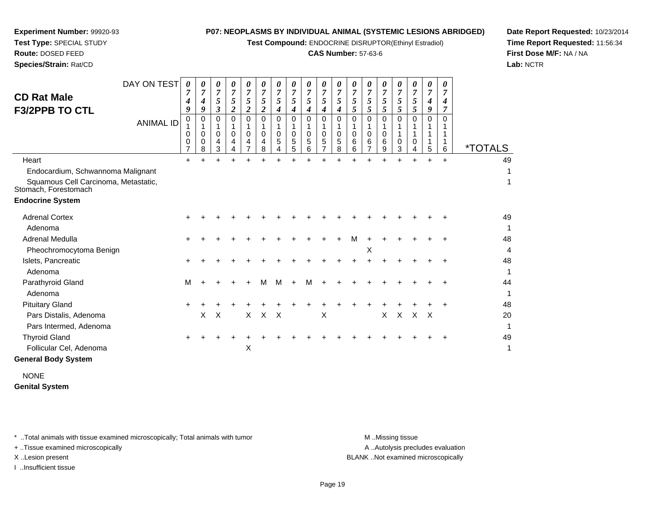**Test Compound:** ENDOCRINE DISRUPTOR(Ethinyl Estradiol)

# **CAS Number:** 57-63-6

**Date Report Requested:** 10/23/2014**Time Report Requested:** 11:56:34**First Dose M/F:** NA / NA**Lab:** NCTR

| <b>CD Rat Male</b><br><b>F3/2PPB TO CTL</b>                  | DAY ON TEST<br><b>ANIMAL ID</b> | 0<br>4<br>9<br>0<br>0<br>0 | 0<br>4<br>9<br>0<br>0<br>0 | 0<br>$\overline{7}$<br>5<br>$\boldsymbol{\beta}$<br>$\Omega$<br>$\mathbf 0$<br>$\overline{4}$ | 0<br>$\overline{7}$<br>5<br>$\overline{2}$<br>$\Omega$<br>1<br>$\Omega$<br>4 | 0<br>$\overline{7}$<br>5<br>$\overline{2}$<br>$\Omega$<br>1<br>$\Omega$<br>4 | $\theta$<br>7<br>5<br>$\overline{\mathbf{2}}$<br>$\Omega$<br>1<br>$\Omega$<br>4 | $\boldsymbol{\theta}$<br>$\overline{7}$<br>5<br>4<br>$\Omega$<br>$\mathbf 0$<br>5 | 0<br>$\overline{7}$<br>5<br>4<br>0<br>0<br>5 | 0<br>$\overline{7}$<br>5<br>4<br>0<br>1<br>0<br>5 | 0<br>$\overline{7}$<br>5<br>4<br>$\Omega$<br>0<br>5 | $\overline{7}$<br>5<br>4<br>$\Omega$<br>$\mathbf 0$<br>5 | 0<br>$\overline{7}$<br>5<br>5<br>$\Omega$<br>$\mathbf 0$<br>6 | 0<br>$\overline{7}$<br>5<br>5<br>$\Omega$<br>1<br>$\mathbf 0$<br>6 | $\theta$<br>$\overline{7}$<br>$\mathfrak{s}$<br>5<br>$\Omega$<br>$\Omega$<br>6 | $\theta$<br>7<br>5<br>5<br>0<br>0 | 0<br>$\overline{7}$<br>5<br>5<br>$\Omega$<br>1<br>0 | 0<br>$\overline{7}$<br>4<br>9<br>$\Omega$<br>1 | 0<br>$\overline{7}$<br>4<br>7<br>0<br>1<br>1 |                             |
|--------------------------------------------------------------|---------------------------------|----------------------------|----------------------------|-----------------------------------------------------------------------------------------------|------------------------------------------------------------------------------|------------------------------------------------------------------------------|---------------------------------------------------------------------------------|-----------------------------------------------------------------------------------|----------------------------------------------|---------------------------------------------------|-----------------------------------------------------|----------------------------------------------------------|---------------------------------------------------------------|--------------------------------------------------------------------|--------------------------------------------------------------------------------|-----------------------------------|-----------------------------------------------------|------------------------------------------------|----------------------------------------------|-----------------------------|
| Heart                                                        |                                 | $\pm$                      | 8                          | 3                                                                                             | 4                                                                            | $\overline{7}$                                                               | 8                                                                               | 4                                                                                 | 5                                            | 6                                                 | $\overline{7}$                                      | 8                                                        | 6                                                             | $\overline{7}$                                                     | 9                                                                              | 3                                 | 4                                                   | 5                                              | 6<br>$\ddot{}$                               | <i><b>*TOTALS</b></i><br>49 |
| Endocardium, Schwannoma Malignant                            |                                 |                            |                            |                                                                                               |                                                                              |                                                                              |                                                                                 |                                                                                   |                                              |                                                   |                                                     |                                                          |                                                               |                                                                    |                                                                                |                                   |                                                     |                                                |                                              | 1                           |
|                                                              |                                 |                            |                            |                                                                                               |                                                                              |                                                                              |                                                                                 |                                                                                   |                                              |                                                   |                                                     |                                                          |                                                               |                                                                    |                                                                                |                                   |                                                     |                                                |                                              |                             |
| Squamous Cell Carcinoma, Metastatic,<br>Stomach, Forestomach |                                 |                            |                            |                                                                                               |                                                                              |                                                                              |                                                                                 |                                                                                   |                                              |                                                   |                                                     |                                                          |                                                               |                                                                    |                                                                                |                                   |                                                     |                                                |                                              | 1                           |
| <b>Endocrine System</b>                                      |                                 |                            |                            |                                                                                               |                                                                              |                                                                              |                                                                                 |                                                                                   |                                              |                                                   |                                                     |                                                          |                                                               |                                                                    |                                                                                |                                   |                                                     |                                                |                                              |                             |
| <b>Adrenal Cortex</b>                                        |                                 |                            |                            |                                                                                               |                                                                              |                                                                              |                                                                                 |                                                                                   |                                              |                                                   |                                                     |                                                          |                                                               |                                                                    |                                                                                |                                   |                                                     |                                                |                                              | 49                          |
| Adenoma                                                      |                                 |                            |                            |                                                                                               |                                                                              |                                                                              |                                                                                 |                                                                                   |                                              |                                                   |                                                     |                                                          |                                                               |                                                                    |                                                                                |                                   |                                                     |                                                |                                              |                             |
| Adrenal Medulla                                              |                                 |                            |                            |                                                                                               |                                                                              |                                                                              |                                                                                 |                                                                                   |                                              |                                                   |                                                     |                                                          | M                                                             |                                                                    |                                                                                |                                   |                                                     |                                                |                                              | 48                          |
| Pheochromocytoma Benign                                      |                                 |                            |                            |                                                                                               |                                                                              |                                                                              |                                                                                 |                                                                                   |                                              |                                                   |                                                     |                                                          |                                                               | X                                                                  |                                                                                |                                   |                                                     |                                                |                                              | 4                           |
| Islets, Pancreatic                                           |                                 |                            |                            |                                                                                               |                                                                              |                                                                              |                                                                                 |                                                                                   |                                              |                                                   |                                                     |                                                          |                                                               |                                                                    |                                                                                |                                   |                                                     |                                                |                                              | 48                          |
| Adenoma                                                      |                                 |                            |                            |                                                                                               |                                                                              |                                                                              |                                                                                 |                                                                                   |                                              |                                                   |                                                     |                                                          |                                                               |                                                                    |                                                                                |                                   |                                                     |                                                |                                              | 1                           |
| Parathyroid Gland                                            |                                 | м                          |                            |                                                                                               |                                                                              |                                                                              | м                                                                               | M                                                                                 |                                              | М                                                 |                                                     |                                                          |                                                               |                                                                    |                                                                                |                                   |                                                     |                                                |                                              | 44                          |
| Adenoma                                                      |                                 |                            |                            |                                                                                               |                                                                              |                                                                              |                                                                                 |                                                                                   |                                              |                                                   |                                                     |                                                          |                                                               |                                                                    |                                                                                |                                   |                                                     |                                                |                                              | 1                           |
| <b>Pituitary Gland</b>                                       |                                 |                            |                            |                                                                                               |                                                                              |                                                                              |                                                                                 |                                                                                   |                                              |                                                   |                                                     |                                                          |                                                               |                                                                    |                                                                                |                                   |                                                     |                                                |                                              | 48                          |
| Pars Distalis, Adenoma                                       |                                 |                            | X                          | X                                                                                             |                                                                              | X                                                                            | X                                                                               | X                                                                                 |                                              |                                                   | X                                                   |                                                          |                                                               |                                                                    | X                                                                              | X                                 | X                                                   | X                                              |                                              | 20                          |
| Pars Intermed, Adenoma                                       |                                 |                            |                            |                                                                                               |                                                                              |                                                                              |                                                                                 |                                                                                   |                                              |                                                   |                                                     |                                                          |                                                               |                                                                    |                                                                                |                                   |                                                     |                                                |                                              | 1                           |
| <b>Thyroid Gland</b>                                         |                                 |                            |                            |                                                                                               |                                                                              |                                                                              |                                                                                 |                                                                                   |                                              |                                                   |                                                     |                                                          |                                                               |                                                                    |                                                                                |                                   |                                                     |                                                |                                              | 49                          |
| Follicular Cel, Adenoma                                      |                                 |                            |                            |                                                                                               |                                                                              | X                                                                            |                                                                                 |                                                                                   |                                              |                                                   |                                                     |                                                          |                                                               |                                                                    |                                                                                |                                   |                                                     |                                                |                                              | 1                           |
| <b>General Body System</b>                                   |                                 |                            |                            |                                                                                               |                                                                              |                                                                              |                                                                                 |                                                                                   |                                              |                                                   |                                                     |                                                          |                                                               |                                                                    |                                                                                |                                   |                                                     |                                                |                                              |                             |
|                                                              |                                 |                            |                            |                                                                                               |                                                                              |                                                                              |                                                                                 |                                                                                   |                                              |                                                   |                                                     |                                                          |                                                               |                                                                    |                                                                                |                                   |                                                     |                                                |                                              |                             |

NONE**Genital System**

\* ..Total animals with tissue examined microscopically; Total animals with tumor **M** ...Missing tissue M ...Missing tissue

+ ..Tissue examined microscopically

**Experiment Number:** 99920-93**Test Type:** SPECIAL STUDY**Route:** DOSED FEED**Species/Strain:** Rat/CD

I ..Insufficient tissue

A ..Autolysis precludes evaluation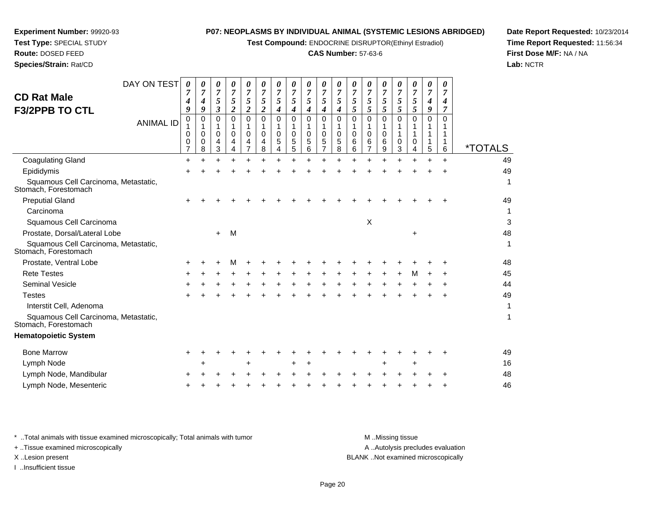**Test Compound:** ENDOCRINE DISRUPTOR(Ethinyl Estradiol)

### **CAS Number:** 57-63-6

<sup>+</sup> <sup>+</sup> <sup>+</sup> <sup>+</sup> <sup>+</sup> <sup>+</sup> <sup>+</sup> <sup>+</sup> <sup>+</sup> <sup>+</sup> <sup>+</sup> <sup>+</sup> <sup>+</sup> <sup>+</sup> <sup>+</sup> <sup>+</sup> <sup>+</sup> <sup>49</sup>

<sup>+</sup> <sup>+</sup> <sup>+</sup> <sup>+</sup> <sup>+</sup> <sup>+</sup> <sup>+</sup> <sup>+</sup> <sup>+</sup> <sup>+</sup> <sup>+</sup> <sup>+</sup> <sup>+</sup> <sup>+</sup> <sup>+</sup> <sup>+</sup> <sup>+</sup> <sup>49</sup>

<sup>+</sup> <sup>+</sup> <sup>+</sup> <sup>+</sup> <sup>+</sup> <sup>+</sup> <sup>+</sup> <sup>+</sup> <sup>+</sup> <sup>+</sup> <sup>+</sup> <sup>+</sup> <sup>+</sup> <sup>+</sup> <sup>+</sup> <sup>+</sup> <sup>+</sup> <sup>49</sup>

6 \*TOTALS

49

1

1

**Date Report Requested:** 10/23/2014**Time Report Requested:** 11:56:34**First Dose M/F:** NA / NA**Lab:** NCTR

| Squamous Cell Carcinoma                                      |           |           |     |   |   |  |     |           |  | X |   |           |           |       |       | 3  |
|--------------------------------------------------------------|-----------|-----------|-----|---|---|--|-----|-----------|--|---|---|-----------|-----------|-------|-------|----|
| Prostate, Dorsal/Lateral Lobe                                |           |           | $+$ | M |   |  |     |           |  |   |   |           | $\ddot{}$ |       |       | 48 |
| Squamous Cell Carcinoma, Metastatic,<br>Stomach, Forestomach |           |           |     |   |   |  |     |           |  |   |   |           |           |       |       | 1  |
| Prostate, Ventral Lobe                                       | $\pm$     |           |     | М |   |  |     |           |  |   |   |           |           |       |       | 48 |
| <b>Rete Testes</b>                                           | $\pm$     |           |     |   |   |  |     |           |  |   |   | $\ddot{}$ | м         | $\pm$ | ÷     | 45 |
| Seminal Vesicle                                              | ÷         |           |     |   |   |  |     |           |  |   |   |           |           | ÷     | ÷     | 44 |
| <b>Testes</b>                                                | $\ddot{}$ |           |     |   |   |  |     |           |  |   |   |           |           |       | $\pm$ | 49 |
| Interstit Cell, Adenoma                                      |           |           |     |   |   |  |     |           |  |   |   |           |           |       |       | 1  |
| Squamous Cell Carcinoma, Metastatic,<br>Stomach, Forestomach |           |           |     |   |   |  |     |           |  |   |   |           |           |       |       | 1  |
| <b>Hematopoietic System</b>                                  |           |           |     |   |   |  |     |           |  |   |   |           |           |       |       |    |
| <b>Bone Marrow</b>                                           | $\pm$     |           |     |   |   |  |     |           |  |   |   |           |           |       |       | 49 |
| Lymph Node                                                   |           | $\ddot{}$ |     |   | + |  | $+$ | $\ddot{}$ |  |   | ÷ |           | $\ddot{}$ |       |       | 16 |
| Lymph Node, Mandibular                                       | $\ddot{}$ |           |     |   |   |  | +   |           |  |   |   |           |           |       |       | 48 |
| Lymph Node, Mesenteric                                       | $\ddot{}$ |           |     |   |   |  | +   |           |  |   |   |           |           |       | ÷     | 46 |
|                                                              |           |           |     |   |   |  |     |           |  |   |   |           |           |       |       |    |
|                                                              |           |           |     |   |   |  |     |           |  |   |   |           |           |       |       |    |
|                                                              |           |           |     |   |   |  |     |           |  |   |   |           |           |       |       |    |

\* ..Total animals with tissue examined microscopically; Total animals with tumor M ...Missing tissue M ...Missing tissue A ..Autolysis precludes evaluation + ..Tissue examined microscopically X ..Lesion present BLANK ..Not examined microscopicallyI ..Insufficient tissue

Bone MarrowLymph Node

**Test Type:** SPECIAL STUDY**Route:** DOSED FEED**Species/Strain:** Rat/CD

**CD Rat Male**

**F3/2PPB TO CTL**

Coagulating Gland

Stomach, Forestomach

Preputial Gland

Carcinoma

Epididymis

# **Experiment Number:** 99920-93

DAY ON TEST

 $a$ 

ANIMAL ID

 $\alpha$  +

 $\alpha$  +

 $\mathsf{S}$  +

Squamous Cell Carcinoma, Metastatic,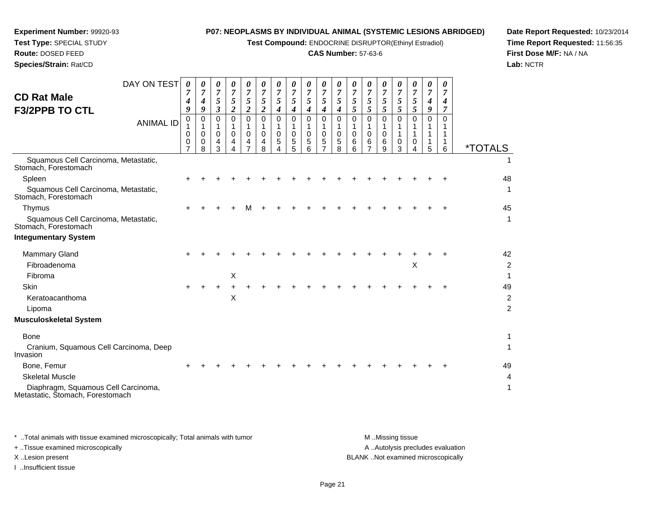**Test Compound:** ENDOCRINE DISRUPTOR(Ethinyl Estradiol)

# **CAS Number:** 57-63-6

**Date Report Requested:** 10/23/2014**Time Report Requested:** 11:56:35**First Dose M/F:** NA / NA**Lab:** NCTR

| DAY ON TEST                                                             | 0      | 0<br>7 | 0<br>$\overline{7}$ | 0<br>$\overline{7}$ | 0<br>7           | 0<br>$\overline{7}$ | 0<br>7 | 0<br>7           | 0<br>7 | 0<br>7          | $\boldsymbol{\theta}$<br>7 | 0<br>7           | 0<br>7         | 0<br>7 | 0<br>7 | 0 | 0<br>7 | 0<br>7 |                       |
|-------------------------------------------------------------------------|--------|--------|---------------------|---------------------|------------------|---------------------|--------|------------------|--------|-----------------|----------------------------|------------------|----------------|--------|--------|---|--------|--------|-----------------------|
| <b>CD Rat Male</b>                                                      | 4      | 4      | 5                   | 5                   | 5                | 5                   | 5      | 5                | 5      | $5\overline{)}$ | 5                          | $\mathfrak{s}$   | $\mathfrak{s}$ | 5      | 5      | 5 | 4      | 4      |                       |
| <b>F3/2PPB TO CTL</b>                                                   | 9      | 9      | 3                   | $\boldsymbol{2}$    | $\boldsymbol{2}$ | 2                   | 4      | 4                | 4      | 4               | 4                          | 5                | 5              | 5      | 5      | 5 | 9      | 7      |                       |
| <b>ANIMAL ID</b>                                                        | 0      | 0      | 0                   | $\mathbf 0$         | $\mathbf 0$<br>1 | 0                   | 0<br>1 | 0                | 0      | 0               | 0                          | 0<br>1           | 0              | 0      | 0      | 0 | 0      | 0      |                       |
|                                                                         | 0<br>0 | 0<br>0 | $\mathbf 0$         | $\mathbf 0$<br>4    | $\mathbf 0$<br>4 | 0                   | 0<br>5 | $\mathbf 0$<br>5 | 0<br>5 | 0<br>5          | 0<br>5                     | $\mathbf 0$<br>6 | 0<br>6         | 0<br>6 | 1<br>0 | 1 | 1      | 1      |                       |
|                                                                         | 7      | 8      | 4<br>3              |                     |                  | 4<br>8              |        | 5                | 6      |                 | 8                          | 6                |                | 9      | 3      | 0 | 5      | 6      | <i><b>*TOTALS</b></i> |
| Squamous Cell Carcinoma, Metastatic,<br>Stomach, Forestomach            |        |        |                     |                     |                  |                     |        |                  |        |                 |                            |                  |                |        |        |   |        |        |                       |
| Spleen                                                                  |        |        |                     |                     |                  |                     |        |                  |        |                 |                            |                  |                |        |        |   |        |        | 48                    |
| Squamous Cell Carcinoma, Metastatic,<br>Stomach, Forestomach            |        |        |                     |                     |                  |                     |        |                  |        |                 |                            |                  |                |        |        |   |        |        | 1                     |
| Thymus                                                                  |        |        |                     |                     | м                |                     |        |                  |        |                 |                            |                  |                |        |        |   |        |        | 45                    |
| Squamous Cell Carcinoma, Metastatic,<br>Stomach, Forestomach            |        |        |                     |                     |                  |                     |        |                  |        |                 |                            |                  |                |        |        |   |        |        | 1                     |
| <b>Integumentary System</b>                                             |        |        |                     |                     |                  |                     |        |                  |        |                 |                            |                  |                |        |        |   |        |        |                       |
| <b>Mammary Gland</b>                                                    |        |        |                     |                     |                  |                     |        |                  |        |                 |                            |                  |                |        |        |   |        |        | 42                    |
| Fibroadenoma                                                            |        |        |                     |                     |                  |                     |        |                  |        |                 |                            |                  |                |        |        | Χ |        |        | $\overline{c}$        |
| Fibroma                                                                 |        |        |                     | X                   |                  |                     |        |                  |        |                 |                            |                  |                |        |        |   |        |        | 1                     |
| <b>Skin</b>                                                             | $\pm$  |        |                     |                     |                  |                     |        |                  |        |                 |                            |                  |                |        |        |   |        |        | 49                    |
| Keratoacanthoma                                                         |        |        |                     | X                   |                  |                     |        |                  |        |                 |                            |                  |                |        |        |   |        |        | $\overline{c}$        |
| Lipoma                                                                  |        |        |                     |                     |                  |                     |        |                  |        |                 |                            |                  |                |        |        |   |        |        | $\overline{2}$        |
| <b>Musculoskeletal System</b>                                           |        |        |                     |                     |                  |                     |        |                  |        |                 |                            |                  |                |        |        |   |        |        |                       |
| <b>Bone</b>                                                             |        |        |                     |                     |                  |                     |        |                  |        |                 |                            |                  |                |        |        |   |        |        | 1                     |
| Cranium, Squamous Cell Carcinoma, Deep<br>Invasion                      |        |        |                     |                     |                  |                     |        |                  |        |                 |                            |                  |                |        |        |   |        |        | 1                     |
| Bone, Femur                                                             |        |        |                     |                     |                  |                     |        |                  |        |                 |                            |                  |                |        |        |   |        |        | 49                    |
| <b>Skeletal Muscle</b>                                                  |        |        |                     |                     |                  |                     |        |                  |        |                 |                            |                  |                |        |        |   |        |        | 4                     |
| Diaphragm, Squamous Cell Carcinoma,<br>Metastatic, Stomach, Forestomach |        |        |                     |                     |                  |                     |        |                  |        |                 |                            |                  |                |        |        |   |        |        | 1                     |

**Experiment Number:** 99920-93**Test Type:** SPECIAL STUDY**Route:** DOSED FEED**Species/Strain:** Rat/CD

\* ..Total animals with tissue examined microscopically; Total animals with tumor **M** ...Missing tissue M ...Missing tissue A ..Autolysis precludes evaluation + ..Tissue examined microscopically X ..Lesion present BLANK ..Not examined microscopicallyI ..Insufficient tissue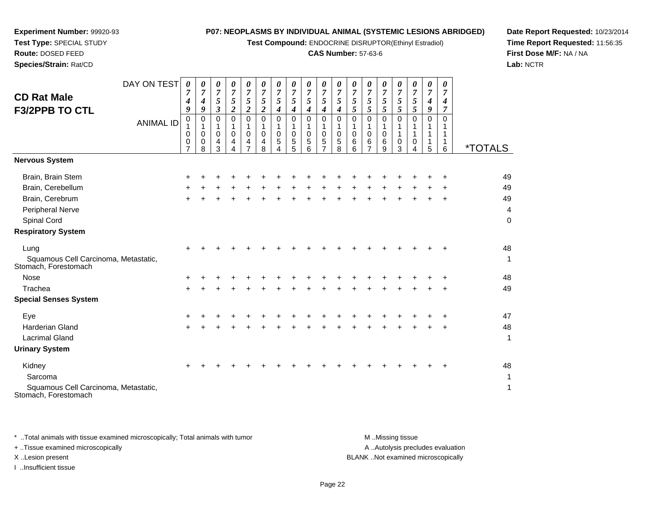**Test Compound:** ENDOCRINE DISRUPTOR(Ethinyl Estradiol)

# **CAS Number:** 57-63-6

**Date Report Requested:** 10/23/2014**Time Report Requested:** 11:56:35**First Dose M/F:** NA / NA**Lab:** NCTR

|                                                              | DAY ON TEST      | 0                             | 0                               | 0                                                      | 0                                       | 0                                                | 0                                     | 0                                       | 0                            | $\theta$                 | 0                                            | 0                                         | 0                        | 0                                          | 0                                 | 0                       | 0                        | 0                                       | $\theta$                   |                       |
|--------------------------------------------------------------|------------------|-------------------------------|---------------------------------|--------------------------------------------------------|-----------------------------------------|--------------------------------------------------|---------------------------------------|-----------------------------------------|------------------------------|--------------------------|----------------------------------------------|-------------------------------------------|--------------------------|--------------------------------------------|-----------------------------------|-------------------------|--------------------------|-----------------------------------------|----------------------------|-----------------------|
| <b>CD Rat Male</b><br><b>F3/2PPB TO CTL</b>                  |                  | 7<br>4<br>9                   | 7<br>4<br>9                     | $\boldsymbol{7}$<br>$\sqrt{5}$<br>$\boldsymbol{\beta}$ | $\overline{7}$<br>5<br>$\boldsymbol{2}$ | $\overline{7}$<br>$\sqrt{5}$<br>$\boldsymbol{2}$ | $\overline{7}$<br>5<br>$\overline{c}$ | $\overline{7}$<br>5<br>$\boldsymbol{4}$ | $\overline{7}$<br>5<br>4     | $\overline{7}$<br>5<br>4 | $\boldsymbol{7}$<br>$5\overline{)}$<br>4     | $\overline{7}$<br>$\mathfrak{s}$<br>4     | $\overline{7}$<br>5<br>5 | $\overline{7}$<br>5<br>5                   | $\overline{7}$<br>5<br>$\sqrt{5}$ | 7<br>5<br>5             | $\overline{7}$<br>5<br>5 | $\overline{7}$<br>$\boldsymbol{4}$<br>9 | 7<br>$\boldsymbol{4}$<br>7 |                       |
|                                                              | <b>ANIMAL ID</b> | 0<br>0<br>0<br>$\overline{7}$ | 0<br>1<br>$\mathbf 0$<br>0<br>8 | 0<br>1<br>0<br>4<br>3                                  | 0<br>1<br>$\mathbf 0$<br>4<br>4         | $\mathbf 0$<br>1<br>0<br>4<br>$\overline{7}$     | $\mathbf 0$<br>1<br>0<br>4<br>8       | 0<br>0<br>5<br>4                        | $\Omega$<br>1<br>0<br>5<br>5 | $\Omega$<br>0<br>5<br>6  | $\mathbf 0$<br>1<br>0<br>5<br>$\overline{7}$ | 0<br>1<br>$\mathbf 0$<br>$\,$ 5 $\,$<br>8 | 0<br>1<br>0<br>6<br>6    | 0<br>1<br>$\pmb{0}$<br>6<br>$\overline{7}$ | 0<br>1<br>0<br>6<br>9             | $\Omega$<br>1<br>0<br>3 | $\Omega$<br>1<br>0<br>4  | $\Omega$<br>1<br>1<br>1<br>5            | 0<br>1<br>1<br>6           | <i><b>*TOTALS</b></i> |
| Nervous System                                               |                  |                               |                                 |                                                        |                                         |                                                  |                                       |                                         |                              |                          |                                              |                                           |                          |                                            |                                   |                         |                          |                                         |                            |                       |
| Brain, Brain Stem                                            |                  | +                             |                                 |                                                        |                                         |                                                  |                                       |                                         |                              |                          |                                              |                                           |                          |                                            |                                   |                         |                          |                                         |                            | 49                    |
| Brain, Cerebellum                                            |                  |                               |                                 |                                                        |                                         |                                                  |                                       |                                         |                              |                          |                                              |                                           |                          |                                            |                                   |                         |                          |                                         |                            | 49                    |
| Brain, Cerebrum                                              |                  | $\pm$                         |                                 |                                                        |                                         |                                                  |                                       |                                         |                              |                          |                                              |                                           |                          |                                            |                                   |                         |                          |                                         | $\ddot{}$                  | 49                    |
| Peripheral Nerve                                             |                  |                               |                                 |                                                        |                                         |                                                  |                                       |                                         |                              |                          |                                              |                                           |                          |                                            |                                   |                         |                          |                                         |                            | 4                     |
| Spinal Cord                                                  |                  |                               |                                 |                                                        |                                         |                                                  |                                       |                                         |                              |                          |                                              |                                           |                          |                                            |                                   |                         |                          |                                         |                            | $\mathbf 0$           |
| <b>Respiratory System</b>                                    |                  |                               |                                 |                                                        |                                         |                                                  |                                       |                                         |                              |                          |                                              |                                           |                          |                                            |                                   |                         |                          |                                         |                            |                       |
| Lung                                                         |                  |                               |                                 |                                                        |                                         |                                                  |                                       |                                         |                              |                          |                                              |                                           |                          |                                            |                                   |                         |                          |                                         |                            | 48                    |
| Squamous Cell Carcinoma, Metastatic,<br>Stomach, Forestomach |                  |                               |                                 |                                                        |                                         |                                                  |                                       |                                         |                              |                          |                                              |                                           |                          |                                            |                                   |                         |                          |                                         |                            | $\mathbf{1}$          |
| Nose                                                         |                  |                               |                                 |                                                        |                                         |                                                  |                                       |                                         |                              |                          |                                              |                                           |                          |                                            |                                   |                         |                          |                                         |                            | 48                    |
| Trachea                                                      |                  |                               |                                 |                                                        |                                         |                                                  |                                       |                                         |                              |                          |                                              |                                           |                          |                                            |                                   |                         |                          |                                         |                            | 49                    |
| <b>Special Senses System</b>                                 |                  |                               |                                 |                                                        |                                         |                                                  |                                       |                                         |                              |                          |                                              |                                           |                          |                                            |                                   |                         |                          |                                         |                            |                       |
| Eye                                                          |                  |                               |                                 |                                                        |                                         |                                                  |                                       |                                         |                              |                          |                                              |                                           |                          |                                            |                                   |                         |                          |                                         |                            | 47                    |
| Harderian Gland                                              |                  |                               |                                 |                                                        |                                         |                                                  |                                       |                                         |                              |                          |                                              |                                           |                          |                                            |                                   |                         |                          |                                         |                            | 48                    |
| <b>Lacrimal Gland</b>                                        |                  |                               |                                 |                                                        |                                         |                                                  |                                       |                                         |                              |                          |                                              |                                           |                          |                                            |                                   |                         |                          |                                         |                            | $\mathbf{1}$          |
| <b>Urinary System</b>                                        |                  |                               |                                 |                                                        |                                         |                                                  |                                       |                                         |                              |                          |                                              |                                           |                          |                                            |                                   |                         |                          |                                         |                            |                       |
| Kidney                                                       |                  | ٠                             |                                 |                                                        |                                         |                                                  |                                       |                                         |                              |                          |                                              |                                           |                          |                                            |                                   |                         |                          |                                         |                            | 48                    |
| Sarcoma                                                      |                  |                               |                                 |                                                        |                                         |                                                  |                                       |                                         |                              |                          |                                              |                                           |                          |                                            |                                   |                         |                          |                                         |                            | 1                     |
| Squamous Cell Carcinoma, Metastatic,<br>Stomach, Forestomach |                  |                               |                                 |                                                        |                                         |                                                  |                                       |                                         |                              |                          |                                              |                                           |                          |                                            |                                   |                         |                          |                                         |                            | $\mathbf 1$           |

**Experiment Number:** 99920-93**Test Type:** SPECIAL STUDY**Route:** DOSED FEED**Species/Strain:** Rat/CD

\* ..Total animals with tissue examined microscopically; Total animals with tumor **M** . Missing tissue M ..Missing tissue A ..Autolysis precludes evaluation + ..Tissue examined microscopically X ..Lesion present BLANK ..Not examined microscopicallyI ..Insufficient tissue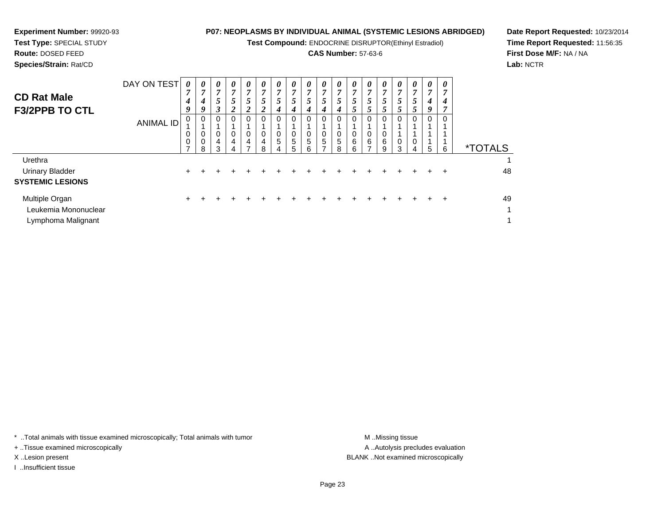**Test Compound:** ENDOCRINE DISRUPTOR(Ethinyl Estradiol)

# **CAS Number:** 57-63-6

*7 7*

0 1 1

0 1 1

0 1 1

0 1 1

0 1 0

**Date Report Requested:** 10/23/2014**Time Report Requested:** 11:56:35**First Dose M/F:** NA / NA**Lab:** NCTR

| <b>Species/Strain: Rat/CD</b> |                  |   |   |   |   |   |                       |   |   |                           |   |  |
|-------------------------------|------------------|---|---|---|---|---|-----------------------|---|---|---------------------------|---|--|
|                               | DAY ON TEST      |   | 0 |   | U | U | $\boldsymbol{\theta}$ | U | U | $\boldsymbol{\mathit{U}}$ |   |  |
|                               |                  | - | ~ |   | ~ | ~ | 7                     | ~ |   | ~                         |   |  |
| <b>CD Rat Male</b>            |                  | 4 | 4 | J |   |   | C                     | C |   |                           |   |  |
| <b>F3/2PPB TO CTL</b>         |                  | O | 9 |   |   |   | ◢                     | 4 |   |                           |   |  |
|                               |                  |   | 0 |   | 0 |   | U                     | 0 |   | Ü                         |   |  |
|                               | <b>ANIMAL ID</b> |   | × |   |   |   | ۰                     |   |   | ٠                         |   |  |
|                               |                  |   | 0 |   | 0 |   | 0                     | 0 |   | 0                         |   |  |
|                               |                  |   |   |   |   |   |                       | 5 | 5 | 5                         | 5 |  |

|                                        | $\mathbf 0$<br>$\rightarrow$ | $\overline{0}$<br>8 | 4<br>3 | 4 | -4<br>$\overline{ }$ | $\frac{4}{8}$ | 5 <sup>1</sup><br>4 | $\frac{5}{5}$ | $\frac{5}{6}$ | $\frac{5}{7}$ | $\begin{array}{c} 5 \\ 8 \end{array}$ | $\begin{matrix} 6 \ 6 \end{matrix}$ | $\frac{6}{7}$ | $\begin{array}{c c} 6 & 0 \\ 9 & 3 \end{array}$ | $\frac{0}{4}$ | 5 | 6 | <i><b>*TOTALS</b></i> |
|----------------------------------------|------------------------------|---------------------|--------|---|----------------------|---------------|---------------------|---------------|---------------|---------------|---------------------------------------|-------------------------------------|---------------|-------------------------------------------------|---------------|---|---|-----------------------|
| Urethra                                |                              |                     |        |   |                      |               |                     |               |               |               |                                       |                                     |               |                                                 |               |   |   |                       |
| <b>Urinary Bladder</b>                 |                              |                     |        |   |                      |               |                     |               |               |               |                                       |                                     |               |                                                 |               |   |   | 48                    |
| <b>SYSTEMIC LESIONS</b>                |                              |                     |        |   |                      |               |                     |               |               |               |                                       |                                     |               |                                                 |               |   |   |                       |
| Multiple Organ<br>Leukemia Mononuclear |                              |                     |        |   |                      |               |                     |               |               |               |                                       |                                     |               |                                                 |               |   |   | 49                    |
| Lymphoma Malignant                     |                              |                     |        |   |                      |               |                     |               |               |               |                                       |                                     |               |                                                 |               |   |   |                       |

\* ..Total animals with tissue examined microscopically; Total animals with tumor **M** . Missing tissue M ..Missing tissue

+ ..Tissue examined microscopically

**Experiment Number:** 99920-93**Test Type:** SPECIAL STUDY**Route:** DOSED FEED

I ..Insufficient tissue

A ..Autolysis precludes evaluation X ..Lesion present BLANK ..Not examined microscopically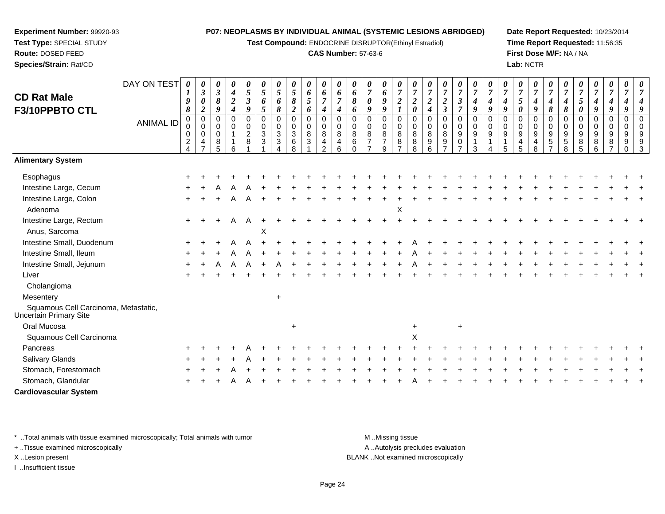**Test Compound:** ENDOCRINE DISRUPTOR(Ethinyl Estradiol)

# **CAS Number:** 57-63-6

**Date Report Requested:** 10/23/2014**Time Report Requested:** 11:56:35**First Dose M/F:** NA / NA**Lab:** NCTR

| <b>CD Rat Male</b><br>F3/10PPBTO CTL                           | DAY ON TEST<br><b>ANIMAL ID</b> | $\boldsymbol{\theta}$<br>$\boldsymbol{l}$<br>9<br>8<br>$\pmb{0}$<br>0<br>0<br>$\overline{c}$<br>$\overline{4}$ | 0<br>$\mathfrak{z}$<br>$\boldsymbol{\theta}$<br>$\boldsymbol{2}$<br>$\boldsymbol{0}$<br>$\mathbf 0$<br>$\mathbf 0$<br>4<br>$\overline{7}$ | 0<br>$\mathfrak{z}$<br>8<br>9<br>$\mathsf 0$<br>$\mathbf 0$<br>$\Omega$<br>8<br>5 | 0<br>$\boldsymbol{4}$<br>$\boldsymbol{2}$<br>4<br>$\mathbf 0$<br>0<br>6 | $\boldsymbol{\theta}$<br>$\mathfrak{s}$<br>$\boldsymbol{\beta}$<br>9<br>$\pmb{0}$<br>$\pmb{0}$<br>$\overline{c}$<br>8 | 0<br>$\overline{5}$<br>6<br>5<br>$\mathbf 0$<br>$\mathbf 0$<br>$\ensuremath{\mathsf{3}}$<br>3 | 0<br>5<br>6<br>8<br>$\mathbf 0$<br>$\mathbf 0$<br>$\mathbf{3}$<br>$\ensuremath{\mathsf{3}}$<br>4 | 0<br>$\overline{5}$<br>8<br>$\boldsymbol{2}$<br>0<br>0<br>3<br>6<br>8 | $\boldsymbol{\theta}$<br>6<br>$\mathfrak{s}$<br>6<br>0<br>0<br>$\bf 8$<br>3 | $\boldsymbol{\theta}$<br>6<br>$\overline{7}$<br>$\boldsymbol{4}$<br>$\pmb{0}$<br>$\mathbf 0$<br>$\,8\,$<br>4<br>$\overline{2}$ | 0<br>6<br>$\overline{7}$<br>4<br>$\mathbf 0$<br>$\mathbf 0$<br>$\bf 8$<br>$\overline{\mathbf{4}}$<br>$6\phantom{a}$ | 0<br>6<br>8<br>6<br>$\Omega$<br>$\mathbf 0$<br>8<br>6<br>$\Omega$ | 0<br>$\overline{7}$<br>0<br>9<br>$\mathbf 0$<br>0<br>8<br>$\overline{7}$ | $\pmb{\theta}$<br>6<br>9<br>9<br>$\pmb{0}$<br>$\pmb{0}$<br>8<br>$\overline{7}$<br>9 | 0<br>$\overline{7}$<br>$\boldsymbol{2}$<br>$\mathbf 0$<br>$\mathbf 0$<br>$\,8\,$<br>$\bf 8$<br>$\overline{7}$ | 0<br>$\overline{7}$<br>$\boldsymbol{2}$<br>$\boldsymbol{\theta}$<br>$\mathbf 0$<br>$\mathbf 0$<br>$\bf 8$<br>$\,8\,$<br>8 | 0<br>$\overline{7}$<br>$\boldsymbol{2}$<br>$\boldsymbol{4}$<br>$\mathbf 0$<br>$\mathbf 0$<br>8<br>9<br>6 | 0<br>$\overline{7}$<br>$\boldsymbol{2}$<br>$\mathfrak{z}$<br>$\mathbf 0$<br>$\mathbf 0$<br>8<br>$\boldsymbol{9}$ | 0<br>$\overline{7}$<br>$\boldsymbol{\beta}$<br>$\overline{7}$<br>$\pmb{0}$<br>$\pmb{0}$<br>9<br>$\pmb{0}$<br>$\overline{7}$ | 0<br>$\boldsymbol{7}$<br>$\boldsymbol{4}$<br>9<br>$\pmb{0}$<br>$\pmb{0}$<br>$\boldsymbol{9}$<br>$\mathbf{1}$<br>3 | 0<br>$\overline{7}$<br>$\boldsymbol{4}$<br>9<br>$\mathbf 0$<br>$\mathbf 0$<br>9<br>$\mathbf{1}$ | 0<br>$\overline{7}$<br>4<br>9<br>$\Omega$<br>$\Omega$<br>9<br>5 | 0<br>$\overline{7}$<br>5<br>0<br>$\Omega$<br>$\Omega$<br>9<br>5 | 0<br>$\overline{7}$<br>$\boldsymbol{4}$<br>9<br>0<br>$\mathbf 0$<br>9<br>$\overline{\mathbf{4}}$<br>8 | 0<br>$\overline{7}$<br>4<br>8<br>$\mathbf 0$<br>$\mathbf 0$<br>$\boldsymbol{9}$<br>$\,$ 5 $\,$<br>$\overline{7}$ | 0<br>$\overline{7}$<br>$\boldsymbol{4}$<br>8<br>$\mathbf 0$<br>$\mathbf 0$<br>$\boldsymbol{9}$<br>$\sqrt{5}$<br>8 | 0<br>$\overline{7}$<br>5<br>$\boldsymbol{\theta}$<br>$\Omega$<br>$\mathbf 0$<br>9<br>8<br>5 | 0<br>$\overline{7}$<br>4<br>9<br>0<br>0<br>9<br>8<br>6 | $\pmb{\theta}$<br>$\boldsymbol{7}$<br>$\boldsymbol{4}$<br>9<br>0<br>0<br>9<br>$\bf 8$ | 0<br>$\overline{7}$<br>4<br>9<br>$\mathbf 0$<br>$\mathbf 0$<br>9<br>$\boldsymbol{9}$<br>$\Omega$ | $\Omega$<br>વ |
|----------------------------------------------------------------|---------------------------------|----------------------------------------------------------------------------------------------------------------|-------------------------------------------------------------------------------------------------------------------------------------------|-----------------------------------------------------------------------------------|-------------------------------------------------------------------------|-----------------------------------------------------------------------------------------------------------------------|-----------------------------------------------------------------------------------------------|--------------------------------------------------------------------------------------------------|-----------------------------------------------------------------------|-----------------------------------------------------------------------------|--------------------------------------------------------------------------------------------------------------------------------|---------------------------------------------------------------------------------------------------------------------|-------------------------------------------------------------------|--------------------------------------------------------------------------|-------------------------------------------------------------------------------------|---------------------------------------------------------------------------------------------------------------|---------------------------------------------------------------------------------------------------------------------------|----------------------------------------------------------------------------------------------------------|------------------------------------------------------------------------------------------------------------------|-----------------------------------------------------------------------------------------------------------------------------|-------------------------------------------------------------------------------------------------------------------|-------------------------------------------------------------------------------------------------|-----------------------------------------------------------------|-----------------------------------------------------------------|-------------------------------------------------------------------------------------------------------|------------------------------------------------------------------------------------------------------------------|-------------------------------------------------------------------------------------------------------------------|---------------------------------------------------------------------------------------------|--------------------------------------------------------|---------------------------------------------------------------------------------------|--------------------------------------------------------------------------------------------------|---------------|
| <b>Alimentary System</b>                                       |                                 |                                                                                                                |                                                                                                                                           |                                                                                   |                                                                         |                                                                                                                       |                                                                                               |                                                                                                  |                                                                       |                                                                             |                                                                                                                                |                                                                                                                     |                                                                   |                                                                          |                                                                                     |                                                                                                               |                                                                                                                           |                                                                                                          |                                                                                                                  |                                                                                                                             |                                                                                                                   |                                                                                                 |                                                                 |                                                                 |                                                                                                       |                                                                                                                  |                                                                                                                   |                                                                                             |                                                        |                                                                                       |                                                                                                  |               |
| Esophagus                                                      |                                 |                                                                                                                |                                                                                                                                           |                                                                                   |                                                                         |                                                                                                                       |                                                                                               |                                                                                                  |                                                                       |                                                                             |                                                                                                                                |                                                                                                                     |                                                                   |                                                                          |                                                                                     |                                                                                                               |                                                                                                                           |                                                                                                          |                                                                                                                  |                                                                                                                             |                                                                                                                   |                                                                                                 |                                                                 |                                                                 |                                                                                                       |                                                                                                                  |                                                                                                                   |                                                                                             |                                                        |                                                                                       |                                                                                                  |               |
| Intestine Large, Cecum                                         |                                 |                                                                                                                |                                                                                                                                           |                                                                                   |                                                                         |                                                                                                                       |                                                                                               |                                                                                                  |                                                                       |                                                                             |                                                                                                                                |                                                                                                                     |                                                                   |                                                                          |                                                                                     |                                                                                                               |                                                                                                                           |                                                                                                          |                                                                                                                  |                                                                                                                             |                                                                                                                   |                                                                                                 |                                                                 |                                                                 |                                                                                                       |                                                                                                                  |                                                                                                                   |                                                                                             |                                                        |                                                                                       |                                                                                                  |               |
| Intestine Large, Colon<br>Adenoma                              |                                 |                                                                                                                |                                                                                                                                           |                                                                                   | A                                                                       |                                                                                                                       |                                                                                               |                                                                                                  |                                                                       |                                                                             |                                                                                                                                |                                                                                                                     |                                                                   |                                                                          |                                                                                     | X                                                                                                             |                                                                                                                           |                                                                                                          |                                                                                                                  |                                                                                                                             |                                                                                                                   |                                                                                                 |                                                                 |                                                                 |                                                                                                       |                                                                                                                  |                                                                                                                   |                                                                                             |                                                        |                                                                                       |                                                                                                  |               |
| Intestine Large, Rectum<br>Anus, Sarcoma                       |                                 | $\ddot{}$                                                                                                      |                                                                                                                                           |                                                                                   | A                                                                       | A                                                                                                                     | X                                                                                             |                                                                                                  |                                                                       |                                                                             |                                                                                                                                |                                                                                                                     |                                                                   |                                                                          |                                                                                     |                                                                                                               |                                                                                                                           |                                                                                                          |                                                                                                                  |                                                                                                                             |                                                                                                                   |                                                                                                 |                                                                 |                                                                 |                                                                                                       |                                                                                                                  |                                                                                                                   |                                                                                             |                                                        |                                                                                       |                                                                                                  |               |
| Intestine Small, Duodenum                                      |                                 |                                                                                                                |                                                                                                                                           |                                                                                   |                                                                         |                                                                                                                       |                                                                                               |                                                                                                  |                                                                       |                                                                             |                                                                                                                                |                                                                                                                     |                                                                   |                                                                          |                                                                                     |                                                                                                               |                                                                                                                           |                                                                                                          |                                                                                                                  |                                                                                                                             |                                                                                                                   |                                                                                                 |                                                                 |                                                                 |                                                                                                       |                                                                                                                  |                                                                                                                   |                                                                                             |                                                        |                                                                                       |                                                                                                  |               |
| Intestine Small, Ileum                                         |                                 |                                                                                                                |                                                                                                                                           |                                                                                   |                                                                         |                                                                                                                       |                                                                                               |                                                                                                  |                                                                       |                                                                             |                                                                                                                                |                                                                                                                     |                                                                   |                                                                          |                                                                                     |                                                                                                               |                                                                                                                           |                                                                                                          |                                                                                                                  |                                                                                                                             |                                                                                                                   |                                                                                                 |                                                                 |                                                                 |                                                                                                       |                                                                                                                  |                                                                                                                   |                                                                                             |                                                        |                                                                                       |                                                                                                  |               |
| Intestine Small, Jejunum                                       |                                 |                                                                                                                |                                                                                                                                           |                                                                                   |                                                                         |                                                                                                                       |                                                                                               |                                                                                                  |                                                                       |                                                                             |                                                                                                                                |                                                                                                                     |                                                                   |                                                                          |                                                                                     |                                                                                                               |                                                                                                                           |                                                                                                          |                                                                                                                  |                                                                                                                             |                                                                                                                   |                                                                                                 |                                                                 |                                                                 |                                                                                                       |                                                                                                                  |                                                                                                                   |                                                                                             |                                                        |                                                                                       |                                                                                                  |               |
| Liver                                                          |                                 |                                                                                                                |                                                                                                                                           |                                                                                   |                                                                         |                                                                                                                       |                                                                                               |                                                                                                  |                                                                       |                                                                             |                                                                                                                                |                                                                                                                     |                                                                   |                                                                          |                                                                                     |                                                                                                               |                                                                                                                           |                                                                                                          |                                                                                                                  |                                                                                                                             |                                                                                                                   |                                                                                                 |                                                                 |                                                                 |                                                                                                       |                                                                                                                  |                                                                                                                   |                                                                                             |                                                        |                                                                                       |                                                                                                  |               |
| Cholangioma                                                    |                                 |                                                                                                                |                                                                                                                                           |                                                                                   |                                                                         |                                                                                                                       |                                                                                               |                                                                                                  |                                                                       |                                                                             |                                                                                                                                |                                                                                                                     |                                                                   |                                                                          |                                                                                     |                                                                                                               |                                                                                                                           |                                                                                                          |                                                                                                                  |                                                                                                                             |                                                                                                                   |                                                                                                 |                                                                 |                                                                 |                                                                                                       |                                                                                                                  |                                                                                                                   |                                                                                             |                                                        |                                                                                       |                                                                                                  |               |
| Mesentery                                                      |                                 |                                                                                                                |                                                                                                                                           |                                                                                   |                                                                         |                                                                                                                       |                                                                                               | $\ddot{}$                                                                                        |                                                                       |                                                                             |                                                                                                                                |                                                                                                                     |                                                                   |                                                                          |                                                                                     |                                                                                                               |                                                                                                                           |                                                                                                          |                                                                                                                  |                                                                                                                             |                                                                                                                   |                                                                                                 |                                                                 |                                                                 |                                                                                                       |                                                                                                                  |                                                                                                                   |                                                                                             |                                                        |                                                                                       |                                                                                                  |               |
| Squamous Cell Carcinoma, Metastatic,<br>Uncertain Primary Site |                                 |                                                                                                                |                                                                                                                                           |                                                                                   |                                                                         |                                                                                                                       |                                                                                               |                                                                                                  |                                                                       |                                                                             |                                                                                                                                |                                                                                                                     |                                                                   |                                                                          |                                                                                     |                                                                                                               |                                                                                                                           |                                                                                                          |                                                                                                                  |                                                                                                                             |                                                                                                                   |                                                                                                 |                                                                 |                                                                 |                                                                                                       |                                                                                                                  |                                                                                                                   |                                                                                             |                                                        |                                                                                       |                                                                                                  |               |
| Oral Mucosa                                                    |                                 |                                                                                                                |                                                                                                                                           |                                                                                   |                                                                         |                                                                                                                       |                                                                                               |                                                                                                  | $\ddot{}$                                                             |                                                                             |                                                                                                                                |                                                                                                                     |                                                                   |                                                                          |                                                                                     |                                                                                                               | $\ddot{}$                                                                                                                 |                                                                                                          |                                                                                                                  | $\ddot{}$                                                                                                                   |                                                                                                                   |                                                                                                 |                                                                 |                                                                 |                                                                                                       |                                                                                                                  |                                                                                                                   |                                                                                             |                                                        |                                                                                       |                                                                                                  |               |
| Squamous Cell Carcinoma                                        |                                 |                                                                                                                |                                                                                                                                           |                                                                                   |                                                                         |                                                                                                                       |                                                                                               |                                                                                                  |                                                                       |                                                                             |                                                                                                                                |                                                                                                                     |                                                                   |                                                                          |                                                                                     |                                                                                                               | X                                                                                                                         |                                                                                                          |                                                                                                                  |                                                                                                                             |                                                                                                                   |                                                                                                 |                                                                 |                                                                 |                                                                                                       |                                                                                                                  |                                                                                                                   |                                                                                             |                                                        |                                                                                       |                                                                                                  |               |
| Pancreas                                                       |                                 |                                                                                                                |                                                                                                                                           |                                                                                   |                                                                         |                                                                                                                       |                                                                                               |                                                                                                  |                                                                       |                                                                             |                                                                                                                                |                                                                                                                     |                                                                   |                                                                          |                                                                                     |                                                                                                               |                                                                                                                           |                                                                                                          |                                                                                                                  |                                                                                                                             |                                                                                                                   |                                                                                                 |                                                                 |                                                                 |                                                                                                       |                                                                                                                  |                                                                                                                   |                                                                                             |                                                        |                                                                                       |                                                                                                  |               |
| Salivary Glands                                                |                                 |                                                                                                                |                                                                                                                                           |                                                                                   |                                                                         |                                                                                                                       |                                                                                               |                                                                                                  |                                                                       |                                                                             |                                                                                                                                |                                                                                                                     |                                                                   |                                                                          |                                                                                     |                                                                                                               |                                                                                                                           |                                                                                                          |                                                                                                                  |                                                                                                                             |                                                                                                                   |                                                                                                 |                                                                 |                                                                 |                                                                                                       |                                                                                                                  |                                                                                                                   |                                                                                             |                                                        |                                                                                       |                                                                                                  |               |
| Stomach, Forestomach                                           |                                 |                                                                                                                |                                                                                                                                           |                                                                                   |                                                                         |                                                                                                                       |                                                                                               |                                                                                                  |                                                                       |                                                                             |                                                                                                                                |                                                                                                                     |                                                                   |                                                                          |                                                                                     |                                                                                                               |                                                                                                                           |                                                                                                          |                                                                                                                  |                                                                                                                             |                                                                                                                   |                                                                                                 |                                                                 |                                                                 |                                                                                                       |                                                                                                                  |                                                                                                                   |                                                                                             |                                                        |                                                                                       |                                                                                                  |               |
| Stomach, Glandular                                             |                                 |                                                                                                                |                                                                                                                                           |                                                                                   |                                                                         |                                                                                                                       |                                                                                               |                                                                                                  |                                                                       |                                                                             |                                                                                                                                |                                                                                                                     |                                                                   |                                                                          |                                                                                     |                                                                                                               |                                                                                                                           |                                                                                                          |                                                                                                                  |                                                                                                                             |                                                                                                                   |                                                                                                 |                                                                 |                                                                 |                                                                                                       |                                                                                                                  |                                                                                                                   |                                                                                             |                                                        |                                                                                       |                                                                                                  |               |
| <b>Cardiovascular System</b>                                   |                                 |                                                                                                                |                                                                                                                                           |                                                                                   |                                                                         |                                                                                                                       |                                                                                               |                                                                                                  |                                                                       |                                                                             |                                                                                                                                |                                                                                                                     |                                                                   |                                                                          |                                                                                     |                                                                                                               |                                                                                                                           |                                                                                                          |                                                                                                                  |                                                                                                                             |                                                                                                                   |                                                                                                 |                                                                 |                                                                 |                                                                                                       |                                                                                                                  |                                                                                                                   |                                                                                             |                                                        |                                                                                       |                                                                                                  |               |

\* ..Total animals with tissue examined microscopically; Total animals with tumor **M** . Missing tissue M ..Missing tissue

+ ..Tissue examined microscopically

**Experiment Number:** 99920-93**Test Type:** SPECIAL STUDY**Route:** DOSED FEED**Species/Strain:** Rat/CD

I ..Insufficient tissue

A ..Autolysis precludes evaluation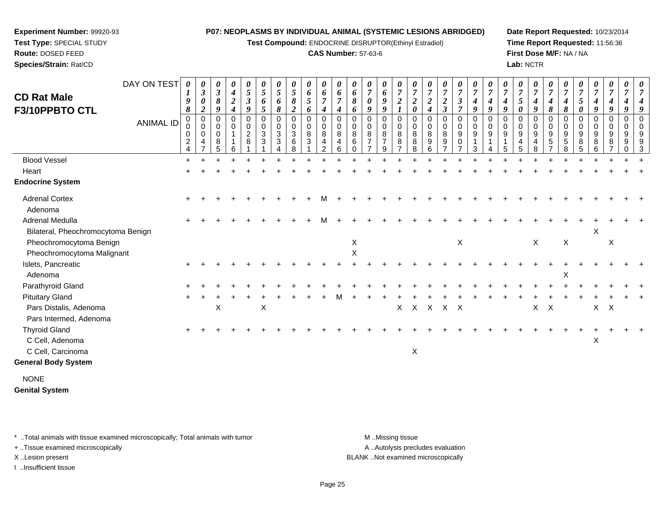**Test Compound:** ENDOCRINE DISRUPTOR(Ethinyl Estradiol)

### **CAS Number:** 57-63-6

**Date Report Requested:** 10/23/2014**Time Report Requested:** 11:56:36**First Dose M/F:** NA / NA**Lab:** NCTR

|                                    | DAY ON TEST      | 1                                         | 0<br>$\boldsymbol{\beta}$ | 0<br>$\boldsymbol{\beta}$ | 0<br>$\boldsymbol{4}$ | 0<br>5                   | 0<br>5                    | 0<br>5      | 0<br>$\sqrt{5}$      | 0<br>$\boldsymbol{\delta}$ | 0<br>6             | $\boldsymbol{\theta}$<br>6 | 0<br>6           | 0<br>$\overline{7}$              | $\boldsymbol{\theta}$<br>6 | 0<br>$\overline{7}$ | $\boldsymbol{\theta}$<br>$\overline{7}$ | $\boldsymbol{\theta}$<br>$\overline{7}$ | 0<br>$\overline{7}$ | $\frac{\boldsymbol{\theta}}{\boldsymbol{7}}$ | $\boldsymbol{\theta}$<br>$\boldsymbol{7}$ | $\boldsymbol{\theta}$<br>$\overline{7}$ | 0<br>$\overline{7}$        | $\boldsymbol{\theta}$<br>$\overline{7}$ | 0<br>$\overline{7}$ | $\boldsymbol{\theta}$<br>$\overline{7}$ | $\boldsymbol{\theta}$<br>$\overline{7}$ | 0<br>$\overline{7}$ | $\frac{\theta}{7}$       | 0<br>$\overline{7}$        | 0<br>$\overline{7}$ | $\boldsymbol{\theta}$<br>$\overline{7}$ |
|------------------------------------|------------------|-------------------------------------------|---------------------------|---------------------------|-----------------------|--------------------------|---------------------------|-------------|----------------------|----------------------------|--------------------|----------------------------|------------------|----------------------------------|----------------------------|---------------------|-----------------------------------------|-----------------------------------------|---------------------|----------------------------------------------|-------------------------------------------|-----------------------------------------|----------------------------|-----------------------------------------|---------------------|-----------------------------------------|-----------------------------------------|---------------------|--------------------------|----------------------------|---------------------|-----------------------------------------|
| <b>CD Rat Male</b>                 |                  | 9                                         | $\pmb{\theta}$            | $\pmb{8}$                 | $\boldsymbol{2}$      | $\boldsymbol{\beta}$     | 6                         | 6           | 8                    | $\mathfrak{s}$             | $\overline{7}$     | $\overline{7}$             | 8                | $\pmb{\theta}$                   | 9                          | $\boldsymbol{2}$    | $\boldsymbol{2}$                        | $\overline{2}$                          | $\boldsymbol{2}$    | 3                                            | $\boldsymbol{4}$                          | 4                                       | 4                          | $\mathfrak{s}$                          | 4                   | 4                                       | 4                                       | 5                   | $\boldsymbol{4}$         | 4                          |                     | 4                                       |
| F3/10PPBTO CTL                     |                  | 8                                         | $\overline{\mathbf{c}}$   | 9                         | $\boldsymbol{4}$      | 9                        | $5\phantom{.0}$           | 8           | $\overline{2}$       | 6                          | 4                  | 4                          | 6                | 9                                | 9                          |                     | $\boldsymbol{\theta}$                   | $\boldsymbol{4}$                        | $\mathfrak{z}$      | $\overline{7}$                               | 9                                         | 9                                       | 9                          | $\boldsymbol{\theta}$                   | 9                   | 8                                       | 8                                       | 0                   | 9                        | 9                          | 9                   | 9                                       |
|                                    | <b>ANIMAL ID</b> | 0<br>0                                    | $\mathbf 0$<br>0          | 0<br>0                    | 0<br>$\mathbf 0$      | $\mathbf 0$<br>$\pmb{0}$ | 0<br>$\mathbf 0$          | 0<br>0      | $\,0\,$<br>$\pmb{0}$ | $\mathbf 0$<br>$\mathsf 0$ | 0<br>$\mathbf 0$   | $\mathbf 0$<br>$\mathbf 0$ | 0<br>$\mathbf 0$ | 0<br>0                           | $\mathbf 0$<br>$\mathbf 0$ | 0<br>$\mathbf 0$    | $\mathbf 0$<br>$\pmb{0}$                | 0<br>$\pmb{0}$                          | 0<br>$\pmb{0}$      | $\mathbf 0$<br>$\mathsf 0$                   | $\mathbf 0$<br>$\pmb{0}$                  | $\mathbf 0$<br>$\mathsf 0$              | $\mathbf 0$<br>$\mathbf 0$ | 0<br>$\pmb{0}$                          | 0<br>0              | $\mathbf 0$<br>0                        | $\mathbf 0$<br>$\pmb{0}$                | 0<br>$\mathbf 0$    | $\pmb{0}$<br>$\mathbf 0$ | $\mathbf 0$<br>$\mathbf 0$ | 0<br>0              | $\mathbf 0$<br>$\mathbf 0$              |
|                                    |                  | 0                                         | 0                         | 0                         | 1                     | $\overline{c}$           | $\ensuremath{\mathsf{3}}$ | $\,$ 3 $\,$ | $\overline{3}$       | $\,8\,$                    | 8                  | 8                          | 8                | 8                                | $\overline{8}$             | 8                   | 8                                       | $\bf 8$                                 | 8                   | 9                                            | 9                                         | $\boldsymbol{9}$                        | 9                          | $9\,$                                   | 9                   | $\boldsymbol{9}$                        | $\boldsymbol{9}$                        | $\boldsymbol{9}$    | $9\,$                    | 9                          | 9                   | 9                                       |
|                                    |                  | $\overline{\mathbf{c}}$<br>$\overline{4}$ | $\overline{4}$            | 8<br>5                    | 6                     | 8                        | 3                         | 3           | 6<br>8               | $\mathbf{3}$               | 4<br>$\mathcal{P}$ | 4<br>6                     | 6<br>$\Omega$    | $\overline{7}$<br>$\overline{7}$ | $\overline{7}$<br>9        | 8<br>$\overline{ }$ | 8<br>8                                  | $\boldsymbol{9}$<br>6                   | 9<br>$\overline{7}$ | 0<br>$\overline{7}$                          | $\mathbf 1$<br>3                          |                                         | 5                          | $\overline{\mathbf{4}}$<br>5            | 4<br>8              | 5<br>$\overline{ }$                     | $\sqrt{5}$<br>8                         | 8<br>5              | 8<br>6                   | 8<br>$\overline{7}$        | 9<br>$\Omega$       | 9<br>3                                  |
| <b>Blood Vessel</b>                |                  | $\ddot{}$                                 |                           |                           |                       |                          |                           |             |                      |                            |                    |                            |                  |                                  |                            |                     |                                         |                                         |                     |                                              |                                           |                                         |                            |                                         |                     |                                         |                                         |                     |                          |                            |                     |                                         |
| Heart                              |                  |                                           |                           |                           |                       |                          |                           |             |                      |                            |                    |                            |                  |                                  |                            |                     |                                         |                                         |                     |                                              |                                           |                                         |                            |                                         |                     |                                         |                                         |                     |                          |                            |                     |                                         |
| <b>Endocrine System</b>            |                  |                                           |                           |                           |                       |                          |                           |             |                      |                            |                    |                            |                  |                                  |                            |                     |                                         |                                         |                     |                                              |                                           |                                         |                            |                                         |                     |                                         |                                         |                     |                          |                            |                     |                                         |
| <b>Adrenal Cortex</b>              |                  |                                           |                           |                           |                       |                          |                           |             |                      |                            |                    |                            |                  |                                  |                            |                     |                                         |                                         |                     |                                              |                                           |                                         |                            |                                         |                     |                                         |                                         |                     |                          |                            |                     |                                         |
| Adenoma                            |                  |                                           |                           |                           |                       |                          |                           |             |                      |                            |                    |                            |                  |                                  |                            |                     |                                         |                                         |                     |                                              |                                           |                                         |                            |                                         |                     |                                         |                                         |                     |                          |                            |                     |                                         |
| Adrenal Medulla                    |                  |                                           |                           |                           |                       |                          |                           |             |                      |                            |                    |                            |                  |                                  |                            |                     |                                         |                                         |                     |                                              |                                           |                                         |                            |                                         |                     |                                         |                                         |                     |                          |                            |                     |                                         |
| Bilateral, Pheochromocytoma Benign |                  |                                           |                           |                           |                       |                          |                           |             |                      |                            |                    |                            |                  |                                  |                            |                     |                                         |                                         |                     |                                              |                                           |                                         |                            |                                         |                     |                                         |                                         |                     | X                        |                            |                     |                                         |
| Pheochromocytoma Benign            |                  |                                           |                           |                           |                       |                          |                           |             |                      |                            |                    |                            | X                |                                  |                            |                     |                                         |                                         |                     | $\boldsymbol{\mathsf{X}}$                    |                                           |                                         |                            |                                         | X                   |                                         | $\boldsymbol{\mathsf{X}}$               |                     |                          | X                          |                     |                                         |
| Pheochromocytoma Malignant         |                  |                                           |                           |                           |                       |                          |                           |             |                      |                            |                    |                            | X                |                                  |                            |                     |                                         |                                         |                     |                                              |                                           |                                         |                            |                                         |                     |                                         |                                         |                     |                          |                            |                     |                                         |
| Islets, Pancreatic                 |                  |                                           |                           |                           |                       |                          |                           |             |                      |                            |                    |                            |                  |                                  |                            |                     |                                         |                                         |                     |                                              |                                           |                                         |                            |                                         |                     |                                         |                                         |                     |                          |                            |                     |                                         |
| Adenoma                            |                  |                                           |                           |                           |                       |                          |                           |             |                      |                            |                    |                            |                  |                                  |                            |                     |                                         |                                         |                     |                                              |                                           |                                         |                            |                                         |                     |                                         | $\boldsymbol{\mathsf{X}}$               |                     |                          |                            |                     |                                         |
| Parathyroid Gland                  |                  |                                           |                           |                           |                       |                          |                           |             |                      |                            |                    |                            |                  |                                  |                            |                     |                                         |                                         |                     |                                              |                                           |                                         |                            |                                         |                     |                                         |                                         |                     |                          |                            |                     |                                         |
| <b>Pituitary Gland</b>             |                  |                                           |                           |                           |                       |                          |                           |             |                      |                            |                    |                            |                  |                                  |                            |                     |                                         |                                         |                     |                                              |                                           |                                         |                            |                                         |                     |                                         |                                         |                     |                          |                            |                     |                                         |
| Pars Distalis, Adenoma             |                  |                                           |                           | $\boldsymbol{\mathsf{X}}$ |                       |                          | $\mathsf X$               |             |                      |                            |                    |                            |                  |                                  |                            | X                   |                                         | X X X X                                 |                     |                                              |                                           |                                         |                            |                                         | X                   | $\boldsymbol{\mathsf{X}}$               |                                         |                     | $\mathsf{X}$             | $\boldsymbol{\mathsf{X}}$  |                     |                                         |
| Pars Intermed, Adenoma             |                  |                                           |                           |                           |                       |                          |                           |             |                      |                            |                    |                            |                  |                                  |                            |                     |                                         |                                         |                     |                                              |                                           |                                         |                            |                                         |                     |                                         |                                         |                     |                          |                            |                     |                                         |
| <b>Thyroid Gland</b>               |                  |                                           |                           |                           |                       |                          |                           |             |                      |                            |                    |                            |                  |                                  |                            |                     |                                         |                                         |                     |                                              |                                           |                                         |                            |                                         |                     |                                         |                                         |                     |                          |                            |                     |                                         |
| C Cell, Adenoma                    |                  |                                           |                           |                           |                       |                          |                           |             |                      |                            |                    |                            |                  |                                  |                            |                     |                                         |                                         |                     |                                              |                                           |                                         |                            |                                         |                     |                                         |                                         |                     | X                        |                            |                     |                                         |
| C Cell, Carcinoma                  |                  |                                           |                           |                           |                       |                          |                           |             |                      |                            |                    |                            |                  |                                  |                            |                     | $\mathsf X$                             |                                         |                     |                                              |                                           |                                         |                            |                                         |                     |                                         |                                         |                     |                          |                            |                     |                                         |
| General Body System                |                  |                                           |                           |                           |                       |                          |                           |             |                      |                            |                    |                            |                  |                                  |                            |                     |                                         |                                         |                     |                                              |                                           |                                         |                            |                                         |                     |                                         |                                         |                     |                          |                            |                     |                                         |
| <b>NONE</b>                        |                  |                                           |                           |                           |                       |                          |                           |             |                      |                            |                    |                            |                  |                                  |                            |                     |                                         |                                         |                     |                                              |                                           |                                         |                            |                                         |                     |                                         |                                         |                     |                          |                            |                     |                                         |
|                                    |                  |                                           |                           |                           |                       |                          |                           |             |                      |                            |                    |                            |                  |                                  |                            |                     |                                         |                                         |                     |                                              |                                           |                                         |                            |                                         |                     |                                         |                                         |                     |                          |                            |                     |                                         |

**Genital System**

\* ..Total animals with tissue examined microscopically; Total animals with tumor **M** . Missing tissue M ..Missing tissue

+ ..Tissue examined microscopically

**Experiment Number:** 99920-93**Test Type:** SPECIAL STUDY**Route:** DOSED FEED**Species/Strain:** Rat/CD

I ..Insufficient tissue

A ..Autolysis precludes evaluation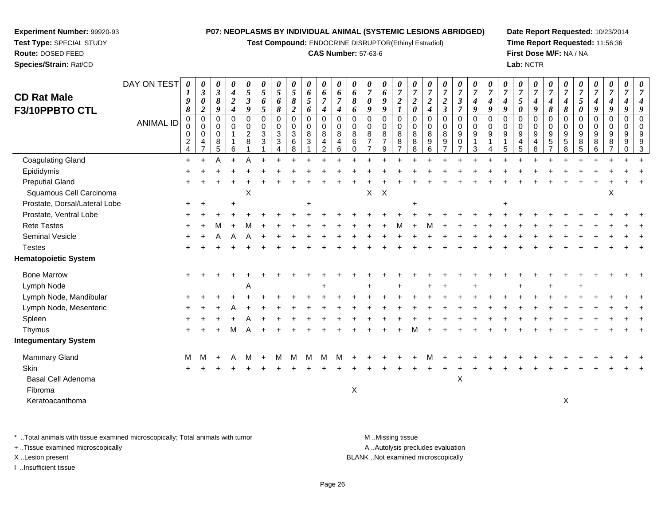**Test Compound:** ENDOCRINE DISRUPTOR(Ethinyl Estradiol)

# **CAS Number:** 57-63-6

**Date Report Requested:** 10/23/2014**Time Report Requested:** 11:56:36**First Dose M/F:** NA / NA**Lab:** NCTR

| <b>CD Rat Male</b><br>F3/10PPBTO CTL | DAY ON TEST<br><b>ANIMAL ID</b> | 0<br>1<br>9<br>8<br>$\pmb{0}$<br>0<br>0<br>$\frac{2}{4}$ | 0<br>$\boldsymbol{\beta}$<br>$\pmb{\theta}$<br>$\boldsymbol{2}$<br>$\mathbf 0$<br>$\mathbf 0$<br>$\mathbf 0$<br>4<br>$\overline{7}$ | 0<br>$\mathbf{3}$<br>$\pmb{8}$<br>9<br>$\mathbf 0$<br>0<br>$\mathbf 0$<br>8<br>5 | 0<br>$\boldsymbol{4}$<br>$\boldsymbol{2}$<br>$\boldsymbol{4}$<br>$\mathbf 0$<br>$\pmb{0}$<br>$\mathbf{1}$<br>1<br>6 | $\boldsymbol{\theta}$<br>$\mathfrak{S}$<br>$\boldsymbol{\beta}$<br>$\boldsymbol{q}$<br>$\mathbf 0$<br>$\pmb{0}$<br>$\overline{c}$<br>8 | 0<br>$\sqrt{5}$<br>6<br>5<br>$\mathbf 0$<br>0<br>$\sqrt{3}$<br>$\mathbf{3}$ | $\boldsymbol{\theta}$<br>$\mathfrak{s}$<br>6<br>8<br>$\mathbf 0$<br>$\mathbf 0$<br>$\sqrt{3}$<br>$\sqrt{3}$ | 0<br>$\overline{5}$<br>8<br>$\boldsymbol{2}$<br>$\mathbf 0$<br>$\mathbf 0$<br>3<br>$\,6\,$<br>8 | 0<br>6<br>$\mathfrak{H}$<br>6<br>$\mathbf 0$<br>$\pmb{0}$<br>$\bf 8$<br>$\sqrt{3}$ | 0<br>6<br>$\overline{7}$<br>4<br>$\mathbf 0$<br>$\pmb{0}$<br>8<br>$\overline{4}$<br>2 | 0<br>6<br>$\overline{7}$<br>4<br>$\mathbf 0$<br>$\Omega$<br>$\,8\,$<br>$\overline{4}$<br>6 | 0<br>6<br>$\pmb{8}$<br>6<br>$\Omega$<br>$\Omega$<br>$\,8\,$<br>$\,6\,$<br>$\Omega$ | 0<br>$\overline{7}$<br>0<br>9<br>$\Omega$<br>0<br>$\,8\,$<br>$\overline{7}$ | 0<br>6<br>9<br>$\boldsymbol{g}$<br>$\mathbf 0$<br>0<br>$\bf 8$<br>$\overline{7}$<br>9 | $\boldsymbol{\theta}$<br>$\overline{7}$<br>$\boldsymbol{2}$<br>$\mathbf 0$<br>0<br>$\bf8$<br>$\bf8$<br>$\overline{7}$ | $\boldsymbol{\theta}$<br>$\overline{7}$<br>$\boldsymbol{2}$<br>$\boldsymbol{\theta}$<br>$\mathbf 0$<br>$\mathbf 0$<br>$\,8\,$<br>$\bf 8$<br>8 | 0<br>$\overline{7}$<br>$\boldsymbol{2}$<br>$\boldsymbol{4}$<br>$\mathbf 0$<br>$\mathbf 0$<br>$\,8\,$<br>$\boldsymbol{9}$<br>6 | 0<br>$\overline{7}$<br>$\boldsymbol{2}$<br>$\mathfrak{z}$<br>$\mathbf 0$<br>$\mathbf 0$<br>$\,8\,$<br>$\boldsymbol{9}$ | 0<br>$\boldsymbol{7}$<br>$\mathfrak{z}$<br>$\overline{7}$<br>0<br>0<br>$\boldsymbol{9}$<br>0<br>$\overline{7}$ | $\boldsymbol{\theta}$<br>$\overline{7}$<br>$\boldsymbol{4}$<br>$\boldsymbol{q}$<br>$\mathbf 0$<br>$\mathbf 0$<br>$\boldsymbol{9}$<br>3 | 0<br>$\overline{7}$<br>$\boldsymbol{4}$<br>9<br>$\mathbf 0$<br>$\Omega$<br>$9\,$ | $\boldsymbol{\theta}$<br>$\overline{7}$<br>$\boldsymbol{4}$<br>9<br>$\Omega$<br>0<br>$9\,$<br>1<br>5 | 0<br>$\overline{7}$<br>5<br>$\boldsymbol{\theta}$<br>$\Omega$<br>$\Omega$<br>9<br>4<br>5 | 0<br>$\boldsymbol{7}$<br>$\boldsymbol{4}$<br>9<br>0<br>0<br>9<br>4<br>8 | $\boldsymbol{\theta}$<br>$\overline{7}$<br>4<br>8<br>$\mathbf 0$<br>$\mathbf 0$<br>$\boldsymbol{9}$<br>$\sqrt{5}$ | 0<br>$\overline{7}$<br>$\boldsymbol{4}$<br>8<br>$\mathbf 0$<br>$\mathbf 0$<br>$9\,$<br>$\sqrt{5}$<br>8 | $\overline{7}$<br>$\sqrt{5}$<br>$\boldsymbol{\theta}$<br>$\Omega$<br>0<br>$9\,$<br>8<br>5 | 0<br>$\overline{7}$<br>$\boldsymbol{4}$<br>9<br>$\mathbf 0$<br>0<br>9<br>8<br>6 | 0<br>$\boldsymbol{7}$<br>$\boldsymbol{4}$<br>9<br>0<br>0<br>9<br>$\,8\,$<br>$\overline{7}$ | 0<br>$\overline{7}$<br>$\boldsymbol{4}$<br>9<br>$\mathbf 0$<br>$\mathbf 0$<br>$\boldsymbol{9}$<br>9<br>$\Omega$ | 0<br>$\overline{7}$ |
|--------------------------------------|---------------------------------|----------------------------------------------------------|-------------------------------------------------------------------------------------------------------------------------------------|----------------------------------------------------------------------------------|---------------------------------------------------------------------------------------------------------------------|----------------------------------------------------------------------------------------------------------------------------------------|-----------------------------------------------------------------------------|-------------------------------------------------------------------------------------------------------------|-------------------------------------------------------------------------------------------------|------------------------------------------------------------------------------------|---------------------------------------------------------------------------------------|--------------------------------------------------------------------------------------------|------------------------------------------------------------------------------------|-----------------------------------------------------------------------------|---------------------------------------------------------------------------------------|-----------------------------------------------------------------------------------------------------------------------|-----------------------------------------------------------------------------------------------------------------------------------------------|-------------------------------------------------------------------------------------------------------------------------------|------------------------------------------------------------------------------------------------------------------------|----------------------------------------------------------------------------------------------------------------|----------------------------------------------------------------------------------------------------------------------------------------|----------------------------------------------------------------------------------|------------------------------------------------------------------------------------------------------|------------------------------------------------------------------------------------------|-------------------------------------------------------------------------|-------------------------------------------------------------------------------------------------------------------|--------------------------------------------------------------------------------------------------------|-------------------------------------------------------------------------------------------|---------------------------------------------------------------------------------|--------------------------------------------------------------------------------------------|-----------------------------------------------------------------------------------------------------------------|---------------------|
| <b>Coagulating Gland</b>             |                                 |                                                          |                                                                                                                                     |                                                                                  |                                                                                                                     |                                                                                                                                        |                                                                             |                                                                                                             |                                                                                                 |                                                                                    |                                                                                       |                                                                                            |                                                                                    |                                                                             |                                                                                       |                                                                                                                       |                                                                                                                                               |                                                                                                                               |                                                                                                                        |                                                                                                                |                                                                                                                                        |                                                                                  |                                                                                                      |                                                                                          |                                                                         |                                                                                                                   |                                                                                                        |                                                                                           |                                                                                 |                                                                                            |                                                                                                                 |                     |
| Epididymis                           |                                 |                                                          |                                                                                                                                     |                                                                                  |                                                                                                                     |                                                                                                                                        |                                                                             |                                                                                                             |                                                                                                 |                                                                                    |                                                                                       |                                                                                            |                                                                                    |                                                                             |                                                                                       |                                                                                                                       |                                                                                                                                               |                                                                                                                               |                                                                                                                        |                                                                                                                |                                                                                                                                        |                                                                                  |                                                                                                      |                                                                                          |                                                                         |                                                                                                                   |                                                                                                        |                                                                                           |                                                                                 |                                                                                            |                                                                                                                 |                     |
| <b>Preputial Gland</b>               |                                 |                                                          |                                                                                                                                     |                                                                                  |                                                                                                                     |                                                                                                                                        |                                                                             |                                                                                                             |                                                                                                 |                                                                                    |                                                                                       |                                                                                            |                                                                                    |                                                                             |                                                                                       |                                                                                                                       |                                                                                                                                               |                                                                                                                               |                                                                                                                        |                                                                                                                |                                                                                                                                        |                                                                                  |                                                                                                      |                                                                                          |                                                                         |                                                                                                                   |                                                                                                        |                                                                                           |                                                                                 |                                                                                            |                                                                                                                 |                     |
| Squamous Cell Carcinoma              |                                 |                                                          |                                                                                                                                     |                                                                                  |                                                                                                                     | X                                                                                                                                      |                                                                             |                                                                                                             |                                                                                                 |                                                                                    |                                                                                       |                                                                                            |                                                                                    | X.                                                                          | $\mathsf{X}$                                                                          |                                                                                                                       |                                                                                                                                               |                                                                                                                               |                                                                                                                        |                                                                                                                |                                                                                                                                        |                                                                                  |                                                                                                      |                                                                                          |                                                                         |                                                                                                                   |                                                                                                        |                                                                                           |                                                                                 | X                                                                                          |                                                                                                                 |                     |
| Prostate, Dorsal/Lateral Lobe        |                                 |                                                          |                                                                                                                                     |                                                                                  |                                                                                                                     |                                                                                                                                        |                                                                             |                                                                                                             |                                                                                                 |                                                                                    |                                                                                       |                                                                                            |                                                                                    |                                                                             |                                                                                       |                                                                                                                       |                                                                                                                                               |                                                                                                                               |                                                                                                                        |                                                                                                                |                                                                                                                                        |                                                                                  |                                                                                                      |                                                                                          |                                                                         |                                                                                                                   |                                                                                                        |                                                                                           |                                                                                 |                                                                                            |                                                                                                                 |                     |
| Prostate, Ventral Lobe               |                                 |                                                          |                                                                                                                                     |                                                                                  |                                                                                                                     |                                                                                                                                        |                                                                             |                                                                                                             |                                                                                                 |                                                                                    |                                                                                       |                                                                                            |                                                                                    |                                                                             |                                                                                       |                                                                                                                       |                                                                                                                                               |                                                                                                                               |                                                                                                                        |                                                                                                                |                                                                                                                                        |                                                                                  |                                                                                                      |                                                                                          |                                                                         |                                                                                                                   |                                                                                                        |                                                                                           |                                                                                 |                                                                                            |                                                                                                                 |                     |
| <b>Rete Testes</b>                   |                                 |                                                          |                                                                                                                                     | M                                                                                |                                                                                                                     |                                                                                                                                        |                                                                             |                                                                                                             |                                                                                                 |                                                                                    |                                                                                       |                                                                                            |                                                                                    |                                                                             |                                                                                       |                                                                                                                       |                                                                                                                                               |                                                                                                                               |                                                                                                                        |                                                                                                                |                                                                                                                                        |                                                                                  |                                                                                                      |                                                                                          |                                                                         |                                                                                                                   |                                                                                                        |                                                                                           |                                                                                 |                                                                                            |                                                                                                                 |                     |
| <b>Seminal Vesicle</b>               |                                 |                                                          |                                                                                                                                     |                                                                                  |                                                                                                                     |                                                                                                                                        |                                                                             |                                                                                                             |                                                                                                 |                                                                                    |                                                                                       |                                                                                            |                                                                                    |                                                                             |                                                                                       |                                                                                                                       |                                                                                                                                               |                                                                                                                               |                                                                                                                        |                                                                                                                |                                                                                                                                        |                                                                                  |                                                                                                      |                                                                                          |                                                                         |                                                                                                                   |                                                                                                        |                                                                                           |                                                                                 |                                                                                            |                                                                                                                 |                     |
| <b>Testes</b>                        |                                 |                                                          |                                                                                                                                     |                                                                                  |                                                                                                                     |                                                                                                                                        |                                                                             |                                                                                                             |                                                                                                 |                                                                                    |                                                                                       |                                                                                            |                                                                                    |                                                                             |                                                                                       |                                                                                                                       |                                                                                                                                               |                                                                                                                               |                                                                                                                        |                                                                                                                |                                                                                                                                        |                                                                                  |                                                                                                      |                                                                                          |                                                                         |                                                                                                                   |                                                                                                        |                                                                                           |                                                                                 |                                                                                            |                                                                                                                 |                     |
| <b>Hematopoietic System</b>          |                                 |                                                          |                                                                                                                                     |                                                                                  |                                                                                                                     |                                                                                                                                        |                                                                             |                                                                                                             |                                                                                                 |                                                                                    |                                                                                       |                                                                                            |                                                                                    |                                                                             |                                                                                       |                                                                                                                       |                                                                                                                                               |                                                                                                                               |                                                                                                                        |                                                                                                                |                                                                                                                                        |                                                                                  |                                                                                                      |                                                                                          |                                                                         |                                                                                                                   |                                                                                                        |                                                                                           |                                                                                 |                                                                                            |                                                                                                                 |                     |
| <b>Bone Marrow</b>                   |                                 |                                                          |                                                                                                                                     |                                                                                  |                                                                                                                     |                                                                                                                                        |                                                                             |                                                                                                             |                                                                                                 |                                                                                    |                                                                                       |                                                                                            |                                                                                    |                                                                             |                                                                                       |                                                                                                                       |                                                                                                                                               |                                                                                                                               |                                                                                                                        |                                                                                                                |                                                                                                                                        |                                                                                  |                                                                                                      |                                                                                          |                                                                         |                                                                                                                   |                                                                                                        |                                                                                           |                                                                                 |                                                                                            |                                                                                                                 |                     |
| Lymph Node                           |                                 |                                                          |                                                                                                                                     |                                                                                  |                                                                                                                     |                                                                                                                                        |                                                                             |                                                                                                             |                                                                                                 |                                                                                    |                                                                                       |                                                                                            |                                                                                    |                                                                             |                                                                                       |                                                                                                                       |                                                                                                                                               |                                                                                                                               |                                                                                                                        |                                                                                                                |                                                                                                                                        |                                                                                  |                                                                                                      |                                                                                          |                                                                         |                                                                                                                   |                                                                                                        |                                                                                           |                                                                                 |                                                                                            |                                                                                                                 |                     |
| Lymph Node, Mandibular               |                                 |                                                          |                                                                                                                                     |                                                                                  |                                                                                                                     |                                                                                                                                        |                                                                             |                                                                                                             |                                                                                                 |                                                                                    |                                                                                       |                                                                                            |                                                                                    |                                                                             |                                                                                       |                                                                                                                       |                                                                                                                                               |                                                                                                                               |                                                                                                                        |                                                                                                                |                                                                                                                                        |                                                                                  |                                                                                                      |                                                                                          |                                                                         |                                                                                                                   |                                                                                                        |                                                                                           |                                                                                 |                                                                                            |                                                                                                                 |                     |
| Lymph Node, Mesenteric               |                                 |                                                          |                                                                                                                                     |                                                                                  |                                                                                                                     |                                                                                                                                        |                                                                             |                                                                                                             |                                                                                                 |                                                                                    |                                                                                       |                                                                                            |                                                                                    |                                                                             |                                                                                       |                                                                                                                       |                                                                                                                                               |                                                                                                                               |                                                                                                                        |                                                                                                                |                                                                                                                                        |                                                                                  |                                                                                                      |                                                                                          |                                                                         |                                                                                                                   |                                                                                                        |                                                                                           |                                                                                 |                                                                                            |                                                                                                                 |                     |
| Spleen                               |                                 |                                                          |                                                                                                                                     |                                                                                  |                                                                                                                     |                                                                                                                                        |                                                                             |                                                                                                             |                                                                                                 |                                                                                    |                                                                                       |                                                                                            |                                                                                    |                                                                             |                                                                                       |                                                                                                                       |                                                                                                                                               |                                                                                                                               |                                                                                                                        |                                                                                                                |                                                                                                                                        |                                                                                  |                                                                                                      |                                                                                          |                                                                         |                                                                                                                   |                                                                                                        |                                                                                           |                                                                                 |                                                                                            |                                                                                                                 |                     |
| Thymus                               |                                 |                                                          |                                                                                                                                     |                                                                                  |                                                                                                                     |                                                                                                                                        |                                                                             |                                                                                                             |                                                                                                 |                                                                                    |                                                                                       |                                                                                            |                                                                                    |                                                                             |                                                                                       |                                                                                                                       |                                                                                                                                               |                                                                                                                               |                                                                                                                        |                                                                                                                |                                                                                                                                        |                                                                                  |                                                                                                      |                                                                                          |                                                                         |                                                                                                                   |                                                                                                        |                                                                                           |                                                                                 |                                                                                            |                                                                                                                 |                     |
| <b>Integumentary System</b>          |                                 |                                                          |                                                                                                                                     |                                                                                  |                                                                                                                     |                                                                                                                                        |                                                                             |                                                                                                             |                                                                                                 |                                                                                    |                                                                                       |                                                                                            |                                                                                    |                                                                             |                                                                                       |                                                                                                                       |                                                                                                                                               |                                                                                                                               |                                                                                                                        |                                                                                                                |                                                                                                                                        |                                                                                  |                                                                                                      |                                                                                          |                                                                         |                                                                                                                   |                                                                                                        |                                                                                           |                                                                                 |                                                                                            |                                                                                                                 |                     |
| Mammary Gland                        |                                 | м                                                        | м                                                                                                                                   |                                                                                  |                                                                                                                     | M                                                                                                                                      |                                                                             | м                                                                                                           | м                                                                                               | M                                                                                  | M                                                                                     |                                                                                            |                                                                                    |                                                                             |                                                                                       |                                                                                                                       |                                                                                                                                               |                                                                                                                               |                                                                                                                        |                                                                                                                |                                                                                                                                        |                                                                                  |                                                                                                      |                                                                                          |                                                                         |                                                                                                                   |                                                                                                        |                                                                                           |                                                                                 |                                                                                            |                                                                                                                 |                     |
| <b>Skin</b>                          |                                 |                                                          |                                                                                                                                     |                                                                                  |                                                                                                                     |                                                                                                                                        |                                                                             |                                                                                                             |                                                                                                 |                                                                                    |                                                                                       |                                                                                            |                                                                                    |                                                                             |                                                                                       |                                                                                                                       |                                                                                                                                               |                                                                                                                               |                                                                                                                        |                                                                                                                |                                                                                                                                        |                                                                                  |                                                                                                      |                                                                                          |                                                                         |                                                                                                                   |                                                                                                        |                                                                                           |                                                                                 |                                                                                            |                                                                                                                 |                     |
| Basal Cell Adenoma                   |                                 |                                                          |                                                                                                                                     |                                                                                  |                                                                                                                     |                                                                                                                                        |                                                                             |                                                                                                             |                                                                                                 |                                                                                    |                                                                                       |                                                                                            |                                                                                    |                                                                             |                                                                                       |                                                                                                                       |                                                                                                                                               |                                                                                                                               |                                                                                                                        | $\mathsf X$                                                                                                    |                                                                                                                                        |                                                                                  |                                                                                                      |                                                                                          |                                                                         |                                                                                                                   |                                                                                                        |                                                                                           |                                                                                 |                                                                                            |                                                                                                                 |                     |
| Fibroma                              |                                 |                                                          |                                                                                                                                     |                                                                                  |                                                                                                                     |                                                                                                                                        |                                                                             |                                                                                                             |                                                                                                 |                                                                                    |                                                                                       |                                                                                            | X                                                                                  |                                                                             |                                                                                       |                                                                                                                       |                                                                                                                                               |                                                                                                                               |                                                                                                                        |                                                                                                                |                                                                                                                                        |                                                                                  |                                                                                                      |                                                                                          |                                                                         |                                                                                                                   |                                                                                                        |                                                                                           |                                                                                 |                                                                                            |                                                                                                                 |                     |
| Keratoacanthoma                      |                                 |                                                          |                                                                                                                                     |                                                                                  |                                                                                                                     |                                                                                                                                        |                                                                             |                                                                                                             |                                                                                                 |                                                                                    |                                                                                       |                                                                                            |                                                                                    |                                                                             |                                                                                       |                                                                                                                       |                                                                                                                                               |                                                                                                                               |                                                                                                                        |                                                                                                                |                                                                                                                                        |                                                                                  |                                                                                                      |                                                                                          |                                                                         |                                                                                                                   | $\pmb{\times}$                                                                                         |                                                                                           |                                                                                 |                                                                                            |                                                                                                                 |                     |
|                                      |                                 |                                                          |                                                                                                                                     |                                                                                  |                                                                                                                     |                                                                                                                                        |                                                                             |                                                                                                             |                                                                                                 |                                                                                    |                                                                                       |                                                                                            |                                                                                    |                                                                             |                                                                                       |                                                                                                                       |                                                                                                                                               |                                                                                                                               |                                                                                                                        |                                                                                                                |                                                                                                                                        |                                                                                  |                                                                                                      |                                                                                          |                                                                         |                                                                                                                   |                                                                                                        |                                                                                           |                                                                                 |                                                                                            |                                                                                                                 |                     |

\* ..Total animals with tissue examined microscopically; Total animals with tumor **M** . Missing tissue M ..Missing tissue A ..Autolysis precludes evaluation + ..Tissue examined microscopically X ..Lesion present BLANK ..Not examined microscopicallyI ..Insufficient tissue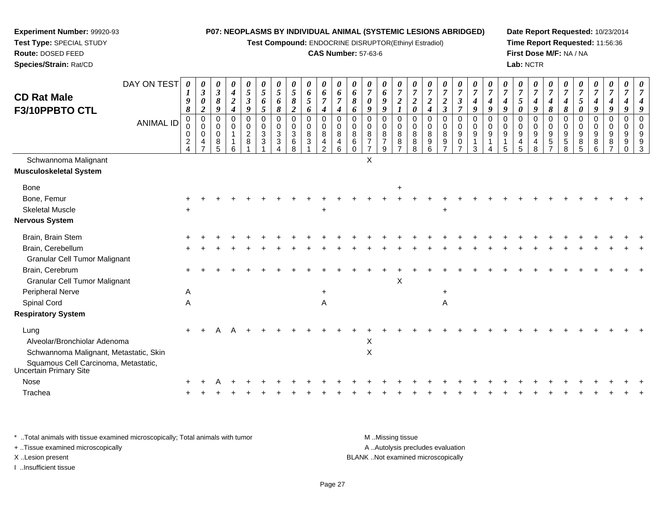**Test Compound:** ENDOCRINE DISRUPTOR(Ethinyl Estradiol)

## **CAS Number:** 57-63-6

**Date Report Requested:** 10/23/2014**Time Report Requested:** 11:56:36**First Dose M/F:** NA / NA**Lab:** NCTR

| <b>CD Rat Male</b>                                             | DAY ON TEST      | 0<br>$\boldsymbol{l}$<br>9                 | $\boldsymbol{\theta}$<br>$\mathfrak{z}$<br>$\pmb{\theta}$ | $\boldsymbol{\theta}$<br>$\mathfrak{z}$<br>8 | $\boldsymbol{\theta}$<br>$\boldsymbol{4}$<br>$\sqrt{2}$ | $\boldsymbol{\theta}$<br>5<br>$\boldsymbol{\beta}$ | $\boldsymbol{\theta}$<br>5<br>6           | 0<br>5<br>6                                                                                      | 0<br>5<br>$\pmb{8}$             | $\boldsymbol{\theta}$<br>6<br>$\sqrt{5}$ | $\boldsymbol{\theta}$<br>6<br>$\overline{7}$ | $\boldsymbol{\theta}$<br>6<br>$\overline{7}$              | $\boldsymbol{\theta}$<br>6<br>8   | $\boldsymbol{\theta}$<br>$\overline{7}$<br>$\boldsymbol{\theta}$ | 0<br>6<br>9                | $\boldsymbol{\theta}$<br>$\overline{7}$<br>$\boldsymbol{2}$ | $\boldsymbol{\theta}$<br>$\boldsymbol{7}$<br>$\boldsymbol{2}$ | $\boldsymbol{\theta}$<br>$\overline{7}$<br>$\boldsymbol{2}$  | $\boldsymbol{\theta}$<br>$\overline{7}$<br>$\boldsymbol{2}$ | $\boldsymbol{\theta}$<br>$\overline{7}$<br>$\boldsymbol{\beta}$ | $\boldsymbol{\theta}$<br>$\overline{7}$<br>$\boldsymbol{4}$ | $\overline{7}$<br>4 | $\boldsymbol{\theta}$<br>$\overline{7}$<br>4 | $\boldsymbol{\theta}$<br>$\boldsymbol{7}$<br>5            | $\boldsymbol{\theta}$<br>$\overline{7}$<br>$\boldsymbol{4}$ | $\theta$<br>$\overline{7}$<br>$\boldsymbol{4}$ | $\boldsymbol{\theta}$<br>$\overline{7}$<br>$\boldsymbol{4}$ | $\boldsymbol{\theta}$<br>$\overline{7}$<br>$\mathfrak{H}$ | 0<br>$\overline{7}$<br>$\boldsymbol{4}$ | 0<br>$\overline{7}$<br>$\boldsymbol{4}$ | 0<br>$\overline{7}$ | 0<br>$\overline{7}$                  |
|----------------------------------------------------------------|------------------|--------------------------------------------|-----------------------------------------------------------|----------------------------------------------|---------------------------------------------------------|----------------------------------------------------|-------------------------------------------|--------------------------------------------------------------------------------------------------|---------------------------------|------------------------------------------|----------------------------------------------|-----------------------------------------------------------|-----------------------------------|------------------------------------------------------------------|----------------------------|-------------------------------------------------------------|---------------------------------------------------------------|--------------------------------------------------------------|-------------------------------------------------------------|-----------------------------------------------------------------|-------------------------------------------------------------|---------------------|----------------------------------------------|-----------------------------------------------------------|-------------------------------------------------------------|------------------------------------------------|-------------------------------------------------------------|-----------------------------------------------------------|-----------------------------------------|-----------------------------------------|---------------------|--------------------------------------|
| F3/10PPBTO CTL                                                 |                  | $\pmb{8}$<br>$\mathbf 0$                   | $\boldsymbol{2}$<br>$\mathbf 0$                           | 9<br>$\Omega$                                | $\boldsymbol{4}$<br>$\Omega$                            | $\boldsymbol{g}$<br>$\Omega$                       | $\mathfrak{s}$<br>$\Omega$                | 8<br>$\Omega$                                                                                    | $\boldsymbol{2}$<br>$\mathbf 0$ | 6<br>$\mathbf 0$                         | $\boldsymbol{4}$<br>$\Omega$                 | $\boldsymbol{4}$<br>$\Omega$                              | 6<br>$\Omega$                     | 9<br>$\Omega$                                                    | 9<br>$\Omega$              | $\Omega$                                                    | $\boldsymbol{\theta}$<br>$\Omega$                             | $\boldsymbol{4}$<br>$\Omega$                                 | $\mathfrak{z}$<br>$\mathbf 0$                               | $\overline{7}$<br>$\Omega$                                      | 9<br>$\Omega$                                               | 9<br>$\Omega$       | 9<br>$\Omega$                                | $\boldsymbol{\theta}$<br>$\Omega$                         | 9<br>$\Omega$                                               | $\pmb{8}$<br>$\Omega$                          | $\pmb{8}$<br>$\Omega$                                       | $\pmb{\theta}$<br>$\mathbf 0$                             | 9<br>$\Omega$                           | 9<br>$\Omega$                           | 9<br>$\Omega$       | $\Omega$                             |
|                                                                | <b>ANIMAL ID</b> | 0<br>0<br>$\overline{c}$<br>$\overline{4}$ | $\pmb{0}$<br>0<br>4<br>$\overline{7}$                     | $\mathbf 0$<br>$\mathbf 0$<br>8<br>5         | $\mathbf 0$<br>$\overline{1}$<br>6                      | $\pmb{0}$<br>$\overline{c}$<br>$\bf 8$             | $\mathbf 0$<br>$\mathbf{3}$<br>$\sqrt{3}$ | $\mathbf 0$<br>$\ensuremath{\mathsf{3}}$<br>$\ensuremath{\mathsf{3}}$<br>$\overline{\mathbf{A}}$ | 0<br>3<br>6<br>8                | $\mathbf 0$<br>$\,8\,$<br>$\sqrt{3}$     | $\pmb{0}$<br>$\bf 8$<br>4<br>$\overline{2}$  | $\mathbf 0$<br>$\bf8$<br>$\overline{4}$<br>$6\phantom{1}$ | $\mathbf 0$<br>8<br>6<br>$\Omega$ | $\mathbf 0$<br>8<br>$\overline{7}$<br>$\overline{7}$             | $\mathbf 0$<br>8<br>7<br>9 | 0<br>8<br>8<br>$\overline{7}$                               | $\pmb{0}$<br>8<br>$_{8}^8$                                    | $\mathbf 0$<br>$\bf 8$<br>$\boldsymbol{9}$<br>$6\phantom{a}$ | $\mathbf 0$<br>$\bf8$<br>$\frac{9}{7}$                      | $\mathbf 0$<br>$\boldsymbol{9}$<br>$\pmb{0}$<br>$\overline{7}$  | $\mathbf 0$<br>9<br>$\mathbf{1}$<br>3                       | 0<br>9              | 0<br>9<br>5                                  | 0<br>$\boldsymbol{9}$<br>$\overline{4}$<br>$\overline{5}$ | $\mathbf 0$<br>$\boldsymbol{9}$<br>4<br>8                   | 0<br>$\boldsymbol{9}$<br>$\frac{5}{7}$         | $\mathbf 0$<br>9<br>5<br>8                                  | $\mathbf 0$<br>$\boldsymbol{9}$<br>$\, 8$<br>5            | $\mathbf 0$<br>9<br>8<br>6              | $\mathbf 0$<br>9<br>8<br>$\overline{7}$ | 0<br>9<br>$^9$ 0    | $\Omega$<br>9<br>9<br>$\overline{3}$ |
| Schwannoma Malignant<br><b>Musculoskeletal System</b>          |                  |                                            |                                                           |                                              |                                                         |                                                    |                                           |                                                                                                  |                                 |                                          |                                              |                                                           |                                   | X                                                                |                            |                                                             |                                                               |                                                              |                                                             |                                                                 |                                                             |                     |                                              |                                                           |                                                             |                                                |                                                             |                                                           |                                         |                                         |                     |                                      |
| Bone                                                           |                  |                                            |                                                           |                                              |                                                         |                                                    |                                           |                                                                                                  |                                 |                                          |                                              |                                                           |                                   |                                                                  |                            | $\ddot{}$                                                   |                                                               |                                                              |                                                             |                                                                 |                                                             |                     |                                              |                                                           |                                                             |                                                |                                                             |                                                           |                                         |                                         |                     |                                      |
| Bone, Femur                                                    |                  |                                            |                                                           |                                              |                                                         |                                                    |                                           |                                                                                                  |                                 |                                          |                                              |                                                           |                                   |                                                                  |                            |                                                             |                                                               |                                                              |                                                             |                                                                 |                                                             |                     |                                              |                                                           |                                                             |                                                |                                                             |                                                           |                                         |                                         |                     |                                      |
| <b>Skeletal Muscle</b>                                         |                  |                                            |                                                           |                                              |                                                         |                                                    |                                           |                                                                                                  |                                 |                                          | $\ddot{}$                                    |                                                           |                                   |                                                                  |                            |                                                             |                                                               |                                                              |                                                             |                                                                 |                                                             |                     |                                              |                                                           |                                                             |                                                |                                                             |                                                           |                                         |                                         |                     |                                      |
| <b>Nervous System</b>                                          |                  |                                            |                                                           |                                              |                                                         |                                                    |                                           |                                                                                                  |                                 |                                          |                                              |                                                           |                                   |                                                                  |                            |                                                             |                                                               |                                                              |                                                             |                                                                 |                                                             |                     |                                              |                                                           |                                                             |                                                |                                                             |                                                           |                                         |                                         |                     |                                      |
| Brain, Brain Stem                                              |                  |                                            |                                                           |                                              |                                                         |                                                    |                                           |                                                                                                  |                                 |                                          |                                              |                                                           |                                   |                                                                  |                            |                                                             |                                                               |                                                              |                                                             |                                                                 |                                                             |                     |                                              |                                                           |                                                             |                                                |                                                             |                                                           |                                         |                                         |                     |                                      |
| Brain, Cerebellum                                              |                  |                                            |                                                           |                                              |                                                         |                                                    |                                           |                                                                                                  |                                 |                                          |                                              |                                                           |                                   |                                                                  |                            |                                                             |                                                               |                                                              |                                                             |                                                                 |                                                             |                     |                                              |                                                           |                                                             |                                                |                                                             |                                                           |                                         |                                         |                     |                                      |
| <b>Granular Cell Tumor Malignant</b>                           |                  |                                            |                                                           |                                              |                                                         |                                                    |                                           |                                                                                                  |                                 |                                          |                                              |                                                           |                                   |                                                                  |                            |                                                             |                                                               |                                                              |                                                             |                                                                 |                                                             |                     |                                              |                                                           |                                                             |                                                |                                                             |                                                           |                                         |                                         |                     |                                      |
| Brain, Cerebrum                                                |                  |                                            |                                                           |                                              |                                                         |                                                    |                                           |                                                                                                  |                                 |                                          |                                              |                                                           |                                   |                                                                  |                            |                                                             |                                                               |                                                              |                                                             |                                                                 |                                                             |                     |                                              |                                                           |                                                             |                                                |                                                             |                                                           |                                         |                                         |                     |                                      |
| <b>Granular Cell Tumor Malignant</b>                           |                  |                                            |                                                           |                                              |                                                         |                                                    |                                           |                                                                                                  |                                 |                                          |                                              |                                                           |                                   |                                                                  |                            | X                                                           |                                                               |                                                              |                                                             |                                                                 |                                                             |                     |                                              |                                                           |                                                             |                                                |                                                             |                                                           |                                         |                                         |                     |                                      |
| Peripheral Nerve                                               |                  | A                                          |                                                           |                                              |                                                         |                                                    |                                           |                                                                                                  |                                 |                                          |                                              |                                                           |                                   |                                                                  |                            |                                                             |                                                               |                                                              |                                                             |                                                                 |                                                             |                     |                                              |                                                           |                                                             |                                                |                                                             |                                                           |                                         |                                         |                     |                                      |
| Spinal Cord                                                    |                  | A                                          |                                                           |                                              |                                                         |                                                    |                                           |                                                                                                  |                                 |                                          | Α                                            |                                                           |                                   |                                                                  |                            |                                                             |                                                               |                                                              | Α                                                           |                                                                 |                                                             |                     |                                              |                                                           |                                                             |                                                |                                                             |                                                           |                                         |                                         |                     |                                      |
| <b>Respiratory System</b>                                      |                  |                                            |                                                           |                                              |                                                         |                                                    |                                           |                                                                                                  |                                 |                                          |                                              |                                                           |                                   |                                                                  |                            |                                                             |                                                               |                                                              |                                                             |                                                                 |                                                             |                     |                                              |                                                           |                                                             |                                                |                                                             |                                                           |                                         |                                         |                     |                                      |
| Lung                                                           |                  | $\ddot{}$                                  |                                                           |                                              |                                                         |                                                    |                                           |                                                                                                  |                                 |                                          |                                              |                                                           |                                   |                                                                  |                            |                                                             |                                                               |                                                              |                                                             |                                                                 |                                                             |                     |                                              |                                                           |                                                             |                                                |                                                             |                                                           |                                         |                                         |                     |                                      |
| Alveolar/Bronchiolar Adenoma                                   |                  |                                            |                                                           |                                              |                                                         |                                                    |                                           |                                                                                                  |                                 |                                          |                                              |                                                           |                                   | X                                                                |                            |                                                             |                                                               |                                                              |                                                             |                                                                 |                                                             |                     |                                              |                                                           |                                                             |                                                |                                                             |                                                           |                                         |                                         |                     |                                      |
| Schwannoma Malignant, Metastatic, Skin                         |                  |                                            |                                                           |                                              |                                                         |                                                    |                                           |                                                                                                  |                                 |                                          |                                              |                                                           |                                   | X                                                                |                            |                                                             |                                                               |                                                              |                                                             |                                                                 |                                                             |                     |                                              |                                                           |                                                             |                                                |                                                             |                                                           |                                         |                                         |                     |                                      |
| Squamous Cell Carcinoma, Metastatic,<br>Uncertain Primary Site |                  |                                            |                                                           |                                              |                                                         |                                                    |                                           |                                                                                                  |                                 |                                          |                                              |                                                           |                                   |                                                                  |                            |                                                             |                                                               |                                                              |                                                             |                                                                 |                                                             |                     |                                              |                                                           |                                                             |                                                |                                                             |                                                           |                                         |                                         |                     |                                      |
| Nose                                                           |                  |                                            |                                                           |                                              |                                                         |                                                    |                                           |                                                                                                  |                                 |                                          |                                              |                                                           |                                   |                                                                  |                            |                                                             |                                                               |                                                              |                                                             |                                                                 |                                                             |                     |                                              |                                                           |                                                             |                                                |                                                             |                                                           |                                         |                                         |                     |                                      |
| Trachea                                                        |                  |                                            |                                                           |                                              |                                                         |                                                    |                                           |                                                                                                  |                                 |                                          |                                              |                                                           |                                   |                                                                  |                            |                                                             |                                                               |                                                              |                                                             |                                                                 |                                                             |                     |                                              |                                                           |                                                             |                                                |                                                             |                                                           |                                         |                                         |                     |                                      |
|                                                                |                  |                                            |                                                           |                                              |                                                         |                                                    |                                           |                                                                                                  |                                 |                                          |                                              |                                                           |                                   |                                                                  |                            |                                                             |                                                               |                                                              |                                                             |                                                                 |                                                             |                     |                                              |                                                           |                                                             |                                                |                                                             |                                                           |                                         |                                         |                     |                                      |

\* ..Total animals with tissue examined microscopically; Total animals with tumor **M** . Missing tissue M ..Missing tissue A ..Autolysis precludes evaluation + ..Tissue examined microscopically X ..Lesion present BLANK ..Not examined microscopicallyI ..Insufficient tissue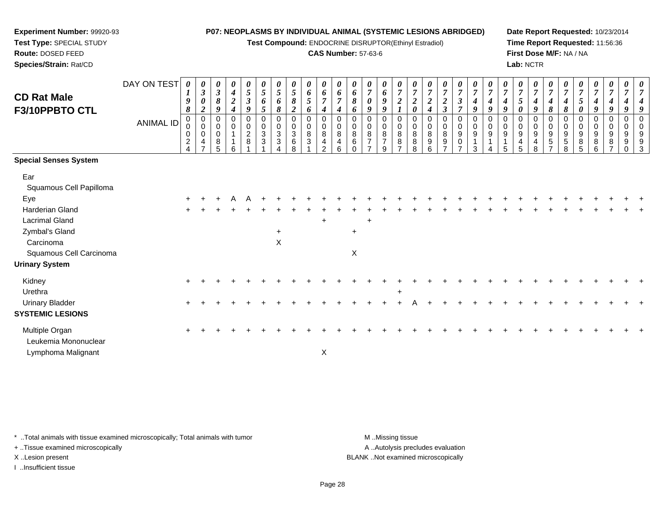**Test Compound:** ENDOCRINE DISRUPTOR(Ethinyl Estradiol)

# **CAS Number:** 57-63-6

**Date Report Requested:** 10/23/2014**Time Report Requested:** 11:56:36**First Dose M/F:** NA / NA**Lab:** NCTR

| <b>CD Rat Male</b><br>F3/10PPBTO CTL            | DAY ON TEST<br><b>ANIMAL ID</b> | 0<br>1<br>9<br>8<br>0<br>0<br>$\frac{2}{4}$ | 0<br>3<br>0<br>$\boldsymbol{2}$<br>0<br>0<br>0<br>4 | 0<br>$\boldsymbol{\beta}$<br>8<br>9<br>0<br>0<br>0<br>8<br>5 | $\boldsymbol{\theta}$<br>$\boldsymbol{4}$<br>$\boldsymbol{2}$<br>$\boldsymbol{4}$<br>0<br>0<br>1<br>6 | $\boldsymbol{\theta}$<br>5<br>$\boldsymbol{\beta}$<br>9<br>$\mathbf 0$<br>0<br>$\overline{2}$<br>8 | 0<br>5<br>6<br>5<br>$\mathbf 0$<br>0<br>3<br>3 | 0<br>5<br>6<br>8<br>0<br>0<br>3<br>3 | 0<br>5<br>8<br>$\boldsymbol{2}$<br>0<br>$\pmb{0}$<br>$\ensuremath{\mathsf{3}}$<br>$\,6\,$<br>8 | 0<br>6<br>$\mathfrak{s}$<br>6<br>0<br>$\pmb{0}$<br>$\bf 8$<br>3 | $\pmb{\theta}$<br>6<br>$\overline{7}$<br>4<br>0<br>0<br>8<br>4<br>$\overline{2}$ | $\boldsymbol{\theta}$<br>6<br>7<br>$\Omega$<br>$\mathbf 0$<br>8<br>4<br>6 | 0<br>6<br>8<br>6<br>0<br>$\Omega$<br>8<br>6 | 0<br>$\overline{7}$<br>$\pmb{\theta}$<br>9<br>0<br>0<br>8<br>$\overline{7}$ | 0<br>6<br>9<br>9<br>0<br>$\pmb{0}$<br>8<br>$\overline{ }$<br>9 | 0<br>$\boldsymbol{2}$<br>0<br>0<br>8<br>8 | 0<br>$\overline{7}$<br>$\overline{2}$<br>$\boldsymbol{\theta}$<br>0<br>$\pmb{0}$<br>8<br>8<br>8 | $\boldsymbol{\theta}$<br>$\boldsymbol{7}$<br>$\overline{2}$<br>$\boldsymbol{4}$<br>0<br>0<br>8<br>9<br>6 | 0<br>$\overline{7}$<br>$\boldsymbol{2}$<br>$\boldsymbol{\beta}$<br>0<br>$\mathbf 0$<br>8<br>9 | $\frac{\boldsymbol{0}}{7}$<br>3<br>$\overline{7}$<br>0<br>0<br>9<br>0 | 0<br>$\overline{7}$<br>4<br>9<br>$\Omega$<br>0<br>9<br>3 | 0<br>4<br>9<br>$\mathbf 0$<br>$\mathbf 0$<br>9 | $\boldsymbol{\theta}$<br>$\overline{7}$<br>$\boldsymbol{4}$<br>9<br>$\mathbf 0$<br>0<br>9<br>5 | 0<br>$\overline{7}$<br>$\mathfrak{s}$<br>$\boldsymbol{\theta}$<br>0<br>$\mathbf 0$<br>9<br>4<br>5 | 0<br>$\overline{7}$<br>4<br>9<br>0<br>0<br>9<br>4<br>8 | 0<br>4<br>8<br>0<br>9<br>5 | 0<br>$\overline{7}$<br>4<br>8<br>0<br>0<br>9<br>$\,$ 5 $\,$<br>8 | 0<br>$\overline{7}$<br>5<br>0<br>0<br>$\mathbf 0$<br>9<br>8<br>5 | 0<br>$\overline{7}$<br>$\boldsymbol{4}$<br>9<br>0<br>0<br>$9\,$<br>8<br>6 | 0<br>$\overline{7}$<br>4<br>9<br>0<br>0<br>9<br>8<br>$\overline{ }$ | 0<br>7<br>4<br>9<br>0<br>0<br>9<br>9<br>0 | 0<br>7<br>9<br>$\mathbf 0$<br>0<br>9<br>9<br>3 |
|-------------------------------------------------|---------------------------------|---------------------------------------------|-----------------------------------------------------|--------------------------------------------------------------|-------------------------------------------------------------------------------------------------------|----------------------------------------------------------------------------------------------------|------------------------------------------------|--------------------------------------|------------------------------------------------------------------------------------------------|-----------------------------------------------------------------|----------------------------------------------------------------------------------|---------------------------------------------------------------------------|---------------------------------------------|-----------------------------------------------------------------------------|----------------------------------------------------------------|-------------------------------------------|-------------------------------------------------------------------------------------------------|----------------------------------------------------------------------------------------------------------|-----------------------------------------------------------------------------------------------|-----------------------------------------------------------------------|----------------------------------------------------------|------------------------------------------------|------------------------------------------------------------------------------------------------|---------------------------------------------------------------------------------------------------|--------------------------------------------------------|----------------------------|------------------------------------------------------------------|------------------------------------------------------------------|---------------------------------------------------------------------------|---------------------------------------------------------------------|-------------------------------------------|------------------------------------------------|
| <b>Special Senses System</b>                    |                                 |                                             |                                                     |                                                              |                                                                                                       |                                                                                                    |                                                |                                      |                                                                                                |                                                                 |                                                                                  |                                                                           |                                             |                                                                             |                                                                |                                           |                                                                                                 |                                                                                                          |                                                                                               |                                                                       |                                                          |                                                |                                                                                                |                                                                                                   |                                                        |                            |                                                                  |                                                                  |                                                                           |                                                                     |                                           |                                                |
| Ear<br>Squamous Cell Papilloma                  |                                 |                                             |                                                     |                                                              |                                                                                                       |                                                                                                    |                                                |                                      |                                                                                                |                                                                 |                                                                                  |                                                                           |                                             |                                                                             |                                                                |                                           |                                                                                                 |                                                                                                          |                                                                                               |                                                                       |                                                          |                                                |                                                                                                |                                                                                                   |                                                        |                            |                                                                  |                                                                  |                                                                           |                                                                     |                                           |                                                |
| Eye                                             |                                 | $\pm$                                       |                                                     |                                                              |                                                                                                       |                                                                                                    |                                                |                                      |                                                                                                |                                                                 |                                                                                  |                                                                           |                                             |                                                                             |                                                                |                                           |                                                                                                 |                                                                                                          |                                                                                               |                                                                       |                                                          |                                                |                                                                                                |                                                                                                   |                                                        |                            |                                                                  |                                                                  |                                                                           |                                                                     |                                           |                                                |
| <b>Harderian Gland</b><br><b>Lacrimal Gland</b> |                                 |                                             |                                                     |                                                              |                                                                                                       |                                                                                                    |                                                |                                      |                                                                                                |                                                                 | $+$                                                                              |                                                                           |                                             | $\ddot{}$                                                                   |                                                                |                                           |                                                                                                 |                                                                                                          |                                                                                               |                                                                       |                                                          |                                                |                                                                                                |                                                                                                   |                                                        |                            |                                                                  |                                                                  |                                                                           |                                                                     |                                           |                                                |
| Zymbal's Gland                                  |                                 |                                             |                                                     |                                                              |                                                                                                       |                                                                                                    |                                                | +                                    |                                                                                                |                                                                 |                                                                                  |                                                                           | $\ddot{}$                                   |                                                                             |                                                                |                                           |                                                                                                 |                                                                                                          |                                                                                               |                                                                       |                                                          |                                                |                                                                                                |                                                                                                   |                                                        |                            |                                                                  |                                                                  |                                                                           |                                                                     |                                           |                                                |
| Carcinoma<br>Squamous Cell Carcinoma            |                                 |                                             |                                                     |                                                              |                                                                                                       |                                                                                                    |                                                | X                                    |                                                                                                |                                                                 |                                                                                  |                                                                           | X                                           |                                                                             |                                                                |                                           |                                                                                                 |                                                                                                          |                                                                                               |                                                                       |                                                          |                                                |                                                                                                |                                                                                                   |                                                        |                            |                                                                  |                                                                  |                                                                           |                                                                     |                                           |                                                |
| <b>Urinary System</b>                           |                                 |                                             |                                                     |                                                              |                                                                                                       |                                                                                                    |                                                |                                      |                                                                                                |                                                                 |                                                                                  |                                                                           |                                             |                                                                             |                                                                |                                           |                                                                                                 |                                                                                                          |                                                                                               |                                                                       |                                                          |                                                |                                                                                                |                                                                                                   |                                                        |                            |                                                                  |                                                                  |                                                                           |                                                                     |                                           |                                                |
| Kidney<br>Urethra                               |                                 |                                             |                                                     |                                                              |                                                                                                       |                                                                                                    |                                                |                                      |                                                                                                |                                                                 |                                                                                  |                                                                           |                                             |                                                                             |                                                                | $\ddot{}$                                 |                                                                                                 |                                                                                                          |                                                                                               |                                                                       |                                                          |                                                |                                                                                                |                                                                                                   |                                                        |                            |                                                                  |                                                                  |                                                                           |                                                                     |                                           |                                                |
| <b>Urinary Bladder</b>                          |                                 |                                             |                                                     |                                                              |                                                                                                       |                                                                                                    |                                                |                                      |                                                                                                |                                                                 |                                                                                  |                                                                           |                                             |                                                                             |                                                                |                                           |                                                                                                 |                                                                                                          |                                                                                               |                                                                       |                                                          |                                                |                                                                                                |                                                                                                   |                                                        |                            |                                                                  |                                                                  |                                                                           |                                                                     |                                           |                                                |
| <b>SYSTEMIC LESIONS</b>                         |                                 |                                             |                                                     |                                                              |                                                                                                       |                                                                                                    |                                                |                                      |                                                                                                |                                                                 |                                                                                  |                                                                           |                                             |                                                                             |                                                                |                                           |                                                                                                 |                                                                                                          |                                                                                               |                                                                       |                                                          |                                                |                                                                                                |                                                                                                   |                                                        |                            |                                                                  |                                                                  |                                                                           |                                                                     |                                           |                                                |
| Multiple Organ<br>Leukemia Mononuclear          |                                 |                                             |                                                     |                                                              |                                                                                                       |                                                                                                    |                                                |                                      |                                                                                                |                                                                 |                                                                                  |                                                                           |                                             |                                                                             |                                                                |                                           |                                                                                                 |                                                                                                          |                                                                                               |                                                                       |                                                          |                                                |                                                                                                |                                                                                                   |                                                        |                            |                                                                  |                                                                  |                                                                           |                                                                     |                                           |                                                |
| Lymphoma Malignant                              |                                 |                                             |                                                     |                                                              |                                                                                                       |                                                                                                    |                                                |                                      |                                                                                                |                                                                 | $\boldsymbol{\mathsf{X}}$                                                        |                                                                           |                                             |                                                                             |                                                                |                                           |                                                                                                 |                                                                                                          |                                                                                               |                                                                       |                                                          |                                                |                                                                                                |                                                                                                   |                                                        |                            |                                                                  |                                                                  |                                                                           |                                                                     |                                           |                                                |

\* ..Total animals with tissue examined microscopically; Total animals with tumor **M** . Missing tissue M ..Missing tissue

+ ..Tissue examined microscopically

**Experiment Number:** 99920-93**Test Type:** SPECIAL STUDY**Route:** DOSED FEED**Species/Strain:** Rat/CD

I ..Insufficient tissue

A ..Autolysis precludes evaluation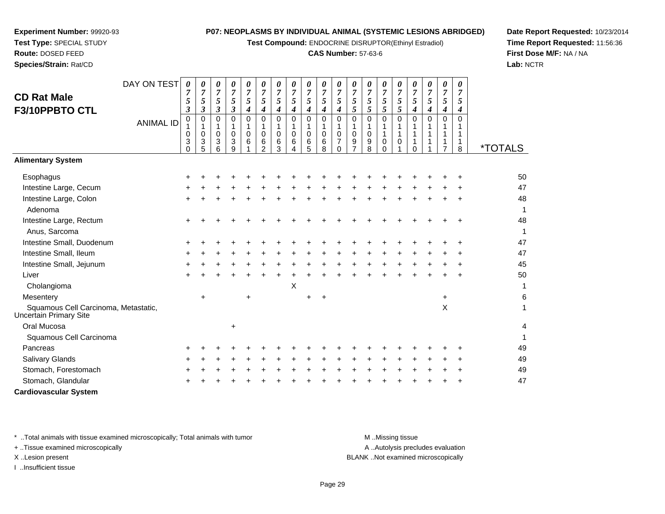**Test Compound:** ENDOCRINE DISRUPTOR(Ethinyl Estradiol)

# **CAS Number:** 57-63-6

**Date Report Requested:** 10/23/2014**Time Report Requested:** 11:56:36**First Dose M/F:** NA / NA**Lab:** NCTR

| <b>CD Rat Male</b>                                             | DAY ON TEST      | 0<br>7<br>5<br>$\boldsymbol{\beta}$ | 0<br>$\overline{7}$<br>5<br>$\boldsymbol{\beta}$        | 0<br>$\overline{7}$<br>5             | 0<br>$\overline{7}$<br>$\mathfrak{s}$<br>3 | 0<br>$\overline{7}$<br>5                  | 0<br>$\overline{7}$<br>5                | 0<br>$\overline{7}$<br>$\mathfrak{s}$ | 0<br>7<br>5                     | 0<br>$\overline{7}$<br>5   | 0<br>$\boldsymbol{7}$<br>5                | 0<br>$\overline{7}$<br>5          | 0<br>$\overline{7}$<br>$\mathfrak{s}$<br>5                                    | 0<br>$\overline{7}$<br>$\sqrt{5}$<br>5 | 0<br>$\overline{7}$<br>5<br>5          | 0<br>$\overline{7}$<br>5<br>5   | 0<br>7<br>5               | 0<br>$\overline{7}$<br>5 | $\pmb{\theta}$<br>$\overline{7}$<br>$\sqrt{5}$         | 0<br>$\overline{7}$<br>5   |                       |
|----------------------------------------------------------------|------------------|-------------------------------------|---------------------------------------------------------|--------------------------------------|--------------------------------------------|-------------------------------------------|-----------------------------------------|---------------------------------------|---------------------------------|----------------------------|-------------------------------------------|-----------------------------------|-------------------------------------------------------------------------------|----------------------------------------|----------------------------------------|---------------------------------|---------------------------|--------------------------|--------------------------------------------------------|----------------------------|-----------------------|
| F3/10PPBTO CTL                                                 | <b>ANIMAL ID</b> | 0<br>$\mathbf 0$<br>3<br>0          | $\mathbf 0$<br>1<br>0<br>$\ensuremath{\mathsf{3}}$<br>5 | 3<br>$\mathbf 0$<br>1<br>0<br>3<br>6 | 0<br>1<br>0<br>3<br>9                      | $\boldsymbol{4}$<br>$\mathbf 0$<br>0<br>6 | 4<br>0<br>1<br>0<br>6<br>$\overline{2}$ | 4<br>0<br>1<br>0<br>6<br>3            | 4<br>$\mathbf 0$<br>0<br>6<br>4 | 4<br>0<br>1<br>0<br>6<br>5 | $\boldsymbol{4}$<br>0<br>1<br>0<br>6<br>8 | 4<br>0<br>1<br>0<br>7<br>$\Omega$ | $\pmb{0}$<br>$\mathbf 1$<br>$\mathbf 0$<br>$\boldsymbol{9}$<br>$\overline{7}$ | $\mathbf 0$<br>1<br>0<br>9<br>8        | $\mathbf 0$<br>1<br>1<br>0<br>$\Omega$ | $\mathbf 0$<br>$\mathbf 1$<br>0 | 4<br>$\Omega$<br>$\Omega$ | 4<br>0                   | $\boldsymbol{4}$<br>0<br>1<br>1<br>1<br>$\overline{7}$ | 4<br>0<br>1<br>1<br>1<br>8 | <i><b>*TOTALS</b></i> |
| <b>Alimentary System</b>                                       |                  |                                     |                                                         |                                      |                                            |                                           |                                         |                                       |                                 |                            |                                           |                                   |                                                                               |                                        |                                        |                                 |                           |                          |                                                        |                            |                       |
| Esophagus                                                      |                  |                                     |                                                         |                                      |                                            |                                           |                                         |                                       |                                 |                            |                                           |                                   |                                                                               |                                        |                                        |                                 |                           |                          |                                                        |                            | 50                    |
| Intestine Large, Cecum                                         |                  |                                     |                                                         |                                      |                                            |                                           |                                         |                                       |                                 |                            |                                           |                                   |                                                                               |                                        |                                        |                                 |                           |                          |                                                        |                            | 47                    |
| Intestine Large, Colon                                         |                  |                                     |                                                         |                                      |                                            |                                           |                                         |                                       |                                 |                            |                                           |                                   |                                                                               |                                        |                                        |                                 |                           |                          |                                                        |                            | 48                    |
| Adenoma                                                        |                  |                                     |                                                         |                                      |                                            |                                           |                                         |                                       |                                 |                            |                                           |                                   |                                                                               |                                        |                                        |                                 |                           |                          |                                                        |                            | 1                     |
| Intestine Large, Rectum                                        |                  |                                     |                                                         |                                      |                                            |                                           |                                         |                                       |                                 |                            |                                           |                                   |                                                                               |                                        |                                        |                                 |                           |                          |                                                        |                            | 48                    |
| Anus, Sarcoma                                                  |                  |                                     |                                                         |                                      |                                            |                                           |                                         |                                       |                                 |                            |                                           |                                   |                                                                               |                                        |                                        |                                 |                           |                          |                                                        |                            | $\mathbf{1}$          |
| Intestine Small, Duodenum                                      |                  |                                     |                                                         |                                      |                                            |                                           |                                         |                                       |                                 |                            |                                           |                                   |                                                                               |                                        |                                        |                                 |                           |                          |                                                        |                            | 47                    |
| Intestine Small, Ileum                                         |                  |                                     |                                                         |                                      |                                            |                                           |                                         |                                       |                                 |                            |                                           |                                   |                                                                               |                                        |                                        |                                 |                           |                          |                                                        |                            | 47                    |
| Intestine Small, Jejunum                                       |                  |                                     |                                                         |                                      |                                            |                                           |                                         |                                       |                                 |                            |                                           |                                   |                                                                               |                                        |                                        |                                 |                           |                          |                                                        |                            | 45                    |
| Liver                                                          |                  |                                     |                                                         |                                      |                                            |                                           |                                         |                                       |                                 |                            |                                           |                                   |                                                                               |                                        |                                        |                                 |                           |                          |                                                        |                            | 50                    |
| Cholangioma                                                    |                  |                                     |                                                         |                                      |                                            |                                           |                                         |                                       | $\pmb{\times}$                  |                            |                                           |                                   |                                                                               |                                        |                                        |                                 |                           |                          |                                                        |                            | 1                     |
| Mesentery                                                      |                  |                                     | $\ddot{}$                                               |                                      |                                            | ٠                                         |                                         |                                       |                                 |                            | ÷                                         |                                   |                                                                               |                                        |                                        |                                 |                           |                          | $\ddot{}$                                              |                            | 6                     |
| Squamous Cell Carcinoma, Metastatic,<br>Uncertain Primary Site |                  |                                     |                                                         |                                      |                                            |                                           |                                         |                                       |                                 |                            |                                           |                                   |                                                                               |                                        |                                        |                                 |                           |                          | X                                                      |                            | $\mathbf{1}$          |
| Oral Mucosa                                                    |                  |                                     |                                                         |                                      | $\ddot{}$                                  |                                           |                                         |                                       |                                 |                            |                                           |                                   |                                                                               |                                        |                                        |                                 |                           |                          |                                                        |                            | 4                     |
| Squamous Cell Carcinoma                                        |                  |                                     |                                                         |                                      |                                            |                                           |                                         |                                       |                                 |                            |                                           |                                   |                                                                               |                                        |                                        |                                 |                           |                          |                                                        |                            | 1                     |
| Pancreas                                                       |                  |                                     |                                                         |                                      |                                            |                                           |                                         |                                       |                                 |                            |                                           |                                   |                                                                               |                                        |                                        |                                 |                           |                          |                                                        |                            | 49                    |
| <b>Salivary Glands</b>                                         |                  |                                     |                                                         |                                      |                                            |                                           |                                         |                                       |                                 |                            |                                           |                                   |                                                                               |                                        |                                        |                                 |                           |                          |                                                        |                            | 49                    |
| Stomach, Forestomach                                           |                  |                                     |                                                         |                                      |                                            |                                           |                                         |                                       |                                 |                            |                                           |                                   |                                                                               |                                        |                                        |                                 |                           |                          |                                                        |                            | 49                    |
| Stomach, Glandular                                             |                  |                                     |                                                         |                                      |                                            |                                           |                                         |                                       |                                 |                            |                                           |                                   |                                                                               |                                        |                                        |                                 |                           |                          |                                                        |                            | 47                    |
| <b>Cardiovascular System</b>                                   |                  |                                     |                                                         |                                      |                                            |                                           |                                         |                                       |                                 |                            |                                           |                                   |                                                                               |                                        |                                        |                                 |                           |                          |                                                        |                            |                       |
|                                                                |                  |                                     |                                                         |                                      |                                            |                                           |                                         |                                       |                                 |                            |                                           |                                   |                                                                               |                                        |                                        |                                 |                           |                          |                                                        |                            |                       |

\* ..Total animals with tissue examined microscopically; Total animals with tumor **M** . Missing tissue M ..Missing tissue

+ ..Tissue examined microscopically

**Experiment Number:** 99920-93**Test Type:** SPECIAL STUDY**Route:** DOSED FEED**Species/Strain:** Rat/CD

I ..Insufficient tissue

A ..Autolysis precludes evaluation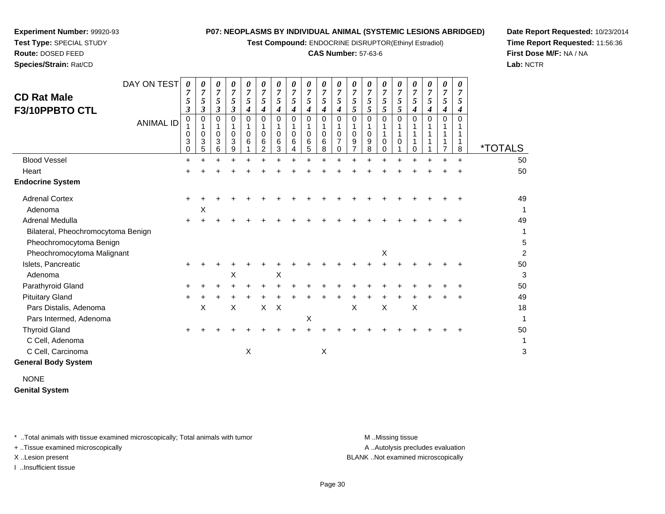**Test Compound:** ENDOCRINE DISRUPTOR(Ethinyl Estradiol)

# **CAS Number:** 57-63-6

**Date Report Requested:** 10/23/2014**Time Report Requested:** 11:56:36**First Dose M/F:** NA / NA**Lab:** NCTR

| <b>CD Rat Male</b><br>F3/10PPBTO CTL | DAY ON TEST<br><b>ANIMAL ID</b> | 0<br>5<br>$\boldsymbol{\beta}$<br>$\pmb{0}$<br>0<br>3<br>0 | 0<br>$\overline{7}$<br>$\sqrt{5}$<br>$\boldsymbol{\beta}$<br>$\,0\,$<br>$\mathbf 0$<br>3<br>5 | 0<br>$\overline{7}$<br>5<br>$\boldsymbol{\beta}$<br>0<br>1<br>$\mathbf 0$<br>3<br>6 | 0<br>$\overline{7}$<br>5<br>$\boldsymbol{\beta}$<br>0<br>$\mathbf 0$<br>3<br>9 | $\boldsymbol{\theta}$<br>$\boldsymbol{7}$<br>5<br>$\boldsymbol{4}$<br>0<br>$\mathbf 0$<br>6 | 0<br>$\boldsymbol{7}$<br>5<br>$\boldsymbol{4}$<br>$\Omega$<br>1<br>$\mathbf 0$<br>6<br>2 | 0<br>$\overline{7}$<br>$\mathfrak{s}$<br>4<br>$\Omega$<br>$\mathbf 0$<br>6<br>3 | 0<br>$\boldsymbol{7}$<br>5<br>4<br>$\mathbf 0$<br>$\mathbf 0$<br>6 | 0<br>$\boldsymbol{7}$<br>5<br>4<br>0<br>$\mathbf 0$<br>6<br>5 | 0<br>$\overline{7}$<br>$\sqrt{5}$<br>$\boldsymbol{4}$<br>$\mathbf 0$<br>$\pmb{0}$<br>6<br>8 | 0<br>$\overline{7}$<br>5<br>$\boldsymbol{4}$<br>$\Omega$<br>1<br>$\mathbf 0$<br>$\Omega$ | $\theta$<br>$\overline{7}$<br>$\sqrt{5}$<br>5<br>$\mathbf 0$<br>$\mathbf 0$<br>9 | 0<br>$\boldsymbol{7}$<br>5<br>5<br>0<br>0<br>9<br>8 | 0<br>$\boldsymbol{7}$<br>$\mathfrak{s}$<br>$5\overline{)}$<br>$\mathbf 0$<br>$\mathbf{1}$<br>$\mathbf 0$<br>$\Omega$ | 0<br>$\boldsymbol{7}$<br>5<br>5<br>$\Omega$<br>1<br>$\mathbf 0$ | 0<br>$\overline{7}$<br>5<br>$\boldsymbol{4}$<br>$\Omega$<br>$\Omega$ | 0<br>$\overline{7}$<br>5<br>$\boldsymbol{4}$<br>$\Omega$ | 0<br>$\overline{7}$<br>5<br>4<br>$\mathbf 0$<br>7 | 0<br>$\overline{7}$<br>5<br>4<br>$\Omega$<br>8 | <i><b>*TOTALS</b></i> |
|--------------------------------------|---------------------------------|------------------------------------------------------------|-----------------------------------------------------------------------------------------------|-------------------------------------------------------------------------------------|--------------------------------------------------------------------------------|---------------------------------------------------------------------------------------------|------------------------------------------------------------------------------------------|---------------------------------------------------------------------------------|--------------------------------------------------------------------|---------------------------------------------------------------|---------------------------------------------------------------------------------------------|------------------------------------------------------------------------------------------|----------------------------------------------------------------------------------|-----------------------------------------------------|----------------------------------------------------------------------------------------------------------------------|-----------------------------------------------------------------|----------------------------------------------------------------------|----------------------------------------------------------|---------------------------------------------------|------------------------------------------------|-----------------------|
| <b>Blood Vessel</b>                  |                                 |                                                            |                                                                                               |                                                                                     |                                                                                |                                                                                             |                                                                                          |                                                                                 |                                                                    |                                                               |                                                                                             |                                                                                          |                                                                                  |                                                     |                                                                                                                      |                                                                 |                                                                      |                                                          |                                                   |                                                | 50                    |
| Heart                                |                                 |                                                            |                                                                                               |                                                                                     |                                                                                |                                                                                             |                                                                                          |                                                                                 |                                                                    |                                                               |                                                                                             |                                                                                          |                                                                                  |                                                     |                                                                                                                      |                                                                 |                                                                      |                                                          |                                                   |                                                | 50                    |
| <b>Endocrine System</b>              |                                 |                                                            |                                                                                               |                                                                                     |                                                                                |                                                                                             |                                                                                          |                                                                                 |                                                                    |                                                               |                                                                                             |                                                                                          |                                                                                  |                                                     |                                                                                                                      |                                                                 |                                                                      |                                                          |                                                   |                                                |                       |
| <b>Adrenal Cortex</b>                |                                 |                                                            |                                                                                               |                                                                                     |                                                                                |                                                                                             |                                                                                          |                                                                                 |                                                                    |                                                               |                                                                                             |                                                                                          |                                                                                  |                                                     |                                                                                                                      |                                                                 |                                                                      |                                                          |                                                   |                                                | 49                    |
| Adenoma                              |                                 |                                                            | X                                                                                             |                                                                                     |                                                                                |                                                                                             |                                                                                          |                                                                                 |                                                                    |                                                               |                                                                                             |                                                                                          |                                                                                  |                                                     |                                                                                                                      |                                                                 |                                                                      |                                                          |                                                   |                                                | 1                     |
| Adrenal Medulla                      |                                 | +                                                          |                                                                                               |                                                                                     |                                                                                |                                                                                             |                                                                                          |                                                                                 |                                                                    |                                                               |                                                                                             |                                                                                          |                                                                                  |                                                     |                                                                                                                      |                                                                 |                                                                      |                                                          |                                                   |                                                | 49                    |
| Bilateral, Pheochromocytoma Benign   |                                 |                                                            |                                                                                               |                                                                                     |                                                                                |                                                                                             |                                                                                          |                                                                                 |                                                                    |                                                               |                                                                                             |                                                                                          |                                                                                  |                                                     |                                                                                                                      |                                                                 |                                                                      |                                                          |                                                   |                                                | 1                     |
| Pheochromocytoma Benign              |                                 |                                                            |                                                                                               |                                                                                     |                                                                                |                                                                                             |                                                                                          |                                                                                 |                                                                    |                                                               |                                                                                             |                                                                                          |                                                                                  |                                                     |                                                                                                                      |                                                                 |                                                                      |                                                          |                                                   |                                                | 5                     |
| Pheochromocytoma Malignant           |                                 |                                                            |                                                                                               |                                                                                     |                                                                                |                                                                                             |                                                                                          |                                                                                 |                                                                    |                                                               |                                                                                             |                                                                                          |                                                                                  |                                                     | $\boldsymbol{\mathsf{X}}$                                                                                            |                                                                 |                                                                      |                                                          |                                                   |                                                | $\overline{c}$        |
| Islets, Pancreatic                   |                                 |                                                            |                                                                                               |                                                                                     |                                                                                |                                                                                             |                                                                                          |                                                                                 |                                                                    |                                                               |                                                                                             |                                                                                          |                                                                                  |                                                     |                                                                                                                      |                                                                 |                                                                      |                                                          |                                                   |                                                | 50                    |
| Adenoma                              |                                 |                                                            |                                                                                               |                                                                                     | X                                                                              |                                                                                             |                                                                                          | Χ                                                                               |                                                                    |                                                               |                                                                                             |                                                                                          |                                                                                  |                                                     |                                                                                                                      |                                                                 |                                                                      |                                                          |                                                   |                                                | 3                     |
| Parathyroid Gland                    |                                 |                                                            |                                                                                               |                                                                                     |                                                                                |                                                                                             |                                                                                          |                                                                                 |                                                                    |                                                               |                                                                                             |                                                                                          |                                                                                  |                                                     |                                                                                                                      |                                                                 |                                                                      |                                                          |                                                   |                                                | 50                    |
| <b>Pituitary Gland</b>               |                                 |                                                            |                                                                                               |                                                                                     |                                                                                |                                                                                             |                                                                                          |                                                                                 |                                                                    |                                                               |                                                                                             |                                                                                          |                                                                                  |                                                     |                                                                                                                      |                                                                 |                                                                      |                                                          |                                                   |                                                | 49                    |
| Pars Distalis, Adenoma               |                                 |                                                            | X                                                                                             |                                                                                     | $\boldsymbol{\mathsf{X}}$                                                      |                                                                                             | $\pmb{\times}$                                                                           | $\times$                                                                        |                                                                    |                                                               |                                                                                             |                                                                                          | Χ                                                                                |                                                     | $\pmb{\times}$                                                                                                       |                                                                 | $\pmb{\times}$                                                       |                                                          |                                                   |                                                | 18                    |
| Pars Intermed, Adenoma               |                                 |                                                            |                                                                                               |                                                                                     |                                                                                |                                                                                             |                                                                                          |                                                                                 |                                                                    | X                                                             |                                                                                             |                                                                                          |                                                                                  |                                                     |                                                                                                                      |                                                                 |                                                                      |                                                          |                                                   |                                                | 1                     |
| <b>Thyroid Gland</b>                 |                                 |                                                            |                                                                                               |                                                                                     |                                                                                |                                                                                             |                                                                                          |                                                                                 |                                                                    |                                                               |                                                                                             |                                                                                          |                                                                                  |                                                     |                                                                                                                      |                                                                 |                                                                      |                                                          |                                                   |                                                | 50                    |
| C Cell, Adenoma                      |                                 |                                                            |                                                                                               |                                                                                     |                                                                                |                                                                                             |                                                                                          |                                                                                 |                                                                    |                                                               |                                                                                             |                                                                                          |                                                                                  |                                                     |                                                                                                                      |                                                                 |                                                                      |                                                          |                                                   |                                                | 1                     |
| C Cell, Carcinoma                    |                                 |                                                            |                                                                                               |                                                                                     |                                                                                | X                                                                                           |                                                                                          |                                                                                 |                                                                    |                                                               | $\boldsymbol{\mathsf{X}}$                                                                   |                                                                                          |                                                                                  |                                                     |                                                                                                                      |                                                                 |                                                                      |                                                          |                                                   |                                                | 3                     |
| <b>General Body System</b>           |                                 |                                                            |                                                                                               |                                                                                     |                                                                                |                                                                                             |                                                                                          |                                                                                 |                                                                    |                                                               |                                                                                             |                                                                                          |                                                                                  |                                                     |                                                                                                                      |                                                                 |                                                                      |                                                          |                                                   |                                                |                       |

NONE

**Genital System**

\* ..Total animals with tissue examined microscopically; Total animals with tumor M..Missing tissue

+ ..Tissue examined microscopically

**Experiment Number:** 99920-93**Test Type:** SPECIAL STUDY**Route:** DOSED FEED**Species/Strain:** Rat/CD

I ..Insufficient tissue

A ..Autolysis precludes evaluation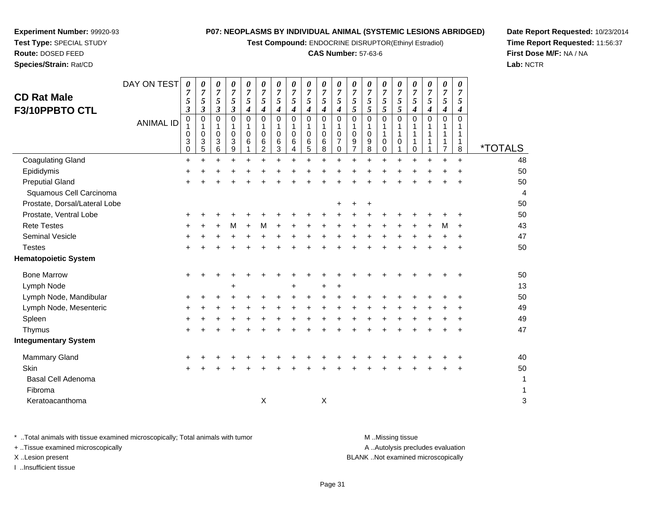**Test Compound:** ENDOCRINE DISRUPTOR(Ethinyl Estradiol)

## **CAS Number:** 57-63-6

**Date Report Requested:** 10/23/2014**Time Report Requested:** 11:56:37**First Dose M/F:** NA / NA**Lab:** NCTR

| <b>CD Rat Male</b><br>F3/10PPBTO CTL | DAY ON TEST<br><b>ANIMAL ID</b> | $\pmb{\theta}$<br>$\overline{7}$<br>5<br>$\boldsymbol{\beta}$<br>$\pmb{0}$<br>0<br>3<br>$\Omega$ | 0<br>$\overline{7}$<br>5<br>$\boldsymbol{\beta}$<br>0<br>$\mathbf{1}$<br>0<br>3<br>5 | 0<br>$\boldsymbol{7}$<br>5<br>3<br>0<br>$\mathbf{1}$<br>0<br>3<br>6 | 0<br>$\overline{7}$<br>5<br>$\overline{\mathbf{3}}$<br>0<br>1<br>0<br>3<br>9 | 0<br>$\overline{7}$<br>5<br>4<br>$\mathbf 0$<br>1<br>$\mathbf 0$<br>6<br>1 | 0<br>$\overline{7}$<br>5<br>$\boldsymbol{4}$<br>$\Omega$<br>0<br>6<br>2 | $\pmb{\theta}$<br>$\overline{7}$<br>5<br>$\boldsymbol{4}$<br>$\Omega$<br>1<br>0<br>6<br>3 | 0<br>$\overline{7}$<br>5<br>$\boldsymbol{4}$<br>$\Omega$<br>1<br>$\mathbf 0$<br>6<br>4 | 0<br>$\overline{7}$<br>5<br>$\boldsymbol{4}$<br>$\Omega$<br>1<br>$\mathbf 0$<br>6<br>5 | 0<br>$\boldsymbol{7}$<br>5<br>4<br>$\mathbf{0}$<br>$\mathbf 0$<br>$\,6$<br>8 | 0<br>$\overline{7}$<br>5<br>4<br>$\mathbf 0$<br>0<br>7<br>0 | 0<br>$\overline{7}$<br>5<br>5<br>$\mathbf 0$<br>1<br>$\Omega$<br>9<br>$\overline{7}$ | 0<br>$\overline{7}$<br>5<br>5<br>$\Omega$<br>1<br>$\mathbf 0$<br>9<br>8 | 0<br>$\overline{7}$<br>5<br>5<br>$\Omega$<br>1<br>$\mathbf{1}$<br>0<br>$\mathbf 0$ | 0<br>$\overline{7}$<br>5<br>5<br>$\Omega$<br>1<br>1<br>0<br>1 | 0<br>$\overline{7}$<br>5<br>$\boldsymbol{4}$<br>$\Omega$<br>0 | 0<br>$\overline{7}$<br>5<br>$\boldsymbol{4}$<br>0<br>1<br>1 | 0<br>$\overline{7}$<br>5<br>$\boldsymbol{4}$<br>$\Omega$<br>1<br>1<br>$\overline{7}$ | 0<br>$\overline{7}$<br>5<br>4<br>$\mathbf 0$<br>1<br>$\mathbf{1}$<br>1<br>8 | <i><b>*TOTALS</b></i> |
|--------------------------------------|---------------------------------|--------------------------------------------------------------------------------------------------|--------------------------------------------------------------------------------------|---------------------------------------------------------------------|------------------------------------------------------------------------------|----------------------------------------------------------------------------|-------------------------------------------------------------------------|-------------------------------------------------------------------------------------------|----------------------------------------------------------------------------------------|----------------------------------------------------------------------------------------|------------------------------------------------------------------------------|-------------------------------------------------------------|--------------------------------------------------------------------------------------|-------------------------------------------------------------------------|------------------------------------------------------------------------------------|---------------------------------------------------------------|---------------------------------------------------------------|-------------------------------------------------------------|--------------------------------------------------------------------------------------|-----------------------------------------------------------------------------|-----------------------|
| <b>Coagulating Gland</b>             |                                 | $\ddot{}$                                                                                        | $\ddot{}$                                                                            | $\ddot{}$                                                           | $+$                                                                          | $\ddot{}$                                                                  | $\div$                                                                  | $\ddot{}$                                                                                 | $\ddot{}$                                                                              | $\ddot{}$                                                                              | $\ddot{}$                                                                    | $\ddot{}$                                                   | ÷                                                                                    |                                                                         | $\ddot{}$                                                                          | ÷                                                             | $\ddot{}$                                                     | $\ddot{}$                                                   | $+$                                                                                  | $\ddot{}$                                                                   | 48                    |
| Epididymis                           |                                 |                                                                                                  |                                                                                      |                                                                     |                                                                              |                                                                            |                                                                         |                                                                                           |                                                                                        |                                                                                        |                                                                              |                                                             |                                                                                      |                                                                         |                                                                                    |                                                               |                                                               |                                                             |                                                                                      | +                                                                           | 50                    |
| <b>Preputial Gland</b>               |                                 | ٠                                                                                                |                                                                                      |                                                                     |                                                                              |                                                                            |                                                                         |                                                                                           |                                                                                        |                                                                                        |                                                                              |                                                             |                                                                                      |                                                                         |                                                                                    |                                                               |                                                               |                                                             | ٠                                                                                    | ÷                                                                           | 50                    |
| Squamous Cell Carcinoma              |                                 |                                                                                                  |                                                                                      |                                                                     |                                                                              |                                                                            |                                                                         |                                                                                           |                                                                                        |                                                                                        |                                                                              |                                                             |                                                                                      |                                                                         |                                                                                    |                                                               |                                                               |                                                             |                                                                                      |                                                                             | 4                     |
| Prostate, Dorsal/Lateral Lobe        |                                 |                                                                                                  |                                                                                      |                                                                     |                                                                              |                                                                            |                                                                         |                                                                                           |                                                                                        |                                                                                        |                                                                              | +                                                           |                                                                                      |                                                                         |                                                                                    |                                                               |                                                               |                                                             |                                                                                      |                                                                             | 50                    |
| Prostate, Ventral Lobe               |                                 | +                                                                                                |                                                                                      |                                                                     |                                                                              |                                                                            |                                                                         |                                                                                           |                                                                                        |                                                                                        |                                                                              |                                                             |                                                                                      |                                                                         |                                                                                    |                                                               |                                                               |                                                             |                                                                                      | +                                                                           | 50                    |
| <b>Rete Testes</b>                   |                                 |                                                                                                  |                                                                                      |                                                                     | м                                                                            |                                                                            | M                                                                       |                                                                                           |                                                                                        |                                                                                        |                                                                              |                                                             |                                                                                      |                                                                         |                                                                                    |                                                               |                                                               |                                                             | M                                                                                    |                                                                             | 43                    |
| <b>Seminal Vesicle</b>               |                                 | ÷                                                                                                |                                                                                      |                                                                     |                                                                              |                                                                            |                                                                         |                                                                                           |                                                                                        |                                                                                        |                                                                              |                                                             |                                                                                      |                                                                         |                                                                                    |                                                               |                                                               |                                                             |                                                                                      |                                                                             | 47                    |
| <b>Testes</b>                        |                                 |                                                                                                  |                                                                                      |                                                                     |                                                                              |                                                                            |                                                                         |                                                                                           |                                                                                        |                                                                                        |                                                                              |                                                             |                                                                                      |                                                                         |                                                                                    |                                                               |                                                               |                                                             |                                                                                      |                                                                             | 50                    |
| <b>Hematopoietic System</b>          |                                 |                                                                                                  |                                                                                      |                                                                     |                                                                              |                                                                            |                                                                         |                                                                                           |                                                                                        |                                                                                        |                                                                              |                                                             |                                                                                      |                                                                         |                                                                                    |                                                               |                                                               |                                                             |                                                                                      |                                                                             |                       |
| <b>Bone Marrow</b>                   |                                 | +                                                                                                |                                                                                      |                                                                     |                                                                              |                                                                            |                                                                         |                                                                                           |                                                                                        |                                                                                        |                                                                              |                                                             |                                                                                      |                                                                         |                                                                                    |                                                               |                                                               |                                                             |                                                                                      |                                                                             | 50                    |
| Lymph Node                           |                                 |                                                                                                  |                                                                                      |                                                                     |                                                                              |                                                                            |                                                                         |                                                                                           |                                                                                        |                                                                                        | +                                                                            |                                                             |                                                                                      |                                                                         |                                                                                    |                                                               |                                                               |                                                             |                                                                                      |                                                                             | 13                    |
| Lymph Node, Mandibular               |                                 |                                                                                                  |                                                                                      |                                                                     |                                                                              |                                                                            |                                                                         |                                                                                           |                                                                                        |                                                                                        |                                                                              |                                                             |                                                                                      |                                                                         |                                                                                    |                                                               |                                                               |                                                             |                                                                                      |                                                                             | 50                    |
| Lymph Node, Mesenteric               |                                 |                                                                                                  |                                                                                      |                                                                     |                                                                              |                                                                            |                                                                         |                                                                                           |                                                                                        |                                                                                        |                                                                              |                                                             |                                                                                      |                                                                         |                                                                                    |                                                               |                                                               |                                                             |                                                                                      |                                                                             | 49                    |
| Spleen                               |                                 |                                                                                                  |                                                                                      |                                                                     |                                                                              |                                                                            |                                                                         |                                                                                           |                                                                                        |                                                                                        |                                                                              |                                                             |                                                                                      |                                                                         |                                                                                    |                                                               |                                                               |                                                             |                                                                                      |                                                                             | 49                    |
| Thymus                               |                                 |                                                                                                  |                                                                                      |                                                                     |                                                                              |                                                                            |                                                                         |                                                                                           |                                                                                        |                                                                                        |                                                                              |                                                             |                                                                                      |                                                                         |                                                                                    |                                                               |                                                               |                                                             |                                                                                      |                                                                             | 47                    |
| <b>Integumentary System</b>          |                                 |                                                                                                  |                                                                                      |                                                                     |                                                                              |                                                                            |                                                                         |                                                                                           |                                                                                        |                                                                                        |                                                                              |                                                             |                                                                                      |                                                                         |                                                                                    |                                                               |                                                               |                                                             |                                                                                      |                                                                             |                       |
| <b>Mammary Gland</b>                 |                                 |                                                                                                  |                                                                                      |                                                                     |                                                                              |                                                                            |                                                                         |                                                                                           |                                                                                        |                                                                                        |                                                                              |                                                             |                                                                                      |                                                                         |                                                                                    |                                                               |                                                               |                                                             |                                                                                      |                                                                             | 40                    |
| Skin                                 |                                 |                                                                                                  |                                                                                      |                                                                     |                                                                              |                                                                            |                                                                         |                                                                                           |                                                                                        |                                                                                        |                                                                              |                                                             |                                                                                      |                                                                         |                                                                                    |                                                               |                                                               |                                                             |                                                                                      |                                                                             | 50                    |
| Basal Cell Adenoma                   |                                 |                                                                                                  |                                                                                      |                                                                     |                                                                              |                                                                            |                                                                         |                                                                                           |                                                                                        |                                                                                        |                                                                              |                                                             |                                                                                      |                                                                         |                                                                                    |                                                               |                                                               |                                                             |                                                                                      |                                                                             | 1                     |
| Fibroma                              |                                 |                                                                                                  |                                                                                      |                                                                     |                                                                              |                                                                            |                                                                         |                                                                                           |                                                                                        |                                                                                        |                                                                              |                                                             |                                                                                      |                                                                         |                                                                                    |                                                               |                                                               |                                                             |                                                                                      |                                                                             |                       |
| Keratoacanthoma                      |                                 |                                                                                                  |                                                                                      |                                                                     |                                                                              |                                                                            | X                                                                       |                                                                                           |                                                                                        |                                                                                        | X                                                                            |                                                             |                                                                                      |                                                                         |                                                                                    |                                                               |                                                               |                                                             |                                                                                      |                                                                             | 3                     |
|                                      |                                 |                                                                                                  |                                                                                      |                                                                     |                                                                              |                                                                            |                                                                         |                                                                                           |                                                                                        |                                                                                        |                                                                              |                                                             |                                                                                      |                                                                         |                                                                                    |                                                               |                                                               |                                                             |                                                                                      |                                                                             |                       |

**Experiment Number:** 99920-93**Test Type:** SPECIAL STUDY**Route:** DOSED FEED**Species/Strain:** Rat/CD

\* ..Total animals with tissue examined microscopically; Total animals with tumor **M** . Missing tissue M ..Missing tissue A ..Autolysis precludes evaluation + ..Tissue examined microscopically X ..Lesion present BLANK ..Not examined microscopicallyI ..Insufficient tissue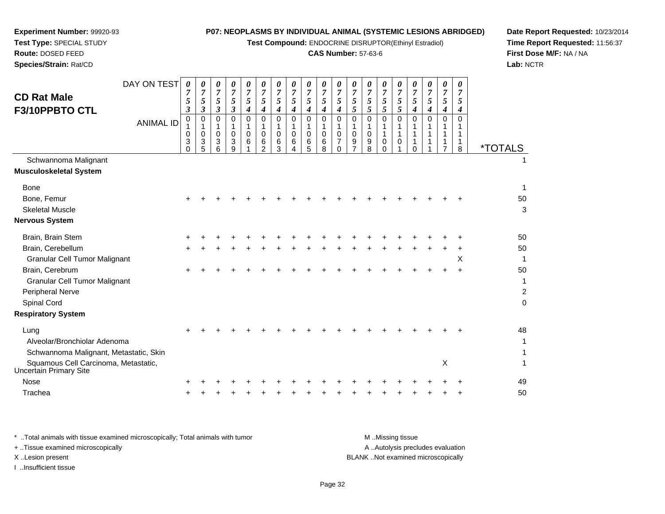**Test Compound:** ENDOCRINE DISRUPTOR(Ethinyl Estradiol)

# **CAS Number:** 57-63-6

**Date Report Requested:** 10/23/2014**Time Report Requested:** 11:56:37**First Dose M/F:** NA / NA**Lab:** NCTR

| <b>CD Rat Male</b><br>F3/10PPBTO CTL                                                                                                                          | DAY ON TEST      | 0<br>7<br>5<br>$\boldsymbol{\beta}$ | $\boldsymbol{\theta}$<br>$\overline{7}$<br>5<br>$\mathfrak{z}$             | 0<br>$\overline{7}$<br>5<br>$\mathfrak{z}$ | $\theta$<br>$\overline{7}$<br>5<br>3 | 0<br>$\overline{7}$<br>5<br>$\boldsymbol{4}$ | $\theta$<br>$\boldsymbol{7}$<br>5<br>4      | 0<br>$\boldsymbol{7}$<br>5<br>4 | $\boldsymbol{\theta}$<br>$\overline{7}$<br>$\sqrt{5}$<br>$\boldsymbol{4}$ | $\boldsymbol{\theta}$<br>$\overline{7}$<br>5<br>$\boldsymbol{4}$ | $\theta$<br>$\overline{7}$<br>5<br>$\boldsymbol{4}$ | 0<br>7<br>5<br>4                                           | 7<br>5<br>5                          | U<br>$\overline{7}$<br>5<br>5                     | 0<br>7<br>5<br>5                    | 0<br>$\overline{7}$<br>5<br>5      | $\theta$<br>$\overline{7}$<br>5<br>$\boldsymbol{4}$ | 0<br>$\overline{7}$<br>5<br>4 | $\boldsymbol{\theta}$<br>$\overline{7}$<br>5<br>4 | 0<br>7<br>5<br>4                       |                                                                  |
|---------------------------------------------------------------------------------------------------------------------------------------------------------------|------------------|-------------------------------------|----------------------------------------------------------------------------|--------------------------------------------|--------------------------------------|----------------------------------------------|---------------------------------------------|---------------------------------|---------------------------------------------------------------------------|------------------------------------------------------------------|-----------------------------------------------------|------------------------------------------------------------|--------------------------------------|---------------------------------------------------|-------------------------------------|------------------------------------|-----------------------------------------------------|-------------------------------|---------------------------------------------------|----------------------------------------|------------------------------------------------------------------|
|                                                                                                                                                               | <b>ANIMAL ID</b> | 0<br>0<br>3<br>0                    | $\mathbf 0$<br>$\mathbf{1}$<br>$\pmb{0}$<br>$\ensuremath{\mathsf{3}}$<br>5 | $\Omega$<br>1<br>$\Omega$<br>3<br>6        | $\Omega$<br>1<br>0<br>3<br>9         | $\Omega$<br>1<br>$\mathbf 0$<br>6            | $\Omega$<br>$\Omega$<br>6<br>$\mathfrak{p}$ | $\Omega$<br>$\Omega$<br>6<br>3  | 0<br>$\mathbf{1}$<br>0<br>6<br>4                                          | $\Omega$<br>1<br>$\mathbf 0$<br>6<br>5                           | $\Omega$<br>$\mathbf 1$<br>$\mathbf 0$<br>6<br>8    | $\Omega$<br>1<br>$\mathbf 0$<br>$\overline{7}$<br>$\Omega$ | $\Omega$<br>0<br>9<br>$\overline{7}$ | $\Omega$<br>$\mathbf{1}$<br>$\mathbf 0$<br>9<br>8 | $\Omega$<br>1<br>1<br>0<br>$\Omega$ | $\Omega$<br>1<br>$\mathbf{1}$<br>0 | $\Omega$<br>$\Omega$                                | $\Omega$                      | $\mathbf 0$<br>1<br>1<br>1<br>$\overline{7}$      | $\Omega$<br>1<br>$\mathbf 1$<br>1<br>8 | <i><b>*TOTALS</b></i>                                            |
| Schwannoma Malignant<br>Musculoskeletal System                                                                                                                |                  |                                     |                                                                            |                                            |                                      |                                              |                                             |                                 |                                                                           |                                                                  |                                                     |                                                            |                                      |                                                   |                                     |                                    |                                                     |                               |                                                   |                                        | 1                                                                |
| <b>Bone</b><br>Bone, Femur<br><b>Skeletal Muscle</b><br>Nervous System                                                                                        |                  |                                     |                                                                            |                                            |                                      |                                              |                                             |                                 |                                                                           |                                                                  |                                                     |                                                            |                                      |                                                   |                                     |                                    |                                                     |                               |                                                   |                                        | $\mathbf{1}$<br>50<br>3                                          |
| Brain, Brain Stem<br>Brain, Cerebellum<br><b>Granular Cell Tumor Malignant</b><br>Brain, Cerebrum<br><b>Granular Cell Tumor Malignant</b><br>Peripheral Nerve |                  |                                     |                                                                            |                                            |                                      |                                              |                                             |                                 |                                                                           |                                                                  |                                                     |                                                            |                                      |                                                   |                                     |                                    |                                                     |                               |                                                   | X                                      | 50<br>50<br>$\mathbf{1}$<br>50<br>$\mathbf{1}$<br>$\overline{c}$ |
| Spinal Cord<br><b>Respiratory System</b>                                                                                                                      |                  |                                     |                                                                            |                                            |                                      |                                              |                                             |                                 |                                                                           |                                                                  |                                                     |                                                            |                                      |                                                   |                                     |                                    |                                                     |                               |                                                   |                                        | $\mathbf 0$                                                      |
| Lung<br>Alveolar/Bronchiolar Adenoma<br>Schwannoma Malignant, Metastatic, Skin<br>Squamous Cell Carcinoma, Metastatic,                                        |                  |                                     |                                                                            |                                            |                                      |                                              |                                             |                                 |                                                                           |                                                                  |                                                     |                                                            |                                      |                                                   |                                     |                                    |                                                     |                               | X                                                 |                                        | 48<br>$\mathbf{1}$<br>1<br>1                                     |
| Uncertain Primary Site<br><b>Nose</b><br>Trachea                                                                                                              |                  |                                     |                                                                            |                                            |                                      |                                              |                                             |                                 |                                                                           |                                                                  |                                                     |                                                            |                                      |                                                   |                                     |                                    |                                                     |                               |                                                   |                                        | 49<br>50                                                         |

**Experiment Number:** 99920-93**Test Type:** SPECIAL STUDY**Route:** DOSED FEED**Species/Strain:** Rat/CD

\* ..Total animals with tissue examined microscopically; Total animals with tumor **M** . Missing tissue M ..Missing tissue A ..Autolysis precludes evaluation + ..Tissue examined microscopically X ..Lesion present BLANK ..Not examined microscopicallyI ..Insufficient tissue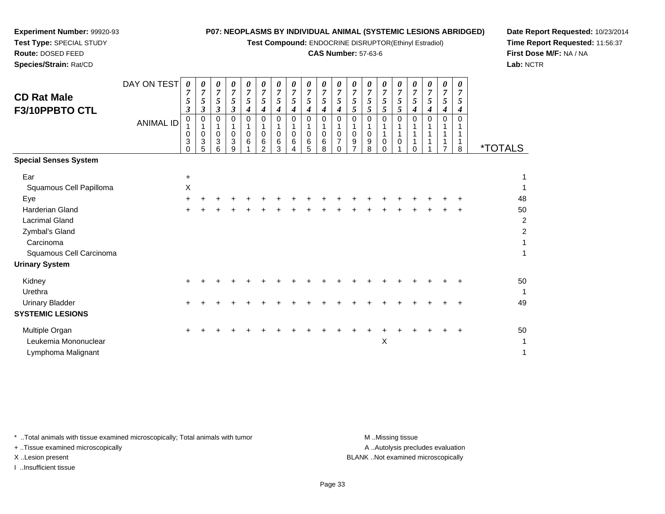**Test Compound:** ENDOCRINE DISRUPTOR(Ethinyl Estradiol)

# **CAS Number:** 57-63-6

**Date Report Requested:** 10/23/2014**Time Report Requested:** 11:56:37**First Dose M/F:** NA / NA**Lab:** NCTR

| * Total animals with tissue examined microscopically; Total animals with tumor | M Missing tissue                   |
|--------------------------------------------------------------------------------|------------------------------------|
| + Tissue examined microscopically                                              | A Autolysis precludes evaluation   |
| X Lesion present                                                               | BLANK Not examined microscopically |
| lInsufficient tissue                                                           |                                    |
|                                                                                |                                    |

| <b>CD Rat Male</b><br>F3/10PPBTO CTL | DAY ON TEST<br><b>ANIMAL ID</b> | 0<br>5<br>3<br>0<br>0<br>3<br>0 | 0<br>$\sqrt{5}$<br>3<br>0<br>0<br>3<br>5 | 0<br>$\overline{7}$<br>5<br>3<br>0<br>0<br>3<br>6 | 0<br>7<br>5<br>3<br>0<br>0<br>3<br>9 | 0<br>7<br>5<br>4<br>0<br>$\mathbf 0$<br>6 | 0<br>7<br>5<br>4<br>$\Omega$<br>$\pmb{0}$<br>6<br>$\mathcal{P}$ | 0<br>$\overline{7}$<br>5<br>4<br>$\Omega$<br>$\mathbf 0$<br>6<br>3 | 0<br>$\overline{7}$<br>5<br>4<br>0<br>1<br>$\pmb{0}$<br>$\,6$<br>4 | 0<br>7<br>5<br>4<br>$\Omega$<br>0<br>6<br>5 | 0<br>$\boldsymbol{7}$<br>5<br>4<br>$\Omega$<br>1<br>$\pmb{0}$<br>6<br>8 | U<br>$\overline{7}$<br>5<br>4<br>$\Omega$<br>1<br>$\pmb{0}$<br>$\overline{7}$<br>$\Omega$ | U<br>$\overline{7}$<br>$\sqrt{5}$<br>5<br>$\Omega$<br>$\mathbf 0$<br>9 | 0<br>$\overline{7}$<br>5<br>5<br>0<br>$\pmb{0}$<br>9<br>8 | 7<br>5<br>5<br>$\Omega$<br>0<br>0 | 0<br>$\overline{7}$<br>5<br>5<br>$\Omega$<br>$\mathbf 0$ | 0<br>$\overline{7}$<br>5<br>4<br>$\Omega$<br>$\Omega$ | 0<br>7<br>5<br>4<br>$\Omega$ | 0<br>$\overline{7}$<br>5<br>4<br>0 | 0<br>7<br>5<br>4<br>$\Omega$<br>1<br>1<br>8 | <i><b>*TOTALS</b></i> |
|--------------------------------------|---------------------------------|---------------------------------|------------------------------------------|---------------------------------------------------|--------------------------------------|-------------------------------------------|-----------------------------------------------------------------|--------------------------------------------------------------------|--------------------------------------------------------------------|---------------------------------------------|-------------------------------------------------------------------------|-------------------------------------------------------------------------------------------|------------------------------------------------------------------------|-----------------------------------------------------------|-----------------------------------|----------------------------------------------------------|-------------------------------------------------------|------------------------------|------------------------------------|---------------------------------------------|-----------------------|
| <b>Special Senses System</b>         |                                 |                                 |                                          |                                                   |                                      |                                           |                                                                 |                                                                    |                                                                    |                                             |                                                                         |                                                                                           |                                                                        |                                                           |                                   |                                                          |                                                       |                              |                                    |                                             |                       |
| Ear                                  |                                 | $\ddot{}$                       |                                          |                                                   |                                      |                                           |                                                                 |                                                                    |                                                                    |                                             |                                                                         |                                                                                           |                                                                        |                                                           |                                   |                                                          |                                                       |                              |                                    |                                             |                       |
| Squamous Cell Papilloma              |                                 | X                               |                                          |                                                   |                                      |                                           |                                                                 |                                                                    |                                                                    |                                             |                                                                         |                                                                                           |                                                                        |                                                           |                                   |                                                          |                                                       |                              |                                    |                                             |                       |
| Eye                                  |                                 |                                 |                                          |                                                   |                                      |                                           |                                                                 |                                                                    |                                                                    |                                             |                                                                         |                                                                                           |                                                                        |                                                           |                                   |                                                          |                                                       |                              |                                    |                                             | 48                    |
| <b>Harderian Gland</b>               |                                 |                                 |                                          |                                                   |                                      |                                           |                                                                 |                                                                    |                                                                    |                                             |                                                                         |                                                                                           |                                                                        |                                                           |                                   |                                                          |                                                       |                              |                                    |                                             | 50                    |
| <b>Lacrimal Gland</b>                |                                 |                                 |                                          |                                                   |                                      |                                           |                                                                 |                                                                    |                                                                    |                                             |                                                                         |                                                                                           |                                                                        |                                                           |                                   |                                                          |                                                       |                              |                                    |                                             | $\overline{c}$        |
| Zymbal's Gland                       |                                 |                                 |                                          |                                                   |                                      |                                           |                                                                 |                                                                    |                                                                    |                                             |                                                                         |                                                                                           |                                                                        |                                                           |                                   |                                                          |                                                       |                              |                                    |                                             | $\overline{2}$        |
| Carcinoma                            |                                 |                                 |                                          |                                                   |                                      |                                           |                                                                 |                                                                    |                                                                    |                                             |                                                                         |                                                                                           |                                                                        |                                                           |                                   |                                                          |                                                       |                              |                                    |                                             | 1                     |
| Squamous Cell Carcinoma              |                                 |                                 |                                          |                                                   |                                      |                                           |                                                                 |                                                                    |                                                                    |                                             |                                                                         |                                                                                           |                                                                        |                                                           |                                   |                                                          |                                                       |                              |                                    |                                             | 1                     |
| <b>Urinary System</b>                |                                 |                                 |                                          |                                                   |                                      |                                           |                                                                 |                                                                    |                                                                    |                                             |                                                                         |                                                                                           |                                                                        |                                                           |                                   |                                                          |                                                       |                              |                                    |                                             |                       |
| Kidney                               |                                 |                                 |                                          |                                                   |                                      |                                           |                                                                 |                                                                    |                                                                    |                                             |                                                                         |                                                                                           |                                                                        |                                                           |                                   |                                                          |                                                       |                              |                                    |                                             | 50                    |
| Urethra                              |                                 |                                 |                                          |                                                   |                                      |                                           |                                                                 |                                                                    |                                                                    |                                             |                                                                         |                                                                                           |                                                                        |                                                           |                                   |                                                          |                                                       |                              |                                    |                                             | 1                     |
| <b>Urinary Bladder</b>               |                                 | ÷.                              |                                          |                                                   |                                      |                                           |                                                                 |                                                                    |                                                                    |                                             |                                                                         |                                                                                           |                                                                        |                                                           |                                   |                                                          |                                                       |                              |                                    |                                             | 49                    |
| <b>SYSTEMIC LESIONS</b>              |                                 |                                 |                                          |                                                   |                                      |                                           |                                                                 |                                                                    |                                                                    |                                             |                                                                         |                                                                                           |                                                                        |                                                           |                                   |                                                          |                                                       |                              |                                    |                                             |                       |
| Multiple Organ                       |                                 | +                               |                                          |                                                   |                                      |                                           |                                                                 |                                                                    |                                                                    |                                             |                                                                         |                                                                                           |                                                                        |                                                           |                                   |                                                          |                                                       |                              |                                    |                                             | 50                    |
| Leukemia Mononuclear                 |                                 |                                 |                                          |                                                   |                                      |                                           |                                                                 |                                                                    |                                                                    |                                             |                                                                         |                                                                                           |                                                                        |                                                           | X                                 |                                                          |                                                       |                              |                                    |                                             | 1                     |
| Lymphoma Malignant                   |                                 |                                 |                                          |                                                   |                                      |                                           |                                                                 |                                                                    |                                                                    |                                             |                                                                         |                                                                                           |                                                                        |                                                           |                                   |                                                          |                                                       |                              |                                    |                                             | 1                     |

**Experiment Number:** 99920-93**Test Type:** SPECIAL STUDY**Route:** DOSED FEED**Species/Strain:** Rat/CD

Page 33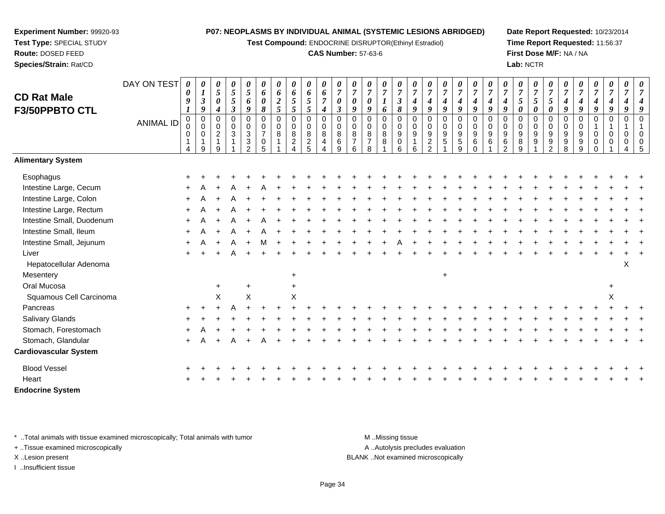**Test Compound:** ENDOCRINE DISRUPTOR(Ethinyl Estradiol)

# **CAS Number:** 57-63-6

**Date Report Requested:** 10/23/2014**Time Report Requested:** 11:56:37**First Dose M/F:** NA / NA**Lab:** NCTR

| <b>CD Rat Male</b><br>F3/50PPBTO CTL | DAY ON TEST<br><b>ANIMAL ID</b> | 0<br>0<br>$\boldsymbol{g}$<br>1<br>$\pmb{0}$<br>0<br>0<br>$\overline{1}$<br>4 | $\boldsymbol{l}$<br>$\mathfrak{z}$<br>9<br>$\mathbf 0$<br>$\mathbf 0$<br>$\mathbf 0$<br>$\mathbf{1}$<br>9 | 0<br>5<br>$\boldsymbol{\theta}$<br>$\boldsymbol{4}$<br>$\mathbf 0$<br>0<br>$\overline{c}$<br>$\mathbf{1}$<br>9 | 0<br>$\mathfrak{s}$<br>$\sqrt{5}$<br>$\boldsymbol{\mathfrak{z}}$<br>$\mathbf 0$<br>0<br>$\mathbf{3}$ | 0<br>$\mathfrak{s}$<br>6<br>9<br>$\mathbf 0$<br>$\mathbf 0$<br>$\overline{3}$<br>$\mathbf{3}$<br>$\mathfrak{p}$ | 0<br>6<br>$\boldsymbol{\theta}$<br>8<br>$\mathbf 0$<br>0<br>$\overline{7}$<br>$\mathbf 0$<br>5 | 6<br>$\boldsymbol{2}$<br>5<br>$\mathbf 0$<br>$\mathbf 0$<br>8 | 0<br>6<br>5<br>5<br>0<br>0<br>8<br>$\overline{a}$ | 0<br>6<br>$\mathfrak{s}$<br>5<br>$\mathbf 0$<br>$\mathbf 0$<br>8<br>$\frac{2}{5}$ | 0<br>6<br>$\overline{7}$<br>$\boldsymbol{4}$<br>$\boldsymbol{0}$<br>$\mathbf 0$<br>$\,8\,$<br>$\overline{4}$<br>$\boldsymbol{\Lambda}$ | 0<br>$\overline{7}$<br>$\boldsymbol{\theta}$<br>$\boldsymbol{\beta}$<br>$\mathbf 0$<br>$\mathbf 0$<br>8<br>$\,6\,$<br>9 | $\overline{7}$<br>$\theta$<br>9<br>$\Omega$<br>$\Omega$<br>8<br>$\overline{7}$<br>6 | 0<br>$\overline{7}$<br>0<br>9<br>0<br>0<br>8<br>$\overline{7}$<br>8 | 0<br>$\overline{7}$<br>$\boldsymbol{l}$<br>6<br>$\mathbf 0$<br>$\pmb{0}$<br>8<br>8 | 0<br>$\overline{7}$<br>$\mathfrak{z}$<br>$\pmb{8}$<br>$\pmb{0}$<br>$\mathbf 0$<br>$\boldsymbol{9}$<br>$\pmb{0}$<br>6 | 0<br>$\overline{7}$<br>$\boldsymbol{4}$<br>9<br>$\mathbf 0$<br>0<br>9<br>$\mathbf{1}$<br>6 | $\overline{7}$<br>9<br>$\mathbf 0$<br>$\Omega$<br>9<br>$\overline{c}$<br>2 | 0<br>$\overline{7}$<br>4<br>9<br>0<br>0<br>9<br>5 | 0<br>$\overline{7}$<br>$\boldsymbol{4}$<br>9<br>$\pmb{0}$<br>0<br>9<br>$\,$ 5 $\,$<br>9 | 0<br>$\overline{7}$<br>4<br>9<br>$\mathsf 0$<br>$\mathbf 0$<br>$\boldsymbol{9}$<br>6<br>$\Omega$ | 0<br>$\overline{7}$<br>$\boldsymbol{4}$<br>9<br>$\mathbf 0$<br>0<br>9<br>6 | $\overline{7}$<br>9<br>$\overline{0}$<br>$\Omega$<br>9<br>6<br>$\mathcal{P}$ | 0<br>$\overline{7}$<br>5<br>0<br>$\Omega$<br>0<br>9<br>8<br>9 | 0<br>$\overline{7}$<br>5<br>$\boldsymbol{\theta}$<br>0<br>$\mathbf 0$<br>9<br>9 | 0<br>$\overline{7}$<br>5<br>$\boldsymbol{\theta}$<br>$\mathbf 0$<br>$\mathbf 0$<br>$\boldsymbol{9}$<br>$\boldsymbol{9}$<br>$\overline{2}$ | 0<br>$\overline{7}$<br>$\boldsymbol{4}$<br>9<br>$\mathbf 0$<br>0<br>9<br>$\boldsymbol{9}$<br>8 | $\overline{7}$<br>9<br>$\mathbf 0$<br>$\Omega$<br>9<br>9<br>9 | 0<br>$\overline{7}$<br>4<br>9<br>0<br>$\Omega$<br>0 | 0<br>$\overline{7}$<br>$\boldsymbol{4}$<br>9<br>$\mathbf 0$<br>$\mathbf 0$<br>$\Omega$ | $\boldsymbol{\theta}$<br>$\overline{7}$<br>$\boldsymbol{4}$<br>9<br>$\mathbf 0$<br>$\Omega$<br>0 |  |
|--------------------------------------|---------------------------------|-------------------------------------------------------------------------------|-----------------------------------------------------------------------------------------------------------|----------------------------------------------------------------------------------------------------------------|------------------------------------------------------------------------------------------------------|-----------------------------------------------------------------------------------------------------------------|------------------------------------------------------------------------------------------------|---------------------------------------------------------------|---------------------------------------------------|-----------------------------------------------------------------------------------|----------------------------------------------------------------------------------------------------------------------------------------|-------------------------------------------------------------------------------------------------------------------------|-------------------------------------------------------------------------------------|---------------------------------------------------------------------|------------------------------------------------------------------------------------|----------------------------------------------------------------------------------------------------------------------|--------------------------------------------------------------------------------------------|----------------------------------------------------------------------------|---------------------------------------------------|-----------------------------------------------------------------------------------------|--------------------------------------------------------------------------------------------------|----------------------------------------------------------------------------|------------------------------------------------------------------------------|---------------------------------------------------------------|---------------------------------------------------------------------------------|-------------------------------------------------------------------------------------------------------------------------------------------|------------------------------------------------------------------------------------------------|---------------------------------------------------------------|-----------------------------------------------------|----------------------------------------------------------------------------------------|--------------------------------------------------------------------------------------------------|--|
| <b>Alimentary System</b>             |                                 |                                                                               |                                                                                                           |                                                                                                                |                                                                                                      |                                                                                                                 |                                                                                                |                                                               |                                                   |                                                                                   |                                                                                                                                        |                                                                                                                         |                                                                                     |                                                                     |                                                                                    |                                                                                                                      |                                                                                            |                                                                            |                                                   |                                                                                         |                                                                                                  |                                                                            |                                                                              |                                                               |                                                                                 |                                                                                                                                           |                                                                                                |                                                               |                                                     |                                                                                        |                                                                                                  |  |
| Esophagus                            |                                 |                                                                               |                                                                                                           |                                                                                                                |                                                                                                      |                                                                                                                 |                                                                                                |                                                               |                                                   |                                                                                   |                                                                                                                                        |                                                                                                                         |                                                                                     |                                                                     |                                                                                    |                                                                                                                      |                                                                                            |                                                                            |                                                   |                                                                                         |                                                                                                  |                                                                            |                                                                              |                                                               |                                                                                 |                                                                                                                                           |                                                                                                |                                                               |                                                     |                                                                                        |                                                                                                  |  |
| Intestine Large, Cecum               |                                 |                                                                               |                                                                                                           |                                                                                                                |                                                                                                      |                                                                                                                 |                                                                                                |                                                               |                                                   |                                                                                   |                                                                                                                                        |                                                                                                                         |                                                                                     |                                                                     |                                                                                    |                                                                                                                      |                                                                                            |                                                                            |                                                   |                                                                                         |                                                                                                  |                                                                            |                                                                              |                                                               |                                                                                 |                                                                                                                                           |                                                                                                |                                                               |                                                     |                                                                                        |                                                                                                  |  |
| Intestine Large, Colon               |                                 | $\ddot{}$                                                                     |                                                                                                           |                                                                                                                |                                                                                                      |                                                                                                                 |                                                                                                |                                                               |                                                   |                                                                                   |                                                                                                                                        |                                                                                                                         |                                                                                     |                                                                     |                                                                                    |                                                                                                                      |                                                                                            |                                                                            |                                                   |                                                                                         |                                                                                                  |                                                                            |                                                                              |                                                               |                                                                                 |                                                                                                                                           |                                                                                                |                                                               |                                                     |                                                                                        |                                                                                                  |  |
| Intestine Large, Rectum              |                                 |                                                                               |                                                                                                           |                                                                                                                |                                                                                                      |                                                                                                                 |                                                                                                |                                                               |                                                   |                                                                                   |                                                                                                                                        |                                                                                                                         |                                                                                     |                                                                     |                                                                                    |                                                                                                                      |                                                                                            |                                                                            |                                                   |                                                                                         |                                                                                                  |                                                                            |                                                                              |                                                               |                                                                                 |                                                                                                                                           |                                                                                                |                                                               |                                                     |                                                                                        |                                                                                                  |  |
| Intestine Small, Duodenum            |                                 | $\ddot{}$                                                                     |                                                                                                           |                                                                                                                |                                                                                                      |                                                                                                                 |                                                                                                |                                                               |                                                   |                                                                                   |                                                                                                                                        |                                                                                                                         |                                                                                     |                                                                     |                                                                                    |                                                                                                                      |                                                                                            |                                                                            |                                                   |                                                                                         |                                                                                                  |                                                                            |                                                                              |                                                               |                                                                                 |                                                                                                                                           |                                                                                                |                                                               |                                                     |                                                                                        |                                                                                                  |  |
| Intestine Small, Ileum               |                                 | $\ddot{}$                                                                     |                                                                                                           |                                                                                                                |                                                                                                      |                                                                                                                 |                                                                                                |                                                               |                                                   |                                                                                   |                                                                                                                                        |                                                                                                                         |                                                                                     |                                                                     |                                                                                    |                                                                                                                      |                                                                                            |                                                                            |                                                   |                                                                                         |                                                                                                  |                                                                            |                                                                              |                                                               |                                                                                 |                                                                                                                                           |                                                                                                |                                                               |                                                     |                                                                                        |                                                                                                  |  |
| Intestine Small, Jejunum             |                                 |                                                                               |                                                                                                           |                                                                                                                |                                                                                                      |                                                                                                                 |                                                                                                |                                                               |                                                   |                                                                                   |                                                                                                                                        |                                                                                                                         |                                                                                     |                                                                     |                                                                                    |                                                                                                                      |                                                                                            |                                                                            |                                                   |                                                                                         |                                                                                                  |                                                                            |                                                                              |                                                               |                                                                                 |                                                                                                                                           |                                                                                                |                                                               |                                                     |                                                                                        |                                                                                                  |  |
| Liver                                |                                 |                                                                               |                                                                                                           |                                                                                                                |                                                                                                      |                                                                                                                 |                                                                                                |                                                               |                                                   |                                                                                   |                                                                                                                                        |                                                                                                                         |                                                                                     |                                                                     |                                                                                    |                                                                                                                      |                                                                                            |                                                                            |                                                   |                                                                                         |                                                                                                  |                                                                            |                                                                              |                                                               |                                                                                 |                                                                                                                                           |                                                                                                |                                                               |                                                     |                                                                                        |                                                                                                  |  |
| Hepatocellular Adenoma               |                                 |                                                                               |                                                                                                           |                                                                                                                |                                                                                                      |                                                                                                                 |                                                                                                |                                                               |                                                   |                                                                                   |                                                                                                                                        |                                                                                                                         |                                                                                     |                                                                     |                                                                                    |                                                                                                                      |                                                                                            |                                                                            |                                                   |                                                                                         |                                                                                                  |                                                                            |                                                                              |                                                               |                                                                                 |                                                                                                                                           |                                                                                                |                                                               |                                                     |                                                                                        | $\mathsf X$                                                                                      |  |
| Mesentery                            |                                 |                                                                               |                                                                                                           |                                                                                                                |                                                                                                      |                                                                                                                 |                                                                                                |                                                               | $\ddot{}$                                         |                                                                                   |                                                                                                                                        |                                                                                                                         |                                                                                     |                                                                     |                                                                                    |                                                                                                                      |                                                                                            |                                                                            | $\ddot{}$                                         |                                                                                         |                                                                                                  |                                                                            |                                                                              |                                                               |                                                                                 |                                                                                                                                           |                                                                                                |                                                               |                                                     |                                                                                        |                                                                                                  |  |
| Oral Mucosa                          |                                 |                                                                               |                                                                                                           | $\ddot{}$                                                                                                      |                                                                                                      | $\pm$                                                                                                           |                                                                                                |                                                               | +                                                 |                                                                                   |                                                                                                                                        |                                                                                                                         |                                                                                     |                                                                     |                                                                                    |                                                                                                                      |                                                                                            |                                                                            |                                                   |                                                                                         |                                                                                                  |                                                                            |                                                                              |                                                               |                                                                                 |                                                                                                                                           |                                                                                                |                                                               |                                                     | $\pm$                                                                                  |                                                                                                  |  |
| Squamous Cell Carcinoma              |                                 |                                                                               |                                                                                                           | X                                                                                                              |                                                                                                      | $\mathsf X$                                                                                                     |                                                                                                |                                                               | Χ                                                 |                                                                                   |                                                                                                                                        |                                                                                                                         |                                                                                     |                                                                     |                                                                                    |                                                                                                                      |                                                                                            |                                                                            |                                                   |                                                                                         |                                                                                                  |                                                                            |                                                                              |                                                               |                                                                                 |                                                                                                                                           |                                                                                                |                                                               |                                                     | X                                                                                      |                                                                                                  |  |
| Pancreas                             |                                 |                                                                               |                                                                                                           |                                                                                                                |                                                                                                      |                                                                                                                 |                                                                                                |                                                               |                                                   |                                                                                   |                                                                                                                                        |                                                                                                                         |                                                                                     |                                                                     |                                                                                    |                                                                                                                      |                                                                                            |                                                                            |                                                   |                                                                                         |                                                                                                  |                                                                            |                                                                              |                                                               |                                                                                 |                                                                                                                                           |                                                                                                |                                                               |                                                     |                                                                                        |                                                                                                  |  |
| Salivary Glands                      |                                 |                                                                               |                                                                                                           |                                                                                                                |                                                                                                      |                                                                                                                 |                                                                                                |                                                               |                                                   |                                                                                   |                                                                                                                                        |                                                                                                                         |                                                                                     |                                                                     |                                                                                    |                                                                                                                      |                                                                                            |                                                                            |                                                   |                                                                                         |                                                                                                  |                                                                            |                                                                              |                                                               |                                                                                 |                                                                                                                                           |                                                                                                |                                                               |                                                     |                                                                                        |                                                                                                  |  |
| Stomach, Forestomach                 |                                 |                                                                               |                                                                                                           |                                                                                                                |                                                                                                      |                                                                                                                 |                                                                                                |                                                               |                                                   |                                                                                   |                                                                                                                                        |                                                                                                                         |                                                                                     |                                                                     |                                                                                    |                                                                                                                      |                                                                                            |                                                                            |                                                   |                                                                                         |                                                                                                  |                                                                            |                                                                              |                                                               |                                                                                 |                                                                                                                                           |                                                                                                |                                                               |                                                     |                                                                                        |                                                                                                  |  |
| Stomach, Glandular                   |                                 | $\ddot{}$                                                                     |                                                                                                           |                                                                                                                |                                                                                                      |                                                                                                                 |                                                                                                |                                                               |                                                   |                                                                                   |                                                                                                                                        |                                                                                                                         |                                                                                     |                                                                     |                                                                                    |                                                                                                                      |                                                                                            |                                                                            |                                                   |                                                                                         |                                                                                                  |                                                                            |                                                                              |                                                               |                                                                                 |                                                                                                                                           |                                                                                                |                                                               |                                                     |                                                                                        |                                                                                                  |  |
| <b>Cardiovascular System</b>         |                                 |                                                                               |                                                                                                           |                                                                                                                |                                                                                                      |                                                                                                                 |                                                                                                |                                                               |                                                   |                                                                                   |                                                                                                                                        |                                                                                                                         |                                                                                     |                                                                     |                                                                                    |                                                                                                                      |                                                                                            |                                                                            |                                                   |                                                                                         |                                                                                                  |                                                                            |                                                                              |                                                               |                                                                                 |                                                                                                                                           |                                                                                                |                                                               |                                                     |                                                                                        |                                                                                                  |  |
| <b>Blood Vessel</b>                  |                                 |                                                                               |                                                                                                           |                                                                                                                |                                                                                                      |                                                                                                                 |                                                                                                |                                                               |                                                   |                                                                                   |                                                                                                                                        |                                                                                                                         |                                                                                     |                                                                     |                                                                                    |                                                                                                                      |                                                                                            |                                                                            |                                                   |                                                                                         |                                                                                                  |                                                                            |                                                                              |                                                               |                                                                                 |                                                                                                                                           |                                                                                                |                                                               |                                                     |                                                                                        |                                                                                                  |  |
| Heart                                |                                 |                                                                               |                                                                                                           |                                                                                                                |                                                                                                      |                                                                                                                 |                                                                                                |                                                               |                                                   |                                                                                   |                                                                                                                                        |                                                                                                                         |                                                                                     |                                                                     |                                                                                    |                                                                                                                      |                                                                                            |                                                                            |                                                   |                                                                                         |                                                                                                  |                                                                            |                                                                              |                                                               |                                                                                 |                                                                                                                                           |                                                                                                |                                                               |                                                     |                                                                                        |                                                                                                  |  |
| <b>Endocrine System</b>              |                                 |                                                                               |                                                                                                           |                                                                                                                |                                                                                                      |                                                                                                                 |                                                                                                |                                                               |                                                   |                                                                                   |                                                                                                                                        |                                                                                                                         |                                                                                     |                                                                     |                                                                                    |                                                                                                                      |                                                                                            |                                                                            |                                                   |                                                                                         |                                                                                                  |                                                                            |                                                                              |                                                               |                                                                                 |                                                                                                                                           |                                                                                                |                                                               |                                                     |                                                                                        |                                                                                                  |  |

\* ..Total animals with tissue examined microscopically; Total animals with tumor **M** . Missing tissue M ..Missing tissue

+ ..Tissue examined microscopically

**Experiment Number:** 99920-93**Test Type:** SPECIAL STUDY**Route:** DOSED FEED**Species/Strain:** Rat/CD

I ..Insufficient tissue

A ..Autolysis precludes evaluation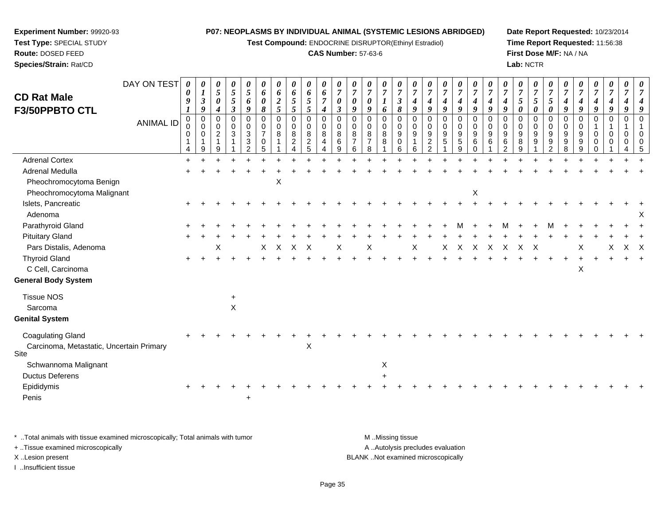**Test Compound:** ENDOCRINE DISRUPTOR(Ethinyl Estradiol)

### **CAS Number:** 57-63-6

**Date Report Requested:** 10/23/2014**Time Report Requested:** 11:56:38**First Dose M/F:** NA / NA**Lab:** NCTR

| <b>CD Rat Male</b>                               | DAY ON TEST      | 0<br>0           | 0<br>$\boldsymbol{l}$           | $\boldsymbol{\theta}$<br>$\mathfrak{s}$ | $\boldsymbol{\theta}$<br>$\mathfrak{s}$    | $\boldsymbol{\theta}$<br>$\mathfrak{s}$ | $\boldsymbol{\theta}$<br>6         | $\boldsymbol{\theta}$<br>6      | $\boldsymbol{\theta}$<br>6       | $\boldsymbol{\theta}$<br>6          | $\boldsymbol{\theta}$<br>6         | $\boldsymbol{\theta}$<br>$\overline{7}$       | U<br>$\overline{7}$   | U<br>$\overline{7}$ | U<br>$\overline{7}$             | $\boldsymbol{\theta}$<br>$\overline{7}$ | $\boldsymbol{7}$             | $\boldsymbol{\theta}$<br>$\overline{7}$ | $\boldsymbol{\theta}$<br>$\overline{7}$ | $\boldsymbol{\theta}$<br>$\overline{7}$        | $\boldsymbol{\theta}$<br>$\overline{7}$ | $\overline{7}$            | U<br>$\overline{7}$       | $\boldsymbol{\theta}$<br>$\overline{7}$ | U<br>$\overline{7}$   | $\overline{7}$                          | U<br>$\overline{7}$   | $\boldsymbol{\theta}$<br>$\overline{7}$ | $\boldsymbol{\theta}$<br>$\overline{7}$    | 0<br>$\overline{7}$                        | $\boldsymbol{\theta}$<br>$\overline{7}$ | $\overline{7}$       |
|--------------------------------------------------|------------------|------------------|---------------------------------|-----------------------------------------|--------------------------------------------|-----------------------------------------|------------------------------------|---------------------------------|----------------------------------|-------------------------------------|------------------------------------|-----------------------------------------------|-----------------------|---------------------|---------------------------------|-----------------------------------------|------------------------------|-----------------------------------------|-----------------------------------------|------------------------------------------------|-----------------------------------------|---------------------------|---------------------------|-----------------------------------------|-----------------------|-----------------------------------------|-----------------------|-----------------------------------------|--------------------------------------------|--------------------------------------------|-----------------------------------------|----------------------|
| F3/50PPBTO CTL                                   |                  | 9                | $\mathfrak{z}$<br>9             | $\pmb{\theta}$<br>4                     | $5\overline{)}$<br>$\mathfrak{z}$          | 6<br>9                                  | 0<br>8                             | $\boldsymbol{2}$<br>$\sqrt{5}$  | $\mathfrak{H}$<br>$\mathfrak{H}$ | $\mathfrak{s}$<br>$\mathfrak{s}$    | $\overline{7}$<br>$\boldsymbol{4}$ | $\boldsymbol{\theta}$<br>$\boldsymbol{\beta}$ | 0<br>9                | 0<br>9              | $\bm{l}$<br>6                   | $\boldsymbol{\beta}$<br>8               | 4<br>9                       | 4<br>9                                  | $\boldsymbol{4}$<br>9                   | $\boldsymbol{4}$<br>9                          | $\boldsymbol{4}$<br>9                   | 4<br>9                    | 4<br>9                    | 5<br>0                                  | 5<br>0                | $\mathfrak{s}$<br>$\boldsymbol{\theta}$ | $\boldsymbol{4}$<br>9 | 4<br>9                                  | $\boldsymbol{4}$<br>9                      | $\boldsymbol{4}$<br>9                      |                                         |                      |
|                                                  | <b>ANIMAL ID</b> | $\mathbf 0$<br>0 | $\mathbf 0$<br>0<br>$\mathbf 0$ | 0<br>0<br>$\overline{c}$                | $\mathbf 0$<br>$\mathbf 0$<br>$\mathbf{3}$ | $\mathbf 0$<br>0<br>3                   | $\mathbf 0$<br>0<br>$\overline{7}$ | $\mathbf 0$<br>$\mathbf 0$<br>8 | $\mathbf 0$<br>0<br>$\bf8$       | $\mathbf 0$<br>$\mathbf 0$<br>8     | 0<br>$\mathbf 0$<br>8              | $\mathbf 0$<br>$\Omega$<br>8                  | 0<br>$\mathbf 0$<br>8 | $\Omega$<br>0<br>8  | $\mathbf 0$<br>$\mathbf 0$<br>8 | $\mathbf 0$<br>0<br>9                   | $\mathbf 0$<br>$\Omega$<br>9 | $\mathbf 0$<br>0<br>9                   | $\mathbf 0$<br>0<br>$\boldsymbol{9}$    | $\mathbf 0$<br>$\mathbf 0$<br>$\boldsymbol{9}$ | $\Omega$<br>$\Omega$<br>9               | $\Omega$<br>$\Omega$<br>9 | $\Omega$<br>$\Omega$<br>9 | 0<br>0<br>9                             | $\mathbf 0$<br>0<br>9 | $\mathbf 0$<br>0<br>9                   | $\mathbf 0$<br>0<br>9 | $\mathbf 0$<br>0<br>9                   | $\mathbf 0$<br>$\mathbf{1}$<br>$\mathbf 0$ | $\mathbf 0$<br>$\mathbf{1}$<br>$\mathbf 0$ | $\Omega$<br>0                           | $\Omega$<br>$\Omega$ |
|                                                  |                  | 4                | 9                               | $\mathbf{1}$<br>9                       |                                            | 3<br>$\overline{2}$                     | 0<br>5                             |                                 | $\boldsymbol{2}$<br>4            | $\boldsymbol{2}$<br>$5\phantom{.0}$ | 4<br>4                             | $\,6\,$<br>$\overline{9}$                     | $\overline{7}$<br>6   | $\overline{7}$<br>8 | 8                               | 0<br>6                                  | 6                            | $\overline{c}$<br>$\overline{2}$        | $\overline{5}$                          | $\sqrt{5}$<br>9                                | 6<br>0                                  | 6                         | 6<br>$\overline{2}$       | 8<br>9                                  | 9                     | 9<br>$\overline{2}$                     | 9<br>8                | $9\,$<br>9                              | 0<br>$\Omega$                              | 0                                          | 0<br>4                                  | 0<br>5               |
| <b>Adrenal Cortex</b>                            |                  | $\ddot{}$        |                                 | ÷                                       |                                            |                                         |                                    |                                 |                                  |                                     |                                    |                                               |                       |                     |                                 |                                         |                              |                                         |                                         |                                                |                                         |                           |                           |                                         |                       |                                         |                       |                                         |                                            |                                            |                                         |                      |
| <b>Adrenal Medulla</b>                           |                  |                  |                                 |                                         |                                            |                                         |                                    |                                 |                                  |                                     |                                    |                                               |                       |                     |                                 |                                         |                              |                                         |                                         |                                                |                                         |                           |                           |                                         |                       |                                         |                       |                                         |                                            |                                            |                                         |                      |
| Pheochromocytoma Benign                          |                  |                  |                                 |                                         |                                            |                                         |                                    | X                               |                                  |                                     |                                    |                                               |                       |                     |                                 |                                         |                              |                                         |                                         |                                                |                                         |                           |                           |                                         |                       |                                         |                       |                                         |                                            |                                            |                                         |                      |
| Pheochromocytoma Malignant                       |                  |                  |                                 |                                         |                                            |                                         |                                    |                                 |                                  |                                     |                                    |                                               |                       |                     |                                 |                                         |                              |                                         |                                         |                                                | X                                       |                           |                           |                                         |                       |                                         |                       |                                         |                                            |                                            |                                         |                      |
| Islets, Pancreatic                               |                  |                  |                                 |                                         |                                            |                                         |                                    |                                 |                                  |                                     |                                    |                                               |                       |                     |                                 |                                         |                              |                                         |                                         |                                                |                                         |                           |                           |                                         |                       |                                         |                       |                                         |                                            |                                            |                                         |                      |
| Adenoma                                          |                  |                  |                                 |                                         |                                            |                                         |                                    |                                 |                                  |                                     |                                    |                                               |                       |                     |                                 |                                         |                              |                                         |                                         |                                                |                                         |                           |                           |                                         |                       |                                         |                       |                                         |                                            |                                            |                                         | х                    |
| Parathyroid Gland                                |                  |                  |                                 |                                         |                                            |                                         |                                    |                                 |                                  |                                     |                                    |                                               |                       |                     |                                 |                                         |                              |                                         |                                         |                                                |                                         |                           |                           |                                         |                       |                                         |                       |                                         |                                            |                                            |                                         |                      |
| <b>Pituitary Gland</b>                           |                  |                  |                                 |                                         |                                            |                                         |                                    |                                 |                                  |                                     |                                    |                                               |                       |                     |                                 |                                         |                              |                                         |                                         |                                                |                                         |                           |                           |                                         |                       |                                         |                       |                                         |                                            |                                            |                                         |                      |
| Pars Distalis, Adenoma                           |                  |                  |                                 | Χ                                       |                                            |                                         | X                                  | X                               | $\boldsymbol{\mathsf{X}}$        | $\mathsf{X}$                        |                                    | Χ                                             |                       | X                   |                                 |                                         | х                            |                                         | X                                       | X                                              | X                                       | $\mathsf{X}$              | $\boldsymbol{\mathsf{X}}$ | $\mathsf{X}$                            | $\mathsf{X}$          |                                         |                       |                                         |                                            | Х                                          | $X$ $X$                                 |                      |
| <b>Thyroid Gland</b>                             |                  |                  |                                 |                                         |                                            |                                         |                                    |                                 |                                  |                                     |                                    |                                               |                       |                     |                                 |                                         |                              |                                         |                                         |                                                |                                         |                           |                           |                                         |                       |                                         |                       |                                         |                                            |                                            |                                         |                      |
| C Cell, Carcinoma                                |                  |                  |                                 |                                         |                                            |                                         |                                    |                                 |                                  |                                     |                                    |                                               |                       |                     |                                 |                                         |                              |                                         |                                         |                                                |                                         |                           |                           |                                         |                       |                                         |                       | Χ                                       |                                            |                                            |                                         |                      |
| <b>General Body System</b>                       |                  |                  |                                 |                                         |                                            |                                         |                                    |                                 |                                  |                                     |                                    |                                               |                       |                     |                                 |                                         |                              |                                         |                                         |                                                |                                         |                           |                           |                                         |                       |                                         |                       |                                         |                                            |                                            |                                         |                      |
| <b>Tissue NOS</b>                                |                  |                  |                                 |                                         |                                            |                                         |                                    |                                 |                                  |                                     |                                    |                                               |                       |                     |                                 |                                         |                              |                                         |                                         |                                                |                                         |                           |                           |                                         |                       |                                         |                       |                                         |                                            |                                            |                                         |                      |
| Sarcoma                                          |                  |                  |                                 |                                         | X                                          |                                         |                                    |                                 |                                  |                                     |                                    |                                               |                       |                     |                                 |                                         |                              |                                         |                                         |                                                |                                         |                           |                           |                                         |                       |                                         |                       |                                         |                                            |                                            |                                         |                      |
| <b>Genital System</b>                            |                  |                  |                                 |                                         |                                            |                                         |                                    |                                 |                                  |                                     |                                    |                                               |                       |                     |                                 |                                         |                              |                                         |                                         |                                                |                                         |                           |                           |                                         |                       |                                         |                       |                                         |                                            |                                            |                                         |                      |
| <b>Coagulating Gland</b>                         |                  |                  |                                 |                                         |                                            |                                         |                                    |                                 |                                  |                                     |                                    |                                               |                       |                     |                                 |                                         |                              |                                         |                                         |                                                |                                         |                           |                           |                                         |                       |                                         |                       |                                         |                                            |                                            |                                         |                      |
| Carcinoma, Metastatic, Uncertain Primary<br>Site |                  |                  |                                 |                                         |                                            |                                         |                                    |                                 |                                  | X                                   |                                    |                                               |                       |                     |                                 |                                         |                              |                                         |                                         |                                                |                                         |                           |                           |                                         |                       |                                         |                       |                                         |                                            |                                            |                                         |                      |
| Schwannoma Malignant                             |                  |                  |                                 |                                         |                                            |                                         |                                    |                                 |                                  |                                     |                                    |                                               |                       |                     | X                               |                                         |                              |                                         |                                         |                                                |                                         |                           |                           |                                         |                       |                                         |                       |                                         |                                            |                                            |                                         |                      |
| <b>Ductus Deferens</b>                           |                  |                  |                                 |                                         |                                            |                                         |                                    |                                 |                                  |                                     |                                    |                                               |                       |                     |                                 |                                         |                              |                                         |                                         |                                                |                                         |                           |                           |                                         |                       |                                         |                       |                                         |                                            |                                            |                                         |                      |
| Epididymis                                       |                  |                  |                                 |                                         |                                            |                                         |                                    |                                 |                                  |                                     |                                    |                                               |                       |                     |                                 |                                         |                              |                                         |                                         |                                                |                                         |                           |                           |                                         |                       |                                         |                       |                                         |                                            |                                            |                                         |                      |
| Penis                                            |                  |                  |                                 |                                         |                                            | $\ddot{}$                               |                                    |                                 |                                  |                                     |                                    |                                               |                       |                     |                                 |                                         |                              |                                         |                                         |                                                |                                         |                           |                           |                                         |                       |                                         |                       |                                         |                                            |                                            |                                         |                      |
|                                                  |                  |                  |                                 |                                         |                                            |                                         |                                    |                                 |                                  |                                     |                                    |                                               |                       |                     |                                 |                                         |                              |                                         |                                         |                                                |                                         |                           |                           |                                         |                       |                                         |                       |                                         |                                            |                                            |                                         |                      |

\* ..Total animals with tissue examined microscopically; Total animals with tumor **M** . Missing tissue M ..Missing tissue A ..Autolysis precludes evaluation + ..Tissue examined microscopically X ..Lesion present BLANK ..Not examined microscopicallyI ..Insufficient tissue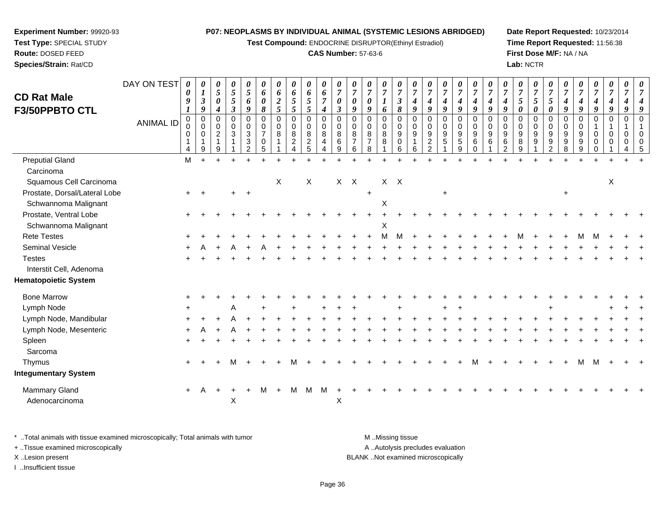**Test Compound:** ENDOCRINE DISRUPTOR(Ethinyl Estradiol)

# **CAS Number:** 57-63-6

**Date Report Requested:** 10/23/2014**Time Report Requested:** 11:56:38**First Dose M/F:** NA / NA**Lab:** NCTR

| <b>CD Rat Male</b><br><b>F3/50PPBTO CTL</b>           | DAY ON TEST<br><b>ANIMAL ID</b> | 0<br>0<br>9<br>0 | $\boldsymbol{\theta}$<br>$\boldsymbol{I}$<br>$\mathfrak{z}$<br>9<br>$\pmb{0}$ | 0<br>5<br>$\boldsymbol{\theta}$<br>4 | 0<br>5<br>5<br>$\mathbf{3}$ | 0<br>5<br>6<br>9         | 0<br>6<br>0<br>8         | 0<br>6<br>$\boldsymbol{2}$                   | 0<br>6<br>$\mathfrak{s}$      | 0<br>6<br>5                     | 0<br>6<br>$\overline{7}$   | 0<br>$\overline{7}$                        | 0<br>$\overline{7}$            | 0<br>$\overline{7}$           | 0<br>$\overline{7}$                                 | 0<br>$\overline{7}$                           | $\overline{7}$                            | 0<br>$\overline{7}$                       | 0<br>$\overline{7}$        | 0<br>$\boldsymbol{7}$                | 0<br>$\overline{7}$        | 0<br>$\overline{7}$     | 0<br>$\overline{7}$            | 0<br>$\overline{7}$ | 0<br>$\boldsymbol{7}$                | 0<br>$\overline{7}$               | $\overline{7}$             | 0<br>$\overline{7}$                  | 0<br>$\boldsymbol{7}$           | 0<br>$\boldsymbol{7}$                                | 0<br>$\overline{7}$  |          |
|-------------------------------------------------------|---------------------------------|------------------|-------------------------------------------------------------------------------|--------------------------------------|-----------------------------|--------------------------|--------------------------|----------------------------------------------|-------------------------------|---------------------------------|----------------------------|--------------------------------------------|--------------------------------|-------------------------------|-----------------------------------------------------|-----------------------------------------------|-------------------------------------------|-------------------------------------------|----------------------------|--------------------------------------|----------------------------|-------------------------|--------------------------------|---------------------|--------------------------------------|-----------------------------------|----------------------------|--------------------------------------|---------------------------------|------------------------------------------------------|----------------------|----------|
|                                                       |                                 |                  | $\mathbf 0$                                                                   | 0<br>0                               | $\mathbf 0$<br>0            | $\pmb{0}$<br>0           | $\Omega$<br>0            | $\mathfrak{s}$<br>$\mathbf 0$<br>$\mathbf 0$ | 5<br>0<br>0                   | 5<br>$\mathbf 0$<br>$\mathbf 0$ | $\boldsymbol{4}$<br>0<br>0 | 0<br>$\boldsymbol{\beta}$<br>$\Omega$<br>0 | 0<br>9<br>$\Omega$<br>$\Omega$ | 0<br>9<br>0<br>0              | $\boldsymbol{l}$<br>6<br>$\mathbf 0$<br>$\mathbf 0$ | $\boldsymbol{\beta}$<br>8<br>0<br>$\mathbf 0$ | $\boldsymbol{4}$<br>9<br>$\mathbf 0$<br>0 | 4<br>9<br>$\mathbf 0$<br>$\mathbf 0$      | 4<br>9<br>0<br>$\mathbf 0$ | 4<br>9<br>$\mathbf 0$<br>$\mathbf 0$ | 4<br>9<br>0<br>$\mathbf 0$ | 4<br>9<br>$\Omega$<br>0 | 4<br>9<br>$\Omega$<br>$\Omega$ | 5<br>0<br>0<br>0    | 5<br>0<br>$\mathbf 0$<br>$\mathbf 0$ | 5<br>0<br>$\mathbf 0$<br>$\Omega$ | 4<br>9<br>$\mathbf 0$<br>0 | 4<br>9<br>$\mathbf 0$<br>$\mathbf 0$ | 4<br>9<br>0<br>1                | $\boldsymbol{4}$<br>9<br>$\mathbf 0$<br>$\mathbf{1}$ | 9<br>$\mathbf 0$     |          |
|                                                       |                                 | $\Omega$<br>4    | $\mathbf 0$<br>9                                                              | $\overline{2}$<br>1<br>9             | $\mathbf{3}$<br>1           | 3<br>3<br>$\overline{2}$ | $\overline{7}$<br>0<br>5 | 8                                            | $\bf8$<br>$\overline{c}$<br>4 | 8<br>$rac{2}{5}$                | 8<br>4<br>4                | 8<br>6<br>9                                | 8<br>6                         | $\bf8$<br>$\overline{7}$<br>8 | 8<br>8                                              | 9<br>0<br>6                                   | $\boldsymbol{9}$<br>6                     | $9\,$<br>$\overline{2}$<br>$\overline{2}$ | 9<br>5                     | 9<br>5<br>9                          | 9<br>6<br>$\Omega$         | 9<br>6                  | $9\,$<br>6<br>$\mathcal{P}$    | 9<br>8<br>9         | 9<br>9                               | 9<br>9<br>$\overline{2}$          | $\boldsymbol{9}$<br>9<br>8 | $9\,$<br>9<br>9                      | $\mathbf 0$<br>$\mathbf 0$<br>0 | $\mathbf 0$<br>$\Omega$                              | $\Omega$<br>$\Omega$ | $\Omega$ |
| <b>Preputial Gland</b>                                |                                 | M                |                                                                               |                                      |                             |                          |                          |                                              |                               |                                 |                            |                                            |                                |                               |                                                     |                                               |                                           |                                           |                            |                                      |                            |                         |                                |                     |                                      |                                   |                            |                                      |                                 |                                                      |                      |          |
| Carcinoma                                             |                                 |                  |                                                                               |                                      |                             |                          |                          |                                              |                               |                                 |                            |                                            |                                |                               |                                                     |                                               |                                           |                                           |                            |                                      |                            |                         |                                |                     |                                      |                                   |                            |                                      |                                 |                                                      |                      |          |
| Squamous Cell Carcinoma                               |                                 |                  |                                                                               |                                      |                             |                          |                          | X                                            |                               | X                               |                            | $X$ $X$                                    |                                |                               | $X$ $X$                                             |                                               |                                           |                                           |                            |                                      |                            |                         |                                |                     |                                      |                                   |                            |                                      |                                 | X                                                    |                      |          |
| Prostate, Dorsal/Lateral Lobe<br>Schwannoma Malignant |                                 | $\pm$            |                                                                               |                                      |                             | $\ddot{}$                |                          |                                              |                               |                                 |                            |                                            |                                | $+$                           | X                                                   |                                               |                                           |                                           | $\ddot{}$                  |                                      |                            |                         |                                |                     |                                      |                                   | $\ddot{}$                  |                                      |                                 |                                                      |                      |          |
| Prostate, Ventral Lobe<br>Schwannoma Malignant        |                                 | ÷                |                                                                               |                                      |                             |                          |                          |                                              |                               |                                 |                            |                                            |                                |                               | X                                                   |                                               |                                           |                                           |                            |                                      |                            |                         |                                |                     |                                      |                                   |                            |                                      |                                 |                                                      |                      |          |
| <b>Rete Testes</b>                                    |                                 |                  |                                                                               |                                      |                             |                          |                          |                                              |                               |                                 |                            |                                            |                                |                               |                                                     |                                               |                                           |                                           |                            |                                      |                            |                         |                                |                     |                                      |                                   |                            |                                      |                                 |                                                      |                      |          |
| Seminal Vesicle                                       |                                 |                  |                                                                               |                                      |                             |                          |                          |                                              |                               |                                 |                            |                                            |                                |                               |                                                     |                                               |                                           |                                           |                            |                                      |                            |                         |                                |                     |                                      |                                   |                            |                                      |                                 |                                                      |                      |          |
| <b>Testes</b>                                         |                                 |                  |                                                                               |                                      |                             |                          |                          |                                              |                               |                                 |                            |                                            |                                |                               |                                                     |                                               |                                           |                                           |                            |                                      |                            |                         |                                |                     |                                      |                                   |                            |                                      |                                 |                                                      |                      |          |
| Interstit Cell, Adenoma                               |                                 |                  |                                                                               |                                      |                             |                          |                          |                                              |                               |                                 |                            |                                            |                                |                               |                                                     |                                               |                                           |                                           |                            |                                      |                            |                         |                                |                     |                                      |                                   |                            |                                      |                                 |                                                      |                      |          |
| <b>Hematopoietic System</b>                           |                                 |                  |                                                                               |                                      |                             |                          |                          |                                              |                               |                                 |                            |                                            |                                |                               |                                                     |                                               |                                           |                                           |                            |                                      |                            |                         |                                |                     |                                      |                                   |                            |                                      |                                 |                                                      |                      |          |
| <b>Bone Marrow</b>                                    |                                 |                  |                                                                               |                                      |                             |                          |                          |                                              |                               |                                 |                            |                                            |                                |                               |                                                     |                                               |                                           |                                           |                            |                                      |                            |                         |                                |                     |                                      |                                   |                            |                                      |                                 |                                                      |                      |          |
| Lymph Node                                            |                                 |                  |                                                                               |                                      |                             |                          |                          |                                              |                               |                                 |                            |                                            |                                |                               |                                                     |                                               |                                           |                                           |                            |                                      |                            |                         |                                |                     |                                      |                                   |                            |                                      |                                 |                                                      |                      |          |
| Lymph Node, Mandibular                                |                                 |                  |                                                                               |                                      |                             |                          |                          |                                              |                               |                                 |                            |                                            |                                |                               |                                                     |                                               |                                           |                                           |                            |                                      |                            |                         |                                |                     |                                      |                                   |                            |                                      |                                 |                                                      |                      |          |
| Lymph Node, Mesenteric                                |                                 |                  |                                                                               |                                      |                             |                          |                          |                                              |                               |                                 |                            |                                            |                                |                               |                                                     |                                               |                                           |                                           |                            |                                      |                            |                         |                                |                     |                                      |                                   |                            |                                      |                                 |                                                      |                      |          |
| Spleen<br>Sarcoma                                     |                                 |                  |                                                                               |                                      |                             |                          |                          |                                              |                               |                                 |                            |                                            |                                |                               |                                                     |                                               |                                           |                                           |                            |                                      |                            |                         |                                |                     |                                      |                                   |                            |                                      |                                 |                                                      |                      |          |
| Thymus                                                |                                 | $\ddot{}$        |                                                                               |                                      | м                           |                          |                          |                                              | м                             |                                 |                            |                                            |                                |                               |                                                     |                                               |                                           |                                           |                            |                                      |                            |                         |                                |                     |                                      |                                   |                            |                                      |                                 |                                                      |                      |          |
| <b>Integumentary System</b>                           |                                 |                  |                                                                               |                                      |                             |                          |                          |                                              |                               |                                 |                            |                                            |                                |                               |                                                     |                                               |                                           |                                           |                            |                                      |                            |                         |                                |                     |                                      |                                   |                            |                                      |                                 |                                                      |                      |          |
| <b>Mammary Gland</b><br>Adenocarcinoma                |                                 | $+$              | A                                                                             | $\overline{+}$                       | X                           |                          | м                        | $+$                                          | M                             | M                               | M                          | X                                          |                                |                               |                                                     |                                               |                                           |                                           |                            |                                      |                            |                         |                                |                     |                                      |                                   |                            |                                      |                                 |                                                      |                      |          |

\* ..Total animals with tissue examined microscopically; Total animals with tumor **M** . Missing tissue M ..Missing tissue A ..Autolysis precludes evaluation + ..Tissue examined microscopically X ..Lesion present BLANK ..Not examined microscopicallyI ..Insufficient tissue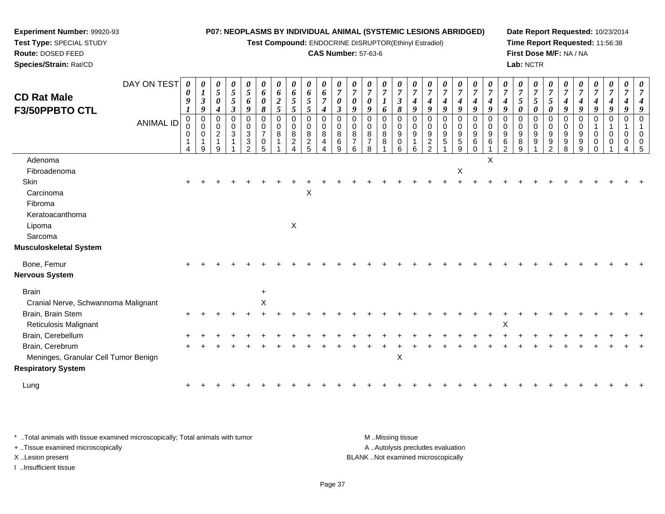**Test Compound:** ENDOCRINE DISRUPTOR(Ethinyl Estradiol)

#### **CAS Number:** 57-63-6

**Date Report Requested:** 10/23/2014**Time Report Requested:** 11:56:38**First Dose M/F:** NA / NA**Lab:** NCTR

| <b>CD Rat Male</b><br><b>F3/50PPBTO CTL</b> | DAY ON TEST<br><b>ANIMAL ID</b> | $\theta$<br>9<br>0 | $\boldsymbol{\theta}$<br>$\boldsymbol{I}$<br>$\boldsymbol{\beta}$<br>9<br>$\mathbf 0$<br>$\mathbf 0$ | $\boldsymbol{\theta}$<br>$\overline{5}$<br>$\boldsymbol{\theta}$<br>4<br>0<br>$\mathbf 0$ | 0<br>5<br>5<br>$\boldsymbol{\beta}$<br>0<br>0 | 0<br>$\mathfrak{s}$<br>6<br>9<br>0<br>$\mathbf 0$ | $\boldsymbol{\theta}$<br>6<br>0<br>8<br>0<br>0 | $\boldsymbol{\theta}$<br>6<br>$\boldsymbol{2}$<br>$\mathfrak{s}$<br>$\mathbf 0$<br>$\mathbf 0$ | $\boldsymbol{\theta}$<br>6<br>$\sqrt{5}$<br>5<br>0<br>$\mathbf 0$ | 0<br>6<br>$5\overline{)}$<br>5<br>0<br>0 | 0<br>6<br>$\overline{7}$<br>$\boldsymbol{4}$<br>0<br>0 | U<br>$\overline{7}$<br>0<br>$\boldsymbol{\beta}$<br>$\Omega$<br>0 | $\boldsymbol{\theta}$<br>$\overline{7}$<br>0<br>9<br>$\Omega$<br>0 | $\boldsymbol{\theta}$<br>$\overline{7}$<br>0<br>9<br>0<br>0 | 0<br>$\boldsymbol{7}$<br>1<br>6<br>$\mathbf 0$<br>$\mathbf 0$ | 0<br>$\boldsymbol{7}$<br>$\boldsymbol{\beta}$<br>8<br>0<br>$\mathbf 0$ | $\overline{7}$<br>$\boldsymbol{4}$<br>9<br>$\mathbf 0$<br>0 | $\boldsymbol{\theta}$<br>$\overline{7}$<br>4<br>9<br>$\mathbf 0$<br>$\pmb{0}$ | 0<br>$\overline{7}$<br>$\boldsymbol{4}$<br>9<br>0<br>0 | 0<br>$\boldsymbol{7}$<br>$\boldsymbol{4}$<br>9<br>$\mathbf 0$<br>$\mathbf 0$ | 0<br>$\overline{7}$<br>$\boldsymbol{4}$<br>9<br>0<br>$\mathbf 0$ | $\boldsymbol{\theta}$<br>$\overline{7}$<br>4<br>9<br>0<br>0 | $\theta$<br>$\overline{7}$<br>4<br>9<br>$\Omega$<br>0 | 0<br>$\overline{7}$<br>5<br>0<br>$\Omega$<br>0 | 0<br>$\boldsymbol{7}$<br>$\sqrt{5}$<br>0<br>$\mathbf 0$<br>$\mathbf 0$ | 0<br>$\overline{7}$<br>$\mathfrak{s}$<br>$\boldsymbol{\theta}$<br>$\mathbf 0$<br>0 | $\overline{7}$<br>4<br>9<br>$\mathbf 0$<br>0 | $\boldsymbol{\theta}$<br>$\overline{7}$<br>4<br>9<br>$\mathbf 0$<br>$\mathbf 0$ | 0<br>$\overline{7}$<br>$\boldsymbol{4}$<br>9<br>0<br>$\mathbf{1}$ | 0<br>$\overline{7}$<br>$\boldsymbol{4}$<br>9<br>$\mathbf 0$<br>$\mathbf 1$ | 0<br>$\overline{7}$<br>4<br>9<br>$\mathbf 0$<br>1 |          |
|---------------------------------------------|---------------------------------|--------------------|------------------------------------------------------------------------------------------------------|-------------------------------------------------------------------------------------------|-----------------------------------------------|---------------------------------------------------|------------------------------------------------|------------------------------------------------------------------------------------------------|-------------------------------------------------------------------|------------------------------------------|--------------------------------------------------------|-------------------------------------------------------------------|--------------------------------------------------------------------|-------------------------------------------------------------|---------------------------------------------------------------|------------------------------------------------------------------------|-------------------------------------------------------------|-------------------------------------------------------------------------------|--------------------------------------------------------|------------------------------------------------------------------------------|------------------------------------------------------------------|-------------------------------------------------------------|-------------------------------------------------------|------------------------------------------------|------------------------------------------------------------------------|------------------------------------------------------------------------------------|----------------------------------------------|---------------------------------------------------------------------------------|-------------------------------------------------------------------|----------------------------------------------------------------------------|---------------------------------------------------|----------|
|                                             |                                 | 0<br>4             | 0<br>9                                                                                               | $\overline{c}$<br>$\mathbf{1}$<br>9                                                       | $\mathbf{3}$<br>1                             | 3<br>3<br>$\overline{2}$                          | $\overline{7}$<br>0<br>5                       | $\,8\,$                                                                                        | $\bf 8$<br>$\overline{c}$<br>$\overline{4}$                       | 8<br>$\overline{c}$<br>5                 | 8<br>4                                                 | 8<br>$\,6\,$<br>9                                                 | 8<br>$\overline{7}$<br>6                                           | 8<br>$\overline{7}$<br>8                                    | 8<br>8                                                        | 9<br>0<br>6                                                            | 9<br>$\mathbf{1}$<br>6                                      | $\boldsymbol{9}$<br>$\overline{c}$<br>$\overline{2}$                          | $\boldsymbol{9}$<br>$\sqrt{5}$                         | $\boldsymbol{9}$<br>$\sqrt{5}$<br>9                                          | 9<br>6<br>$\Omega$                                               | 9<br>6                                                      | 9<br>$\,6\,$<br>$\mathfrak{p}$                        | 9<br>$\bf 8$<br>9                              | 9<br>9                                                                 | 9<br>9<br>$\overline{2}$                                                           | 9<br>9<br>8                                  | $\boldsymbol{9}$<br>$\boldsymbol{9}$<br>9                                       | 0<br>$\mathbf 0$<br>$\Omega$                                      | $\mathbf 0$<br>$\mathbf 0$                                                 | $\mathbf 0$<br>0                                  | $\Omega$ |
| Adenoma<br>Fibroadenoma                     |                                 |                    |                                                                                                      |                                                                                           |                                               |                                                   |                                                |                                                                                                |                                                                   |                                          |                                                        |                                                                   |                                                                    |                                                             |                                                               |                                                                        |                                                             |                                                                               |                                                        | $\mathsf X$                                                                  |                                                                  | X                                                           |                                                       |                                                |                                                                        |                                                                                    |                                              |                                                                                 |                                                                   |                                                                            |                                                   |          |
| Skin                                        |                                 |                    |                                                                                                      |                                                                                           |                                               |                                                   |                                                |                                                                                                |                                                                   |                                          |                                                        |                                                                   |                                                                    |                                                             |                                                               |                                                                        |                                                             |                                                                               |                                                        |                                                                              |                                                                  |                                                             |                                                       |                                                |                                                                        |                                                                                    |                                              |                                                                                 |                                                                   |                                                                            |                                                   |          |
| Carcinoma                                   |                                 |                    |                                                                                                      |                                                                                           |                                               |                                                   |                                                |                                                                                                |                                                                   | $\boldsymbol{X}$                         |                                                        |                                                                   |                                                                    |                                                             |                                                               |                                                                        |                                                             |                                                                               |                                                        |                                                                              |                                                                  |                                                             |                                                       |                                                |                                                                        |                                                                                    |                                              |                                                                                 |                                                                   |                                                                            |                                                   |          |
| Fibroma                                     |                                 |                    |                                                                                                      |                                                                                           |                                               |                                                   |                                                |                                                                                                |                                                                   |                                          |                                                        |                                                                   |                                                                    |                                                             |                                                               |                                                                        |                                                             |                                                                               |                                                        |                                                                              |                                                                  |                                                             |                                                       |                                                |                                                                        |                                                                                    |                                              |                                                                                 |                                                                   |                                                                            |                                                   |          |
| Keratoacanthoma                             |                                 |                    |                                                                                                      |                                                                                           |                                               |                                                   |                                                |                                                                                                |                                                                   |                                          |                                                        |                                                                   |                                                                    |                                                             |                                                               |                                                                        |                                                             |                                                                               |                                                        |                                                                              |                                                                  |                                                             |                                                       |                                                |                                                                        |                                                                                    |                                              |                                                                                 |                                                                   |                                                                            |                                                   |          |
| Lipoma                                      |                                 |                    |                                                                                                      |                                                                                           |                                               |                                                   |                                                |                                                                                                | X                                                                 |                                          |                                                        |                                                                   |                                                                    |                                                             |                                                               |                                                                        |                                                             |                                                                               |                                                        |                                                                              |                                                                  |                                                             |                                                       |                                                |                                                                        |                                                                                    |                                              |                                                                                 |                                                                   |                                                                            |                                                   |          |
| Sarcoma                                     |                                 |                    |                                                                                                      |                                                                                           |                                               |                                                   |                                                |                                                                                                |                                                                   |                                          |                                                        |                                                                   |                                                                    |                                                             |                                                               |                                                                        |                                                             |                                                                               |                                                        |                                                                              |                                                                  |                                                             |                                                       |                                                |                                                                        |                                                                                    |                                              |                                                                                 |                                                                   |                                                                            |                                                   |          |
| Musculoskeletal System                      |                                 |                    |                                                                                                      |                                                                                           |                                               |                                                   |                                                |                                                                                                |                                                                   |                                          |                                                        |                                                                   |                                                                    |                                                             |                                                               |                                                                        |                                                             |                                                                               |                                                        |                                                                              |                                                                  |                                                             |                                                       |                                                |                                                                        |                                                                                    |                                              |                                                                                 |                                                                   |                                                                            |                                                   |          |
| Bone, Femur                                 |                                 |                    |                                                                                                      |                                                                                           |                                               |                                                   |                                                |                                                                                                |                                                                   |                                          |                                                        |                                                                   |                                                                    |                                                             |                                                               |                                                                        |                                                             |                                                                               |                                                        |                                                                              |                                                                  |                                                             |                                                       |                                                |                                                                        |                                                                                    |                                              |                                                                                 |                                                                   |                                                                            |                                                   |          |
| Nervous System                              |                                 |                    |                                                                                                      |                                                                                           |                                               |                                                   |                                                |                                                                                                |                                                                   |                                          |                                                        |                                                                   |                                                                    |                                                             |                                                               |                                                                        |                                                             |                                                                               |                                                        |                                                                              |                                                                  |                                                             |                                                       |                                                |                                                                        |                                                                                    |                                              |                                                                                 |                                                                   |                                                                            |                                                   |          |
| <b>Brain</b>                                |                                 |                    |                                                                                                      |                                                                                           |                                               |                                                   | $+$                                            |                                                                                                |                                                                   |                                          |                                                        |                                                                   |                                                                    |                                                             |                                                               |                                                                        |                                                             |                                                                               |                                                        |                                                                              |                                                                  |                                                             |                                                       |                                                |                                                                        |                                                                                    |                                              |                                                                                 |                                                                   |                                                                            |                                                   |          |
| Cranial Nerve, Schwannoma Malignant         |                                 |                    |                                                                                                      |                                                                                           |                                               |                                                   | X                                              |                                                                                                |                                                                   |                                          |                                                        |                                                                   |                                                                    |                                                             |                                                               |                                                                        |                                                             |                                                                               |                                                        |                                                                              |                                                                  |                                                             |                                                       |                                                |                                                                        |                                                                                    |                                              |                                                                                 |                                                                   |                                                                            |                                                   |          |
| Brain, Brain Stem                           |                                 |                    |                                                                                                      |                                                                                           |                                               |                                                   |                                                |                                                                                                |                                                                   |                                          |                                                        |                                                                   |                                                                    |                                                             |                                                               |                                                                        |                                                             |                                                                               |                                                        |                                                                              |                                                                  |                                                             |                                                       |                                                |                                                                        |                                                                                    |                                              |                                                                                 |                                                                   |                                                                            |                                                   |          |
| <b>Reticulosis Malignant</b>                |                                 |                    |                                                                                                      |                                                                                           |                                               |                                                   |                                                |                                                                                                |                                                                   |                                          |                                                        |                                                                   |                                                                    |                                                             |                                                               |                                                                        |                                                             |                                                                               |                                                        |                                                                              |                                                                  |                                                             | X                                                     |                                                |                                                                        |                                                                                    |                                              |                                                                                 |                                                                   |                                                                            |                                                   |          |
| Brain, Cerebellum                           |                                 |                    |                                                                                                      |                                                                                           |                                               |                                                   |                                                |                                                                                                |                                                                   |                                          |                                                        |                                                                   |                                                                    |                                                             |                                                               |                                                                        |                                                             |                                                                               |                                                        |                                                                              |                                                                  |                                                             |                                                       |                                                |                                                                        |                                                                                    |                                              |                                                                                 |                                                                   |                                                                            |                                                   |          |
| Brain, Cerebrum                             |                                 |                    |                                                                                                      |                                                                                           |                                               |                                                   |                                                |                                                                                                |                                                                   |                                          |                                                        |                                                                   |                                                                    |                                                             |                                                               |                                                                        |                                                             |                                                                               |                                                        |                                                                              |                                                                  |                                                             |                                                       |                                                |                                                                        |                                                                                    |                                              |                                                                                 |                                                                   |                                                                            |                                                   |          |
| Meninges, Granular Cell Tumor Benign        |                                 |                    |                                                                                                      |                                                                                           |                                               |                                                   |                                                |                                                                                                |                                                                   |                                          |                                                        |                                                                   |                                                                    |                                                             |                                                               | $\mathsf X$                                                            |                                                             |                                                                               |                                                        |                                                                              |                                                                  |                                                             |                                                       |                                                |                                                                        |                                                                                    |                                              |                                                                                 |                                                                   |                                                                            |                                                   |          |
| <b>Respiratory System</b>                   |                                 |                    |                                                                                                      |                                                                                           |                                               |                                                   |                                                |                                                                                                |                                                                   |                                          |                                                        |                                                                   |                                                                    |                                                             |                                                               |                                                                        |                                                             |                                                                               |                                                        |                                                                              |                                                                  |                                                             |                                                       |                                                |                                                                        |                                                                                    |                                              |                                                                                 |                                                                   |                                                                            |                                                   |          |
| Lung                                        |                                 |                    |                                                                                                      |                                                                                           |                                               |                                                   |                                                |                                                                                                |                                                                   |                                          |                                                        |                                                                   |                                                                    |                                                             |                                                               |                                                                        |                                                             |                                                                               |                                                        |                                                                              |                                                                  |                                                             |                                                       |                                                |                                                                        |                                                                                    |                                              |                                                                                 |                                                                   |                                                                            |                                                   |          |

\* ..Total animals with tissue examined microscopically; Total animals with tumor **M** . Missing tissue M ..Missing tissue A ..Autolysis precludes evaluation + ..Tissue examined microscopically X ..Lesion present BLANK ..Not examined microscopicallyI ..Insufficient tissue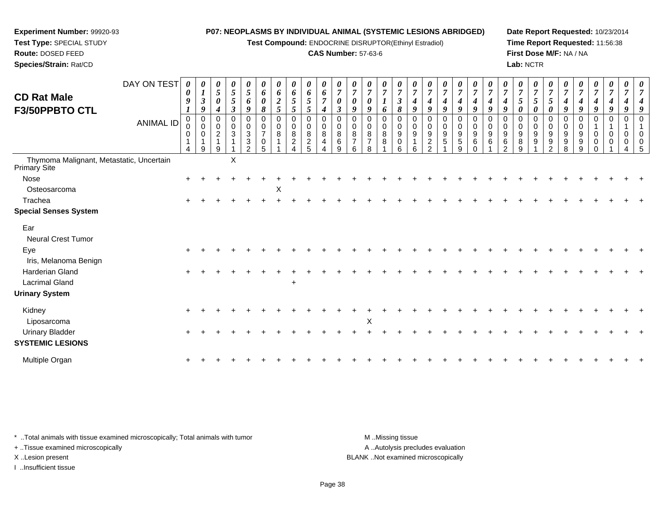**Test Compound:** ENDOCRINE DISRUPTOR(Ethinyl Estradiol)

#### **CAS Number:** 57-63-6

**Date Report Requested:** 10/23/2014**Time Report Requested:** 11:56:38**First Dose M/F:** NA / NA**Lab:** NCTR

| DAY ON TEST<br><b>CD Rat Male</b><br>F3/50PPBTO CTL      | $\boldsymbol{\theta}$<br>0<br>9<br>1<br>$\mathbf 0$ | 0<br>$\boldsymbol{l}$<br>$\mathfrak{z}$<br>9<br>$\mathbf 0$ | 0<br>5<br>$\boldsymbol{\theta}$<br>0 | 0<br>5<br>5<br>3<br>$\mathbf 0$ | 0<br>5<br>6<br>$\boldsymbol{q}$<br>$\mathbf 0$ | 0<br>6<br>0<br>8<br>0                   | $\boldsymbol{\theta}$<br>6<br>$\boldsymbol{2}$<br>5<br>$\mathbf 0$ | 0<br>6<br>5<br>5<br>$\Omega$ | 0<br>6<br>5<br>5<br>0                      | 0<br>6<br>$\overline{7}$<br>$\boldsymbol{4}$<br>$\pmb{0}$ | 0<br>$\overline{7}$<br>0<br>$\boldsymbol{\beta}$<br>0 | $\overline{7}$<br>$\boldsymbol{\theta}$<br>$\boldsymbol{q}$<br>$\Omega$ | 0<br>$\overline{7}$<br>$\theta$<br>Q<br>$\Omega$ | $\pmb{\theta}$<br>$\overline{7}$<br>1<br>6<br>$\overline{0}$ | $\pmb{\theta}$<br>$\overline{7}$<br>$\boldsymbol{\beta}$<br>8<br>$\mathbf 0$ | 0<br>$\overline{7}$<br>$\boldsymbol{4}$<br>9<br>$\Omega$ | $\overline{7}$<br>$\boldsymbol{q}$<br>$\Omega$ | 0<br>$\overline{7}$<br>4<br>$\boldsymbol{q}$<br>$\Omega$ | 0<br>$\overline{7}$<br>$\boldsymbol{4}$<br>$\boldsymbol{q}$<br>$\boldsymbol{0}$ | $\pmb{\theta}$<br>$\overline{7}$<br>4<br>$\boldsymbol{q}$<br>$\pmb{0}$ | 0<br>$\overline{7}$<br>$\boldsymbol{4}$<br>9<br>0 | $\overline{7}$<br>$\boldsymbol{q}$<br>$\Omega$ | 0<br>$\overline{7}$<br>5<br>0<br>$\Omega$ | $\pmb{\theta}$<br>$\boldsymbol{7}$<br>5<br>0<br>0 | $\pmb{\theta}$<br>$\overline{7}$<br>$\mathfrak{s}$<br>0<br>$\mathbf 0$ | 0<br>$\overline{7}$<br>$\boldsymbol{4}$<br>9<br>0 | $\overline{7}$<br>4<br>O | 0<br>$\overline{\tau}$<br>4<br>Q | 0<br>$\overline{7}$ | 0<br>$\overline{7}$<br>$\mathbf 0$ |  |
|----------------------------------------------------------|-----------------------------------------------------|-------------------------------------------------------------|--------------------------------------|---------------------------------|------------------------------------------------|-----------------------------------------|--------------------------------------------------------------------|------------------------------|--------------------------------------------|-----------------------------------------------------------|-------------------------------------------------------|-------------------------------------------------------------------------|--------------------------------------------------|--------------------------------------------------------------|------------------------------------------------------------------------------|----------------------------------------------------------|------------------------------------------------|----------------------------------------------------------|---------------------------------------------------------------------------------|------------------------------------------------------------------------|---------------------------------------------------|------------------------------------------------|-------------------------------------------|---------------------------------------------------|------------------------------------------------------------------------|---------------------------------------------------|--------------------------|----------------------------------|---------------------|------------------------------------|--|
| <b>ANIMAL ID</b>                                         | 0<br>0<br>4                                         | $\mathbf 0$<br>0<br>1<br>9                                  | $\Omega$<br>2<br>9                   | 0<br>$\mathbf{3}$               | 0<br>$\sqrt{3}$<br>3<br>$\Omega$               | $\mathbf 0$<br>$\overline{7}$<br>0<br>5 | $\mathbf 0$<br>8                                                   | 0<br>8<br>2                  | $\pmb{0}$<br>$\bf8$<br>$\overline{c}$<br>5 | $\pmb{0}$<br>$\bf 8$<br>4<br>4                            | $\mathbf 0$<br>8<br>6<br>9                            | $\Omega$<br>8<br>$\overline{7}$<br>6                                    | $\Omega$<br>8<br>8                               | 0<br>8<br>8                                                  | $\mathbf 0$<br>$\boldsymbol{9}$<br>$\mathbf 0$<br>6                          | $\mathbf 0$<br>9<br>1<br>6                               | $\mathbf 0$<br>9<br>$\overline{c}$<br>$\Omega$ | 0<br>9<br>5                                              | $\pmb{0}$<br>$\boldsymbol{9}$<br>$\sqrt{5}$<br>9                                | $\pmb{0}$<br>$\boldsymbol{9}$<br>6<br>$\Omega$                         | $\mathbf 0$<br>9<br>6                             | $\Omega$<br>9<br>6<br>ົ                        | $\Omega$<br>9<br>8<br>g                   | 0<br>$\boldsymbol{9}$<br>9                        | 0<br>$\boldsymbol{9}$<br>9<br>ົ                                        | 0<br>9<br>9<br>8                                  | $\Omega$<br>9<br>9<br>g  | 0<br>0                           | 0<br>$\Omega$       | 0<br>0                             |  |
| Thymoma Malignant, Metastatic, Uncertain<br>Primary Site |                                                     |                                                             |                                      | X                               |                                                |                                         |                                                                    |                              |                                            |                                                           |                                                       |                                                                         |                                                  |                                                              |                                                                              |                                                          |                                                |                                                          |                                                                                 |                                                                        |                                                   |                                                |                                           |                                                   |                                                                        |                                                   |                          |                                  |                     |                                    |  |
| Nose                                                     |                                                     |                                                             |                                      |                                 |                                                |                                         |                                                                    |                              |                                            |                                                           |                                                       |                                                                         |                                                  |                                                              |                                                                              |                                                          |                                                |                                                          |                                                                                 |                                                                        |                                                   |                                                |                                           |                                                   |                                                                        |                                                   |                          |                                  |                     |                                    |  |
| Osteosarcoma                                             |                                                     |                                                             |                                      |                                 |                                                |                                         | X                                                                  |                              |                                            |                                                           |                                                       |                                                                         |                                                  |                                                              |                                                                              |                                                          |                                                |                                                          |                                                                                 |                                                                        |                                                   |                                                |                                           |                                                   |                                                                        |                                                   |                          |                                  |                     |                                    |  |
| Trachea                                                  | $+$                                                 |                                                             |                                      |                                 |                                                |                                         |                                                                    |                              |                                            |                                                           |                                                       |                                                                         |                                                  |                                                              |                                                                              |                                                          |                                                |                                                          |                                                                                 |                                                                        |                                                   |                                                |                                           |                                                   |                                                                        |                                                   |                          |                                  |                     |                                    |  |
| <b>Special Senses System</b>                             |                                                     |                                                             |                                      |                                 |                                                |                                         |                                                                    |                              |                                            |                                                           |                                                       |                                                                         |                                                  |                                                              |                                                                              |                                                          |                                                |                                                          |                                                                                 |                                                                        |                                                   |                                                |                                           |                                                   |                                                                        |                                                   |                          |                                  |                     |                                    |  |
| Ear<br><b>Neural Crest Tumor</b>                         |                                                     |                                                             |                                      |                                 |                                                |                                         |                                                                    |                              |                                            |                                                           |                                                       |                                                                         |                                                  |                                                              |                                                                              |                                                          |                                                |                                                          |                                                                                 |                                                                        |                                                   |                                                |                                           |                                                   |                                                                        |                                                   |                          |                                  |                     |                                    |  |
| Eye<br>Iris, Melanoma Benign                             |                                                     |                                                             |                                      |                                 |                                                |                                         |                                                                    |                              |                                            |                                                           |                                                       |                                                                         |                                                  |                                                              |                                                                              |                                                          |                                                |                                                          |                                                                                 |                                                                        |                                                   |                                                |                                           |                                                   |                                                                        |                                                   |                          |                                  |                     |                                    |  |
| Harderian Gland<br><b>Lacrimal Gland</b>                 |                                                     |                                                             |                                      |                                 |                                                |                                         |                                                                    | $\ddot{}$                    |                                            |                                                           |                                                       |                                                                         |                                                  |                                                              |                                                                              |                                                          |                                                |                                                          |                                                                                 |                                                                        |                                                   |                                                |                                           |                                                   |                                                                        |                                                   |                          |                                  |                     |                                    |  |
| <b>Urinary System</b>                                    |                                                     |                                                             |                                      |                                 |                                                |                                         |                                                                    |                              |                                            |                                                           |                                                       |                                                                         |                                                  |                                                              |                                                                              |                                                          |                                                |                                                          |                                                                                 |                                                                        |                                                   |                                                |                                           |                                                   |                                                                        |                                                   |                          |                                  |                     |                                    |  |
| Kidney<br>Liposarcoma                                    |                                                     |                                                             |                                      |                                 |                                                |                                         |                                                                    |                              |                                            |                                                           |                                                       |                                                                         | Χ                                                |                                                              |                                                                              |                                                          |                                                |                                                          |                                                                                 |                                                                        |                                                   |                                                |                                           |                                                   |                                                                        |                                                   |                          |                                  |                     |                                    |  |
| <b>Urinary Bladder</b>                                   |                                                     |                                                             |                                      |                                 |                                                |                                         |                                                                    |                              |                                            |                                                           |                                                       |                                                                         |                                                  |                                                              |                                                                              |                                                          |                                                |                                                          |                                                                                 |                                                                        |                                                   |                                                |                                           |                                                   |                                                                        |                                                   |                          |                                  |                     |                                    |  |
| <b>SYSTEMIC LESIONS</b>                                  |                                                     |                                                             |                                      |                                 |                                                |                                         |                                                                    |                              |                                            |                                                           |                                                       |                                                                         |                                                  |                                                              |                                                                              |                                                          |                                                |                                                          |                                                                                 |                                                                        |                                                   |                                                |                                           |                                                   |                                                                        |                                                   |                          |                                  |                     |                                    |  |
| Multiple Organ                                           |                                                     |                                                             |                                      |                                 |                                                |                                         |                                                                    |                              |                                            |                                                           |                                                       |                                                                         |                                                  |                                                              |                                                                              |                                                          |                                                |                                                          |                                                                                 |                                                                        |                                                   |                                                |                                           |                                                   |                                                                        |                                                   |                          |                                  |                     |                                    |  |

\* ..Total animals with tissue examined microscopically; Total animals with tumor **M** . Missing tissue M ..Missing tissue

+ ..Tissue examined microscopically

**Experiment Number:** 99920-93**Test Type:** SPECIAL STUDY**Route:** DOSED FEED**Species/Strain:** Rat/CD

I ..Insufficient tissue

A ..Autolysis precludes evaluation X ..Lesion present BLANK ..Not examined microscopically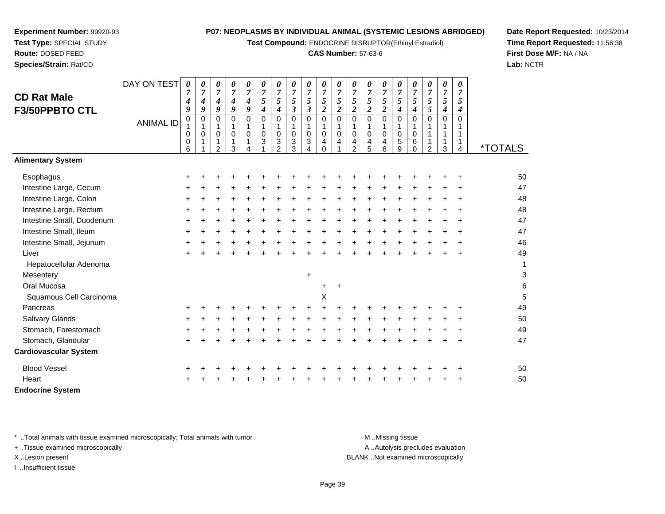**Test Compound:** ENDOCRINE DISRUPTOR(Ethinyl Estradiol)

# **CAS Number:** 57-63-6

**Date Report Requested:** 10/23/2014**Time Report Requested:** 11:56:38**First Dose M/F:** NA / NA**Lab:** NCTR

| <b>CD Rat Male</b><br>F3/50PPBTO CTL | DAY ON TEST      | 0<br>4<br>9              | 0<br>$\overline{7}$<br>$\boldsymbol{4}$<br>9 | 0<br>$\overline{7}$<br>4<br>9      | 0<br>$\overline{7}$<br>$\boldsymbol{4}$<br>9   | 0<br>$\overline{7}$<br>4<br>$\boldsymbol{g}$ | 0<br>7<br>$\mathfrak{s}$<br>$\boldsymbol{4}$ | 0<br>$\overline{7}$<br>$\mathfrak{s}$<br>$\boldsymbol{4}$         | 0<br>$\overline{7}$<br>5<br>$\boldsymbol{\beta}$ | 0<br>$\overline{7}$<br>5<br>$\overline{\mathbf{3}}$ | 0<br>$\overline{7}$<br>5<br>$\overline{\mathbf{c}}$ | 0<br>$\overline{7}$<br>$\mathfrak{s}$<br>$\overline{2}$ | 0<br>$\overline{7}$<br>$\sqrt{5}$<br>$\overline{2}$ | 0<br>$\overline{7}$<br>5<br>$\overline{2}$ | 0<br>$\overline{7}$<br>5<br>$\overline{2}$ | 0<br>$\boldsymbol{7}$<br>5<br>$\boldsymbol{4}$ | 0<br>$\overline{7}$<br>5<br>$\boldsymbol{4}$ | 0<br>$\overline{7}$<br>5<br>5 | 0<br>$\overline{7}$<br>5<br>4              | 0<br>$\overline{7}$<br>5<br>4 |                       |
|--------------------------------------|------------------|--------------------------|----------------------------------------------|------------------------------------|------------------------------------------------|----------------------------------------------|----------------------------------------------|-------------------------------------------------------------------|--------------------------------------------------|-----------------------------------------------------|-----------------------------------------------------|---------------------------------------------------------|-----------------------------------------------------|--------------------------------------------|--------------------------------------------|------------------------------------------------|----------------------------------------------|-------------------------------|--------------------------------------------|-------------------------------|-----------------------|
|                                      | <b>ANIMAL ID</b> | $\pmb{0}$<br>0<br>0<br>6 | 0<br>1<br>$\mathbf 0$<br>1                   | 0<br>1<br>0<br>1<br>$\overline{2}$ | $\mathbf 0$<br>$\mathbf 0$<br>$\mathbf 1$<br>3 | $\Omega$<br>$\mathbf 0$<br>1                 | $\Omega$<br>1<br>$\mathbf 0$<br>3            | $\mathbf 0$<br>1<br>$\mathbf 0$<br>$\ensuremath{\mathsf{3}}$<br>2 | 0<br>1<br>0<br>$\ensuremath{\mathsf{3}}$<br>3    | 0<br>1<br>$\pmb{0}$<br>3<br>4                       | 0<br>1<br>0<br>4<br>$\Omega$                        | 0<br>1<br>$\pmb{0}$<br>4                                | $\Omega$<br>1<br>$\mathbf 0$<br>4<br>2              | $\mathbf 0$<br>1<br>0<br>4<br>5            | $\mathbf 0$<br>$\mathbf 0$<br>4<br>6       | 0<br>1<br>$\pmb{0}$<br>5<br>9                  | $\mathbf 0$<br>1<br>0<br>6<br>$\Omega$       | $\Omega$<br>1<br>1<br>2       | 0<br>1<br>$\mathbf 1$<br>1<br>$\mathbf{3}$ | $\Omega$<br>1<br>1<br>4       | <i><b>*TOTALS</b></i> |
| <b>Alimentary System</b>             |                  |                          |                                              |                                    |                                                |                                              |                                              |                                                                   |                                                  |                                                     |                                                     |                                                         |                                                     |                                            |                                            |                                                |                                              |                               |                                            |                               |                       |
| Esophagus                            |                  | +                        |                                              |                                    |                                                |                                              |                                              |                                                                   |                                                  |                                                     |                                                     |                                                         |                                                     |                                            |                                            |                                                |                                              |                               |                                            |                               | 50                    |
| Intestine Large, Cecum               |                  |                          |                                              |                                    |                                                |                                              |                                              |                                                                   |                                                  |                                                     |                                                     |                                                         |                                                     |                                            |                                            |                                                |                                              |                               |                                            |                               | 47                    |
| Intestine Large, Colon               |                  | +                        |                                              |                                    |                                                |                                              |                                              |                                                                   |                                                  |                                                     |                                                     |                                                         |                                                     |                                            |                                            |                                                |                                              |                               |                                            |                               | 48                    |
| Intestine Large, Rectum              |                  |                          |                                              |                                    |                                                |                                              |                                              |                                                                   |                                                  |                                                     |                                                     |                                                         |                                                     |                                            |                                            |                                                |                                              |                               |                                            |                               | 48                    |
| Intestine Small, Duodenum            |                  | +                        |                                              |                                    |                                                |                                              |                                              |                                                                   |                                                  |                                                     |                                                     |                                                         |                                                     |                                            |                                            |                                                |                                              |                               |                                            |                               | 47                    |
| Intestine Small, Ileum               |                  |                          |                                              |                                    |                                                |                                              |                                              |                                                                   |                                                  |                                                     |                                                     |                                                         |                                                     |                                            |                                            |                                                |                                              |                               |                                            |                               | 47                    |
| Intestine Small, Jejunum             |                  | $\ddot{}$                |                                              |                                    |                                                |                                              |                                              |                                                                   |                                                  |                                                     |                                                     |                                                         |                                                     |                                            |                                            |                                                |                                              |                               |                                            |                               | 46                    |
| Liver                                |                  |                          |                                              |                                    |                                                |                                              |                                              |                                                                   |                                                  |                                                     |                                                     |                                                         |                                                     |                                            |                                            |                                                |                                              |                               |                                            |                               | 49                    |
| Hepatocellular Adenoma               |                  |                          |                                              |                                    |                                                |                                              |                                              |                                                                   |                                                  |                                                     |                                                     |                                                         |                                                     |                                            |                                            |                                                |                                              |                               |                                            |                               | $\mathbf{1}$          |
| Mesentery                            |                  |                          |                                              |                                    |                                                |                                              |                                              |                                                                   |                                                  | $\ddot{}$                                           |                                                     |                                                         |                                                     |                                            |                                            |                                                |                                              |                               |                                            |                               | 3                     |
| Oral Mucosa                          |                  |                          |                                              |                                    |                                                |                                              |                                              |                                                                   |                                                  |                                                     | +                                                   | ÷                                                       |                                                     |                                            |                                            |                                                |                                              |                               |                                            |                               | $6\phantom{1}6$       |
| Squamous Cell Carcinoma              |                  |                          |                                              |                                    |                                                |                                              |                                              |                                                                   |                                                  |                                                     | Χ                                                   |                                                         |                                                     |                                            |                                            |                                                |                                              |                               |                                            |                               | 5                     |
| Pancreas                             |                  | +                        |                                              |                                    |                                                |                                              |                                              |                                                                   |                                                  |                                                     |                                                     |                                                         |                                                     |                                            |                                            |                                                |                                              |                               |                                            |                               | 49                    |
| <b>Salivary Glands</b>               |                  |                          |                                              |                                    |                                                |                                              |                                              |                                                                   |                                                  |                                                     |                                                     |                                                         |                                                     |                                            |                                            |                                                |                                              |                               |                                            |                               | 50                    |
| Stomach, Forestomach                 |                  |                          |                                              |                                    |                                                |                                              |                                              |                                                                   |                                                  |                                                     |                                                     |                                                         |                                                     |                                            |                                            |                                                |                                              |                               |                                            |                               | 49                    |
| Stomach, Glandular                   |                  |                          |                                              |                                    |                                                |                                              |                                              |                                                                   |                                                  |                                                     |                                                     |                                                         |                                                     |                                            |                                            |                                                |                                              |                               |                                            |                               | 47                    |
| <b>Cardiovascular System</b>         |                  |                          |                                              |                                    |                                                |                                              |                                              |                                                                   |                                                  |                                                     |                                                     |                                                         |                                                     |                                            |                                            |                                                |                                              |                               |                                            |                               |                       |
| <b>Blood Vessel</b>                  |                  |                          |                                              |                                    |                                                |                                              |                                              |                                                                   |                                                  |                                                     |                                                     |                                                         |                                                     |                                            |                                            |                                                |                                              |                               |                                            |                               | 50                    |
| Heart                                |                  | $\ddot{}$                |                                              |                                    |                                                |                                              |                                              |                                                                   |                                                  |                                                     |                                                     |                                                         |                                                     |                                            |                                            |                                                |                                              |                               |                                            |                               | 50                    |
| <b>Endocrine System</b>              |                  |                          |                                              |                                    |                                                |                                              |                                              |                                                                   |                                                  |                                                     |                                                     |                                                         |                                                     |                                            |                                            |                                                |                                              |                               |                                            |                               |                       |
|                                      |                  |                          |                                              |                                    |                                                |                                              |                                              |                                                                   |                                                  |                                                     |                                                     |                                                         |                                                     |                                            |                                            |                                                |                                              |                               |                                            |                               |                       |

\* ..Total animals with tissue examined microscopically; Total animals with tumor

+ ..Tissue examined microscopically

**Experiment Number:** 99920-93**Test Type:** SPECIAL STUDY**Route:** DOSED FEED**Species/Strain:** Rat/CD

I ..Insufficient tissue

A .. Autolysis precludes evaluation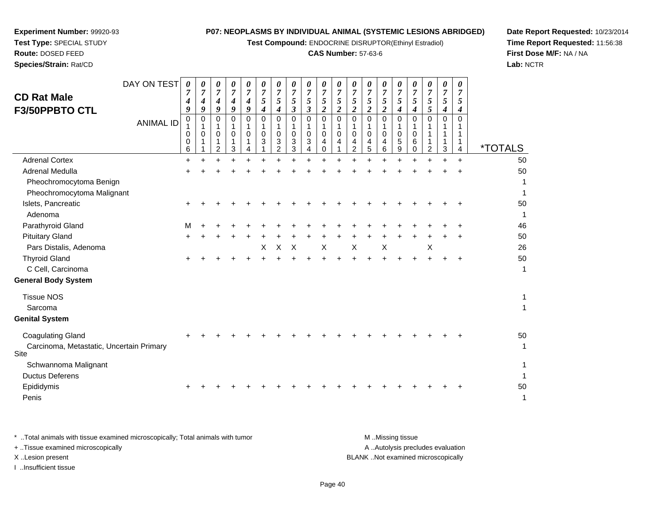**Test Compound:** ENDOCRINE DISRUPTOR(Ethinyl Estradiol)

#### **CAS Number:** 57-63-6

**Date Report Requested:** 10/23/2014**Time Report Requested:** 11:56:38**First Dose M/F:** NA / NA**Lab:** NCTR

| <b>CD Rat Male</b><br>F3/50PPBTO CTL                                         | DAY ON TEST<br><b>ANIMAL ID</b> | 0<br>7<br>4<br>9<br>0<br>0<br>0<br>6 | 0<br>$\overline{7}$<br>$\boldsymbol{4}$<br>9<br>0<br>1<br>$\mathbf 0$<br>1 | 0<br>7<br>4<br>9<br>0<br>1<br>$\mathbf 0$<br>1<br>2 | $\boldsymbol{\theta}$<br>$\overline{7}$<br>$\boldsymbol{4}$<br>9<br>$\Omega$<br>$\Omega$<br>3 | 0<br>7<br>4<br>9<br>$\overline{0}$<br>$\Omega$ | 0<br>$\overline{7}$<br>5<br>4<br>0<br>$\mathbf 0$<br>3 | 0<br>$\overline{7}$<br>$\sqrt{5}$<br>4<br>$\mathbf 0$<br>$\mathbf 0$<br>3<br>2 | 0<br>$\overline{7}$<br>5<br>$\boldsymbol{\beta}$<br>$\mathbf 0$<br>1<br>$\mathbf 0$<br>3<br>3 | 0<br>$\overline{7}$<br>5<br>$\boldsymbol{\beta}$<br>$\mathbf 0$<br>$\mathsf{O}\xspace$<br>3<br>4 | 0<br>$\overline{7}$<br>5<br>$\overline{\mathbf{c}}$<br>0<br>$\mathbf{1}$<br>0<br>4<br>0 | 0<br>$\overline{7}$<br>$\mathfrak{s}$<br>$\boldsymbol{2}$<br>$\mathbf 0$<br>1<br>$\mathbf 0$<br>4 | 0<br>$\overline{7}$<br>5<br>$\boldsymbol{2}$<br>$\mathbf 0$<br>$\mathbf 0$<br>$\overline{4}$<br>$\overline{2}$ | 0<br>$\overline{7}$<br>$\sqrt{5}$<br>$\boldsymbol{2}$<br>$\mathbf 0$<br>$\mathbf 0$<br>4<br>5 | 0<br>$\overline{7}$<br>5<br>$\overline{\mathbf{c}}$<br>$\mathbf 0$<br>$\mathbf 0$<br>4<br>6 | 0<br>$\overline{7}$<br>5<br>$\boldsymbol{4}$<br>0<br>1<br>$\mathbf 0$<br>5<br>9 | 0<br>$\overline{7}$<br>5<br>4<br>$\mathbf 0$<br>$\mathbf 0$<br>6<br>0 | 0<br>7<br>5<br>5<br>0<br>1<br>1<br>$\overline{2}$ | 0<br>$\overline{7}$<br>5<br>4<br>0<br>$\mathbf{1}$<br>$\mathbf 1$<br>3 | 0<br>$\overline{7}$<br>5<br>4<br>$\Omega$<br>1<br>4 | <i><b>*TOTALS</b></i> |
|------------------------------------------------------------------------------|---------------------------------|--------------------------------------|----------------------------------------------------------------------------|-----------------------------------------------------|-----------------------------------------------------------------------------------------------|------------------------------------------------|--------------------------------------------------------|--------------------------------------------------------------------------------|-----------------------------------------------------------------------------------------------|--------------------------------------------------------------------------------------------------|-----------------------------------------------------------------------------------------|---------------------------------------------------------------------------------------------------|----------------------------------------------------------------------------------------------------------------|-----------------------------------------------------------------------------------------------|---------------------------------------------------------------------------------------------|---------------------------------------------------------------------------------|-----------------------------------------------------------------------|---------------------------------------------------|------------------------------------------------------------------------|-----------------------------------------------------|-----------------------|
| <b>Adrenal Cortex</b>                                                        |                                 | $\ddot{}$                            |                                                                            |                                                     |                                                                                               |                                                |                                                        |                                                                                |                                                                                               |                                                                                                  |                                                                                         |                                                                                                   |                                                                                                                |                                                                                               |                                                                                             |                                                                                 |                                                                       |                                                   |                                                                        | $\ddot{}$                                           | 50                    |
| Adrenal Medulla                                                              |                                 |                                      |                                                                            |                                                     |                                                                                               |                                                |                                                        |                                                                                |                                                                                               |                                                                                                  |                                                                                         |                                                                                                   |                                                                                                                |                                                                                               |                                                                                             |                                                                                 |                                                                       |                                                   |                                                                        |                                                     | 50                    |
| Pheochromocytoma Benign<br>Pheochromocytoma Malignant                        |                                 |                                      |                                                                            |                                                     |                                                                                               |                                                |                                                        |                                                                                |                                                                                               |                                                                                                  |                                                                                         |                                                                                                   |                                                                                                                |                                                                                               |                                                                                             |                                                                                 |                                                                       |                                                   |                                                                        |                                                     | 1<br>1                |
| Islets, Pancreatic<br>Adenoma                                                |                                 |                                      |                                                                            |                                                     |                                                                                               |                                                |                                                        |                                                                                |                                                                                               |                                                                                                  |                                                                                         |                                                                                                   |                                                                                                                |                                                                                               |                                                                                             |                                                                                 |                                                                       |                                                   |                                                                        |                                                     | 50<br>1               |
| Parathyroid Gland                                                            |                                 | M                                    |                                                                            |                                                     |                                                                                               |                                                |                                                        |                                                                                |                                                                                               |                                                                                                  |                                                                                         |                                                                                                   |                                                                                                                |                                                                                               |                                                                                             |                                                                                 |                                                                       |                                                   |                                                                        |                                                     | 46                    |
| <b>Pituitary Gland</b>                                                       |                                 | $+$                                  |                                                                            |                                                     |                                                                                               |                                                |                                                        |                                                                                |                                                                                               |                                                                                                  |                                                                                         |                                                                                                   |                                                                                                                |                                                                                               |                                                                                             |                                                                                 |                                                                       |                                                   |                                                                        |                                                     | 50                    |
| Pars Distalis, Adenoma                                                       |                                 |                                      |                                                                            |                                                     |                                                                                               |                                                | X                                                      | X                                                                              | $\times$                                                                                      |                                                                                                  | X                                                                                       |                                                                                                   | Χ                                                                                                              |                                                                                               | X                                                                                           |                                                                                 |                                                                       | X                                                 |                                                                        |                                                     | 26                    |
| <b>Thyroid Gland</b>                                                         |                                 |                                      |                                                                            |                                                     |                                                                                               |                                                |                                                        |                                                                                |                                                                                               |                                                                                                  |                                                                                         |                                                                                                   |                                                                                                                |                                                                                               |                                                                                             |                                                                                 |                                                                       |                                                   |                                                                        |                                                     | 50                    |
| C Cell, Carcinoma                                                            |                                 |                                      |                                                                            |                                                     |                                                                                               |                                                |                                                        |                                                                                |                                                                                               |                                                                                                  |                                                                                         |                                                                                                   |                                                                                                                |                                                                                               |                                                                                             |                                                                                 |                                                                       |                                                   |                                                                        |                                                     | 1                     |
| <b>General Body System</b>                                                   |                                 |                                      |                                                                            |                                                     |                                                                                               |                                                |                                                        |                                                                                |                                                                                               |                                                                                                  |                                                                                         |                                                                                                   |                                                                                                                |                                                                                               |                                                                                             |                                                                                 |                                                                       |                                                   |                                                                        |                                                     |                       |
| <b>Tissue NOS</b><br>Sarcoma                                                 |                                 |                                      |                                                                            |                                                     |                                                                                               |                                                |                                                        |                                                                                |                                                                                               |                                                                                                  |                                                                                         |                                                                                                   |                                                                                                                |                                                                                               |                                                                                             |                                                                                 |                                                                       |                                                   |                                                                        |                                                     | 1<br>$\mathbf{1}$     |
| <b>Genital System</b>                                                        |                                 |                                      |                                                                            |                                                     |                                                                                               |                                                |                                                        |                                                                                |                                                                                               |                                                                                                  |                                                                                         |                                                                                                   |                                                                                                                |                                                                                               |                                                                                             |                                                                                 |                                                                       |                                                   |                                                                        |                                                     |                       |
| <b>Coagulating Gland</b><br>Carcinoma, Metastatic, Uncertain Primary<br>Site |                                 |                                      |                                                                            |                                                     |                                                                                               |                                                |                                                        |                                                                                |                                                                                               |                                                                                                  |                                                                                         |                                                                                                   |                                                                                                                |                                                                                               |                                                                                             |                                                                                 |                                                                       |                                                   |                                                                        |                                                     | 50<br>$\mathbf{1}$    |
| Schwannoma Malignant                                                         |                                 |                                      |                                                                            |                                                     |                                                                                               |                                                |                                                        |                                                                                |                                                                                               |                                                                                                  |                                                                                         |                                                                                                   |                                                                                                                |                                                                                               |                                                                                             |                                                                                 |                                                                       |                                                   |                                                                        |                                                     | $\mathbf{1}$          |
| <b>Ductus Deferens</b>                                                       |                                 |                                      |                                                                            |                                                     |                                                                                               |                                                |                                                        |                                                                                |                                                                                               |                                                                                                  |                                                                                         |                                                                                                   |                                                                                                                |                                                                                               |                                                                                             |                                                                                 |                                                                       |                                                   |                                                                        |                                                     | 1                     |
| Epididymis                                                                   |                                 |                                      |                                                                            |                                                     |                                                                                               |                                                |                                                        |                                                                                |                                                                                               |                                                                                                  |                                                                                         |                                                                                                   |                                                                                                                |                                                                                               |                                                                                             |                                                                                 |                                                                       |                                                   |                                                                        |                                                     | 50                    |
| Penis                                                                        |                                 |                                      |                                                                            |                                                     |                                                                                               |                                                |                                                        |                                                                                |                                                                                               |                                                                                                  |                                                                                         |                                                                                                   |                                                                                                                |                                                                                               |                                                                                             |                                                                                 |                                                                       |                                                   |                                                                        |                                                     | 1                     |

**Experiment Number:** 99920-93**Test Type:** SPECIAL STUDY**Route:** DOSED FEED**Species/Strain:** Rat/CD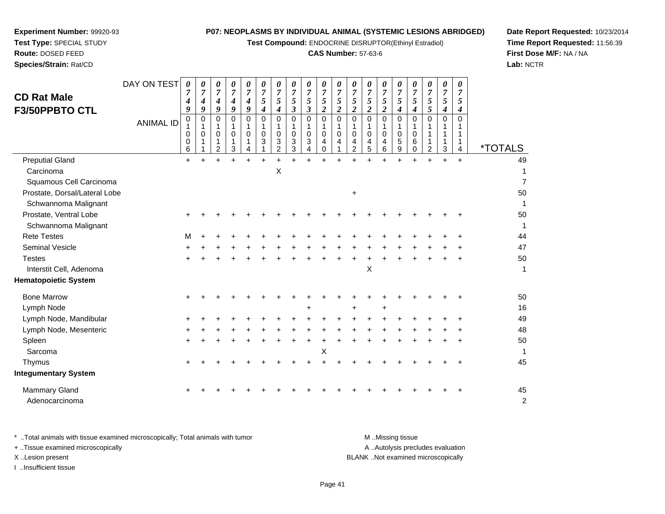**Test Compound:** ENDOCRINE DISRUPTOR(Ethinyl Estradiol)

#### **CAS Number:** 57-63-6

**Date Report Requested:** 10/23/2014**Time Report Requested:** 11:56:39**First Dose M/F:** NA / NA**Lab:** NCTR

| <b>CD Rat Male</b><br><b>F3/50PPBTO CTL</b> | DAY ON TEST<br><b>ANIMAL ID</b> | 0<br>$\overline{7}$<br>4<br>9<br>$\mathbf 0$ | 0<br>$\overline{7}$<br>$\boldsymbol{4}$<br>9<br>$\mathbf 0$ | 0<br>$\overline{7}$<br>$\boldsymbol{4}$<br>9<br>$\Omega$ | 0<br>$\overline{7}$<br>4<br>9<br>$\mathbf 0$<br>1 | 0<br>7<br>4<br>9<br>$\Omega$ | 0<br>7<br>5<br>4<br>$\Omega$ | 0<br>$\overline{7}$<br>5<br>4<br>$\mathbf 0$ | $\pmb{\theta}$<br>$\overline{7}$<br>5<br>$\boldsymbol{\beta}$<br>$\Omega$<br>1 | 0<br>$\overline{7}$<br>5<br>$\boldsymbol{\beta}$<br>$\Omega$<br>1 | 0<br>$\overline{7}$<br>5<br>$\overline{c}$<br>$\overline{0}$ | 0<br>7<br>5<br>$\boldsymbol{2}$<br>$\mathbf 0$<br>1 | 0<br>$\overline{7}$<br>$\mathfrak{s}$<br>$\overline{2}$<br>$\mathbf 0$<br>1 | 0<br>7<br>5<br>$\boldsymbol{2}$<br>$\Omega$ | 0<br>$\overline{7}$<br>5<br>$\boldsymbol{2}$<br>$\Omega$ | 0<br>$\overline{7}$<br>5<br>$\boldsymbol{4}$<br>$\Omega$ | 0<br>$\overline{7}$<br>5<br>4<br>$\mathbf 0$ | 0<br>$\overline{7}$<br>5<br>5<br>$\Omega$ | $\pmb{\theta}$<br>$\overline{7}$<br>5<br>4<br>$\Omega$ | 0<br>$\overline{7}$<br>5<br>4<br>$\Omega$ |                       |
|---------------------------------------------|---------------------------------|----------------------------------------------|-------------------------------------------------------------|----------------------------------------------------------|---------------------------------------------------|------------------------------|------------------------------|----------------------------------------------|--------------------------------------------------------------------------------|-------------------------------------------------------------------|--------------------------------------------------------------|-----------------------------------------------------|-----------------------------------------------------------------------------|---------------------------------------------|----------------------------------------------------------|----------------------------------------------------------|----------------------------------------------|-------------------------------------------|--------------------------------------------------------|-------------------------------------------|-----------------------|
|                                             |                                 | 0<br>0<br>6                                  | $\Omega$<br>1                                               | $\mathbf 0$<br>$\mathbf 1$<br>$\overline{c}$             | $\,0\,$<br>$\mathbf 1$<br>3                       | $\mathbf 0$<br>4             | $\mathbf 0$<br>$\mathbf{3}$  | $\mathbf 0$<br>$\sqrt{3}$<br>2               | $\mathbf 0$<br>$\mathbf{3}$<br>3                                               | $\pmb{0}$<br>3<br>4                                               | $\mathbf 0$<br>4<br>$\Omega$                                 | 0<br>4                                              | $\mathbf 0$<br>$\overline{4}$<br>$\overline{2}$                             | $\mathbf 0$<br>4<br>5                       | $\mathbf 0$<br>4<br>6                                    | 0<br>5<br>9                                              | 0<br>6<br>0                                  | 1<br>1<br>2                               | $\mathbf{1}$<br>1<br>3                                 | 1<br>1<br>4                               | <i><b>*TOTALS</b></i> |
| <b>Preputial Gland</b>                      |                                 | $\ddot{}$                                    |                                                             |                                                          |                                                   |                              |                              |                                              |                                                                                |                                                                   |                                                              |                                                     |                                                                             |                                             |                                                          |                                                          |                                              |                                           | $\ddot{}$                                              | $+$                                       | 49                    |
| Carcinoma                                   |                                 |                                              |                                                             |                                                          |                                                   |                              |                              | $\mathsf X$                                  |                                                                                |                                                                   |                                                              |                                                     |                                                                             |                                             |                                                          |                                                          |                                              |                                           |                                                        |                                           | 1                     |
| Squamous Cell Carcinoma                     |                                 |                                              |                                                             |                                                          |                                                   |                              |                              |                                              |                                                                                |                                                                   |                                                              |                                                     |                                                                             |                                             |                                                          |                                                          |                                              |                                           |                                                        |                                           | $\overline{7}$        |
| Prostate, Dorsal/Lateral Lobe               |                                 |                                              |                                                             |                                                          |                                                   |                              |                              |                                              |                                                                                |                                                                   |                                                              |                                                     | $\ddot{}$                                                                   |                                             |                                                          |                                                          |                                              |                                           |                                                        |                                           | 50                    |
| Schwannoma Malignant                        |                                 |                                              |                                                             |                                                          |                                                   |                              |                              |                                              |                                                                                |                                                                   |                                                              |                                                     |                                                                             |                                             |                                                          |                                                          |                                              |                                           |                                                        |                                           | 1                     |
| Prostate, Ventral Lobe                      |                                 |                                              |                                                             |                                                          |                                                   |                              |                              |                                              |                                                                                |                                                                   |                                                              |                                                     |                                                                             |                                             |                                                          |                                                          |                                              |                                           |                                                        |                                           | 50                    |
| Schwannoma Malignant                        |                                 |                                              |                                                             |                                                          |                                                   |                              |                              |                                              |                                                                                |                                                                   |                                                              |                                                     |                                                                             |                                             |                                                          |                                                          |                                              |                                           |                                                        |                                           | $\mathbf{1}$          |
| <b>Rete Testes</b>                          |                                 | м                                            |                                                             |                                                          |                                                   |                              |                              |                                              |                                                                                |                                                                   |                                                              |                                                     |                                                                             |                                             |                                                          |                                                          |                                              |                                           |                                                        |                                           | 44                    |
| <b>Seminal Vesicle</b>                      |                                 |                                              |                                                             |                                                          |                                                   |                              |                              |                                              |                                                                                |                                                                   |                                                              |                                                     |                                                                             |                                             |                                                          |                                                          |                                              |                                           |                                                        |                                           | 47                    |
| <b>Testes</b>                               |                                 |                                              |                                                             |                                                          |                                                   |                              |                              |                                              |                                                                                |                                                                   |                                                              |                                                     |                                                                             |                                             |                                                          |                                                          |                                              |                                           |                                                        |                                           | 50                    |
| Interstit Cell, Adenoma                     |                                 |                                              |                                                             |                                                          |                                                   |                              |                              |                                              |                                                                                |                                                                   |                                                              |                                                     |                                                                             | X                                           |                                                          |                                                          |                                              |                                           |                                                        |                                           | $\mathbf{1}$          |
| <b>Hematopoietic System</b>                 |                                 |                                              |                                                             |                                                          |                                                   |                              |                              |                                              |                                                                                |                                                                   |                                                              |                                                     |                                                                             |                                             |                                                          |                                                          |                                              |                                           |                                                        |                                           |                       |
| <b>Bone Marrow</b>                          |                                 |                                              |                                                             |                                                          |                                                   |                              |                              |                                              |                                                                                |                                                                   |                                                              |                                                     |                                                                             |                                             |                                                          |                                                          |                                              |                                           |                                                        |                                           | 50                    |
| Lymph Node                                  |                                 |                                              |                                                             |                                                          |                                                   |                              |                              |                                              |                                                                                |                                                                   |                                                              |                                                     |                                                                             |                                             |                                                          |                                                          |                                              |                                           |                                                        |                                           | 16                    |
| Lymph Node, Mandibular                      |                                 |                                              |                                                             |                                                          |                                                   |                              |                              |                                              |                                                                                |                                                                   |                                                              |                                                     |                                                                             |                                             |                                                          |                                                          |                                              |                                           |                                                        |                                           | 49                    |
| Lymph Node, Mesenteric                      |                                 |                                              |                                                             |                                                          |                                                   |                              |                              |                                              |                                                                                |                                                                   |                                                              |                                                     |                                                                             |                                             |                                                          |                                                          |                                              |                                           |                                                        |                                           | 48                    |
| Spleen                                      |                                 |                                              |                                                             |                                                          |                                                   |                              |                              |                                              |                                                                                |                                                                   |                                                              |                                                     |                                                                             |                                             |                                                          |                                                          |                                              |                                           |                                                        |                                           | 50                    |
| Sarcoma                                     |                                 |                                              |                                                             |                                                          |                                                   |                              |                              |                                              |                                                                                |                                                                   | X                                                            |                                                     |                                                                             |                                             |                                                          |                                                          |                                              |                                           |                                                        |                                           | 1                     |
| Thymus                                      |                                 |                                              |                                                             |                                                          |                                                   |                              |                              |                                              |                                                                                |                                                                   |                                                              |                                                     |                                                                             |                                             |                                                          |                                                          |                                              |                                           |                                                        |                                           | 45                    |
| <b>Integumentary System</b>                 |                                 |                                              |                                                             |                                                          |                                                   |                              |                              |                                              |                                                                                |                                                                   |                                                              |                                                     |                                                                             |                                             |                                                          |                                                          |                                              |                                           |                                                        |                                           |                       |
| Mammary Gland                               |                                 |                                              |                                                             |                                                          |                                                   |                              |                              |                                              |                                                                                |                                                                   |                                                              |                                                     |                                                                             |                                             |                                                          |                                                          |                                              |                                           |                                                        |                                           | 45                    |
| Adenocarcinoma                              |                                 |                                              |                                                             |                                                          |                                                   |                              |                              |                                              |                                                                                |                                                                   |                                                              |                                                     |                                                                             |                                             |                                                          |                                                          |                                              |                                           |                                                        |                                           | $\overline{c}$        |

**Experiment Number:** 99920-93**Test Type:** SPECIAL STUDY**Route:** DOSED FEED**Species/Strain:** Rat/CD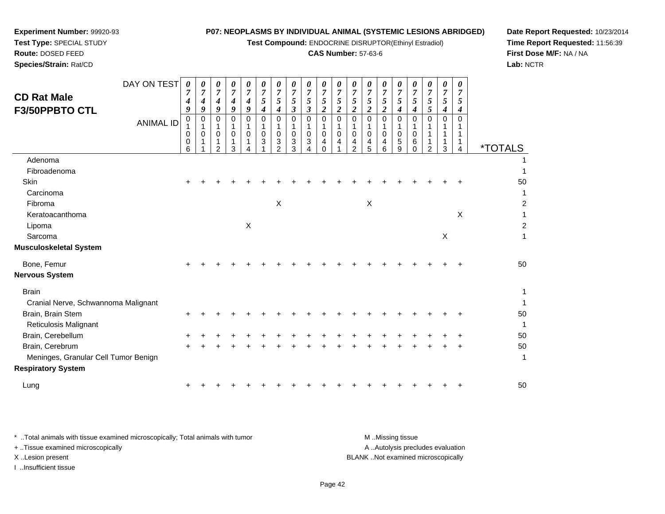**Test Compound:** ENDOCRINE DISRUPTOR(Ethinyl Estradiol)

#### **CAS Number:** 57-63-6

**Date Report Requested:** 10/23/2014**Time Report Requested:** 11:56:39**First Dose M/F:** NA / NA**Lab:** NCTR

| <b>CD Rat Male</b><br>F3/50PPBTO CTL | DAY ON TEST<br><b>ANIMAL ID</b> | 0<br>7<br>4<br>9<br>$\mathbf 0$<br>1<br>0<br>0 | 0<br>$\overline{7}$<br>4<br>9<br>0<br>$\mathbf{1}$<br>$\Omega$ | 0<br>$\overline{7}$<br>4<br>9<br>0<br>$\mathbf 0$ | 0<br>7<br>4<br>9<br>$\Omega$<br>1<br>$\mathbf 0$ | 0<br>$\overline{7}$<br>$\boldsymbol{4}$<br>9<br>0<br>1<br>$\mathbf 0$ | 0<br>$\overline{7}$<br>5<br>$\boldsymbol{4}$<br>$\Omega$<br>1<br>$\mathbf 0$<br>3 | 0<br>$\boldsymbol{7}$<br>$5\overline{)}$<br>$\boldsymbol{4}$<br>$\mathbf 0$<br>1<br>0<br>3 | 0<br>$\overline{7}$<br>$\sqrt{5}$<br>$\mathfrak{z}$<br>$\mathbf 0$<br>$\mathbf{1}$<br>0<br>3 | 0<br>$\overline{7}$<br>5<br>$\mathfrak{z}$<br>$\mathbf 0$<br>1<br>$\mathbf 0$<br>3 | 0<br>$\overline{7}$<br>5<br>$\overline{2}$<br>$\mathbf 0$<br>$\mathbf{1}$<br>$\mathbf 0$<br>4 | 0<br>$\overline{7}$<br>5<br>$\overline{c}$<br>$\mathbf 0$<br>$\mathbf 0$<br>$\overline{4}$ | 0<br>$\overline{7}$<br>$\sqrt{5}$<br>$\overline{c}$<br>$\mathbf 0$<br>1<br>$\mathbf 0$<br>4 | 0<br>7<br>$\mathfrak{s}$<br>$\boldsymbol{2}$<br>$\mathbf 0$<br>$\mathbf 1$<br>0<br>4 | 0<br>$\overline{7}$<br>5<br>$\overline{2}$<br>$\mathbf 0$<br>1<br>0<br>4 | 0<br>$\overline{7}$<br>5<br>4<br>0<br>0<br>5 | 0<br>$\overline{7}$<br>5<br>$\boldsymbol{4}$<br>$\Omega$<br>0<br>6 | 0<br>$\boldsymbol{7}$<br>$\mathfrak{s}$<br>5<br>$\Omega$<br>1 | 0<br>$\overline{7}$<br>5<br>$\boldsymbol{4}$<br>$\Omega$<br>-1 | 0<br>$\overline{7}$<br>5<br>4<br>$\Omega$ |                       |
|--------------------------------------|---------------------------------|------------------------------------------------|----------------------------------------------------------------|---------------------------------------------------|--------------------------------------------------|-----------------------------------------------------------------------|-----------------------------------------------------------------------------------|--------------------------------------------------------------------------------------------|----------------------------------------------------------------------------------------------|------------------------------------------------------------------------------------|-----------------------------------------------------------------------------------------------|--------------------------------------------------------------------------------------------|---------------------------------------------------------------------------------------------|--------------------------------------------------------------------------------------|--------------------------------------------------------------------------|----------------------------------------------|--------------------------------------------------------------------|---------------------------------------------------------------|----------------------------------------------------------------|-------------------------------------------|-----------------------|
|                                      |                                 | 6                                              |                                                                | $\mathfrak{p}$                                    | 3                                                |                                                                       |                                                                                   | $\mathcal{P}$                                                                              | 3                                                                                            | 4                                                                                  | $\Omega$                                                                                      |                                                                                            | $\mathcal{P}$                                                                               | 5                                                                                    | 6                                                                        | 9                                            | $\Omega$                                                           | $\mathfrak{p}$                                                | 3                                                              |                                           | <i><b>*TOTALS</b></i> |
| Adenoma                              |                                 |                                                |                                                                |                                                   |                                                  |                                                                       |                                                                                   |                                                                                            |                                                                                              |                                                                                    |                                                                                               |                                                                                            |                                                                                             |                                                                                      |                                                                          |                                              |                                                                    |                                                               |                                                                |                                           |                       |
| Fibroadenoma                         |                                 |                                                |                                                                |                                                   |                                                  |                                                                       |                                                                                   |                                                                                            |                                                                                              |                                                                                    |                                                                                               |                                                                                            |                                                                                             |                                                                                      |                                                                          |                                              |                                                                    |                                                               |                                                                |                                           |                       |
| <b>Skin</b>                          |                                 |                                                |                                                                |                                                   |                                                  |                                                                       |                                                                                   |                                                                                            |                                                                                              |                                                                                    |                                                                                               |                                                                                            |                                                                                             |                                                                                      |                                                                          |                                              |                                                                    |                                                               |                                                                |                                           | 50                    |
| Carcinoma                            |                                 |                                                |                                                                |                                                   |                                                  |                                                                       |                                                                                   |                                                                                            |                                                                                              |                                                                                    |                                                                                               |                                                                                            |                                                                                             |                                                                                      |                                                                          |                                              |                                                                    |                                                               |                                                                |                                           |                       |
| Fibroma                              |                                 |                                                |                                                                |                                                   |                                                  |                                                                       |                                                                                   | $\mathsf{X}$                                                                               |                                                                                              |                                                                                    |                                                                                               |                                                                                            |                                                                                             | X                                                                                    |                                                                          |                                              |                                                                    |                                                               |                                                                |                                           | $\overline{c}$        |
| Keratoacanthoma                      |                                 |                                                |                                                                |                                                   |                                                  |                                                                       |                                                                                   |                                                                                            |                                                                                              |                                                                                    |                                                                                               |                                                                                            |                                                                                             |                                                                                      |                                                                          |                                              |                                                                    |                                                               |                                                                | X                                         | 1                     |
| Lipoma                               |                                 |                                                |                                                                |                                                   |                                                  | $\mathsf X$                                                           |                                                                                   |                                                                                            |                                                                                              |                                                                                    |                                                                                               |                                                                                            |                                                                                             |                                                                                      |                                                                          |                                              |                                                                    |                                                               |                                                                |                                           | $\overline{c}$        |
| Sarcoma                              |                                 |                                                |                                                                |                                                   |                                                  |                                                                       |                                                                                   |                                                                                            |                                                                                              |                                                                                    |                                                                                               |                                                                                            |                                                                                             |                                                                                      |                                                                          |                                              |                                                                    |                                                               | $\boldsymbol{\mathsf{X}}$                                      |                                           | $\mathbf{1}$          |
| <b>Musculoskeletal System</b>        |                                 |                                                |                                                                |                                                   |                                                  |                                                                       |                                                                                   |                                                                                            |                                                                                              |                                                                                    |                                                                                               |                                                                                            |                                                                                             |                                                                                      |                                                                          |                                              |                                                                    |                                                               |                                                                |                                           |                       |
| Bone, Femur                          |                                 |                                                |                                                                |                                                   |                                                  |                                                                       |                                                                                   |                                                                                            |                                                                                              |                                                                                    |                                                                                               |                                                                                            |                                                                                             |                                                                                      |                                                                          |                                              |                                                                    |                                                               |                                                                |                                           | 50                    |
| <b>Nervous System</b>                |                                 |                                                |                                                                |                                                   |                                                  |                                                                       |                                                                                   |                                                                                            |                                                                                              |                                                                                    |                                                                                               |                                                                                            |                                                                                             |                                                                                      |                                                                          |                                              |                                                                    |                                                               |                                                                |                                           |                       |
| <b>Brain</b>                         |                                 |                                                |                                                                |                                                   |                                                  |                                                                       |                                                                                   |                                                                                            |                                                                                              |                                                                                    |                                                                                               |                                                                                            |                                                                                             |                                                                                      |                                                                          |                                              |                                                                    |                                                               |                                                                |                                           | 1                     |
| Cranial Nerve, Schwannoma Malignant  |                                 |                                                |                                                                |                                                   |                                                  |                                                                       |                                                                                   |                                                                                            |                                                                                              |                                                                                    |                                                                                               |                                                                                            |                                                                                             |                                                                                      |                                                                          |                                              |                                                                    |                                                               |                                                                |                                           |                       |
| Brain, Brain Stem                    |                                 |                                                |                                                                |                                                   |                                                  |                                                                       |                                                                                   |                                                                                            |                                                                                              |                                                                                    |                                                                                               |                                                                                            |                                                                                             |                                                                                      |                                                                          |                                              |                                                                    |                                                               |                                                                |                                           | 50                    |
| <b>Reticulosis Malignant</b>         |                                 |                                                |                                                                |                                                   |                                                  |                                                                       |                                                                                   |                                                                                            |                                                                                              |                                                                                    |                                                                                               |                                                                                            |                                                                                             |                                                                                      |                                                                          |                                              |                                                                    |                                                               |                                                                |                                           | -1                    |
| Brain, Cerebellum                    |                                 |                                                |                                                                |                                                   |                                                  |                                                                       |                                                                                   |                                                                                            |                                                                                              |                                                                                    |                                                                                               |                                                                                            |                                                                                             |                                                                                      |                                                                          |                                              |                                                                    |                                                               |                                                                |                                           | 50                    |
| Brain, Cerebrum                      |                                 |                                                |                                                                |                                                   |                                                  |                                                                       |                                                                                   |                                                                                            |                                                                                              |                                                                                    |                                                                                               |                                                                                            |                                                                                             |                                                                                      |                                                                          |                                              |                                                                    |                                                               |                                                                |                                           | 50                    |
| Meninges, Granular Cell Tumor Benign |                                 |                                                |                                                                |                                                   |                                                  |                                                                       |                                                                                   |                                                                                            |                                                                                              |                                                                                    |                                                                                               |                                                                                            |                                                                                             |                                                                                      |                                                                          |                                              |                                                                    |                                                               |                                                                |                                           | 1                     |
| <b>Respiratory System</b>            |                                 |                                                |                                                                |                                                   |                                                  |                                                                       |                                                                                   |                                                                                            |                                                                                              |                                                                                    |                                                                                               |                                                                                            |                                                                                             |                                                                                      |                                                                          |                                              |                                                                    |                                                               |                                                                |                                           |                       |
| Lung                                 |                                 |                                                |                                                                |                                                   |                                                  |                                                                       |                                                                                   |                                                                                            |                                                                                              |                                                                                    |                                                                                               |                                                                                            |                                                                                             |                                                                                      |                                                                          |                                              |                                                                    |                                                               |                                                                |                                           | 50                    |

**Experiment Number:** 99920-93**Test Type:** SPECIAL STUDY**Route:** DOSED FEED**Species/Strain:** Rat/CD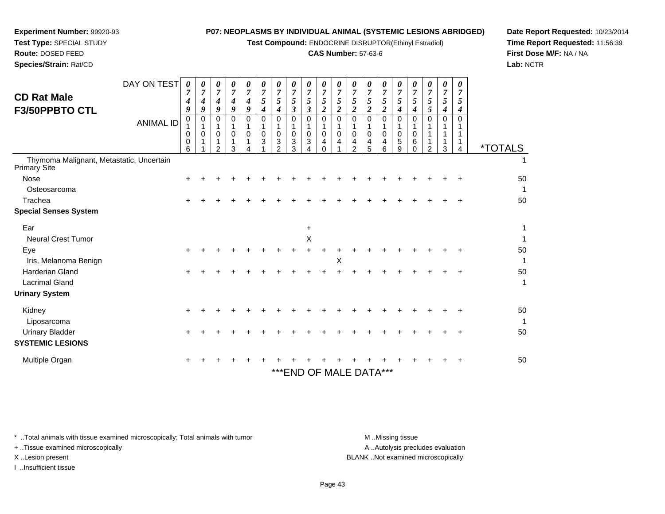**Test Compound:** ENDOCRINE DISRUPTOR(Ethinyl Estradiol)

# **CAS Number:** 57-63-6

**Date Report Requested:** 10/23/2014**Time Report Requested:** 11:56:39**First Dose M/F:** NA / NA**Lab:** NCTR

| <b>CD Rat Male</b><br>F3/50PPBTO CTL                            | DAY ON TEST<br><b>ANIMAL ID</b> | 0<br>$\overline{7}$<br>4<br>9<br>0<br>0<br>0<br>6 | 0<br>4<br>9<br>0<br>0 | 0<br>7<br>4<br>9<br>0<br>0<br>$\mathcal{P}$ | 0<br>$\overline{7}$<br>4<br>9<br>$\mathbf 0$<br>$\mathbf 0$<br>3 | 0<br>$\overline{7}$<br>4<br>9<br>$\Omega$<br>0 | 0<br>$\overline{7}$<br>5<br>4<br>0<br>0<br>3 | 0<br>$\boldsymbol{7}$<br>5<br>4<br>0<br>0<br>3<br>$\overline{2}$ | 0<br>$\overline{7}$<br>5<br>3<br>0<br>$\mathbf 0$<br>3<br>3 | 0<br>$\overline{7}$<br>$\overline{5}$<br>$\boldsymbol{\beta}$<br>0<br>$\mathbf 0$<br>3<br>4 | 0<br>$\overline{7}$<br>5<br>$\boldsymbol{2}$<br>0<br>1<br>$\mathbf 0$<br>4<br>$\Omega$ | 0<br>$\overline{7}$<br>$\mathfrak{s}$<br>$\boldsymbol{2}$<br>0<br>0<br>4 | 0<br>$\overline{7}$<br>5<br>$\boldsymbol{2}$<br>0<br>0<br>4<br>$\mathcal{P}$ | 7<br>5<br>$\overline{c}$<br>0<br>0<br>4<br>5 | 0<br>$\boldsymbol{7}$<br>$\sqrt{5}$<br>$\boldsymbol{2}$<br>$\mathbf 0$<br>$\mathbf 0$<br>4<br>6 | 0<br>$\overline{7}$<br>5<br>4<br>$\Omega$<br>$\mathbf 0$<br>5<br>9 | 0<br>$\overline{7}$<br>$\mathfrak{s}$<br>4<br>$\Omega$<br>0<br>6<br>$\Omega$ | 0<br>$\overline{7}$<br>5<br>5<br>0<br>$\overline{2}$ | 0<br>7<br>5<br>4<br>0<br>3 | 0<br>$\overline{7}$<br>5<br>$\boldsymbol{4}$<br>$\Omega$<br>4 | <i><b>*TOTALS</b></i> |
|-----------------------------------------------------------------|---------------------------------|---------------------------------------------------|-----------------------|---------------------------------------------|------------------------------------------------------------------|------------------------------------------------|----------------------------------------------|------------------------------------------------------------------|-------------------------------------------------------------|---------------------------------------------------------------------------------------------|----------------------------------------------------------------------------------------|--------------------------------------------------------------------------|------------------------------------------------------------------------------|----------------------------------------------|-------------------------------------------------------------------------------------------------|--------------------------------------------------------------------|------------------------------------------------------------------------------|------------------------------------------------------|----------------------------|---------------------------------------------------------------|-----------------------|
| Thymoma Malignant, Metastatic, Uncertain<br><b>Primary Site</b> |                                 |                                                   |                       |                                             |                                                                  |                                                |                                              |                                                                  |                                                             |                                                                                             |                                                                                        |                                                                          |                                                                              |                                              |                                                                                                 |                                                                    |                                                                              |                                                      |                            |                                                               |                       |
| <b>Nose</b><br>Osteosarcoma                                     |                                 | +                                                 |                       |                                             |                                                                  |                                                |                                              |                                                                  |                                                             |                                                                                             |                                                                                        |                                                                          |                                                                              |                                              |                                                                                                 |                                                                    |                                                                              |                                                      |                            |                                                               | 50                    |
| Trachea<br><b>Special Senses System</b>                         |                                 | ÷                                                 |                       |                                             |                                                                  |                                                |                                              |                                                                  |                                                             |                                                                                             |                                                                                        |                                                                          |                                                                              |                                              |                                                                                                 |                                                                    |                                                                              |                                                      |                            | ٠                                                             | 50                    |
| Ear<br><b>Neural Crest Tumor</b>                                |                                 |                                                   |                       |                                             |                                                                  |                                                |                                              |                                                                  |                                                             | $\ddot{}$<br>X                                                                              |                                                                                        |                                                                          |                                                                              |                                              |                                                                                                 |                                                                    |                                                                              |                                                      |                            |                                                               | 1                     |
| Eye<br>Iris, Melanoma Benign                                    |                                 | $\ddot{}$                                         |                       |                                             |                                                                  |                                                |                                              |                                                                  |                                                             |                                                                                             |                                                                                        | X                                                                        |                                                                              |                                              |                                                                                                 |                                                                    |                                                                              |                                                      |                            |                                                               | 50<br>1               |
| Harderian Gland<br><b>Lacrimal Gland</b>                        |                                 |                                                   |                       |                                             |                                                                  |                                                |                                              |                                                                  |                                                             |                                                                                             |                                                                                        |                                                                          |                                                                              |                                              |                                                                                                 |                                                                    |                                                                              |                                                      |                            |                                                               | 50<br>1               |
| <b>Urinary System</b>                                           |                                 |                                                   |                       |                                             |                                                                  |                                                |                                              |                                                                  |                                                             |                                                                                             |                                                                                        |                                                                          |                                                                              |                                              |                                                                                                 |                                                                    |                                                                              |                                                      |                            |                                                               |                       |
| Kidney<br>Liposarcoma                                           |                                 | +                                                 |                       |                                             |                                                                  |                                                |                                              |                                                                  |                                                             |                                                                                             |                                                                                        |                                                                          |                                                                              |                                              |                                                                                                 |                                                                    |                                                                              |                                                      |                            |                                                               | 50                    |
| <b>Urinary Bladder</b><br><b>SYSTEMIC LESIONS</b>               |                                 | $\ddot{}$                                         |                       |                                             |                                                                  |                                                |                                              |                                                                  |                                                             |                                                                                             |                                                                                        |                                                                          |                                                                              |                                              |                                                                                                 |                                                                    |                                                                              |                                                      |                            |                                                               | 50                    |
| Multiple Organ                                                  |                                 | ÷                                                 |                       |                                             |                                                                  |                                                |                                              |                                                                  | *** END OF MALE DATA***                                     |                                                                                             |                                                                                        |                                                                          |                                                                              |                                              |                                                                                                 |                                                                    |                                                                              |                                                      |                            |                                                               | 50                    |

**Experiment Number:** 99920-93**Test Type:** SPECIAL STUDY**Route:** DOSED FEED**Species/Strain:** Rat/CD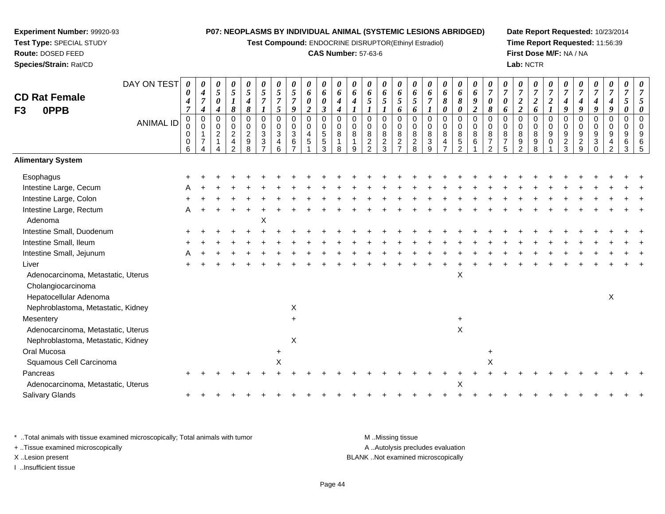**Test Compound:** ENDOCRINE DISRUPTOR(Ethinyl Estradiol)

#### **CAS Number:** 57-63-6

**Date Report Requested:** 10/23/2014**Time Report Requested:** 11:56:39**First Dose M/F:** NA / NA**Lab:** NCTR

| <b>CD Rat Female</b><br>F3<br>0PPB | DAY ON TEST<br><b>ANIMAL ID</b> | 0<br>0<br>4<br>$\overline{7}$<br>$\mathbf 0$<br>0<br>0<br>0 | 0<br>$\boldsymbol{4}$<br>$\overline{7}$<br>$\boldsymbol{4}$<br>$\mathbf 0$<br>$\mathbf 0$<br>$\overline{7}$ | 0<br>$\mathfrak{s}$<br>$\boldsymbol{\theta}$<br>$\boldsymbol{4}$<br>0<br>$\mathbf 0$<br>$\overline{2}$<br>1 | 0<br>$\mathfrak{s}$<br>$\boldsymbol{l}$<br>$\pmb{8}$<br>$\mathbf 0$<br>$\pmb{0}$<br>$\sqrt{2}$<br>$\overline{\mathbf{4}}$ | $\boldsymbol{\theta}$<br>5<br>$\boldsymbol{4}$<br>8<br>$\mathbf 0$<br>$\mathbf 0$<br>$\overline{2}$<br>$\boldsymbol{9}$ | 0<br>5<br>$\overline{7}$<br>$\boldsymbol{l}$<br>$\mathbf 0$<br>$\mathbf 0$<br>$\ensuremath{\mathsf{3}}$<br>$\mathbf{3}$<br>$\overline{7}$ | 0<br>$\mathfrak{S}$<br>$\overline{7}$<br>5<br>0<br>0<br>3<br>4 | 0<br>$\sqrt{5}$<br>$\boldsymbol{7}$<br>9<br>$\pmb{0}$<br>$\mathbf 0$<br>$\sqrt{3}$<br>$\,6\,$<br>$\overline{7}$ | 0<br>6<br>$\boldsymbol{\theta}$<br>2<br>$\mathbf 0$<br>$\mathbf 0$<br>4<br>5 | 0<br>6<br>$\boldsymbol{\theta}$<br>3<br>0<br>$\mathbf 0$<br>$\,$ 5 $\,$<br>$\overline{5}$ | $\theta$<br>6<br>$\boldsymbol{4}$<br>$\boldsymbol{4}$<br>$\mathbf 0$<br>$\Omega$<br>8<br>$\mathbf{1}$ | 0<br>6<br>4<br>0<br>$\mathbf 0$<br>8<br>1 | 0<br>6<br>5<br>$\boldsymbol{l}$<br>0<br>0<br>$\bf 8$<br>$\frac{2}{2}$ | $\boldsymbol{\theta}$<br>6<br>5<br>$\mathbf 0$<br>$_{8}^{\rm 0}$<br>$\frac{2}{3}$ | $\boldsymbol{\theta}$<br>6<br>$\mathfrak{s}$<br>6<br>$\mathbf 0$<br>0<br>8<br>$\frac{2}{7}$ | $\boldsymbol{\theta}$<br>6<br>5<br>6<br>$\mathbf 0$<br>$\mathbf 0$<br>$\, 8$<br>$\frac{2}{8}$ | $\boldsymbol{\theta}$<br>$\pmb{6}$<br>$\overline{7}$<br>$\pmb{0}$<br>0<br>$\bf 8$<br>$\sqrt{3}$ | 0<br>6<br>8<br>0<br>$\mathbf 0$<br>0<br>$\bf 8$<br>4<br>$\overline{7}$ | 0<br>$\boldsymbol{6}$<br>8<br>0<br>0<br>0<br>$\bf 8$<br>$\frac{5}{2}$ | 0<br>6<br>9<br>$\overline{2}$<br>$\mathbf 0$<br>0<br>$\bf 8$<br>$\,6\,$ | 0<br>$\overline{7}$<br>$\pmb{\theta}$<br>8<br>$\mathbf 0$<br>$\mathbf 0$<br>$\bf 8$<br>$\overline{7}$ | $\boldsymbol{\theta}$<br>$\overline{7}$<br>$\boldsymbol{\theta}$<br>6<br>0<br>0<br>$\bf8$<br>$\overline{7}$ | 0<br>$\overline{7}$<br>$\frac{2}{2}$<br>$\mathbf 0$<br>$\mathbf 0$<br>$\bf 8$<br>$\boldsymbol{9}$ | $\boldsymbol{\theta}$<br>$\overline{7}$<br>$\boldsymbol{2}$<br>6<br>0<br>0<br>8<br>$\boldsymbol{9}$ | $\boldsymbol{\theta}$<br>$\boldsymbol{7}$<br>$\frac{2}{1}$<br>0<br>$\mathbf 0$<br>$\boldsymbol{9}$<br>$\mathbf 0$ | 0<br>$\overline{7}$<br>4<br>9<br>$\mathbf 0$<br>0<br>$\boldsymbol{9}$<br>$\frac{2}{3}$ | 0<br>$\overline{7}$<br>$\boldsymbol{4}$<br>9<br>$\mathbf 0$<br>0<br>9<br>$\frac{2}{9}$ | 0<br>$\overline{7}$<br>$\boldsymbol{4}$<br>9<br>$\mathbf 0$<br>$\mathbf 0$<br>$9\,$<br>$\overline{3}$ | $\boldsymbol{\theta}$<br>$\overline{7}$<br>$\boldsymbol{4}$<br>9<br>$\mathbf 0$<br>$\mathbf 0$<br>9<br>4 | 0<br>$\overline{7}$<br>5<br>0<br>$\mathbf 0$<br>$\Omega$<br>9<br>6 | 0<br>$\overline{7}$<br>5<br>$\boldsymbol{\theta}$<br>$\Omega$<br>$\mathbf 0$<br>9<br>6 |
|------------------------------------|---------------------------------|-------------------------------------------------------------|-------------------------------------------------------------------------------------------------------------|-------------------------------------------------------------------------------------------------------------|---------------------------------------------------------------------------------------------------------------------------|-------------------------------------------------------------------------------------------------------------------------|-------------------------------------------------------------------------------------------------------------------------------------------|----------------------------------------------------------------|-----------------------------------------------------------------------------------------------------------------|------------------------------------------------------------------------------|-------------------------------------------------------------------------------------------|-------------------------------------------------------------------------------------------------------|-------------------------------------------|-----------------------------------------------------------------------|-----------------------------------------------------------------------------------|---------------------------------------------------------------------------------------------|-----------------------------------------------------------------------------------------------|-------------------------------------------------------------------------------------------------|------------------------------------------------------------------------|-----------------------------------------------------------------------|-------------------------------------------------------------------------|-------------------------------------------------------------------------------------------------------|-------------------------------------------------------------------------------------------------------------|---------------------------------------------------------------------------------------------------|-----------------------------------------------------------------------------------------------------|-------------------------------------------------------------------------------------------------------------------|----------------------------------------------------------------------------------------|----------------------------------------------------------------------------------------|-------------------------------------------------------------------------------------------------------|----------------------------------------------------------------------------------------------------------|--------------------------------------------------------------------|----------------------------------------------------------------------------------------|
| <b>Alimentary System</b>           |                                 | 6                                                           | $\boldsymbol{\Lambda}$                                                                                      | Δ                                                                                                           | $\overline{2}$                                                                                                            | 8                                                                                                                       |                                                                                                                                           | 6                                                              |                                                                                                                 |                                                                              | 3                                                                                         | 8                                                                                                     | 9                                         |                                                                       |                                                                                   |                                                                                             |                                                                                               | 9                                                                                               |                                                                        |                                                                       |                                                                         | $\mathfrak{p}$                                                                                        | 5                                                                                                           | $\overline{2}$                                                                                    | 8                                                                                                   |                                                                                                                   |                                                                                        |                                                                                        | $\mathbf 0$                                                                                           | $\overline{2}$                                                                                           | 3                                                                  | 5                                                                                      |
| Esophagus                          |                                 |                                                             |                                                                                                             |                                                                                                             |                                                                                                                           |                                                                                                                         |                                                                                                                                           |                                                                |                                                                                                                 |                                                                              |                                                                                           |                                                                                                       |                                           |                                                                       |                                                                                   |                                                                                             |                                                                                               |                                                                                                 |                                                                        |                                                                       |                                                                         |                                                                                                       |                                                                                                             |                                                                                                   |                                                                                                     |                                                                                                                   |                                                                                        |                                                                                        |                                                                                                       |                                                                                                          |                                                                    |                                                                                        |
| Intestine Large, Cecum             |                                 |                                                             |                                                                                                             |                                                                                                             |                                                                                                                           |                                                                                                                         |                                                                                                                                           |                                                                |                                                                                                                 |                                                                              |                                                                                           |                                                                                                       |                                           |                                                                       |                                                                                   |                                                                                             |                                                                                               |                                                                                                 |                                                                        |                                                                       |                                                                         |                                                                                                       |                                                                                                             |                                                                                                   |                                                                                                     |                                                                                                                   |                                                                                        |                                                                                        |                                                                                                       |                                                                                                          |                                                                    |                                                                                        |
| Intestine Large, Colon             |                                 |                                                             |                                                                                                             |                                                                                                             |                                                                                                                           |                                                                                                                         |                                                                                                                                           |                                                                |                                                                                                                 |                                                                              |                                                                                           |                                                                                                       |                                           |                                                                       |                                                                                   |                                                                                             |                                                                                               |                                                                                                 |                                                                        |                                                                       |                                                                         |                                                                                                       |                                                                                                             |                                                                                                   |                                                                                                     |                                                                                                                   |                                                                                        |                                                                                        |                                                                                                       |                                                                                                          |                                                                    |                                                                                        |
| Intestine Large, Rectum            |                                 |                                                             |                                                                                                             |                                                                                                             |                                                                                                                           |                                                                                                                         |                                                                                                                                           |                                                                |                                                                                                                 |                                                                              |                                                                                           |                                                                                                       |                                           |                                                                       |                                                                                   |                                                                                             |                                                                                               |                                                                                                 |                                                                        |                                                                       |                                                                         |                                                                                                       |                                                                                                             |                                                                                                   |                                                                                                     |                                                                                                                   |                                                                                        |                                                                                        |                                                                                                       |                                                                                                          |                                                                    |                                                                                        |
| Adenoma                            |                                 |                                                             |                                                                                                             |                                                                                                             |                                                                                                                           |                                                                                                                         |                                                                                                                                           |                                                                |                                                                                                                 |                                                                              |                                                                                           |                                                                                                       |                                           |                                                                       |                                                                                   |                                                                                             |                                                                                               |                                                                                                 |                                                                        |                                                                       |                                                                         |                                                                                                       |                                                                                                             |                                                                                                   |                                                                                                     |                                                                                                                   |                                                                                        |                                                                                        |                                                                                                       |                                                                                                          |                                                                    |                                                                                        |
| Intestine Small, Duodenum          |                                 |                                                             |                                                                                                             |                                                                                                             |                                                                                                                           |                                                                                                                         |                                                                                                                                           |                                                                |                                                                                                                 |                                                                              |                                                                                           |                                                                                                       |                                           |                                                                       |                                                                                   |                                                                                             |                                                                                               |                                                                                                 |                                                                        |                                                                       |                                                                         |                                                                                                       |                                                                                                             |                                                                                                   |                                                                                                     |                                                                                                                   |                                                                                        |                                                                                        |                                                                                                       |                                                                                                          |                                                                    |                                                                                        |
| Intestine Small, Ileum             |                                 |                                                             |                                                                                                             |                                                                                                             |                                                                                                                           |                                                                                                                         |                                                                                                                                           |                                                                |                                                                                                                 |                                                                              |                                                                                           |                                                                                                       |                                           |                                                                       |                                                                                   |                                                                                             |                                                                                               |                                                                                                 |                                                                        |                                                                       |                                                                         |                                                                                                       |                                                                                                             |                                                                                                   |                                                                                                     |                                                                                                                   |                                                                                        |                                                                                        |                                                                                                       |                                                                                                          |                                                                    |                                                                                        |
| Intestine Small, Jejunum           |                                 |                                                             |                                                                                                             |                                                                                                             |                                                                                                                           |                                                                                                                         |                                                                                                                                           |                                                                |                                                                                                                 |                                                                              |                                                                                           |                                                                                                       |                                           |                                                                       |                                                                                   |                                                                                             |                                                                                               |                                                                                                 |                                                                        |                                                                       |                                                                         |                                                                                                       |                                                                                                             |                                                                                                   |                                                                                                     |                                                                                                                   |                                                                                        |                                                                                        |                                                                                                       |                                                                                                          |                                                                    |                                                                                        |
| Liver                              |                                 |                                                             |                                                                                                             |                                                                                                             |                                                                                                                           |                                                                                                                         |                                                                                                                                           |                                                                |                                                                                                                 |                                                                              |                                                                                           |                                                                                                       |                                           |                                                                       |                                                                                   |                                                                                             |                                                                                               |                                                                                                 |                                                                        |                                                                       |                                                                         |                                                                                                       |                                                                                                             |                                                                                                   |                                                                                                     |                                                                                                                   |                                                                                        |                                                                                        |                                                                                                       |                                                                                                          |                                                                    |                                                                                        |
| Adenocarcinoma, Metastatic, Uterus |                                 |                                                             |                                                                                                             |                                                                                                             |                                                                                                                           |                                                                                                                         |                                                                                                                                           |                                                                |                                                                                                                 |                                                                              |                                                                                           |                                                                                                       |                                           |                                                                       |                                                                                   |                                                                                             |                                                                                               |                                                                                                 |                                                                        | X                                                                     |                                                                         |                                                                                                       |                                                                                                             |                                                                                                   |                                                                                                     |                                                                                                                   |                                                                                        |                                                                                        |                                                                                                       |                                                                                                          |                                                                    |                                                                                        |
| Cholangiocarcinoma                 |                                 |                                                             |                                                                                                             |                                                                                                             |                                                                                                                           |                                                                                                                         |                                                                                                                                           |                                                                |                                                                                                                 |                                                                              |                                                                                           |                                                                                                       |                                           |                                                                       |                                                                                   |                                                                                             |                                                                                               |                                                                                                 |                                                                        |                                                                       |                                                                         |                                                                                                       |                                                                                                             |                                                                                                   |                                                                                                     |                                                                                                                   |                                                                                        |                                                                                        |                                                                                                       |                                                                                                          |                                                                    |                                                                                        |
| Hepatocellular Adenoma             |                                 |                                                             |                                                                                                             |                                                                                                             |                                                                                                                           |                                                                                                                         |                                                                                                                                           |                                                                |                                                                                                                 |                                                                              |                                                                                           |                                                                                                       |                                           |                                                                       |                                                                                   |                                                                                             |                                                                                               |                                                                                                 |                                                                        |                                                                       |                                                                         |                                                                                                       |                                                                                                             |                                                                                                   |                                                                                                     |                                                                                                                   |                                                                                        |                                                                                        |                                                                                                       | X                                                                                                        |                                                                    |                                                                                        |
| Nephroblastoma, Metastatic, Kidney |                                 |                                                             |                                                                                                             |                                                                                                             |                                                                                                                           |                                                                                                                         |                                                                                                                                           |                                                                | X                                                                                                               |                                                                              |                                                                                           |                                                                                                       |                                           |                                                                       |                                                                                   |                                                                                             |                                                                                               |                                                                                                 |                                                                        |                                                                       |                                                                         |                                                                                                       |                                                                                                             |                                                                                                   |                                                                                                     |                                                                                                                   |                                                                                        |                                                                                        |                                                                                                       |                                                                                                          |                                                                    |                                                                                        |
| Mesentery                          |                                 |                                                             |                                                                                                             |                                                                                                             |                                                                                                                           |                                                                                                                         |                                                                                                                                           |                                                                | $+$                                                                                                             |                                                                              |                                                                                           |                                                                                                       |                                           |                                                                       |                                                                                   |                                                                                             |                                                                                               |                                                                                                 |                                                                        | +                                                                     |                                                                         |                                                                                                       |                                                                                                             |                                                                                                   |                                                                                                     |                                                                                                                   |                                                                                        |                                                                                        |                                                                                                       |                                                                                                          |                                                                    |                                                                                        |
| Adenocarcinoma, Metastatic, Uterus |                                 |                                                             |                                                                                                             |                                                                                                             |                                                                                                                           |                                                                                                                         |                                                                                                                                           |                                                                |                                                                                                                 |                                                                              |                                                                                           |                                                                                                       |                                           |                                                                       |                                                                                   |                                                                                             |                                                                                               |                                                                                                 |                                                                        | $\mathsf{X}$                                                          |                                                                         |                                                                                                       |                                                                                                             |                                                                                                   |                                                                                                     |                                                                                                                   |                                                                                        |                                                                                        |                                                                                                       |                                                                                                          |                                                                    |                                                                                        |
| Nephroblastoma, Metastatic, Kidney |                                 |                                                             |                                                                                                             |                                                                                                             |                                                                                                                           |                                                                                                                         |                                                                                                                                           |                                                                | X                                                                                                               |                                                                              |                                                                                           |                                                                                                       |                                           |                                                                       |                                                                                   |                                                                                             |                                                                                               |                                                                                                 |                                                                        |                                                                       |                                                                         |                                                                                                       |                                                                                                             |                                                                                                   |                                                                                                     |                                                                                                                   |                                                                                        |                                                                                        |                                                                                                       |                                                                                                          |                                                                    |                                                                                        |
| Oral Mucosa                        |                                 |                                                             |                                                                                                             |                                                                                                             |                                                                                                                           |                                                                                                                         |                                                                                                                                           | $\ddot{}$                                                      |                                                                                                                 |                                                                              |                                                                                           |                                                                                                       |                                           |                                                                       |                                                                                   |                                                                                             |                                                                                               |                                                                                                 |                                                                        |                                                                       |                                                                         | $\ddot{}$                                                                                             |                                                                                                             |                                                                                                   |                                                                                                     |                                                                                                                   |                                                                                        |                                                                                        |                                                                                                       |                                                                                                          |                                                                    |                                                                                        |
| Squamous Cell Carcinoma            |                                 |                                                             |                                                                                                             |                                                                                                             |                                                                                                                           |                                                                                                                         |                                                                                                                                           | Χ                                                              |                                                                                                                 |                                                                              |                                                                                           |                                                                                                       |                                           |                                                                       |                                                                                   |                                                                                             |                                                                                               |                                                                                                 |                                                                        |                                                                       |                                                                         | X                                                                                                     |                                                                                                             |                                                                                                   |                                                                                                     |                                                                                                                   |                                                                                        |                                                                                        |                                                                                                       |                                                                                                          |                                                                    |                                                                                        |
| Pancreas                           |                                 |                                                             |                                                                                                             |                                                                                                             |                                                                                                                           |                                                                                                                         |                                                                                                                                           |                                                                |                                                                                                                 |                                                                              |                                                                                           |                                                                                                       |                                           |                                                                       |                                                                                   |                                                                                             |                                                                                               |                                                                                                 |                                                                        |                                                                       |                                                                         |                                                                                                       |                                                                                                             |                                                                                                   |                                                                                                     |                                                                                                                   |                                                                                        |                                                                                        |                                                                                                       |                                                                                                          |                                                                    |                                                                                        |
| Adenocarcinoma, Metastatic, Uterus |                                 |                                                             |                                                                                                             |                                                                                                             |                                                                                                                           |                                                                                                                         |                                                                                                                                           |                                                                |                                                                                                                 |                                                                              |                                                                                           |                                                                                                       |                                           |                                                                       |                                                                                   |                                                                                             |                                                                                               |                                                                                                 |                                                                        | X                                                                     |                                                                         |                                                                                                       |                                                                                                             |                                                                                                   |                                                                                                     |                                                                                                                   |                                                                                        |                                                                                        |                                                                                                       |                                                                                                          |                                                                    |                                                                                        |
| <b>Salivary Glands</b>             |                                 |                                                             |                                                                                                             |                                                                                                             |                                                                                                                           |                                                                                                                         |                                                                                                                                           |                                                                |                                                                                                                 |                                                                              |                                                                                           |                                                                                                       |                                           |                                                                       |                                                                                   |                                                                                             |                                                                                               |                                                                                                 |                                                                        |                                                                       |                                                                         |                                                                                                       |                                                                                                             |                                                                                                   |                                                                                                     |                                                                                                                   |                                                                                        |                                                                                        |                                                                                                       |                                                                                                          |                                                                    |                                                                                        |
|                                    |                                 |                                                             |                                                                                                             |                                                                                                             |                                                                                                                           |                                                                                                                         |                                                                                                                                           |                                                                |                                                                                                                 |                                                                              |                                                                                           |                                                                                                       |                                           |                                                                       |                                                                                   |                                                                                             |                                                                                               |                                                                                                 |                                                                        |                                                                       |                                                                         |                                                                                                       |                                                                                                             |                                                                                                   |                                                                                                     |                                                                                                                   |                                                                                        |                                                                                        |                                                                                                       |                                                                                                          |                                                                    |                                                                                        |

\* ..Total animals with tissue examined microscopically; Total animals with tumor **M** . Missing tissue M ..Missing tissue + ..Tissue examined microscopically X ..Lesion present BLANK ..Not examined microscopically

I ..Insufficient tissue

**Experiment Number:** 99920-93**Test Type:** SPECIAL STUDY**Route:** DOSED FEED**Species/Strain:** Rat/CD

A ..Autolysis precludes evaluation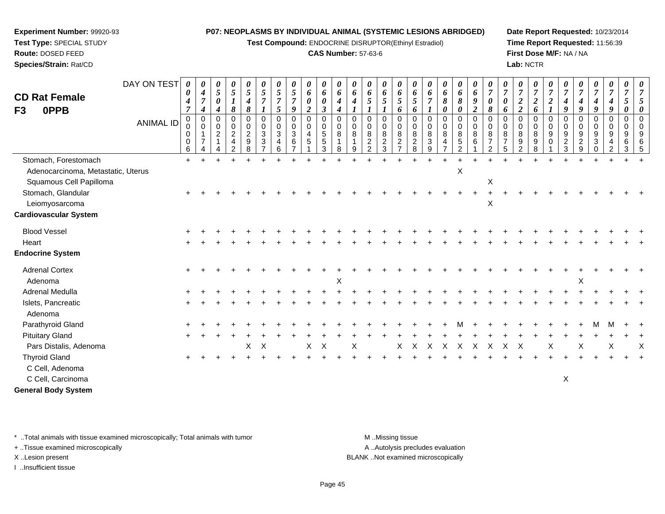**Test Compound:** ENDOCRINE DISRUPTOR(Ethinyl Estradiol)

#### **CAS Number:** 57-63-6

**Date Report Requested:** 10/23/2014**Time Report Requested:** 11:56:39**First Dose M/F:** NA / NA**Lab:** NCTR

| <b>CD Rat Female</b><br>F3<br>0PPB                            | DAY ON TEST<br><b>ANIMAL ID</b> | 0<br>0<br>4<br>$\overline{7}$<br>0<br>0<br>0<br>6 | 0<br>$\boldsymbol{4}$<br>$\overline{7}$<br>4<br>0<br>$\mathbf 0$ | 0<br>5<br>0<br>$\boldsymbol{4}$<br>0<br>$\mathbf 0$<br>$\overline{2}$<br>Δ | $\boldsymbol{\theta}$<br>5<br>$\boldsymbol{l}$<br>$\boldsymbol{\delta}$<br>0<br>0<br>$\boldsymbol{2}$<br>4<br>$\overline{2}$ | 0<br>$\overline{5}$<br>$\boldsymbol{4}$<br>8<br>$\mathbf 0$<br>$\mathbf 0$<br>$\overline{2}$<br>9<br>8 | 0<br>5<br>7<br>$\bm{l}$<br>0<br>$\Omega$<br>$\mathbf{3}$<br>3<br>$\overline{7}$ | 0<br>5<br>7<br>5<br>0<br>0<br>3<br>4<br>6 | $\pmb{\theta}$<br>$\mathfrak{s}$<br>$\overline{7}$<br>9<br>0<br>0<br>$\sqrt{3}$<br>6<br>$\overline{7}$ | 0<br>6<br>$\boldsymbol{\theta}$<br>$\overline{2}$<br>$\pmb{0}$<br>$\mathbf 0$<br>4<br>$\sqrt{5}$ | $\boldsymbol{\theta}$<br>6<br>0<br>$\boldsymbol{\beta}$<br>0<br>$\mathbf 0$<br>$\sqrt{5}$<br>$\,$ 5 $\,$<br>3 | 0<br>6<br>$\boldsymbol{4}$<br>$\boldsymbol{4}$<br>$\mathbf 0$<br>$\Omega$<br>8<br>$\overline{1}$<br>8 | 0<br>6<br>4<br>$\Omega$<br>$\Omega$<br>8<br>9 | 0<br>6<br>5<br>0<br>$\mathbf 0$<br>8<br>$\frac{2}{2}$ | 0<br>6<br>5<br>0<br>$\,0\,$<br>$\bf8$<br>$\frac{2}{3}$ | 0<br>6<br>5<br>6<br>$\Omega$<br>$\mathbf 0$<br>8<br>$\overline{c}$<br>$\overline{7}$ | $\boldsymbol{\theta}$<br>6<br>5<br>6<br>$\mathbf 0$<br>$\mathbf 0$<br>8<br>$\frac{2}{8}$ | 0<br>6<br>$\overline{7}$<br>0<br>0<br>8<br>$\sqrt{3}$<br>9 | 0<br>6<br>8<br>0<br>0<br>$\mathbf 0$<br>8<br>4<br>$\overline{7}$ | 0<br>6<br>8<br>0<br>0<br>$\mathbf 0$<br>$\begin{array}{c} 8 \\ 5 \\ 2 \end{array}$ | 0<br>6<br>9<br>$\boldsymbol{2}$<br>0<br>$\Omega$<br>8<br>6 | 0<br>$\overline{7}$<br>0<br>$\pmb{8}$<br>$\mathbf 0$<br>$\mathbf 0$<br>8<br>$\overline{7}$<br>$\mathfrak{p}$ | 0<br>$\overline{7}$<br>$\boldsymbol{\theta}$<br>6<br>$\mathbf 0$<br>$\mathbf 0$<br>8<br>$\overline{7}$<br>5 | 0<br>$\overline{7}$<br>$\boldsymbol{2}$<br>$\overline{2}$<br>$\pmb{0}$<br>$\mathbf 0$<br>8<br>$\boldsymbol{9}$<br>$\overline{2}$ | 0<br>7<br>2<br>6<br>$\Omega$<br>$\Omega$<br>8<br>9<br>8 | 0<br>$\overline{7}$<br>$\boldsymbol{2}$<br>$\boldsymbol{l}$<br>0<br>$\Omega$<br>9<br>0 | 0<br>4<br>9<br>0<br>0<br>9<br>$\overline{\mathbf{c}}$<br>3 | 0<br>4<br>9<br>0<br>$\mathbf 0$<br>9<br>$\overline{c}$<br>9 | $\boldsymbol{\theta}$<br>$\overline{7}$<br>$\boldsymbol{4}$<br>9<br>$\mathbf 0$<br>$\mathbf 0$<br>9<br>$\ensuremath{\mathsf{3}}$<br>$\mathbf 0$ | 0<br>$\overline{7}$<br>$\boldsymbol{4}$<br>9<br>0<br>$\mathbf 0$<br>9<br>4<br>$\overline{2}$ | 0<br>$\overline{7}$<br>5<br>0<br>0<br>$\Omega$<br>9<br>6<br>3 | 0<br>$\overline{7}$<br>5<br>$\boldsymbol{\theta}$<br>$\Omega$<br>$\Omega$<br>9<br>6<br>5 |
|---------------------------------------------------------------|---------------------------------|---------------------------------------------------|------------------------------------------------------------------|----------------------------------------------------------------------------|------------------------------------------------------------------------------------------------------------------------------|--------------------------------------------------------------------------------------------------------|---------------------------------------------------------------------------------|-------------------------------------------|--------------------------------------------------------------------------------------------------------|--------------------------------------------------------------------------------------------------|---------------------------------------------------------------------------------------------------------------|-------------------------------------------------------------------------------------------------------|-----------------------------------------------|-------------------------------------------------------|--------------------------------------------------------|--------------------------------------------------------------------------------------|------------------------------------------------------------------------------------------|------------------------------------------------------------|------------------------------------------------------------------|------------------------------------------------------------------------------------|------------------------------------------------------------|--------------------------------------------------------------------------------------------------------------|-------------------------------------------------------------------------------------------------------------|----------------------------------------------------------------------------------------------------------------------------------|---------------------------------------------------------|----------------------------------------------------------------------------------------|------------------------------------------------------------|-------------------------------------------------------------|-------------------------------------------------------------------------------------------------------------------------------------------------|----------------------------------------------------------------------------------------------|---------------------------------------------------------------|------------------------------------------------------------------------------------------|
| Stomach, Forestomach                                          |                                 | $+$                                               |                                                                  | $\ddot{}$                                                                  |                                                                                                                              |                                                                                                        |                                                                                 |                                           |                                                                                                        |                                                                                                  |                                                                                                               |                                                                                                       |                                               |                                                       |                                                        |                                                                                      |                                                                                          |                                                            |                                                                  |                                                                                    |                                                            |                                                                                                              |                                                                                                             |                                                                                                                                  |                                                         |                                                                                        |                                                            |                                                             |                                                                                                                                                 |                                                                                              |                                                               |                                                                                          |
| Adenocarcinoma, Metastatic, Uterus<br>Squamous Cell Papilloma |                                 |                                                   |                                                                  |                                                                            |                                                                                                                              |                                                                                                        |                                                                                 |                                           |                                                                                                        |                                                                                                  |                                                                                                               |                                                                                                       |                                               |                                                       |                                                        |                                                                                      |                                                                                          |                                                            |                                                                  | $\mathsf X$                                                                        |                                                            | X                                                                                                            |                                                                                                             |                                                                                                                                  |                                                         |                                                                                        |                                                            |                                                             |                                                                                                                                                 |                                                                                              |                                                               |                                                                                          |
| Stomach, Glandular                                            |                                 |                                                   |                                                                  |                                                                            |                                                                                                                              |                                                                                                        |                                                                                 |                                           |                                                                                                        |                                                                                                  |                                                                                                               |                                                                                                       |                                               |                                                       |                                                        |                                                                                      |                                                                                          |                                                            |                                                                  |                                                                                    |                                                            | X                                                                                                            |                                                                                                             |                                                                                                                                  |                                                         |                                                                                        |                                                            |                                                             |                                                                                                                                                 |                                                                                              |                                                               |                                                                                          |
| Leiomyosarcoma<br><b>Cardiovascular System</b>                |                                 |                                                   |                                                                  |                                                                            |                                                                                                                              |                                                                                                        |                                                                                 |                                           |                                                                                                        |                                                                                                  |                                                                                                               |                                                                                                       |                                               |                                                       |                                                        |                                                                                      |                                                                                          |                                                            |                                                                  |                                                                                    |                                                            |                                                                                                              |                                                                                                             |                                                                                                                                  |                                                         |                                                                                        |                                                            |                                                             |                                                                                                                                                 |                                                                                              |                                                               |                                                                                          |
| <b>Blood Vessel</b>                                           |                                 |                                                   |                                                                  |                                                                            |                                                                                                                              |                                                                                                        |                                                                                 |                                           |                                                                                                        |                                                                                                  |                                                                                                               |                                                                                                       |                                               |                                                       |                                                        |                                                                                      |                                                                                          |                                                            |                                                                  |                                                                                    |                                                            |                                                                                                              |                                                                                                             |                                                                                                                                  |                                                         |                                                                                        |                                                            |                                                             |                                                                                                                                                 |                                                                                              |                                                               |                                                                                          |
| Heart                                                         |                                 |                                                   |                                                                  |                                                                            |                                                                                                                              |                                                                                                        |                                                                                 |                                           |                                                                                                        |                                                                                                  |                                                                                                               |                                                                                                       |                                               |                                                       |                                                        |                                                                                      |                                                                                          |                                                            |                                                                  |                                                                                    |                                                            |                                                                                                              |                                                                                                             |                                                                                                                                  |                                                         |                                                                                        |                                                            |                                                             |                                                                                                                                                 |                                                                                              |                                                               |                                                                                          |
| <b>Endocrine System</b>                                       |                                 |                                                   |                                                                  |                                                                            |                                                                                                                              |                                                                                                        |                                                                                 |                                           |                                                                                                        |                                                                                                  |                                                                                                               |                                                                                                       |                                               |                                                       |                                                        |                                                                                      |                                                                                          |                                                            |                                                                  |                                                                                    |                                                            |                                                                                                              |                                                                                                             |                                                                                                                                  |                                                         |                                                                                        |                                                            |                                                             |                                                                                                                                                 |                                                                                              |                                                               |                                                                                          |
| <b>Adrenal Cortex</b><br>Adenoma                              |                                 | $\ddot{}$                                         |                                                                  |                                                                            |                                                                                                                              |                                                                                                        |                                                                                 |                                           |                                                                                                        |                                                                                                  |                                                                                                               | X                                                                                                     |                                               |                                                       |                                                        |                                                                                      |                                                                                          |                                                            |                                                                  |                                                                                    |                                                            |                                                                                                              |                                                                                                             |                                                                                                                                  |                                                         |                                                                                        |                                                            | X                                                           |                                                                                                                                                 |                                                                                              |                                                               |                                                                                          |
| Adrenal Medulla                                               |                                 |                                                   |                                                                  |                                                                            |                                                                                                                              |                                                                                                        |                                                                                 |                                           |                                                                                                        |                                                                                                  |                                                                                                               |                                                                                                       |                                               |                                                       |                                                        |                                                                                      |                                                                                          |                                                            |                                                                  |                                                                                    |                                                            |                                                                                                              |                                                                                                             |                                                                                                                                  |                                                         |                                                                                        |                                                            |                                                             |                                                                                                                                                 |                                                                                              |                                                               |                                                                                          |
| Islets, Pancreatic<br>Adenoma                                 |                                 |                                                   |                                                                  |                                                                            |                                                                                                                              |                                                                                                        |                                                                                 |                                           |                                                                                                        |                                                                                                  |                                                                                                               |                                                                                                       |                                               |                                                       |                                                        |                                                                                      |                                                                                          |                                                            |                                                                  |                                                                                    |                                                            |                                                                                                              |                                                                                                             |                                                                                                                                  |                                                         |                                                                                        |                                                            |                                                             |                                                                                                                                                 |                                                                                              |                                                               |                                                                                          |
| Parathyroid Gland                                             |                                 |                                                   |                                                                  |                                                                            |                                                                                                                              |                                                                                                        |                                                                                 |                                           |                                                                                                        |                                                                                                  |                                                                                                               |                                                                                                       |                                               |                                                       |                                                        |                                                                                      |                                                                                          |                                                            |                                                                  |                                                                                    |                                                            |                                                                                                              |                                                                                                             |                                                                                                                                  |                                                         |                                                                                        |                                                            |                                                             | м                                                                                                                                               | м                                                                                            |                                                               |                                                                                          |
| <b>Pituitary Gland</b>                                        |                                 |                                                   |                                                                  |                                                                            |                                                                                                                              |                                                                                                        |                                                                                 |                                           |                                                                                                        |                                                                                                  |                                                                                                               |                                                                                                       |                                               |                                                       |                                                        |                                                                                      |                                                                                          |                                                            |                                                                  |                                                                                    |                                                            |                                                                                                              |                                                                                                             |                                                                                                                                  |                                                         |                                                                                        |                                                            |                                                             |                                                                                                                                                 |                                                                                              |                                                               |                                                                                          |
| Pars Distalis, Adenoma                                        |                                 |                                                   |                                                                  |                                                                            |                                                                                                                              | X                                                                                                      | $\mathsf X$                                                                     |                                           |                                                                                                        | X                                                                                                | $\boldsymbol{\mathsf{X}}$                                                                                     |                                                                                                       | Χ                                             |                                                       |                                                        | X                                                                                    | $\mathsf{X}$                                                                             | $\boldsymbol{\mathsf{X}}$                                  | $\mathsf{X}$                                                     | $\boldsymbol{\mathsf{X}}$                                                          | $\mathsf{X}$                                               | $\mathsf{X}$                                                                                                 | $\mathsf{X}$                                                                                                | $\mathsf{X}$                                                                                                                     |                                                         | X                                                                                      |                                                            | X                                                           |                                                                                                                                                 | X                                                                                            |                                                               | $\boldsymbol{\mathsf{X}}$                                                                |
| <b>Thyroid Gland</b>                                          |                                 |                                                   |                                                                  |                                                                            |                                                                                                                              |                                                                                                        |                                                                                 |                                           |                                                                                                        |                                                                                                  |                                                                                                               |                                                                                                       |                                               |                                                       |                                                        |                                                                                      |                                                                                          |                                                            |                                                                  |                                                                                    |                                                            |                                                                                                              |                                                                                                             |                                                                                                                                  |                                                         |                                                                                        |                                                            |                                                             |                                                                                                                                                 |                                                                                              |                                                               |                                                                                          |
| C Cell, Adenoma                                               |                                 |                                                   |                                                                  |                                                                            |                                                                                                                              |                                                                                                        |                                                                                 |                                           |                                                                                                        |                                                                                                  |                                                                                                               |                                                                                                       |                                               |                                                       |                                                        |                                                                                      |                                                                                          |                                                            |                                                                  |                                                                                    |                                                            |                                                                                                              |                                                                                                             |                                                                                                                                  |                                                         |                                                                                        |                                                            |                                                             |                                                                                                                                                 |                                                                                              |                                                               |                                                                                          |
| C Cell, Carcinoma                                             |                                 |                                                   |                                                                  |                                                                            |                                                                                                                              |                                                                                                        |                                                                                 |                                           |                                                                                                        |                                                                                                  |                                                                                                               |                                                                                                       |                                               |                                                       |                                                        |                                                                                      |                                                                                          |                                                            |                                                                  |                                                                                    |                                                            |                                                                                                              |                                                                                                             |                                                                                                                                  |                                                         |                                                                                        | X                                                          |                                                             |                                                                                                                                                 |                                                                                              |                                                               |                                                                                          |
| <b>General Body System</b>                                    |                                 |                                                   |                                                                  |                                                                            |                                                                                                                              |                                                                                                        |                                                                                 |                                           |                                                                                                        |                                                                                                  |                                                                                                               |                                                                                                       |                                               |                                                       |                                                        |                                                                                      |                                                                                          |                                                            |                                                                  |                                                                                    |                                                            |                                                                                                              |                                                                                                             |                                                                                                                                  |                                                         |                                                                                        |                                                            |                                                             |                                                                                                                                                 |                                                                                              |                                                               |                                                                                          |

\* ..Total animals with tissue examined microscopically; Total animals with tumor **M** . Missing tissue M ..Missing tissue

+ ..Tissue examined microscopically

**Experiment Number:** 99920-93**Test Type:** SPECIAL STUDY**Route:** DOSED FEED**Species/Strain:** Rat/CD

I ..Insufficient tissue

A ..Autolysis precludes evaluation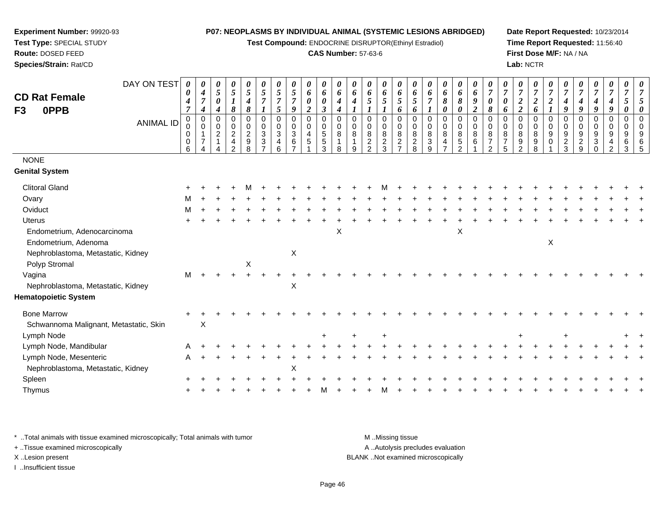**Test Compound:** ENDOCRINE DISRUPTOR(Ethinyl Estradiol)

#### **CAS Number:** 57-63-6

**Date Report Requested:** 10/23/2014**Time Report Requested:** 11:56:40**First Dose M/F:** NA / NA**Lab:** NCTR

| <b>CD Rat Female</b><br>0PPB<br>F3     | DAY ON TEST<br><b>ANIMAL ID</b> | 0<br>0<br>4<br>$\overline{7}$<br>$\mathbf 0$<br>0<br>0<br>$\pmb{0}$<br>6 | $\boldsymbol{\theta}$<br>$\boldsymbol{4}$<br>$\overline{7}$<br>$\boldsymbol{4}$<br>$\mathbf 0$<br>$\mathbf 0$<br>1<br>$\overline{7}$ | $\boldsymbol{\theta}$<br>5<br>$\boldsymbol{\theta}$<br>$\boldsymbol{4}$<br>$\pmb{0}$<br>$\mathbf 0$<br>$\overline{2}$<br>$\mathbf{1}$<br>$\boldsymbol{\Lambda}$ | $\boldsymbol{\theta}$<br>5<br>$\boldsymbol{l}$<br>8<br>$\mathbf 0$<br>$\mathbf 0$<br>$\overline{c}$<br>$\overline{4}$<br>$\overline{2}$ | 0<br>$\mathfrak{z}$<br>$\boldsymbol{4}$<br>8<br>$\mathbf 0$<br>0<br>$\overline{a}$<br>9<br>8 | $\boldsymbol{\theta}$<br>$\sqrt{5}$<br>$\overline{7}$<br>$\boldsymbol{l}$<br>$\mathbf 0$<br>0<br>$\sqrt{3}$<br>$\frac{3}{7}$ | $\boldsymbol{\theta}$<br>$\mathfrak{s}$<br>$\overline{7}$<br>$\sqrt{5}$<br>$\mathbf 0$<br>$\pmb{0}$<br>$\sqrt{3}$<br>$\overline{\mathbf{4}}$<br>6 | $\boldsymbol{\theta}$<br>$\overline{5}$<br>$\boldsymbol{7}$<br>9<br>0<br>$\pmb{0}$<br>$\mathbf{3}$<br>$\frac{6}{7}$ | $\boldsymbol{\theta}$<br>6<br>$\boldsymbol{\theta}$<br>$\boldsymbol{2}$<br>$\mathbf 0$<br>$\pmb{0}$<br>$\overline{4}$<br>5 | $\boldsymbol{\theta}$<br>6<br>$\boldsymbol{\theta}$<br>$\mathfrak{z}$<br>$\mathbf 0$<br>$\mathbf 0$<br>$5\phantom{.0}$<br>$\,$ 5 $\,$<br>3 | $\boldsymbol{\theta}$<br>6<br>$\boldsymbol{4}$<br>$\boldsymbol{4}$<br>$\Omega$<br>0<br>$\,8\,$<br>$\mathbf{1}$<br>8 | $\boldsymbol{\theta}$<br>6<br>4<br>$\Omega$<br>0<br>$\bf 8$<br>9 | $\boldsymbol{\theta}$<br>6<br>$5\overline{)}$<br>$\Omega$<br>$\mathbf 0$<br>$\bf8$<br>$\frac{2}{2}$ | $\boldsymbol{\theta}$<br>6<br>$\overline{5}$<br>$\boldsymbol{l}$<br>$\mathbf 0$<br>$\mathbf 0$<br>8<br>$\frac{2}{3}$ | $\boldsymbol{\theta}$<br>6<br>$5\overline{)}$<br>6<br>$\mathbf 0$<br>$\mathbf 0$<br>8<br>$\frac{2}{7}$ | 0<br>6<br>$\mathfrak{s}$<br>6<br>$\Omega$<br>0<br>8<br>$\frac{2}{8}$ | $\boldsymbol{\theta}$<br>6<br>$\overline{7}$<br>$\mathbf 0$<br>$\mathbf 0$<br>8<br>$\mathbf{3}$<br>9 | U<br>6<br>$\pmb{8}$<br>0<br>$\Omega$<br>0<br>8<br>$\overline{\mathbf{4}}$<br>$\overline{ }$ | $\boldsymbol{\theta}$<br>6<br>8<br>$\boldsymbol{\theta}$<br>$\Omega$<br>$\pmb{0}$<br>$\bf8$<br>$\frac{5}{2}$ | $\boldsymbol{\theta}$<br>$\boldsymbol{6}$<br>$\boldsymbol{g}$<br>$\boldsymbol{2}$<br>$\mathbf 0$<br>$\pmb{0}$<br>8<br>$\,6$ | $\boldsymbol{\theta}$<br>$\overline{7}$<br>$\boldsymbol{\theta}$<br>8<br>$\Omega$<br>$\mathbf 0$<br>8<br>$\overline{7}$<br>$\mathfrak{p}$ | 0<br>$\overline{7}$<br>0<br>6<br>$\Omega$<br>0<br>8<br>$\overline{7}$<br>5 | 0<br>$\boldsymbol{7}$<br>$\boldsymbol{2}$<br>$\overline{2}$<br>$\mathbf 0$<br>$\pmb{0}$<br>$\, 8$<br>$\frac{9}{2}$ | $\boldsymbol{\theta}$<br>$\overline{7}$<br>$\boldsymbol{2}$<br>6<br>$\Omega$<br>$\pmb{0}$<br>$\bf 8$<br>$_{8}^9$ | $\boldsymbol{\theta}$<br>$\overline{7}$<br>$\boldsymbol{2}$<br>$\boldsymbol{l}$<br>$\mathbf 0$<br>0<br>$\boldsymbol{9}$<br>0 | $\boldsymbol{\theta}$<br>$\overline{7}$<br>$\boldsymbol{4}$<br>9<br>$\mathbf 0$<br>$\pmb{0}$<br>$\boldsymbol{9}$<br>$\frac{2}{3}$ | 0<br>$\overline{7}$<br>$\overline{\mathbf{4}}$<br>9<br>$\Omega$<br>$\mathbf 0$<br>$\boldsymbol{9}$<br>$\overline{c}$<br>9 | 0<br>$\overline{7}$<br>$\boldsymbol{4}$<br>9<br>0<br>0<br>$\boldsymbol{9}$<br>3<br>$\Omega$ | $\boldsymbol{\theta}$<br>$\overline{7}$<br>$\boldsymbol{4}$<br>9<br>$\mathbf 0$<br>$\pmb{0}$<br>9<br>4<br>2 | 0<br>$\overline{7}$<br>$\mathfrak{H}$<br>$\theta$<br>$\mathbf 0$<br>0<br>9<br>$\,6$<br>$\mathbf{3}$ | 0<br>$\overline{7}$<br>5<br>$\boldsymbol{\theta}$<br>$\Omega$<br>$\mathbf 0$<br>9<br>6<br>5 |
|----------------------------------------|---------------------------------|--------------------------------------------------------------------------|--------------------------------------------------------------------------------------------------------------------------------------|-----------------------------------------------------------------------------------------------------------------------------------------------------------------|-----------------------------------------------------------------------------------------------------------------------------------------|----------------------------------------------------------------------------------------------|------------------------------------------------------------------------------------------------------------------------------|---------------------------------------------------------------------------------------------------------------------------------------------------|---------------------------------------------------------------------------------------------------------------------|----------------------------------------------------------------------------------------------------------------------------|--------------------------------------------------------------------------------------------------------------------------------------------|---------------------------------------------------------------------------------------------------------------------|------------------------------------------------------------------|-----------------------------------------------------------------------------------------------------|----------------------------------------------------------------------------------------------------------------------|--------------------------------------------------------------------------------------------------------|----------------------------------------------------------------------|------------------------------------------------------------------------------------------------------|---------------------------------------------------------------------------------------------|--------------------------------------------------------------------------------------------------------------|-----------------------------------------------------------------------------------------------------------------------------|-------------------------------------------------------------------------------------------------------------------------------------------|----------------------------------------------------------------------------|--------------------------------------------------------------------------------------------------------------------|------------------------------------------------------------------------------------------------------------------|------------------------------------------------------------------------------------------------------------------------------|-----------------------------------------------------------------------------------------------------------------------------------|---------------------------------------------------------------------------------------------------------------------------|---------------------------------------------------------------------------------------------|-------------------------------------------------------------------------------------------------------------|-----------------------------------------------------------------------------------------------------|---------------------------------------------------------------------------------------------|
| <b>NONE</b>                            |                                 |                                                                          |                                                                                                                                      |                                                                                                                                                                 |                                                                                                                                         |                                                                                              |                                                                                                                              |                                                                                                                                                   |                                                                                                                     |                                                                                                                            |                                                                                                                                            |                                                                                                                     |                                                                  |                                                                                                     |                                                                                                                      |                                                                                                        |                                                                      |                                                                                                      |                                                                                             |                                                                                                              |                                                                                                                             |                                                                                                                                           |                                                                            |                                                                                                                    |                                                                                                                  |                                                                                                                              |                                                                                                                                   |                                                                                                                           |                                                                                             |                                                                                                             |                                                                                                     |                                                                                             |
| <b>Genital System</b>                  |                                 |                                                                          |                                                                                                                                      |                                                                                                                                                                 |                                                                                                                                         |                                                                                              |                                                                                                                              |                                                                                                                                                   |                                                                                                                     |                                                                                                                            |                                                                                                                                            |                                                                                                                     |                                                                  |                                                                                                     |                                                                                                                      |                                                                                                        |                                                                      |                                                                                                      |                                                                                             |                                                                                                              |                                                                                                                             |                                                                                                                                           |                                                                            |                                                                                                                    |                                                                                                                  |                                                                                                                              |                                                                                                                                   |                                                                                                                           |                                                                                             |                                                                                                             |                                                                                                     |                                                                                             |
| <b>Clitoral Gland</b>                  |                                 |                                                                          |                                                                                                                                      |                                                                                                                                                                 |                                                                                                                                         |                                                                                              |                                                                                                                              |                                                                                                                                                   |                                                                                                                     |                                                                                                                            |                                                                                                                                            |                                                                                                                     |                                                                  |                                                                                                     |                                                                                                                      |                                                                                                        |                                                                      |                                                                                                      |                                                                                             |                                                                                                              |                                                                                                                             |                                                                                                                                           |                                                                            |                                                                                                                    |                                                                                                                  |                                                                                                                              |                                                                                                                                   |                                                                                                                           |                                                                                             |                                                                                                             |                                                                                                     |                                                                                             |
| Ovary                                  |                                 | M                                                                        |                                                                                                                                      |                                                                                                                                                                 |                                                                                                                                         |                                                                                              |                                                                                                                              |                                                                                                                                                   |                                                                                                                     |                                                                                                                            |                                                                                                                                            |                                                                                                                     |                                                                  |                                                                                                     |                                                                                                                      |                                                                                                        |                                                                      |                                                                                                      |                                                                                             |                                                                                                              |                                                                                                                             |                                                                                                                                           |                                                                            |                                                                                                                    |                                                                                                                  |                                                                                                                              |                                                                                                                                   |                                                                                                                           |                                                                                             |                                                                                                             |                                                                                                     |                                                                                             |
| Oviduct                                |                                 |                                                                          |                                                                                                                                      |                                                                                                                                                                 |                                                                                                                                         |                                                                                              |                                                                                                                              |                                                                                                                                                   |                                                                                                                     |                                                                                                                            |                                                                                                                                            |                                                                                                                     |                                                                  |                                                                                                     |                                                                                                                      |                                                                                                        |                                                                      |                                                                                                      |                                                                                             |                                                                                                              |                                                                                                                             |                                                                                                                                           |                                                                            |                                                                                                                    |                                                                                                                  |                                                                                                                              |                                                                                                                                   |                                                                                                                           |                                                                                             |                                                                                                             |                                                                                                     |                                                                                             |
| <b>Uterus</b>                          |                                 |                                                                          |                                                                                                                                      |                                                                                                                                                                 |                                                                                                                                         |                                                                                              |                                                                                                                              |                                                                                                                                                   |                                                                                                                     |                                                                                                                            |                                                                                                                                            |                                                                                                                     |                                                                  |                                                                                                     |                                                                                                                      |                                                                                                        |                                                                      |                                                                                                      |                                                                                             |                                                                                                              |                                                                                                                             |                                                                                                                                           |                                                                            |                                                                                                                    |                                                                                                                  |                                                                                                                              |                                                                                                                                   |                                                                                                                           |                                                                                             |                                                                                                             |                                                                                                     |                                                                                             |
| Endometrium, Adenocarcinoma            |                                 |                                                                          |                                                                                                                                      |                                                                                                                                                                 |                                                                                                                                         |                                                                                              |                                                                                                                              |                                                                                                                                                   |                                                                                                                     |                                                                                                                            |                                                                                                                                            | X                                                                                                                   |                                                                  |                                                                                                     |                                                                                                                      |                                                                                                        |                                                                      |                                                                                                      |                                                                                             | $\boldsymbol{\mathsf{X}}$                                                                                    |                                                                                                                             |                                                                                                                                           |                                                                            |                                                                                                                    |                                                                                                                  |                                                                                                                              |                                                                                                                                   |                                                                                                                           |                                                                                             |                                                                                                             |                                                                                                     |                                                                                             |
| Endometrium, Adenoma                   |                                 |                                                                          |                                                                                                                                      |                                                                                                                                                                 |                                                                                                                                         |                                                                                              |                                                                                                                              |                                                                                                                                                   |                                                                                                                     |                                                                                                                            |                                                                                                                                            |                                                                                                                     |                                                                  |                                                                                                     |                                                                                                                      |                                                                                                        |                                                                      |                                                                                                      |                                                                                             |                                                                                                              |                                                                                                                             |                                                                                                                                           |                                                                            |                                                                                                                    |                                                                                                                  | X                                                                                                                            |                                                                                                                                   |                                                                                                                           |                                                                                             |                                                                                                             |                                                                                                     |                                                                                             |
| Nephroblastoma, Metastatic, Kidney     |                                 |                                                                          |                                                                                                                                      |                                                                                                                                                                 |                                                                                                                                         |                                                                                              |                                                                                                                              |                                                                                                                                                   | X                                                                                                                   |                                                                                                                            |                                                                                                                                            |                                                                                                                     |                                                                  |                                                                                                     |                                                                                                                      |                                                                                                        |                                                                      |                                                                                                      |                                                                                             |                                                                                                              |                                                                                                                             |                                                                                                                                           |                                                                            |                                                                                                                    |                                                                                                                  |                                                                                                                              |                                                                                                                                   |                                                                                                                           |                                                                                             |                                                                                                             |                                                                                                     |                                                                                             |
| Polyp Stromal                          |                                 |                                                                          |                                                                                                                                      |                                                                                                                                                                 |                                                                                                                                         | X                                                                                            |                                                                                                                              |                                                                                                                                                   |                                                                                                                     |                                                                                                                            |                                                                                                                                            |                                                                                                                     |                                                                  |                                                                                                     |                                                                                                                      |                                                                                                        |                                                                      |                                                                                                      |                                                                                             |                                                                                                              |                                                                                                                             |                                                                                                                                           |                                                                            |                                                                                                                    |                                                                                                                  |                                                                                                                              |                                                                                                                                   |                                                                                                                           |                                                                                             |                                                                                                             |                                                                                                     |                                                                                             |
| Vagina                                 |                                 | M                                                                        |                                                                                                                                      |                                                                                                                                                                 |                                                                                                                                         |                                                                                              |                                                                                                                              |                                                                                                                                                   |                                                                                                                     |                                                                                                                            |                                                                                                                                            |                                                                                                                     |                                                                  |                                                                                                     |                                                                                                                      |                                                                                                        |                                                                      |                                                                                                      |                                                                                             |                                                                                                              |                                                                                                                             |                                                                                                                                           |                                                                            |                                                                                                                    |                                                                                                                  |                                                                                                                              |                                                                                                                                   |                                                                                                                           |                                                                                             |                                                                                                             |                                                                                                     |                                                                                             |
| Nephroblastoma, Metastatic, Kidney     |                                 |                                                                          |                                                                                                                                      |                                                                                                                                                                 |                                                                                                                                         |                                                                                              |                                                                                                                              |                                                                                                                                                   | $\mathsf X$                                                                                                         |                                                                                                                            |                                                                                                                                            |                                                                                                                     |                                                                  |                                                                                                     |                                                                                                                      |                                                                                                        |                                                                      |                                                                                                      |                                                                                             |                                                                                                              |                                                                                                                             |                                                                                                                                           |                                                                            |                                                                                                                    |                                                                                                                  |                                                                                                                              |                                                                                                                                   |                                                                                                                           |                                                                                             |                                                                                                             |                                                                                                     |                                                                                             |
| <b>Hematopoietic System</b>            |                                 |                                                                          |                                                                                                                                      |                                                                                                                                                                 |                                                                                                                                         |                                                                                              |                                                                                                                              |                                                                                                                                                   |                                                                                                                     |                                                                                                                            |                                                                                                                                            |                                                                                                                     |                                                                  |                                                                                                     |                                                                                                                      |                                                                                                        |                                                                      |                                                                                                      |                                                                                             |                                                                                                              |                                                                                                                             |                                                                                                                                           |                                                                            |                                                                                                                    |                                                                                                                  |                                                                                                                              |                                                                                                                                   |                                                                                                                           |                                                                                             |                                                                                                             |                                                                                                     |                                                                                             |
| <b>Bone Marrow</b>                     |                                 |                                                                          |                                                                                                                                      |                                                                                                                                                                 |                                                                                                                                         |                                                                                              |                                                                                                                              |                                                                                                                                                   |                                                                                                                     |                                                                                                                            |                                                                                                                                            |                                                                                                                     |                                                                  |                                                                                                     |                                                                                                                      |                                                                                                        |                                                                      |                                                                                                      |                                                                                             |                                                                                                              |                                                                                                                             |                                                                                                                                           |                                                                            |                                                                                                                    |                                                                                                                  |                                                                                                                              |                                                                                                                                   |                                                                                                                           |                                                                                             |                                                                                                             |                                                                                                     |                                                                                             |
| Schwannoma Malignant, Metastatic, Skin |                                 |                                                                          | X                                                                                                                                    |                                                                                                                                                                 |                                                                                                                                         |                                                                                              |                                                                                                                              |                                                                                                                                                   |                                                                                                                     |                                                                                                                            |                                                                                                                                            |                                                                                                                     |                                                                  |                                                                                                     |                                                                                                                      |                                                                                                        |                                                                      |                                                                                                      |                                                                                             |                                                                                                              |                                                                                                                             |                                                                                                                                           |                                                                            |                                                                                                                    |                                                                                                                  |                                                                                                                              |                                                                                                                                   |                                                                                                                           |                                                                                             |                                                                                                             |                                                                                                     |                                                                                             |
| Lymph Node                             |                                 |                                                                          |                                                                                                                                      |                                                                                                                                                                 |                                                                                                                                         |                                                                                              |                                                                                                                              |                                                                                                                                                   |                                                                                                                     |                                                                                                                            | ÷                                                                                                                                          |                                                                                                                     |                                                                  |                                                                                                     | $\div$                                                                                                               |                                                                                                        |                                                                      |                                                                                                      |                                                                                             |                                                                                                              |                                                                                                                             |                                                                                                                                           |                                                                            | $\pm$                                                                                                              |                                                                                                                  |                                                                                                                              |                                                                                                                                   |                                                                                                                           |                                                                                             |                                                                                                             |                                                                                                     |                                                                                             |
| Lymph Node, Mandibular                 |                                 | A                                                                        |                                                                                                                                      |                                                                                                                                                                 |                                                                                                                                         |                                                                                              |                                                                                                                              |                                                                                                                                                   |                                                                                                                     |                                                                                                                            |                                                                                                                                            |                                                                                                                     |                                                                  |                                                                                                     |                                                                                                                      |                                                                                                        |                                                                      |                                                                                                      |                                                                                             |                                                                                                              |                                                                                                                             |                                                                                                                                           |                                                                            |                                                                                                                    |                                                                                                                  |                                                                                                                              |                                                                                                                                   |                                                                                                                           |                                                                                             |                                                                                                             |                                                                                                     |                                                                                             |
| Lymph Node, Mesenteric                 |                                 | A                                                                        |                                                                                                                                      |                                                                                                                                                                 |                                                                                                                                         |                                                                                              |                                                                                                                              |                                                                                                                                                   |                                                                                                                     |                                                                                                                            |                                                                                                                                            |                                                                                                                     |                                                                  |                                                                                                     |                                                                                                                      |                                                                                                        |                                                                      |                                                                                                      |                                                                                             |                                                                                                              |                                                                                                                             |                                                                                                                                           |                                                                            |                                                                                                                    |                                                                                                                  |                                                                                                                              |                                                                                                                                   |                                                                                                                           |                                                                                             |                                                                                                             |                                                                                                     |                                                                                             |
| Nephroblastoma, Metastatic, Kidney     |                                 |                                                                          |                                                                                                                                      |                                                                                                                                                                 |                                                                                                                                         |                                                                                              |                                                                                                                              |                                                                                                                                                   | $\sf X$                                                                                                             |                                                                                                                            |                                                                                                                                            |                                                                                                                     |                                                                  |                                                                                                     |                                                                                                                      |                                                                                                        |                                                                      |                                                                                                      |                                                                                             |                                                                                                              |                                                                                                                             |                                                                                                                                           |                                                                            |                                                                                                                    |                                                                                                                  |                                                                                                                              |                                                                                                                                   |                                                                                                                           |                                                                                             |                                                                                                             |                                                                                                     |                                                                                             |
| Spleen                                 |                                 |                                                                          |                                                                                                                                      |                                                                                                                                                                 |                                                                                                                                         |                                                                                              |                                                                                                                              |                                                                                                                                                   |                                                                                                                     |                                                                                                                            |                                                                                                                                            |                                                                                                                     |                                                                  |                                                                                                     |                                                                                                                      |                                                                                                        |                                                                      |                                                                                                      |                                                                                             |                                                                                                              |                                                                                                                             |                                                                                                                                           |                                                                            |                                                                                                                    |                                                                                                                  |                                                                                                                              |                                                                                                                                   |                                                                                                                           |                                                                                             |                                                                                                             |                                                                                                     |                                                                                             |
| Thymus                                 |                                 |                                                                          |                                                                                                                                      |                                                                                                                                                                 |                                                                                                                                         |                                                                                              |                                                                                                                              |                                                                                                                                                   |                                                                                                                     |                                                                                                                            |                                                                                                                                            |                                                                                                                     |                                                                  |                                                                                                     |                                                                                                                      |                                                                                                        |                                                                      |                                                                                                      |                                                                                             |                                                                                                              |                                                                                                                             |                                                                                                                                           |                                                                            |                                                                                                                    |                                                                                                                  |                                                                                                                              |                                                                                                                                   |                                                                                                                           |                                                                                             |                                                                                                             |                                                                                                     |                                                                                             |
|                                        |                                 |                                                                          |                                                                                                                                      |                                                                                                                                                                 |                                                                                                                                         |                                                                                              |                                                                                                                              |                                                                                                                                                   |                                                                                                                     |                                                                                                                            |                                                                                                                                            |                                                                                                                     |                                                                  |                                                                                                     |                                                                                                                      |                                                                                                        |                                                                      |                                                                                                      |                                                                                             |                                                                                                              |                                                                                                                             |                                                                                                                                           |                                                                            |                                                                                                                    |                                                                                                                  |                                                                                                                              |                                                                                                                                   |                                                                                                                           |                                                                                             |                                                                                                             |                                                                                                     |                                                                                             |

\* ..Total animals with tissue examined microscopically; Total animals with tumor **M** . Missing tissue M ..Missing tissue A ..Autolysis precludes evaluation + ..Tissue examined microscopically X ..Lesion present BLANK ..Not examined microscopicallyI ..Insufficient tissue

**Experiment Number:** 99920-93**Test Type:** SPECIAL STUDY**Route:** DOSED FEED**Species/Strain:** Rat/CD

Page 46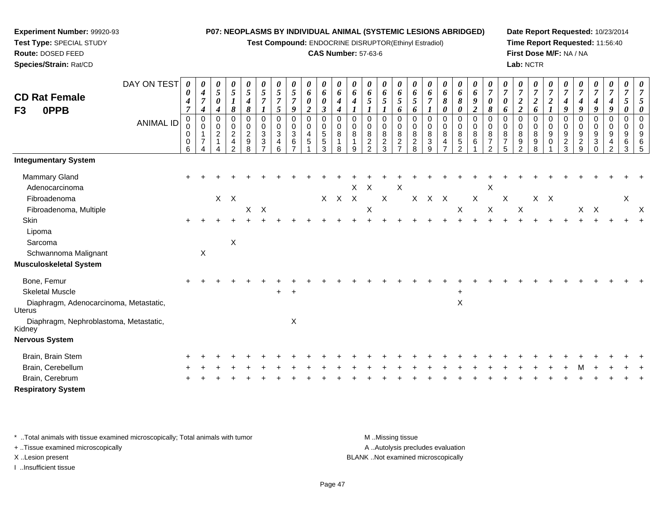**Test Compound:** ENDOCRINE DISRUPTOR(Ethinyl Estradiol)

#### **CAS Number:** 57-63-6

**Date Report Requested:** 10/23/2014**Time Report Requested:** 11:56:40**First Dose M/F:** NA / NA**Lab:** NCTR

| <b>CD Rat Female</b>                                    | DAY ON TEST      | 0<br>0                     | 0<br>$\boldsymbol{4}$                   | $\boldsymbol{\theta}$<br>5                 | 0<br>$\sqrt{5}$                                           | $\boldsymbol{\theta}$<br>$\mathfrak{s}$     | $\boldsymbol{\theta}$<br>$\mathfrak{s}$ | $\boldsymbol{\theta}$<br>5            | 0<br>$\mathfrak{s}$ | 0<br>6                                       | 0<br>6                                  | $\boldsymbol{\theta}$<br>6 | 0<br>6                                | 0<br>6                          | $\boldsymbol{\theta}$<br>6                             | $\boldsymbol{\theta}$<br>6           | $\boldsymbol{\theta}$<br>6                   | 0<br>6                                             | $\boldsymbol{\theta}$<br>6                           | 0<br>6                                                 | $\boldsymbol{\theta}$<br>6                  | $\boldsymbol{\theta}$<br>$\overline{7}$       | 0<br>$\overline{7}$                  | 0<br>$\boldsymbol{7}$                | 0<br>$\overline{7}$                 | $\boldsymbol{\theta}$<br>$\overline{7}$ | $\boldsymbol{\theta}$<br>$\overline{7}$               | 0<br>$\overline{7}$                                   | 0<br>$\overline{7}$              | $\boldsymbol{\theta}$<br>$\overline{7}$ | 0<br>$\overline{7}$        | $\boldsymbol{\theta}$<br>$\overline{7}$ |
|---------------------------------------------------------|------------------|----------------------------|-----------------------------------------|--------------------------------------------|-----------------------------------------------------------|---------------------------------------------|-----------------------------------------|---------------------------------------|---------------------|----------------------------------------------|-----------------------------------------|----------------------------|---------------------------------------|---------------------------------|--------------------------------------------------------|--------------------------------------|----------------------------------------------|----------------------------------------------------|------------------------------------------------------|--------------------------------------------------------|---------------------------------------------|-----------------------------------------------|--------------------------------------|--------------------------------------|-------------------------------------|-----------------------------------------|-------------------------------------------------------|-------------------------------------------------------|----------------------------------|-----------------------------------------|----------------------------|-----------------------------------------|
|                                                         |                  | 4<br>$\overline{7}$        | $\overline{7}$<br>$\boldsymbol{4}$      | $\pmb{\theta}$<br>$\boldsymbol{4}$         | $\boldsymbol{l}$<br>8                                     | $\boldsymbol{4}$<br>8                       | $\overline{7}$                          | $\overline{7}$<br>5                   | $\overline{7}$<br>9 | $\boldsymbol{\theta}$<br>$\overline{c}$      | $\pmb{\theta}$<br>$\mathfrak{z}$        | $\boldsymbol{4}$<br>4      | $\boldsymbol{4}$                      | $5\overline{)}$                 | $\mathfrak{s}$<br>1                                    | 5<br>6                               | $\overline{5}$<br>6                          | $\overline{7}$                                     | $\pmb{8}$<br>0                                       | 8<br>$\boldsymbol{\theta}$                             | $\boldsymbol{g}$<br>$\overline{\mathbf{c}}$ | $\boldsymbol{\theta}$<br>8                    | $\boldsymbol{\theta}$<br>6           | $\overline{2}$<br>$\overline{2}$     | $\boldsymbol{2}$<br>6               | $\boldsymbol{2}$<br>$\boldsymbol{l}$    | $\boldsymbol{4}$<br>9                                 | $\boldsymbol{4}$<br>9                                 | $\boldsymbol{4}$<br>9            | $\boldsymbol{4}$<br>9                   | 5<br>$\boldsymbol{\theta}$ | 5<br>$\boldsymbol{\theta}$              |
| 0PPB<br>F <sub>3</sub>                                  | <b>ANIMAL ID</b> | $\mathbf 0$<br>0<br>0<br>0 | $\mathbf 0$<br>0<br>1<br>$\overline{7}$ | 0<br>0<br>$\boldsymbol{2}$<br>$\mathbf{1}$ | $\mathbf 0$<br>0<br>$\sqrt{2}$<br>$\overline{\mathbf{4}}$ | $\mathbf 0$<br>$\mathbf 0$<br>$\frac{2}{9}$ | $\Omega$<br>0<br>3<br>3                 | $\mathbf 0$<br>0<br>$\mathbf{3}$<br>4 | 0<br>0<br>3<br>6    | 0<br>$\mathsf{O}\xspace$<br>4<br>$\,$ 5 $\,$ | $\pmb{0}$<br>$\pmb{0}$<br>$\frac{5}{5}$ | $\Omega$<br>0<br>8         | $\mathbf 0$<br>$\mathbf 0$<br>$\,8\,$ | 0<br>0<br>$\,8\,$<br>$\sqrt{2}$ | $\mathbf 0$<br>$\mathbf 0$<br>$\bf 8$<br>$\frac{2}{3}$ | $\Omega$<br>0<br>8<br>$\overline{c}$ | $\mathbf 0$<br>0<br>$\bf 8$<br>$\frac{2}{8}$ | $\mathsf 0$<br>0<br>8<br>$\ensuremath{\mathsf{3}}$ | 0<br>$\mathbf 0$<br>$\overline{8}$<br>$\overline{4}$ | $\mathbf 0$<br>$\mathbf 0$<br>$\bf 8$<br>$\frac{5}{2}$ | $\mathbf 0$<br>0<br>8<br>$\,6\,$            | $\mathbf 0$<br>0<br>$\,8\,$<br>$\overline{7}$ | $\Omega$<br>0<br>8<br>$\overline{7}$ | $\mathbf 0$<br>$\mathbf 0$<br>8<br>9 | $\Omega$<br>0<br>8<br>$\frac{9}{8}$ | 0<br>0<br>9<br>$\pmb{0}$                | $\mathbf 0$<br>0<br>$\boldsymbol{9}$<br>$\frac{2}{3}$ | 0<br>$\mathbf 0$<br>$\boldsymbol{9}$<br>$\frac{2}{9}$ | $\Omega$<br>0<br>9<br>$\sqrt{3}$ | $\mathbf 0$<br>0<br>9<br>$\overline{4}$ | 0<br>0<br>9<br>6           | $\mathbf 0$<br>0<br>9<br>6              |
| <b>Integumentary System</b>                             |                  | 6                          |                                         |                                            | 2                                                         | 8                                           | $\overline{ }$                          | 6                                     |                     |                                              | 3                                       | 8                          | $\mathsf{q}$                          | $\mathfrak{p}$                  |                                                        |                                      |                                              | 9                                                  | $\overline{ }$                                       |                                                        |                                             | $\mathcal{P}$                                 | 5                                    | $\mathfrak{p}$                       |                                     |                                         |                                                       |                                                       | $\Omega$                         | $\mathcal{P}$                           | 3                          | 5                                       |
| Mammary Gland                                           |                  |                            |                                         |                                            |                                                           |                                             |                                         |                                       |                     |                                              |                                         |                            |                                       |                                 |                                                        |                                      |                                              |                                                    |                                                      |                                                        |                                             |                                               |                                      |                                      |                                     |                                         |                                                       |                                                       |                                  |                                         |                            |                                         |
| Adenocarcinoma                                          |                  |                            |                                         |                                            |                                                           |                                             |                                         |                                       |                     |                                              |                                         |                            | $\mathsf{X}$                          | $\mathsf{X}$                    |                                                        | $\times$                             |                                              |                                                    |                                                      |                                                        |                                             | X                                             |                                      |                                      |                                     |                                         |                                                       |                                                       |                                  |                                         |                            |                                         |
| Fibroadenoma                                            |                  |                            |                                         |                                            | $X$ $X$                                                   |                                             |                                         |                                       |                     |                                              |                                         | $X$ $X$ $X$                |                                       |                                 | $\mathsf X$                                            |                                      |                                              | X X X                                              |                                                      |                                                        | $\mathsf X$                                 |                                               | $\mathsf X$                          |                                      |                                     | $X$ $X$                                 |                                                       |                                                       |                                  |                                         | $\pmb{\times}$             |                                         |
| Fibroadenoma, Multiple                                  |                  |                            |                                         |                                            |                                                           | X                                           | $\boldsymbol{X}$                        |                                       |                     |                                              |                                         |                            |                                       | $\sf X$                         |                                                        |                                      |                                              |                                                    |                                                      | $\mathsf X$                                            |                                             | $\mathsf X$                                   |                                      | $\boldsymbol{\mathsf{X}}$            |                                     |                                         |                                                       |                                                       | $X$ $X$                          |                                         |                            | $\boldsymbol{\mathsf{X}}$               |
| <b>Skin</b>                                             |                  |                            |                                         |                                            |                                                           |                                             |                                         |                                       |                     |                                              |                                         |                            |                                       |                                 |                                                        |                                      |                                              |                                                    |                                                      |                                                        |                                             |                                               |                                      |                                      |                                     |                                         |                                                       |                                                       |                                  |                                         |                            |                                         |
| Lipoma                                                  |                  |                            |                                         |                                            |                                                           |                                             |                                         |                                       |                     |                                              |                                         |                            |                                       |                                 |                                                        |                                      |                                              |                                                    |                                                      |                                                        |                                             |                                               |                                      |                                      |                                     |                                         |                                                       |                                                       |                                  |                                         |                            |                                         |
| Sarcoma                                                 |                  |                            |                                         |                                            | $\mathsf X$                                               |                                             |                                         |                                       |                     |                                              |                                         |                            |                                       |                                 |                                                        |                                      |                                              |                                                    |                                                      |                                                        |                                             |                                               |                                      |                                      |                                     |                                         |                                                       |                                                       |                                  |                                         |                            |                                         |
| Schwannoma Malignant                                    |                  |                            | $\mathsf X$                             |                                            |                                                           |                                             |                                         |                                       |                     |                                              |                                         |                            |                                       |                                 |                                                        |                                      |                                              |                                                    |                                                      |                                                        |                                             |                                               |                                      |                                      |                                     |                                         |                                                       |                                                       |                                  |                                         |                            |                                         |
| <b>Musculoskeletal System</b>                           |                  |                            |                                         |                                            |                                                           |                                             |                                         |                                       |                     |                                              |                                         |                            |                                       |                                 |                                                        |                                      |                                              |                                                    |                                                      |                                                        |                                             |                                               |                                      |                                      |                                     |                                         |                                                       |                                                       |                                  |                                         |                            |                                         |
| Bone, Femur                                             |                  |                            |                                         |                                            |                                                           |                                             |                                         |                                       |                     |                                              |                                         |                            |                                       |                                 |                                                        |                                      |                                              |                                                    |                                                      |                                                        |                                             |                                               |                                      |                                      |                                     |                                         |                                                       |                                                       |                                  |                                         |                            |                                         |
| <b>Skeletal Muscle</b>                                  |                  |                            |                                         |                                            |                                                           |                                             |                                         |                                       | $\overline{1}$      |                                              |                                         |                            |                                       |                                 |                                                        |                                      |                                              |                                                    |                                                      | $\ddot{}$                                              |                                             |                                               |                                      |                                      |                                     |                                         |                                                       |                                                       |                                  |                                         |                            |                                         |
| Diaphragm, Adenocarcinoma, Metastatic,<br><b>Uterus</b> |                  |                            |                                         |                                            |                                                           |                                             |                                         |                                       |                     |                                              |                                         |                            |                                       |                                 |                                                        |                                      |                                              |                                                    |                                                      | $\boldsymbol{\mathsf{X}}$                              |                                             |                                               |                                      |                                      |                                     |                                         |                                                       |                                                       |                                  |                                         |                            |                                         |
| Diaphragm, Nephroblastoma, Metastatic,<br>Kidney        |                  |                            |                                         |                                            |                                                           |                                             |                                         |                                       | Χ                   |                                              |                                         |                            |                                       |                                 |                                                        |                                      |                                              |                                                    |                                                      |                                                        |                                             |                                               |                                      |                                      |                                     |                                         |                                                       |                                                       |                                  |                                         |                            |                                         |
| <b>Nervous System</b>                                   |                  |                            |                                         |                                            |                                                           |                                             |                                         |                                       |                     |                                              |                                         |                            |                                       |                                 |                                                        |                                      |                                              |                                                    |                                                      |                                                        |                                             |                                               |                                      |                                      |                                     |                                         |                                                       |                                                       |                                  |                                         |                            |                                         |
| Brain, Brain Stem                                       |                  |                            |                                         |                                            |                                                           |                                             |                                         |                                       |                     |                                              |                                         |                            |                                       |                                 |                                                        |                                      |                                              |                                                    |                                                      |                                                        |                                             |                                               |                                      |                                      |                                     |                                         |                                                       |                                                       |                                  |                                         |                            |                                         |
| Brain, Cerebellum                                       |                  |                            |                                         |                                            |                                                           |                                             |                                         |                                       |                     |                                              |                                         |                            |                                       |                                 |                                                        |                                      |                                              |                                                    |                                                      |                                                        |                                             |                                               |                                      |                                      |                                     |                                         |                                                       |                                                       |                                  |                                         |                            |                                         |
| Brain, Cerebrum                                         |                  |                            |                                         |                                            |                                                           |                                             |                                         |                                       |                     |                                              |                                         |                            |                                       |                                 |                                                        |                                      |                                              |                                                    |                                                      |                                                        |                                             |                                               |                                      |                                      |                                     |                                         |                                                       |                                                       |                                  |                                         |                            |                                         |
| <b>Respiratory System</b>                               |                  |                            |                                         |                                            |                                                           |                                             |                                         |                                       |                     |                                              |                                         |                            |                                       |                                 |                                                        |                                      |                                              |                                                    |                                                      |                                                        |                                             |                                               |                                      |                                      |                                     |                                         |                                                       |                                                       |                                  |                                         |                            |                                         |

\* ..Total animals with tissue examined microscopically; Total animals with tumor **M** . Missing tissue M ..Missing tissue

+ ..Tissue examined microscopically

**Experiment Number:** 99920-93**Test Type:** SPECIAL STUDY**Route:** DOSED FEED**Species/Strain:** Rat/CD

I ..Insufficient tissue

A ..Autolysis precludes evaluation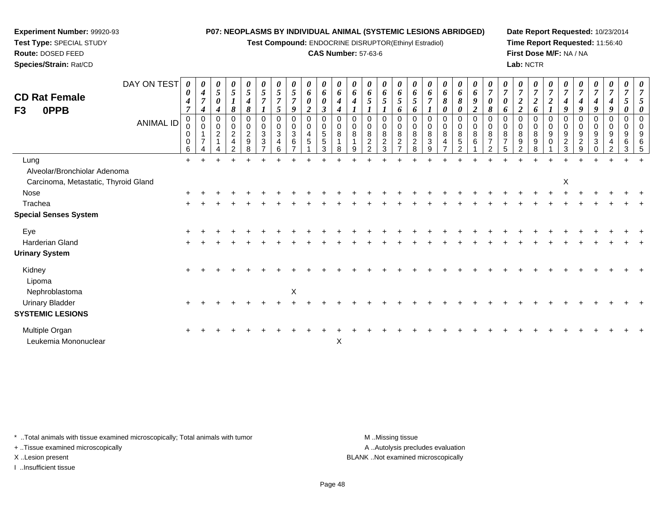**Test Compound:** ENDOCRINE DISRUPTOR(Ethinyl Estradiol)

#### **CAS Number:** 57-63-6

**Date Report Requested:** 10/23/2014**Time Report Requested:** 11:56:40**First Dose M/F:** NA / NA**Lab:** NCTR

| <b>CD Rat Female</b><br>F3<br>0PPB     | DAY ON TEST<br><b>ANIMAL ID</b> | 0<br>0<br>4<br>$\overline{\tau}$<br>0<br>0<br>0<br>0<br>6 | $\boldsymbol{\theta}$<br>$\boldsymbol{4}$<br>$\overline{7}$<br>$\boldsymbol{4}$<br>$\mathbf 0$<br>$\mathbf 0$<br>$\overline{z}$ | $\boldsymbol{\theta}$<br>5<br>0<br>4<br>0<br>0<br>$\overline{c}$ | $\pmb{\theta}$<br>5<br>$\boldsymbol{l}$<br>8<br>0<br>0<br>$\overline{c}$<br>4<br>$\mathcal{D}$ | 0<br>5<br>4<br>8<br>0<br>0<br>$\overline{a}$<br>9<br>8 | 5<br>$\overline{7}$<br>0<br>$\mathbf{3}$<br>3 | 0<br>$\mathfrak{s}$<br>$\overline{7}$<br>5<br>$\mathbf 0$<br>$\boldsymbol{0}$<br>3<br>4<br>6 | 0<br>$\sqrt{5}$<br>7<br>9<br>0<br>$\boldsymbol{0}$<br>3<br>6 | 0<br>6<br>$\boldsymbol{\theta}$<br>$\boldsymbol{2}$<br>$\mathbf 0$<br>$\mathbf 0$<br>4<br>5 | 0<br>6<br>$\boldsymbol{\theta}$<br>3<br>$\mathbf 0$<br>0<br>$\sqrt{5}$<br>$\sqrt{5}$<br>3 | 6<br>4<br>$\mathbf 0$<br>0<br>8<br>8 | 0<br>6<br>4<br>$\mathbf 0$<br>$\mathbf 0$<br>8<br>9 | 0<br>6<br>5<br>$\mathbf 0$<br>0<br>8<br>$\overline{c}$<br>$\mathfrak{p}$ | 0<br>6<br>5<br>$\mathbf 0$<br>$\mathbf 0$<br>8<br>$\overline{2}$<br>3 | 0<br>6<br>5<br>6<br>$\Omega$<br>$\mathbf 0$<br>8<br>$\overline{\mathbf{c}}$ | 5<br>$\Omega$<br>0<br>8<br>$\overline{2}$<br>8 | 0<br>6<br>$\Omega$<br>0<br>8<br>3<br>$\mathbf{Q}$ | $\boldsymbol{\theta}$<br>6<br>8<br>0<br>$\mathbf 0$<br>$\mathbf 0$<br>8<br>$\overline{4}$ | 0<br>6<br>$\boldsymbol{\delta}$<br>$\boldsymbol{\theta}$<br>$\mathbf 0$<br>$\pmb{0}$<br>$\bf8$<br>$\sqrt{5}$<br>$\mathfrak{p}$ | $\boldsymbol{\theta}$<br>6<br>9<br>$\overline{2}$<br>$\Omega$<br>$\mathbf 0$<br>8<br>6 | $\overline{7}$<br>0<br>8<br>$\Omega$<br>0<br>8 | 0<br>6<br>0<br>8 | 0<br>$\overline{7}$<br>$\boldsymbol{2}$<br>$\boldsymbol{2}$<br>0<br>0<br>8<br>9<br>$\mathfrak{p}$ | $\pmb{\theta}$<br>$\overline{7}$<br>$\boldsymbol{2}$<br>6<br>$\Omega$<br>0<br>8<br>9<br>8 | 0<br>$\overline{7}$<br>$\overline{2}$<br>$\Omega$<br>0<br>9<br>$\Omega$ | $\overline{7}$<br>9<br>$\Omega$<br>0<br>9<br>$\overline{c}$ | 0<br>$\overline{7}$<br>9<br>$\mathbf 0$<br>0<br>9<br>$\overline{2}$<br>9 | 0<br>$\overline{7}$<br>4<br>9<br>0<br>0<br>9<br>3 | $\boldsymbol{\theta}$<br>$\overline{7}$<br>4<br>9<br>$\mathbf 0$<br>0<br>9<br>4<br>$\mathfrak{p}$ | 0<br>$\overline{7}$<br>5<br>0<br>0<br>0<br>9<br>6<br>3 |  |
|----------------------------------------|---------------------------------|-----------------------------------------------------------|---------------------------------------------------------------------------------------------------------------------------------|------------------------------------------------------------------|------------------------------------------------------------------------------------------------|--------------------------------------------------------|-----------------------------------------------|----------------------------------------------------------------------------------------------|--------------------------------------------------------------|---------------------------------------------------------------------------------------------|-------------------------------------------------------------------------------------------|--------------------------------------|-----------------------------------------------------|--------------------------------------------------------------------------|-----------------------------------------------------------------------|-----------------------------------------------------------------------------|------------------------------------------------|---------------------------------------------------|-------------------------------------------------------------------------------------------|--------------------------------------------------------------------------------------------------------------------------------|----------------------------------------------------------------------------------------|------------------------------------------------|------------------|---------------------------------------------------------------------------------------------------|-------------------------------------------------------------------------------------------|-------------------------------------------------------------------------|-------------------------------------------------------------|--------------------------------------------------------------------------|---------------------------------------------------|---------------------------------------------------------------------------------------------------|--------------------------------------------------------|--|
| Lung                                   |                                 | $\pm$                                                     |                                                                                                                                 |                                                                  |                                                                                                |                                                        |                                               |                                                                                              |                                                              |                                                                                             |                                                                                           |                                      |                                                     |                                                                          |                                                                       |                                                                             |                                                |                                                   |                                                                                           |                                                                                                                                |                                                                                        |                                                |                  |                                                                                                   |                                                                                           |                                                                         |                                                             |                                                                          |                                                   |                                                                                                   |                                                        |  |
| Alveolar/Bronchiolar Adenoma           |                                 |                                                           |                                                                                                                                 |                                                                  |                                                                                                |                                                        |                                               |                                                                                              |                                                              |                                                                                             |                                                                                           |                                      |                                                     |                                                                          |                                                                       |                                                                             |                                                |                                                   |                                                                                           |                                                                                                                                |                                                                                        |                                                |                  |                                                                                                   |                                                                                           |                                                                         |                                                             |                                                                          |                                                   |                                                                                                   |                                                        |  |
| Carcinoma, Metastatic, Thyroid Gland   |                                 |                                                           |                                                                                                                                 |                                                                  |                                                                                                |                                                        |                                               |                                                                                              |                                                              |                                                                                             |                                                                                           |                                      |                                                     |                                                                          |                                                                       |                                                                             |                                                |                                                   |                                                                                           |                                                                                                                                |                                                                                        |                                                |                  |                                                                                                   |                                                                                           |                                                                         | X                                                           |                                                                          |                                                   |                                                                                                   |                                                        |  |
| Nose                                   |                                 |                                                           |                                                                                                                                 |                                                                  |                                                                                                |                                                        |                                               |                                                                                              |                                                              |                                                                                             |                                                                                           |                                      |                                                     |                                                                          |                                                                       |                                                                             |                                                |                                                   |                                                                                           |                                                                                                                                |                                                                                        |                                                |                  |                                                                                                   |                                                                                           |                                                                         |                                                             |                                                                          |                                                   |                                                                                                   |                                                        |  |
| Trachea                                |                                 |                                                           |                                                                                                                                 |                                                                  |                                                                                                |                                                        |                                               |                                                                                              |                                                              |                                                                                             |                                                                                           |                                      |                                                     |                                                                          |                                                                       |                                                                             |                                                |                                                   |                                                                                           |                                                                                                                                |                                                                                        |                                                |                  |                                                                                                   |                                                                                           |                                                                         |                                                             |                                                                          |                                                   |                                                                                                   |                                                        |  |
| <b>Special Senses System</b>           |                                 |                                                           |                                                                                                                                 |                                                                  |                                                                                                |                                                        |                                               |                                                                                              |                                                              |                                                                                             |                                                                                           |                                      |                                                     |                                                                          |                                                                       |                                                                             |                                                |                                                   |                                                                                           |                                                                                                                                |                                                                                        |                                                |                  |                                                                                                   |                                                                                           |                                                                         |                                                             |                                                                          |                                                   |                                                                                                   |                                                        |  |
| Eye                                    |                                 |                                                           |                                                                                                                                 |                                                                  |                                                                                                |                                                        |                                               |                                                                                              |                                                              |                                                                                             |                                                                                           |                                      |                                                     |                                                                          |                                                                       |                                                                             |                                                |                                                   |                                                                                           |                                                                                                                                |                                                                                        |                                                |                  |                                                                                                   |                                                                                           |                                                                         |                                                             |                                                                          |                                                   |                                                                                                   |                                                        |  |
| Harderian Gland                        |                                 |                                                           |                                                                                                                                 |                                                                  |                                                                                                |                                                        |                                               |                                                                                              |                                                              |                                                                                             |                                                                                           |                                      |                                                     |                                                                          |                                                                       |                                                                             |                                                |                                                   |                                                                                           |                                                                                                                                |                                                                                        |                                                |                  |                                                                                                   |                                                                                           |                                                                         |                                                             |                                                                          |                                                   |                                                                                                   |                                                        |  |
| <b>Urinary System</b>                  |                                 |                                                           |                                                                                                                                 |                                                                  |                                                                                                |                                                        |                                               |                                                                                              |                                                              |                                                                                             |                                                                                           |                                      |                                                     |                                                                          |                                                                       |                                                                             |                                                |                                                   |                                                                                           |                                                                                                                                |                                                                                        |                                                |                  |                                                                                                   |                                                                                           |                                                                         |                                                             |                                                                          |                                                   |                                                                                                   |                                                        |  |
| Kidney<br>Lipoma                       |                                 |                                                           |                                                                                                                                 |                                                                  |                                                                                                |                                                        |                                               |                                                                                              |                                                              |                                                                                             |                                                                                           |                                      |                                                     |                                                                          |                                                                       |                                                                             |                                                |                                                   |                                                                                           |                                                                                                                                |                                                                                        |                                                |                  |                                                                                                   |                                                                                           |                                                                         |                                                             |                                                                          |                                                   |                                                                                                   |                                                        |  |
| Nephroblastoma                         |                                 |                                                           |                                                                                                                                 |                                                                  |                                                                                                |                                                        |                                               |                                                                                              | X                                                            |                                                                                             |                                                                                           |                                      |                                                     |                                                                          |                                                                       |                                                                             |                                                |                                                   |                                                                                           |                                                                                                                                |                                                                                        |                                                |                  |                                                                                                   |                                                                                           |                                                                         |                                                             |                                                                          |                                                   |                                                                                                   |                                                        |  |
| <b>Urinary Bladder</b>                 |                                 |                                                           |                                                                                                                                 |                                                                  |                                                                                                |                                                        |                                               |                                                                                              |                                                              |                                                                                             |                                                                                           |                                      |                                                     |                                                                          |                                                                       |                                                                             |                                                |                                                   |                                                                                           |                                                                                                                                |                                                                                        |                                                |                  |                                                                                                   |                                                                                           |                                                                         |                                                             |                                                                          |                                                   |                                                                                                   |                                                        |  |
| <b>SYSTEMIC LESIONS</b>                |                                 |                                                           |                                                                                                                                 |                                                                  |                                                                                                |                                                        |                                               |                                                                                              |                                                              |                                                                                             |                                                                                           |                                      |                                                     |                                                                          |                                                                       |                                                                             |                                                |                                                   |                                                                                           |                                                                                                                                |                                                                                        |                                                |                  |                                                                                                   |                                                                                           |                                                                         |                                                             |                                                                          |                                                   |                                                                                                   |                                                        |  |
| Multiple Organ<br>Leukemia Mononuclear |                                 | $\pm$                                                     |                                                                                                                                 |                                                                  |                                                                                                |                                                        |                                               |                                                                                              |                                                              |                                                                                             |                                                                                           | X                                    |                                                     |                                                                          |                                                                       |                                                                             |                                                |                                                   |                                                                                           |                                                                                                                                |                                                                                        |                                                |                  |                                                                                                   |                                                                                           |                                                                         |                                                             |                                                                          |                                                   |                                                                                                   |                                                        |  |

\* ..Total animals with tissue examined microscopically; Total animals with tumor **M** . Missing tissue M ..Missing tissue

+ ..Tissue examined microscopically

**Experiment Number:** 99920-93**Test Type:** SPECIAL STUDY**Route:** DOSED FEED**Species/Strain:** Rat/CD

I ..Insufficient tissue

A ..Autolysis precludes evaluation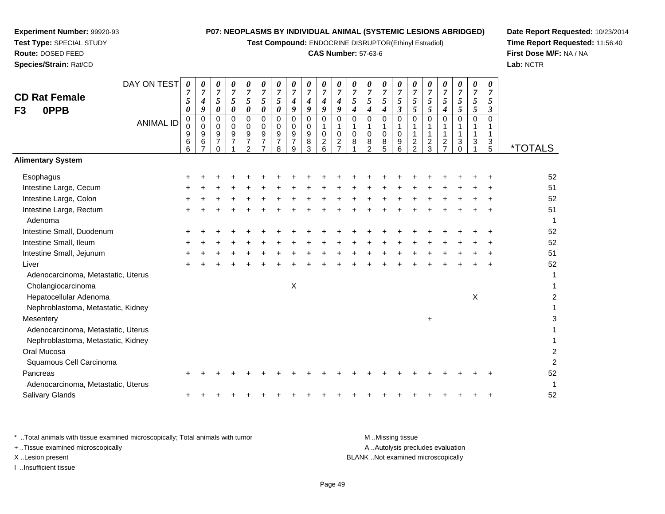**Test Compound:** ENDOCRINE DISRUPTOR(Ethinyl Estradiol)

# **CAS Number:** 57-63-6

**Date Report Requested:** 10/23/2014**Time Report Requested:** 11:56:40**First Dose M/F:** NA / NA**Lab:** NCTR

| inephrobiastoma, ivietastatic, Kidney                                          |  |  |  |  |  |  |                  |  |       |                                    |  |
|--------------------------------------------------------------------------------|--|--|--|--|--|--|------------------|--|-------|------------------------------------|--|
| Mesentery                                                                      |  |  |  |  |  |  |                  |  | $\pm$ |                                    |  |
| Adenocarcinoma, Metastatic, Uterus                                             |  |  |  |  |  |  |                  |  |       |                                    |  |
| Nephroblastoma, Metastatic, Kidney                                             |  |  |  |  |  |  |                  |  |       |                                    |  |
| Oral Mucosa                                                                    |  |  |  |  |  |  |                  |  |       |                                    |  |
| Squamous Cell Carcinoma                                                        |  |  |  |  |  |  |                  |  |       |                                    |  |
| Pancreas                                                                       |  |  |  |  |  |  |                  |  |       |                                    |  |
| Adenocarcinoma, Metastatic, Uterus                                             |  |  |  |  |  |  |                  |  |       |                                    |  |
| <b>Salivary Glands</b>                                                         |  |  |  |  |  |  |                  |  |       |                                    |  |
| * Total animals with tissue examined microscopically; Total animals with tumor |  |  |  |  |  |  | M Missing tissue |  |       |                                    |  |
| + Tissue examined microscopically                                              |  |  |  |  |  |  |                  |  |       | A  Autolysis precludes evaluation  |  |
| X. Lesion present                                                              |  |  |  |  |  |  |                  |  |       | BLANK Not examined microscopically |  |
| I Insufficient tissue                                                          |  |  |  |  |  |  |                  |  |       |                                    |  |

#### Page 49

| F <sub>3</sub> | <b>CD Rat Female</b><br>0PPB                             | DAY ON TEST      | $\boldsymbol{\theta}$<br>$\overline{7}$<br>5<br>0 | 0<br>$\boldsymbol{7}$<br>4<br>9        | 0<br>$\boldsymbol{7}$<br>$\overline{5}$<br>0  | $\boldsymbol{\theta}$<br>$\boldsymbol{7}$<br>$\sqrt{5}$<br>$\pmb{\theta}$ | $\boldsymbol{\theta}$<br>$\overline{7}$<br>5<br>$\boldsymbol{\theta}$ | 0<br>$\overline{7}$<br>5<br>0                             | 0<br>$\overline{7}$<br>5<br>0      | 0<br>$\overline{7}$<br>4<br>9                | 0<br>$\overline{7}$<br>4<br>9 | 0<br>$\overline{7}$<br>4<br>9                     | $\pmb{\theta}$<br>$\overline{7}$<br>4<br>9                          | 0<br>$\overline{7}$<br>5<br>$\boldsymbol{4}$ | 0<br>$\overline{7}$<br>5<br>$\boldsymbol{4}$ | 0<br>$\boldsymbol{7}$<br>5<br>4      | 0<br>$\boldsymbol{7}$<br>5<br>$\boldsymbol{\beta}$ | 0<br>$\overline{7}$<br>$\sqrt{5}$<br>5       | 0<br>$\overline{7}$<br>$\sqrt{5}$<br>5 | 0<br>$\boldsymbol{7}$<br>5<br>$\boldsymbol{4}$ | 0<br>$\boldsymbol{7}$<br>$\sqrt{5}$<br>5     | $\boldsymbol{\theta}$<br>$\overline{7}$<br>5<br>5 | 0<br>7<br>5<br>3                 |                         |
|----------------|----------------------------------------------------------|------------------|---------------------------------------------------|----------------------------------------|-----------------------------------------------|---------------------------------------------------------------------------|-----------------------------------------------------------------------|-----------------------------------------------------------|------------------------------------|----------------------------------------------|-------------------------------|---------------------------------------------------|---------------------------------------------------------------------|----------------------------------------------|----------------------------------------------|--------------------------------------|----------------------------------------------------|----------------------------------------------|----------------------------------------|------------------------------------------------|----------------------------------------------|---------------------------------------------------|----------------------------------|-------------------------|
|                |                                                          | <b>ANIMAL ID</b> | 0<br>$\mathbf 0$<br>9<br>6<br>6                   | 0<br>0<br>9<br>$\,6$<br>$\overline{7}$ | 0<br>0<br>$9\,$<br>$\overline{7}$<br>$\Omega$ | 0<br>0<br>$\boldsymbol{9}$<br>$\overline{7}$                              | $\overline{0}$<br>0<br>9<br>7<br>$\overline{2}$                       | $\mathbf 0$<br>0<br>9<br>$\overline{7}$<br>$\overline{7}$ | 0<br>0<br>9<br>$\overline{7}$<br>8 | $\mathbf 0$<br>0<br>9<br>$\overline{7}$<br>9 | 0<br>0<br>9<br>8<br>3         | $\mathbf 0$<br>$\mathbf 0$<br>$\overline{c}$<br>6 | $\mathbf 0$<br>1<br>$\mathbf 0$<br>$\overline{c}$<br>$\overline{7}$ | $\mathbf 0$<br>$\mathbf 0$<br>8              | $\mathbf 0$<br>1<br>0<br>8<br>2              | $\mathbf 0$<br>$\mathbf 0$<br>8<br>5 | $\mathbf 0$<br>$\pmb{0}$<br>9<br>6                 | $\mathbf 0$<br>$\mathbf{1}$<br>$\frac{2}{2}$ | 0<br>1<br>$\frac{2}{3}$                | 0<br>$\mathbf{1}$<br>$\frac{2}{7}$             | $\mathbf 0$<br>$\mathbf{1}$<br>3<br>$\Omega$ | $\mathbf 0$<br>$\mathbf 1$<br>$\sqrt{3}$          | $\Omega$<br>1<br>$\sqrt{3}$<br>5 | <i><b>*TOTALS</b></i>   |
|                | <b>Alimentary System</b>                                 |                  |                                                   |                                        |                                               |                                                                           |                                                                       |                                                           |                                    |                                              |                               |                                                   |                                                                     |                                              |                                              |                                      |                                                    |                                              |                                        |                                                |                                              |                                                   |                                  |                         |
|                | Esophagus                                                |                  |                                                   |                                        |                                               |                                                                           |                                                                       |                                                           |                                    |                                              |                               |                                                   |                                                                     |                                              |                                              |                                      |                                                    |                                              |                                        |                                                |                                              |                                                   |                                  | 52                      |
|                | Intestine Large, Cecum                                   |                  |                                                   |                                        |                                               |                                                                           |                                                                       |                                                           |                                    |                                              |                               |                                                   |                                                                     |                                              |                                              |                                      |                                                    |                                              |                                        |                                                |                                              |                                                   |                                  | 51                      |
|                | Intestine Large, Colon                                   |                  |                                                   |                                        |                                               |                                                                           |                                                                       |                                                           |                                    |                                              |                               |                                                   |                                                                     |                                              |                                              |                                      |                                                    |                                              |                                        |                                                |                                              |                                                   |                                  | 52                      |
|                | Intestine Large, Rectum<br>Adenoma                       |                  |                                                   |                                        |                                               |                                                                           |                                                                       |                                                           |                                    |                                              |                               |                                                   |                                                                     |                                              |                                              |                                      |                                                    |                                              |                                        |                                                |                                              |                                                   |                                  | 51<br>1                 |
|                | Intestine Small, Duodenum                                |                  |                                                   |                                        |                                               |                                                                           |                                                                       |                                                           |                                    |                                              |                               |                                                   |                                                                     |                                              |                                              |                                      |                                                    |                                              |                                        |                                                |                                              |                                                   |                                  | 52                      |
|                | Intestine Small, Ileum                                   |                  |                                                   |                                        |                                               |                                                                           |                                                                       |                                                           |                                    |                                              |                               |                                                   |                                                                     |                                              |                                              |                                      |                                                    |                                              |                                        |                                                |                                              |                                                   |                                  | 52                      |
|                | Intestine Small, Jejunum                                 |                  |                                                   |                                        |                                               |                                                                           |                                                                       |                                                           |                                    |                                              |                               |                                                   |                                                                     |                                              |                                              |                                      |                                                    |                                              |                                        |                                                |                                              |                                                   |                                  | 51                      |
| Liver          |                                                          |                  |                                                   |                                        |                                               |                                                                           |                                                                       |                                                           |                                    |                                              |                               |                                                   |                                                                     |                                              |                                              |                                      |                                                    |                                              |                                        |                                                |                                              |                                                   |                                  | 52                      |
|                | Adenocarcinoma, Metastatic, Uterus<br>Cholangiocarcinoma |                  |                                                   |                                        |                                               |                                                                           |                                                                       |                                                           |                                    | Χ                                            |                               |                                                   |                                                                     |                                              |                                              |                                      |                                                    |                                              |                                        |                                                |                                              |                                                   |                                  | 1<br>1                  |
|                | Hepatocellular Adenoma                                   |                  |                                                   |                                        |                                               |                                                                           |                                                                       |                                                           |                                    |                                              |                               |                                                   |                                                                     |                                              |                                              |                                      |                                                    |                                              |                                        |                                                |                                              | X                                                 |                                  | 2                       |
|                | Nephroblastoma, Metastatic, Kidney                       |                  |                                                   |                                        |                                               |                                                                           |                                                                       |                                                           |                                    |                                              |                               |                                                   |                                                                     |                                              |                                              |                                      |                                                    |                                              |                                        |                                                |                                              |                                                   |                                  | 1                       |
|                | Mesentery                                                |                  |                                                   |                                        |                                               |                                                                           |                                                                       |                                                           |                                    |                                              |                               |                                                   |                                                                     |                                              |                                              |                                      |                                                    |                                              | $\ddot{}$                              |                                                |                                              |                                                   |                                  | 3                       |
|                | Adenocarcinoma, Metastatic, Uterus                       |                  |                                                   |                                        |                                               |                                                                           |                                                                       |                                                           |                                    |                                              |                               |                                                   |                                                                     |                                              |                                              |                                      |                                                    |                                              |                                        |                                                |                                              |                                                   |                                  | 1                       |
|                | Nephroblastoma, Metastatic, Kidney                       |                  |                                                   |                                        |                                               |                                                                           |                                                                       |                                                           |                                    |                                              |                               |                                                   |                                                                     |                                              |                                              |                                      |                                                    |                                              |                                        |                                                |                                              |                                                   |                                  | 1                       |
|                | Oral Mucosa                                              |                  |                                                   |                                        |                                               |                                                                           |                                                                       |                                                           |                                    |                                              |                               |                                                   |                                                                     |                                              |                                              |                                      |                                                    |                                              |                                        |                                                |                                              |                                                   |                                  | $\overline{\mathbf{c}}$ |
|                | Squamous Cell Carcinoma                                  |                  |                                                   |                                        |                                               |                                                                           |                                                                       |                                                           |                                    |                                              |                               |                                                   |                                                                     |                                              |                                              |                                      |                                                    |                                              |                                        |                                                |                                              |                                                   |                                  | $\overline{2}$          |
|                | Pancreas                                                 |                  |                                                   |                                        |                                               |                                                                           |                                                                       |                                                           |                                    |                                              |                               |                                                   |                                                                     |                                              |                                              |                                      |                                                    |                                              |                                        |                                                |                                              |                                                   |                                  | 52                      |
|                | Adenocarcinoma, Metastatic, Uterus                       |                  |                                                   |                                        |                                               |                                                                           |                                                                       |                                                           |                                    |                                              |                               |                                                   |                                                                     |                                              |                                              |                                      |                                                    |                                              |                                        |                                                |                                              |                                                   |                                  | 1                       |
|                | Salivary Glands                                          |                  |                                                   |                                        |                                               |                                                                           |                                                                       |                                                           |                                    |                                              |                               |                                                   |                                                                     |                                              |                                              |                                      |                                                    |                                              |                                        |                                                |                                              |                                                   |                                  | 52                      |

# **Experiment Number:** 99920-93**Test Type:** SPECIAL STUDY**Route:** DOSED FEED

I ..Insufficient tissue

**Species/Strain:** Rat/CD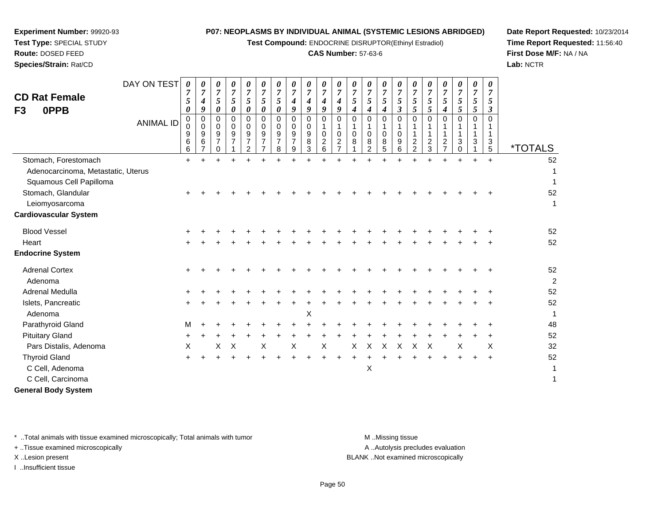**Test Compound:** ENDOCRINE DISRUPTOR(Ethinyl Estradiol)

#### **CAS Number:** 57-63-6

**Date Report Requested:** 10/23/2014**Time Report Requested:** 11:56:40**First Dose M/F:** NA / NA**Lab:** NCTR

**Route:** DOSED FEED **Species/Strain:** Rat/CDDAY ON TEST**CD Rat FemaleF3 0PPB**ANIMAL ID*0 7 5 0* 0 0 9 66*0 7 4 9* 0 0 9 67*0 7 5 0*0<br>0<br>9<br>7 0*0 7 5 0*0<br>0<br>9<br>7 1*0 7 5 0*0<br>0<br>9<br>7 2*0 7 5 0* 0 0 9 77*0 7 5 0* 0 0 9 78*0 7 4 9*0<br>0<br>9<br>7 9*0 7 4 9* 0 0 9 83*0 7 4 9* 0 1 0 26*0 7 4 9* 0 1 0 27*0 7 5 4* 0 1 0 81Stomach, Forestomach $h \rightarrow$ 

| <b>ANIMAL ID</b>                   | 0<br>$\mathbf 0$<br>$\boldsymbol{9}$<br>6<br>6 | 0<br>0<br>9<br>6<br>7 | 0<br>0<br>9<br>7 | 0<br>$\mathbf 0$<br>$9\,$<br>$\overline{7}$ | 0<br>$\mathbf 0$<br>$\boldsymbol{9}$<br>$\overline{7}$<br>2 | 0<br>$\pmb{0}$<br>$\boldsymbol{9}$<br>$\overline{7}$ | 0<br>0<br>$\boldsymbol{9}$<br>$\overline{7}$<br>8 | 0<br>0<br>$\mathsf g$<br>$\overline{7}$<br>9 | 0<br>9<br>8<br>3          | 0<br>$\pmb{0}$<br>$\sqrt{2}$<br>$6\phantom{1}$ | $\mathbf 0$<br>$\overline{c}$ | 0<br>$\mathbf 1$<br>$\Omega$<br>8 | 0<br>8<br>$\overline{2}$ | 0<br>0<br>8<br>5 | 0<br>$\mathbf 1$<br>0<br>$\boldsymbol{9}$<br>6 | $\overline{\mathbf{c}}$<br>$\overline{2}$ | 0<br>$\overline{\mathbf{c}}$<br>3 | 0<br>$\overline{c}$<br>$\overline{7}$ | 0<br>3<br>$\Omega$ | 0<br>$\mathbf{1}$<br>$\ensuremath{\mathsf{3}}$ | 0<br>$\sqrt{3}$<br>5 | <i><b>*TOTALS</b></i> |
|------------------------------------|------------------------------------------------|-----------------------|------------------|---------------------------------------------|-------------------------------------------------------------|------------------------------------------------------|---------------------------------------------------|----------------------------------------------|---------------------------|------------------------------------------------|-------------------------------|-----------------------------------|--------------------------|------------------|------------------------------------------------|-------------------------------------------|-----------------------------------|---------------------------------------|--------------------|------------------------------------------------|----------------------|-----------------------|
| Stomach, Forestomach               | $\ddot{}$                                      |                       |                  |                                             |                                                             |                                                      |                                                   |                                              |                           |                                                |                               |                                   |                          | $\ddot{}$        |                                                | $\ddot{}$                                 | $\ddot{}$                         | $\ddot{}$                             |                    | $\ddot{}$                                      | $\ddot{}$            | 52                    |
| Adenocarcinoma, Metastatic, Uterus |                                                |                       |                  |                                             |                                                             |                                                      |                                                   |                                              |                           |                                                |                               |                                   |                          |                  |                                                |                                           |                                   |                                       |                    |                                                |                      |                       |
| Squamous Cell Papilloma            |                                                |                       |                  |                                             |                                                             |                                                      |                                                   |                                              |                           |                                                |                               |                                   |                          |                  |                                                |                                           |                                   |                                       |                    |                                                |                      | 1                     |
| Stomach, Glandular                 |                                                |                       |                  |                                             |                                                             |                                                      |                                                   |                                              |                           |                                                |                               |                                   |                          |                  |                                                |                                           |                                   |                                       |                    |                                                |                      | 52                    |
| Leiomyosarcoma                     |                                                |                       |                  |                                             |                                                             |                                                      |                                                   |                                              |                           |                                                |                               |                                   |                          |                  |                                                |                                           |                                   |                                       |                    |                                                |                      | 1                     |
| <b>Cardiovascular System</b>       |                                                |                       |                  |                                             |                                                             |                                                      |                                                   |                                              |                           |                                                |                               |                                   |                          |                  |                                                |                                           |                                   |                                       |                    |                                                |                      |                       |
| <b>Blood Vessel</b>                |                                                |                       |                  |                                             |                                                             |                                                      |                                                   |                                              |                           |                                                |                               |                                   |                          |                  |                                                |                                           |                                   |                                       |                    |                                                |                      | 52                    |
| Heart                              |                                                |                       |                  |                                             |                                                             |                                                      |                                                   |                                              |                           |                                                |                               |                                   |                          |                  |                                                |                                           |                                   |                                       |                    |                                                |                      | 52                    |
| <b>Endocrine System</b>            |                                                |                       |                  |                                             |                                                             |                                                      |                                                   |                                              |                           |                                                |                               |                                   |                          |                  |                                                |                                           |                                   |                                       |                    |                                                |                      |                       |
| <b>Adrenal Cortex</b>              |                                                |                       |                  |                                             |                                                             |                                                      |                                                   |                                              |                           |                                                |                               |                                   |                          |                  |                                                |                                           |                                   |                                       |                    |                                                |                      | 52                    |
| Adenoma                            |                                                |                       |                  |                                             |                                                             |                                                      |                                                   |                                              |                           |                                                |                               |                                   |                          |                  |                                                |                                           |                                   |                                       |                    |                                                |                      | $\overline{c}$        |
| Adrenal Medulla                    |                                                |                       |                  |                                             |                                                             |                                                      |                                                   |                                              |                           |                                                |                               |                                   |                          |                  |                                                |                                           |                                   |                                       |                    |                                                |                      | 52                    |
| Islets, Pancreatic                 |                                                |                       |                  |                                             |                                                             |                                                      |                                                   |                                              |                           |                                                |                               |                                   |                          |                  |                                                |                                           |                                   |                                       |                    |                                                |                      | 52                    |
| Adenoma                            |                                                |                       |                  |                                             |                                                             |                                                      |                                                   |                                              | $\boldsymbol{\mathsf{X}}$ |                                                |                               |                                   |                          |                  |                                                |                                           |                                   |                                       |                    |                                                |                      | 1                     |
| Parathyroid Gland                  | M                                              |                       |                  |                                             |                                                             |                                                      |                                                   |                                              |                           |                                                |                               |                                   |                          |                  |                                                |                                           |                                   |                                       |                    |                                                |                      | 48                    |
| <b>Pituitary Gland</b>             |                                                |                       |                  |                                             |                                                             |                                                      |                                                   |                                              |                           |                                                |                               |                                   |                          |                  |                                                |                                           |                                   |                                       |                    |                                                |                      | 52                    |
| Pars Distalis, Adenoma             | X                                              |                       | X                | X                                           |                                                             | X                                                    |                                                   | $\mathsf X$                                  |                           | $\boldsymbol{\mathsf{X}}$                      |                               | $\boldsymbol{\mathsf{X}}$         | X                        | X                | X                                              | X                                         | $\boldsymbol{\mathsf{X}}$         |                                       | X                  |                                                | X                    | 32                    |
| <b>Thyroid Gland</b>               | $\pm$                                          |                       |                  |                                             |                                                             |                                                      |                                                   |                                              |                           |                                                | +                             | $\ddot{}$                         | $\ddot{}$                | $\div$           |                                                |                                           |                                   |                                       |                    | +                                              | $\ddot{}$            | 52                    |
| C Cell, Adenoma                    |                                                |                       |                  |                                             |                                                             |                                                      |                                                   |                                              |                           |                                                |                               |                                   | $\pmb{\times}$           |                  |                                                |                                           |                                   |                                       |                    |                                                |                      | 1                     |
| C Cell, Carcinoma                  |                                                |                       |                  |                                             |                                                             |                                                      |                                                   |                                              |                           |                                                |                               |                                   |                          |                  |                                                |                                           |                                   |                                       |                    |                                                |                      | 1                     |

**General Body System**

\* ..Total animals with tissue examined microscopically; Total animals with tumor **M** ..Missing tissue M ..Missing tissue

+ ..Tissue examined microscopically

**Experiment Number:** 99920-93**Test Type:** SPECIAL STUDY

I ..Insufficient tissue

A ..Autolysis precludes evaluation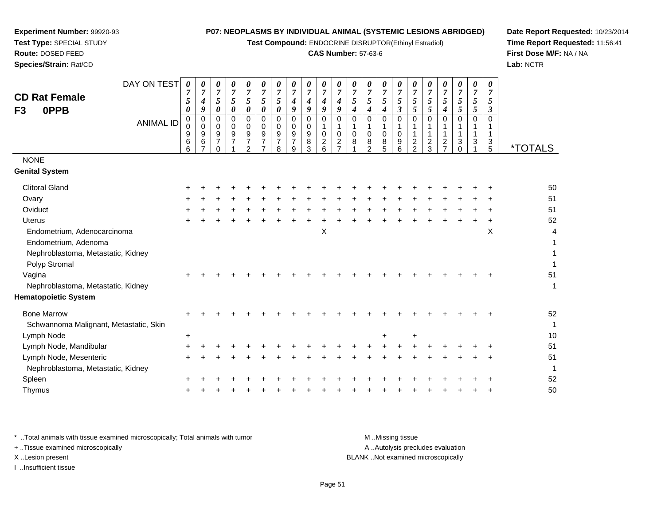**Test Compound:** ENDOCRINE DISRUPTOR(Ethinyl Estradiol)

# **CAS Number:** 57-63-6

**Date Report Requested:** 10/23/2014**Time Report Requested:** 11:56:41**First Dose M/F:** NA / NA**Lab:** NCTR

| DAY ON TEST                            | 0<br>$\overline{7}$ | 0<br>$\overline{7}$                      | 0<br>$\boldsymbol{7}$                             | 0<br>$\overline{7}$                             | 0<br>$\overline{7}$                       | 0<br>7                   | 0<br>$\overline{7}$                       | 0<br>$\overline{7}$      | 0<br>$\overline{7}$ | 0<br>$\overline{7}$            | 0<br>$\overline{7}$                | 0<br>$\overline{7}$              | 0<br>$\overline{7}$ | 0<br>$\overline{7}$   | 0<br>$\overline{7}$                      | 0<br>$\overline{7}$        | 0<br>$\overline{7}$              | 0<br>$\overline{7}$ | 0<br>7                           | 0<br>$\overline{7}$ | 0<br>$\overline{7}$ |                       |
|----------------------------------------|---------------------|------------------------------------------|---------------------------------------------------|-------------------------------------------------|-------------------------------------------|--------------------------|-------------------------------------------|--------------------------|---------------------|--------------------------------|------------------------------------|----------------------------------|---------------------|-----------------------|------------------------------------------|----------------------------|----------------------------------|---------------------|----------------------------------|---------------------|---------------------|-----------------------|
| <b>CD Rat Female</b>                   | 5                   | $\boldsymbol{4}$                         | $\mathfrak{s}$                                    | 5                                               | 5                                         | 5                        | 5                                         | 4                        | 4                   | $\boldsymbol{4}$               | $\boldsymbol{4}$                   | 5                                | 5                   | $5\overline{)}$       | $\mathfrak{s}$                           | $\sqrt{5}$                 | $\sqrt{5}$                       | 5                   | 5                                | $\mathfrak{s}$      | 5                   |                       |
| 0PPB<br>F <sub>3</sub>                 | 0<br>0              | 9<br>$\pmb{0}$                           | $\pmb{\theta}$<br>0                               | $\pmb{\theta}$<br>$\overline{0}$                | $\pmb{\theta}$<br>$\overline{0}$          | 0<br>$\mathbf 0$         | 0<br>$\mathbf 0$                          | 9<br>$\mathbf 0$         | 9<br>$\mathbf 0$    | 9<br>$\pmb{0}$                 | 9<br>$\mathbf 0$                   | 4<br>$\Omega$                    | 4<br>$\Omega$       | 4<br>0                | $\mathfrak{z}$<br>$\mathbf 0$            | 5<br>$\Omega$              | 5<br>$\overline{0}$              | 4<br>$\overline{0}$ | $\mathfrak{s}$<br>$\overline{0}$ | 5<br>$\mathbf 0$    | 3<br>$\Omega$       |                       |
| <b>ANIMAL ID</b>                       | 0<br>9<br>6         | $\pmb{0}$<br>$\boldsymbol{9}$<br>$\,6\,$ | $\mathbf 0$<br>$\boldsymbol{9}$<br>$\overline{7}$ | $\pmb{0}$<br>$\boldsymbol{9}$<br>$\overline{7}$ | 0<br>$\boldsymbol{9}$<br>$\boldsymbol{7}$ | 0<br>9<br>$\overline{7}$ | 0<br>$\boldsymbol{9}$<br>$\boldsymbol{7}$ | 0<br>9<br>$\overline{7}$ | 0<br>9<br>8         | 1<br>$\mathbf 0$<br>$\sqrt{2}$ | 1<br>$\mathbf 0$<br>$\overline{c}$ | $\mathbf{1}$<br>$\mathbf 0$<br>8 | $\mathbf 0$<br>8    | 1<br>$\mathbf 0$<br>8 | $\mathbf{1}$<br>$\mathsf{O}\xspace$<br>9 | 1<br>1<br>$\boldsymbol{2}$ | $\mathbf{1}$<br>$\boldsymbol{2}$ | 1<br>$\overline{c}$ | 1<br>3                           | 1<br>3              | 3                   |                       |
|                                        | 6                   | $\overline{7}$                           | $\Omega$                                          |                                                 | $\mathcal{P}$                             |                          | 8                                         | 9                        | 3                   | 6                              | $\overline{7}$                     |                                  | $\mathcal{P}$       | 5                     | 6                                        | $\overline{2}$             | $\mathbf{3}$                     | $\overline{7}$      | $\Omega$                         |                     | 5                   | <i><b>*TOTALS</b></i> |
| <b>NONE</b>                            |                     |                                          |                                                   |                                                 |                                           |                          |                                           |                          |                     |                                |                                    |                                  |                     |                       |                                          |                            |                                  |                     |                                  |                     |                     |                       |
| <b>Genital System</b>                  |                     |                                          |                                                   |                                                 |                                           |                          |                                           |                          |                     |                                |                                    |                                  |                     |                       |                                          |                            |                                  |                     |                                  |                     |                     |                       |
| <b>Clitoral Gland</b>                  |                     |                                          |                                                   |                                                 |                                           |                          |                                           |                          |                     |                                |                                    |                                  |                     |                       |                                          |                            |                                  |                     |                                  |                     |                     | 50                    |
| Ovary                                  |                     |                                          |                                                   |                                                 |                                           |                          |                                           |                          |                     |                                |                                    |                                  |                     |                       |                                          |                            |                                  |                     |                                  |                     |                     | 51                    |
| Oviduct                                |                     |                                          |                                                   |                                                 |                                           |                          |                                           |                          |                     |                                |                                    |                                  |                     |                       |                                          |                            |                                  |                     |                                  |                     |                     | 51                    |
| <b>Uterus</b>                          |                     |                                          |                                                   |                                                 |                                           |                          |                                           |                          |                     |                                |                                    |                                  |                     |                       |                                          |                            |                                  |                     |                                  |                     |                     | 52                    |
| Endometrium, Adenocarcinoma            |                     |                                          |                                                   |                                                 |                                           |                          |                                           |                          |                     | Χ                              |                                    |                                  |                     |                       |                                          |                            |                                  |                     |                                  |                     | X                   | 4                     |
| Endometrium, Adenoma                   |                     |                                          |                                                   |                                                 |                                           |                          |                                           |                          |                     |                                |                                    |                                  |                     |                       |                                          |                            |                                  |                     |                                  |                     |                     | $\mathbf{1}$          |
| Nephroblastoma, Metastatic, Kidney     |                     |                                          |                                                   |                                                 |                                           |                          |                                           |                          |                     |                                |                                    |                                  |                     |                       |                                          |                            |                                  |                     |                                  |                     |                     | 1                     |
| Polyp Stromal                          |                     |                                          |                                                   |                                                 |                                           |                          |                                           |                          |                     |                                |                                    |                                  |                     |                       |                                          |                            |                                  |                     |                                  |                     |                     | 1                     |
| Vagina                                 |                     |                                          |                                                   |                                                 |                                           |                          |                                           |                          |                     |                                |                                    |                                  |                     |                       |                                          |                            |                                  |                     |                                  |                     |                     | 51                    |
| Nephroblastoma, Metastatic, Kidney     |                     |                                          |                                                   |                                                 |                                           |                          |                                           |                          |                     |                                |                                    |                                  |                     |                       |                                          |                            |                                  |                     |                                  |                     |                     | $\mathbf{1}$          |
| <b>Hematopoietic System</b>            |                     |                                          |                                                   |                                                 |                                           |                          |                                           |                          |                     |                                |                                    |                                  |                     |                       |                                          |                            |                                  |                     |                                  |                     |                     |                       |
| <b>Bone Marrow</b>                     |                     |                                          |                                                   |                                                 |                                           |                          |                                           |                          |                     |                                |                                    |                                  |                     |                       |                                          |                            |                                  |                     |                                  |                     |                     | 52                    |
| Schwannoma Malignant, Metastatic, Skin |                     |                                          |                                                   |                                                 |                                           |                          |                                           |                          |                     |                                |                                    |                                  |                     |                       |                                          |                            |                                  |                     |                                  |                     |                     | 1                     |
| Lymph Node                             | $\ddot{}$           |                                          |                                                   |                                                 |                                           |                          |                                           |                          |                     |                                |                                    |                                  |                     | $\ddot{}$             |                                          | ł.                         |                                  |                     |                                  |                     |                     | 10                    |
| Lymph Node, Mandibular                 | $\ddot{}$           |                                          |                                                   |                                                 |                                           |                          |                                           |                          |                     |                                |                                    |                                  |                     |                       |                                          |                            |                                  |                     |                                  |                     |                     | 51                    |
| Lymph Node, Mesenteric                 |                     |                                          |                                                   |                                                 |                                           |                          |                                           |                          |                     |                                |                                    |                                  |                     |                       |                                          |                            |                                  |                     |                                  |                     |                     | 51                    |
| Nephroblastoma, Metastatic, Kidney     |                     |                                          |                                                   |                                                 |                                           |                          |                                           |                          |                     |                                |                                    |                                  |                     |                       |                                          |                            |                                  |                     |                                  |                     |                     | $\overline{1}$        |
| Spleen                                 |                     |                                          |                                                   |                                                 |                                           |                          |                                           |                          |                     |                                |                                    |                                  |                     |                       |                                          |                            |                                  |                     |                                  |                     |                     | 52                    |
| Thymus                                 |                     |                                          |                                                   |                                                 |                                           |                          |                                           |                          |                     |                                |                                    |                                  |                     |                       |                                          |                            |                                  |                     |                                  |                     |                     | 50                    |

**Experiment Number:** 99920-93**Test Type:** SPECIAL STUDY**Route:** DOSED FEED**Species/Strain:** Rat/CD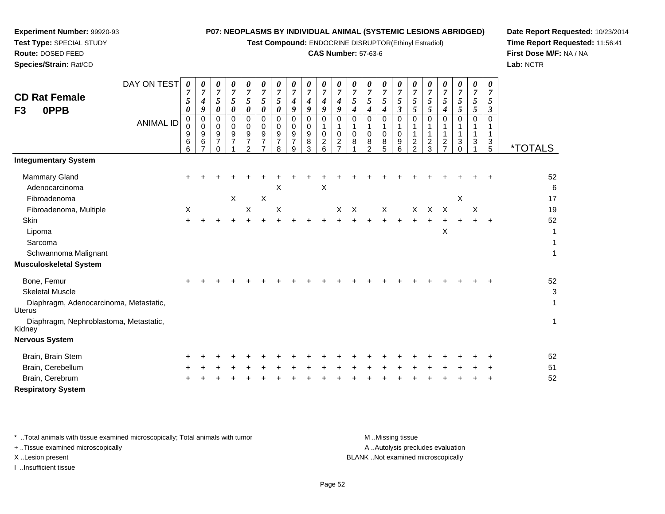**Test Compound:** ENDOCRINE DISRUPTOR(Ethinyl Estradiol)

# **CAS Number:** 57-63-6

**Date Report Requested:** 10/23/2014**Time Report Requested:** 11:56:41**First Dose M/F:** NA / NA**Lab:** NCTR

| <b>CD Rat Female</b><br>F3<br>0PPB     | DAY ON TEST<br><b>ANIMAL ID</b> | 0<br>5<br>0<br>0<br>$\Omega$<br>9<br>6 | 0<br>$\overline{7}$<br>4<br>9<br>0<br>$\mathbf 0$<br>9<br>6 | $\boldsymbol{\theta}$<br>$\overline{7}$<br>5<br>$\boldsymbol{\theta}$<br>$\mathbf 0$<br>$\mathbf 0$<br>9<br>$\overline{7}$ | 0<br>7<br>5<br>0<br>0<br>0<br>9<br>$\overline{ }$ | 0<br>$\overline{7}$<br>5<br>0<br>0<br>0<br>9<br>$\overline{ }$ | $\boldsymbol{\theta}$<br>$\overline{7}$<br>5<br>0<br>0<br>0<br>9<br>$\overline{7}$ | 0<br>$\Omega$<br>9 | 0<br>4<br>9<br>0<br>0<br>9<br>$\overline{7}$ | 0<br>9<br>0<br>$\Omega$<br>9<br>8 | 0<br>$\boldsymbol{4}$<br>9<br>0<br>0<br>$\overline{c}$ | 0<br>9<br>0<br>0<br>2 | 0<br>5<br>8 | 0<br>7<br>5<br>0<br>0<br>8 | $\boldsymbol{\theta}$<br>$\overline{7}$<br>5<br>4<br>0<br>0<br>8 | 0<br>$\overline{7}$<br>5<br>3<br>0<br>0<br>9 | $\pmb{\theta}$<br>$\overline{7}$<br>5<br>5<br>0<br>$\overline{2}$ | 0<br>7<br>5<br>5<br>0<br>$\overline{c}$ | 5<br>4<br>0<br>$\overline{c}$ | 0<br>7<br>5<br>5<br>$\Omega$<br>3 | 0<br>$5\overline{)}$<br>5<br>0<br>3 | 0<br>3<br>0<br>3 | <i><b>*TOTALS</b></i> |
|----------------------------------------|---------------------------------|----------------------------------------|-------------------------------------------------------------|----------------------------------------------------------------------------------------------------------------------------|---------------------------------------------------|----------------------------------------------------------------|------------------------------------------------------------------------------------|--------------------|----------------------------------------------|-----------------------------------|--------------------------------------------------------|-----------------------|-------------|----------------------------|------------------------------------------------------------------|----------------------------------------------|-------------------------------------------------------------------|-----------------------------------------|-------------------------------|-----------------------------------|-------------------------------------|------------------|-----------------------|
| <b>Integumentary System</b>            |                                 | 6                                      |                                                             | $\Omega$                                                                                                                   |                                                   | $\mathfrak{p}$                                                 |                                                                                    | 8                  | 9                                            | 3                                 | 6                                                      |                       |             | $\mathfrak{D}$             | 5                                                                | 6                                            | $\overline{2}$                                                    | 3                                       |                               |                                   |                                     | 5                |                       |
|                                        |                                 |                                        |                                                             |                                                                                                                            |                                                   |                                                                |                                                                                    |                    |                                              |                                   |                                                        |                       |             |                            |                                                                  |                                              |                                                                   |                                         |                               |                                   |                                     |                  |                       |
| Mammary Gland                          |                                 |                                        |                                                             |                                                                                                                            |                                                   |                                                                |                                                                                    |                    |                                              |                                   |                                                        |                       |             |                            |                                                                  |                                              |                                                                   |                                         |                               |                                   |                                     |                  | 52                    |
| Adenocarcinoma                         |                                 |                                        |                                                             |                                                                                                                            |                                                   |                                                                |                                                                                    | X                  |                                              |                                   | X                                                      |                       |             |                            |                                                                  |                                              |                                                                   |                                         |                               |                                   |                                     |                  | 6                     |
| Fibroadenoma                           |                                 |                                        |                                                             |                                                                                                                            | $\times$                                          |                                                                | X                                                                                  |                    |                                              |                                   |                                                        |                       |             |                            |                                                                  |                                              |                                                                   |                                         |                               | Χ                                 |                                     |                  | 17                    |
| Fibroadenoma, Multiple                 |                                 | X                                      |                                                             |                                                                                                                            |                                                   | X                                                              |                                                                                    | X                  |                                              |                                   |                                                        |                       | X X         |                            | X                                                                |                                              | X                                                                 | X X                                     |                               |                                   | Χ                                   |                  | 19                    |
| <b>Skin</b>                            |                                 | ÷                                      |                                                             |                                                                                                                            |                                                   |                                                                |                                                                                    |                    |                                              |                                   |                                                        |                       |             |                            |                                                                  |                                              |                                                                   |                                         |                               |                                   |                                     | $\overline{+}$   | 52                    |
| Lipoma                                 |                                 |                                        |                                                             |                                                                                                                            |                                                   |                                                                |                                                                                    |                    |                                              |                                   |                                                        |                       |             |                            |                                                                  |                                              |                                                                   |                                         | X                             |                                   |                                     |                  | 1                     |
| Sarcoma                                |                                 |                                        |                                                             |                                                                                                                            |                                                   |                                                                |                                                                                    |                    |                                              |                                   |                                                        |                       |             |                            |                                                                  |                                              |                                                                   |                                         |                               |                                   |                                     |                  |                       |
| Schwannoma Malignant                   |                                 |                                        |                                                             |                                                                                                                            |                                                   |                                                                |                                                                                    |                    |                                              |                                   |                                                        |                       |             |                            |                                                                  |                                              |                                                                   |                                         |                               |                                   |                                     |                  |                       |
| Musculoskeletal System                 |                                 |                                        |                                                             |                                                                                                                            |                                                   |                                                                |                                                                                    |                    |                                              |                                   |                                                        |                       |             |                            |                                                                  |                                              |                                                                   |                                         |                               |                                   |                                     |                  |                       |
| Bone, Femur                            |                                 |                                        |                                                             |                                                                                                                            |                                                   |                                                                |                                                                                    |                    |                                              |                                   |                                                        |                       |             |                            |                                                                  |                                              |                                                                   |                                         |                               |                                   |                                     |                  | 52                    |
| <b>Skeletal Muscle</b>                 |                                 |                                        |                                                             |                                                                                                                            |                                                   |                                                                |                                                                                    |                    |                                              |                                   |                                                        |                       |             |                            |                                                                  |                                              |                                                                   |                                         |                               |                                   |                                     |                  | 3                     |
| Diaphragm, Adenocarcinoma, Metastatic, |                                 |                                        |                                                             |                                                                                                                            |                                                   |                                                                |                                                                                    |                    |                                              |                                   |                                                        |                       |             |                            |                                                                  |                                              |                                                                   |                                         |                               |                                   |                                     |                  |                       |

| Uterus |
|--------|
|--------|

 Diaphragm, Nephroblastoma, Metastatic,Kidney

**Experiment Number:** 99920-93**Test Type:** SPECIAL STUDY**Route:** DOSED FEED**Species/Strain:** Rat/CD

# **Nervous System**

| Brain, Brain Stem         |  |  |  |  |  |  |  |  |  |  |  | 52 |
|---------------------------|--|--|--|--|--|--|--|--|--|--|--|----|
| Brain, Cerebellum         |  |  |  |  |  |  |  |  |  |  |  | 51 |
| Brain, Cerebrum           |  |  |  |  |  |  |  |  |  |  |  | 52 |
| <b>Respiratory System</b> |  |  |  |  |  |  |  |  |  |  |  |    |

\* ..Total animals with tissue examined microscopically; Total animals with tumor **M** ...Missing tissue M ...Missing tissue

+ ..Tissue examined microscopically

I ..Insufficient tissue

A .. Autolysis precludes evaluation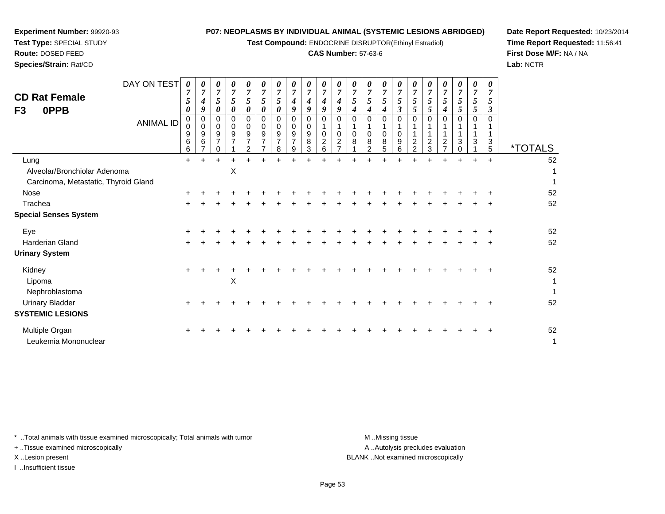**Test Compound:** ENDOCRINE DISRUPTOR(Ethinyl Estradiol)

#### **CAS Number:** 57-63-6

**Date Report Requested:** 10/23/2014**Time Report Requested:** 11:56:41**First Dose M/F:** NA / NA**Lab:** NCTR

**Route:** DOSED FEED **Species/Strain:** Rat/CDDAY ON TEST *0 70 70 70 70 70 7*

| <b>CD Rat Female</b><br>0PPB<br>F3     | DAY ON TEST<br><b>ANIMAL ID</b> | 0<br>5<br>0<br>$\mathbf 0$<br>$\mathbf 0$<br>9<br>6<br>6 | 0<br>7<br>$\boldsymbol{4}$<br>9<br>0<br>$\mathbf 0$<br>9<br>6<br>$\overline{ }$ | 0<br>$\mathfrak{s}$<br>$\boldsymbol{\theta}$<br>0<br>$\mathbf 0$<br>$\boldsymbol{9}$<br>$\overline{7}$<br>$\Omega$ | 0<br>$\boldsymbol{7}$<br>5<br>0<br>0<br>$\mathbf 0$<br>$\boldsymbol{9}$<br>$\overline{7}$ | 0<br>$\overline{7}$<br>$\mathfrak{s}$<br>0<br>0<br>0<br>$\boldsymbol{9}$<br>$\overline{7}$<br>$\mathcal{P}$ | 5<br>0<br>$\Omega$<br>0<br>9<br>$\overline{7}$ | $\sqrt{5}$<br>$\boldsymbol{\theta}$<br>$\Omega$<br>0<br>9<br>$\overline{7}$<br>8 | 0<br>4<br>9<br>0<br>0<br>9<br>$\overline{7}$<br>9 | $\boldsymbol{\theta}$<br>9<br>0<br>0<br>9<br>8<br>3 | $\boldsymbol{4}$<br>9<br>0<br>0<br>2<br>6 | 0<br>$\overline{7}$<br>$\boldsymbol{4}$<br>9<br>0<br>$\mathbf 0$<br>$\overline{c}$ | 0<br>5<br>4<br>0<br>$\mathbf 0$<br>8 | 5<br>4<br>$\mathbf 0$<br>8<br>2 | $\overline{7}$<br>5<br>4<br>$\Omega$<br>$\mathbf 0$<br>8<br>5 | 0<br>$\overline{7}$<br>5<br>$\mathfrak{z}$<br>0<br>$\mathbf 0$<br>9<br>6 | 0<br>$\overline{7}$<br>$5\overline{)}$<br>5<br>$\Omega$<br>$\overline{c}$<br>$\overline{2}$ | 0<br>$\overline{7}$<br>5<br>5<br>0<br>$\overline{c}$<br>3 | 0<br>7<br>5<br>$\boldsymbol{4}$<br>$\Omega$<br>$\overline{c}$ | $\theta$<br>7<br>$\mathfrak{s}$<br>5<br>$\Omega$<br>3<br>$\Omega$ | $\overline{7}$<br>5<br>5<br>3 | 0<br>5<br>3<br>$\sqrt{3}$<br>5 | <i><b>*TOTALS</b></i> |
|----------------------------------------|---------------------------------|----------------------------------------------------------|---------------------------------------------------------------------------------|--------------------------------------------------------------------------------------------------------------------|-------------------------------------------------------------------------------------------|-------------------------------------------------------------------------------------------------------------|------------------------------------------------|----------------------------------------------------------------------------------|---------------------------------------------------|-----------------------------------------------------|-------------------------------------------|------------------------------------------------------------------------------------|--------------------------------------|---------------------------------|---------------------------------------------------------------|--------------------------------------------------------------------------|---------------------------------------------------------------------------------------------|-----------------------------------------------------------|---------------------------------------------------------------|-------------------------------------------------------------------|-------------------------------|--------------------------------|-----------------------|
| Lung                                   |                                 | $+$                                                      | $\ddot{}$                                                                       | $\ddot{}$                                                                                                          | $\ddot{}$                                                                                 |                                                                                                             |                                                |                                                                                  |                                                   | ÷                                                   |                                           |                                                                                    |                                      |                                 |                                                               | $\ddot{}$                                                                |                                                                                             |                                                           |                                                               |                                                                   |                               | $\ddot{}$                      | 52                    |
| Alveolar/Bronchiolar Adenoma           |                                 |                                                          |                                                                                 |                                                                                                                    | X                                                                                         |                                                                                                             |                                                |                                                                                  |                                                   |                                                     |                                           |                                                                                    |                                      |                                 |                                                               |                                                                          |                                                                                             |                                                           |                                                               |                                                                   |                               |                                |                       |
| Carcinoma, Metastatic, Thyroid Gland   |                                 |                                                          |                                                                                 |                                                                                                                    |                                                                                           |                                                                                                             |                                                |                                                                                  |                                                   |                                                     |                                           |                                                                                    |                                      |                                 |                                                               |                                                                          |                                                                                             |                                                           |                                                               |                                                                   |                               |                                | 1                     |
| Nose                                   |                                 |                                                          |                                                                                 |                                                                                                                    |                                                                                           |                                                                                                             |                                                |                                                                                  |                                                   |                                                     |                                           |                                                                                    |                                      |                                 |                                                               |                                                                          |                                                                                             |                                                           |                                                               |                                                                   |                               |                                | 52                    |
| Trachea                                |                                 |                                                          |                                                                                 |                                                                                                                    |                                                                                           |                                                                                                             |                                                |                                                                                  |                                                   |                                                     |                                           |                                                                                    |                                      |                                 |                                                               |                                                                          |                                                                                             |                                                           |                                                               |                                                                   |                               |                                | 52                    |
| <b>Special Senses System</b>           |                                 |                                                          |                                                                                 |                                                                                                                    |                                                                                           |                                                                                                             |                                                |                                                                                  |                                                   |                                                     |                                           |                                                                                    |                                      |                                 |                                                               |                                                                          |                                                                                             |                                                           |                                                               |                                                                   |                               |                                |                       |
| Eye                                    |                                 |                                                          |                                                                                 |                                                                                                                    |                                                                                           |                                                                                                             |                                                |                                                                                  |                                                   |                                                     |                                           |                                                                                    |                                      |                                 |                                                               |                                                                          |                                                                                             |                                                           |                                                               |                                                                   |                               |                                | 52                    |
| Harderian Gland                        |                                 |                                                          |                                                                                 |                                                                                                                    |                                                                                           |                                                                                                             |                                                |                                                                                  |                                                   |                                                     |                                           |                                                                                    |                                      |                                 |                                                               |                                                                          |                                                                                             |                                                           |                                                               |                                                                   |                               |                                | 52                    |
| <b>Urinary System</b>                  |                                 |                                                          |                                                                                 |                                                                                                                    |                                                                                           |                                                                                                             |                                                |                                                                                  |                                                   |                                                     |                                           |                                                                                    |                                      |                                 |                                                               |                                                                          |                                                                                             |                                                           |                                                               |                                                                   |                               |                                |                       |
| Kidney                                 |                                 |                                                          |                                                                                 |                                                                                                                    |                                                                                           |                                                                                                             |                                                |                                                                                  |                                                   |                                                     |                                           |                                                                                    |                                      |                                 |                                                               |                                                                          |                                                                                             |                                                           |                                                               |                                                                   |                               |                                | 52                    |
| Lipoma                                 |                                 |                                                          |                                                                                 |                                                                                                                    | X                                                                                         |                                                                                                             |                                                |                                                                                  |                                                   |                                                     |                                           |                                                                                    |                                      |                                 |                                                               |                                                                          |                                                                                             |                                                           |                                                               |                                                                   |                               |                                | 1                     |
| Nephroblastoma                         |                                 |                                                          |                                                                                 |                                                                                                                    |                                                                                           |                                                                                                             |                                                |                                                                                  |                                                   |                                                     |                                           |                                                                                    |                                      |                                 |                                                               |                                                                          |                                                                                             |                                                           |                                                               |                                                                   |                               |                                | 1                     |
| <b>Urinary Bladder</b>                 |                                 |                                                          |                                                                                 |                                                                                                                    |                                                                                           |                                                                                                             |                                                |                                                                                  |                                                   |                                                     |                                           |                                                                                    |                                      |                                 |                                                               |                                                                          |                                                                                             |                                                           |                                                               |                                                                   |                               |                                | 52                    |
| <b>SYSTEMIC LESIONS</b>                |                                 |                                                          |                                                                                 |                                                                                                                    |                                                                                           |                                                                                                             |                                                |                                                                                  |                                                   |                                                     |                                           |                                                                                    |                                      |                                 |                                                               |                                                                          |                                                                                             |                                                           |                                                               |                                                                   |                               |                                |                       |
| Multiple Organ<br>Leukemia Mononuclear |                                 |                                                          |                                                                                 |                                                                                                                    |                                                                                           |                                                                                                             |                                                |                                                                                  |                                                   |                                                     |                                           |                                                                                    |                                      |                                 |                                                               |                                                                          |                                                                                             |                                                           |                                                               |                                                                   |                               |                                | 52<br>1               |
|                                        |                                 |                                                          |                                                                                 |                                                                                                                    |                                                                                           |                                                                                                             |                                                |                                                                                  |                                                   |                                                     |                                           |                                                                                    |                                      |                                 |                                                               |                                                                          |                                                                                             |                                                           |                                                               |                                                                   |                               |                                |                       |

\* ..Total animals with tissue examined microscopically; Total animals with tumor **M** ...Missing tissue M ...Missing tissue

+ ..Tissue examined microscopically

**Experiment Number:** 99920-93**Test Type:** SPECIAL STUDY

I ..Insufficient tissue

A .. Autolysis precludes evaluation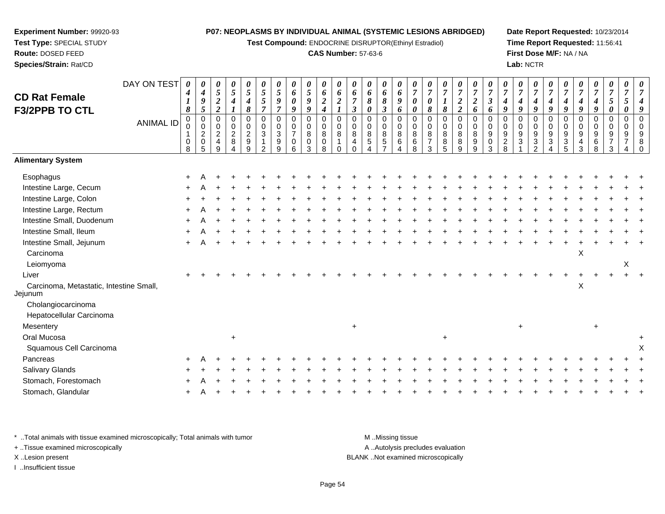**Test Compound:** ENDOCRINE DISRUPTOR(Ethinyl Estradiol)

### **CAS Number:** 57-63-6

**Date Report Requested:** 10/23/2014**Time Report Requested:** 11:56:41**First Dose M/F:** NA / NA**Lab:** NCTR

| <b>CD Rat Female</b><br><b>F3/2PPB TO CTL</b>      | DAY ON TEST<br><b>ANIMAL ID</b> | 0<br>4<br>$\boldsymbol{l}$<br>8<br>$\pmb{0}$<br>0<br>0<br>8 | 0<br>$\boldsymbol{4}$<br>9<br>$\mathfrak{s}$<br>$\pmb{0}$<br>$\pmb{0}$<br>$\sqrt{2}$<br>$\pmb{0}$<br>5 | 0<br>5<br>$\boldsymbol{2}$<br>$\overline{c}$<br>$\mathbf 0$<br>0<br>$\overline{c}$<br>$\overline{\mathbf{4}}$<br>9 | 0<br>$\sqrt{5}$<br>$\boldsymbol{4}$<br>$\boldsymbol{\eta}$<br>0<br>0<br>$\frac{2}{8}$<br>$\boldsymbol{\Lambda}$ | 0<br>$\mathfrak{s}$<br>$\boldsymbol{4}$<br>8<br>$\mathbf 0$<br>$\pmb{0}$<br>$\frac{2}{9}$<br>9 | $\boldsymbol{\theta}$<br>$\mathfrak{s}$<br>$\mathfrak{s}$<br>$\overline{7}$<br>$\mathbf 0$<br>$\mathbf 0$<br>$\mathbf{3}$<br>$\overline{1}$<br>$\overline{2}$ | 0<br>5<br>9<br>$\overline{7}$<br>$\mathbf 0$<br>$\mathbf 0$<br>$\sqrt{3}$<br>9<br>9 | 0<br>6<br>0<br>9<br>$\mathbf 0$<br>0<br>$\overline{7}$<br>0<br>6 | 0<br>$\mathfrak{s}$<br>9<br>9<br>0<br>0<br>8<br>0<br>3 | 0<br>6<br>$\boldsymbol{2}$<br>$\boldsymbol{4}$<br>$\mathbf 0$<br>$\pmb{0}$<br>$\bf 8$<br>$\pmb{0}$<br>8 | $\boldsymbol{\theta}$<br>6<br>$\boldsymbol{2}$<br>$\boldsymbol{l}$<br>$\mathbf 0$<br>$\mathbf 0$<br>$\, 8$<br>$\overline{1}$<br>$\Omega$ | 0<br>6<br>$\overline{7}$<br>$\boldsymbol{\beta}$<br>$\mathbf 0$<br>$\mathbf 0$<br>$\bf8$<br>4<br>$\Omega$ | 0<br>6<br>8<br>0<br>0<br>$\mathbf 0$<br>8<br>5 | 0<br>6<br>$\pmb{8}$<br>3<br>0<br>0<br>8<br>5 | 0<br>6<br>9<br>6<br>$\mathbf 0$<br>$\pmb{0}$<br>$\bf 8$<br>$\,6\,$<br>4 | 0<br>$\overline{7}$<br>$\boldsymbol{\theta}$<br>$\boldsymbol{\theta}$<br>$\mathbf 0$<br>$\mathbf 0$<br>$\bf 8$<br>$\,6\,$<br>8 | 0<br>$\overline{7}$<br>$\boldsymbol{\theta}$<br>$\pmb{8}$<br>$\mathbf 0$<br>$\mathbf 0$<br>8<br>$\overline{7}$<br>3 | 0<br>$\overline{7}$<br>$\boldsymbol{l}$<br>8<br>0<br>0<br>8<br>8<br>5 | 0<br>$\boldsymbol{7}$<br>$\boldsymbol{2}$<br>$\boldsymbol{2}$<br>0<br>0<br>8<br>$\bf 8$<br>$9\,$ | 0<br>$\overline{7}$<br>$\boldsymbol{2}$<br>6<br>$\mathbf 0$<br>$\pmb{0}$<br>$\bf 8$<br>$\boldsymbol{9}$<br>$\boldsymbol{9}$ | $\boldsymbol{\theta}$<br>$\overline{7}$<br>$\boldsymbol{\beta}$<br>6<br>$\mathbf 0$<br>$\mathbf 0$<br>$\boldsymbol{9}$<br>$\pmb{0}$<br>3 | 0<br>$\overline{7}$<br>$\boldsymbol{4}$<br>9<br>$\Omega$<br>0<br>9<br>$\sqrt{2}$<br>8 | 0<br>$\overline{7}$<br>4<br>9<br>0<br>0<br>$\boldsymbol{9}$<br>3 | 0<br>$\boldsymbol{7}$<br>$\boldsymbol{4}$<br>9<br>0<br>0<br>9<br>$\ensuremath{\mathsf{3}}$<br>$\mathcal{P}$ | 0<br>$\overline{7}$<br>$\boldsymbol{4}$<br>9<br>0<br>$\pmb{0}$<br>$\boldsymbol{9}$<br>$\sqrt{3}$<br>Δ | 0<br>$\overline{7}$<br>$\boldsymbol{4}$<br>9<br>$\mathbf 0$<br>$\mathbf 0$<br>$\boldsymbol{9}$<br>$\ensuremath{\mathsf{3}}$<br>5 | $\overline{7}$<br>4<br>9<br>$\Omega$<br>0<br>9<br>4<br>3 | 0<br>$\overline{7}$<br>4<br>9<br>0<br>0<br>9<br>6<br>8 | 0<br>$\boldsymbol{7}$<br>$\mathfrak{s}$<br>0<br>0<br>0<br>9<br>$\overline{7}$<br>3 | 0<br>$\overline{7}$<br>5<br>0<br>0<br>$\mathbf 0$<br>9<br>$\overline{7}$ | $\overline{7}$<br>$\Omega$<br>$\Omega$ |
|----------------------------------------------------|---------------------------------|-------------------------------------------------------------|--------------------------------------------------------------------------------------------------------|--------------------------------------------------------------------------------------------------------------------|-----------------------------------------------------------------------------------------------------------------|------------------------------------------------------------------------------------------------|---------------------------------------------------------------------------------------------------------------------------------------------------------------|-------------------------------------------------------------------------------------|------------------------------------------------------------------|--------------------------------------------------------|---------------------------------------------------------------------------------------------------------|------------------------------------------------------------------------------------------------------------------------------------------|-----------------------------------------------------------------------------------------------------------|------------------------------------------------|----------------------------------------------|-------------------------------------------------------------------------|--------------------------------------------------------------------------------------------------------------------------------|---------------------------------------------------------------------------------------------------------------------|-----------------------------------------------------------------------|--------------------------------------------------------------------------------------------------|-----------------------------------------------------------------------------------------------------------------------------|------------------------------------------------------------------------------------------------------------------------------------------|---------------------------------------------------------------------------------------|------------------------------------------------------------------|-------------------------------------------------------------------------------------------------------------|-------------------------------------------------------------------------------------------------------|----------------------------------------------------------------------------------------------------------------------------------|----------------------------------------------------------|--------------------------------------------------------|------------------------------------------------------------------------------------|--------------------------------------------------------------------------|----------------------------------------|
| <b>Alimentary System</b>                           |                                 |                                                             |                                                                                                        |                                                                                                                    |                                                                                                                 |                                                                                                |                                                                                                                                                               |                                                                                     |                                                                  |                                                        |                                                                                                         |                                                                                                                                          |                                                                                                           |                                                |                                              |                                                                         |                                                                                                                                |                                                                                                                     |                                                                       |                                                                                                  |                                                                                                                             |                                                                                                                                          |                                                                                       |                                                                  |                                                                                                             |                                                                                                       |                                                                                                                                  |                                                          |                                                        |                                                                                    |                                                                          |                                        |
| Esophagus                                          |                                 |                                                             |                                                                                                        |                                                                                                                    |                                                                                                                 |                                                                                                |                                                                                                                                                               |                                                                                     |                                                                  |                                                        |                                                                                                         |                                                                                                                                          |                                                                                                           |                                                |                                              |                                                                         |                                                                                                                                |                                                                                                                     |                                                                       |                                                                                                  |                                                                                                                             |                                                                                                                                          |                                                                                       |                                                                  |                                                                                                             |                                                                                                       |                                                                                                                                  |                                                          |                                                        |                                                                                    |                                                                          |                                        |
| Intestine Large, Cecum                             |                                 |                                                             |                                                                                                        |                                                                                                                    |                                                                                                                 |                                                                                                |                                                                                                                                                               |                                                                                     |                                                                  |                                                        |                                                                                                         |                                                                                                                                          |                                                                                                           |                                                |                                              |                                                                         |                                                                                                                                |                                                                                                                     |                                                                       |                                                                                                  |                                                                                                                             |                                                                                                                                          |                                                                                       |                                                                  |                                                                                                             |                                                                                                       |                                                                                                                                  |                                                          |                                                        |                                                                                    |                                                                          |                                        |
| Intestine Large, Colon                             |                                 |                                                             |                                                                                                        |                                                                                                                    |                                                                                                                 |                                                                                                |                                                                                                                                                               |                                                                                     |                                                                  |                                                        |                                                                                                         |                                                                                                                                          |                                                                                                           |                                                |                                              |                                                                         |                                                                                                                                |                                                                                                                     |                                                                       |                                                                                                  |                                                                                                                             |                                                                                                                                          |                                                                                       |                                                                  |                                                                                                             |                                                                                                       |                                                                                                                                  |                                                          |                                                        |                                                                                    |                                                                          |                                        |
| Intestine Large, Rectum                            |                                 |                                                             |                                                                                                        |                                                                                                                    |                                                                                                                 |                                                                                                |                                                                                                                                                               |                                                                                     |                                                                  |                                                        |                                                                                                         |                                                                                                                                          |                                                                                                           |                                                |                                              |                                                                         |                                                                                                                                |                                                                                                                     |                                                                       |                                                                                                  |                                                                                                                             |                                                                                                                                          |                                                                                       |                                                                  |                                                                                                             |                                                                                                       |                                                                                                                                  |                                                          |                                                        |                                                                                    |                                                                          |                                        |
| Intestine Small, Duodenum                          |                                 |                                                             |                                                                                                        |                                                                                                                    |                                                                                                                 |                                                                                                |                                                                                                                                                               |                                                                                     |                                                                  |                                                        |                                                                                                         |                                                                                                                                          |                                                                                                           |                                                |                                              |                                                                         |                                                                                                                                |                                                                                                                     |                                                                       |                                                                                                  |                                                                                                                             |                                                                                                                                          |                                                                                       |                                                                  |                                                                                                             |                                                                                                       |                                                                                                                                  |                                                          |                                                        |                                                                                    |                                                                          |                                        |
| Intestine Small, Ileum                             |                                 |                                                             |                                                                                                        |                                                                                                                    |                                                                                                                 |                                                                                                |                                                                                                                                                               |                                                                                     |                                                                  |                                                        |                                                                                                         |                                                                                                                                          |                                                                                                           |                                                |                                              |                                                                         |                                                                                                                                |                                                                                                                     |                                                                       |                                                                                                  |                                                                                                                             |                                                                                                                                          |                                                                                       |                                                                  |                                                                                                             |                                                                                                       |                                                                                                                                  |                                                          |                                                        |                                                                                    |                                                                          |                                        |
| Intestine Small, Jejunum                           |                                 | $\ddot{}$                                                   |                                                                                                        |                                                                                                                    |                                                                                                                 |                                                                                                |                                                                                                                                                               |                                                                                     |                                                                  |                                                        |                                                                                                         |                                                                                                                                          |                                                                                                           |                                                |                                              |                                                                         |                                                                                                                                |                                                                                                                     |                                                                       |                                                                                                  |                                                                                                                             |                                                                                                                                          |                                                                                       |                                                                  |                                                                                                             |                                                                                                       |                                                                                                                                  |                                                          |                                                        |                                                                                    |                                                                          |                                        |
| Carcinoma                                          |                                 |                                                             |                                                                                                        |                                                                                                                    |                                                                                                                 |                                                                                                |                                                                                                                                                               |                                                                                     |                                                                  |                                                        |                                                                                                         |                                                                                                                                          |                                                                                                           |                                                |                                              |                                                                         |                                                                                                                                |                                                                                                                     |                                                                       |                                                                                                  |                                                                                                                             |                                                                                                                                          |                                                                                       |                                                                  |                                                                                                             |                                                                                                       |                                                                                                                                  | X                                                        |                                                        |                                                                                    |                                                                          |                                        |
| Leiomyoma                                          |                                 |                                                             |                                                                                                        |                                                                                                                    |                                                                                                                 |                                                                                                |                                                                                                                                                               |                                                                                     |                                                                  |                                                        |                                                                                                         |                                                                                                                                          |                                                                                                           |                                                |                                              |                                                                         |                                                                                                                                |                                                                                                                     |                                                                       |                                                                                                  |                                                                                                                             |                                                                                                                                          |                                                                                       |                                                                  |                                                                                                             |                                                                                                       |                                                                                                                                  |                                                          |                                                        |                                                                                    | X                                                                        |                                        |
| Liver                                              |                                 |                                                             |                                                                                                        |                                                                                                                    |                                                                                                                 |                                                                                                |                                                                                                                                                               |                                                                                     |                                                                  |                                                        |                                                                                                         |                                                                                                                                          |                                                                                                           |                                                |                                              |                                                                         |                                                                                                                                |                                                                                                                     |                                                                       |                                                                                                  |                                                                                                                             |                                                                                                                                          |                                                                                       |                                                                  |                                                                                                             |                                                                                                       |                                                                                                                                  |                                                          |                                                        |                                                                                    |                                                                          |                                        |
| Carcinoma, Metastatic, Intestine Small,<br>Jejunum |                                 |                                                             |                                                                                                        |                                                                                                                    |                                                                                                                 |                                                                                                |                                                                                                                                                               |                                                                                     |                                                                  |                                                        |                                                                                                         |                                                                                                                                          |                                                                                                           |                                                |                                              |                                                                         |                                                                                                                                |                                                                                                                     |                                                                       |                                                                                                  |                                                                                                                             |                                                                                                                                          |                                                                                       |                                                                  |                                                                                                             |                                                                                                       |                                                                                                                                  | X                                                        |                                                        |                                                                                    |                                                                          |                                        |
| Cholangiocarcinoma                                 |                                 |                                                             |                                                                                                        |                                                                                                                    |                                                                                                                 |                                                                                                |                                                                                                                                                               |                                                                                     |                                                                  |                                                        |                                                                                                         |                                                                                                                                          |                                                                                                           |                                                |                                              |                                                                         |                                                                                                                                |                                                                                                                     |                                                                       |                                                                                                  |                                                                                                                             |                                                                                                                                          |                                                                                       |                                                                  |                                                                                                             |                                                                                                       |                                                                                                                                  |                                                          |                                                        |                                                                                    |                                                                          |                                        |
| Hepatocellular Carcinoma                           |                                 |                                                             |                                                                                                        |                                                                                                                    |                                                                                                                 |                                                                                                |                                                                                                                                                               |                                                                                     |                                                                  |                                                        |                                                                                                         |                                                                                                                                          |                                                                                                           |                                                |                                              |                                                                         |                                                                                                                                |                                                                                                                     |                                                                       |                                                                                                  |                                                                                                                             |                                                                                                                                          |                                                                                       |                                                                  |                                                                                                             |                                                                                                       |                                                                                                                                  |                                                          |                                                        |                                                                                    |                                                                          |                                        |
| Mesentery                                          |                                 |                                                             |                                                                                                        |                                                                                                                    |                                                                                                                 |                                                                                                |                                                                                                                                                               |                                                                                     |                                                                  |                                                        |                                                                                                         |                                                                                                                                          | $\ddot{}$                                                                                                 |                                                |                                              |                                                                         |                                                                                                                                |                                                                                                                     |                                                                       |                                                                                                  |                                                                                                                             |                                                                                                                                          |                                                                                       |                                                                  |                                                                                                             |                                                                                                       |                                                                                                                                  |                                                          |                                                        |                                                                                    |                                                                          |                                        |
| Oral Mucosa                                        |                                 |                                                             |                                                                                                        |                                                                                                                    | $\ddot{}$                                                                                                       |                                                                                                |                                                                                                                                                               |                                                                                     |                                                                  |                                                        |                                                                                                         |                                                                                                                                          |                                                                                                           |                                                |                                              |                                                                         |                                                                                                                                |                                                                                                                     | $\ddot{}$                                                             |                                                                                                  |                                                                                                                             |                                                                                                                                          |                                                                                       |                                                                  |                                                                                                             |                                                                                                       |                                                                                                                                  |                                                          |                                                        |                                                                                    |                                                                          | $\ddot{}$                              |
| Squamous Cell Carcinoma                            |                                 |                                                             |                                                                                                        |                                                                                                                    |                                                                                                                 |                                                                                                |                                                                                                                                                               |                                                                                     |                                                                  |                                                        |                                                                                                         |                                                                                                                                          |                                                                                                           |                                                |                                              |                                                                         |                                                                                                                                |                                                                                                                     |                                                                       |                                                                                                  |                                                                                                                             |                                                                                                                                          |                                                                                       |                                                                  |                                                                                                             |                                                                                                       |                                                                                                                                  |                                                          |                                                        |                                                                                    |                                                                          |                                        |
| Pancreas                                           |                                 |                                                             |                                                                                                        |                                                                                                                    |                                                                                                                 |                                                                                                |                                                                                                                                                               |                                                                                     |                                                                  |                                                        |                                                                                                         |                                                                                                                                          |                                                                                                           |                                                |                                              |                                                                         |                                                                                                                                |                                                                                                                     |                                                                       |                                                                                                  |                                                                                                                             |                                                                                                                                          |                                                                                       |                                                                  |                                                                                                             |                                                                                                       |                                                                                                                                  |                                                          |                                                        |                                                                                    |                                                                          |                                        |
| <b>Salivary Glands</b>                             |                                 |                                                             |                                                                                                        |                                                                                                                    |                                                                                                                 |                                                                                                |                                                                                                                                                               |                                                                                     |                                                                  |                                                        |                                                                                                         |                                                                                                                                          |                                                                                                           |                                                |                                              |                                                                         |                                                                                                                                |                                                                                                                     |                                                                       |                                                                                                  |                                                                                                                             |                                                                                                                                          |                                                                                       |                                                                  |                                                                                                             |                                                                                                       |                                                                                                                                  |                                                          |                                                        |                                                                                    |                                                                          |                                        |
| Stomach, Forestomach                               |                                 |                                                             |                                                                                                        |                                                                                                                    |                                                                                                                 |                                                                                                |                                                                                                                                                               |                                                                                     |                                                                  |                                                        |                                                                                                         |                                                                                                                                          |                                                                                                           |                                                |                                              |                                                                         |                                                                                                                                |                                                                                                                     |                                                                       |                                                                                                  |                                                                                                                             |                                                                                                                                          |                                                                                       |                                                                  |                                                                                                             |                                                                                                       |                                                                                                                                  |                                                          |                                                        |                                                                                    |                                                                          |                                        |
| Stomach, Glandular                                 |                                 |                                                             |                                                                                                        |                                                                                                                    |                                                                                                                 |                                                                                                |                                                                                                                                                               |                                                                                     |                                                                  |                                                        |                                                                                                         |                                                                                                                                          |                                                                                                           |                                                |                                              |                                                                         |                                                                                                                                |                                                                                                                     |                                                                       |                                                                                                  |                                                                                                                             |                                                                                                                                          |                                                                                       |                                                                  |                                                                                                             |                                                                                                       |                                                                                                                                  |                                                          |                                                        |                                                                                    |                                                                          |                                        |
|                                                    |                                 |                                                             |                                                                                                        |                                                                                                                    |                                                                                                                 |                                                                                                |                                                                                                                                                               |                                                                                     |                                                                  |                                                        |                                                                                                         |                                                                                                                                          |                                                                                                           |                                                |                                              |                                                                         |                                                                                                                                |                                                                                                                     |                                                                       |                                                                                                  |                                                                                                                             |                                                                                                                                          |                                                                                       |                                                                  |                                                                                                             |                                                                                                       |                                                                                                                                  |                                                          |                                                        |                                                                                    |                                                                          |                                        |

\* ..Total animals with tissue examined microscopically; Total animals with tumor **M** . Missing tissue M ..Missing tissue A ..Autolysis precludes evaluation + ..Tissue examined microscopically X ..Lesion present BLANK ..Not examined microscopicallyI ..Insufficient tissue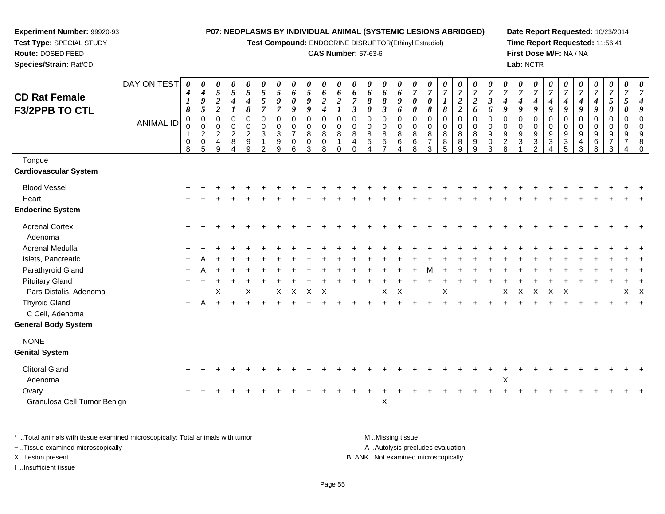**Test Compound:** ENDOCRINE DISRUPTOR(Ethinyl Estradiol)

#### **CAS Number:** 57-63-6

**Date Report Requested:** 10/23/2014**Time Report Requested:** 11:56:41**First Dose M/F:** NA / NA**Lab:** NCTR

| <b>CD Rat Female</b><br><b>F3/2PPB TO CTL</b>           | DAY ON TEST      | $\boldsymbol{\theta}$<br>$\boldsymbol{4}$<br>$\boldsymbol{l}$<br>8 | 0<br>$\boldsymbol{4}$<br>$\pmb{9}$<br>$\overline{5}$                    | 0<br>5<br>$\frac{2}{2}$                                | 0<br>5<br>$\boldsymbol{4}$<br>$\boldsymbol{l}$                  | 0<br>$\mathfrak{s}$<br>$\boldsymbol{4}$<br>8                        | 0<br>$\sqrt{5}$<br>$\mathfrak{s}$<br>$\overline{7}$              | $\boldsymbol{\theta}$<br>$\mathfrak{s}$<br>$\boldsymbol{9}$<br>$\overline{7}$ | 0<br>$\boldsymbol{6}$<br>$\boldsymbol{\theta}$<br>$\boldsymbol{g}$ | 0<br>5<br>9<br>9                          | 0<br>6<br>$\boldsymbol{2}$<br>$\boldsymbol{4}$  | 0<br>6<br>$\boldsymbol{2}$<br>$\boldsymbol{l}$       | 0<br>6<br>$\overline{7}$<br>$\boldsymbol{\beta}$       | 0<br>$\boldsymbol{6}$<br>8<br>$\pmb{\theta}$                        | 0<br>6<br>$\boldsymbol{\delta}$<br>$\boldsymbol{\beta}$               | 0<br>6<br>9<br>6                                | 0<br>$\overline{7}$<br>0<br>0               | 0<br>$\overline{7}$<br>0<br>8                            | 0<br>$\boldsymbol{7}$<br>$\boldsymbol{l}$<br>8               | 0<br>$\overline{7}$<br>$\frac{2}{2}$           | $\boldsymbol{\theta}$<br>$\overline{7}$<br>$\overline{2}$<br>6 | 0<br>$\boldsymbol{7}$<br>$\boldsymbol{\beta}$<br>6                 | 0<br>$\overline{7}$<br>4<br>9                | 0<br>$\boldsymbol{7}$<br>$\boldsymbol{4}$<br>9             | 0<br>$\overline{7}$<br>4<br>9                                   | 0<br>$\overline{7}$<br>$\boldsymbol{4}$<br>$\boldsymbol{9}$ | 0<br>$\overline{7}$<br>4<br>9                                 | 0<br>$\overline{7}$<br>4<br>9                | 0<br>$\boldsymbol{7}$<br>$\boldsymbol{4}$<br>9           | $\boldsymbol{\theta}$<br>$\overline{7}$<br>$\sqrt{5}$<br>$\boldsymbol{\theta}$   | $\boldsymbol{\theta}$<br>$\overline{7}$<br>$\mathfrak{H}$<br>$\boldsymbol{\theta}$ | $\boldsymbol{\theta}$<br>$\overline{7}$<br>$\boldsymbol{4}$<br>9 |
|---------------------------------------------------------|------------------|--------------------------------------------------------------------|-------------------------------------------------------------------------|--------------------------------------------------------|-----------------------------------------------------------------|---------------------------------------------------------------------|------------------------------------------------------------------|-------------------------------------------------------------------------------|--------------------------------------------------------------------|-------------------------------------------|-------------------------------------------------|------------------------------------------------------|--------------------------------------------------------|---------------------------------------------------------------------|-----------------------------------------------------------------------|-------------------------------------------------|---------------------------------------------|----------------------------------------------------------|--------------------------------------------------------------|------------------------------------------------|----------------------------------------------------------------|--------------------------------------------------------------------|----------------------------------------------|------------------------------------------------------------|-----------------------------------------------------------------|-------------------------------------------------------------|---------------------------------------------------------------|----------------------------------------------|----------------------------------------------------------|----------------------------------------------------------------------------------|------------------------------------------------------------------------------------|------------------------------------------------------------------|
|                                                         | <b>ANIMAL ID</b> | $\pmb{0}$<br>0<br>$\overline{1}$<br>0<br>$\overline{8}$            | $\pmb{0}$<br>$\mathbf 0$<br>$\overline{c}$<br>$\mathbf 0$<br>$\sqrt{5}$ | $\pmb{0}$<br>$\mathbf 0$<br>$\boldsymbol{2}$<br>4<br>9 | $\pmb{0}$<br>$\pmb{0}$<br>$\overline{c}$<br>8<br>$\overline{4}$ | $\mathbf 0$<br>$\pmb{0}$<br>$\overline{2}$<br>$\boldsymbol{9}$<br>9 | $\mathbf 0$<br>0<br>$\sqrt{3}$<br>$\mathbf{1}$<br>$\overline{2}$ | $\mathbf 0$<br>$\mathbf 0$<br>$\sqrt{3}$<br>$9\,$<br>9                        | $\mathbf 0$<br>0<br>$\overline{7}$<br>$\mathbf 0$<br>6             | $\mathbf 0$<br>$\mathbf 0$<br>8<br>0<br>3 | $\mathbf 0$<br>0<br>$\bf 8$<br>$\mathbf 0$<br>8 | $\mathbf 0$<br>0<br>8<br>$\mathbf{1}$<br>$\mathbf 0$ | $\mathsf 0$<br>$\mathbf 0$<br>$\,8\,$<br>4<br>$\Omega$ | $\pmb{0}$<br>$\mathbf 0$<br>$\, 8$<br>$\,$ 5 $\,$<br>$\overline{4}$ | $\mathbf 0$<br>$\mathbf 0$<br>$\,8\,$<br>$\sqrt{5}$<br>$\overline{7}$ | $\mathbf 0$<br>$\mathbf 0$<br>$\bf 8$<br>6<br>4 | $\mathbf 0$<br>0<br>$\bf 8$<br>$\,6\,$<br>8 | $\pmb{0}$<br>$\pmb{0}$<br>$\bf 8$<br>$\overline{7}$<br>3 | $\mathbf 0$<br>$\mathbf 0$<br>8<br>$\bf 8$<br>$\overline{5}$ | $\mathbf 0$<br>$\mathbf 0$<br>$\, 8$<br>8<br>9 | $\pmb{0}$<br>$\mathbf 0$<br>$\bf 8$<br>$9\,$<br>9              | $\mathbf 0$<br>$\mathbf 0$<br>$\boldsymbol{9}$<br>$\mathbf 0$<br>3 | 0<br>$\mathbf 0$<br>9<br>$\overline{a}$<br>8 | $\pmb{0}$<br>$\mathbf 0$<br>$\boldsymbol{9}$<br>$\sqrt{3}$ | $\mathbf 0$<br>$\mathbf 0$<br>$\boldsymbol{9}$<br>$\frac{3}{2}$ | 0<br>$\mathbf 0$<br>$\boldsymbol{9}$<br>$\mathbf{3}$<br>4   | $\pmb{0}$<br>$\mathbf 0$<br>$\boldsymbol{9}$<br>$\frac{3}{5}$ | $\pmb{0}$<br>0<br>$\boldsymbol{9}$<br>4<br>3 | $\mathsf 0$<br>$\mathbf 0$<br>$\boldsymbol{9}$<br>6<br>8 | $\pmb{0}$<br>$\pmb{0}$<br>$\boldsymbol{9}$<br>$\boldsymbol{7}$<br>$\mathfrak{Z}$ | $\mathbf 0$<br>$\mathbf 0$<br>$\boldsymbol{9}$<br>$\boldsymbol{7}$<br>4            | $\mathbf 0$<br>$\Omega$<br>9<br>8<br>$\mathbf 0$                 |
| Tongue<br><b>Cardiovascular System</b>                  |                  |                                                                    | $\ddot{}$                                                               |                                                        |                                                                 |                                                                     |                                                                  |                                                                               |                                                                    |                                           |                                                 |                                                      |                                                        |                                                                     |                                                                       |                                                 |                                             |                                                          |                                                              |                                                |                                                                |                                                                    |                                              |                                                            |                                                                 |                                                             |                                                               |                                              |                                                          |                                                                                  |                                                                                    |                                                                  |
| <b>Blood Vessel</b><br>Heart<br><b>Endocrine System</b> |                  |                                                                    |                                                                         |                                                        |                                                                 |                                                                     |                                                                  |                                                                               |                                                                    |                                           |                                                 |                                                      |                                                        |                                                                     |                                                                       |                                                 |                                             |                                                          |                                                              |                                                |                                                                |                                                                    |                                              |                                                            |                                                                 |                                                             |                                                               |                                              |                                                          |                                                                                  |                                                                                    |                                                                  |
| <b>Adrenal Cortex</b><br>Adenoma                        |                  |                                                                    |                                                                         |                                                        |                                                                 |                                                                     |                                                                  |                                                                               |                                                                    |                                           |                                                 |                                                      |                                                        |                                                                     |                                                                       |                                                 |                                             |                                                          |                                                              |                                                |                                                                |                                                                    |                                              |                                                            |                                                                 |                                                             |                                                               |                                              |                                                          |                                                                                  |                                                                                    |                                                                  |
| Adrenal Medulla<br>Islets, Pancreatic                   |                  |                                                                    |                                                                         |                                                        |                                                                 |                                                                     |                                                                  |                                                                               |                                                                    |                                           |                                                 |                                                      |                                                        |                                                                     |                                                                       |                                                 |                                             |                                                          |                                                              |                                                |                                                                |                                                                    |                                              |                                                            |                                                                 |                                                             |                                                               |                                              |                                                          |                                                                                  |                                                                                    |                                                                  |
| Parathyroid Gland                                       |                  |                                                                    |                                                                         |                                                        |                                                                 |                                                                     |                                                                  |                                                                               |                                                                    |                                           |                                                 |                                                      |                                                        |                                                                     |                                                                       |                                                 |                                             |                                                          |                                                              |                                                |                                                                |                                                                    |                                              |                                                            |                                                                 |                                                             |                                                               |                                              |                                                          |                                                                                  |                                                                                    |                                                                  |
| <b>Pituitary Gland</b>                                  |                  |                                                                    |                                                                         |                                                        |                                                                 |                                                                     |                                                                  |                                                                               |                                                                    |                                           |                                                 |                                                      |                                                        |                                                                     |                                                                       |                                                 |                                             |                                                          |                                                              |                                                |                                                                |                                                                    |                                              |                                                            |                                                                 |                                                             |                                                               |                                              |                                                          |                                                                                  |                                                                                    |                                                                  |
| Pars Distalis, Adenoma                                  |                  |                                                                    |                                                                         | X                                                      |                                                                 | X                                                                   |                                                                  | $\mathsf{X}$                                                                  | $\mathsf{X}$                                                       | $\mathsf{X}$                              | $\mathsf{X}$                                    |                                                      |                                                        |                                                                     | X                                                                     | $\times$                                        |                                             |                                                          | $\mathsf X$                                                  |                                                |                                                                |                                                                    | $\mathsf X$                                  | $\mathsf{X}$                                               | $\mathsf{X}$                                                    | $\mathsf{X}$                                                | $\times$                                                      |                                              |                                                          |                                                                                  | X                                                                                  | $\times$                                                         |
| <b>Thyroid Gland</b><br>C Cell, Adenoma                 |                  | $\ddot{}$                                                          | $\overline{A}$                                                          | $\ddot{}$                                              |                                                                 | ÷                                                                   |                                                                  |                                                                               |                                                                    |                                           |                                                 |                                                      |                                                        |                                                                     |                                                                       |                                                 |                                             |                                                          |                                                              |                                                |                                                                |                                                                    |                                              |                                                            |                                                                 |                                                             |                                                               |                                              |                                                          |                                                                                  |                                                                                    | $\overline{+}$                                                   |
| <b>General Body System</b>                              |                  |                                                                    |                                                                         |                                                        |                                                                 |                                                                     |                                                                  |                                                                               |                                                                    |                                           |                                                 |                                                      |                                                        |                                                                     |                                                                       |                                                 |                                             |                                                          |                                                              |                                                |                                                                |                                                                    |                                              |                                                            |                                                                 |                                                             |                                                               |                                              |                                                          |                                                                                  |                                                                                    |                                                                  |
| <b>NONE</b><br><b>Genital System</b>                    |                  |                                                                    |                                                                         |                                                        |                                                                 |                                                                     |                                                                  |                                                                               |                                                                    |                                           |                                                 |                                                      |                                                        |                                                                     |                                                                       |                                                 |                                             |                                                          |                                                              |                                                |                                                                |                                                                    |                                              |                                                            |                                                                 |                                                             |                                                               |                                              |                                                          |                                                                                  |                                                                                    |                                                                  |
| <b>Clitoral Gland</b><br>Adenoma                        |                  |                                                                    |                                                                         |                                                        |                                                                 |                                                                     |                                                                  |                                                                               |                                                                    |                                           |                                                 |                                                      |                                                        |                                                                     |                                                                       |                                                 |                                             |                                                          |                                                              |                                                |                                                                |                                                                    | $\mathsf X$                                  |                                                            |                                                                 |                                                             |                                                               |                                              |                                                          |                                                                                  |                                                                                    |                                                                  |
| Ovary<br>Granulosa Cell Tumor Benign                    |                  |                                                                    |                                                                         |                                                        |                                                                 |                                                                     |                                                                  |                                                                               |                                                                    |                                           |                                                 |                                                      |                                                        |                                                                     | $\times$                                                              |                                                 |                                             |                                                          |                                                              |                                                |                                                                |                                                                    |                                              |                                                            |                                                                 |                                                             |                                                               |                                              |                                                          |                                                                                  |                                                                                    |                                                                  |

+ ..Tissue examined microscopically

**Experiment Number:** 99920-93**Test Type:** SPECIAL STUDY**Route:** DOSED FEED**Species/Strain:** Rat/CD

I ..Insufficient tissue

A ..Autolysis precludes evaluation X ..Lesion present BLANK ..Not examined microscopically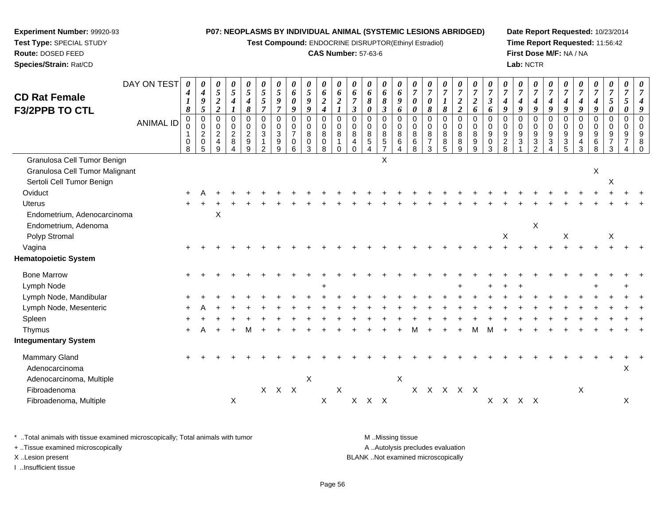**Test Compound:** ENDOCRINE DISRUPTOR(Ethinyl Estradiol)

#### **CAS Number:** 57-63-6

**Date Report Requested:** 10/23/2014**Time Report Requested:** 11:56:42**First Dose M/F:** NA / NA**Lab:** NCTR

| <b>CD Rat Female</b>                                | DAY ON TEST      | 0<br>4      | 0<br>$\boldsymbol{4}$                                                | 0<br>$\mathfrak{s}$                                             | 0<br>5                             | 0<br>$5\phantom{.0}$               | $\boldsymbol{\theta}$<br>$\mathfrak{s}$ | 0<br>$\mathfrak{s}$                                      | $\boldsymbol{\theta}$<br>6                   | 0<br>$5\overline{)}$                      | 0<br>6                               | 0<br>6                  | 0<br>6                                        | 0<br>$\pmb{6}$                             | 0<br>6                                                 | 0<br>6                          | $\overline{7}$               | $\overline{7}$                                             | 0<br>$\boldsymbol{7}$             | $\boldsymbol{\theta}$<br>$\boldsymbol{7}$       | 0<br>$\overline{7}$                  | $\boldsymbol{\theta}$<br>$\overline{7}$ | $\overline{7}$                                          | 0<br>$\boldsymbol{7}$                             | 0<br>$\boldsymbol{7}$                                                       | $\boldsymbol{\theta}$<br>$\overline{7}$ | $\overline{7}$                         | $\overline{7}$                                           | $\boldsymbol{\theta}$<br>$\boldsymbol{7}$ | 0<br>$\overline{7}$                                    | 0<br>$\overline{7}$ |  |
|-----------------------------------------------------|------------------|-------------|----------------------------------------------------------------------|-----------------------------------------------------------------|------------------------------------|------------------------------------|-----------------------------------------|----------------------------------------------------------|----------------------------------------------|-------------------------------------------|--------------------------------------|-------------------------|-----------------------------------------------|--------------------------------------------|--------------------------------------------------------|---------------------------------|------------------------------|------------------------------------------------------------|-----------------------------------|-------------------------------------------------|--------------------------------------|-----------------------------------------|---------------------------------------------------------|---------------------------------------------------|-----------------------------------------------------------------------------|-----------------------------------------|----------------------------------------|----------------------------------------------------------|-------------------------------------------|--------------------------------------------------------|---------------------|--|
| <b>F3/2PPB TO CTL</b>                               |                  | 1<br>8      | 9<br>$\mathfrak{s}$                                                  | $\boldsymbol{2}$<br>$\boldsymbol{2}$                            | $\boldsymbol{4}$<br>1              | 4<br>8                             | 5<br>$\overline{7}$                     | 9<br>$\overline{7}$                                      | 0<br>9                                       | 9<br>9                                    | $\boldsymbol{2}$<br>$\boldsymbol{4}$ | $\boldsymbol{2}$        | $\overline{7}$<br>$\boldsymbol{\beta}$        | 8<br>0                                     | 8<br>$\boldsymbol{\beta}$                              | 9<br>6                          | 0<br>0                       | $\boldsymbol{\theta}$<br>8                                 | 1<br>8                            | $\boldsymbol{2}$<br>$\overline{\mathbf{c}}$     | $\boldsymbol{2}$<br>6                | $\mathfrak{z}$<br>6                     | 4<br>$\boldsymbol{q}$                                   | 4<br>9                                            | $\boldsymbol{4}$<br>9                                                       | 4<br>9                                  | 4<br>9                                 | 4<br>9                                                   | $\boldsymbol{4}$<br>9                     | 5<br>0                                                 | 5<br>0              |  |
|                                                     | <b>ANIMAL ID</b> | 0<br>0<br>8 | $\pmb{0}$<br>$\pmb{0}$<br>$\overline{2}$<br>$\mathsf{O}\xspace$<br>5 | $\pmb{0}$<br>$\pmb{0}$<br>$\overline{2}$<br>$\overline{4}$<br>9 | 0<br>0<br>$\overline{2}$<br>8<br>4 | 0<br>0<br>$\overline{2}$<br>9<br>9 | $\mathbf 0$<br>0<br>3<br>2              | $\mathbf 0$<br>$\pmb{0}$<br>$\overline{3}$<br>$9\,$<br>9 | 0<br>0<br>$\overline{7}$<br>$\mathbf 0$<br>6 | $\mathbf 0$<br>$\mathbf 0$<br>8<br>0<br>3 | 0<br>0<br>$\overline{8}$<br>0<br>8   | $\Omega$<br>0<br>8<br>0 | $\Omega$<br>$\mathbf 0$<br>8<br>4<br>$\Omega$ | $\Omega$<br>0<br>$\bf8$<br>$\sqrt{5}$<br>4 | $\mathbf 0$<br>$\mathbf 0$<br>8<br>5<br>$\overline{7}$ | $\mathbf 0$<br>0<br>8<br>6<br>4 | $\Omega$<br>0<br>8<br>6<br>8 | $\mathbf 0$<br>$\pmb{0}$<br>$\,8\,$<br>$\overline{7}$<br>3 | 0<br>0<br>$\,8\,$<br>$\bf 8$<br>5 | $\mathbf 0$<br>$\mathbf 0$<br>$\,8\,$<br>8<br>9 | 0<br>0<br>8<br>$\boldsymbol{9}$<br>9 | $\mathbf 0$<br>0<br>9<br>0<br>3         | $\Omega$<br>$\mathbf 0$<br>$9\,$<br>$\overline{c}$<br>8 | $\Omega$<br>0<br>$\boldsymbol{9}$<br>$\mathbf{3}$ | $\Omega$<br>$\mathbf 0$<br>$\boldsymbol{9}$<br>$\sqrt{3}$<br>$\overline{2}$ | $\Omega$<br>0<br>$\boldsymbol{9}$<br>3  | $\mathbf 0$<br>0<br>9<br>$\frac{3}{5}$ | $\mathbf 0$<br>$\mathbf 0$<br>$\boldsymbol{9}$<br>4<br>3 | 0<br>0<br>$\boldsymbol{9}$<br>$\,6$<br>8  | $\mathbf 0$<br>$\mathbf 0$<br>9<br>$\overline{7}$<br>3 | 0<br>$\Omega$<br>9  |  |
| Granulosa Cell Tumor Benign                         |                  |             |                                                                      |                                                                 |                                    |                                    |                                         |                                                          |                                              |                                           |                                      |                         |                                               |                                            | X                                                      |                                 |                              |                                                            |                                   |                                                 |                                      |                                         |                                                         |                                                   |                                                                             |                                         |                                        |                                                          |                                           |                                                        |                     |  |
| Granulosa Cell Tumor Malignant                      |                  |             |                                                                      |                                                                 |                                    |                                    |                                         |                                                          |                                              |                                           |                                      |                         |                                               |                                            |                                                        |                                 |                              |                                                            |                                   |                                                 |                                      |                                         |                                                         |                                                   |                                                                             |                                         |                                        |                                                          | X                                         |                                                        |                     |  |
| Sertoli Cell Tumor Benign                           |                  |             |                                                                      |                                                                 |                                    |                                    |                                         |                                                          |                                              |                                           |                                      |                         |                                               |                                            |                                                        |                                 |                              |                                                            |                                   |                                                 |                                      |                                         |                                                         |                                                   |                                                                             |                                         |                                        |                                                          |                                           | $\boldsymbol{\mathsf{X}}$                              |                     |  |
| Oviduct                                             |                  | $\pm$       |                                                                      |                                                                 |                                    |                                    |                                         |                                                          |                                              |                                           |                                      |                         |                                               |                                            |                                                        |                                 |                              |                                                            |                                   |                                                 |                                      |                                         |                                                         |                                                   |                                                                             |                                         |                                        |                                                          |                                           |                                                        |                     |  |
| <b>Uterus</b>                                       |                  |             |                                                                      |                                                                 |                                    |                                    |                                         |                                                          |                                              |                                           |                                      |                         |                                               |                                            |                                                        |                                 |                              |                                                            |                                   |                                                 |                                      |                                         |                                                         |                                                   |                                                                             |                                         |                                        |                                                          |                                           |                                                        |                     |  |
| Endometrium, Adenocarcinoma<br>Endometrium, Adenoma |                  |             |                                                                      | Χ                                                               |                                    |                                    |                                         |                                                          |                                              |                                           |                                      |                         |                                               |                                            |                                                        |                                 |                              |                                                            |                                   |                                                 |                                      |                                         |                                                         |                                                   | $\sf X$                                                                     |                                         |                                        |                                                          |                                           |                                                        |                     |  |
| Polyp Stromal                                       |                  |             |                                                                      |                                                                 |                                    |                                    |                                         |                                                          |                                              |                                           |                                      |                         |                                               |                                            |                                                        |                                 |                              |                                                            |                                   |                                                 |                                      |                                         | X                                                       |                                                   |                                                                             |                                         | $\pmb{\times}$                         |                                                          |                                           | X                                                      |                     |  |
| Vagina                                              |                  |             |                                                                      |                                                                 |                                    |                                    |                                         |                                                          |                                              |                                           |                                      |                         |                                               |                                            |                                                        |                                 |                              |                                                            |                                   |                                                 |                                      |                                         |                                                         |                                                   |                                                                             |                                         |                                        |                                                          |                                           |                                                        |                     |  |
| <b>Hematopoietic System</b>                         |                  |             |                                                                      |                                                                 |                                    |                                    |                                         |                                                          |                                              |                                           |                                      |                         |                                               |                                            |                                                        |                                 |                              |                                                            |                                   |                                                 |                                      |                                         |                                                         |                                                   |                                                                             |                                         |                                        |                                                          |                                           |                                                        |                     |  |
| <b>Bone Marrow</b>                                  |                  |             |                                                                      |                                                                 |                                    |                                    |                                         |                                                          |                                              |                                           |                                      |                         |                                               |                                            |                                                        |                                 |                              |                                                            |                                   |                                                 |                                      |                                         |                                                         |                                                   |                                                                             |                                         |                                        |                                                          |                                           |                                                        |                     |  |
| Lymph Node                                          |                  |             |                                                                      |                                                                 |                                    |                                    |                                         |                                                          |                                              |                                           |                                      |                         |                                               |                                            |                                                        |                                 |                              |                                                            |                                   |                                                 |                                      |                                         |                                                         |                                                   |                                                                             |                                         |                                        |                                                          |                                           |                                                        |                     |  |
| Lymph Node, Mandibular                              |                  |             |                                                                      |                                                                 |                                    |                                    |                                         |                                                          |                                              |                                           |                                      |                         |                                               |                                            |                                                        |                                 |                              |                                                            |                                   |                                                 |                                      |                                         |                                                         |                                                   |                                                                             |                                         |                                        |                                                          |                                           |                                                        |                     |  |
| Lymph Node, Mesenteric                              |                  |             |                                                                      |                                                                 |                                    |                                    |                                         |                                                          |                                              |                                           |                                      |                         |                                               |                                            |                                                        |                                 |                              |                                                            |                                   |                                                 |                                      |                                         |                                                         |                                                   |                                                                             |                                         |                                        |                                                          |                                           |                                                        |                     |  |
| Spleen                                              |                  |             |                                                                      |                                                                 |                                    |                                    |                                         |                                                          |                                              |                                           |                                      |                         |                                               |                                            |                                                        |                                 |                              |                                                            |                                   |                                                 |                                      |                                         |                                                         |                                                   |                                                                             |                                         |                                        |                                                          |                                           |                                                        |                     |  |
| Thymus                                              |                  |             |                                                                      |                                                                 |                                    |                                    |                                         |                                                          |                                              |                                           |                                      |                         |                                               |                                            |                                                        |                                 |                              |                                                            |                                   |                                                 |                                      |                                         |                                                         |                                                   |                                                                             |                                         |                                        |                                                          |                                           |                                                        |                     |  |
| <b>Integumentary System</b>                         |                  |             |                                                                      |                                                                 |                                    |                                    |                                         |                                                          |                                              |                                           |                                      |                         |                                               |                                            |                                                        |                                 |                              |                                                            |                                   |                                                 |                                      |                                         |                                                         |                                                   |                                                                             |                                         |                                        |                                                          |                                           |                                                        |                     |  |
| Mammary Gland<br>Adenocarcinoma                     |                  |             |                                                                      |                                                                 |                                    |                                    |                                         |                                                          |                                              |                                           |                                      |                         |                                               |                                            |                                                        |                                 |                              |                                                            |                                   |                                                 |                                      |                                         |                                                         |                                                   |                                                                             |                                         |                                        |                                                          |                                           |                                                        | $\mathsf X$         |  |
| Adenocarcinoma, Multiple                            |                  |             |                                                                      |                                                                 |                                    |                                    |                                         |                                                          |                                              | $\boldsymbol{\mathsf{X}}$                 |                                      |                         |                                               |                                            |                                                        | $\boldsymbol{\mathsf{X}}$       |                              |                                                            |                                   |                                                 |                                      |                                         |                                                         |                                                   |                                                                             |                                         |                                        |                                                          |                                           |                                                        |                     |  |
| Fibroadenoma                                        |                  |             |                                                                      |                                                                 |                                    |                                    |                                         | $X$ $X$ $X$                                              |                                              |                                           |                                      | X                       |                                               |                                            |                                                        |                                 |                              | X X X X X                                                  |                                   |                                                 |                                      |                                         |                                                         |                                                   |                                                                             |                                         |                                        | X                                                        |                                           |                                                        |                     |  |
| Fibroadenoma, Multiple                              |                  |             |                                                                      |                                                                 | X                                  |                                    |                                         |                                                          |                                              |                                           | X                                    |                         |                                               | X X X                                      |                                                        |                                 |                              |                                                            |                                   |                                                 |                                      |                                         | X X X X                                                 |                                                   |                                                                             |                                         |                                        |                                                          |                                           |                                                        | X                   |  |
|                                                     |                  |             |                                                                      |                                                                 |                                    |                                    |                                         |                                                          |                                              |                                           |                                      |                         |                                               |                                            |                                                        |                                 |                              |                                                            |                                   |                                                 |                                      |                                         |                                                         |                                                   |                                                                             |                                         |                                        |                                                          |                                           |                                                        |                     |  |

\* ..Total animals with tissue examined microscopically; Total animals with tumor **M** . Missing tissue M ..Missing tissue A ..Autolysis precludes evaluation + ..Tissue examined microscopically X ..Lesion present BLANK ..Not examined microscopically

I ..Insufficient tissue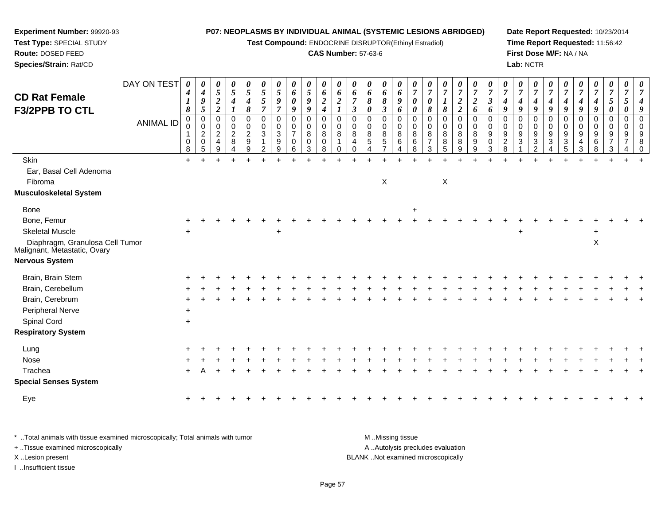**Test Compound:** ENDOCRINE DISRUPTOR(Ethinyl Estradiol)

#### **CAS Number:** 57-63-6

**Date Report Requested:** 10/23/2014**Time Report Requested:** 11:56:42**First Dose M/F:** NA / NA**Lab:** NCTR

|                                                                 | DAY ON TEST      | 0<br>4                | 0<br>$\boldsymbol{4}$                                         | 0<br>$\sqrt{5}$                                                     | 0<br>$\overline{5}$                          | $\boldsymbol{\theta}$<br>5                                           | 0<br>$\mathfrak{H}$                           | 0<br>$\mathfrak{S}$   | 0<br>6                                           | 0<br>$\mathfrak{s}$                                                 | 0<br>6                                           | $\boldsymbol{\theta}$<br>6                                       | 0<br>6                                        | 0<br>6                                   | 0<br>$\boldsymbol{6}$                     | $\boldsymbol{\theta}$<br>6          | $\boldsymbol{\theta}$<br>$\overline{7}$        | $\frac{\theta}{7}$                                      | 0<br>$\boldsymbol{7}$           | $\frac{\boldsymbol{0}}{7}$                | $\boldsymbol{\theta}$<br>$\boldsymbol{7}$ | $\boldsymbol{\theta}$<br>$\overline{7}$                                | 0<br>$\overline{7}$                         | $\frac{\theta}{7}$                            | 0<br>$\overline{7}$                       | $\boldsymbol{\theta}$<br>$\overline{7}$ | 0<br>$\overline{7}$                                         | 0<br>$\boldsymbol{7}$                      | $\boldsymbol{\theta}$<br>$\overline{7}$     | $\boldsymbol{\theta}$<br>$\overline{7}$      | 0<br>$\boldsymbol{7}$                        | $\boldsymbol{\theta}$<br>$\overline{7}$          |
|-----------------------------------------------------------------|------------------|-----------------------|---------------------------------------------------------------|---------------------------------------------------------------------|----------------------------------------------|----------------------------------------------------------------------|-----------------------------------------------|-----------------------|--------------------------------------------------|---------------------------------------------------------------------|--------------------------------------------------|------------------------------------------------------------------|-----------------------------------------------|------------------------------------------|-------------------------------------------|-------------------------------------|------------------------------------------------|---------------------------------------------------------|---------------------------------|-------------------------------------------|-------------------------------------------|------------------------------------------------------------------------|---------------------------------------------|-----------------------------------------------|-------------------------------------------|-----------------------------------------|-------------------------------------------------------------|--------------------------------------------|---------------------------------------------|----------------------------------------------|----------------------------------------------|--------------------------------------------------|
| <b>CD Rat Female</b><br><b>F3/2PPB TO CTL</b>                   |                  | $\boldsymbol{l}$<br>8 | 9<br>5                                                        | $\sqrt{2}$<br>$\overline{2}$                                        | $\boldsymbol{4}$<br>$\boldsymbol{l}$         | $\boldsymbol{4}$<br>8                                                | 5<br>$\overline{7}$                           | 9<br>$\overline{7}$   | $\pmb{\theta}$<br>9                              | 9<br>9                                                              | $\boldsymbol{2}$<br>$\boldsymbol{4}$             | $\boldsymbol{2}$<br>$\boldsymbol{l}$                             | $\overline{7}$<br>$\boldsymbol{\beta}$        | $\boldsymbol{\delta}$<br>0               | $\pmb{8}$<br>$\mathfrak{z}$               | $\boldsymbol{9}$<br>6               | $\boldsymbol{\theta}$<br>$\boldsymbol{\theta}$ | $\boldsymbol{\theta}$<br>8                              | $\boldsymbol{l}$<br>8           | $\boldsymbol{2}$<br>$\overline{2}$        | $\boldsymbol{2}$<br>6                     | $\boldsymbol{\beta}$<br>6                                              | $\boldsymbol{4}$<br>9                       | $\boldsymbol{4}$<br>$\boldsymbol{9}$          | 4<br>9                                    | $\boldsymbol{4}$<br>$\boldsymbol{g}$    | 4<br>9                                                      | $\boldsymbol{4}$<br>9                      | $\boldsymbol{4}$<br>9                       | $\mathfrak{s}$<br>$\boldsymbol{\theta}$      | 5<br>0                                       | $\boldsymbol{4}$<br>9                            |
|                                                                 | <b>ANIMAL ID</b> | $\mathbf 0$<br>0<br>8 | $\mathbf 0$<br>0<br>$\sqrt{2}$<br>$\pmb{0}$<br>$\overline{5}$ | $\mathbf 0$<br>$\mathbf 0$<br>$\overline{2}$<br>$\overline{4}$<br>9 | $\mathbf 0$<br>0<br>$\overline{c}$<br>8<br>4 | $\mathbf 0$<br>0<br>$\overline{\mathbf{c}}$<br>$\boldsymbol{9}$<br>9 | 0<br>0<br>3<br>$\mathbf{1}$<br>$\overline{2}$ | 0<br>0<br>3<br>9<br>9 | 0<br>0<br>$\overline{7}$<br>$\pmb{0}$<br>$\,6\,$ | $\mathbf 0$<br>$\mathbf 0$<br>$\, 8$<br>$\pmb{0}$<br>$\overline{3}$ | $\Omega$<br>$\mathbf 0$<br>8<br>$\mathbf 0$<br>8 | $\mathbf 0$<br>$\mathbf 0$<br>8<br>$\overline{1}$<br>$\mathbf 0$ | $\Omega$<br>$\mathbf 0$<br>8<br>4<br>$\Omega$ | 0<br>0<br>$\bf 8$<br>5<br>$\overline{A}$ | $\mathbf 0$<br>$\pmb{0}$<br>$\frac{8}{5}$ | $\mathbf 0$<br>0<br>8<br>$\,6$<br>4 | $\mathbf 0$<br>$\mathbf 0$<br>8<br>$\,6$<br>8  | 0<br>$\mathbf 0$<br>8<br>$\overline{7}$<br>$\mathbf{3}$ | $\mathbf 0$<br>0<br>8<br>8<br>5 | $\mathbf 0$<br>0<br>8<br>$\bf 8$<br>$9\,$ | $\mathbf 0$<br>0<br>8<br>$^9_9$           | $\Omega$<br>$\mathbf 0$<br>$\boldsymbol{9}$<br>$\pmb{0}$<br>$\sqrt{3}$ | 0<br>0<br>$\boldsymbol{9}$<br>$\frac{2}{8}$ | $\mathbf 0$<br>$\mathbf 0$<br>9<br>$\sqrt{3}$ | $\Omega$<br>0<br>9<br>3<br>$\overline{c}$ | 0<br>0<br>9<br>$\mathbf{3}$<br>4        | $\mathbf 0$<br>0<br>$\boldsymbol{9}$<br>3<br>$\overline{5}$ | 0<br>$\mathbf 0$<br>9<br>4<br>$\mathbf{3}$ | $\Omega$<br>$\mathbf 0$<br>9<br>6<br>$\bf8$ | $\mathbf 0$<br>0<br>9<br>$\overline{7}$<br>3 | $\mathbf 0$<br>0<br>9<br>$\overline{7}$<br>4 | $\Omega$<br>$\mathbf 0$<br>9<br>8<br>$\mathbf 0$ |
| Skin                                                            |                  | $+$                   |                                                               | ÷                                                                   | ÷                                            | ÷                                                                    |                                               |                       | $\ddot{}$                                        | $\overline{ }$                                                      |                                                  |                                                                  |                                               |                                          |                                           |                                     |                                                |                                                         |                                 |                                           |                                           |                                                                        |                                             |                                               |                                           |                                         |                                                             |                                            |                                             |                                              |                                              |                                                  |
| Ear, Basal Cell Adenoma<br>Fibroma                              |                  |                       |                                                               |                                                                     |                                              |                                                                      |                                               |                       |                                                  |                                                                     |                                                  |                                                                  |                                               |                                          | $\pmb{\times}$                            |                                     |                                                |                                                         | $\mathsf X$                     |                                           |                                           |                                                                        |                                             |                                               |                                           |                                         |                                                             |                                            |                                             |                                              |                                              |                                                  |
| Musculoskeletal System                                          |                  |                       |                                                               |                                                                     |                                              |                                                                      |                                               |                       |                                                  |                                                                     |                                                  |                                                                  |                                               |                                          |                                           |                                     |                                                |                                                         |                                 |                                           |                                           |                                                                        |                                             |                                               |                                           |                                         |                                                             |                                            |                                             |                                              |                                              |                                                  |
| Bone                                                            |                  |                       |                                                               |                                                                     |                                              |                                                                      |                                               |                       |                                                  |                                                                     |                                                  |                                                                  |                                               |                                          |                                           |                                     | $\ddot{}$                                      |                                                         |                                 |                                           |                                           |                                                                        |                                             |                                               |                                           |                                         |                                                             |                                            |                                             |                                              |                                              |                                                  |
| Bone, Femur                                                     |                  |                       |                                                               |                                                                     |                                              |                                                                      |                                               |                       |                                                  |                                                                     |                                                  |                                                                  |                                               |                                          |                                           |                                     |                                                |                                                         |                                 |                                           |                                           |                                                                        |                                             |                                               |                                           |                                         |                                                             |                                            |                                             |                                              |                                              |                                                  |
| <b>Skeletal Muscle</b>                                          |                  | $\ddot{}$             |                                                               |                                                                     |                                              |                                                                      |                                               | $\ddot{}$             |                                                  |                                                                     |                                                  |                                                                  |                                               |                                          |                                           |                                     |                                                |                                                         |                                 |                                           |                                           |                                                                        |                                             | $\ddot{}$                                     |                                           |                                         |                                                             |                                            |                                             |                                              |                                              |                                                  |
| Diaphragm, Granulosa Cell Tumor<br>Malignant, Metastatic, Ovary |                  |                       |                                                               |                                                                     |                                              |                                                                      |                                               |                       |                                                  |                                                                     |                                                  |                                                                  |                                               |                                          |                                           |                                     |                                                |                                                         |                                 |                                           |                                           |                                                                        |                                             |                                               |                                           |                                         |                                                             |                                            | $\pmb{\times}$                              |                                              |                                              |                                                  |
| Nervous System                                                  |                  |                       |                                                               |                                                                     |                                              |                                                                      |                                               |                       |                                                  |                                                                     |                                                  |                                                                  |                                               |                                          |                                           |                                     |                                                |                                                         |                                 |                                           |                                           |                                                                        |                                             |                                               |                                           |                                         |                                                             |                                            |                                             |                                              |                                              |                                                  |
| Brain, Brain Stem                                               |                  |                       |                                                               |                                                                     |                                              |                                                                      |                                               |                       |                                                  |                                                                     |                                                  |                                                                  |                                               |                                          |                                           |                                     |                                                |                                                         |                                 |                                           |                                           |                                                                        |                                             |                                               |                                           |                                         |                                                             |                                            |                                             |                                              |                                              |                                                  |
| Brain, Cerebellum                                               |                  |                       |                                                               |                                                                     |                                              |                                                                      |                                               |                       |                                                  |                                                                     |                                                  |                                                                  |                                               |                                          |                                           |                                     |                                                |                                                         |                                 |                                           |                                           |                                                                        |                                             |                                               |                                           |                                         |                                                             |                                            |                                             |                                              |                                              |                                                  |
| Brain, Cerebrum                                                 |                  |                       |                                                               |                                                                     |                                              |                                                                      |                                               |                       |                                                  |                                                                     |                                                  |                                                                  |                                               |                                          |                                           |                                     |                                                |                                                         |                                 |                                           |                                           |                                                                        |                                             |                                               |                                           |                                         |                                                             |                                            |                                             |                                              |                                              |                                                  |
| Peripheral Nerve                                                |                  | $\pm$                 |                                                               |                                                                     |                                              |                                                                      |                                               |                       |                                                  |                                                                     |                                                  |                                                                  |                                               |                                          |                                           |                                     |                                                |                                                         |                                 |                                           |                                           |                                                                        |                                             |                                               |                                           |                                         |                                                             |                                            |                                             |                                              |                                              |                                                  |
| Spinal Cord                                                     |                  | $+$                   |                                                               |                                                                     |                                              |                                                                      |                                               |                       |                                                  |                                                                     |                                                  |                                                                  |                                               |                                          |                                           |                                     |                                                |                                                         |                                 |                                           |                                           |                                                                        |                                             |                                               |                                           |                                         |                                                             |                                            |                                             |                                              |                                              |                                                  |
| <b>Respiratory System</b>                                       |                  |                       |                                                               |                                                                     |                                              |                                                                      |                                               |                       |                                                  |                                                                     |                                                  |                                                                  |                                               |                                          |                                           |                                     |                                                |                                                         |                                 |                                           |                                           |                                                                        |                                             |                                               |                                           |                                         |                                                             |                                            |                                             |                                              |                                              |                                                  |
| Lung                                                            |                  |                       |                                                               |                                                                     |                                              |                                                                      |                                               |                       |                                                  |                                                                     |                                                  |                                                                  |                                               |                                          |                                           |                                     |                                                |                                                         |                                 |                                           |                                           |                                                                        |                                             |                                               |                                           |                                         |                                                             |                                            |                                             |                                              |                                              |                                                  |
| Nose                                                            |                  |                       |                                                               |                                                                     |                                              |                                                                      |                                               |                       |                                                  |                                                                     |                                                  |                                                                  |                                               |                                          |                                           |                                     |                                                |                                                         |                                 |                                           |                                           |                                                                        |                                             |                                               |                                           |                                         |                                                             |                                            |                                             |                                              |                                              |                                                  |
| Trachea                                                         |                  |                       |                                                               |                                                                     |                                              |                                                                      |                                               |                       |                                                  |                                                                     |                                                  |                                                                  |                                               |                                          |                                           |                                     |                                                |                                                         |                                 |                                           |                                           |                                                                        |                                             |                                               |                                           |                                         |                                                             |                                            |                                             |                                              |                                              |                                                  |
| <b>Special Senses System</b>                                    |                  |                       |                                                               |                                                                     |                                              |                                                                      |                                               |                       |                                                  |                                                                     |                                                  |                                                                  |                                               |                                          |                                           |                                     |                                                |                                                         |                                 |                                           |                                           |                                                                        |                                             |                                               |                                           |                                         |                                                             |                                            |                                             |                                              |                                              |                                                  |
| Eye                                                             |                  |                       |                                                               |                                                                     |                                              |                                                                      |                                               |                       |                                                  |                                                                     |                                                  |                                                                  |                                               |                                          |                                           |                                     |                                                |                                                         |                                 |                                           |                                           |                                                                        |                                             |                                               |                                           |                                         |                                                             |                                            |                                             |                                              |                                              |                                                  |
|                                                                 |                  |                       |                                                               |                                                                     |                                              |                                                                      |                                               |                       |                                                  |                                                                     |                                                  |                                                                  |                                               |                                          |                                           |                                     |                                                |                                                         |                                 |                                           |                                           |                                                                        |                                             |                                               |                                           |                                         |                                                             |                                            |                                             |                                              |                                              |                                                  |

\* ..Total animals with tissue examined microscopically; Total animals with tumor **M** . Missing tissue M ..Missing tissue A ..Autolysis precludes evaluation + ..Tissue examined microscopically X ..Lesion present BLANK ..Not examined microscopicallyI ..Insufficient tissue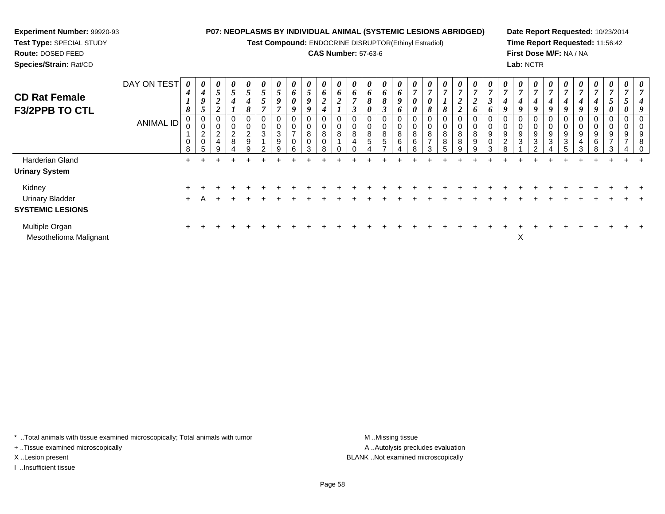**Test Compound:** ENDOCRINE DISRUPTOR(Ethinyl Estradiol)

# **CAS Number:** 57-63-6

**Date Report Requested:** 10/23/2014**Time Report Requested:** 11:56:42**First Dose M/F:** NA / NA**Lab:** NCTR

| <b>CD Rat Female</b><br><b>F3/2PPB TO CTL</b> | DAY ON TEST<br>ANIMAL ID | 0<br>$\boldsymbol{4}$<br>1<br>8<br>$\pmb{0}$<br>0<br>0<br>8 | U<br>$\boldsymbol{4}$<br>$\boldsymbol{g}$<br>$\mathcal{L}$<br>0<br>0<br>$^2_{\rm 0}$<br>5 | $\boldsymbol{\theta}$<br>$\epsilon$<br>$\mathcal{L}$<br>$\mathbf{\hat{z}}$<br>◢<br>$\mathbf{\hat{z}}$<br>2<br>4<br>g | $\boldsymbol{\theta}$<br>$5\overline{)}$<br>$\boldsymbol{4}$<br>0<br>$\overline{c}$<br>8 | U<br>$\mathfrak{s}$<br>4<br>U<br>0<br>$\Omega$<br>$\epsilon$<br>$\boldsymbol{9}$<br>9 | $\boldsymbol{\theta}$<br>$\overline{5}$<br>$\overline{5}$<br>0<br>0<br>3 | U<br>5<br>9<br>0<br>$\pmb{0}$<br>3<br>$\boldsymbol{9}$ | $\boldsymbol{\theta}$<br>6<br>$\pmb{\theta}$<br>o<br>0<br>0<br>⇁<br>0<br>ĥ | $\boldsymbol{\theta}$<br>$\mathfrak{s}$<br>9<br>0<br>0<br>8<br>0<br>3 | $\boldsymbol{\theta}$<br>6<br>$\mathbf{\Omega}$<br>◢<br>U<br>0<br>8<br>$\mathbf 0$<br>8 | $\boldsymbol{\mathit{U}}$<br>6<br>∠<br>0<br>8 | U<br>6<br>3<br>0<br>8<br>4 | $\boldsymbol{\theta}$<br>6<br>8<br>0<br>0<br>8<br>5 | $\boldsymbol{\theta}$<br>6<br>8<br>U<br>8<br>5 | $\boldsymbol{\theta}$<br>6<br>9<br>o<br>0<br>0<br>8<br>$\,6$ | U<br>$\overline{ }$<br>0<br>0<br>0<br>0<br>8<br>6<br>8 | U<br>z<br>0<br>8<br>υ<br>0<br>8<br>$\overline{ }$<br>$\sqrt{2}$ | $\boldsymbol{\theta}$<br>$\overline{ }$<br>L<br>8<br>0<br>0<br>8<br>8 | U<br>$\boldsymbol{7}$<br>$\boldsymbol{2}$<br>$\overline{2}$<br>0<br>8<br>8 | $\boldsymbol{\theta}$<br>$\overline{ }$<br>-<br>◢<br>6<br>0<br>$\pmb{0}$<br>8<br>$\boldsymbol{9}$<br>9 | $\boldsymbol{\mathit{U}}$<br>7<br>J<br>$\bm{o}$<br>0<br>9<br>0<br>3 | U<br>4<br>- 0<br>9<br>$\overline{c}$<br>$\Omega$ | $\boldsymbol{\theta}$<br>$\overline{ }$<br>4<br>9<br>0<br>0<br>9<br>3 | $\boldsymbol{\theta}$<br>$\overline{ }$<br>4<br>9<br>3 | $\boldsymbol{\theta}$<br>$\overline{ }$<br>4<br>o<br>0<br>0<br>9<br>$\ensuremath{\mathsf{3}}$ | U<br>$\overline{ }$<br>4<br>Q<br>0<br>9<br>3<br>5 | $\boldsymbol{\mathit{U}}$<br>4<br>0<br>9<br>4<br>$\mathcal{R}$ | $\boldsymbol{\theta}$<br>$\overline{7}$<br>4<br>9<br>0<br>0<br>9<br>$\,6\,$<br>8 | $\boldsymbol{\theta}$<br>$\overline{7}$<br>5<br>0<br>0<br>9<br>$\overline{ }$ | $\boldsymbol{\theta}$<br>$\overline{ }$<br>0<br>0<br>9 | $\boldsymbol{v}$ |
|-----------------------------------------------|--------------------------|-------------------------------------------------------------|-------------------------------------------------------------------------------------------|----------------------------------------------------------------------------------------------------------------------|------------------------------------------------------------------------------------------|---------------------------------------------------------------------------------------|--------------------------------------------------------------------------|--------------------------------------------------------|----------------------------------------------------------------------------|-----------------------------------------------------------------------|-----------------------------------------------------------------------------------------|-----------------------------------------------|----------------------------|-----------------------------------------------------|------------------------------------------------|--------------------------------------------------------------|--------------------------------------------------------|-----------------------------------------------------------------|-----------------------------------------------------------------------|----------------------------------------------------------------------------|--------------------------------------------------------------------------------------------------------|---------------------------------------------------------------------|--------------------------------------------------|-----------------------------------------------------------------------|--------------------------------------------------------|-----------------------------------------------------------------------------------------------|---------------------------------------------------|----------------------------------------------------------------|----------------------------------------------------------------------------------|-------------------------------------------------------------------------------|--------------------------------------------------------|------------------|
| Harderian Gland                               |                          | $\pm$                                                       |                                                                                           |                                                                                                                      |                                                                                          |                                                                                       |                                                                          |                                                        |                                                                            |                                                                       |                                                                                         |                                               |                            |                                                     |                                                |                                                              |                                                        |                                                                 |                                                                       |                                                                            |                                                                                                        |                                                                     |                                                  |                                                                       |                                                        |                                                                                               |                                                   |                                                                |                                                                                  |                                                                               |                                                        |                  |
| <b>Urinary System</b>                         |                          |                                                             |                                                                                           |                                                                                                                      |                                                                                          |                                                                                       |                                                                          |                                                        |                                                                            |                                                                       |                                                                                         |                                               |                            |                                                     |                                                |                                                              |                                                        |                                                                 |                                                                       |                                                                            |                                                                                                        |                                                                     |                                                  |                                                                       |                                                        |                                                                                               |                                                   |                                                                |                                                                                  |                                                                               |                                                        |                  |
| Kidney                                        |                          |                                                             |                                                                                           |                                                                                                                      |                                                                                          |                                                                                       |                                                                          |                                                        |                                                                            |                                                                       |                                                                                         |                                               |                            |                                                     |                                                |                                                              |                                                        |                                                                 |                                                                       |                                                                            |                                                                                                        |                                                                     |                                                  |                                                                       |                                                        |                                                                                               |                                                   |                                                                |                                                                                  |                                                                               |                                                        |                  |
| <b>Urinary Bladder</b>                        |                          | $+$                                                         | A                                                                                         |                                                                                                                      |                                                                                          |                                                                                       |                                                                          |                                                        |                                                                            |                                                                       |                                                                                         |                                               |                            |                                                     |                                                |                                                              |                                                        |                                                                 |                                                                       |                                                                            |                                                                                                        |                                                                     |                                                  |                                                                       |                                                        |                                                                                               |                                                   |                                                                |                                                                                  |                                                                               |                                                        |                  |
| <b>SYSTEMIC LESIONS</b>                       |                          |                                                             |                                                                                           |                                                                                                                      |                                                                                          |                                                                                       |                                                                          |                                                        |                                                                            |                                                                       |                                                                                         |                                               |                            |                                                     |                                                |                                                              |                                                        |                                                                 |                                                                       |                                                                            |                                                                                                        |                                                                     |                                                  |                                                                       |                                                        |                                                                                               |                                                   |                                                                |                                                                                  |                                                                               |                                                        |                  |
| Multiple Organ<br>Mesothelioma Malignant      |                          |                                                             |                                                                                           |                                                                                                                      |                                                                                          |                                                                                       |                                                                          |                                                        |                                                                            |                                                                       |                                                                                         |                                               |                            |                                                     |                                                |                                                              |                                                        |                                                                 |                                                                       |                                                                            |                                                                                                        |                                                                     |                                                  | X                                                                     |                                                        |                                                                                               |                                                   |                                                                |                                                                                  |                                                                               |                                                        |                  |

\* ..Total animals with tissue examined microscopically; Total animals with tumor **M** . Missing tissue M ..Missing tissue

+ ..Tissue examined microscopically

**Experiment Number:** 99920-93**Test Type:** SPECIAL STUDY**Route:** DOSED FEED**Species/Strain:** Rat/CD

I ..Insufficient tissue

A ..Autolysis precludes evaluation X ..Lesion present BLANK ..Not examined microscopically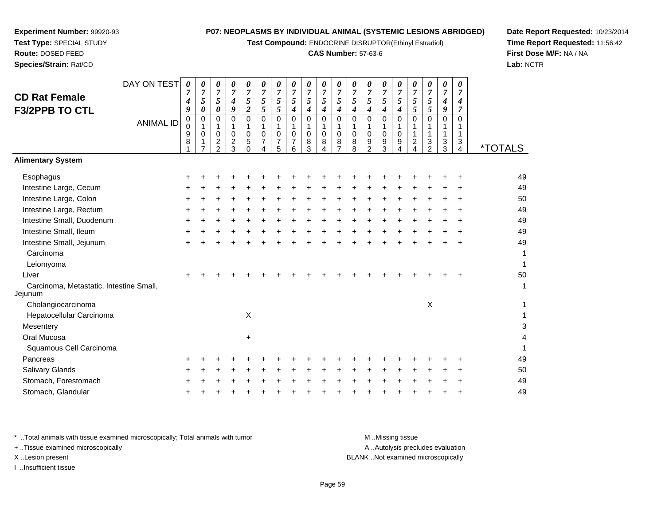**Test Compound:** ENDOCRINE DISRUPTOR(Ethinyl Estradiol)

### **CAS Number:** 57-63-6

**Date Report Requested:** 10/23/2014**Time Report Requested:** 11:56:42**First Dose M/F:** NA / NA**Lab:** NCTR

| DAY ON TEST<br><b>CD Rat Female</b><br><b>F3/2PPB TO CTL</b> | 0<br>$\overline{7}$<br>4<br>9 | 0<br>$\overline{7}$<br>5<br>0 | 0<br>$\overline{7}$<br>$\mathfrak{s}$<br>0   | 0<br>$\boldsymbol{7}$<br>$\boldsymbol{4}$<br>9                 | 0<br>$\overline{7}$<br>5<br>$\overline{\mathbf{c}}$ | 0<br>$\boldsymbol{7}$<br>5<br>5    | 0<br>$\overline{7}$<br>$\sqrt{5}$<br>5     | 0<br>$\overline{7}$<br>5<br>$\boldsymbol{4}$ | 0<br>$\overline{7}$<br>5<br>4                    | 0<br>$\boldsymbol{7}$<br>5<br>4                              | 0<br>7<br>5<br>4 | 0<br>$\overline{7}$<br>$\sqrt{5}$<br>4        | 0<br>$\overline{7}$<br>5<br>4                | 0<br>$\boldsymbol{7}$<br>5<br>$\boldsymbol{4}$ | 0<br>$\overline{7}$<br>5<br>4 | 0<br>$\overline{7}$<br>$\mathfrak{s}$<br>5                  | 0<br>$\overline{7}$<br>$\mathfrak{s}$<br>5            | 0<br>$\overline{7}$<br>$\boldsymbol{4}$<br>9                       | 0<br>7<br>4<br>7                              |                           |
|--------------------------------------------------------------|-------------------------------|-------------------------------|----------------------------------------------|----------------------------------------------------------------|-----------------------------------------------------|------------------------------------|--------------------------------------------|----------------------------------------------|--------------------------------------------------|--------------------------------------------------------------|------------------|-----------------------------------------------|----------------------------------------------|------------------------------------------------|-------------------------------|-------------------------------------------------------------|-------------------------------------------------------|--------------------------------------------------------------------|-----------------------------------------------|---------------------------|
| <b>ANIMAL ID</b>                                             | 0<br>$\mathbf 0$<br>9<br>8    | 0<br>1<br>0                   | 0<br>1<br>$\mathbf 0$<br>$\overline{c}$<br>2 | 0<br>$\mathbf{1}$<br>$\mathbf 0$<br>$\sqrt{2}$<br>$\mathbf{3}$ | $\mathbf 0$<br>1<br>$\mathbf 0$<br>5<br>$\Omega$    | $\mathbf 0$<br>0<br>$\overline{7}$ | $\pmb{0}$<br>1<br>0<br>$\overline{7}$<br>5 | $\pmb{0}$<br>1<br>0<br>$\overline{7}$<br>6   | $\pmb{0}$<br>$\mathbf{1}$<br>$\pmb{0}$<br>8<br>3 | $\mathbf 0$<br>$\pmb{0}$<br>$\,8\,$<br>$\boldsymbol{\Delta}$ | 0<br>0<br>8      | $\mathbf 0$<br>1<br>$\pmb{0}$<br>$\,8\,$<br>8 | $\mathbf 0$<br>1<br>0<br>9<br>$\overline{2}$ | 0<br>1<br>$\pmb{0}$<br>9<br>3                  | 0<br>1<br>0<br>9<br>Δ         | $\mathbf 0$<br>1<br>$\mathbf{1}$<br>$\sqrt{2}$<br>$\Lambda$ | $\mathbf 0$<br>1<br>1<br>$\sqrt{3}$<br>$\overline{2}$ | $\mathbf 0$<br>1<br>$\mathbf{1}$<br>$\ensuremath{\mathsf{3}}$<br>3 | $\Omega$<br>$\mathbf{1}$<br>$\mathbf{3}$<br>4 | <i><b>*TOTALS</b></i>     |
| <b>Alimentary System</b>                                     |                               |                               |                                              |                                                                |                                                     |                                    |                                            |                                              |                                                  |                                                              |                  |                                               |                                              |                                                |                               |                                                             |                                                       |                                                                    |                                               |                           |
| Esophagus                                                    | ÷                             |                               |                                              |                                                                |                                                     |                                    |                                            |                                              |                                                  |                                                              |                  |                                               |                                              |                                                |                               |                                                             |                                                       |                                                                    |                                               | 49                        |
| Intestine Large, Cecum                                       |                               |                               |                                              |                                                                |                                                     |                                    |                                            |                                              |                                                  |                                                              |                  |                                               |                                              |                                                |                               |                                                             |                                                       |                                                                    |                                               | 49                        |
| Intestine Large, Colon                                       |                               |                               |                                              |                                                                |                                                     |                                    |                                            |                                              |                                                  |                                                              |                  |                                               |                                              |                                                |                               |                                                             |                                                       |                                                                    |                                               | 50                        |
| Intestine Large, Rectum                                      | ÷                             |                               |                                              |                                                                |                                                     |                                    |                                            |                                              |                                                  |                                                              |                  |                                               |                                              |                                                |                               |                                                             |                                                       |                                                                    |                                               | 49                        |
| Intestine Small, Duodenum                                    | ÷                             |                               |                                              |                                                                |                                                     |                                    |                                            |                                              |                                                  |                                                              |                  |                                               |                                              |                                                |                               |                                                             |                                                       |                                                                    |                                               | 49                        |
| Intestine Small, Ileum                                       |                               |                               |                                              |                                                                |                                                     |                                    |                                            |                                              |                                                  |                                                              |                  |                                               |                                              |                                                |                               |                                                             |                                                       |                                                                    |                                               | 49                        |
| Intestine Small, Jejunum                                     |                               |                               |                                              |                                                                |                                                     |                                    |                                            |                                              |                                                  |                                                              |                  |                                               |                                              |                                                |                               |                                                             |                                                       |                                                                    |                                               | 49                        |
| Carcinoma                                                    |                               |                               |                                              |                                                                |                                                     |                                    |                                            |                                              |                                                  |                                                              |                  |                                               |                                              |                                                |                               |                                                             |                                                       |                                                                    |                                               | 1                         |
| Leiomyoma                                                    |                               |                               |                                              |                                                                |                                                     |                                    |                                            |                                              |                                                  |                                                              |                  |                                               |                                              |                                                |                               |                                                             |                                                       |                                                                    |                                               | $\mathbf 1$               |
| Liver                                                        |                               |                               |                                              |                                                                |                                                     |                                    |                                            |                                              |                                                  |                                                              |                  |                                               |                                              |                                                |                               |                                                             |                                                       |                                                                    |                                               | 50                        |
| Carcinoma, Metastatic, Intestine Small,<br>Jejunum           |                               |                               |                                              |                                                                |                                                     |                                    |                                            |                                              |                                                  |                                                              |                  |                                               |                                              |                                                |                               |                                                             |                                                       |                                                                    |                                               | $\mathbf{1}$              |
| Cholangiocarcinoma                                           |                               |                               |                                              |                                                                |                                                     |                                    |                                            |                                              |                                                  |                                                              |                  |                                               |                                              |                                                |                               |                                                             | Χ                                                     |                                                                    |                                               | 1                         |
| Hepatocellular Carcinoma                                     |                               |                               |                                              |                                                                | X                                                   |                                    |                                            |                                              |                                                  |                                                              |                  |                                               |                                              |                                                |                               |                                                             |                                                       |                                                                    |                                               | 1                         |
| Mesentery                                                    |                               |                               |                                              |                                                                |                                                     |                                    |                                            |                                              |                                                  |                                                              |                  |                                               |                                              |                                                |                               |                                                             |                                                       |                                                                    |                                               | $\ensuremath{\mathsf{3}}$ |
| Oral Mucosa                                                  |                               |                               |                                              |                                                                | $\ddot{}$                                           |                                    |                                            |                                              |                                                  |                                                              |                  |                                               |                                              |                                                |                               |                                                             |                                                       |                                                                    |                                               | 4                         |
| Squamous Cell Carcinoma                                      |                               |                               |                                              |                                                                |                                                     |                                    |                                            |                                              |                                                  |                                                              |                  |                                               |                                              |                                                |                               |                                                             |                                                       |                                                                    |                                               | $\mathbf{1}$              |
| Pancreas                                                     |                               |                               |                                              |                                                                |                                                     |                                    |                                            |                                              |                                                  |                                                              |                  |                                               |                                              |                                                |                               |                                                             |                                                       |                                                                    |                                               | 49                        |
| Salivary Glands                                              |                               |                               |                                              |                                                                |                                                     |                                    |                                            |                                              |                                                  |                                                              |                  |                                               |                                              |                                                |                               |                                                             |                                                       |                                                                    |                                               | 50                        |
| Stomach, Forestomach                                         |                               |                               |                                              |                                                                |                                                     |                                    |                                            |                                              |                                                  |                                                              |                  |                                               |                                              |                                                |                               |                                                             |                                                       |                                                                    |                                               | 49                        |
| Stomach, Glandular                                           |                               |                               |                                              |                                                                |                                                     |                                    |                                            |                                              |                                                  |                                                              |                  |                                               |                                              |                                                |                               |                                                             |                                                       |                                                                    |                                               | 49                        |

**Experiment Number:** 99920-93**Test Type:** SPECIAL STUDY**Route:** DOSED FEED**Species/Strain:** Rat/CD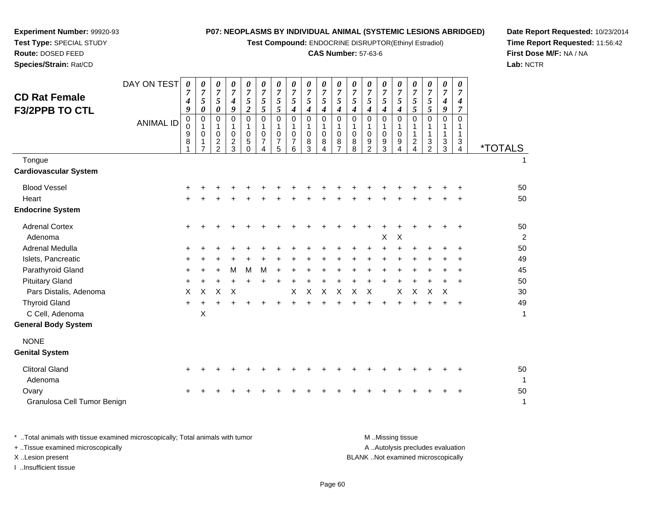**Test Compound:** ENDOCRINE DISRUPTOR(Ethinyl Estradiol)

#### **CAS Number:** 57-63-6

**Date Report Requested:** 10/23/2014**Time Report Requested:** 11:56:42**First Dose M/F:** NA / NA**Lab:** NCTR

| <b>CD Rat Female</b><br><b>F3/2PPB TO CTL</b> | DAY ON TEST<br><b>ANIMAL ID</b> | 0<br>7<br>$\boldsymbol{4}$<br>9<br>$\mathbf 0$<br>0<br>9 | 0<br>$\overline{7}$<br>5<br>0<br>0<br>1<br>0 | 0<br>$\overline{7}$<br>5<br>0<br>0<br>1<br>0 | 0<br>$\overline{7}$<br>$\boldsymbol{4}$<br>9<br>$\mathbf 0$<br>$\mathbf{1}$<br>$\mathbf 0$ | 0<br>$\overline{7}$<br>5<br>$\overline{2}$<br>$\mathbf 0$<br>$\mathbf 1$<br>$\mathbf 0$ | 0<br>$\overline{7}$<br>5<br>5<br>$\Omega$<br>-1<br>0 | 0<br>$\boldsymbol{7}$<br>5<br>5<br>$\mathbf 0$<br>-1<br>0 | 0<br>$\boldsymbol{7}$<br>5<br>$\boldsymbol{4}$<br>0<br>1<br>0 | 0<br>$\overline{7}$<br>5<br>$\boldsymbol{4}$<br>0<br>$\mathbf 1$<br>0 | 0<br>$\boldsymbol{7}$<br>$\overline{5}$<br>$\boldsymbol{4}$<br>$\mathbf 0$<br>$\mathbf{1}$<br>$\pmb{0}$ | 0<br>$\overline{7}$<br>5<br>$\boldsymbol{4}$<br>$\Omega$<br>1<br>$\Omega$ | 0<br>$\overline{7}$<br>5<br>$\boldsymbol{4}$<br>$\mathbf 0$<br>1<br>$\Omega$ | 0<br>$\overline{7}$<br>5<br>4<br>$\mathbf 0$<br>1<br>$\mathbf 0$ | 0<br>$\overline{7}$<br>5<br>4<br>$\Omega$<br>0 | 0<br>$\overline{7}$<br>5<br>$\boldsymbol{4}$<br>$\mathbf 0$<br>1<br>0 | 0<br>$\overline{7}$<br>$\overline{5}$<br>5<br>$\Omega$<br>1<br>1 | 0<br>$\overline{7}$<br>$\mathfrak{s}$<br>$\mathfrak{s}$<br>0<br>1<br>1 | 0<br>$\overline{7}$<br>$\boldsymbol{4}$<br>9<br>$\mathbf 0$<br>1<br>1 | 0<br>$\overline{7}$<br>4<br>$\overline{7}$<br>$\Omega$<br>1<br>1 |                       |
|-----------------------------------------------|---------------------------------|----------------------------------------------------------|----------------------------------------------|----------------------------------------------|--------------------------------------------------------------------------------------------|-----------------------------------------------------------------------------------------|------------------------------------------------------|-----------------------------------------------------------|---------------------------------------------------------------|-----------------------------------------------------------------------|---------------------------------------------------------------------------------------------------------|---------------------------------------------------------------------------|------------------------------------------------------------------------------|------------------------------------------------------------------|------------------------------------------------|-----------------------------------------------------------------------|------------------------------------------------------------------|------------------------------------------------------------------------|-----------------------------------------------------------------------|------------------------------------------------------------------|-----------------------|
|                                               |                                 | 8<br>1                                                   | 1<br>$\overline{7}$                          | $\overline{c}$<br>$\overline{2}$             | $\frac{2}{3}$                                                                              | $\,$ 5 $\,$<br>$\Omega$                                                                 | 7<br>4                                               | $\overline{7}$<br>5                                       | $\overline{7}$<br>6                                           | 8<br>3                                                                | $\bf 8$<br>$\overline{4}$                                                                               | 8<br>$\overline{7}$                                                       | 8<br>8                                                                       | 9<br>$\overline{c}$                                              | 9<br>3                                         | 9<br>$\overline{\mathbf{4}}$                                          | $\overline{c}$<br>4                                              | 3<br>$\overline{2}$                                                    | $\ensuremath{\mathsf{3}}$<br>3                                        | 3<br>4                                                           | <i><b>*TOTALS</b></i> |
| Tongue<br><b>Cardiovascular System</b>        |                                 |                                                          |                                              |                                              |                                                                                            |                                                                                         |                                                      |                                                           |                                                               |                                                                       |                                                                                                         |                                                                           |                                                                              |                                                                  |                                                |                                                                       |                                                                  |                                                                        |                                                                       |                                                                  | 1                     |
| <b>Blood Vessel</b>                           |                                 | +                                                        |                                              |                                              |                                                                                            |                                                                                         |                                                      |                                                           |                                                               |                                                                       |                                                                                                         |                                                                           |                                                                              |                                                                  |                                                |                                                                       |                                                                  |                                                                        |                                                                       | ٠                                                                | 50                    |
| Heart                                         |                                 |                                                          |                                              |                                              |                                                                                            |                                                                                         |                                                      |                                                           |                                                               |                                                                       |                                                                                                         |                                                                           |                                                                              |                                                                  |                                                |                                                                       |                                                                  |                                                                        |                                                                       | $\ddot{}$                                                        | 50                    |
| <b>Endocrine System</b>                       |                                 |                                                          |                                              |                                              |                                                                                            |                                                                                         |                                                      |                                                           |                                                               |                                                                       |                                                                                                         |                                                                           |                                                                              |                                                                  |                                                |                                                                       |                                                                  |                                                                        |                                                                       |                                                                  |                       |
| <b>Adrenal Cortex</b><br>Adenoma              |                                 | $\ddot{}$                                                | +                                            |                                              |                                                                                            |                                                                                         |                                                      |                                                           |                                                               |                                                                       |                                                                                                         |                                                                           |                                                                              |                                                                  | Χ                                              | X                                                                     |                                                                  |                                                                        |                                                                       | $\pm$                                                            | 50<br>$\overline{2}$  |
| Adrenal Medulla                               |                                 | +                                                        |                                              |                                              |                                                                                            |                                                                                         |                                                      |                                                           |                                                               |                                                                       |                                                                                                         |                                                                           |                                                                              |                                                                  | +                                              | +                                                                     |                                                                  |                                                                        |                                                                       |                                                                  | 50                    |
| Islets, Pancreatic                            |                                 | +                                                        |                                              |                                              |                                                                                            |                                                                                         |                                                      |                                                           |                                                               |                                                                       |                                                                                                         |                                                                           |                                                                              |                                                                  |                                                |                                                                       |                                                                  |                                                                        |                                                                       |                                                                  | 49                    |
| Parathyroid Gland                             |                                 | +                                                        | +                                            | +                                            | М                                                                                          | M                                                                                       | M                                                    |                                                           |                                                               |                                                                       |                                                                                                         |                                                                           |                                                                              |                                                                  |                                                | $\ddot{}$                                                             |                                                                  |                                                                        |                                                                       | $\ddot{}$                                                        | 45                    |
| <b>Pituitary Gland</b>                        |                                 | $\ddot{}$                                                | +                                            | +                                            | +                                                                                          | +                                                                                       | $\ddot{}$                                            | +                                                         | +                                                             | +                                                                     | $\ddot{}$                                                                                               | +                                                                         | +                                                                            | +                                                                | $\ddot{}$                                      | $\ddot{}$                                                             |                                                                  | +                                                                      | +                                                                     | $\ddot{}$                                                        | 50                    |
| Pars Distalis, Adenoma                        |                                 | X                                                        | X                                            | $\boldsymbol{\mathsf{X}}$                    | $\boldsymbol{\mathsf{X}}$                                                                  |                                                                                         |                                                      |                                                           | X                                                             | $\boldsymbol{\mathsf{X}}$                                             | $\mathsf X$                                                                                             | $\sf X$                                                                   | $\mathsf X$                                                                  | $\mathsf X$                                                      |                                                | Χ                                                                     | $\times$                                                         | $\boldsymbol{\mathsf{X}}$                                              | $\boldsymbol{\mathsf{X}}$                                             |                                                                  | 30                    |
| <b>Thyroid Gland</b>                          |                                 | +                                                        |                                              |                                              |                                                                                            |                                                                                         |                                                      |                                                           |                                                               |                                                                       |                                                                                                         |                                                                           |                                                                              |                                                                  | +                                              |                                                                       |                                                                  |                                                                        |                                                                       | $\ddot{}$                                                        | 49                    |
| C Cell, Adenoma                               |                                 |                                                          | Χ                                            |                                              |                                                                                            |                                                                                         |                                                      |                                                           |                                                               |                                                                       |                                                                                                         |                                                                           |                                                                              |                                                                  |                                                |                                                                       |                                                                  |                                                                        |                                                                       |                                                                  | 1                     |
| <b>General Body System</b>                    |                                 |                                                          |                                              |                                              |                                                                                            |                                                                                         |                                                      |                                                           |                                                               |                                                                       |                                                                                                         |                                                                           |                                                                              |                                                                  |                                                |                                                                       |                                                                  |                                                                        |                                                                       |                                                                  |                       |
| <b>NONE</b>                                   |                                 |                                                          |                                              |                                              |                                                                                            |                                                                                         |                                                      |                                                           |                                                               |                                                                       |                                                                                                         |                                                                           |                                                                              |                                                                  |                                                |                                                                       |                                                                  |                                                                        |                                                                       |                                                                  |                       |
| <b>Genital System</b>                         |                                 |                                                          |                                              |                                              |                                                                                            |                                                                                         |                                                      |                                                           |                                                               |                                                                       |                                                                                                         |                                                                           |                                                                              |                                                                  |                                                |                                                                       |                                                                  |                                                                        |                                                                       |                                                                  |                       |
| <b>Clitoral Gland</b><br>Adenoma              |                                 |                                                          |                                              |                                              |                                                                                            |                                                                                         |                                                      |                                                           |                                                               |                                                                       |                                                                                                         |                                                                           |                                                                              |                                                                  |                                                |                                                                       |                                                                  |                                                                        |                                                                       |                                                                  | 50<br>$\mathbf{1}$    |
| Ovary<br>Granulosa Cell Tumor Benign          |                                 | +                                                        |                                              |                                              |                                                                                            |                                                                                         |                                                      |                                                           |                                                               |                                                                       |                                                                                                         |                                                                           |                                                                              |                                                                  |                                                |                                                                       |                                                                  |                                                                        |                                                                       | $\div$                                                           | 50<br>1               |
|                                               |                                 |                                                          |                                              |                                              |                                                                                            |                                                                                         |                                                      |                                                           |                                                               |                                                                       |                                                                                                         |                                                                           |                                                                              |                                                                  |                                                |                                                                       |                                                                  |                                                                        |                                                                       |                                                                  |                       |

**Experiment Number:** 99920-93**Test Type:** SPECIAL STUDY**Route:** DOSED FEED**Species/Strain:** Rat/CD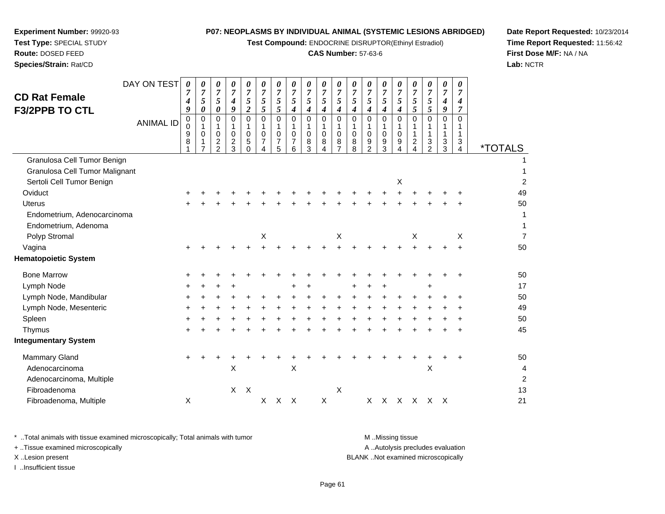**Test Compound:** ENDOCRINE DISRUPTOR(Ethinyl Estradiol)

# **CAS Number:** 57-63-6

**Date Report Requested:** 10/23/2014**Time Report Requested:** 11:56:42**First Dose M/F:** NA / NA**Lab:** NCTR

| Lymph Node, Mandibular                                                         | ÷     |   |   | ÷         |                           | +         |              | ٠         | ٠         | ٠         |           |       |    |    |                  |   |   |                                   |   |
|--------------------------------------------------------------------------------|-------|---|---|-----------|---------------------------|-----------|--------------|-----------|-----------|-----------|-----------|-------|----|----|------------------|---|---|-----------------------------------|---|
| Lymph Node, Mesenteric                                                         | $\pm$ | ٠ | ٠ | $\ddot{}$ | ÷                         | $\ddot{}$ | +            | $\ddot{}$ | $\ddot{}$ | $\ddot{}$ | $\ddot{}$ | $\pm$ | ÷  | ÷  | ٠                | ÷ | ÷ | ÷                                 | ÷ |
| Spleen                                                                         | ÷.    | ٠ | ٠ | ÷         | ٠                         | ÷         | $\pm$        | $\pm$     | ÷.        | $\pm$     | ÷.        | ٠     | +  | ٠  | +                | ÷ | ٠ | ٠                                 |   |
| Thymus                                                                         | ÷.    | + | + | $\ddot{}$ | ÷                         | $\ddot{}$ | $\pm$        | $\pm$     | $\pm$     | $\pm$     | +         | ٠     | +  | ÷  | ٠                | ÷ |   |                                   |   |
| <b>Integumentary System</b>                                                    |       |   |   |           |                           |           |              |           |           |           |           |       |    |    |                  |   |   |                                   |   |
| <b>Mammary Gland</b>                                                           | ÷     | + |   | +         |                           | $\ddot{}$ | ٠            | ÷         |           | +         |           |       |    |    |                  | ÷ |   |                                   |   |
| Adenocarcinoma                                                                 |       |   |   | Χ         |                           |           |              | Χ         |           |           |           |       |    |    |                  |   | х |                                   |   |
| Adenocarcinoma, Multiple                                                       |       |   |   |           |                           |           |              |           |           |           |           |       |    |    |                  |   |   |                                   |   |
| Fibroadenoma                                                                   |       |   |   | X         | $\boldsymbol{\mathsf{X}}$ |           |              |           |           |           | X         |       |    |    |                  |   |   |                                   |   |
| Fibroadenoma, Multiple                                                         | X     |   |   |           |                           | X         | $\mathsf{X}$ | X         |           | X         |           |       | X. | X. | X                | X |   |                                   |   |
| * Total animals with tissue examined microscopically; Total animals with tumor |       |   |   |           |                           |           |              |           |           |           |           |       |    |    | M.Missing tissue |   |   |                                   |   |
| + Tissue examined microscopically                                              |       |   |   |           |                           |           |              |           |           |           |           |       |    |    |                  |   |   | A  Autolysis precludes evaluation |   |

X ..Lesion present BLANK ..Not examined microscopically

I ..Insufficient tissue

# Page 61

| <b>CD Rat Female</b><br><b>F3/2PPB TO CTL</b>                      | DAY ON TEST      | $\boldsymbol{\theta}$<br>7<br>4<br>$\boldsymbol{q}$ | 0<br>$\overline{7}$<br>5<br>0                          | 0<br>$\overline{7}$<br>$\sqrt{5}$<br>$\boldsymbol{\theta}$ | 0<br>$\overline{7}$<br>$\boldsymbol{4}$<br>9        | 0<br>$\overline{7}$<br>5<br>$\boldsymbol{2}$         | 0<br>$\overline{7}$<br>5<br>5                 | 0<br>$\overline{7}$<br>5<br>5        | 0<br>$\overline{7}$<br>5<br>4 | 0<br>$\overline{7}$<br>5<br>$\boldsymbol{4}$ | 0<br>$\overline{7}$<br>5<br>$\boldsymbol{4}$ | 0<br>7<br>5<br>4      | 0<br>$\overline{7}$<br>5<br>4        | 0<br>$\overline{7}$<br>5<br>$\boldsymbol{4}$ | 0<br>$\overline{7}$<br>5 <sup>5</sup><br>4 | 0<br>$\overline{7}$<br>$\sqrt{5}$<br>$\boldsymbol{4}$ | 0<br>$\overline{7}$<br>5<br>5                                         | 0<br>$\overline{7}$<br>5<br>5                   | 0<br>$\overline{7}$<br>$\boldsymbol{4}$<br>9 | 0<br>$\overline{7}$<br>4<br>$\overline{7}$ |                           |
|--------------------------------------------------------------------|------------------|-----------------------------------------------------|--------------------------------------------------------|------------------------------------------------------------|-----------------------------------------------------|------------------------------------------------------|-----------------------------------------------|--------------------------------------|-------------------------------|----------------------------------------------|----------------------------------------------|-----------------------|--------------------------------------|----------------------------------------------|--------------------------------------------|-------------------------------------------------------|-----------------------------------------------------------------------|-------------------------------------------------|----------------------------------------------|--------------------------------------------|---------------------------|
|                                                                    | <b>ANIMAL ID</b> | 0<br>$\mathbf 0$<br>9<br>8                          | 0<br>1<br>$\mathbf 0$<br>$\mathbf 1$<br>$\overline{7}$ | 0<br>1<br>$\pmb{0}$<br>$\boldsymbol{2}$<br>$\overline{2}$  | $\Omega$<br>1<br>$\mathbf 0$<br>$\overline{c}$<br>3 | $\mathbf 0$<br>$\mathbf 0$<br>$\sqrt{5}$<br>$\Omega$ | 0<br>$\mathbf{1}$<br>0<br>$\overline{7}$<br>4 | $\Omega$<br>0<br>$\overline{7}$<br>5 | 0<br>0<br>7<br>6              | $\Omega$<br>1<br>$\mathbf 0$<br>8<br>3       | $\Omega$<br>0<br>8<br>4                      | $\mathbf 0$<br>0<br>8 | $\mathbf 0$<br>$\mathbf 0$<br>8<br>8 | $\mathbf 0$<br>1<br>$\mathbf 0$<br>9<br>2    | 0<br>0<br>9<br>3                           | $\mathbf 0$<br>1<br>$\pmb{0}$<br>9<br>4               | $\Omega$<br>$\mathbf{1}$<br>$\overline{c}$<br>$\overline{\mathbf{4}}$ | $\Omega$<br>$\mathbf{1}$<br>3<br>$\overline{2}$ | 0<br>1<br>$\mathbf 1$<br>3<br>3              | $\Omega$<br>$\mathbf{1}$<br>3<br>4         | <i><b>*TOTALS</b></i>     |
| Granulosa Cell Tumor Benign                                        |                  |                                                     |                                                        |                                                            |                                                     |                                                      |                                               |                                      |                               |                                              |                                              |                       |                                      |                                              |                                            |                                                       |                                                                       |                                                 |                                              |                                            |                           |
| Granulosa Cell Tumor Malignant<br>Sertoli Cell Tumor Benign        |                  |                                                     |                                                        |                                                            |                                                     |                                                      |                                               |                                      |                               |                                              |                                              |                       |                                      |                                              |                                            | $\mathsf X$                                           |                                                                       |                                                 |                                              |                                            | 2                         |
| Oviduct                                                            |                  |                                                     |                                                        |                                                            |                                                     |                                                      |                                               |                                      |                               |                                              |                                              |                       |                                      |                                              |                                            |                                                       |                                                                       |                                                 |                                              |                                            | 49                        |
| <b>Uterus</b>                                                      |                  |                                                     |                                                        |                                                            |                                                     |                                                      |                                               |                                      |                               |                                              |                                              |                       |                                      |                                              |                                            |                                                       |                                                                       |                                                 |                                              |                                            | 50                        |
| Endometrium, Adenocarcinoma<br>Endometrium, Adenoma                |                  |                                                     |                                                        |                                                            |                                                     |                                                      |                                               |                                      |                               |                                              |                                              |                       |                                      |                                              |                                            |                                                       |                                                                       |                                                 |                                              |                                            |                           |
| Polyp Stromal                                                      |                  |                                                     |                                                        |                                                            |                                                     |                                                      | X                                             |                                      |                               |                                              |                                              | Χ                     |                                      |                                              |                                            |                                                       | X                                                                     |                                                 |                                              | Χ                                          | 7                         |
| Vagina                                                             |                  |                                                     |                                                        |                                                            |                                                     |                                                      |                                               |                                      |                               |                                              |                                              |                       |                                      |                                              |                                            |                                                       |                                                                       |                                                 |                                              |                                            | 50                        |
| <b>Hematopoietic System</b>                                        |                  |                                                     |                                                        |                                                            |                                                     |                                                      |                                               |                                      |                               |                                              |                                              |                       |                                      |                                              |                                            |                                                       |                                                                       |                                                 |                                              |                                            |                           |
| <b>Bone Marrow</b>                                                 |                  |                                                     |                                                        |                                                            |                                                     |                                                      |                                               |                                      |                               |                                              |                                              |                       |                                      |                                              |                                            |                                                       |                                                                       |                                                 |                                              |                                            | 50                        |
| Lymph Node                                                         |                  |                                                     |                                                        |                                                            |                                                     |                                                      |                                               |                                      |                               |                                              |                                              |                       |                                      |                                              |                                            |                                                       |                                                                       |                                                 |                                              |                                            | 17                        |
| Lymph Node, Mandibular                                             |                  |                                                     |                                                        |                                                            |                                                     |                                                      |                                               |                                      |                               |                                              |                                              |                       |                                      |                                              |                                            |                                                       |                                                                       |                                                 |                                              |                                            | 50                        |
| Lymph Node, Mesenteric                                             |                  |                                                     |                                                        |                                                            |                                                     |                                                      |                                               |                                      |                               |                                              |                                              |                       |                                      |                                              |                                            |                                                       |                                                                       |                                                 |                                              |                                            | 49                        |
| Spleen                                                             |                  |                                                     |                                                        |                                                            |                                                     |                                                      |                                               |                                      |                               |                                              |                                              |                       |                                      |                                              |                                            |                                                       |                                                                       |                                                 |                                              |                                            | 50                        |
| Thymus                                                             |                  |                                                     |                                                        |                                                            |                                                     |                                                      |                                               |                                      |                               |                                              |                                              |                       |                                      |                                              |                                            |                                                       |                                                                       |                                                 |                                              |                                            | 45                        |
| <b>Integumentary System</b>                                        |                  |                                                     |                                                        |                                                            |                                                     |                                                      |                                               |                                      |                               |                                              |                                              |                       |                                      |                                              |                                            |                                                       |                                                                       |                                                 |                                              |                                            |                           |
| <b>Mammary Gland</b><br>Adenocarcinoma<br>Adenocarcinoma, Multiple |                  | $\pm$                                               |                                                        |                                                            | X                                                   |                                                      |                                               |                                      | Χ                             |                                              |                                              |                       |                                      |                                              |                                            |                                                       |                                                                       | $\mathsf X$                                     |                                              | ÷                                          | 50<br>4<br>$\overline{c}$ |
| Fibroadenoma<br>Fibroadenoma, Multiple                             |                  | $\pmb{\times}$                                      |                                                        |                                                            | $X$ $X$                                             |                                                      | X                                             |                                      | $X$ $X$                       |                                              | $\mathsf X$                                  | X                     |                                      |                                              | X X X X X X                                |                                                       |                                                                       |                                                 |                                              |                                            | 13<br>21                  |

# **Experiment Number:** 99920-93**Test Type:** SPECIAL STUDY**Route:** DOSED FEED

**Species/Strain:** Rat/CD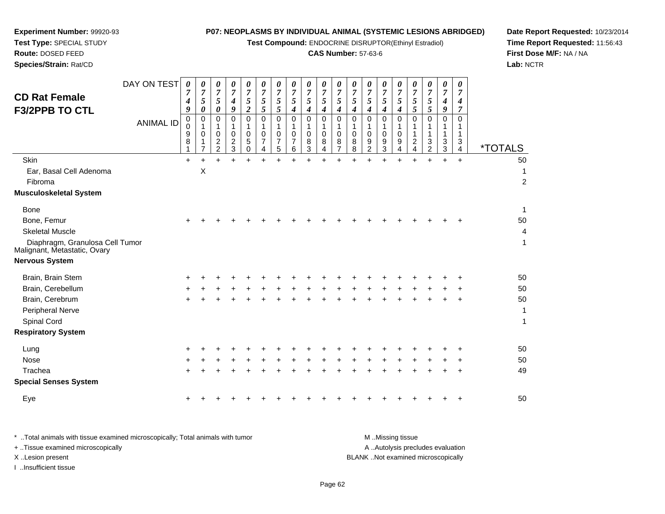**Test Compound:** ENDOCRINE DISRUPTOR(Ethinyl Estradiol)

# **CAS Number:** 57-63-6

**Date Report Requested:** 10/23/2014 **Time Report Requested:** 11:56:43**First Dose M/F:** NA / NA**Lab:** NCTR

| <b>CD Rat Female</b><br><b>F3/2PPB TO CTL</b>                                                                                             | DAY ON TEST<br><b>ANIMAL ID</b> | 0<br>7<br>4<br>9<br>$\mathbf 0$<br>0<br>9<br>8 | 0<br>$\overline{7}$<br>5<br>0<br>$\pmb{0}$<br>$\mathbf 0$<br>1<br>$\overline{7}$ | 0<br>$\overline{7}$<br>5<br>0<br>$\mathbf 0$<br>-1<br>0<br>$\overline{c}$<br>$\overline{2}$ | 0<br>$\overline{7}$<br>$\boldsymbol{4}$<br>9<br>0<br>0<br>$\overline{\mathbf{c}}$<br>3 | 0<br>$\overline{7}$<br>$\mathfrak{s}$<br>$\overline{c}$<br>0<br>1<br>0<br>$\sqrt{5}$<br>$\Omega$ | 0<br>$\overline{7}$<br>5<br>$\mathfrak{s}$<br>$\mathbf 0$<br>1<br>0<br>$\overline{7}$<br>4 | 0<br>$\overline{7}$<br>5<br>5<br>$\mathbf 0$<br>1<br>$\mathbf 0$<br>$\overline{7}$<br>5 | 0<br>$\boldsymbol{7}$<br>5<br>$\boldsymbol{4}$<br>0<br>$\mathbf{1}$<br>0<br>$\overline{7}$<br>6 | 0<br>$\overline{7}$<br>5<br>4<br>0<br>0<br>8<br>3 | 0<br>$\boldsymbol{7}$<br>5<br>$\boldsymbol{4}$<br>0<br>1<br>$\mathbf 0$<br>8<br>4 | 0<br>$\overline{7}$<br>5<br>4<br>$\mathbf 0$<br>1<br>$\mathbf 0$<br>8<br>$\overline{7}$ | 0<br>$\overline{7}$<br>5<br>$\boldsymbol{4}$<br>$\Omega$<br>$\mathbf 0$<br>8<br>8 | 0<br>$\overline{7}$<br>5<br>4<br>$\mathbf 0$<br>0<br>9<br>$\overline{2}$ | 0<br>7<br>5<br>4<br>$\Omega$<br>$\mathbf 0$<br>9<br>3 | 0<br>$\overline{7}$<br>$\mathfrak{s}$<br>$\boldsymbol{4}$<br>0<br>1<br>$\mathbf 0$<br>$\boldsymbol{9}$<br>4 | 0<br>$\overline{7}$<br>5<br>5<br>$\mathbf 0$<br>$\mathbf{1}$<br>$\boldsymbol{2}$<br>$\boldsymbol{\Lambda}$ | 0<br>$\overline{7}$<br>5<br>$\mathfrak{F}$<br>$\Omega$<br>$\mathbf{1}$<br>3<br>$\overline{2}$ | 0<br>$\overline{7}$<br>$\boldsymbol{4}$<br>9<br>$\mathbf 0$<br>1<br>1<br>3<br>3 | 0<br>$\overline{7}$<br>$\boldsymbol{4}$<br>$\mathcal{I}$<br>$\Omega$<br>1<br>$\mathbf{1}$<br>3<br>4 | <i><b>*TOTALS</b></i>                   |
|-------------------------------------------------------------------------------------------------------------------------------------------|---------------------------------|------------------------------------------------|----------------------------------------------------------------------------------|---------------------------------------------------------------------------------------------|----------------------------------------------------------------------------------------|--------------------------------------------------------------------------------------------------|--------------------------------------------------------------------------------------------|-----------------------------------------------------------------------------------------|-------------------------------------------------------------------------------------------------|---------------------------------------------------|-----------------------------------------------------------------------------------|-----------------------------------------------------------------------------------------|-----------------------------------------------------------------------------------|--------------------------------------------------------------------------|-------------------------------------------------------|-------------------------------------------------------------------------------------------------------------|------------------------------------------------------------------------------------------------------------|-----------------------------------------------------------------------------------------------|---------------------------------------------------------------------------------|-----------------------------------------------------------------------------------------------------|-----------------------------------------|
| Skin<br>Ear, Basal Cell Adenoma<br>Fibroma                                                                                                |                                 | $+$                                            | X                                                                                |                                                                                             |                                                                                        |                                                                                                  |                                                                                            |                                                                                         |                                                                                                 |                                                   | $\ddot{}$                                                                         |                                                                                         |                                                                                   |                                                                          |                                                       | 4                                                                                                           |                                                                                                            |                                                                                               | $\ddot{}$                                                                       | $\ddot{}$                                                                                           | 50<br>1<br>$\overline{2}$               |
| <b>Musculoskeletal System</b>                                                                                                             |                                 |                                                |                                                                                  |                                                                                             |                                                                                        |                                                                                                  |                                                                                            |                                                                                         |                                                                                                 |                                                   |                                                                                   |                                                                                         |                                                                                   |                                                                          |                                                       |                                                                                                             |                                                                                                            |                                                                                               |                                                                                 |                                                                                                     |                                         |
| Bone<br>Bone, Femur<br><b>Skeletal Muscle</b><br>Diaphragm, Granulosa Cell Tumor<br>Malignant, Metastatic, Ovary<br><b>Nervous System</b> |                                 |                                                |                                                                                  |                                                                                             |                                                                                        |                                                                                                  |                                                                                            |                                                                                         |                                                                                                 |                                                   |                                                                                   |                                                                                         |                                                                                   |                                                                          |                                                       |                                                                                                             |                                                                                                            |                                                                                               |                                                                                 |                                                                                                     | $\mathbf{1}$<br>50<br>4<br>$\mathbf{1}$ |
|                                                                                                                                           |                                 |                                                |                                                                                  |                                                                                             |                                                                                        |                                                                                                  |                                                                                            |                                                                                         |                                                                                                 |                                                   |                                                                                   |                                                                                         |                                                                                   |                                                                          |                                                       |                                                                                                             |                                                                                                            |                                                                                               |                                                                                 |                                                                                                     |                                         |
| Brain, Brain Stem<br>Brain, Cerebellum<br>Brain, Cerebrum<br>Peripheral Nerve<br>Spinal Cord                                              |                                 |                                                |                                                                                  |                                                                                             |                                                                                        |                                                                                                  |                                                                                            |                                                                                         |                                                                                                 |                                                   |                                                                                   |                                                                                         |                                                                                   |                                                                          |                                                       |                                                                                                             |                                                                                                            |                                                                                               |                                                                                 |                                                                                                     | 50<br>50<br>50<br>1<br>$\mathbf{1}$     |
| <b>Respiratory System</b>                                                                                                                 |                                 |                                                |                                                                                  |                                                                                             |                                                                                        |                                                                                                  |                                                                                            |                                                                                         |                                                                                                 |                                                   |                                                                                   |                                                                                         |                                                                                   |                                                                          |                                                       |                                                                                                             |                                                                                                            |                                                                                               |                                                                                 |                                                                                                     |                                         |
| Lung<br>Nose<br>Trachea<br><b>Special Senses System</b>                                                                                   |                                 | ٠                                              |                                                                                  |                                                                                             |                                                                                        |                                                                                                  |                                                                                            |                                                                                         |                                                                                                 |                                                   |                                                                                   |                                                                                         |                                                                                   |                                                                          |                                                       |                                                                                                             |                                                                                                            |                                                                                               |                                                                                 |                                                                                                     | 50<br>50<br>49                          |
| Eye                                                                                                                                       |                                 | +                                              |                                                                                  |                                                                                             |                                                                                        |                                                                                                  |                                                                                            |                                                                                         |                                                                                                 |                                                   |                                                                                   |                                                                                         |                                                                                   |                                                                          |                                                       |                                                                                                             |                                                                                                            |                                                                                               |                                                                                 |                                                                                                     | 50                                      |

| * Total animals with tissue examined microscopically; Total animals with tumor | M Missing tissue                   |
|--------------------------------------------------------------------------------|------------------------------------|
| + Tissue examined microscopically                                              | A Autolysis precludes evaluation   |
| X Lesion present                                                               | BLANK Not examined microscopically |
| Insufficient tissue                                                            |                                    |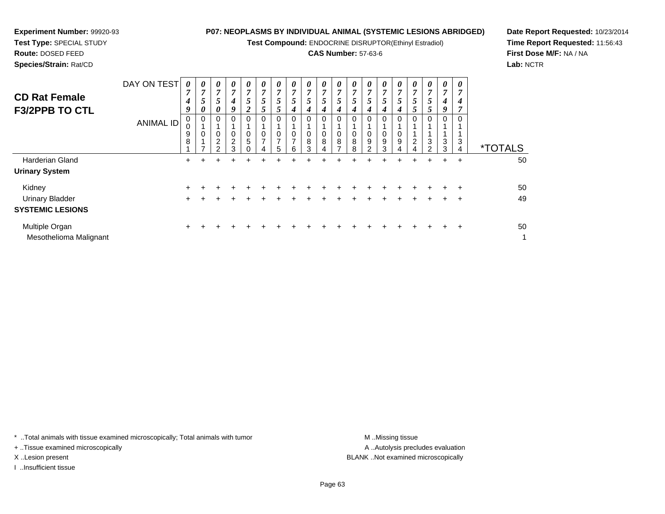**Test Compound:** ENDOCRINE DISRUPTOR(Ethinyl Estradiol)

# **CAS Number:** 57-63-6

<sup>+</sup> <sup>+</sup> <sup>+</sup> <sup>+</sup> <sup>+</sup> <sup>+</sup> <sup>+</sup> <sup>+</sup> <sup>+</sup> <sup>+</sup> <sup>+</sup> <sup>+</sup> <sup>+</sup> <sup>+</sup> <sup>+</sup> <sup>+</sup> <sup>+</sup> <sup>+</sup> <sup>50</sup>

<sup>+</sup> <sup>+</sup> <sup>+</sup> <sup>+</sup> <sup>+</sup> <sup>+</sup> <sup>+</sup> <sup>+</sup> <sup>+</sup> <sup>+</sup> <sup>+</sup> <sup>+</sup> <sup>+</sup> <sup>+</sup> <sup>+</sup> <sup>+</sup> <sup>+</sup> <sup>+</sup> <sup>49</sup>

<sup>+</sup> <sup>+</sup> <sup>+</sup> <sup>+</sup> <sup>+</sup> <sup>+</sup> <sup>+</sup> <sup>+</sup> <sup>+</sup> <sup>+</sup> <sup>+</sup> <sup>+</sup> <sup>+</sup> <sup>+</sup> <sup>+</sup> <sup>+</sup> <sup>+</sup> <sup>+</sup> <sup>50</sup>

t de la construction de la construction de la construction de la construction de la construction de la construction<br>La construction de la construction de la construction de la construction de la construction de la construc

**Date Report Requested:** 10/23/2014**Time Report Requested:** 11:56:43**First Dose M/F:** NA / NA**Lab:** NCTR

| Species/Strain: Rat/CD                        |                  |                    |                                 |              |                     |                          |                            |    |             |             |                  |                    |                         |                                 |                       |             |   |                    |                                      |                                       | Lab: I                |
|-----------------------------------------------|------------------|--------------------|---------------------------------|--------------|---------------------|--------------------------|----------------------------|----|-------------|-------------|------------------|--------------------|-------------------------|---------------------------------|-----------------------|-------------|---|--------------------|--------------------------------------|---------------------------------------|-----------------------|
| <b>CD Rat Female</b><br><b>F3/2PPB TO CTL</b> | DAY ON TEST      | $\theta$<br>4<br>Q | $\boldsymbol{\theta}$<br>7<br>0 | 0<br>r,<br>0 | 0<br>7<br>4<br>9    | 0<br>7<br>$\overline{2}$ | $\boldsymbol{\theta}$<br>C | 0  | 0<br>5<br>4 | 0<br>C<br>4 | 0<br>7<br>5<br>4 | $\theta$<br>C<br>4 | 0<br>$\mathcal{L}$<br>4 | $\boldsymbol{\theta}$<br>C<br>4 | 0<br>C<br>4           | 0<br>,<br>4 | 0 | 0<br>$\mathcal{L}$ | $\boldsymbol{\theta}$<br>7<br>4<br>9 | $\boldsymbol{\theta}$<br>σ<br>4<br>r, |                       |
|                                               | <b>ANIMAL ID</b> | 9<br>8             | ⇁                               | 0<br>ົ<br>ົ  | $\overline{2}$<br>3 | 0<br>0<br>5              |                            | 5. | 0<br>6      | 0<br>8<br>3 | 0<br>8<br>4      | 0<br>8             | 8<br>8                  | 0<br>0<br>9<br>◠                | $\mathbf 0$<br>9<br>3 | 0<br>9<br>Δ | າ | 3<br>ົ             | $\Omega$<br>3<br>3                   | 0<br>3<br>4                           | <i><b>*TOTALS</b></i> |
| Harderian Gland<br><b>Urinary System</b>      |                  |                    |                                 |              |                     |                          |                            |    |             |             |                  |                    |                         |                                 |                       |             |   |                    | +                                    | $\div$                                | 50                    |

\* ..Total animals with tissue examined microscopically; Total animals with tumor **M** ...Missing tissue M ...Missing tissue

 $\mathsf y$ 

 $\mathsf{r}$  +

n  $+$ 

+ ..Tissue examined microscopically

**Experiment Number:** 99920-93**Test Type:** SPECIAL STUDY**Route:** DOSED FEED

Kidney

Urinary Bladder

Multiple Organ

**SYSTEMIC LESIONS**

Mesothelioma Malignant

I ..Insufficient tissue

A .. Autolysis precludes evaluation X ..Lesion present BLANK ..Not examined microscopically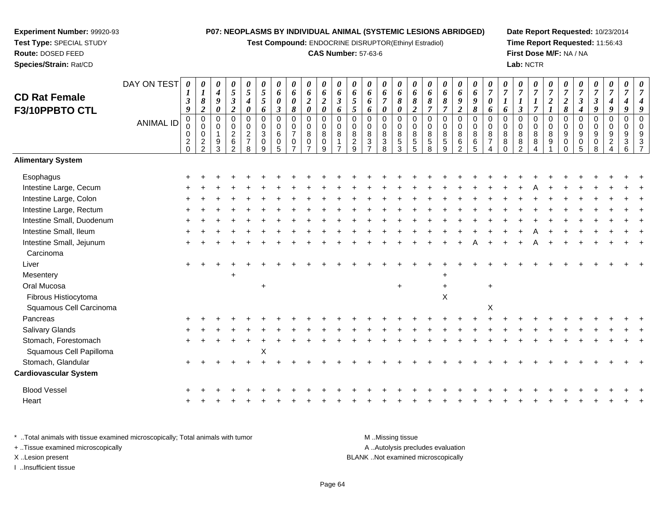**Test Compound:** ENDOCRINE DISRUPTOR(Ethinyl Estradiol)

#### **CAS Number:** 57-63-6

**Date Report Requested:** 10/23/2014**Time Report Requested:** 11:56:43**First Dose M/F:** NA / NA**Lab:** NCTR

#### DAY ON TEST**CD Rat Female F3/10PPBTO CTL**ANIMAL ID*0 1 3 9* 0 0 0 2 0*0 1 8 2* 0 0 0 2 2*0 4 9 0* 0 0 1 9 3*0 5 3 2* 0 0 2 6 2*0 5 4 0* 0 0 2 7 8*0 5 5 6* 0 0 3 0 9*0 6 0 3* 0 0 6 0 5*0 6 0 8* 0 0 7 0 7*0 6 2 0* 0 0 8 0 7*0 6 2 0* 0 0 8 0 9*0 6 3 6* 0 0 8 1 7*0 6 5 5* 0 0 8 2 9*0 6 6 6* 0 0 8 3 7*0 6 7 0* 0 0 8 3 8*0 6 8 0* 0 0 8 5 3*0 6 8 2* 0 0 8 5 5*0 6 8 7* 0 0 8 5 8*0 6 8 7* 0 0 8 5 9*0 6 9 2* 0 0 8 6 2*0 6 9 8* 0 0 8 6 5*0 7 0 6* 0 0 8 7 4*0 7 1 6* 0 0 8 8 0*0 7 1 3* 0 0 8 8 2*0 7 1 7* 0 0 8 8 4*0 7 2 1* 0 0 8 9 1*0 7 2 8* 0 0 9 0 0*0 7 3 4* 0 0 9 0 5*0 7 3 9* 0 0 9 0 8*0 7 4 9* 0 0 9 2 4*0 7 4 9* 0 0 9 3 6*0 7 4 9* 0 0 9 3 7**Alimentary SystemEsophagus**  $\mathsf{S}$  + <sup>+</sup> <sup>+</sup> <sup>+</sup> <sup>+</sup> <sup>+</sup> <sup>+</sup> <sup>+</sup> <sup>+</sup> <sup>+</sup> <sup>+</sup> <sup>+</sup> <sup>+</sup> <sup>+</sup> <sup>+</sup> <sup>+</sup> <sup>+</sup> <sup>+</sup> <sup>+</sup> <sup>+</sup> <sup>+</sup> <sup>+</sup> <sup>+</sup> <sup>+</sup> <sup>+</sup> <sup>+</sup> <sup>+</sup> <sup>+</sup> <sup>+</sup> <sup>+</sup> <sup>+</sup> Intestine Large, Cecum <sup>+</sup> <sup>+</sup> <sup>+</sup> <sup>+</sup> <sup>+</sup> <sup>+</sup> <sup>+</sup> <sup>+</sup> <sup>+</sup> <sup>+</sup> <sup>+</sup> <sup>+</sup> <sup>+</sup> <sup>+</sup> <sup>+</sup> <sup>+</sup> <sup>+</sup> <sup>+</sup> <sup>+</sup> <sup>+</sup> <sup>+</sup> <sup>+</sup> <sup>+</sup> <sup>A</sup> <sup>+</sup> <sup>+</sup> <sup>+</sup> <sup>+</sup> <sup>+</sup> <sup>+</sup> <sup>+</sup> Intestine Large, Colon $\mathsf{n}$  + <sup>+</sup> <sup>+</sup> <sup>+</sup> <sup>+</sup> <sup>+</sup> <sup>+</sup> <sup>+</sup> <sup>+</sup> <sup>+</sup> <sup>+</sup> <sup>+</sup> <sup>+</sup> <sup>+</sup> <sup>+</sup> <sup>+</sup> <sup>+</sup> <sup>+</sup> <sup>+</sup> <sup>+</sup> <sup>+</sup> <sup>+</sup> <sup>+</sup> <sup>+</sup> <sup>+</sup> <sup>+</sup> <sup>+</sup> <sup>+</sup> <sup>+</sup> <sup>+</sup> <sup>+</sup> Intestine Large, Rectum <sup>+</sup> <sup>+</sup> <sup>+</sup> <sup>+</sup> <sup>+</sup> <sup>+</sup> <sup>+</sup> <sup>+</sup> <sup>+</sup> <sup>+</sup> <sup>+</sup> <sup>+</sup> <sup>+</sup> <sup>+</sup> <sup>+</sup> <sup>+</sup> <sup>+</sup> <sup>+</sup> <sup>+</sup> <sup>+</sup> <sup>+</sup> <sup>+</sup> <sup>+</sup> <sup>+</sup> <sup>+</sup> <sup>+</sup> <sup>+</sup> <sup>+</sup> <sup>+</sup> <sup>+</sup> <sup>+</sup> Intestine Small, Duodenum <sup>+</sup> <sup>+</sup> <sup>+</sup> <sup>+</sup> <sup>+</sup> <sup>+</sup> <sup>+</sup> <sup>+</sup> <sup>+</sup> <sup>+</sup> <sup>+</sup> <sup>+</sup> <sup>+</sup> <sup>+</sup> <sup>+</sup> <sup>+</sup> <sup>+</sup> <sup>+</sup> <sup>+</sup> <sup>+</sup> <sup>+</sup> <sup>+</sup> <sup>+</sup> <sup>+</sup> <sup>+</sup> <sup>+</sup> <sup>+</sup> <sup>+</sup> <sup>+</sup> <sup>+</sup> <sup>+</sup> Intestine Small, Ileum <sup>+</sup> <sup>+</sup> <sup>+</sup> <sup>+</sup> <sup>+</sup> <sup>+</sup> <sup>+</sup> <sup>+</sup> <sup>+</sup> <sup>+</sup> <sup>+</sup> <sup>+</sup> <sup>+</sup> <sup>+</sup> <sup>+</sup> <sup>+</sup> <sup>+</sup> <sup>+</sup> <sup>+</sup> <sup>+</sup> <sup>+</sup> <sup>+</sup> <sup>+</sup> <sup>A</sup> <sup>+</sup> <sup>+</sup> <sup>+</sup> <sup>+</sup> <sup>+</sup> <sup>+</sup> <sup>+</sup> Intestine Small, Jejunum <sup>+</sup> <sup>+</sup> <sup>+</sup> <sup>+</sup> <sup>+</sup> <sup>+</sup> <sup>+</sup> <sup>+</sup> <sup>+</sup> <sup>+</sup> <sup>+</sup> <sup>+</sup> <sup>+</sup> <sup>+</sup> <sup>+</sup> <sup>+</sup> <sup>+</sup> <sup>+</sup> <sup>+</sup> <sup>A</sup> <sup>+</sup> <sup>+</sup> <sup>+</sup> <sup>A</sup> <sup>+</sup> <sup>+</sup> <sup>+</sup> <sup>+</sup> <sup>+</sup> <sup>+</sup> <sup>+</sup> CarcinomaLiver $\mathsf{r}$  + <sup>+</sup> <sup>+</sup> <sup>+</sup> <sup>+</sup> <sup>+</sup> <sup>+</sup> <sup>+</sup> <sup>+</sup> <sup>+</sup> <sup>+</sup> <sup>+</sup> <sup>+</sup> <sup>+</sup> <sup>+</sup> <sup>+</sup> <sup>+</sup> <sup>+</sup> <sup>+</sup> <sup>+</sup> <sup>+</sup> <sup>+</sup> <sup>+</sup> <sup>+</sup> <sup>+</sup> <sup>+</sup> <sup>+</sup> <sup>+</sup> <sup>+</sup> <sup>+</sup> <sup>+</sup> **Mesentery**  $\mathsf y$  + <sup>+</sup> Oral Mucosaa  $+$  <sup>+</sup> <sup>+</sup> <sup>+</sup> Fibrous Histiocytoma $\alpha$ Squamous Cell Carcinoma $\alpha$ Pancreas <sup>+</sup> <sup>+</sup> <sup>+</sup> <sup>+</sup> <sup>+</sup> <sup>+</sup> <sup>+</sup> <sup>+</sup> <sup>+</sup> <sup>+</sup> <sup>+</sup> <sup>+</sup> <sup>+</sup> <sup>+</sup> <sup>+</sup> <sup>+</sup> <sup>+</sup> <sup>+</sup> <sup>+</sup> <sup>+</sup> <sup>+</sup> <sup>+</sup> <sup>+</sup> <sup>+</sup> <sup>+</sup> <sup>+</sup> <sup>+</sup> <sup>+</sup> <sup>+</sup> <sup>+</sup> <sup>+</sup> Salivary Glands $\sim$   $\sim$   $\sim$   $\sim$   $\sim$   $\sim$   $\sim$  <sup>+</sup> <sup>+</sup> <sup>+</sup> <sup>+</sup> <sup>+</sup> <sup>+</sup> <sup>+</sup> <sup>+</sup> <sup>+</sup> <sup>+</sup> <sup>+</sup> <sup>+</sup> <sup>+</sup> <sup>+</sup> <sup>+</sup> <sup>+</sup> <sup>+</sup> <sup>+</sup> <sup>+</sup> <sup>+</sup> <sup>+</sup> <sup>+</sup> <sup>+</sup> <sup>+</sup> <sup>+</sup> <sup>+</sup> <sup>+</sup> <sup>+</sup> <sup>+</sup> <sup>+</sup> Stomach, Forestomach $h \rightarrow$  <sup>+</sup> <sup>+</sup> <sup>+</sup> <sup>+</sup> <sup>+</sup> <sup>+</sup> <sup>+</sup> <sup>+</sup> <sup>+</sup> <sup>+</sup> <sup>+</sup> <sup>+</sup> <sup>+</sup> <sup>+</sup> <sup>+</sup> <sup>+</sup> <sup>+</sup> <sup>+</sup> <sup>+</sup> <sup>+</sup> <sup>+</sup> <sup>+</sup> <sup>+</sup> <sup>+</sup> <sup>+</sup> <sup>+</sup> <sup>+</sup> <sup>+</sup> <sup>+</sup> <sup>+</sup> Squamous Cell Papillomaa  $\lambda$  $\ddot{}$ Stomach, Glandular $\mathsf{r}$  + <sup>+</sup> <sup>+</sup> <sup>+</sup> <sup>+</sup> <sup>+</sup> <sup>+</sup> <sup>+</sup> <sup>+</sup> <sup>+</sup> <sup>+</sup> <sup>+</sup> <sup>+</sup> <sup>+</sup> <sup>+</sup> <sup>+</sup> <sup>+</sup> <sup>+</sup> <sup>+</sup> <sup>+</sup> <sup>+</sup> <sup>+</sup> <sup>+</sup> <sup>+</sup> <sup>+</sup> <sup>+</sup> <sup>+</sup> <sup>+</sup> <sup>+</sup> <sup>+</sup> <sup>+</sup> **Cardiovascular System**Blood Vessel $\mathbf{+}$  <sup>+</sup> <sup>+</sup> <sup>+</sup> <sup>+</sup> <sup>+</sup> <sup>+</sup> <sup>+</sup> <sup>+</sup> <sup>+</sup> <sup>+</sup> <sup>+</sup> <sup>+</sup> <sup>+</sup> <sup>+</sup> <sup>+</sup> <sup>+</sup> <sup>+</sup> <sup>+</sup> <sup>+</sup> <sup>+</sup> <sup>+</sup> <sup>+</sup> <sup>+</sup> <sup>+</sup> <sup>+</sup> <sup>+</sup> <sup>+</sup> <sup>+</sup> <sup>+</sup> <sup>+</sup> Heart <sup>+</sup><sup>+</sup> <sup>+</sup> <sup>+</sup> <sup>+</sup> <sup>+</sup> <sup>+</sup> <sup>+</sup> <sup>+</sup> <sup>+</sup> <sup>+</sup> <sup>+</sup> <sup>+</sup> <sup>+</sup> <sup>+</sup> <sup>+</sup> <sup>+</sup> <sup>+</sup> <sup>+</sup> <sup>+</sup> <sup>+</sup> <sup>+</sup> <sup>+</sup> <sup>+</sup> <sup>+</sup> <sup>+</sup> <sup>+</sup> <sup>+</sup> <sup>+</sup> <sup>+</sup> <sup>+</sup>

\* ..Total animals with tissue examined microscopically; Total animals with tumor M ...Total animals with tumor A ..Autolysis precludes evaluation + ..Tissue examined microscopically X ..Lesion present BLANK ..Not examined microscopicallyI ..Insufficient tissue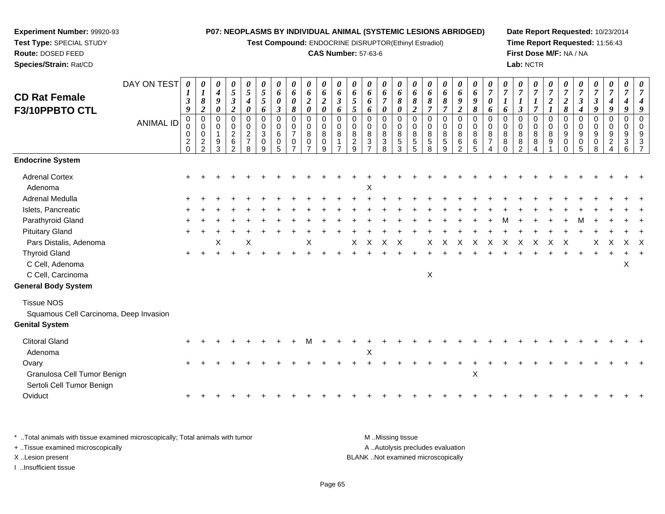**Test Compound:** ENDOCRINE DISRUPTOR(Ethinyl Estradiol)

# **CAS Number:** 57-63-6

**Date Report Requested:** 10/23/2014**Time Report Requested:** 11:56:43**First Dose M/F:** NA / NA**Lab:** NCTR

| <b>CD Rat Female</b>                                        | DAY ON TEST      | 1                            | $\theta$<br>$\boldsymbol{l}$                     | $\boldsymbol{\theta}$<br>$\boldsymbol{4}$                | 0<br>5                                       | 0<br>$5\overline{)}$                                      | 0<br>$\sqrt{5}$              | $\theta$<br>6                             | $\boldsymbol{\theta}$<br>$\pmb{6}$              | 0<br>6                                       | 0<br>6                | $\boldsymbol{\theta}$<br>6 | $\theta$<br>6                                 | $\theta$<br>6                                              | $\theta$<br>6<br>$\overline{7}$           | $\theta$<br>6                      | $\theta$<br>6                           | 0<br>6                                                          | $\boldsymbol{\theta}$<br>6                  | $\boldsymbol{\theta}$<br>6                                 | $\boldsymbol{\theta}$<br>6<br>9        | $\boldsymbol{7}$                                | $\overline{7}$                                | 0<br>$\overline{7}$                                    | $\theta$<br>$\overline{7}$                       | $\boldsymbol{\theta}$<br>$\overline{7}$ | $\overline{7}$               | $\boldsymbol{\theta}$<br>$\overline{7}$   | $\boldsymbol{\theta}$<br>$\overline{7}$   | 0<br>$\overline{7}$                                                    | $\theta$<br>$\overline{7}$ |  |
|-------------------------------------------------------------|------------------|------------------------------|--------------------------------------------------|----------------------------------------------------------|----------------------------------------------|-----------------------------------------------------------|------------------------------|-------------------------------------------|-------------------------------------------------|----------------------------------------------|-----------------------|----------------------------|-----------------------------------------------|------------------------------------------------------------|-------------------------------------------|------------------------------------|-----------------------------------------|-----------------------------------------------------------------|---------------------------------------------|------------------------------------------------------------|----------------------------------------|-------------------------------------------------|-----------------------------------------------|--------------------------------------------------------|--------------------------------------------------|-----------------------------------------|------------------------------|-------------------------------------------|-------------------------------------------|------------------------------------------------------------------------|----------------------------|--|
| F3/10PPBTO CTL                                              |                  | $\boldsymbol{\beta}$<br>9    | $\pmb{8}$<br>$\boldsymbol{2}$                    | $\boldsymbol{g}$<br>$\boldsymbol{\theta}$                | $\boldsymbol{\beta}$<br>$\overline{2}$       | $\boldsymbol{4}$<br>0                                     | $\sqrt{5}$<br>6              | $\boldsymbol{\theta}$<br>$\mathfrak{z}$   | $\boldsymbol{\theta}$<br>8                      | $\overline{2}$<br>$\boldsymbol{\theta}$      | $\boldsymbol{2}$<br>0 | $\boldsymbol{\beta}$<br>6  | $\mathfrak{s}$<br>5                           | 6<br>6                                                     | 0                                         | 8<br>0                             | 8<br>$\boldsymbol{2}$                   | 8                                                               | $\pmb{8}$<br>$\overline{7}$                 | $\boldsymbol{9}$<br>$\overline{2}$                         | 8                                      | $\boldsymbol{\theta}$<br>6                      | 6                                             | $\boldsymbol{l}$<br>$\boldsymbol{\beta}$               | $\boldsymbol{l}$<br>$\overline{7}$               | $\overline{2}$                          | $\boldsymbol{2}$<br>8        | $\boldsymbol{\beta}$<br>4                 | $\boldsymbol{\beta}$<br>9                 | $\boldsymbol{4}$<br>9                                                  | 9                          |  |
|                                                             | <b>ANIMAL ID</b> | 0<br>0<br>0<br>$\frac{2}{0}$ | $\mathbf 0$<br>$\mathbf 0$<br>0<br>$\frac{2}{2}$ | $\mathbf 0$<br>$\mathbf 0$<br>1<br>$\boldsymbol{9}$<br>3 | $\mathbf 0$<br>0<br>$\overline{c}$<br>6<br>2 | $\mathbf 0$<br>0<br>$\overline{c}$<br>$\overline{7}$<br>8 | $\Omega$<br>0<br>3<br>0<br>9 | $\mathbf 0$<br>$\mathbf 0$<br>6<br>0<br>5 | 0<br>0<br>$\overline{7}$<br>0<br>$\overline{7}$ | 0<br>$\mathbf 0$<br>8<br>0<br>$\overline{7}$ | 0<br>0<br>8<br>0<br>9 | $\Omega$<br>0<br>8         | $\Omega$<br>$\mathbf 0$<br>8<br>$\frac{2}{9}$ | 0<br>0<br>8<br>$\ensuremath{\mathsf{3}}$<br>$\overline{7}$ | $\mathbf 0$<br>$\mathbf 0$<br>8<br>3<br>8 | 0<br>0<br>8<br>$\overline{5}$<br>3 | $\mathbf 0$<br>0<br>8<br>$\overline{5}$ | $\mathbf 0$<br>$\mathbf 0$<br>8<br>$\sqrt{5}$<br>$\overline{8}$ | 0<br>0<br>8<br>$\sqrt{5}$<br>$\overline{9}$ | $\mathbf 0$<br>$\mathbf 0$<br>8<br>$\,6$<br>$\overline{2}$ | $\Omega$<br>$\mathbf 0$<br>8<br>6<br>5 | 0<br>0<br>8<br>$\overline{7}$<br>$\overline{4}$ | $\Omega$<br>$\mathbf 0$<br>8<br>8<br>$\Omega$ | $\mathbf 0$<br>$\mathbf 0$<br>8<br>8<br>$\overline{2}$ | $\mathbf 0$<br>$\mathbf 0$<br>8<br>8<br>$\Delta$ | $\Omega$<br>0<br>8<br>9                 | 0<br>0<br>9<br>0<br>$\Omega$ | $\mathbf 0$<br>$\mathbf 0$<br>9<br>0<br>5 | $\mathbf 0$<br>$\mathbf 0$<br>9<br>0<br>8 | $\mathbf 0$<br>$\overline{0}$<br>9<br>$\overline{2}$<br>$\overline{4}$ | 0<br>0<br>9<br>3<br>6      |  |
| <b>Endocrine System</b>                                     |                  |                              |                                                  |                                                          |                                              |                                                           |                              |                                           |                                                 |                                              |                       |                            |                                               |                                                            |                                           |                                    |                                         |                                                                 |                                             |                                                            |                                        |                                                 |                                               |                                                        |                                                  |                                         |                              |                                           |                                           |                                                                        |                            |  |
| <b>Adrenal Cortex</b><br>Adenoma                            |                  |                              |                                                  |                                                          |                                              |                                                           |                              |                                           |                                                 |                                              |                       |                            |                                               | Х                                                          |                                           |                                    |                                         |                                                                 |                                             |                                                            |                                        |                                                 |                                               |                                                        |                                                  |                                         |                              |                                           |                                           |                                                                        |                            |  |
| <b>Adrenal Medulla</b>                                      |                  |                              |                                                  |                                                          |                                              |                                                           |                              |                                           |                                                 |                                              |                       |                            |                                               |                                                            |                                           |                                    |                                         |                                                                 |                                             |                                                            |                                        |                                                 |                                               |                                                        |                                                  |                                         |                              |                                           |                                           |                                                                        |                            |  |
| Islets, Pancreatic                                          |                  |                              |                                                  |                                                          |                                              |                                                           |                              |                                           |                                                 |                                              |                       |                            |                                               |                                                            |                                           |                                    |                                         |                                                                 |                                             |                                                            |                                        |                                                 |                                               |                                                        |                                                  |                                         |                              |                                           |                                           |                                                                        |                            |  |
| Parathyroid Gland                                           |                  |                              |                                                  |                                                          |                                              |                                                           |                              |                                           |                                                 |                                              |                       |                            |                                               |                                                            |                                           |                                    |                                         |                                                                 |                                             |                                                            |                                        |                                                 |                                               |                                                        |                                                  |                                         |                              |                                           |                                           |                                                                        |                            |  |
| <b>Pituitary Gland</b>                                      |                  |                              |                                                  |                                                          |                                              |                                                           |                              |                                           |                                                 |                                              |                       |                            |                                               |                                                            |                                           |                                    |                                         |                                                                 |                                             |                                                            |                                        |                                                 |                                               |                                                        |                                                  |                                         |                              |                                           |                                           |                                                                        |                            |  |
| Pars Distalis, Adenoma                                      |                  |                              |                                                  | X                                                        |                                              | X                                                         |                              |                                           |                                                 | X                                            |                       |                            | X                                             | $\mathsf{X}$                                               | $\mathsf{X}$                              | $\mathsf{X}$                       |                                         | X                                                               | $\times$                                    | X                                                          | X                                      |                                                 |                                               | X                                                      | X                                                | X                                       | X                            |                                           | X                                         | X                                                                      | $X \times$                 |  |
| <b>Thyroid Gland</b>                                        |                  |                              |                                                  |                                                          |                                              |                                                           |                              |                                           |                                                 |                                              |                       |                            |                                               |                                                            |                                           |                                    |                                         |                                                                 |                                             |                                                            |                                        |                                                 |                                               |                                                        |                                                  |                                         |                              |                                           |                                           |                                                                        |                            |  |
| C Cell, Adenoma                                             |                  |                              |                                                  |                                                          |                                              |                                                           |                              |                                           |                                                 |                                              |                       |                            |                                               |                                                            |                                           |                                    |                                         |                                                                 |                                             |                                                            |                                        |                                                 |                                               |                                                        |                                                  |                                         |                              |                                           |                                           |                                                                        | $\mathsf X$                |  |
| C Cell, Carcinoma                                           |                  |                              |                                                  |                                                          |                                              |                                                           |                              |                                           |                                                 |                                              |                       |                            |                                               |                                                            |                                           |                                    |                                         | $\mathsf X$                                                     |                                             |                                                            |                                        |                                                 |                                               |                                                        |                                                  |                                         |                              |                                           |                                           |                                                                        |                            |  |
| <b>General Body System</b>                                  |                  |                              |                                                  |                                                          |                                              |                                                           |                              |                                           |                                                 |                                              |                       |                            |                                               |                                                            |                                           |                                    |                                         |                                                                 |                                             |                                                            |                                        |                                                 |                                               |                                                        |                                                  |                                         |                              |                                           |                                           |                                                                        |                            |  |
| <b>Tissue NOS</b><br>Squamous Cell Carcinoma, Deep Invasion |                  |                              |                                                  |                                                          |                                              |                                                           |                              |                                           |                                                 |                                              |                       |                            |                                               |                                                            |                                           |                                    |                                         |                                                                 |                                             |                                                            |                                        |                                                 |                                               |                                                        |                                                  |                                         |                              |                                           |                                           |                                                                        |                            |  |
| <b>Genital System</b>                                       |                  |                              |                                                  |                                                          |                                              |                                                           |                              |                                           |                                                 |                                              |                       |                            |                                               |                                                            |                                           |                                    |                                         |                                                                 |                                             |                                                            |                                        |                                                 |                                               |                                                        |                                                  |                                         |                              |                                           |                                           |                                                                        |                            |  |
| <b>Clitoral Gland</b><br>Adenoma                            |                  |                              |                                                  |                                                          |                                              |                                                           |                              |                                           |                                                 |                                              |                       |                            |                                               | Χ                                                          |                                           |                                    |                                         |                                                                 |                                             |                                                            |                                        |                                                 |                                               |                                                        |                                                  |                                         |                              |                                           |                                           |                                                                        |                            |  |
| Ovary                                                       |                  |                              |                                                  |                                                          |                                              |                                                           |                              |                                           |                                                 |                                              |                       |                            |                                               |                                                            |                                           |                                    |                                         |                                                                 |                                             |                                                            |                                        |                                                 |                                               |                                                        |                                                  |                                         |                              |                                           |                                           |                                                                        |                            |  |
| Granulosa Cell Tumor Benign                                 |                  |                              |                                                  |                                                          |                                              |                                                           |                              |                                           |                                                 |                                              |                       |                            |                                               |                                                            |                                           |                                    |                                         |                                                                 |                                             |                                                            | X                                      |                                                 |                                               |                                                        |                                                  |                                         |                              |                                           |                                           |                                                                        |                            |  |
| Sertoli Cell Tumor Benign                                   |                  |                              |                                                  |                                                          |                                              |                                                           |                              |                                           |                                                 |                                              |                       |                            |                                               |                                                            |                                           |                                    |                                         |                                                                 |                                             |                                                            |                                        |                                                 |                                               |                                                        |                                                  |                                         |                              |                                           |                                           |                                                                        |                            |  |
| Oviduct                                                     |                  |                              |                                                  |                                                          |                                              |                                                           |                              |                                           |                                                 |                                              |                       |                            |                                               |                                                            |                                           |                                    |                                         |                                                                 |                                             |                                                            |                                        |                                                 |                                               |                                                        |                                                  |                                         |                              |                                           |                                           |                                                                        |                            |  |
|                                                             |                  |                              |                                                  |                                                          |                                              |                                                           |                              |                                           |                                                 |                                              |                       |                            |                                               |                                                            |                                           |                                    |                                         |                                                                 |                                             |                                                            |                                        |                                                 |                                               |                                                        |                                                  |                                         |                              |                                           |                                           |                                                                        |                            |  |

\* ..Total animals with tissue examined microscopically; Total animals with tumor **M** . Missing tissue M ..Missing tissue A ..Autolysis precludes evaluation + ..Tissue examined microscopically X ..Lesion present BLANK ..Not examined microscopicallyI ..Insufficient tissue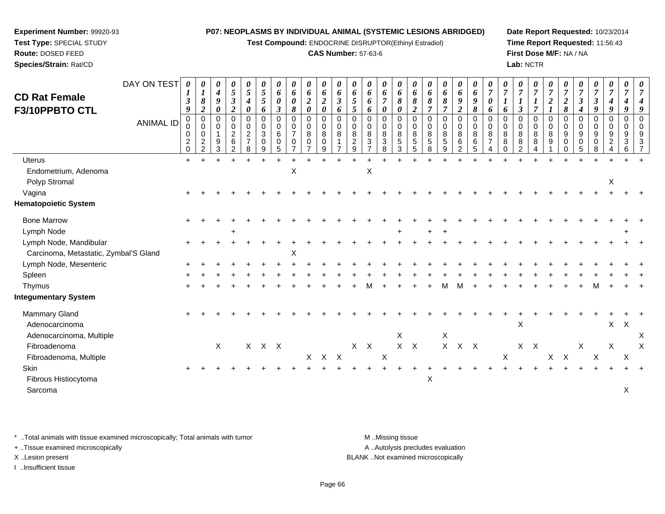**Test Compound:** ENDOCRINE DISRUPTOR(Ethinyl Estradiol)

#### **CAS Number:** 57-63-6

**Date Report Requested:** 10/23/2014**Time Report Requested:** 11:56:43**First Dose M/F:** NA / NA**Lab:** NCTR

|                                       | DAY ON TEST      |                                      | 0<br>$\boldsymbol{l}$                                | 0<br>$\boldsymbol{4}$                     | 0<br>$\mathfrak{z}$                         | 0<br>5                                               | $\boldsymbol{\theta}$<br>$\sqrt{5}$ | $\boldsymbol{\theta}$<br>$\boldsymbol{6}$ | 0<br>6                        | 0<br>$\boldsymbol{6}$                     | 0<br>$\pmb{6}$                     | 0<br>6              | $\boldsymbol{\theta}$<br>6          | 0<br>6                | 0<br>6                                  | $\boldsymbol{\theta}$<br>6               | $\theta$<br>6                       | 0<br>6                               | $\boldsymbol{\theta}$<br>6          | 0<br>6                       | $\boldsymbol{\theta}$<br>$\boldsymbol{6}$ | $\theta$<br>$\overline{7}$         | $\overline{7}$        | 0<br>$\overline{7}$                    | 0<br>$\overline{7}$   | $\boldsymbol{\theta}$<br>$\overline{7}$ | $\theta$<br>$\overline{7}$        | $\overline{7}$                     | 0<br>$\overline{7}$        | 0<br>$\overline{7}$      | 0<br>$\overline{7}$        | 0 |
|---------------------------------------|------------------|--------------------------------------|------------------------------------------------------|-------------------------------------------|---------------------------------------------|------------------------------------------------------|-------------------------------------|-------------------------------------------|-------------------------------|-------------------------------------------|------------------------------------|---------------------|-------------------------------------|-----------------------|-----------------------------------------|------------------------------------------|-------------------------------------|--------------------------------------|-------------------------------------|------------------------------|-------------------------------------------|------------------------------------|-----------------------|----------------------------------------|-----------------------|-----------------------------------------|-----------------------------------|------------------------------------|----------------------------|--------------------------|----------------------------|---|
| <b>CD Rat Female</b>                  |                  | $\boldsymbol{\beta}$<br>9            | $\pmb{8}$<br>$\boldsymbol{2}$                        | 9<br>$\boldsymbol{\theta}$                | $\mathfrak{z}$<br>$\overline{2}$            | $\boldsymbol{4}$<br>$\boldsymbol{\theta}$            | $\sqrt{5}$<br>6                     | $\pmb{\theta}$<br>$\boldsymbol{\beta}$    | $\boldsymbol{\theta}$<br>8    | $\boldsymbol{2}$<br>$\boldsymbol{\theta}$ | $\boldsymbol{2}$<br>$\pmb{\theta}$ | $\mathfrak{z}$<br>6 | $\overline{5}$<br>5                 | 6<br>6                | $\overline{7}$<br>$\boldsymbol{\theta}$ | 8<br>$\pmb{\theta}$                      | $\pmb{8}$<br>$\overline{2}$         | $\pmb{8}$<br>$\overline{7}$          | 8<br>$\overline{7}$                 | 9<br>$\overline{\mathbf{c}}$ | 9<br>8                                    | $\boldsymbol{\theta}$<br>6         | 1<br>6                | $\boldsymbol{\beta}$                   | $\overline{7}$        | $\boldsymbol{2}$                        | $\boldsymbol{2}$<br>8             | $\mathfrak{z}$<br>$\boldsymbol{4}$ | $\boldsymbol{\beta}$<br>9  | $\boldsymbol{4}$<br>9    | $\boldsymbol{q}$           |   |
| <b>F3/10PPBTO CTL</b>                 | <b>ANIMAL ID</b> | $\Omega$                             | $\mathbf 0$                                          | 0                                         | 0                                           | 0                                                    | $\mathbf 0$                         | $\mathbf 0$                               | 0                             | 0                                         | $\mathbf 0$                        | $\mathbf 0$         | $\mathbf 0$                         | 0                     | 0                                       | 0                                        | $\mathbf 0$                         | $\mathbf 0$                          | 0                                   | 0                            | $\mathbf 0$                               | $\mathbf 0$                        | $\Omega$              | $\Omega$                               | $\Omega$              | $\Omega$                                | $\mathbf 0$                       | 0                                  | 0                          | 0                        | $\mathbf 0$                |   |
|                                       |                  | 0<br>0<br>$\overline{c}$<br>$\Omega$ | $\mathbf 0$<br>0<br>$\overline{c}$<br>$\overline{2}$ | $\mathbf 0$<br>1<br>$\boldsymbol{9}$<br>3 | $\pmb{0}$<br>$\overline{c}$<br>$\,6\,$<br>2 | $\mathbf 0$<br>$\overline{c}$<br>$\overline{7}$<br>8 | 0<br>$\mathbf{3}$<br>0<br>9         | 0<br>6<br>0<br>5                          | 0<br>$\overline{7}$<br>0<br>⇁ | $\mathbf 0$<br>8<br>0<br>$\overline{7}$   | $\pmb{0}$<br>8<br>$\pmb{0}$<br>9   | $\mathbf 0$<br>8    | $\mathbf 0$<br>8<br>$\sqrt{2}$<br>9 | $\mathbf 0$<br>8<br>3 | $\mathbf 0$<br>8<br>$\sqrt{3}$<br>8     | $\mathbf 0$<br>$\bf8$<br>$\sqrt{5}$<br>3 | $\mathbf 0$<br>8<br>$\sqrt{5}$<br>5 | $\mathbf 0$<br>8<br>$\,$ 5 $\,$<br>8 | $\mathbf 0$<br>8<br>$\sqrt{5}$<br>9 | 0<br>8<br>6<br>2             | $\pmb{0}$<br>8<br>$\,6\,$<br>5            | $\mathbf 0$<br>8<br>$\overline{7}$ | $\mathbf 0$<br>8<br>8 | $\mathbf 0$<br>8<br>8<br>$\mathcal{P}$ | $\mathbf 0$<br>8<br>8 | $\mathbf 0$<br>8<br>9                   | $\mathbf 0$<br>9<br>0<br>$\Omega$ | $\mathbf 0$<br>9<br>0<br>5         | $\mathbf 0$<br>9<br>0<br>8 | 0<br>9<br>$\overline{c}$ | $\mathbf 0$<br>9<br>3<br>6 |   |
| <b>Uterus</b>                         |                  | $\ddot{}$                            |                                                      |                                           |                                             |                                                      |                                     |                                           |                               |                                           |                                    |                     |                                     |                       |                                         |                                          |                                     |                                      |                                     |                              |                                           |                                    |                       |                                        |                       |                                         |                                   |                                    |                            |                          |                            |   |
| Endometrium, Adenoma                  |                  |                                      |                                                      |                                           |                                             |                                                      |                                     |                                           | Χ                             |                                           |                                    |                     |                                     | X                     |                                         |                                          |                                     |                                      |                                     |                              |                                           |                                    |                       |                                        |                       |                                         |                                   |                                    |                            |                          |                            |   |
| Polyp Stromal                         |                  |                                      |                                                      |                                           |                                             |                                                      |                                     |                                           |                               |                                           |                                    |                     |                                     |                       |                                         |                                          |                                     |                                      |                                     |                              |                                           |                                    |                       |                                        |                       |                                         |                                   |                                    |                            | $\times$                 |                            |   |
| Vagina                                |                  |                                      |                                                      |                                           |                                             |                                                      |                                     |                                           |                               |                                           |                                    |                     |                                     |                       |                                         |                                          |                                     |                                      |                                     |                              |                                           |                                    |                       |                                        |                       |                                         |                                   |                                    |                            |                          |                            |   |
| <b>Hematopoietic System</b>           |                  |                                      |                                                      |                                           |                                             |                                                      |                                     |                                           |                               |                                           |                                    |                     |                                     |                       |                                         |                                          |                                     |                                      |                                     |                              |                                           |                                    |                       |                                        |                       |                                         |                                   |                                    |                            |                          |                            |   |
| <b>Bone Marrow</b>                    |                  |                                      |                                                      |                                           |                                             |                                                      |                                     |                                           |                               |                                           |                                    |                     |                                     |                       |                                         |                                          |                                     |                                      |                                     |                              |                                           |                                    |                       |                                        |                       |                                         |                                   |                                    |                            |                          |                            |   |
| Lymph Node                            |                  |                                      |                                                      |                                           |                                             |                                                      |                                     |                                           |                               |                                           |                                    |                     |                                     |                       |                                         | $\ddot{}$                                |                                     |                                      |                                     |                              |                                           |                                    |                       |                                        |                       |                                         |                                   |                                    |                            |                          |                            |   |
| Lymph Node, Mandibular                |                  |                                      |                                                      |                                           |                                             |                                                      |                                     |                                           |                               |                                           |                                    |                     |                                     |                       |                                         |                                          |                                     |                                      |                                     |                              |                                           |                                    |                       |                                        |                       |                                         |                                   |                                    |                            |                          |                            |   |
| Carcinoma, Metastatic, Zymbal'S Gland |                  |                                      |                                                      |                                           |                                             |                                                      |                                     |                                           | Χ                             |                                           |                                    |                     |                                     |                       |                                         |                                          |                                     |                                      |                                     |                              |                                           |                                    |                       |                                        |                       |                                         |                                   |                                    |                            |                          |                            |   |
| Lymph Node, Mesenteric                |                  |                                      |                                                      |                                           |                                             |                                                      |                                     |                                           |                               |                                           |                                    |                     |                                     |                       |                                         |                                          |                                     |                                      |                                     |                              |                                           |                                    |                       |                                        |                       |                                         |                                   |                                    |                            |                          |                            |   |
| Spleen                                |                  |                                      |                                                      |                                           |                                             |                                                      |                                     |                                           |                               |                                           |                                    |                     |                                     |                       |                                         |                                          |                                     |                                      |                                     |                              |                                           |                                    |                       |                                        |                       |                                         |                                   |                                    |                            |                          |                            |   |
| Thymus                                |                  |                                      |                                                      |                                           |                                             |                                                      |                                     |                                           |                               |                                           |                                    |                     |                                     |                       |                                         |                                          |                                     |                                      |                                     |                              |                                           |                                    |                       |                                        |                       |                                         |                                   |                                    |                            |                          |                            |   |
| <b>Integumentary System</b>           |                  |                                      |                                                      |                                           |                                             |                                                      |                                     |                                           |                               |                                           |                                    |                     |                                     |                       |                                         |                                          |                                     |                                      |                                     |                              |                                           |                                    |                       |                                        |                       |                                         |                                   |                                    |                            |                          |                            |   |
| Mammary Gland                         |                  |                                      |                                                      |                                           |                                             |                                                      |                                     |                                           |                               |                                           |                                    |                     |                                     |                       |                                         |                                          |                                     |                                      |                                     |                              |                                           |                                    |                       |                                        |                       |                                         |                                   |                                    |                            |                          |                            |   |
| Adenocarcinoma                        |                  |                                      |                                                      |                                           |                                             |                                                      |                                     |                                           |                               |                                           |                                    |                     |                                     |                       |                                         |                                          |                                     |                                      |                                     |                              |                                           |                                    |                       | $\mathsf X$                            |                       |                                         |                                   |                                    |                            | $\mathsf{X}$             | $\mathsf{X}$               |   |
| Adenocarcinoma, Multiple              |                  |                                      |                                                      |                                           |                                             |                                                      |                                     |                                           |                               |                                           |                                    |                     |                                     |                       |                                         | X                                        |                                     |                                      | X                                   |                              |                                           |                                    |                       |                                        |                       |                                         |                                   |                                    |                            |                          |                            | Χ |
| Fibroadenoma                          |                  |                                      |                                                      | X                                         |                                             |                                                      | X X X                               |                                           |                               |                                           |                                    |                     |                                     | $X$ $X$               |                                         |                                          | $X$ $X$                             |                                      |                                     | $X$ $X$ $X$                  |                                           |                                    |                       |                                        | $X$ $X$               |                                         |                                   | X                                  |                            | X                        |                            | Χ |
| Fibroadenoma, Multiple                |                  |                                      |                                                      |                                           |                                             |                                                      |                                     |                                           |                               |                                           | X X X                              |                     |                                     |                       | $\boldsymbol{\mathsf{X}}$               |                                          |                                     |                                      |                                     |                              |                                           |                                    | $\mathsf X$           |                                        |                       | $\mathsf{X}$                            | $\mathsf{X}$                      |                                    | X                          |                          | X                          |   |
| <b>Skin</b>                           |                  |                                      |                                                      |                                           |                                             |                                                      |                                     |                                           |                               |                                           |                                    |                     |                                     |                       |                                         |                                          |                                     |                                      |                                     |                              |                                           |                                    |                       |                                        |                       |                                         |                                   |                                    |                            |                          |                            |   |
| Fibrous Histiocytoma                  |                  |                                      |                                                      |                                           |                                             |                                                      |                                     |                                           |                               |                                           |                                    |                     |                                     |                       |                                         |                                          |                                     | X                                    |                                     |                              |                                           |                                    |                       |                                        |                       |                                         |                                   |                                    |                            |                          |                            |   |
| Sarcoma                               |                  |                                      |                                                      |                                           |                                             |                                                      |                                     |                                           |                               |                                           |                                    |                     |                                     |                       |                                         |                                          |                                     |                                      |                                     |                              |                                           |                                    |                       |                                        |                       |                                         |                                   |                                    |                            |                          | X                          |   |
|                                       |                  |                                      |                                                      |                                           |                                             |                                                      |                                     |                                           |                               |                                           |                                    |                     |                                     |                       |                                         |                                          |                                     |                                      |                                     |                              |                                           |                                    |                       |                                        |                       |                                         |                                   |                                    |                            |                          |                            |   |

\* ..Total animals with tissue examined microscopically; Total animals with tumor **M** . Missing tissue M ..Missing tissue

+ ..Tissue examined microscopically

**Experiment Number:** 99920-93**Test Type:** SPECIAL STUDY**Route:** DOSED FEED**Species/Strain:** Rat/CD

I ..Insufficient tissue

A ..Autolysis precludes evaluation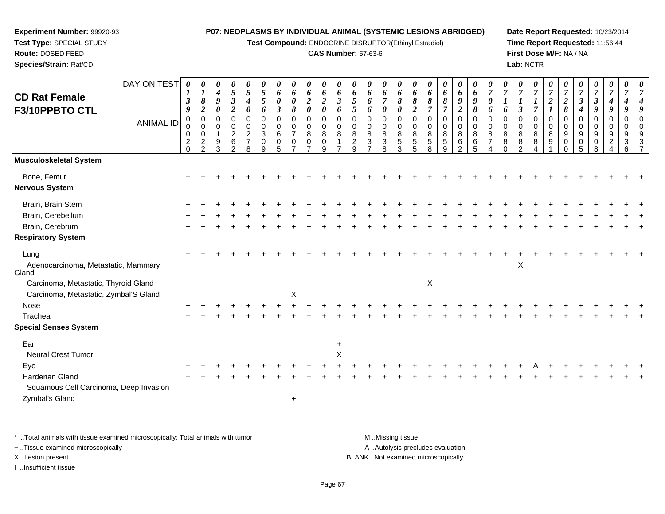**Test Compound:** ENDOCRINE DISRUPTOR(Ethinyl Estradiol)

#### **CAS Number:** 57-63-6

**Date Report Requested:** 10/23/2014**Time Report Requested:** 11:56:44**First Dose M/F:** NA / NA**Lab:** NCTR

| <b>CD Rat Female</b>                                                          | DAY ON TEST      | 0<br>1                                    | $\boldsymbol{\theta}$<br>$\boldsymbol{l}$              | 0<br>$\boldsymbol{4}$ | $\boldsymbol{\theta}$<br>$\sqrt{5}$                                   | $\boldsymbol{\theta}$<br>$\overline{5}$                   | $\boldsymbol{\theta}$<br>$\sqrt{5}$        | 0<br>6                    | 0<br>6                                  | $\boldsymbol{\theta}$<br>6                | 0<br>6                | $\boldsymbol{\theta}$<br>6      | 0<br>6                       | 0<br>6                                  | $\boldsymbol{\theta}$<br>6                                         | $\boldsymbol{\theta}$<br>6               | $\boldsymbol{\theta}$<br>6               | $\boldsymbol{\theta}$<br>6           | $\boldsymbol{\theta}$<br>6                               | 0<br>$\boldsymbol{6}$                        | $\boldsymbol{\theta}$<br>6        | 0<br>$\overline{7}$                               | 0<br>$\overline{7}$                                  | $\boldsymbol{\theta}$<br>$\overline{7}$                      | $\boldsymbol{\theta}$<br>$\overline{7}$ | $\boldsymbol{\theta}$<br>$\boldsymbol{7}$ | 0<br>$\overline{7}$                  | 0<br>$\overline{7}$             | $\boldsymbol{\theta}$<br>$\overline{7}$   | $\boldsymbol{\theta}$<br>$\overline{7}$      | 0<br>$\overline{7}$          | 0<br>$\overline{7}$               |
|-------------------------------------------------------------------------------|------------------|-------------------------------------------|--------------------------------------------------------|-----------------------|-----------------------------------------------------------------------|-----------------------------------------------------------|--------------------------------------------|---------------------------|-----------------------------------------|-------------------------------------------|-----------------------|---------------------------------|------------------------------|-----------------------------------------|--------------------------------------------------------------------|------------------------------------------|------------------------------------------|--------------------------------------|----------------------------------------------------------|----------------------------------------------|-----------------------------------|---------------------------------------------------|------------------------------------------------------|--------------------------------------------------------------|-----------------------------------------|-------------------------------------------|--------------------------------------|---------------------------------|-------------------------------------------|----------------------------------------------|------------------------------|-----------------------------------|
| F3/10PPBTO CTL                                                                |                  | $\boldsymbol{\beta}$<br>9                 | $\pmb{8}$<br>$\boldsymbol{2}$                          | 9<br>$\theta$         | $\boldsymbol{\beta}$<br>$\boldsymbol{2}$                              | $\boldsymbol{4}$<br>0                                     | 5<br>6                                     | 0<br>$\boldsymbol{\beta}$ | $\pmb{\theta}$<br>8                     | $\boldsymbol{2}$<br>$\boldsymbol{\theta}$ | $\boldsymbol{2}$<br>0 | $\boldsymbol{\beta}$<br>6       | 5<br>5                       | 6<br>6                                  | $\overline{7}$<br>0                                                | 8<br>0                                   | 8<br>$\boldsymbol{2}$                    | 8<br>7                               | 8<br>$\overline{7}$                                      | $\boldsymbol{g}$<br>$\overline{\mathbf{c}}$  | 9<br>8                            | 0<br>6                                            | $\boldsymbol{l}$<br>6                                | $\boldsymbol{l}$<br>$\boldsymbol{\beta}$                     | $\overline{7}$                          | $\boldsymbol{2}$<br>$\boldsymbol{l}$      | $\boldsymbol{2}$<br>8                | $\boldsymbol{\beta}$<br>4       | $\boldsymbol{\beta}$<br>9                 | $\boldsymbol{4}$<br>9                        | 4<br>9                       | $\boldsymbol{4}$<br>9             |
|                                                                               | <b>ANIMAL ID</b> | 0<br>0<br>0<br>$\overline{a}$<br>$\Omega$ | $\mathbf 0$<br>0<br>$\mathbf 0$<br>$\overline{c}$<br>2 | 0<br>0<br>$9\,$<br>3  | $\mathbf 0$<br>$\pmb{0}$<br>$\overline{c}$<br>$\,6$<br>$\overline{2}$ | $\mathbf 0$<br>0<br>$\overline{2}$<br>$\overline{7}$<br>8 | $\mathbf 0$<br>0<br>$\mathbf{3}$<br>0<br>9 | 0<br>0<br>6<br>0<br>5     | 0<br>$\mathbf 0$<br>$\overline{7}$<br>0 | $\mathbf 0$<br>$\mathbf 0$<br>8<br>0      | 0<br>0<br>8<br>0<br>9 | $\mathbf 0$<br>$\mathbf 0$<br>8 | $\Omega$<br>0<br>8<br>2<br>9 | 0<br>0<br>$\, 8$<br>3<br>$\overline{7}$ | $\mathbf 0$<br>$\,0\,$<br>$\bf8$<br>$\ensuremath{\mathsf{3}}$<br>8 | $\mathbf 0$<br>0<br>8<br>$\sqrt{5}$<br>3 | $\mathbf 0$<br>0<br>8<br>$\sqrt{5}$<br>5 | 0<br>0<br>$\bf 8$<br>$\sqrt{5}$<br>8 | $\mathbf 0$<br>$\boldsymbol{0}$<br>8<br>$\mathbf 5$<br>9 | 0<br>$\mathbf 0$<br>8<br>6<br>$\overline{2}$ | 0<br>0<br>$\bf 8$<br>$\,6\,$<br>5 | $\mathbf 0$<br>$\mathbf 0$<br>8<br>$\overline{7}$ | $\mathbf 0$<br>0<br>$\bf8$<br>$\,8\,$<br>$\mathbf 0$ | $\mathbf 0$<br>$\mathbf 0$<br>$\,8\,$<br>8<br>$\overline{2}$ | $\Omega$<br>0<br>8<br>8                 | 0<br>0<br>8<br>9                          | 0<br>0<br>$\boldsymbol{9}$<br>0<br>0 | $\mathbf 0$<br>0<br>9<br>0<br>5 | $\mathbf 0$<br>$\mathbf 0$<br>9<br>0<br>8 | $\mathbf 0$<br>0<br>9<br>$\overline{c}$<br>4 | 0<br>$\Omega$<br>9<br>3<br>6 | $\Omega$<br>$\mathbf 0$<br>9<br>3 |
| Musculoskeletal System                                                        |                  |                                           |                                                        |                       |                                                                       |                                                           |                                            |                           |                                         |                                           |                       |                                 |                              |                                         |                                                                    |                                          |                                          |                                      |                                                          |                                              |                                   |                                                   |                                                      |                                                              |                                         |                                           |                                      |                                 |                                           |                                              |                              |                                   |
| Bone, Femur<br>Nervous System                                                 |                  |                                           |                                                        |                       |                                                                       |                                                           |                                            |                           |                                         |                                           |                       |                                 |                              |                                         |                                                                    |                                          |                                          |                                      |                                                          |                                              |                                   |                                                   |                                                      |                                                              |                                         |                                           |                                      |                                 |                                           |                                              |                              |                                   |
| Brain, Brain Stem                                                             |                  |                                           |                                                        |                       |                                                                       |                                                           |                                            |                           |                                         |                                           |                       |                                 |                              |                                         |                                                                    |                                          |                                          |                                      |                                                          |                                              |                                   |                                                   |                                                      |                                                              |                                         |                                           |                                      |                                 |                                           |                                              |                              |                                   |
| Brain, Cerebellum                                                             |                  |                                           |                                                        |                       |                                                                       |                                                           |                                            |                           |                                         |                                           |                       |                                 |                              |                                         |                                                                    |                                          |                                          |                                      |                                                          |                                              |                                   |                                                   |                                                      |                                                              |                                         |                                           |                                      |                                 |                                           |                                              |                              |                                   |
| Brain, Cerebrum                                                               |                  |                                           |                                                        |                       |                                                                       |                                                           |                                            |                           |                                         |                                           |                       |                                 |                              |                                         |                                                                    |                                          |                                          |                                      |                                                          |                                              |                                   |                                                   |                                                      |                                                              |                                         |                                           |                                      |                                 |                                           |                                              |                              |                                   |
| <b>Respiratory System</b>                                                     |                  |                                           |                                                        |                       |                                                                       |                                                           |                                            |                           |                                         |                                           |                       |                                 |                              |                                         |                                                                    |                                          |                                          |                                      |                                                          |                                              |                                   |                                                   |                                                      |                                                              |                                         |                                           |                                      |                                 |                                           |                                              |                              |                                   |
| Lung<br>Adenocarcinoma, Metastatic, Mammary<br>Gland                          |                  |                                           |                                                        |                       |                                                                       |                                                           |                                            |                           |                                         |                                           |                       |                                 |                              |                                         |                                                                    |                                          |                                          |                                      |                                                          |                                              |                                   |                                                   |                                                      | X                                                            |                                         |                                           |                                      |                                 |                                           |                                              |                              |                                   |
| Carcinoma, Metastatic, Thyroid Gland<br>Carcinoma, Metastatic, Zymbal'S Gland |                  |                                           |                                                        |                       |                                                                       |                                                           |                                            |                           | X                                       |                                           |                       |                                 |                              |                                         |                                                                    |                                          |                                          | X                                    |                                                          |                                              |                                   |                                                   |                                                      |                                                              |                                         |                                           |                                      |                                 |                                           |                                              |                              |                                   |
| Nose                                                                          |                  |                                           |                                                        |                       |                                                                       |                                                           |                                            |                           |                                         |                                           |                       |                                 |                              |                                         |                                                                    |                                          |                                          |                                      |                                                          |                                              |                                   |                                                   |                                                      |                                                              |                                         |                                           |                                      |                                 |                                           |                                              |                              |                                   |
| Trachea                                                                       |                  |                                           |                                                        |                       |                                                                       |                                                           |                                            |                           |                                         |                                           |                       |                                 |                              |                                         |                                                                    |                                          |                                          |                                      |                                                          |                                              |                                   |                                                   |                                                      |                                                              |                                         |                                           |                                      |                                 |                                           |                                              |                              |                                   |
| <b>Special Senses System</b>                                                  |                  |                                           |                                                        |                       |                                                                       |                                                           |                                            |                           |                                         |                                           |                       |                                 |                              |                                         |                                                                    |                                          |                                          |                                      |                                                          |                                              |                                   |                                                   |                                                      |                                                              |                                         |                                           |                                      |                                 |                                           |                                              |                              |                                   |
| Ear                                                                           |                  |                                           |                                                        |                       |                                                                       |                                                           |                                            |                           |                                         |                                           |                       | $\ddot{}$                       |                              |                                         |                                                                    |                                          |                                          |                                      |                                                          |                                              |                                   |                                                   |                                                      |                                                              |                                         |                                           |                                      |                                 |                                           |                                              |                              |                                   |
| <b>Neural Crest Tumor</b>                                                     |                  |                                           |                                                        |                       |                                                                       |                                                           |                                            |                           |                                         |                                           |                       | $\mathsf X$                     |                              |                                         |                                                                    |                                          |                                          |                                      |                                                          |                                              |                                   |                                                   |                                                      |                                                              |                                         |                                           |                                      |                                 |                                           |                                              |                              |                                   |
| Eye                                                                           |                  |                                           |                                                        |                       |                                                                       |                                                           |                                            |                           |                                         |                                           |                       |                                 |                              |                                         |                                                                    |                                          |                                          |                                      |                                                          |                                              |                                   |                                                   |                                                      |                                                              |                                         |                                           |                                      |                                 |                                           |                                              |                              |                                   |
| Harderian Gland                                                               |                  |                                           |                                                        |                       |                                                                       |                                                           |                                            |                           |                                         |                                           |                       |                                 |                              |                                         |                                                                    |                                          |                                          |                                      |                                                          |                                              |                                   |                                                   |                                                      |                                                              |                                         |                                           |                                      |                                 |                                           |                                              |                              |                                   |
| Squamous Cell Carcinoma, Deep Invasion                                        |                  |                                           |                                                        |                       |                                                                       |                                                           |                                            |                           |                                         |                                           |                       |                                 |                              |                                         |                                                                    |                                          |                                          |                                      |                                                          |                                              |                                   |                                                   |                                                      |                                                              |                                         |                                           |                                      |                                 |                                           |                                              |                              |                                   |
| Zymbal's Gland                                                                |                  |                                           |                                                        |                       |                                                                       |                                                           |                                            |                           | $\ddot{}$                               |                                           |                       |                                 |                              |                                         |                                                                    |                                          |                                          |                                      |                                                          |                                              |                                   |                                                   |                                                      |                                                              |                                         |                                           |                                      |                                 |                                           |                                              |                              |                                   |
|                                                                               |                  |                                           |                                                        |                       |                                                                       |                                                           |                                            |                           |                                         |                                           |                       |                                 |                              |                                         |                                                                    |                                          |                                          |                                      |                                                          |                                              |                                   |                                                   |                                                      |                                                              |                                         |                                           |                                      |                                 |                                           |                                              |                              |                                   |

\* ..Total animals with tissue examined microscopically; Total animals with tumor **M** . Missing tissue M ..Missing tissue

+ ..Tissue examined microscopically

**Experiment Number:** 99920-93**Test Type:** SPECIAL STUDY**Route:** DOSED FEED**Species/Strain:** Rat/CD

I ..Insufficient tissue

A ..Autolysis precludes evaluation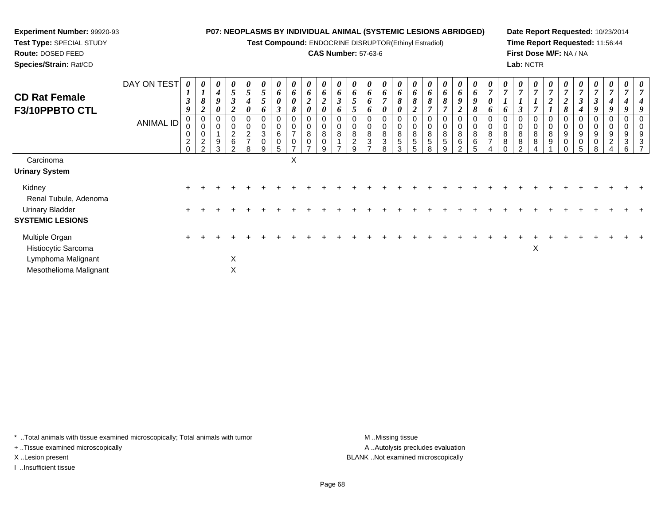**Test Compound:** ENDOCRINE DISRUPTOR(Ethinyl Estradiol)

# **CAS Number:** 57-63-6

**Date Report Requested:** 10/23/2014**Time Report Requested:** 11:56:44**First Dose M/F:** NA / NA**Lab:** NCTR

| <b>CD Rat Female</b><br>F3/10PPBTO CTL            | DAY ON TEST | $\boldsymbol{\theta}$<br>$\boldsymbol{I}$<br>$\boldsymbol{\beta}$<br>9 | $\boldsymbol{l}$<br>8<br>$\boldsymbol{2}$                           | 0<br>4<br>9<br>0   | 0<br>$5\overline{)}$<br>$\boldsymbol{\beta}$<br>◢ | 0<br>$5\overline{)}$<br>$\boldsymbol{4}$<br>0 | 0<br>$\overline{5}$<br>$\mathfrak{s}$<br>6       | 6<br>$\boldsymbol{\theta}$<br>$\boldsymbol{\beta}$ | 0<br>6<br>$\boldsymbol{\theta}$<br>8       | 0<br>6<br>$\boldsymbol{2}$<br>$\pmb{\theta}$ | 0<br>6<br>$\boldsymbol{2}$<br>0 | 0<br>6<br>$\boldsymbol{\beta}$<br>6           | 6<br>5<br>5                           | 0<br>6<br>6<br>6 | 0<br>6<br>0                              | 0<br>6<br>8<br>0                | $\boldsymbol{\theta}$<br>6<br>8<br>$\overline{2}$       | 6<br>8<br>$\overline{ }$       | $\boldsymbol{\theta}$<br>6<br>8<br>$\overline{ }$ | 0<br>6<br>9<br>ി<br>◢        | 0<br>6<br>9<br>8               | 0<br>$\overline{7}$<br>$\boldsymbol{\theta}$<br>6 | $\mathbf{I}$<br>6             | 0<br>$\overline{ }$<br>$\boldsymbol{\beta}$ | 0<br>$\overline{ }$ | 0<br>$\overline{ }$<br>$\mathbf{\Omega}$<br>∠ | 0<br>$\boldsymbol{2}$<br>8                        | $\boldsymbol{\beta}$<br>$\boldsymbol{4}$ | $\boldsymbol{\theta}$<br>$\overline{7}$<br>$\mathbf{3}$<br>9 | 0<br>$\boldsymbol{4}$<br>9              | 0                | $\theta$ |
|---------------------------------------------------|-------------|------------------------------------------------------------------------|---------------------------------------------------------------------|--------------------|---------------------------------------------------|-----------------------------------------------|--------------------------------------------------|----------------------------------------------------|--------------------------------------------|----------------------------------------------|---------------------------------|-----------------------------------------------|---------------------------------------|------------------|------------------------------------------|---------------------------------|---------------------------------------------------------|--------------------------------|---------------------------------------------------|------------------------------|--------------------------------|---------------------------------------------------|-------------------------------|---------------------------------------------|---------------------|-----------------------------------------------|---------------------------------------------------|------------------------------------------|--------------------------------------------------------------|-----------------------------------------|------------------|----------|
|                                                   | ANIMAL ID   | 0<br>0<br>$\pmb{0}$<br>$^2_{\rm 0}$                                    | $\pmb{0}$<br>$\pmb{0}$<br>$\pmb{0}$<br>$\sqrt{2}$<br>$\overline{2}$ | $\Omega$<br>9<br>3 | 0<br>$\frac{2}{6}$<br>$\mathfrak{p}$              | 0<br>$\frac{2}{7}$<br>8                       | 0<br>$\pmb{0}$<br>$\mathbf{3}$<br>$\pmb{0}$<br>9 | $\pmb{0}$<br>6<br>$\pmb{0}$<br>5                   | 0<br>$\overline{ }$<br>0<br>$\overline{ }$ | 0<br>8<br>0<br>$\overline{ }$                | 0<br>$\bf 8$<br>$\pmb{0}$<br>9  | 0<br>$\mathbf 0$<br>$\bf 8$<br>$\overline{ }$ | $\pmb{0}$<br>8<br>$\overline{c}$<br>9 | 0<br>8<br>3<br>⇁ | 0<br>8<br>$\ensuremath{\mathsf{3}}$<br>8 | 0<br>$\bf 8$<br>$\sqrt{5}$<br>3 | $\pmb{0}$<br>$\pmb{0}$<br>$\bf8$<br>$\overline{5}$<br>5 | $\pmb{0}$<br>$\bf 8$<br>5<br>8 | 0<br>8<br>5<br>$\mathbf{Q}$                       | 0<br>8<br>6<br>$\mathcal{P}$ | $\pmb{0}$<br>$\bf 8$<br>6<br>5 | 0<br>$\mathbf 0$<br>$\bf 8$<br>$\overline{ }$     | $\pmb{0}$<br>8<br>8<br>$\sim$ | 0<br>8<br>8<br>$\sim$                       | 0<br>8<br>8         | 0<br>$\bf 8$<br>9                             | 0<br>$\pmb{0}$<br>$\boldsymbol{9}$<br>$\mathbf 0$ | $\pmb{0}$<br>9<br>$\mathbf 0$<br>5       | 0<br>9<br>8                                                  | $\boldsymbol{0}$<br>9<br>$\overline{c}$ | 0<br>9<br>3<br>6 |          |
| Carcinoma<br><b>Urinary System</b>                |             |                                                                        |                                                                     |                    |                                                   |                                               |                                                  |                                                    | X                                          |                                              |                                 |                                               |                                       |                  |                                          |                                 |                                                         |                                |                                                   |                              |                                |                                                   |                               |                                             |                     |                                               |                                                   |                                          |                                                              |                                         |                  |          |
| Kidney<br>Renal Tubule, Adenoma                   |             |                                                                        |                                                                     |                    |                                                   |                                               |                                                  |                                                    |                                            |                                              |                                 |                                               |                                       |                  |                                          |                                 |                                                         |                                |                                                   |                              |                                |                                                   |                               |                                             |                     |                                               |                                                   |                                          |                                                              |                                         |                  |          |
| <b>Urinary Bladder</b><br><b>SYSTEMIC LESIONS</b> |             |                                                                        |                                                                     |                    |                                                   |                                               |                                                  |                                                    |                                            |                                              |                                 |                                               |                                       |                  |                                          |                                 |                                                         |                                |                                                   |                              |                                |                                                   |                               |                                             |                     |                                               |                                                   |                                          |                                                              |                                         |                  |          |
| Multiple Organ<br>Histiocytic Sarcoma             |             |                                                                        |                                                                     |                    |                                                   |                                               |                                                  |                                                    |                                            |                                              |                                 |                                               |                                       |                  |                                          |                                 |                                                         |                                |                                                   |                              |                                |                                                   |                               |                                             | X                   |                                               |                                                   |                                          |                                                              |                                         |                  |          |
| Lymphoma Malignant<br>Mesothelioma Malignant      |             |                                                                        |                                                                     |                    | X<br>X.                                           |                                               |                                                  |                                                    |                                            |                                              |                                 |                                               |                                       |                  |                                          |                                 |                                                         |                                |                                                   |                              |                                |                                                   |                               |                                             |                     |                                               |                                                   |                                          |                                                              |                                         |                  |          |

\* ..Total animals with tissue examined microscopically; Total animals with tumor **M** . Missing tissue M ..Missing tissue

+ ..Tissue examined microscopically

**Experiment Number:** 99920-93**Test Type:** SPECIAL STUDY**Route:** DOSED FEED**Species/Strain:** Rat/CD

I ..Insufficient tissue

A ..Autolysis precludes evaluation X ..Lesion present BLANK ..Not examined microscopically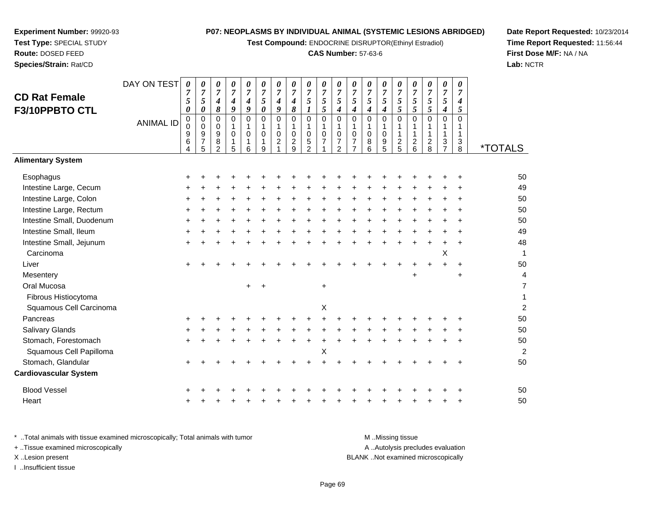**Test Compound:** ENDOCRINE DISRUPTOR(Ethinyl Estradiol)

# **CAS Number:** 57-63-6

**Date Report Requested:** 10/23/2014**Time Report Requested:** 11:56:44**First Dose M/F:** NA / NA**Lab:** NCTR

| <b>CD Rat Female</b><br>F3/10PPBTO CTL | DAY ON TEST      | 0<br>$\overline{7}$<br>5        | 0<br>$\overline{7}$<br>5                                    | 0<br>$\overline{7}$<br>$\boldsymbol{4}$                  | 0<br>$\overline{7}$<br>4                             | 0<br>$\overline{7}$<br>4 | 0<br>$\boldsymbol{7}$<br>5                 | 0<br>$\overline{7}$<br>$\boldsymbol{4}$           | 0<br>$\overline{7}$<br>$\boldsymbol{4}$      | 0<br>$\overline{7}$<br>$\overline{5}$                                | 0<br>$\overline{7}$<br>5                           | 0<br>$\boldsymbol{7}$<br>$\mathfrak{s}$                                      | 0<br>$\overline{7}$<br>$\sqrt{5}$                                              | 0<br>$\overline{7}$<br>5                                 | 0<br>$\overline{7}$<br>5                       | 0<br>$\overline{7}$<br>5     | 0<br>$\overline{7}$<br>5                                                      | 0<br>$\boldsymbol{7}$<br>5                | 0<br>$\overline{7}$<br>$\sqrt{5}$                                  | 0<br>$\overline{7}$<br>4                                           |                       |
|----------------------------------------|------------------|---------------------------------|-------------------------------------------------------------|----------------------------------------------------------|------------------------------------------------------|--------------------------|--------------------------------------------|---------------------------------------------------|----------------------------------------------|----------------------------------------------------------------------|----------------------------------------------------|------------------------------------------------------------------------------|--------------------------------------------------------------------------------|----------------------------------------------------------|------------------------------------------------|------------------------------|-------------------------------------------------------------------------------|-------------------------------------------|--------------------------------------------------------------------|--------------------------------------------------------------------|-----------------------|
|                                        |                  | 0                               | $\boldsymbol{\theta}$                                       | 8                                                        | 9                                                    | 9                        | $\boldsymbol{\theta}$                      | 9                                                 | $\pmb{8}$                                    | $\boldsymbol{l}$                                                     | 5                                                  | $\boldsymbol{4}$                                                             | $\boldsymbol{4}$                                                               | $\boldsymbol{4}$                                         | $\boldsymbol{4}$                               | 5                            | 5                                                                             | 5                                         | $\boldsymbol{4}$                                                   | 5                                                                  |                       |
|                                        | <b>ANIMAL ID</b> | 0<br>$\mathbf 0$<br>9<br>6<br>4 | $\mathbf 0$<br>0<br>$\boldsymbol{9}$<br>$\overline{7}$<br>5 | $\mathbf 0$<br>$\Omega$<br>9<br>$\bf8$<br>$\overline{2}$ | 0<br>$\mathbf{1}$<br>$\mathbf 0$<br>$\mathbf 1$<br>5 | 0<br>1<br>0<br>1<br>6    | 0<br>$\mathbf{1}$<br>$\mathbf 0$<br>1<br>9 | $\Omega$<br>$\mathbf{1}$<br>0<br>$\boldsymbol{2}$ | $\mathbf 0$<br>1<br>0<br>$\overline{c}$<br>9 | 0<br>$\mathbf{1}$<br>$\mathbf 0$<br>$\overline{5}$<br>$\overline{2}$ | $\mathbf 0$<br>$\mathbf{1}$<br>0<br>$\overline{7}$ | $\mathbf 0$<br>$\mathbf{1}$<br>$\pmb{0}$<br>$\overline{7}$<br>$\overline{2}$ | $\mathbf 0$<br>$\mathbf{1}$<br>$\mathbf 0$<br>$\overline{7}$<br>$\overline{7}$ | $\mathbf 0$<br>$\mathbf{1}$<br>$\pmb{0}$<br>$\bf 8$<br>6 | 0<br>1<br>$\mathbf 0$<br>$\boldsymbol{9}$<br>5 | 0<br>1<br>1<br>$\frac{2}{5}$ | $\Omega$<br>$\mathbf 1$<br>$\mathbf{1}$<br>$\boldsymbol{2}$<br>$6\phantom{a}$ | $\Omega$<br>1<br>1<br>$\overline{c}$<br>8 | $\mathbf 0$<br>$\mathbf{1}$<br>$\mathbf{1}$<br>3<br>$\overline{7}$ | $\mathbf 0$<br>1<br>$\mathbf{1}$<br>$\ensuremath{\mathsf{3}}$<br>8 | <i><b>*TOTALS</b></i> |
| <b>Alimentary System</b>               |                  |                                 |                                                             |                                                          |                                                      |                          |                                            |                                                   |                                              |                                                                      |                                                    |                                                                              |                                                                                |                                                          |                                                |                              |                                                                               |                                           |                                                                    |                                                                    |                       |
| Esophagus                              |                  |                                 |                                                             |                                                          |                                                      |                          |                                            |                                                   |                                              |                                                                      |                                                    |                                                                              |                                                                                |                                                          |                                                |                              |                                                                               |                                           |                                                                    |                                                                    | 50                    |
| Intestine Large, Cecum                 |                  |                                 |                                                             |                                                          |                                                      |                          |                                            |                                                   |                                              |                                                                      |                                                    |                                                                              |                                                                                |                                                          |                                                |                              |                                                                               |                                           |                                                                    |                                                                    | 49                    |
| Intestine Large, Colon                 |                  |                                 |                                                             |                                                          |                                                      |                          |                                            |                                                   |                                              |                                                                      |                                                    |                                                                              |                                                                                |                                                          |                                                |                              |                                                                               |                                           |                                                                    |                                                                    | 50                    |
| Intestine Large, Rectum                |                  | ÷                               |                                                             |                                                          |                                                      |                          |                                            |                                                   |                                              |                                                                      |                                                    |                                                                              |                                                                                |                                                          |                                                |                              |                                                                               |                                           |                                                                    |                                                                    | 50                    |
| Intestine Small, Duodenum              |                  |                                 |                                                             |                                                          |                                                      |                          |                                            |                                                   |                                              |                                                                      |                                                    |                                                                              |                                                                                |                                                          |                                                |                              |                                                                               |                                           |                                                                    |                                                                    | 50                    |
| Intestine Small, Ileum                 |                  |                                 |                                                             |                                                          |                                                      |                          |                                            |                                                   |                                              |                                                                      |                                                    |                                                                              |                                                                                |                                                          |                                                |                              |                                                                               |                                           |                                                                    |                                                                    | 49                    |
| Intestine Small, Jejunum               |                  |                                 |                                                             |                                                          |                                                      |                          |                                            |                                                   |                                              |                                                                      |                                                    |                                                                              |                                                                                |                                                          |                                                |                              |                                                                               |                                           |                                                                    |                                                                    | 48                    |
| Carcinoma                              |                  |                                 |                                                             |                                                          |                                                      |                          |                                            |                                                   |                                              |                                                                      |                                                    |                                                                              |                                                                                |                                                          |                                                |                              |                                                                               |                                           | X                                                                  |                                                                    | $\mathbf{1}$          |
| Liver                                  |                  |                                 |                                                             |                                                          |                                                      |                          |                                            |                                                   |                                              |                                                                      |                                                    |                                                                              |                                                                                |                                                          |                                                |                              |                                                                               |                                           |                                                                    |                                                                    | 50                    |
| Mesentery                              |                  |                                 |                                                             |                                                          |                                                      |                          |                                            |                                                   |                                              |                                                                      |                                                    |                                                                              |                                                                                |                                                          |                                                |                              | +                                                                             |                                           |                                                                    | $\ddot{}$                                                          | 4                     |
| Oral Mucosa                            |                  |                                 |                                                             |                                                          |                                                      |                          |                                            |                                                   |                                              |                                                                      | $\ddot{}$                                          |                                                                              |                                                                                |                                                          |                                                |                              |                                                                               |                                           |                                                                    |                                                                    | 7                     |
| Fibrous Histiocytoma                   |                  |                                 |                                                             |                                                          |                                                      |                          |                                            |                                                   |                                              |                                                                      |                                                    |                                                                              |                                                                                |                                                          |                                                |                              |                                                                               |                                           |                                                                    |                                                                    | 1                     |
| Squamous Cell Carcinoma                |                  |                                 |                                                             |                                                          |                                                      |                          |                                            |                                                   |                                              |                                                                      | $\boldsymbol{\mathsf{X}}$                          |                                                                              |                                                                                |                                                          |                                                |                              |                                                                               |                                           |                                                                    |                                                                    | $\overline{2}$        |
| Pancreas                               |                  |                                 |                                                             |                                                          |                                                      |                          |                                            |                                                   |                                              |                                                                      |                                                    |                                                                              |                                                                                |                                                          |                                                |                              |                                                                               |                                           |                                                                    |                                                                    | 50                    |
| <b>Salivary Glands</b>                 |                  |                                 |                                                             |                                                          |                                                      |                          |                                            |                                                   |                                              |                                                                      |                                                    |                                                                              |                                                                                |                                                          |                                                |                              |                                                                               |                                           |                                                                    |                                                                    | 50                    |
| Stomach, Forestomach                   |                  |                                 |                                                             |                                                          |                                                      |                          |                                            |                                                   |                                              |                                                                      |                                                    |                                                                              |                                                                                |                                                          |                                                |                              |                                                                               |                                           |                                                                    |                                                                    | 50                    |
| Squamous Cell Papilloma                |                  |                                 |                                                             |                                                          |                                                      |                          |                                            |                                                   |                                              |                                                                      | X                                                  |                                                                              |                                                                                |                                                          |                                                |                              |                                                                               |                                           |                                                                    |                                                                    | $\overline{2}$        |
| Stomach, Glandular                     |                  |                                 |                                                             |                                                          |                                                      |                          |                                            |                                                   |                                              |                                                                      |                                                    |                                                                              |                                                                                |                                                          |                                                |                              |                                                                               |                                           |                                                                    |                                                                    | 50                    |
| <b>Cardiovascular System</b>           |                  |                                 |                                                             |                                                          |                                                      |                          |                                            |                                                   |                                              |                                                                      |                                                    |                                                                              |                                                                                |                                                          |                                                |                              |                                                                               |                                           |                                                                    |                                                                    |                       |
| <b>Blood Vessel</b>                    |                  |                                 |                                                             |                                                          |                                                      |                          |                                            |                                                   |                                              |                                                                      |                                                    |                                                                              |                                                                                |                                                          |                                                |                              |                                                                               |                                           |                                                                    |                                                                    | 50                    |
| Heart                                  |                  |                                 |                                                             |                                                          |                                                      |                          |                                            |                                                   |                                              |                                                                      |                                                    |                                                                              |                                                                                |                                                          |                                                |                              |                                                                               |                                           |                                                                    |                                                                    | 50                    |

| * Total animals with tissue examined microscopically; Total animals with tumor | M Missing tissue                   |
|--------------------------------------------------------------------------------|------------------------------------|
| + Tissue examined microscopically                                              | A Autolysis precludes evaluation   |
| X Lesion present                                                               | BLANK Not examined microscopically |
| …Insufficient tissue                                                           |                                    |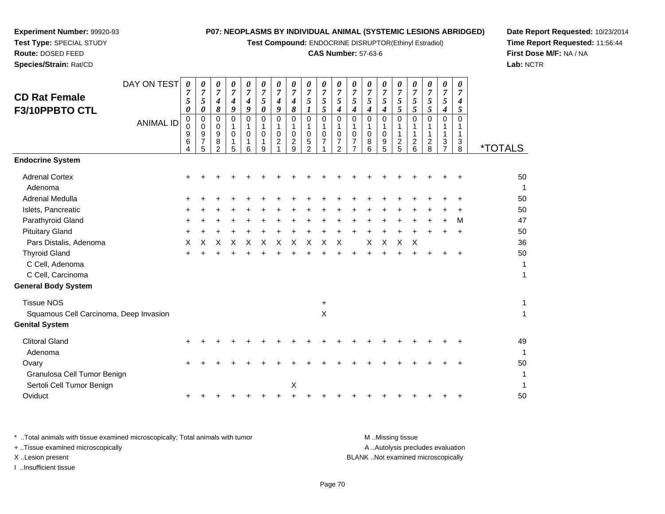**Test Compound:** ENDOCRINE DISRUPTOR(Ethinyl Estradiol)

### **CAS Number:** 57-63-6

**Date Report Requested:** 10/23/2014**Time Report Requested:** 11:56:44**First Dose M/F:** NA / NA**Lab:** NCTR

| <b>CD Rat Female</b><br>F3/10PPBTO CTL | DAY ON TEST      | $\boldsymbol{\theta}$<br>$\overline{7}$<br>5<br>$\boldsymbol{\theta}$ | 0<br>$\overline{7}$<br>5<br>0      | $\boldsymbol{\theta}$<br>$\overline{7}$<br>4<br>8  | 0<br>$\overline{7}$<br>4<br>9 | 0<br>$\overline{7}$<br>4<br>9  | 0<br>$\overline{7}$<br>5<br>0 | 0<br>$\overline{7}$<br>4<br>9 | 0<br>$\overline{7}$<br>4<br>8             | 0<br>$\overline{7}$<br>5<br>$\boldsymbol{l}$                             | 0<br>$\overline{7}$<br>5<br>5                  | 0<br>$\overline{7}$<br>5<br>4        | $\boldsymbol{\theta}$<br>$\overline{7}$<br>5<br>4 | 0<br>$\overline{7}$<br>5<br>4 | 0<br>$\overline{7}$<br>5<br>$\boldsymbol{4}$ | 0<br>$\overline{7}$<br>5<br>$5\overline{)}$ | 0<br>$\overline{7}$<br>5<br>5   | 0<br>$\boldsymbol{7}$<br>$\sqrt{5}$<br>5 | $\boldsymbol{\theta}$<br>$\overline{7}$<br>5<br>$\boldsymbol{4}$ | 0<br>$\overline{7}$<br>4<br>5 |                       |
|----------------------------------------|------------------|-----------------------------------------------------------------------|------------------------------------|----------------------------------------------------|-------------------------------|--------------------------------|-------------------------------|-------------------------------|-------------------------------------------|--------------------------------------------------------------------------|------------------------------------------------|--------------------------------------|---------------------------------------------------|-------------------------------|----------------------------------------------|---------------------------------------------|---------------------------------|------------------------------------------|------------------------------------------------------------------|-------------------------------|-----------------------|
|                                        | <b>ANIMAL ID</b> | 0<br>0<br>9<br>6<br>4                                                 | 0<br>0<br>9<br>$\overline{7}$<br>5 | 0<br>$\mathbf 0$<br>9<br>$\bf 8$<br>$\mathfrak{p}$ | 0<br>1<br>$\Omega$<br>5       | $\Omega$<br>1<br>$\Omega$<br>6 | $\Omega$<br>1<br>0<br>1<br>9  | $\Omega$<br>0<br>2            | $\Omega$<br>1<br>0<br>$\overline{c}$<br>9 | $\Omega$<br>$\mathbf{1}$<br>$\mathbf 0$<br>$\mathbf 5$<br>$\overline{2}$ | $\Omega$<br>1<br>$\mathbf 0$<br>$\overline{7}$ | $\Omega$<br>0<br>7<br>$\overline{2}$ | 0<br>1<br>0<br>7<br>$\overline{7}$                | $\Omega$<br>1<br>0<br>8<br>6  | $\Omega$<br>$\mathbf 0$<br>9<br>5            | $\Omega$<br>1<br>1<br>$\boldsymbol{2}$<br>5 | $\Omega$<br>$\overline{c}$<br>6 | 0<br>1<br>1<br>$\boldsymbol{2}$<br>8     | $\Omega$<br>1<br>3<br>$\overline{7}$                             | $\Omega$<br>1<br>1<br>3<br>8  | <i><b>*TOTALS</b></i> |
| <b>Endocrine System</b>                |                  |                                                                       |                                    |                                                    |                               |                                |                               |                               |                                           |                                                                          |                                                |                                      |                                                   |                               |                                              |                                             |                                 |                                          |                                                                  |                               |                       |
| <b>Adrenal Cortex</b><br>Adenoma       |                  |                                                                       |                                    |                                                    |                               |                                |                               |                               |                                           |                                                                          |                                                |                                      |                                                   |                               |                                              |                                             |                                 |                                          |                                                                  |                               | 50                    |
| Adrenal Medulla                        |                  |                                                                       |                                    |                                                    |                               |                                |                               |                               |                                           |                                                                          |                                                |                                      |                                                   |                               |                                              |                                             |                                 |                                          |                                                                  |                               | 50                    |
| Islets, Pancreatic                     |                  |                                                                       |                                    |                                                    |                               |                                |                               |                               |                                           |                                                                          |                                                |                                      |                                                   |                               |                                              |                                             |                                 |                                          |                                                                  |                               | 50                    |
| Parathyroid Gland                      |                  |                                                                       |                                    |                                                    |                               |                                |                               |                               |                                           |                                                                          |                                                |                                      |                                                   |                               |                                              |                                             |                                 |                                          |                                                                  | M                             | 47                    |
| <b>Pituitary Gland</b>                 |                  |                                                                       |                                    |                                                    |                               |                                |                               |                               |                                           |                                                                          |                                                |                                      |                                                   |                               |                                              |                                             |                                 |                                          |                                                                  | $\ddot{}$                     | 50                    |
| Pars Distalis, Adenoma                 |                  | X                                                                     | X                                  | X                                                  | X                             | X                              | $\times$                      | X                             | $\times$                                  | X                                                                        | X                                              | X                                    |                                                   | X                             | X                                            | X                                           | X                               |                                          |                                                                  |                               | 36                    |
| <b>Thyroid Gland</b>                   |                  |                                                                       |                                    |                                                    |                               |                                |                               |                               |                                           |                                                                          |                                                |                                      |                                                   |                               |                                              |                                             |                                 |                                          |                                                                  | ÷                             | 50                    |
| C Cell, Adenoma                        |                  |                                                                       |                                    |                                                    |                               |                                |                               |                               |                                           |                                                                          |                                                |                                      |                                                   |                               |                                              |                                             |                                 |                                          |                                                                  |                               | 1                     |
| C Cell, Carcinoma                      |                  |                                                                       |                                    |                                                    |                               |                                |                               |                               |                                           |                                                                          |                                                |                                      |                                                   |                               |                                              |                                             |                                 |                                          |                                                                  |                               | 1                     |
| <b>General Body System</b>             |                  |                                                                       |                                    |                                                    |                               |                                |                               |                               |                                           |                                                                          |                                                |                                      |                                                   |                               |                                              |                                             |                                 |                                          |                                                                  |                               |                       |
| <b>Tissue NOS</b>                      |                  |                                                                       |                                    |                                                    |                               |                                |                               |                               |                                           |                                                                          | +                                              |                                      |                                                   |                               |                                              |                                             |                                 |                                          |                                                                  |                               | 1                     |
| Squamous Cell Carcinoma, Deep Invasion |                  |                                                                       |                                    |                                                    |                               |                                |                               |                               |                                           |                                                                          | $\mathsf{X}$                                   |                                      |                                                   |                               |                                              |                                             |                                 |                                          |                                                                  |                               | 1                     |
| <b>Genital System</b>                  |                  |                                                                       |                                    |                                                    |                               |                                |                               |                               |                                           |                                                                          |                                                |                                      |                                                   |                               |                                              |                                             |                                 |                                          |                                                                  |                               |                       |
| <b>Clitoral Gland</b>                  |                  |                                                                       |                                    |                                                    |                               |                                |                               |                               |                                           |                                                                          |                                                |                                      |                                                   |                               |                                              |                                             |                                 |                                          |                                                                  |                               | 49                    |
| Adenoma                                |                  |                                                                       |                                    |                                                    |                               |                                |                               |                               |                                           |                                                                          |                                                |                                      |                                                   |                               |                                              |                                             |                                 |                                          |                                                                  |                               |                       |
| Ovary                                  |                  |                                                                       |                                    |                                                    |                               |                                |                               |                               |                                           |                                                                          |                                                |                                      |                                                   |                               |                                              |                                             |                                 |                                          |                                                                  |                               | 50                    |
| Granulosa Cell Tumor Benign            |                  |                                                                       |                                    |                                                    |                               |                                |                               |                               |                                           |                                                                          |                                                |                                      |                                                   |                               |                                              |                                             |                                 |                                          |                                                                  |                               | 1                     |
| Sertoli Cell Tumor Benign              |                  |                                                                       |                                    |                                                    |                               |                                |                               |                               | X                                         |                                                                          |                                                |                                      |                                                   |                               |                                              |                                             |                                 |                                          |                                                                  |                               |                       |
| Oviduct                                |                  |                                                                       |                                    |                                                    |                               |                                |                               |                               |                                           |                                                                          |                                                |                                      |                                                   |                               |                                              |                                             |                                 |                                          |                                                                  | +                             | 50                    |
|                                        |                  |                                                                       |                                    |                                                    |                               |                                |                               |                               |                                           |                                                                          |                                                |                                      |                                                   |                               |                                              |                                             |                                 |                                          |                                                                  |                               |                       |

**Experiment Number:** 99920-93**Test Type:** SPECIAL STUDY**Route:** DOSED FEED**Species/Strain:** Rat/CD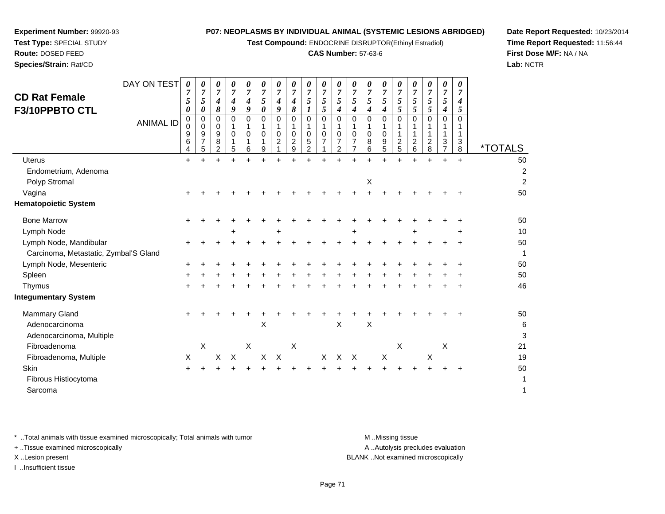**Test Compound:** ENDOCRINE DISRUPTOR(Ethinyl Estradiol)

#### **CAS Number:** 57-63-6

**Date Report Requested:** 10/23/2014**Time Report Requested:** 11:56:44**First Dose M/F:** NA / NA**Lab:** NCTR

| <b>CD Rat Female</b><br>F3/10PPBTO CTL                          | DAY ON TEST      | $\boldsymbol{\theta}$<br>7<br>5<br>0<br>0 | 0<br>$\overline{7}$<br>5<br>$\boldsymbol{\theta}$<br>0 | 0<br>$\overline{7}$<br>4<br>8<br>0 | 0<br>$\overline{7}$<br>4<br>9<br>0 | 0<br>$\boldsymbol{7}$<br>4<br>9<br>$\Omega$ | 0<br>$\boldsymbol{7}$<br>5<br>0<br>0 | 0<br>$\overline{7}$<br>4<br>9<br>0                                     | 0<br>$\overline{7}$<br>4<br>8<br>$\mathbf 0$ | 0<br>$\boldsymbol{7}$<br>5<br>$\boldsymbol{l}$<br>$\mathbf 0$ | 0<br>$\boldsymbol{7}$<br>5<br>5<br>0 | 0<br>$\overline{7}$<br>$\overline{5}$<br>$\boldsymbol{4}$<br>$\mathbf 0$ | 0<br>$\overline{7}$<br>$\mathfrak{s}$<br>$\boldsymbol{4}$<br>$\mathbf 0$ | 0<br>$\overline{7}$<br>5<br>4<br>0 | 0<br>$\overline{7}$<br>5<br>$\boldsymbol{4}$<br>$\Omega$ | 0<br>$\overline{7}$<br>5<br>5<br>0 | 0<br>$\overline{7}$<br>$\sqrt{5}$<br>$\sqrt{5}$<br>0 | $\pmb{\theta}$<br>$\overline{7}$<br>5<br>$\sqrt{5}$<br>$\mathbf 0$ | 0<br>$\overline{7}$<br>5<br>$\boldsymbol{4}$<br>0 | 0<br>$\overline{\mathcal{I}}$<br>4<br>5<br>0 |                       |
|-----------------------------------------------------------------|------------------|-------------------------------------------|--------------------------------------------------------|------------------------------------|------------------------------------|---------------------------------------------|--------------------------------------|------------------------------------------------------------------------|----------------------------------------------|---------------------------------------------------------------|--------------------------------------|--------------------------------------------------------------------------|--------------------------------------------------------------------------|------------------------------------|----------------------------------------------------------|------------------------------------|------------------------------------------------------|--------------------------------------------------------------------|---------------------------------------------------|----------------------------------------------|-----------------------|
|                                                                 | <b>ANIMAL ID</b> | 0<br>9<br>6<br>4                          | 0<br>$\boldsymbol{9}$<br>$\overline{7}$<br>5           | 0<br>9<br>8<br>2                   | $\Omega$<br>5                      | $\Omega$<br>6                               | 0<br>$\boldsymbol{9}$                | $\mathbf{1}$<br>$\mathbf 0$<br>$\overline{\mathbf{c}}$<br>$\mathbf{1}$ | 1<br>$\mathbf 0$<br>$\overline{c}$<br>9      | $\mathbf{1}$<br>$\mathbf 0$<br>$\mathbf 5$<br>$\overline{a}$  | 1<br>0<br>$\overline{7}$             | 1<br>$\mathbf 0$<br>$\boldsymbol{7}$<br>$\overline{c}$                   | $\mathbf 1$<br>0<br>7<br>$\overline{7}$                                  | $\mathbf 0$<br>8<br>6              | $\mathbf 0$<br>9<br>5                                    | 1<br>$\mathbf{1}$<br>$\frac{2}{5}$ | 1<br>$\mathbf{1}$<br>$\overline{c}$<br>6             | $\mathbf{1}$<br>$\boldsymbol{2}$<br>8                              | 1<br>1<br>3<br>$\overline{7}$                     | 1<br>3<br>8                                  | <i><b>*TOTALS</b></i> |
| <b>Uterus</b>                                                   |                  | $\ddot{}$                                 |                                                        |                                    | $\ddot{}$                          |                                             |                                      | 4                                                                      |                                              | $+$                                                           | $\ddot{}$                            |                                                                          |                                                                          | $\ddot{}$                          | $\ddot{}$                                                |                                    |                                                      | $\ddot{}$                                                          | $\ddot{}$                                         | $\ddot{}$                                    | 50                    |
| Endometrium, Adenoma                                            |                  |                                           |                                                        |                                    |                                    |                                             |                                      |                                                                        |                                              |                                                               |                                      |                                                                          |                                                                          |                                    |                                                          |                                    |                                                      |                                                                    |                                                   |                                              | $\overline{c}$        |
| Polyp Stromal                                                   |                  |                                           |                                                        |                                    |                                    |                                             |                                      |                                                                        |                                              |                                                               |                                      |                                                                          |                                                                          | X                                  |                                                          |                                    |                                                      |                                                                    |                                                   |                                              | $\overline{2}$        |
| Vagina                                                          |                  |                                           |                                                        |                                    |                                    |                                             |                                      |                                                                        |                                              |                                                               |                                      |                                                                          |                                                                          |                                    |                                                          |                                    |                                                      |                                                                    |                                                   |                                              | 50                    |
| <b>Hematopoietic System</b>                                     |                  |                                           |                                                        |                                    |                                    |                                             |                                      |                                                                        |                                              |                                                               |                                      |                                                                          |                                                                          |                                    |                                                          |                                    |                                                      |                                                                    |                                                   |                                              |                       |
| <b>Bone Marrow</b>                                              |                  | ÷                                         |                                                        |                                    |                                    |                                             |                                      |                                                                        |                                              |                                                               |                                      |                                                                          |                                                                          |                                    |                                                          |                                    |                                                      |                                                                    |                                                   |                                              | 50                    |
| Lymph Node                                                      |                  |                                           |                                                        |                                    | ÷                                  |                                             |                                      | ٠                                                                      |                                              |                                                               |                                      |                                                                          |                                                                          |                                    |                                                          |                                    |                                                      |                                                                    |                                                   | ÷                                            | 10                    |
| Lymph Node, Mandibular<br>Carcinoma, Metastatic, Zymbal'S Gland |                  | $\ddot{}$                                 |                                                        |                                    |                                    |                                             |                                      |                                                                        |                                              |                                                               |                                      |                                                                          |                                                                          |                                    |                                                          |                                    |                                                      |                                                                    |                                                   |                                              | 50<br>$\mathbf{1}$    |
| Lymph Node, Mesenteric                                          |                  |                                           |                                                        |                                    |                                    |                                             |                                      |                                                                        |                                              |                                                               |                                      |                                                                          |                                                                          |                                    |                                                          |                                    |                                                      |                                                                    |                                                   |                                              | 50                    |
| Spleen                                                          |                  | +                                         |                                                        |                                    |                                    |                                             |                                      |                                                                        |                                              |                                                               |                                      |                                                                          |                                                                          |                                    |                                                          |                                    |                                                      |                                                                    |                                                   |                                              | 50                    |
| Thymus                                                          |                  |                                           |                                                        |                                    |                                    |                                             |                                      |                                                                        |                                              |                                                               |                                      |                                                                          |                                                                          |                                    |                                                          |                                    |                                                      |                                                                    |                                                   |                                              | 46                    |
| <b>Integumentary System</b>                                     |                  |                                           |                                                        |                                    |                                    |                                             |                                      |                                                                        |                                              |                                                               |                                      |                                                                          |                                                                          |                                    |                                                          |                                    |                                                      |                                                                    |                                                   |                                              |                       |
| <b>Mammary Gland</b>                                            |                  | $+$                                       |                                                        |                                    |                                    |                                             |                                      |                                                                        |                                              |                                                               |                                      |                                                                          |                                                                          |                                    |                                                          |                                    |                                                      |                                                                    |                                                   |                                              | 50                    |
| Adenocarcinoma                                                  |                  |                                           |                                                        |                                    |                                    |                                             | $\times$                             |                                                                        |                                              |                                                               |                                      | $\sf X$                                                                  |                                                                          | $\pmb{\times}$                     |                                                          |                                    |                                                      |                                                                    |                                                   |                                              | 6                     |
| Adenocarcinoma, Multiple                                        |                  |                                           |                                                        |                                    |                                    |                                             |                                      |                                                                        |                                              |                                                               |                                      |                                                                          |                                                                          |                                    |                                                          |                                    |                                                      |                                                                    |                                                   |                                              | 3                     |
| Fibroadenoma                                                    |                  |                                           | X                                                      |                                    |                                    | X                                           |                                      |                                                                        | X                                            |                                                               |                                      |                                                                          |                                                                          |                                    |                                                          | X                                  |                                                      |                                                                    | X                                                 |                                              | 21                    |
| Fibroadenoma, Multiple                                          |                  | X                                         |                                                        | X                                  | $\sf X$                            |                                             | X                                    | $\boldsymbol{X}$                                                       |                                              |                                                               | X                                    |                                                                          | $X$ $X$                                                                  |                                    | X                                                        |                                    |                                                      | $\boldsymbol{\mathsf{X}}$                                          |                                                   |                                              | 19                    |
| Skin                                                            |                  | $\ddot{}$                                 |                                                        |                                    |                                    | $\ddot{}$                                   |                                      |                                                                        |                                              |                                                               |                                      |                                                                          |                                                                          |                                    | $\ddot{}$                                                |                                    |                                                      |                                                                    |                                                   | $\ddot{}$                                    | 50                    |
| Fibrous Histiocytoma                                            |                  |                                           |                                                        |                                    |                                    |                                             |                                      |                                                                        |                                              |                                                               |                                      |                                                                          |                                                                          |                                    |                                                          |                                    |                                                      |                                                                    |                                                   |                                              | 1                     |
| Sarcoma                                                         |                  |                                           |                                                        |                                    |                                    |                                             |                                      |                                                                        |                                              |                                                               |                                      |                                                                          |                                                                          |                                    |                                                          |                                    |                                                      |                                                                    |                                                   |                                              | 1                     |

\* ..Total animals with tissue examined microscopically; Total animals with tumor **M** ...Missing tissue M ...Missing tissue

+ ..Tissue examined microscopically

**Experiment Number:** 99920-93**Test Type:** SPECIAL STUDY**Route:** DOSED FEED**Species/Strain:** Rat/CD

I ..Insufficient tissue

A ..Autolysis precludes evaluation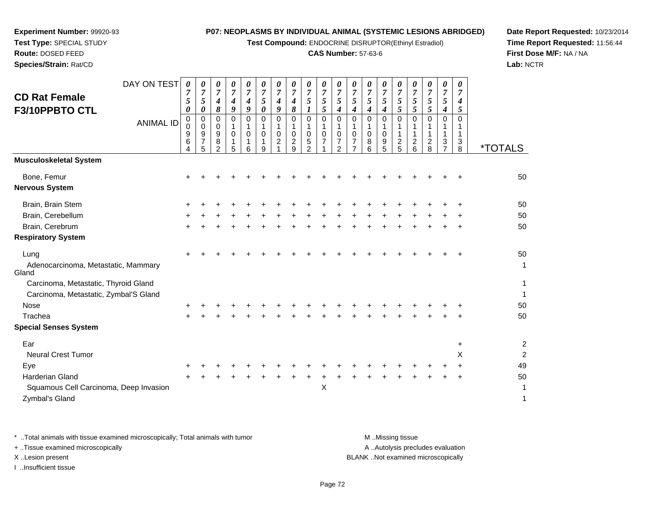**Test Compound:** ENDOCRINE DISRUPTOR(Ethinyl Estradiol)

### **CAS Number:** 57-63-6

**Date Report Requested:** 10/23/2014**Time Report Requested:** 11:56:44**First Dose M/F:** NA / NA**Lab:** NCTR

| <b>CD Rat Female</b><br>F3/10PPBTO CTL                   | DAY ON TEST<br><b>ANIMAL ID</b> | 0<br>5<br>0<br>$\mathbf 0$<br>0<br>9<br>6<br>4 | 0<br>$\overline{7}$<br>$\mathfrak{s}$<br>0<br>0<br>$\mathbf 0$<br>9<br>$\overline{7}$<br>5 | 0<br>$\boldsymbol{7}$<br>$\boldsymbol{4}$<br>8<br>0<br>$\mathbf 0$<br>$9\,$<br>$\, 8$<br>$\mathfrak{p}$ | 0<br>$\boldsymbol{7}$<br>4<br>9<br>$\Omega$<br>1<br>$\mathbf 0$<br>5 | 0<br>$\boldsymbol{7}$<br>$\boldsymbol{4}$<br>9<br>0<br>1<br>$\mathbf 0$<br>6 | 0<br>$\overline{7}$<br>$\mathfrak{s}$<br>0<br>$\Omega$<br>1<br>$\mathbf 0$<br>1<br>9 | 0<br>$\boldsymbol{7}$<br>4<br>9<br>0<br>1<br>0<br>$\overline{\mathbf{c}}$ | 0<br>$\boldsymbol{7}$<br>$\boldsymbol{4}$<br>$\pmb{8}$<br>0<br>1<br>0<br>$\frac{2}{9}$ | 0<br>$\boldsymbol{7}$<br>$\sqrt{5}$<br>$\boldsymbol{l}$<br>$\Omega$<br>$\mathbf{1}$<br>$\mathbf 0$<br>5<br>$\overline{2}$ | 0<br>$\overline{7}$<br>$\sqrt{5}$<br>5<br>$\Omega$<br>$\mathbf{1}$<br>$\mathbf 0$<br>$\overline{7}$ | 0<br>$\boldsymbol{7}$<br>$\mathfrak{s}$<br>$\boldsymbol{4}$<br>$\mathbf 0$<br>1<br>$\mathbf 0$<br>7<br>$\overline{2}$ | 0<br>$\boldsymbol{7}$<br>$\sqrt{5}$<br>4<br>$\mathbf 0$<br>1<br>0<br>7<br>$\overline{7}$ | 0<br>$\overline{7}$<br>$\sqrt{5}$<br>$\boldsymbol{4}$<br>0<br>$\mathbf{1}$<br>0<br>8<br>6 | 0<br>$\overline{7}$<br>$\sqrt{5}$<br>4<br>$\Omega$<br>1<br>0<br>9<br>5 | 0<br>$\overline{7}$<br>5<br>5<br>0<br>1<br>$\frac{2}{5}$ | 0<br>$\boldsymbol{7}$<br>5<br>5<br>$\Omega$<br>1<br>1<br>$\boldsymbol{2}$<br>6 | 0<br>$\boldsymbol{7}$<br>5<br>5<br>$\Omega$<br>1<br>1<br>$\overline{c}$<br>8 | 0<br>$\overline{7}$<br>$\sqrt{5}$<br>$\boldsymbol{4}$<br>$\Omega$<br>-1<br>$\mathbf{1}$<br>3<br>$\overline{7}$ | $\theta$<br>4<br>5<br>$\Omega$<br>1<br>3<br>8 | <i><b>*TOTALS</b></i> |
|----------------------------------------------------------|---------------------------------|------------------------------------------------|--------------------------------------------------------------------------------------------|---------------------------------------------------------------------------------------------------------|----------------------------------------------------------------------|------------------------------------------------------------------------------|--------------------------------------------------------------------------------------|---------------------------------------------------------------------------|----------------------------------------------------------------------------------------|---------------------------------------------------------------------------------------------------------------------------|-----------------------------------------------------------------------------------------------------|-----------------------------------------------------------------------------------------------------------------------|------------------------------------------------------------------------------------------|-------------------------------------------------------------------------------------------|------------------------------------------------------------------------|----------------------------------------------------------|--------------------------------------------------------------------------------|------------------------------------------------------------------------------|----------------------------------------------------------------------------------------------------------------|-----------------------------------------------|-----------------------|
| <b>Musculoskeletal System</b>                            |                                 |                                                |                                                                                            |                                                                                                         |                                                                      |                                                                              |                                                                                      |                                                                           |                                                                                        |                                                                                                                           |                                                                                                     |                                                                                                                       |                                                                                          |                                                                                           |                                                                        |                                                          |                                                                                |                                                                              |                                                                                                                |                                               |                       |
| Bone, Femur<br><b>Nervous System</b>                     |                                 |                                                |                                                                                            |                                                                                                         |                                                                      |                                                                              |                                                                                      |                                                                           |                                                                                        |                                                                                                                           |                                                                                                     |                                                                                                                       |                                                                                          |                                                                                           |                                                                        |                                                          |                                                                                |                                                                              |                                                                                                                |                                               | 50                    |
| Brain, Brain Stem                                        |                                 |                                                |                                                                                            |                                                                                                         |                                                                      |                                                                              |                                                                                      |                                                                           |                                                                                        |                                                                                                                           |                                                                                                     |                                                                                                                       |                                                                                          |                                                                                           |                                                                        |                                                          |                                                                                |                                                                              |                                                                                                                |                                               | 50                    |
| Brain, Cerebellum                                        |                                 |                                                |                                                                                            |                                                                                                         |                                                                      |                                                                              |                                                                                      |                                                                           |                                                                                        |                                                                                                                           |                                                                                                     |                                                                                                                       |                                                                                          |                                                                                           |                                                                        |                                                          |                                                                                |                                                                              |                                                                                                                |                                               | 50                    |
| Brain, Cerebrum                                          |                                 |                                                |                                                                                            |                                                                                                         |                                                                      |                                                                              |                                                                                      |                                                                           |                                                                                        |                                                                                                                           |                                                                                                     |                                                                                                                       |                                                                                          |                                                                                           |                                                                        |                                                          |                                                                                |                                                                              |                                                                                                                |                                               | 50                    |
| <b>Respiratory System</b>                                |                                 |                                                |                                                                                            |                                                                                                         |                                                                      |                                                                              |                                                                                      |                                                                           |                                                                                        |                                                                                                                           |                                                                                                     |                                                                                                                       |                                                                                          |                                                                                           |                                                                        |                                                          |                                                                                |                                                                              |                                                                                                                |                                               |                       |
| Lung<br>Adenocarcinoma, Metastatic, Mammary<br>Gland     |                                 |                                                |                                                                                            |                                                                                                         |                                                                      |                                                                              |                                                                                      |                                                                           |                                                                                        |                                                                                                                           |                                                                                                     |                                                                                                                       |                                                                                          |                                                                                           |                                                                        |                                                          |                                                                                |                                                                              |                                                                                                                |                                               | 50<br>1               |
| Carcinoma, Metastatic, Thyroid Gland                     |                                 |                                                |                                                                                            |                                                                                                         |                                                                      |                                                                              |                                                                                      |                                                                           |                                                                                        |                                                                                                                           |                                                                                                     |                                                                                                                       |                                                                                          |                                                                                           |                                                                        |                                                          |                                                                                |                                                                              |                                                                                                                |                                               |                       |
| Carcinoma, Metastatic, Zymbal'S Gland                    |                                 |                                                |                                                                                            |                                                                                                         |                                                                      |                                                                              |                                                                                      |                                                                           |                                                                                        |                                                                                                                           |                                                                                                     |                                                                                                                       |                                                                                          |                                                                                           |                                                                        |                                                          |                                                                                |                                                                              |                                                                                                                |                                               | 1                     |
| Nose                                                     |                                 |                                                |                                                                                            |                                                                                                         |                                                                      |                                                                              |                                                                                      |                                                                           |                                                                                        |                                                                                                                           |                                                                                                     |                                                                                                                       |                                                                                          |                                                                                           |                                                                        |                                                          |                                                                                |                                                                              |                                                                                                                |                                               | 50                    |
| Trachea                                                  |                                 |                                                |                                                                                            |                                                                                                         |                                                                      |                                                                              |                                                                                      |                                                                           |                                                                                        |                                                                                                                           |                                                                                                     |                                                                                                                       |                                                                                          |                                                                                           |                                                                        |                                                          |                                                                                |                                                                              |                                                                                                                |                                               | 50                    |
| <b>Special Senses System</b>                             |                                 |                                                |                                                                                            |                                                                                                         |                                                                      |                                                                              |                                                                                      |                                                                           |                                                                                        |                                                                                                                           |                                                                                                     |                                                                                                                       |                                                                                          |                                                                                           |                                                                        |                                                          |                                                                                |                                                                              |                                                                                                                |                                               |                       |
| Ear                                                      |                                 |                                                |                                                                                            |                                                                                                         |                                                                      |                                                                              |                                                                                      |                                                                           |                                                                                        |                                                                                                                           |                                                                                                     |                                                                                                                       |                                                                                          |                                                                                           |                                                                        |                                                          |                                                                                |                                                                              |                                                                                                                | +                                             | $\overline{c}$        |
| <b>Neural Crest Tumor</b>                                |                                 |                                                |                                                                                            |                                                                                                         |                                                                      |                                                                              |                                                                                      |                                                                           |                                                                                        |                                                                                                                           |                                                                                                     |                                                                                                                       |                                                                                          |                                                                                           |                                                                        |                                                          |                                                                                |                                                                              |                                                                                                                | X                                             | $\overline{c}$        |
| Eye<br>Harderian Gland                                   |                                 |                                                |                                                                                            |                                                                                                         |                                                                      |                                                                              |                                                                                      |                                                                           |                                                                                        |                                                                                                                           |                                                                                                     |                                                                                                                       |                                                                                          |                                                                                           |                                                                        |                                                          |                                                                                |                                                                              |                                                                                                                |                                               | 49<br>50              |
| Squamous Cell Carcinoma, Deep Invasion<br>Zymbal's Gland |                                 |                                                |                                                                                            |                                                                                                         |                                                                      |                                                                              |                                                                                      |                                                                           |                                                                                        |                                                                                                                           | ٠<br>X                                                                                              |                                                                                                                       |                                                                                          |                                                                                           |                                                                        |                                                          |                                                                                |                                                                              |                                                                                                                | ÷                                             | 1<br>1                |

**Experiment Number:** 99920-93**Test Type:** SPECIAL STUDY**Route:** DOSED FEED**Species/Strain:** Rat/CD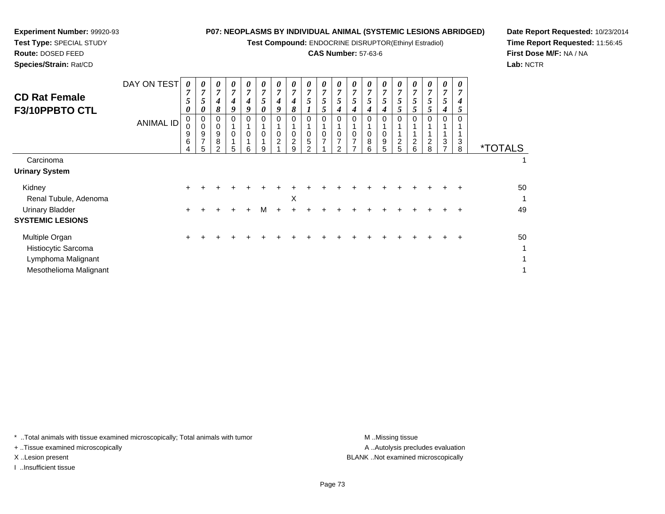**Test Compound:** ENDOCRINE DISRUPTOR(Ethinyl Estradiol)

## **CAS Number:** 57-63-6

*0*

**Date Report Requested:** 10/23/2014**Time Report Requested:** 11:56:45**First Dose M/F:** NA / NA**Lab:** NCTR

| <b>CD Rat Female</b>  | DAY ON TEST      | 0<br>$\overline{ }$<br>◡ | $\boldsymbol{\theta}$<br>J | $\theta$<br>4 | $\boldsymbol{\theta}$<br>$\overline{ }$<br>4 | $\boldsymbol{\theta}$<br>4 | $\theta$ | $\boldsymbol{\theta}$<br>4 | $\boldsymbol{\theta}$<br>,<br>4 | $\boldsymbol{\theta}$<br>J | $\boldsymbol{\theta}$ | $\boldsymbol{\theta}$ | 0      | $\theta$<br>− | $\boldsymbol{\theta}$<br>نہ | $\boldsymbol{\theta}$<br>7<br>C | $\theta$<br>C | 0      | 0<br>$\overline{ }$ | 0<br>Ł.<br>4 |                       |
|-----------------------|------------------|--------------------------|----------------------------|---------------|----------------------------------------------|----------------------------|----------|----------------------------|---------------------------------|----------------------------|-----------------------|-----------------------|--------|---------------|-----------------------------|---------------------------------|---------------|--------|---------------------|--------------|-----------------------|
| F3/10PPBTO CTL        |                  | $\theta$                 | $\boldsymbol{\theta}$      | 8             | 9                                            | 9                          | ◡<br>0   | 9                          | $\mathbf o$                     |                            |                       | 4                     | J<br>4 | ັ<br>4        | 4                           | C                               |               |        | J<br>4              | J            |                       |
|                       | <b>ANIMAL ID</b> | 0<br>U                   | 0                          | 0<br>U        | 0                                            |                            |          |                            |                                 | 0                          |                       |                       |        | 0             |                             | 0                               | 0             |        | 0                   |              |                       |
|                       |                  | 9                        | 9                          | 9             | 0                                            |                            |          |                            | ົ                               | 0                          |                       |                       |        | 0             |                             |                                 |               |        |                     |              |                       |
|                       |                  | 6<br>4                   | <sub>5</sub>               | 8<br>ົ        | 5                                            | ี                          | 9        | ົ                          | ∠<br>9                          | <sub>5</sub><br>ົ          |                       | ົ                     |        | 8<br>6        | 9                           | 2<br>5                          | ົ<br>6        | ົ<br>8 | 3<br>-              | 3<br>8       | <i><b>*TOTALS</b></i> |
| Carcinoma             |                  |                          |                            |               |                                              |                            |          |                            |                                 |                            |                       |                       |        |               |                             |                                 |               |        |                     |              |                       |
| <b>Urinary System</b> |                  |                          |                            |               |                                              |                            |          |                            |                                 |                            |                       |                       |        |               |                             |                                 |               |        |                     |              |                       |

DAY ON TEST

| <b>Urinary System</b>   |       |  |        |   |     |     |     |  |  |  |  |         |    |
|-------------------------|-------|--|--------|---|-----|-----|-----|--|--|--|--|---------|----|
| Kidney                  | $\pm$ |  |        |   |     |     |     |  |  |  |  | $\div$  | 50 |
| Renal Tubule, Adenoma   |       |  |        |   |     | X   |     |  |  |  |  |         |    |
| <b>Urinary Bladder</b>  | $\pm$ |  | $\div$ | м | $+$ | $+$ | $+$ |  |  |  |  | $+$ $+$ | 49 |
| <b>SYSTEMIC LESIONS</b> |       |  |        |   |     |     |     |  |  |  |  |         |    |
| Multiple Organ          | $\pm$ |  |        |   |     |     |     |  |  |  |  |         | 50 |
| Histiocytic Sarcoma     |       |  |        |   |     |     |     |  |  |  |  |         |    |
| Lymphoma Malignant      |       |  |        |   |     |     |     |  |  |  |  |         |    |
| Mesothelioma Malignant  |       |  |        |   |     |     |     |  |  |  |  |         |    |

\* ..Total animals with tissue examined microscopically; Total animals with tumor **M** ..Missing tissue M ..Missing tissue

+ ..Tissue examined microscopically

**Experiment Number:** 99920-93**Test Type:** SPECIAL STUDY**Route:** DOSED FEED**Species/Strain:** Rat/CD

I ..Insufficient tissue

A ..Autolysis precludes evaluation X ..Lesion present BLANK ..Not examined microscopically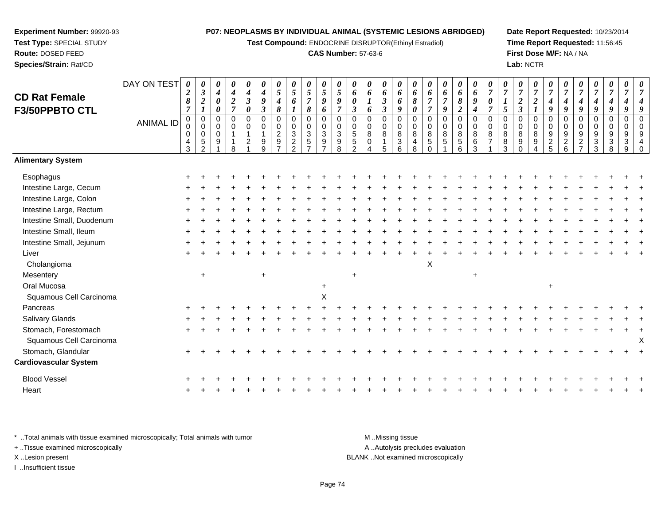**Test Compound:** ENDOCRINE DISRUPTOR(Ethinyl Estradiol)

#### **CAS Number:** 57-63-6

**Date Report Requested:** 10/23/2014**Time Report Requested:** 11:56:45**First Dose M/F:** NA / NA**Lab:** NCTR

#### DAY ON TEST**CD Rat Female F3/50PPBTO CTL**ANIMAL ID*0 2 8 7* 0 0 0 4 3*0 3 2 1* 0 0 0 5 2*0 4 0 0* 0 0 0 9 1*0 4 2 7* 0 0 1 1 8*0 4 3 0* 0 0 1 2 1*0 4 9 3* 0 0 1 9 9*0 5 4 8* 0 0 2 9 7*0 5 6 1* 0 0 3 2 2*0 5 7 8* 0 0 3 5 7*0 5 9 6* 0 0 3 9 7*0 5 9 7* 0 0 3 9 8*0 6 0 3* 0 0 5 5 2*0 6 1 6* 0 0 8 0 4*0 6 3 3* 0 0 8 1 5*0 6 6 9* 0 0 8 3 6*0 6 8 0* 0 0 8 4 8*0 6 7 7* 0 0 8 5 0*0 6 7 9* 0 0 8 5 1*0 6 8 2* 0 0 8 5 6*0 6 9 4* 0 0 8 6 3*0 7 0 7* 0 0 8 7 1*0 7 1 5* 0 0 8 8 3*0 7 2 3* 0 0 8 9 0*0 7 2 1* 0 0 8 9 4*0 7 4 9* 0 0 9 2 5*0 7 4 9* 0 0 9 2 6*0 7 4 9* 0 0 9 2 7*0 7 4 9* 0 0 9 3 3*0 7 4 9* 0 0 9 3 8*0 7 4 9* 0 0 9 3 9*0 7 4 9* 0 0 9 4 0**Alimentary SystemEsophagus**  $\mathsf{S}$  + <sup>+</sup> <sup>+</sup> <sup>+</sup> <sup>+</sup> <sup>+</sup> <sup>+</sup> <sup>+</sup> <sup>+</sup> <sup>+</sup> <sup>+</sup> <sup>+</sup> <sup>+</sup> <sup>+</sup> <sup>+</sup> <sup>+</sup> <sup>+</sup> <sup>+</sup> <sup>+</sup> <sup>+</sup> <sup>+</sup> <sup>+</sup> <sup>+</sup> <sup>+</sup> <sup>+</sup> <sup>+</sup> <sup>+</sup> <sup>+</sup> <sup>+</sup> <sup>+</sup> <sup>+</sup> Intestine Large, Cecum <sup>+</sup> <sup>+</sup> <sup>+</sup> <sup>+</sup> <sup>+</sup> <sup>+</sup> <sup>+</sup> <sup>+</sup> <sup>+</sup> <sup>+</sup> <sup>+</sup> <sup>+</sup> <sup>+</sup> <sup>+</sup> <sup>+</sup> <sup>+</sup> <sup>+</sup> <sup>+</sup> <sup>+</sup> <sup>+</sup> <sup>+</sup> <sup>+</sup> <sup>+</sup> <sup>+</sup> <sup>+</sup> <sup>+</sup> <sup>+</sup> <sup>+</sup> <sup>+</sup> <sup>+</sup> <sup>+</sup> Intestine Large, Colonn  $+$  <sup>+</sup> <sup>+</sup> <sup>+</sup> <sup>+</sup> <sup>+</sup> <sup>+</sup> <sup>+</sup> <sup>+</sup> <sup>+</sup> <sup>+</sup> <sup>+</sup> <sup>+</sup> <sup>+</sup> <sup>+</sup> <sup>+</sup> <sup>+</sup> <sup>+</sup> <sup>+</sup> <sup>+</sup> <sup>+</sup> <sup>+</sup> <sup>+</sup> <sup>+</sup> <sup>+</sup> <sup>+</sup> <sup>+</sup> <sup>+</sup> <sup>+</sup> <sup>+</sup> <sup>+</sup> Intestine Large, Rectum <sup>+</sup> <sup>+</sup> <sup>+</sup> <sup>+</sup> <sup>+</sup> <sup>+</sup> <sup>+</sup> <sup>+</sup> <sup>+</sup> <sup>+</sup> <sup>+</sup> <sup>+</sup> <sup>+</sup> <sup>+</sup> <sup>+</sup> <sup>+</sup> <sup>+</sup> <sup>+</sup> <sup>+</sup> <sup>+</sup> <sup>+</sup> <sup>+</sup> <sup>+</sup> <sup>+</sup> <sup>+</sup> <sup>+</sup> <sup>+</sup> <sup>+</sup> <sup>+</sup> <sup>+</sup> <sup>+</sup> Intestine Small, Duodenum <sup>+</sup> <sup>+</sup> <sup>+</sup> <sup>+</sup> <sup>+</sup> <sup>+</sup> <sup>+</sup> <sup>+</sup> <sup>+</sup> <sup>+</sup> <sup>+</sup> <sup>+</sup> <sup>+</sup> <sup>+</sup> <sup>+</sup> <sup>+</sup> <sup>+</sup> <sup>+</sup> <sup>+</sup> <sup>+</sup> <sup>+</sup> <sup>+</sup> <sup>+</sup> <sup>+</sup> <sup>+</sup> <sup>+</sup> <sup>+</sup> <sup>+</sup> <sup>+</sup> <sup>+</sup> <sup>+</sup> Intestine Small, Ileum <sup>+</sup> <sup>+</sup> <sup>+</sup> <sup>+</sup> <sup>+</sup> <sup>+</sup> <sup>+</sup> <sup>+</sup> <sup>+</sup> <sup>+</sup> <sup>+</sup> <sup>+</sup> <sup>+</sup> <sup>+</sup> <sup>+</sup> <sup>+</sup> <sup>+</sup> <sup>+</sup> <sup>+</sup> <sup>+</sup> <sup>+</sup> <sup>+</sup> <sup>+</sup> <sup>+</sup> <sup>+</sup> <sup>+</sup> <sup>+</sup> <sup>+</sup> <sup>+</sup> <sup>+</sup> <sup>+</sup> Intestine Small, Jejunum <sup>+</sup> <sup>+</sup> <sup>+</sup> <sup>+</sup> <sup>+</sup> <sup>+</sup> <sup>+</sup> <sup>+</sup> <sup>+</sup> <sup>+</sup> <sup>+</sup> <sup>+</sup> <sup>+</sup> <sup>+</sup> <sup>+</sup> <sup>+</sup> <sup>+</sup> <sup>+</sup> <sup>+</sup> <sup>+</sup> <sup>+</sup> <sup>+</sup> <sup>+</sup> <sup>+</sup> <sup>+</sup> <sup>+</sup> <sup>+</sup> <sup>+</sup> <sup>+</sup> <sup>+</sup> <sup>+</sup> Liver $\mathsf{r}$  + <sup>+</sup> <sup>+</sup> <sup>+</sup> <sup>+</sup> <sup>+</sup> <sup>+</sup> <sup>+</sup> <sup>+</sup> <sup>+</sup> <sup>+</sup> <sup>+</sup> <sup>+</sup> <sup>+</sup> <sup>+</sup> <sup>+</sup> <sup>+</sup> <sup>+</sup> <sup>+</sup> <sup>+</sup> <sup>+</sup> <sup>+</sup> <sup>+</sup> <sup>+</sup> <sup>+</sup> <sup>+</sup> <sup>+</sup> <sup>+</sup> <sup>+</sup> <sup>+</sup> <sup>+</sup> Cholangioma $\alpha$ **Mesentery**  <sup>+</sup> <sup>+</sup> <sup>+</sup> <sup>+</sup> Oral Mucosaa  $+$  <sup>+</sup> Squamous Cell Carcinomaa  $X$ Pancreas <sup>+</sup> <sup>+</sup> <sup>+</sup> <sup>+</sup> <sup>+</sup> <sup>+</sup> <sup>+</sup> <sup>+</sup> <sup>+</sup> <sup>+</sup> <sup>+</sup> <sup>+</sup> <sup>+</sup> <sup>+</sup> <sup>+</sup> <sup>+</sup> <sup>+</sup> <sup>+</sup> <sup>+</sup> <sup>+</sup> <sup>+</sup> <sup>+</sup> <sup>+</sup> <sup>+</sup> <sup>+</sup> <sup>+</sup> <sup>+</sup> <sup>+</sup> <sup>+</sup> <sup>+</sup> <sup>+</sup> Salivary Glands $\sim$   $\sim$   $\sim$   $\sim$   $\sim$   $\sim$   $\sim$  <sup>+</sup> <sup>+</sup> <sup>+</sup> <sup>+</sup> <sup>+</sup> <sup>+</sup> <sup>+</sup> <sup>+</sup> <sup>+</sup> <sup>+</sup> <sup>+</sup> <sup>+</sup> <sup>+</sup> <sup>+</sup> <sup>+</sup> <sup>+</sup> <sup>+</sup> <sup>+</sup> <sup>+</sup> <sup>+</sup> <sup>+</sup> <sup>+</sup> <sup>+</sup> <sup>+</sup> <sup>+</sup> <sup>+</sup> <sup>+</sup> <sup>+</sup> <sup>+</sup> <sup>+</sup> Stomach, Forestomach $\mathsf{h}$  + <sup>+</sup> <sup>+</sup> <sup>+</sup> <sup>+</sup> <sup>+</sup> <sup>+</sup> <sup>+</sup> <sup>+</sup> <sup>+</sup> <sup>+</sup> <sup>+</sup> <sup>+</sup> <sup>+</sup> <sup>+</sup> <sup>+</sup> <sup>+</sup> <sup>+</sup> <sup>+</sup> <sup>+</sup> <sup>+</sup> <sup>+</sup> <sup>+</sup> <sup>+</sup> <sup>+</sup> <sup>+</sup> <sup>+</sup> <sup>+</sup> <sup>+</sup> <sup>+</sup> <sup>+</sup> Squamous Cell Carcinomaa and the contract of the contract of the contract of the contract of the contract of the contract of the contract of the contract of the contract of the contract of the contract of the contract of the contract of the cont  $\overline{1}$ Stomach, Glandularr + <sup>+</sup> <sup>+</sup> <sup>+</sup> <sup>+</sup> <sup>+</sup> <sup>+</sup> <sup>+</sup> <sup>+</sup> <sup>+</sup> <sup>+</sup> <sup>+</sup> <sup>+</sup> <sup>+</sup> <sup>+</sup> <sup>+</sup> <sup>+</sup> <sup>+</sup> <sup>+</sup> <sup>+</sup> <sup>+</sup> <sup>+</sup> <sup>+</sup> <sup>+</sup> <sup>+</sup> <sup>+</sup> <sup>+</sup> <sup>+</sup> <sup>+</sup> <sup>+</sup> <sup>+</sup> **Cardiovascular System**Blood Vessel $\mathbf{+}$  <sup>+</sup> <sup>+</sup> <sup>+</sup> <sup>+</sup> <sup>+</sup> <sup>+</sup> <sup>+</sup> <sup>+</sup> <sup>+</sup> <sup>+</sup> <sup>+</sup> <sup>+</sup> <sup>+</sup> <sup>+</sup> <sup>+</sup> <sup>+</sup> <sup>+</sup> <sup>+</sup> <sup>+</sup> <sup>+</sup> <sup>+</sup> <sup>+</sup> <sup>+</sup> <sup>+</sup> <sup>+</sup> <sup>+</sup> <sup>+</sup> <sup>+</sup> <sup>+</sup> <sup>+</sup> **Heart**  <sup>+</sup><sup>+</sup> <sup>+</sup> <sup>+</sup> <sup>+</sup> <sup>+</sup> <sup>+</sup> <sup>+</sup> <sup>+</sup> <sup>+</sup> <sup>+</sup> <sup>+</sup> <sup>+</sup> <sup>+</sup> <sup>+</sup> <sup>+</sup> <sup>+</sup> <sup>+</sup> <sup>+</sup> <sup>+</sup> <sup>+</sup> <sup>+</sup> <sup>+</sup> <sup>+</sup> <sup>+</sup> <sup>+</sup> <sup>+</sup> <sup>+</sup> <sup>+</sup> <sup>+</sup> <sup>+</sup>

\* ..Total animals with tissue examined microscopically; Total animals with tumor M ...Total animals with tumor A ..Autolysis precludes evaluation + ..Tissue examined microscopically X ..Lesion present BLANK ..Not examined microscopicallyI ..Insufficient tissue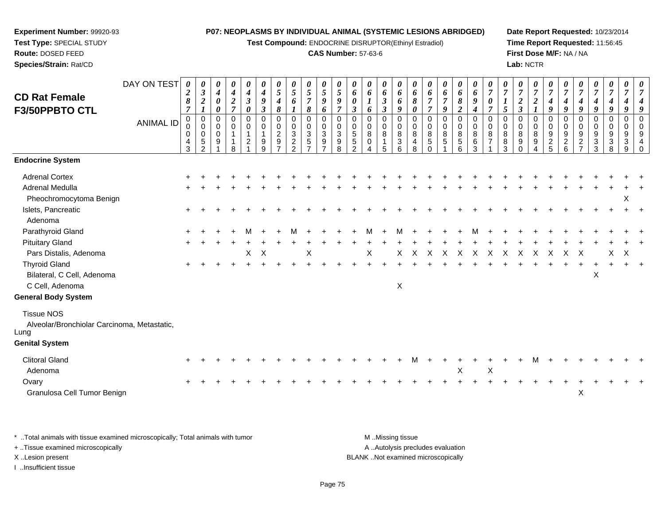**Test Compound:** ENDOCRINE DISRUPTOR(Ethinyl Estradiol)

#### **CAS Number:** 57-63-6

**Date Report Requested:** 10/23/2014**Time Report Requested:** 11:56:45**First Dose M/F:** NA / NA**Lab:** NCTR

| <b>CD Rat Female</b><br>F3/50PPBTO CTL                           | DAY ON TEST      | $\theta$<br>$\overline{2}$<br>$\pmb{8}$<br>$\overline{7}$ | $\boldsymbol{\theta}$<br>$\boldsymbol{\beta}$<br>$\boldsymbol{2}$<br>$\boldsymbol{l}$ | $\boldsymbol{\theta}$<br>$\boldsymbol{4}$<br>$\boldsymbol{\theta}$<br>$\pmb{\theta}$ | 0<br>$\boldsymbol{4}$<br>$\boldsymbol{2}$<br>$\overline{7}$ | $\boldsymbol{\theta}$<br>$\boldsymbol{4}$<br>$\boldsymbol{\mathfrak{z}}$<br>0 | $\theta$<br>$\boldsymbol{4}$<br>$\boldsymbol{9}$<br>$\boldsymbol{\beta}$ | $\boldsymbol{\theta}$<br>$\mathfrak{s}$<br>4<br>$\pmb{8}$                      | $\boldsymbol{\theta}$<br>$\sqrt{5}$<br>6                  | $\boldsymbol{\theta}$<br>5<br>$\overline{7}$<br>8                      | 0<br>$\mathfrak{s}$<br>9<br>6                                          | $\boldsymbol{\theta}$<br>5<br>9<br>$\overline{7}$           | $\boldsymbol{\theta}$<br>6<br>$\boldsymbol{\theta}$<br>$\boldsymbol{\beta}$ | $\boldsymbol{\theta}$<br>$\pmb{6}$<br>$\boldsymbol{l}$<br>6 | 0<br>6<br>$\mathfrak{z}$<br>$\mathfrak{z}$ | $\boldsymbol{\theta}$<br>6<br>6<br>9       | 0<br>6<br>8<br>0                   | $\theta$<br>6<br>$\overline{7}$<br>7                  | $\boldsymbol{\theta}$<br>$\pmb{6}$<br>$\overline{7}$<br>9 | 0<br>6<br>8<br>$\overline{2}$   | $\boldsymbol{\theta}$<br>6<br>9<br>$\boldsymbol{4}$ | $\overline{7}$<br>0<br>$\overline{7}$ | $\overline{7}$<br>5          | $\boldsymbol{\theta}$<br>$\overline{7}$<br>$\boldsymbol{2}$<br>$\boldsymbol{\beta}$ | $\boldsymbol{\theta}$<br>$\overline{7}$<br>$\overline{2}$<br>$\mathbf{I}$ | $\boldsymbol{\theta}$<br>$\overline{7}$<br>4<br>9              | $\overline{7}$<br>4<br>9                                    | $\overline{7}$<br>4<br>9                    | $\boldsymbol{\theta}$<br>$\overline{7}$<br>$\boldsymbol{4}$<br>9 | $\boldsymbol{\theta}$<br>$\overline{7}$<br>$\boldsymbol{4}$<br>9 | 0<br>$\overline{7}$<br>9        |               |
|------------------------------------------------------------------|------------------|-----------------------------------------------------------|---------------------------------------------------------------------------------------|--------------------------------------------------------------------------------------|-------------------------------------------------------------|-------------------------------------------------------------------------------|--------------------------------------------------------------------------|--------------------------------------------------------------------------------|-----------------------------------------------------------|------------------------------------------------------------------------|------------------------------------------------------------------------|-------------------------------------------------------------|-----------------------------------------------------------------------------|-------------------------------------------------------------|--------------------------------------------|--------------------------------------------|------------------------------------|-------------------------------------------------------|-----------------------------------------------------------|---------------------------------|-----------------------------------------------------|---------------------------------------|------------------------------|-------------------------------------------------------------------------------------|---------------------------------------------------------------------------|----------------------------------------------------------------|-------------------------------------------------------------|---------------------------------------------|------------------------------------------------------------------|------------------------------------------------------------------|---------------------------------|---------------|
|                                                                  | <b>ANIMAL ID</b> | $\mathbf 0$<br>0<br>0<br>$\overline{4}$<br>3              | $\mathbf 0$<br>$\mathbf 0$<br>0<br>$\overline{5}$<br>$\mathcal{P}$                    | $\mathbf 0$<br>0<br>$\mathbf 0$<br>9                                                 | 0<br>0<br>$\mathbf{1}$<br>8                                 | $\mathbf 0$<br>$\pmb{0}$<br>$\mathbf{1}$<br>$\boldsymbol{2}$                  | 0<br>0<br>-1<br>$\begin{array}{c} 9 \\ 9 \end{array}$                    | $\mathbf 0$<br>$\mathbf 0$<br>$\sqrt{2}$<br>$\boldsymbol{9}$<br>$\overline{ }$ | $\mathbf 0$<br>$\mathbf 0$<br>$\sqrt{3}$<br>$\frac{2}{2}$ | $\mathbf 0$<br>$\pmb{0}$<br>$\ensuremath{\mathsf{3}}$<br>$\frac{5}{7}$ | $\mathbf 0$<br>0<br>$\mathbf{3}$<br>$\boldsymbol{9}$<br>$\overline{ }$ | $\Omega$<br>0<br>3<br>$\begin{array}{c} 9 \\ 8 \end{array}$ | $\mathbf 0$<br>$\Omega$<br>5<br>$\sqrt{5}$<br>$\mathcal{P}$                 | $\mathbf 0$<br>0<br>8<br>$\mathbf 0$<br>4                   | 0<br>0<br>8<br>$\mathbf{1}$<br>5           | $\mathbf 0$<br>0<br>8<br>$\mathbf{3}$<br>6 | 0<br>0<br>8<br>$\overline{4}$<br>8 | $\mathbf 0$<br>0<br>$\,8\,$<br>$\sqrt{5}$<br>$\Omega$ | 0<br>$\pmb{0}$<br>$\bf8$<br>$\sqrt{5}$<br>1               | $\mathbf 0$<br>0<br>8<br>5<br>6 | 0<br>0<br>$\bf 8$<br>6<br>3                         | $\Omega$<br>0<br>8<br>$\overline{7}$  | $\Omega$<br>0<br>8<br>8<br>3 | 0<br>0<br>8<br>$9\,$<br>$\Omega$                                                    | $\Omega$<br>$\mathbf 0$<br>8<br>9<br>4                                    | $\mathbf 0$<br>0<br>$\begin{array}{c} 9 \\ 2 \\ 5 \end{array}$ | $\Omega$<br>0<br>9<br>$\begin{array}{c} 2 \\ 6 \end{array}$ | 0<br>0<br>$\boldsymbol{9}$<br>$\frac{2}{7}$ | 0<br>0<br>9<br>$\frac{3}{3}$                                     | $\mathbf 0$<br>$\mathbf 0$<br>9<br>$\sqrt{3}$<br>8               | $\mathbf 0$<br>0<br>9<br>3<br>9 | $\Omega$<br>9 |
| <b>Endocrine System</b>                                          |                  |                                                           |                                                                                       |                                                                                      |                                                             |                                                                               |                                                                          |                                                                                |                                                           |                                                                        |                                                                        |                                                             |                                                                             |                                                             |                                            |                                            |                                    |                                                       |                                                           |                                 |                                                     |                                       |                              |                                                                                     |                                                                           |                                                                |                                                             |                                             |                                                                  |                                                                  |                                 |               |
| <b>Adrenal Cortex</b>                                            |                  |                                                           |                                                                                       |                                                                                      |                                                             |                                                                               |                                                                          |                                                                                |                                                           |                                                                        |                                                                        |                                                             |                                                                             |                                                             |                                            |                                            |                                    |                                                       |                                                           |                                 |                                                     |                                       |                              |                                                                                     |                                                                           |                                                                |                                                             |                                             |                                                                  |                                                                  |                                 |               |
| Adrenal Medulla<br>Pheochromocytoma Benign                       |                  |                                                           |                                                                                       |                                                                                      |                                                             |                                                                               |                                                                          |                                                                                |                                                           |                                                                        |                                                                        |                                                             |                                                                             |                                                             |                                            |                                            |                                    |                                                       |                                                           |                                 |                                                     |                                       |                              |                                                                                     |                                                                           |                                                                |                                                             |                                             |                                                                  |                                                                  | X                               |               |
| Islets, Pancreatic<br>Adenoma                                    |                  |                                                           |                                                                                       |                                                                                      |                                                             |                                                                               |                                                                          |                                                                                |                                                           |                                                                        |                                                                        |                                                             |                                                                             |                                                             |                                            |                                            |                                    |                                                       |                                                           |                                 |                                                     |                                       |                              |                                                                                     |                                                                           |                                                                |                                                             |                                             |                                                                  |                                                                  |                                 |               |
| Parathyroid Gland                                                |                  |                                                           |                                                                                       |                                                                                      |                                                             |                                                                               |                                                                          |                                                                                |                                                           |                                                                        |                                                                        |                                                             |                                                                             |                                                             |                                            |                                            |                                    |                                                       |                                                           |                                 |                                                     |                                       |                              |                                                                                     |                                                                           |                                                                |                                                             |                                             |                                                                  |                                                                  |                                 |               |
| <b>Pituitary Gland</b>                                           |                  |                                                           |                                                                                       |                                                                                      |                                                             |                                                                               |                                                                          |                                                                                |                                                           |                                                                        |                                                                        |                                                             |                                                                             |                                                             |                                            |                                            |                                    |                                                       |                                                           |                                 |                                                     |                                       |                              |                                                                                     |                                                                           |                                                                |                                                             |                                             |                                                                  |                                                                  |                                 |               |
| Pars Distalis, Adenoma                                           |                  |                                                           |                                                                                       |                                                                                      |                                                             | X                                                                             | X                                                                        |                                                                                |                                                           | $\times$                                                               |                                                                        |                                                             |                                                                             | Χ                                                           |                                            | X                                          | X                                  | X                                                     | X                                                         | $\times$                        | X                                                   | X                                     | X                            | X                                                                                   | X                                                                         | X                                                              | X                                                           | X                                           |                                                                  | X                                                                | $\times$                        |               |
| <b>Thyroid Gland</b>                                             |                  |                                                           |                                                                                       |                                                                                      |                                                             |                                                                               |                                                                          |                                                                                |                                                           |                                                                        |                                                                        |                                                             |                                                                             |                                                             |                                            |                                            |                                    |                                                       |                                                           |                                 |                                                     |                                       |                              |                                                                                     |                                                                           |                                                                |                                                             |                                             |                                                                  |                                                                  |                                 |               |
| Bilateral, C Cell, Adenoma                                       |                  |                                                           |                                                                                       |                                                                                      |                                                             |                                                                               |                                                                          |                                                                                |                                                           |                                                                        |                                                                        |                                                             |                                                                             |                                                             |                                            |                                            |                                    |                                                       |                                                           |                                 |                                                     |                                       |                              |                                                                                     |                                                                           |                                                                |                                                             |                                             | $\boldsymbol{\mathsf{X}}$                                        |                                                                  |                                 |               |
| C Cell, Adenoma                                                  |                  |                                                           |                                                                                       |                                                                                      |                                                             |                                                                               |                                                                          |                                                                                |                                                           |                                                                        |                                                                        |                                                             |                                                                             |                                                             |                                            | X                                          |                                    |                                                       |                                                           |                                 |                                                     |                                       |                              |                                                                                     |                                                                           |                                                                |                                                             |                                             |                                                                  |                                                                  |                                 |               |
| <b>General Body System</b>                                       |                  |                                                           |                                                                                       |                                                                                      |                                                             |                                                                               |                                                                          |                                                                                |                                                           |                                                                        |                                                                        |                                                             |                                                                             |                                                             |                                            |                                            |                                    |                                                       |                                                           |                                 |                                                     |                                       |                              |                                                                                     |                                                                           |                                                                |                                                             |                                             |                                                                  |                                                                  |                                 |               |
| <b>Tissue NOS</b><br>Alveolar/Bronchiolar Carcinoma, Metastatic, |                  |                                                           |                                                                                       |                                                                                      |                                                             |                                                                               |                                                                          |                                                                                |                                                           |                                                                        |                                                                        |                                                             |                                                                             |                                                             |                                            |                                            |                                    |                                                       |                                                           |                                 |                                                     |                                       |                              |                                                                                     |                                                                           |                                                                |                                                             |                                             |                                                                  |                                                                  |                                 |               |
| Lung<br><b>Genital System</b>                                    |                  |                                                           |                                                                                       |                                                                                      |                                                             |                                                                               |                                                                          |                                                                                |                                                           |                                                                        |                                                                        |                                                             |                                                                             |                                                             |                                            |                                            |                                    |                                                       |                                                           |                                 |                                                     |                                       |                              |                                                                                     |                                                                           |                                                                |                                                             |                                             |                                                                  |                                                                  |                                 |               |
| <b>Clitoral Gland</b>                                            |                  |                                                           |                                                                                       |                                                                                      |                                                             |                                                                               |                                                                          |                                                                                |                                                           |                                                                        |                                                                        |                                                             |                                                                             |                                                             |                                            |                                            |                                    |                                                       |                                                           |                                 |                                                     |                                       |                              |                                                                                     |                                                                           |                                                                |                                                             |                                             |                                                                  |                                                                  |                                 |               |
| Adenoma                                                          |                  |                                                           |                                                                                       |                                                                                      |                                                             |                                                                               |                                                                          |                                                                                |                                                           |                                                                        |                                                                        |                                                             |                                                                             |                                                             |                                            |                                            |                                    |                                                       |                                                           | $\boldsymbol{X}$                |                                                     | X                                     |                              |                                                                                     |                                                                           |                                                                |                                                             |                                             |                                                                  |                                                                  |                                 |               |
| Ovary                                                            |                  |                                                           |                                                                                       |                                                                                      |                                                             |                                                                               |                                                                          |                                                                                |                                                           |                                                                        |                                                                        |                                                             |                                                                             |                                                             |                                            |                                            |                                    |                                                       |                                                           |                                 |                                                     |                                       |                              |                                                                                     |                                                                           |                                                                |                                                             |                                             |                                                                  |                                                                  |                                 |               |
| Granulosa Cell Tumor Benign                                      |                  |                                                           |                                                                                       |                                                                                      |                                                             |                                                                               |                                                                          |                                                                                |                                                           |                                                                        |                                                                        |                                                             |                                                                             |                                                             |                                            |                                            |                                    |                                                       |                                                           |                                 |                                                     |                                       |                              |                                                                                     |                                                                           |                                                                |                                                             | X                                           |                                                                  |                                                                  |                                 |               |
|                                                                  |                  |                                                           |                                                                                       |                                                                                      |                                                             |                                                                               |                                                                          |                                                                                |                                                           |                                                                        |                                                                        |                                                             |                                                                             |                                                             |                                            |                                            |                                    |                                                       |                                                           |                                 |                                                     |                                       |                              |                                                                                     |                                                                           |                                                                |                                                             |                                             |                                                                  |                                                                  |                                 |               |

\* ..Total animals with tissue examined microscopically; Total animals with tumor **M** . Missing tissue M ..Missing tissue A ..Autolysis precludes evaluation + ..Tissue examined microscopically X ..Lesion present BLANK ..Not examined microscopicallyI ..Insufficient tissue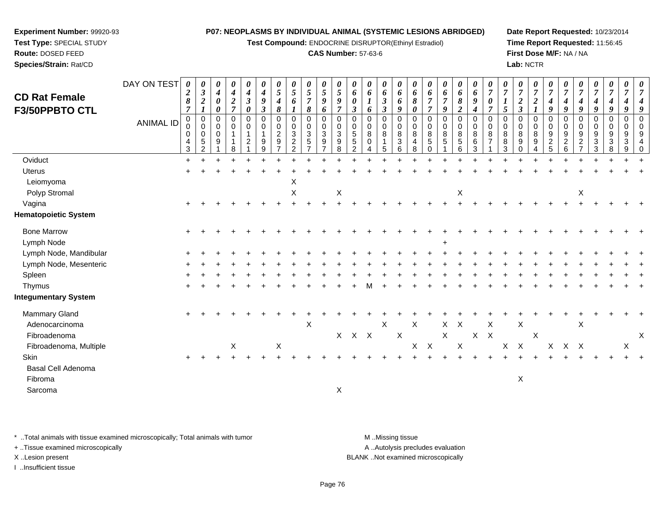**Test Compound:** ENDOCRINE DISRUPTOR(Ethinyl Estradiol)

#### **CAS Number:** 57-63-6

**Date Report Requested:** 10/23/2014**Time Report Requested:** 11:56:45**First Dose M/F:** NA / NA**Lab:** NCTR

| <b>CD Rat Female</b><br>F3/50PPBTO CTL | DAY ON TEST      | $\pmb{\theta}$<br>$\boldsymbol{2}$<br>$\pmb{8}$<br>$\overline{7}$ | 0<br>$\boldsymbol{\beta}$<br>$\boldsymbol{2}$ | $\pmb{\theta}$<br>$\boldsymbol{4}$<br>0<br>0   | 0<br>$\boldsymbol{4}$<br>$\frac{2}{7}$              | $\boldsymbol{\theta}$<br>$\boldsymbol{4}$<br>$\boldsymbol{\beta}$<br>$\boldsymbol{\theta}$ | 0<br>$\boldsymbol{4}$<br>9<br>$\mathfrak{z}$ | 0<br>5<br>$\boldsymbol{4}$<br>8                 | 0<br>5<br>6                                                            | 0<br>$\mathfrak{s}$<br>$\overline{7}$<br>8                                 | 0<br>$\mathfrak{s}$<br>9<br>6                     | $\boldsymbol{\theta}$<br>$\mathfrak{s}$<br>9<br>$\overline{7}$ | 0<br>6<br>0<br>3                          | 0<br>6<br>1<br>6                        | 0<br>6<br>$\mathfrak{z}$<br>$\mathfrak{z}$ | 0<br>6<br>6<br>9                                   | 0<br>6<br>8<br>0                          | 0<br>6<br>7<br>$\overline{7}$          | 0<br>6<br>$\overline{7}$<br>9                           | 0<br>$\pmb{6}$<br>8<br>$\boldsymbol{2}$         | 0<br>6<br>9<br>$\boldsymbol{4}$                 | $\boldsymbol{\theta}$<br>$\overline{7}$<br>0<br>$\overline{7}$ | 0<br>$\overline{7}$<br>5   | 0<br>$\overline{7}$<br>$\overline{a}$<br>$\mathfrak{z}$ | 0<br>$\overline{7}$<br>$\boldsymbol{2}$ | $\overline{7}$<br>4<br>9                    | 0<br>$\overline{7}$<br>4<br>9                                         | 0<br>$\overline{7}$<br>$\boldsymbol{4}$<br>9        | 0<br>$\overline{7}$<br>$\boldsymbol{4}$<br>9                         | 0<br>$\overline{7}$<br>4<br>9            | 0<br>$\overline{7}$<br>9                      | 0<br>$\overline{7}$<br>g                      |
|----------------------------------------|------------------|-------------------------------------------------------------------|-----------------------------------------------|------------------------------------------------|-----------------------------------------------------|--------------------------------------------------------------------------------------------|----------------------------------------------|-------------------------------------------------|------------------------------------------------------------------------|----------------------------------------------------------------------------|---------------------------------------------------|----------------------------------------------------------------|-------------------------------------------|-----------------------------------------|--------------------------------------------|----------------------------------------------------|-------------------------------------------|----------------------------------------|---------------------------------------------------------|-------------------------------------------------|-------------------------------------------------|----------------------------------------------------------------|----------------------------|---------------------------------------------------------|-----------------------------------------|---------------------------------------------|-----------------------------------------------------------------------|-----------------------------------------------------|----------------------------------------------------------------------|------------------------------------------|-----------------------------------------------|-----------------------------------------------|
|                                        | <b>ANIMAL ID</b> | 0<br>0<br>0<br>4<br>3                                             | 0<br>0<br>0<br>$\sqrt{5}$<br>$\overline{2}$   | $\mathbf 0$<br>$\mathbf 0$<br>$\mathbf 0$<br>9 | $\mathbf 0$<br>$\mathbf 0$<br>$\mathbf 1$<br>1<br>8 | $\mathbf 0$<br>0<br>1<br>$\overline{c}$                                                    | $\mathbf 0$<br>0<br>9<br>9                   | 0<br>0<br>$\overline{c}$<br>9<br>$\overline{ }$ | 0<br>$\mathbf 0$<br>$\mathbf{3}$<br>$\boldsymbol{2}$<br>$\overline{2}$ | $\mathbf 0$<br>$\mathbf 0$<br>$\mathbf{3}$<br>$\sqrt{5}$<br>$\overline{7}$ | 0<br>0<br>3<br>$\boldsymbol{9}$<br>$\overline{7}$ | $\mathbf 0$<br>$\mathbf 0$<br>3<br>$\boldsymbol{9}$<br>8       | $\Omega$<br>0<br>5<br>5<br>$\overline{2}$ | $\mathbf 0$<br>0<br>8<br>$\pmb{0}$<br>4 | $\mathbf 0$<br>0<br>8<br>5                 | $\mathbf 0$<br>$\mathbf 0$<br>8<br>$\sqrt{3}$<br>6 | $\mathbf 0$<br>$\mathbf 0$<br>8<br>4<br>8 | 0<br>$\mathbf 0$<br>8<br>5<br>$\Omega$ | $\mathbf 0$<br>$\mathsf 0$<br>$\bf 8$<br>$\overline{5}$ | $\pmb{0}$<br>$\pmb{0}$<br>8<br>$\mathbf 5$<br>6 | $\mathbf 0$<br>$\mathbf 0$<br>8<br>$\,6\,$<br>3 | $\mathbf 0$<br>$\mathbf 0$<br>8<br>$\overline{7}$              | 0<br>0<br>8<br>$\bf8$<br>3 | $\mathbf 0$<br>0<br>8<br>$\boldsymbol{9}$<br>$\Omega$   | $\mathbf 0$<br>0<br>8<br>9<br>4         | $\Omega$<br>0<br>9<br>$\boldsymbol{2}$<br>5 | $\mathbf 0$<br>0<br>$\boldsymbol{9}$<br>$\sqrt{2}$<br>$6\phantom{1}6$ | 0<br>0<br>$9\,$<br>$\overline{c}$<br>$\overline{7}$ | $\overline{0}$<br>$\mathbf 0$<br>$9\,$<br>$\sqrt{3}$<br>$\mathbf{3}$ | 0<br>$\mathbf 0$<br>9<br>$\sqrt{3}$<br>8 | 0<br>0<br>9<br>$\ensuremath{\mathsf{3}}$<br>9 | $\Omega$<br>$\Omega$<br>9<br>4<br>$\mathbf 0$ |
| Oviduct                                |                  | $\ddot{}$                                                         |                                               |                                                |                                                     |                                                                                            |                                              |                                                 |                                                                        |                                                                            |                                                   |                                                                |                                           |                                         |                                            |                                                    |                                           |                                        |                                                         |                                                 |                                                 |                                                                |                            |                                                         |                                         |                                             |                                                                       |                                                     |                                                                      |                                          |                                               |                                               |
| Uterus                                 |                  |                                                                   |                                               |                                                |                                                     |                                                                                            |                                              |                                                 |                                                                        |                                                                            |                                                   |                                                                |                                           |                                         |                                            |                                                    |                                           |                                        |                                                         |                                                 |                                                 |                                                                |                            |                                                         |                                         |                                             |                                                                       |                                                     |                                                                      |                                          |                                               |                                               |
| Leiomyoma                              |                  |                                                                   |                                               |                                                |                                                     |                                                                                            |                                              |                                                 | X                                                                      |                                                                            |                                                   |                                                                |                                           |                                         |                                            |                                                    |                                           |                                        |                                                         |                                                 |                                                 |                                                                |                            |                                                         |                                         |                                             |                                                                       |                                                     |                                                                      |                                          |                                               |                                               |
| Polyp Stromal                          |                  |                                                                   |                                               |                                                |                                                     |                                                                                            |                                              |                                                 | $\mathsf X$                                                            |                                                                            |                                                   | $\times$                                                       |                                           |                                         |                                            |                                                    |                                           |                                        |                                                         | X                                               |                                                 |                                                                |                            |                                                         |                                         |                                             |                                                                       | X                                                   |                                                                      |                                          |                                               |                                               |
| Vagina                                 |                  |                                                                   |                                               |                                                |                                                     |                                                                                            |                                              |                                                 |                                                                        |                                                                            |                                                   |                                                                |                                           |                                         |                                            |                                                    |                                           |                                        |                                                         |                                                 |                                                 |                                                                |                            |                                                         |                                         |                                             |                                                                       |                                                     |                                                                      |                                          |                                               |                                               |
| <b>Hematopoietic System</b>            |                  |                                                                   |                                               |                                                |                                                     |                                                                                            |                                              |                                                 |                                                                        |                                                                            |                                                   |                                                                |                                           |                                         |                                            |                                                    |                                           |                                        |                                                         |                                                 |                                                 |                                                                |                            |                                                         |                                         |                                             |                                                                       |                                                     |                                                                      |                                          |                                               |                                               |
| <b>Bone Marrow</b>                     |                  |                                                                   |                                               |                                                |                                                     |                                                                                            |                                              |                                                 |                                                                        |                                                                            |                                                   |                                                                |                                           |                                         |                                            |                                                    |                                           |                                        |                                                         |                                                 |                                                 |                                                                |                            |                                                         |                                         |                                             |                                                                       |                                                     |                                                                      |                                          |                                               |                                               |
| Lymph Node                             |                  |                                                                   |                                               |                                                |                                                     |                                                                                            |                                              |                                                 |                                                                        |                                                                            |                                                   |                                                                |                                           |                                         |                                            |                                                    |                                           |                                        |                                                         |                                                 |                                                 |                                                                |                            |                                                         |                                         |                                             |                                                                       |                                                     |                                                                      |                                          |                                               |                                               |
| Lymph Node, Mandibular                 |                  |                                                                   |                                               |                                                |                                                     |                                                                                            |                                              |                                                 |                                                                        |                                                                            |                                                   |                                                                |                                           |                                         |                                            |                                                    |                                           |                                        |                                                         |                                                 |                                                 |                                                                |                            |                                                         |                                         |                                             |                                                                       |                                                     |                                                                      |                                          |                                               |                                               |
| Lymph Node, Mesenteric                 |                  |                                                                   |                                               |                                                |                                                     |                                                                                            |                                              |                                                 |                                                                        |                                                                            |                                                   |                                                                |                                           |                                         |                                            |                                                    |                                           |                                        |                                                         |                                                 |                                                 |                                                                |                            |                                                         |                                         |                                             |                                                                       |                                                     |                                                                      |                                          |                                               |                                               |
| Spleen                                 |                  |                                                                   |                                               |                                                |                                                     |                                                                                            |                                              |                                                 |                                                                        |                                                                            |                                                   |                                                                |                                           |                                         |                                            |                                                    |                                           |                                        |                                                         |                                                 |                                                 |                                                                |                            |                                                         |                                         |                                             |                                                                       |                                                     |                                                                      |                                          |                                               |                                               |
| Thymus                                 |                  |                                                                   |                                               |                                                |                                                     |                                                                                            |                                              |                                                 |                                                                        |                                                                            |                                                   |                                                                |                                           |                                         |                                            |                                                    |                                           |                                        |                                                         |                                                 |                                                 |                                                                |                            |                                                         |                                         |                                             |                                                                       |                                                     |                                                                      |                                          |                                               |                                               |
| <b>Integumentary System</b>            |                  |                                                                   |                                               |                                                |                                                     |                                                                                            |                                              |                                                 |                                                                        |                                                                            |                                                   |                                                                |                                           |                                         |                                            |                                                    |                                           |                                        |                                                         |                                                 |                                                 |                                                                |                            |                                                         |                                         |                                             |                                                                       |                                                     |                                                                      |                                          |                                               |                                               |
| Mammary Gland                          |                  |                                                                   |                                               |                                                |                                                     |                                                                                            |                                              |                                                 |                                                                        |                                                                            |                                                   |                                                                |                                           |                                         |                                            |                                                    |                                           |                                        |                                                         |                                                 |                                                 |                                                                |                            |                                                         |                                         |                                             |                                                                       |                                                     |                                                                      |                                          |                                               |                                               |
| Adenocarcinoma                         |                  |                                                                   |                                               |                                                |                                                     |                                                                                            |                                              |                                                 |                                                                        | $\times$                                                                   |                                                   |                                                                |                                           |                                         | $\boldsymbol{\mathsf{X}}$                  |                                                    | $\mathsf{X}$                              |                                        |                                                         | X X                                             |                                                 | X                                                              |                            | $\boldsymbol{X}$                                        |                                         |                                             |                                                                       | X                                                   |                                                                      |                                          |                                               |                                               |
| Fibroadenoma                           |                  |                                                                   |                                               |                                                |                                                     |                                                                                            |                                              |                                                 |                                                                        |                                                                            |                                                   |                                                                | X X X                                     |                                         |                                            | $\boldsymbol{\mathsf{X}}$                          |                                           |                                        | $\mathsf{X}$                                            |                                                 | $X$ $X$                                         |                                                                |                            |                                                         | $\boldsymbol{\mathsf{X}}$               |                                             |                                                                       |                                                     |                                                                      |                                          |                                               | $\boldsymbol{\mathsf{X}}$                     |
| Fibroadenoma, Multiple                 |                  |                                                                   |                                               |                                                | X                                                   |                                                                                            |                                              | $\boldsymbol{\mathsf{X}}$                       |                                                                        |                                                                            |                                                   |                                                                |                                           |                                         |                                            |                                                    | X                                         | $\boldsymbol{\mathsf{X}}$              |                                                         | $\boldsymbol{\mathsf{X}}$                       |                                                 |                                                                | $X$ $X$                    |                                                         |                                         | $\mathsf{X}$                                | X X                                                                   |                                                     |                                                                      |                                          | X                                             |                                               |
| Skin                                   |                  |                                                                   |                                               |                                                |                                                     |                                                                                            |                                              |                                                 |                                                                        |                                                                            |                                                   |                                                                |                                           |                                         |                                            |                                                    |                                           |                                        |                                                         |                                                 |                                                 |                                                                |                            |                                                         |                                         |                                             |                                                                       |                                                     |                                                                      |                                          |                                               |                                               |
| Basal Cell Adenoma                     |                  |                                                                   |                                               |                                                |                                                     |                                                                                            |                                              |                                                 |                                                                        |                                                                            |                                                   |                                                                |                                           |                                         |                                            |                                                    |                                           |                                        |                                                         |                                                 |                                                 |                                                                |                            |                                                         |                                         |                                             |                                                                       |                                                     |                                                                      |                                          |                                               |                                               |
| Fibroma                                |                  |                                                                   |                                               |                                                |                                                     |                                                                                            |                                              |                                                 |                                                                        |                                                                            |                                                   |                                                                |                                           |                                         |                                            |                                                    |                                           |                                        |                                                         |                                                 |                                                 |                                                                |                            | X                                                       |                                         |                                             |                                                                       |                                                     |                                                                      |                                          |                                               |                                               |
| Sarcoma                                |                  |                                                                   |                                               |                                                |                                                     |                                                                                            |                                              |                                                 |                                                                        |                                                                            |                                                   | X                                                              |                                           |                                         |                                            |                                                    |                                           |                                        |                                                         |                                                 |                                                 |                                                                |                            |                                                         |                                         |                                             |                                                                       |                                                     |                                                                      |                                          |                                               |                                               |

\* ..Total animals with tissue examined microscopically; Total animals with tumor **M** . Missing tissue M ..Missing tissue

+ ..Tissue examined microscopically

**Experiment Number:** 99920-93**Test Type:** SPECIAL STUDY**Route:** DOSED FEED**Species/Strain:** Rat/CD

I ..Insufficient tissue

A ..Autolysis precludes evaluation

X ..Lesion present BLANK ..Not examined microscopically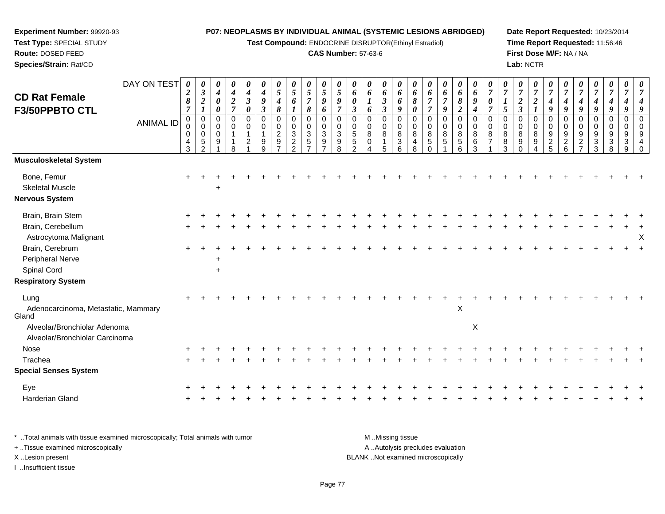**Test Compound:** ENDOCRINE DISRUPTOR(Ethinyl Estradiol)

# **CAS Number:** 57-63-6

**Date Report Requested:** 10/23/2014 **Time Report Requested:** 11:56:46**First Dose M/F:** NA / NA**Lab:** NCTR

| <b>CD Rat Female</b>                                           | DAY ON TEST      | 0<br>$\boldsymbol{2}$<br>$\pmb{8}$ | 0<br>$\boldsymbol{\beta}$<br>$\boldsymbol{2}$ | $\boldsymbol{\theta}$<br>$\boldsymbol{4}$<br>0 | 0<br>$\boldsymbol{4}$<br>$\boldsymbol{2}$ | $\boldsymbol{\theta}$<br>$\boldsymbol{4}$<br>$\boldsymbol{\beta}$ | $\boldsymbol{\theta}$<br>$\boldsymbol{4}$<br>$\boldsymbol{g}$ | $\boldsymbol{\theta}$<br>$\mathfrak{s}$<br>$\boldsymbol{4}$ | 0<br>$\mathfrak{s}$<br>6                  | $\boldsymbol{\theta}$<br>$\sqrt{5}$<br>$\overline{7}$ | $\boldsymbol{\theta}$<br>$\mathfrak{s}$<br>9                    | 0<br>$\sqrt{5}$<br>$\boldsymbol{g}$       | $\boldsymbol{\theta}$<br>6<br>$\boldsymbol{\theta}$    | $\boldsymbol{\theta}$<br>6 | 0<br>6<br>$\mathfrak{z}$      | $\boldsymbol{\theta}$<br>$\pmb{6}$<br>6      | $\boldsymbol{\theta}$<br>6<br>8    | $\boldsymbol{\theta}$<br>6<br>$\overline{7}$ | $\boldsymbol{\theta}$<br>$\pmb{6}$<br>$\overline{7}$ | 0<br>6<br>8                   | 0<br>6<br>9                     | $\boldsymbol{\theta}$<br>$\overline{7}$<br>$\boldsymbol{\theta}$ | $\boldsymbol{\theta}$<br>$\overline{7}$ | 0<br>$\overline{7}$<br>$\boldsymbol{2}$ | $\boldsymbol{\theta}$<br>$\overline{7}$<br>$\boldsymbol{2}$ | U<br>$\overline{7}$<br>4      | $\boldsymbol{\theta}$<br>$\overline{7}$<br>4 | $\overline{7}$<br>4                     | 0<br>$\overline{7}$<br>$\boldsymbol{4}$  | 0<br>$\overline{7}$<br>$\boldsymbol{4}$ | 0<br>$\overline{7}$ | $\overline{7}$ |
|----------------------------------------------------------------|------------------|------------------------------------|-----------------------------------------------|------------------------------------------------|-------------------------------------------|-------------------------------------------------------------------|---------------------------------------------------------------|-------------------------------------------------------------|-------------------------------------------|-------------------------------------------------------|-----------------------------------------------------------------|-------------------------------------------|--------------------------------------------------------|----------------------------|-------------------------------|----------------------------------------------|------------------------------------|----------------------------------------------|------------------------------------------------------|-------------------------------|---------------------------------|------------------------------------------------------------------|-----------------------------------------|-----------------------------------------|-------------------------------------------------------------|-------------------------------|----------------------------------------------|-----------------------------------------|------------------------------------------|-----------------------------------------|---------------------|----------------|
| F3/50PPBTO CTL                                                 |                  | $\overline{7}$<br>0                | $\boldsymbol{l}$<br>0                         | 0<br>$\Omega$                                  | $\overline{7}$<br>$\mathbf 0$             | $\boldsymbol{\theta}$<br>$\mathbf 0$                              | $\mathfrak{z}$<br>$\Omega$                                    | 8<br>$\mathbf 0$                                            | $\mathbf 0$                               | 8<br>$\pmb{0}$                                        | 6<br>$\mathbf 0$                                                | $\overline{7}$<br>$\mathbf 0$             | $\mathfrak{z}$<br>$\mathbf 0$                          | 6<br>$\Omega$              | $\mathfrak{z}$<br>$\mathbf 0$ | 9<br>$\mathbf 0$                             | $\boldsymbol{\theta}$<br>$\Omega$  | $\overline{7}$<br>$\Omega$                   | 9<br>0                                               | $\overline{2}$<br>$\mathbf 0$ | $\boldsymbol{4}$<br>$\mathbf 0$ | $\overline{7}$<br>0                                              | 5<br>$\mathbf 0$                        | $\mathfrak{z}$<br>$\mathbf 0$           | $\boldsymbol{l}$<br>$\overline{0}$                          | 9<br>$\Omega$                 | 9<br>$\Omega$                                | 9<br>$\Omega$                           | 9<br>$\mathbf 0$                         | $\boldsymbol{9}$<br>$\mathbf 0$         | 9<br>$\mathbf 0$    | $\Omega$       |
|                                                                | <b>ANIMAL ID</b> | 0<br>0<br>4<br>3                   | 0<br>0<br>$\sqrt{5}$<br>$\overline{2}$        | 0<br>$\Omega$<br>9                             | 0<br>8                                    | $\mathbf 0$<br>$\mathbf{1}$<br>$\boldsymbol{2}$                   | 0<br>$\mathbf{1}$<br>$9\,$<br>9                               | 0<br>$\overline{c}$<br>9                                    | 0<br>3<br>$\overline{a}$<br>$\mathcal{P}$ | 0<br>$\ensuremath{\mathsf{3}}$<br>$\sqrt{5}$          | $\mathbf 0$<br>$\sqrt{3}$<br>$\boldsymbol{9}$<br>$\overline{7}$ | 0<br>$\mathbf 3$<br>$\boldsymbol{9}$<br>8 | 0<br>$\overline{5}$<br>$\overline{5}$<br>$\mathcal{P}$ | 0<br>8<br>$\mathbf 0$      | 0<br>8<br>1<br>5              | 0<br>8<br>$\ensuremath{\mathsf{3}}$<br>$\,6$ | 0<br>$\bf8$<br>$\overline{4}$<br>8 | 0<br>8<br>$\sqrt{5}$<br>$\Omega$             | 0<br>$\bf 8$<br>$\overline{5}$                       | 0<br>8<br>5<br>6              | 0<br>8<br>6<br>3                | 0<br>8<br>$\overline{7}$                                         | 0<br>$\, 8$<br>8<br>3                   | 0<br>$\,8\,$<br>$9\,$<br>$\Omega$       | $\mathbf 0$<br>8<br>$\boldsymbol{9}$<br>4                   | 0<br>9<br>$\overline{c}$<br>5 | $\Omega$<br>9<br>$\sqrt{2}$<br>6             | 0<br>$\boldsymbol{9}$<br>$\overline{c}$ | $\overline{0}$<br>9<br>$\mathbf{3}$<br>3 | $\mathbf 0$<br>9<br>$\sqrt{3}$<br>8     | 0<br>9<br>3<br>9    | $\Omega$       |
| <b>Musculoskeletal System</b>                                  |                  |                                    |                                               |                                                |                                           |                                                                   |                                                               |                                                             |                                           |                                                       |                                                                 |                                           |                                                        |                            |                               |                                              |                                    |                                              |                                                      |                               |                                 |                                                                  |                                         |                                         |                                                             |                               |                                              |                                         |                                          |                                         |                     |                |
| Bone, Femur<br><b>Skeletal Muscle</b>                          |                  |                                    |                                               | $\ddot{}$                                      |                                           |                                                                   |                                                               |                                                             |                                           |                                                       |                                                                 |                                           |                                                        |                            |                               |                                              |                                    |                                              |                                                      |                               |                                 |                                                                  |                                         |                                         |                                                             |                               |                                              |                                         |                                          |                                         |                     |                |
| <b>Nervous System</b>                                          |                  |                                    |                                               |                                                |                                           |                                                                   |                                                               |                                                             |                                           |                                                       |                                                                 |                                           |                                                        |                            |                               |                                              |                                    |                                              |                                                      |                               |                                 |                                                                  |                                         |                                         |                                                             |                               |                                              |                                         |                                          |                                         |                     |                |
| Brain, Brain Stem                                              |                  |                                    |                                               |                                                |                                           |                                                                   |                                                               |                                                             |                                           |                                                       |                                                                 |                                           |                                                        |                            |                               |                                              |                                    |                                              |                                                      |                               |                                 |                                                                  |                                         |                                         |                                                             |                               |                                              |                                         |                                          |                                         |                     |                |
| Brain, Cerebellum<br>Astrocytoma Malignant                     |                  |                                    |                                               |                                                |                                           |                                                                   |                                                               |                                                             |                                           |                                                       |                                                                 |                                           |                                                        |                            |                               |                                              |                                    |                                              |                                                      |                               |                                 |                                                                  |                                         |                                         |                                                             |                               |                                              |                                         |                                          |                                         |                     | X              |
| Brain, Cerebrum                                                |                  |                                    |                                               |                                                |                                           |                                                                   |                                                               |                                                             |                                           |                                                       |                                                                 |                                           |                                                        |                            |                               |                                              |                                    |                                              |                                                      |                               |                                 |                                                                  |                                         |                                         |                                                             |                               |                                              |                                         |                                          |                                         |                     |                |
| <b>Peripheral Nerve</b><br>Spinal Cord                         |                  |                                    |                                               | ÷                                              |                                           |                                                                   |                                                               |                                                             |                                           |                                                       |                                                                 |                                           |                                                        |                            |                               |                                              |                                    |                                              |                                                      |                               |                                 |                                                                  |                                         |                                         |                                                             |                               |                                              |                                         |                                          |                                         |                     |                |
| <b>Respiratory System</b>                                      |                  |                                    |                                               |                                                |                                           |                                                                   |                                                               |                                                             |                                           |                                                       |                                                                 |                                           |                                                        |                            |                               |                                              |                                    |                                              |                                                      |                               |                                 |                                                                  |                                         |                                         |                                                             |                               |                                              |                                         |                                          |                                         |                     |                |
| Lung<br>Adenocarcinoma, Metastatic, Mammary<br>Gland           |                  |                                    |                                               |                                                |                                           |                                                                   |                                                               |                                                             |                                           |                                                       |                                                                 |                                           |                                                        |                            |                               |                                              |                                    |                                              |                                                      | $\mathsf X$                   |                                 |                                                                  |                                         |                                         |                                                             |                               |                                              |                                         |                                          |                                         |                     |                |
| Alveolar/Bronchiolar Adenoma<br>Alveolar/Bronchiolar Carcinoma |                  |                                    |                                               |                                                |                                           |                                                                   |                                                               |                                                             |                                           |                                                       |                                                                 |                                           |                                                        |                            |                               |                                              |                                    |                                              |                                                      |                               | $\boldsymbol{\mathsf{X}}$       |                                                                  |                                         |                                         |                                                             |                               |                                              |                                         |                                          |                                         |                     |                |
| Nose                                                           |                  |                                    |                                               |                                                |                                           |                                                                   |                                                               |                                                             |                                           |                                                       |                                                                 |                                           |                                                        |                            |                               |                                              |                                    |                                              |                                                      |                               |                                 |                                                                  |                                         |                                         |                                                             |                               |                                              |                                         |                                          |                                         |                     |                |
| Trachea                                                        |                  |                                    |                                               |                                                |                                           |                                                                   |                                                               |                                                             |                                           |                                                       |                                                                 |                                           |                                                        |                            |                               |                                              |                                    |                                              |                                                      |                               |                                 |                                                                  |                                         |                                         |                                                             |                               |                                              |                                         |                                          |                                         |                     |                |
| <b>Special Senses System</b>                                   |                  |                                    |                                               |                                                |                                           |                                                                   |                                                               |                                                             |                                           |                                                       |                                                                 |                                           |                                                        |                            |                               |                                              |                                    |                                              |                                                      |                               |                                 |                                                                  |                                         |                                         |                                                             |                               |                                              |                                         |                                          |                                         |                     |                |
| Eye                                                            |                  |                                    |                                               |                                                |                                           |                                                                   |                                                               |                                                             |                                           |                                                       |                                                                 |                                           |                                                        |                            |                               |                                              |                                    |                                              |                                                      |                               |                                 |                                                                  |                                         |                                         |                                                             |                               |                                              |                                         |                                          |                                         |                     |                |
| Harderian Gland                                                |                  |                                    |                                               |                                                |                                           |                                                                   |                                                               |                                                             |                                           |                                                       |                                                                 |                                           |                                                        |                            |                               |                                              |                                    |                                              |                                                      |                               |                                 |                                                                  |                                         |                                         |                                                             |                               |                                              |                                         |                                          |                                         |                     |                |
|                                                                |                  |                                    |                                               |                                                |                                           |                                                                   |                                                               |                                                             |                                           |                                                       |                                                                 |                                           |                                                        |                            |                               |                                              |                                    |                                              |                                                      |                               |                                 |                                                                  |                                         |                                         |                                                             |                               |                                              |                                         |                                          |                                         |                     |                |

| Total animals with tissue examined microscopically; Total animals with tumor | M Missing tissue                   |
|------------------------------------------------------------------------------|------------------------------------|
| + Tissue examined microscopically                                            | A Autolysis precludes evaluation   |
| X Lesion present                                                             | BLANK Not examined microscopically |
| Insufficient tissue                                                          |                                    |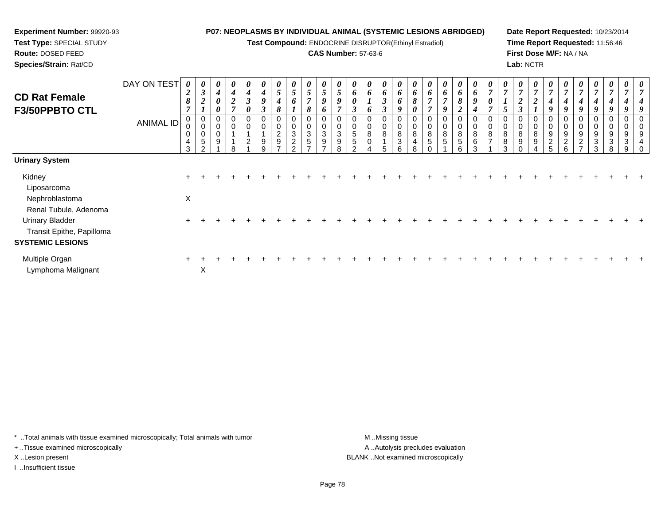**Test Compound:** ENDOCRINE DISRUPTOR(Ethinyl Estradiol)

## **CAS Number:** 57-63-6

**Date Report Requested:** 10/23/2014**Time Report Requested:** 11:56:46**First Dose M/F:** NA / NA**Lab:** NCTR

| <b>CD Rat Female</b><br>F3/50PPBTO CTL                                         | DAY ON TEST<br><b>ANIMAL ID</b> | 0<br>$\boldsymbol{2}$<br>8<br>$\overline{7}$<br>0<br>0<br>$\mathbf 0$<br>$\overline{\mathbf{4}}$<br>3 | 0<br>$\mathbf{3}$<br>$\mathbf{\Omega}$<br>0<br>$\mathsf 0$<br>0<br>$\,$ 5 $\,$<br><sup>o</sup> | $\boldsymbol{\theta}$<br>$\boldsymbol{4}$<br>$\boldsymbol{\theta}$<br>$\boldsymbol{\theta}$<br>0<br>$\pmb{0}$<br>$\pmb{0}$<br>9 | $\boldsymbol{\theta}$<br>$\boldsymbol{4}$<br>$\overline{2}$<br>$\overline{7}$<br>0<br>$\pmb{0}$<br>$\mathbf{1}$<br>$\mathbf{1}$<br>8 | 0<br>4<br>$\mathbf{r}$<br>0<br>0<br>$\Omega$<br>$\overline{\mathbf{c}}$ | 0<br>$\boldsymbol{4}$<br>9<br>$\boldsymbol{\beta}$<br>0<br>9 | 0<br>$5\overline{)}$<br>4<br>8<br>0<br>0<br>$\overline{c}$<br>$\boldsymbol{9}$<br>$\rightarrow$ | 0<br>5<br>6<br>0<br>0<br>$\ensuremath{\mathsf{3}}$<br>$\overline{2}$<br>$\mathcal{L}$ | $\boldsymbol{\theta}$<br>$\mathfrak{s}$<br>$\overline{ }$<br>8<br>0<br>$_{3}^{\rm 0}$<br>$\sqrt{5}$<br>$\overline{ }$ | $\boldsymbol{\theta}$<br>$\mathfrak{s}$<br>9<br>6<br>0<br>$\pmb{0}$<br>$\ensuremath{\mathsf{3}}$<br>$\boldsymbol{9}$<br>$\overline{ }$ | 0<br>5<br>0<br>3<br>9<br>я | 0<br>6<br>0<br>3<br>0<br>0<br>5<br>$5\phantom{.0}$ | 0<br>6<br>6<br>0<br>$\mathbf 0$<br>8<br>$\pmb{0}$ | 0<br>6<br>$\mathfrak{z}$<br>$\boldsymbol{\beta}$<br>0<br>$\mathbf 0$<br>$\bf 8$<br>5 | 0<br>6<br>6<br>9<br>0<br>0<br>8<br>$\sqrt{3}$<br>6 | $\boldsymbol{\theta}$<br>6<br>$\sigma$<br>$\boldsymbol{\theta}$<br>0<br>$\mathbf 0$<br>8<br>4<br>8 | $\boldsymbol{\theta}$<br>6<br>$\overline{ }$<br>$\overline{ }$<br>0<br>8<br>5 | 0<br>6<br>9<br>0<br>$\pmb{0}$<br>8<br>5 | 0<br>6<br>$\pmb{8}$<br>$\boldsymbol{2}$<br>0<br>$\pmb{0}$<br>$\,8\,$<br>$\sqrt{5}$<br>6 | $\boldsymbol{\theta}$<br>$\bm{o}$<br>9<br>$\boldsymbol{4}$<br>0<br>0<br>8<br>$\,6$<br>3 | 0<br>0<br>0<br>0<br>8<br>$\overline{ }$ | $\boldsymbol{\theta}$<br>7<br>5<br>0<br>$\mathbf 0$<br>8<br>8<br>3 | $\boldsymbol{\theta}$<br>$\overline{7}$<br>$\boldsymbol{2}$<br>$\mathfrak{z}$<br>8<br>9 | 0<br>$\overline{7}$<br>ി<br>0<br>$\mathbf 0$<br>$\bf 8$<br>9 | 0<br>$\overline{ }$<br>9<br>9<br>$\boldsymbol{2}$<br>5 | $\boldsymbol{\theta}$<br>$\overline{ }$<br>9<br>0<br>$\mathbf 0$<br>$9\,$<br>$\sqrt{2}$<br>6 | $\boldsymbol{\theta}$<br>4<br>9<br>0<br>0<br>9<br>$\boldsymbol{2}$<br>$\overline{ }$ | $\boldsymbol{\theta}$<br>$\overline{7}$<br>$\boldsymbol{4}$<br>9<br>0<br>$\mathbf 0$<br>9<br>$\sqrt{3}$<br>3 | 0<br>9<br>9<br>$\mathbf{3}$<br>8 | $\boldsymbol{\theta}$<br>9<br>$\overline{0}$<br>9<br>3<br>9 | 0<br>q<br>0<br>9 |
|--------------------------------------------------------------------------------|---------------------------------|-------------------------------------------------------------------------------------------------------|------------------------------------------------------------------------------------------------|---------------------------------------------------------------------------------------------------------------------------------|--------------------------------------------------------------------------------------------------------------------------------------|-------------------------------------------------------------------------|--------------------------------------------------------------|-------------------------------------------------------------------------------------------------|---------------------------------------------------------------------------------------|-----------------------------------------------------------------------------------------------------------------------|----------------------------------------------------------------------------------------------------------------------------------------|----------------------------|----------------------------------------------------|---------------------------------------------------|--------------------------------------------------------------------------------------|----------------------------------------------------|----------------------------------------------------------------------------------------------------|-------------------------------------------------------------------------------|-----------------------------------------|-----------------------------------------------------------------------------------------|-----------------------------------------------------------------------------------------|-----------------------------------------|--------------------------------------------------------------------|-----------------------------------------------------------------------------------------|--------------------------------------------------------------|--------------------------------------------------------|----------------------------------------------------------------------------------------------|--------------------------------------------------------------------------------------|--------------------------------------------------------------------------------------------------------------|----------------------------------|-------------------------------------------------------------|------------------|
| <b>Urinary System</b>                                                          |                                 |                                                                                                       |                                                                                                |                                                                                                                                 |                                                                                                                                      |                                                                         |                                                              |                                                                                                 |                                                                                       |                                                                                                                       |                                                                                                                                        |                            |                                                    |                                                   |                                                                                      |                                                    |                                                                                                    |                                                                               |                                         |                                                                                         |                                                                                         |                                         |                                                                    |                                                                                         |                                                              |                                                        |                                                                                              |                                                                                      |                                                                                                              |                                  |                                                             |                  |
| Kidney<br>Liposarcoma                                                          |                                 | $\pm$                                                                                                 |                                                                                                |                                                                                                                                 |                                                                                                                                      |                                                                         |                                                              |                                                                                                 |                                                                                       |                                                                                                                       |                                                                                                                                        |                            |                                                    |                                                   |                                                                                      |                                                    |                                                                                                    |                                                                               |                                         |                                                                                         |                                                                                         |                                         |                                                                    |                                                                                         |                                                              |                                                        |                                                                                              |                                                                                      |                                                                                                              |                                  |                                                             |                  |
| Nephroblastoma<br>Renal Tubule, Adenoma                                        |                                 | $\boldsymbol{\mathsf{X}}$                                                                             |                                                                                                |                                                                                                                                 |                                                                                                                                      |                                                                         |                                                              |                                                                                                 |                                                                                       |                                                                                                                       |                                                                                                                                        |                            |                                                    |                                                   |                                                                                      |                                                    |                                                                                                    |                                                                               |                                         |                                                                                         |                                                                                         |                                         |                                                                    |                                                                                         |                                                              |                                                        |                                                                                              |                                                                                      |                                                                                                              |                                  |                                                             |                  |
| <b>Urinary Bladder</b><br>Transit Epithe, Papilloma<br><b>SYSTEMIC LESIONS</b> |                                 |                                                                                                       |                                                                                                |                                                                                                                                 |                                                                                                                                      |                                                                         |                                                              |                                                                                                 |                                                                                       |                                                                                                                       |                                                                                                                                        |                            |                                                    |                                                   |                                                                                      |                                                    |                                                                                                    |                                                                               |                                         |                                                                                         |                                                                                         |                                         |                                                                    |                                                                                         |                                                              |                                                        |                                                                                              |                                                                                      |                                                                                                              |                                  |                                                             |                  |
|                                                                                |                                 |                                                                                                       |                                                                                                |                                                                                                                                 |                                                                                                                                      |                                                                         |                                                              |                                                                                                 |                                                                                       |                                                                                                                       |                                                                                                                                        |                            |                                                    |                                                   |                                                                                      |                                                    |                                                                                                    |                                                                               |                                         |                                                                                         |                                                                                         |                                         |                                                                    |                                                                                         |                                                              |                                                        |                                                                                              |                                                                                      |                                                                                                              |                                  |                                                             |                  |
| Multiple Organ<br>Lymphoma Malignant                                           |                                 | $\pm$                                                                                                 | X                                                                                              |                                                                                                                                 |                                                                                                                                      |                                                                         |                                                              |                                                                                                 |                                                                                       |                                                                                                                       |                                                                                                                                        |                            |                                                    |                                                   |                                                                                      |                                                    |                                                                                                    |                                                                               |                                         |                                                                                         |                                                                                         |                                         |                                                                    |                                                                                         |                                                              |                                                        |                                                                                              |                                                                                      |                                                                                                              |                                  |                                                             |                  |

\* ..Total animals with tissue examined microscopically; Total animals with tumor **M** . Missing tissue M ..Missing tissue

+ ..Tissue examined microscopically

**Experiment Number:** 99920-93**Test Type:** SPECIAL STUDY**Route:** DOSED FEED**Species/Strain:** Rat/CD

I ..Insufficient tissue

A ..Autolysis precludes evaluation X ..Lesion present BLANK ..Not examined microscopically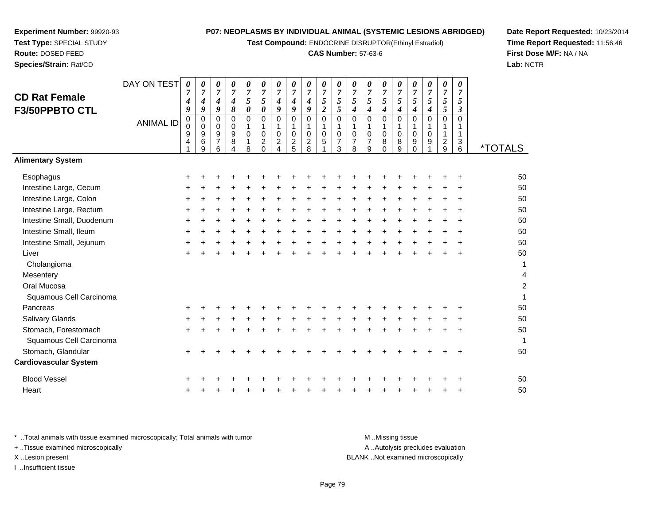**Test Compound:** ENDOCRINE DISRUPTOR(Ethinyl Estradiol)

#### **CAS Number:** 57-63-6

**Date Report Requested:** 10/23/2014**Time Report Requested:** 11:56:46**First Dose M/F:** NA / NA**Lab:** NCTR

 $\overline{2}$ 

| <b>CD Rat Female</b><br>F3/50PPBTO CTL | DAY ON TEST      | 0<br>7<br>4<br>9                 | 0<br>$\overline{7}$<br>$\boldsymbol{4}$<br>9   | 0<br>$\overline{7}$<br>$\boldsymbol{4}$<br>9           | 0<br>$\overline{7}$<br>$\boldsymbol{4}$<br>8   | 0<br>$\overline{7}$<br>5<br>0                        | 0<br>$\overline{7}$<br>5<br>0             | 0<br>$\boldsymbol{7}$<br>4<br>9                      | 0<br>$\overline{7}$<br>$\boldsymbol{4}$<br>9 | 0<br>$\overline{7}$<br>$\boldsymbol{4}$<br>9                             | 0<br>$\overline{7}$<br>5<br>$\overline{\mathbf{c}}$ | 0<br>$\overline{7}$<br>5<br>5                          | 0<br>$\overline{7}$<br>$\mathfrak{s}$<br>$\boldsymbol{4}$       | 0<br>$\overline{7}$<br>5<br>4      | 0<br>$\overline{7}$<br>5<br>$\boldsymbol{4}$                | 0<br>$\overline{7}$<br>5<br>$\boldsymbol{4}$ | 0<br>$\overline{7}$<br>5<br>4                 | 0<br>$\boldsymbol{7}$<br>5<br>4       | 0<br>$\overline{7}$<br>5<br>5                 | 0<br>$\overline{7}$<br>5<br>$\mathfrak{z}$    |                       |
|----------------------------------------|------------------|----------------------------------|------------------------------------------------|--------------------------------------------------------|------------------------------------------------|------------------------------------------------------|-------------------------------------------|------------------------------------------------------|----------------------------------------------|--------------------------------------------------------------------------|-----------------------------------------------------|--------------------------------------------------------|-----------------------------------------------------------------|------------------------------------|-------------------------------------------------------------|----------------------------------------------|-----------------------------------------------|---------------------------------------|-----------------------------------------------|-----------------------------------------------|-----------------------|
|                                        | <b>ANIMAL ID</b> | $\pmb{0}$<br>$\pmb{0}$<br>9<br>4 | $\boldsymbol{0}$<br>$\mathbf 0$<br>9<br>6<br>9 | $\mathbf 0$<br>$\mathbf 0$<br>9<br>$\overline{7}$<br>6 | $\mathbf 0$<br>0<br>$\boldsymbol{9}$<br>8<br>4 | $\mathbf 0$<br>$\mathbf{1}$<br>$\mathbf 0$<br>1<br>8 | 0<br>1<br>0<br>$\overline{a}$<br>$\Omega$ | $\pmb{0}$<br>1<br>$\mathbf 0$<br>$\overline{c}$<br>4 | 0<br>1<br>$\mathbf 0$<br>$\overline{c}$<br>5 | $\pmb{0}$<br>$\mathbf{1}$<br>$\mathbf 0$<br>$\overline{\mathbf{c}}$<br>8 | $\mathsf 0$<br>1<br>$\pmb{0}$<br>$\sqrt{5}$         | $\mathbf 0$<br>1<br>$\mathbf 0$<br>$\overline{7}$<br>3 | $\pmb{0}$<br>$\mathbf{1}$<br>$\mathbf 0$<br>$\overline{7}$<br>8 | 0<br>1<br>0<br>$\overline{7}$<br>9 | $\mathbf 0$<br>$\mathbf{1}$<br>$\mathbf 0$<br>8<br>$\Omega$ | $\Omega$<br>1<br>$\mathbf 0$<br>$\,8\,$<br>9 | $\Omega$<br>1<br>$\mathbf 0$<br>9<br>$\Omega$ | 0<br>$\mathbf{1}$<br>$\mathbf 0$<br>9 | 0<br>1<br>$\mathbf{1}$<br>$\overline{a}$<br>9 | $\Omega$<br>$\mathbf{1}$<br>$\mathbf{3}$<br>6 | <i><b>*TOTALS</b></i> |
| <b>Alimentary System</b>               |                  |                                  |                                                |                                                        |                                                |                                                      |                                           |                                                      |                                              |                                                                          |                                                     |                                                        |                                                                 |                                    |                                                             |                                              |                                               |                                       |                                               |                                               |                       |
| Esophagus                              |                  | +                                |                                                |                                                        |                                                |                                                      |                                           |                                                      |                                              |                                                                          |                                                     |                                                        |                                                                 |                                    |                                                             |                                              |                                               |                                       |                                               |                                               | 50                    |
| Intestine Large, Cecum                 |                  |                                  |                                                |                                                        |                                                |                                                      |                                           |                                                      |                                              |                                                                          |                                                     |                                                        |                                                                 |                                    |                                                             |                                              |                                               |                                       |                                               |                                               | 50                    |
| Intestine Large, Colon                 |                  | +                                |                                                |                                                        |                                                |                                                      |                                           |                                                      |                                              |                                                                          |                                                     |                                                        |                                                                 |                                    |                                                             |                                              |                                               |                                       |                                               |                                               | 50                    |
| Intestine Large, Rectum                |                  |                                  |                                                |                                                        |                                                |                                                      |                                           |                                                      |                                              |                                                                          |                                                     |                                                        |                                                                 |                                    |                                                             |                                              |                                               |                                       |                                               |                                               | 50                    |
| Intestine Small, Duodenum              |                  | $\pm$                            |                                                |                                                        |                                                |                                                      |                                           |                                                      |                                              |                                                                          |                                                     |                                                        |                                                                 |                                    |                                                             |                                              |                                               |                                       |                                               |                                               | 50                    |
| Intestine Small, Ileum                 |                  | +                                |                                                |                                                        |                                                |                                                      |                                           |                                                      |                                              |                                                                          |                                                     |                                                        |                                                                 |                                    |                                                             |                                              |                                               |                                       |                                               |                                               | 50                    |
| Intestine Small, Jejunum               |                  | ٠                                |                                                |                                                        |                                                |                                                      |                                           |                                                      |                                              |                                                                          |                                                     |                                                        |                                                                 |                                    |                                                             |                                              |                                               |                                       |                                               | ÷                                             | 50                    |
| Liver                                  |                  |                                  |                                                |                                                        |                                                |                                                      |                                           |                                                      |                                              |                                                                          |                                                     |                                                        |                                                                 |                                    |                                                             |                                              |                                               |                                       |                                               | $\ddot{}$                                     | 50                    |
| Cholangioma                            |                  |                                  |                                                |                                                        |                                                |                                                      |                                           |                                                      |                                              |                                                                          |                                                     |                                                        |                                                                 |                                    |                                                             |                                              |                                               |                                       |                                               |                                               | 1                     |
| Mesentery                              |                  |                                  |                                                |                                                        |                                                |                                                      |                                           |                                                      |                                              |                                                                          |                                                     |                                                        |                                                                 |                                    |                                                             |                                              |                                               |                                       |                                               |                                               | 4                     |
| Oral Mucosa                            |                  |                                  |                                                |                                                        |                                                |                                                      |                                           |                                                      |                                              |                                                                          |                                                     |                                                        |                                                                 |                                    |                                                             |                                              |                                               |                                       |                                               |                                               | $\overline{2}$        |
| Squamous Cell Carcinoma                |                  |                                  |                                                |                                                        |                                                |                                                      |                                           |                                                      |                                              |                                                                          |                                                     |                                                        |                                                                 |                                    |                                                             |                                              |                                               |                                       |                                               |                                               | $\mathbf{1}$          |
| Pancreas                               |                  |                                  |                                                |                                                        |                                                |                                                      |                                           |                                                      |                                              |                                                                          |                                                     |                                                        |                                                                 |                                    |                                                             |                                              |                                               |                                       |                                               |                                               | 50                    |
| Salivary Glands                        |                  | ٠                                |                                                |                                                        |                                                |                                                      |                                           |                                                      |                                              |                                                                          |                                                     |                                                        |                                                                 |                                    |                                                             |                                              |                                               |                                       |                                               |                                               | 50                    |
| Stomach, Forestomach                   |                  |                                  |                                                |                                                        |                                                |                                                      |                                           |                                                      |                                              |                                                                          |                                                     |                                                        |                                                                 |                                    |                                                             |                                              |                                               |                                       |                                               |                                               | 50                    |
| Squamous Cell Carcinoma                |                  |                                  |                                                |                                                        |                                                |                                                      |                                           |                                                      |                                              |                                                                          |                                                     |                                                        |                                                                 |                                    |                                                             |                                              |                                               |                                       |                                               |                                               | 1                     |
| Stomach, Glandular                     |                  |                                  |                                                |                                                        |                                                |                                                      |                                           |                                                      |                                              |                                                                          |                                                     |                                                        |                                                                 |                                    |                                                             |                                              |                                               |                                       |                                               |                                               | 50                    |
| <b>Cardiovascular System</b>           |                  |                                  |                                                |                                                        |                                                |                                                      |                                           |                                                      |                                              |                                                                          |                                                     |                                                        |                                                                 |                                    |                                                             |                                              |                                               |                                       |                                               |                                               |                       |
| <b>Blood Vessel</b>                    |                  |                                  |                                                |                                                        |                                                |                                                      |                                           |                                                      |                                              |                                                                          |                                                     |                                                        |                                                                 |                                    |                                                             |                                              |                                               |                                       |                                               |                                               | 50                    |
| Heart                                  |                  |                                  |                                                |                                                        |                                                |                                                      |                                           |                                                      |                                              |                                                                          |                                                     |                                                        |                                                                 |                                    |                                                             |                                              |                                               |                                       |                                               |                                               | 50                    |
|                                        |                  |                                  |                                                |                                                        |                                                |                                                      |                                           |                                                      |                                              |                                                                          |                                                     |                                                        |                                                                 |                                    |                                                             |                                              |                                               |                                       |                                               |                                               |                       |

**Experiment Number:** 99920-93**Test Type:** SPECIAL STUDY**Route:** DOSED FEED**Species/Strain:** Rat/CD

\* ..Total animals with tissue examined microscopically; Total animals with tumor **M** ...Missing tissue M ...Missing tissue A .. Autolysis precludes evaluation + ..Tissue examined microscopically X ..Lesion present BLANK ..Not examined microscopicallyI ..Insufficient tissue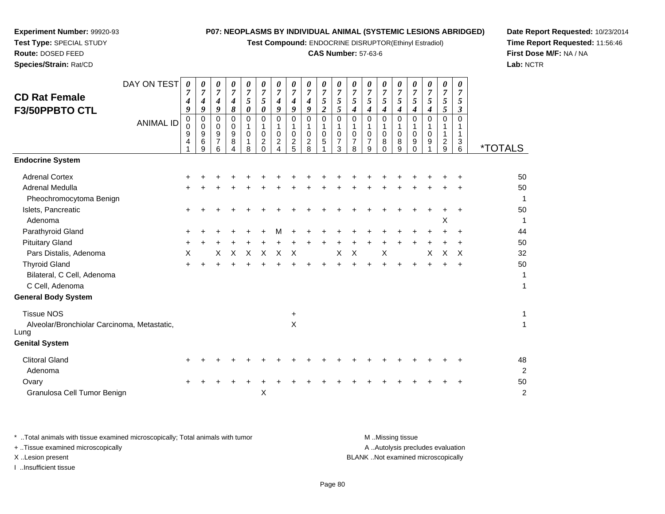**Test Compound:** ENDOCRINE DISRUPTOR(Ethinyl Estradiol)

#### **CAS Number:** 57-63-6

**Date Report Requested:** 10/23/2014**Time Report Requested:** 11:56:46**First Dose M/F:** NA / NA**Lab:** NCTR

| <b>CD Rat Female</b><br>F3/50PPBTO CTL      | DAY ON TEST<br><b>ANIMAL ID</b> | 0<br>$\overline{7}$<br>4<br>9<br>$\mathbf 0$<br>0<br>9<br>4 | 0<br>$\overline{7}$<br>$\boldsymbol{4}$<br>9<br>$\mathbf 0$<br>$\mathbf 0$<br>$\boldsymbol{9}$<br>$\,6$<br>9 | 0<br>$\overline{7}$<br>4<br>$\boldsymbol{g}$<br>$\Omega$<br>0<br>9<br>$\overline{7}$<br>6 | 0<br>$\overline{7}$<br>$\boldsymbol{4}$<br>8<br>$\Omega$<br>0<br>9<br>8<br>4 | 0<br>$\overline{7}$<br>5<br>$\pmb{\theta}$<br>0<br>$\mathbf 0$<br>8 | 0<br>$\boldsymbol{7}$<br>5<br>0<br>$\mathbf 0$<br>0<br>$\overline{c}$<br>$\Omega$ | 0<br>$\overline{7}$<br>$\boldsymbol{4}$<br>$\boldsymbol{g}$<br>$\mathbf 0$<br>1<br>$\mathbf 0$<br>$\overline{c}$<br>$\overline{4}$ | 0<br>$\overline{7}$<br>4<br>9<br>$\mathbf 0$<br>1<br>$\mathbf 0$<br>$\frac{2}{5}$ | 0<br>$\overline{7}$<br>4<br>9<br>$\mathbf 0$<br>$\mathbf{1}$<br>$\mathbf 0$<br>$\overline{\mathbf{c}}$<br>8 | 0<br>$\overline{7}$<br>5<br>$\overline{\mathbf{c}}$<br>$\mathbf 0$<br>1<br>$\mathbf 0$<br>5 | 0<br>$\boldsymbol{7}$<br>$\sqrt{5}$<br>5<br>$\mathbf 0$<br>1<br>$\mathbf 0$<br>$\overline{7}$<br>3 | 0<br>$\overline{7}$<br>5<br>$\boldsymbol{4}$<br>0<br>-1<br>0<br>7<br>8 | 0<br>$\overline{7}$<br>5<br>4<br>$\Omega$<br>0<br>7<br>9 | 0<br>$\overline{7}$<br>5<br>4<br>0<br>$\mathbf 0$<br>8<br>$\Omega$ | 0<br>$\boldsymbol{7}$<br>5<br>$\boldsymbol{4}$<br>$\mathbf 0$<br>1<br>$\mathbf 0$<br>8<br>9 | 0<br>$\boldsymbol{7}$<br>5<br>4<br>$\mathbf 0$<br>1<br>0<br>9<br>$\Omega$ | 0<br>$\overline{7}$<br>$\sqrt{5}$<br>4<br>$\mathbf 0$<br>1<br>$\mathbf 0$<br>9 | 0<br>$\overline{7}$<br>5<br>5<br>$\mathbf 0$<br>1<br>1<br>$\frac{2}{9}$ | 0<br>$\overline{7}$<br>5<br>$\boldsymbol{\beta}$<br>$\Omega$<br>1<br>3<br>6 | <i><b>*TOTALS</b></i> |
|---------------------------------------------|---------------------------------|-------------------------------------------------------------|--------------------------------------------------------------------------------------------------------------|-------------------------------------------------------------------------------------------|------------------------------------------------------------------------------|---------------------------------------------------------------------|-----------------------------------------------------------------------------------|------------------------------------------------------------------------------------------------------------------------------------|-----------------------------------------------------------------------------------|-------------------------------------------------------------------------------------------------------------|---------------------------------------------------------------------------------------------|----------------------------------------------------------------------------------------------------|------------------------------------------------------------------------|----------------------------------------------------------|--------------------------------------------------------------------|---------------------------------------------------------------------------------------------|---------------------------------------------------------------------------|--------------------------------------------------------------------------------|-------------------------------------------------------------------------|-----------------------------------------------------------------------------|-----------------------|
| <b>Endocrine System</b>                     |                                 |                                                             |                                                                                                              |                                                                                           |                                                                              |                                                                     |                                                                                   |                                                                                                                                    |                                                                                   |                                                                                                             |                                                                                             |                                                                                                    |                                                                        |                                                          |                                                                    |                                                                                             |                                                                           |                                                                                |                                                                         |                                                                             |                       |
| <b>Adrenal Cortex</b>                       |                                 |                                                             |                                                                                                              |                                                                                           |                                                                              |                                                                     |                                                                                   |                                                                                                                                    |                                                                                   |                                                                                                             |                                                                                             |                                                                                                    |                                                                        |                                                          |                                                                    |                                                                                             |                                                                           |                                                                                |                                                                         |                                                                             | 50                    |
| Adrenal Medulla                             |                                 |                                                             |                                                                                                              |                                                                                           |                                                                              |                                                                     |                                                                                   |                                                                                                                                    |                                                                                   |                                                                                                             |                                                                                             |                                                                                                    |                                                                        |                                                          |                                                                    |                                                                                             |                                                                           |                                                                                |                                                                         |                                                                             | 50                    |
| Pheochromocytoma Benign                     |                                 |                                                             |                                                                                                              |                                                                                           |                                                                              |                                                                     |                                                                                   |                                                                                                                                    |                                                                                   |                                                                                                             |                                                                                             |                                                                                                    |                                                                        |                                                          |                                                                    |                                                                                             |                                                                           |                                                                                |                                                                         |                                                                             | -1                    |
| Islets, Pancreatic                          |                                 |                                                             |                                                                                                              |                                                                                           |                                                                              |                                                                     |                                                                                   |                                                                                                                                    |                                                                                   |                                                                                                             |                                                                                             |                                                                                                    |                                                                        |                                                          |                                                                    |                                                                                             |                                                                           |                                                                                |                                                                         |                                                                             | 50                    |
| Adenoma                                     |                                 |                                                             |                                                                                                              |                                                                                           |                                                                              |                                                                     |                                                                                   |                                                                                                                                    |                                                                                   |                                                                                                             |                                                                                             |                                                                                                    |                                                                        |                                                          |                                                                    |                                                                                             |                                                                           |                                                                                | X                                                                       |                                                                             | -1                    |
| Parathyroid Gland                           |                                 |                                                             |                                                                                                              |                                                                                           |                                                                              |                                                                     |                                                                                   |                                                                                                                                    |                                                                                   |                                                                                                             |                                                                                             |                                                                                                    |                                                                        |                                                          |                                                                    |                                                                                             |                                                                           |                                                                                |                                                                         |                                                                             | 44                    |
| <b>Pituitary Gland</b>                      |                                 | +                                                           |                                                                                                              |                                                                                           |                                                                              |                                                                     |                                                                                   |                                                                                                                                    |                                                                                   |                                                                                                             |                                                                                             |                                                                                                    |                                                                        |                                                          |                                                                    |                                                                                             |                                                                           |                                                                                |                                                                         |                                                                             | 50                    |
| Pars Distalis, Adenoma                      |                                 | X                                                           |                                                                                                              | X                                                                                         | X                                                                            | X                                                                   | $\times$                                                                          | X                                                                                                                                  | X                                                                                 |                                                                                                             |                                                                                             | X                                                                                                  | X                                                                      |                                                          | X                                                                  |                                                                                             |                                                                           | X                                                                              | X                                                                       | X                                                                           | 32                    |
| <b>Thyroid Gland</b>                        |                                 |                                                             |                                                                                                              |                                                                                           |                                                                              |                                                                     |                                                                                   |                                                                                                                                    |                                                                                   |                                                                                                             |                                                                                             |                                                                                                    |                                                                        |                                                          |                                                                    |                                                                                             |                                                                           |                                                                                |                                                                         |                                                                             | 50                    |
| Bilateral, C Cell, Adenoma                  |                                 |                                                             |                                                                                                              |                                                                                           |                                                                              |                                                                     |                                                                                   |                                                                                                                                    |                                                                                   |                                                                                                             |                                                                                             |                                                                                                    |                                                                        |                                                          |                                                                    |                                                                                             |                                                                           |                                                                                |                                                                         |                                                                             | $\mathbf{1}$          |
| C Cell, Adenoma                             |                                 |                                                             |                                                                                                              |                                                                                           |                                                                              |                                                                     |                                                                                   |                                                                                                                                    |                                                                                   |                                                                                                             |                                                                                             |                                                                                                    |                                                                        |                                                          |                                                                    |                                                                                             |                                                                           |                                                                                |                                                                         |                                                                             | 1                     |
| <b>General Body System</b>                  |                                 |                                                             |                                                                                                              |                                                                                           |                                                                              |                                                                     |                                                                                   |                                                                                                                                    |                                                                                   |                                                                                                             |                                                                                             |                                                                                                    |                                                                        |                                                          |                                                                    |                                                                                             |                                                                           |                                                                                |                                                                         |                                                                             |                       |
| <b>Tissue NOS</b>                           |                                 |                                                             |                                                                                                              |                                                                                           |                                                                              |                                                                     |                                                                                   |                                                                                                                                    | $\ddot{}$                                                                         |                                                                                                             |                                                                                             |                                                                                                    |                                                                        |                                                          |                                                                    |                                                                                             |                                                                           |                                                                                |                                                                         |                                                                             | 1                     |
| Alveolar/Bronchiolar Carcinoma, Metastatic, |                                 |                                                             |                                                                                                              |                                                                                           |                                                                              |                                                                     |                                                                                   |                                                                                                                                    | $\pmb{\times}$                                                                    |                                                                                                             |                                                                                             |                                                                                                    |                                                                        |                                                          |                                                                    |                                                                                             |                                                                           |                                                                                |                                                                         |                                                                             | $\mathbf{1}$          |
| Lung                                        |                                 |                                                             |                                                                                                              |                                                                                           |                                                                              |                                                                     |                                                                                   |                                                                                                                                    |                                                                                   |                                                                                                             |                                                                                             |                                                                                                    |                                                                        |                                                          |                                                                    |                                                                                             |                                                                           |                                                                                |                                                                         |                                                                             |                       |
| <b>Genital System</b>                       |                                 |                                                             |                                                                                                              |                                                                                           |                                                                              |                                                                     |                                                                                   |                                                                                                                                    |                                                                                   |                                                                                                             |                                                                                             |                                                                                                    |                                                                        |                                                          |                                                                    |                                                                                             |                                                                           |                                                                                |                                                                         |                                                                             |                       |
| <b>Clitoral Gland</b>                       |                                 |                                                             |                                                                                                              |                                                                                           |                                                                              |                                                                     |                                                                                   |                                                                                                                                    |                                                                                   |                                                                                                             |                                                                                             |                                                                                                    |                                                                        |                                                          |                                                                    |                                                                                             |                                                                           |                                                                                |                                                                         |                                                                             | 48                    |
| Adenoma                                     |                                 |                                                             |                                                                                                              |                                                                                           |                                                                              |                                                                     |                                                                                   |                                                                                                                                    |                                                                                   |                                                                                                             |                                                                                             |                                                                                                    |                                                                        |                                                          |                                                                    |                                                                                             |                                                                           |                                                                                |                                                                         |                                                                             | $\overline{2}$        |
| Ovary                                       |                                 |                                                             |                                                                                                              |                                                                                           |                                                                              |                                                                     |                                                                                   |                                                                                                                                    |                                                                                   |                                                                                                             |                                                                                             |                                                                                                    |                                                                        |                                                          |                                                                    |                                                                                             |                                                                           |                                                                                |                                                                         |                                                                             | 50                    |
| Granulosa Cell Tumor Benign                 |                                 |                                                             |                                                                                                              |                                                                                           |                                                                              |                                                                     | X                                                                                 |                                                                                                                                    |                                                                                   |                                                                                                             |                                                                                             |                                                                                                    |                                                                        |                                                          |                                                                    |                                                                                             |                                                                           |                                                                                |                                                                         |                                                                             | $\overline{2}$        |
|                                             |                                 |                                                             |                                                                                                              |                                                                                           |                                                                              |                                                                     |                                                                                   |                                                                                                                                    |                                                                                   |                                                                                                             |                                                                                             |                                                                                                    |                                                                        |                                                          |                                                                    |                                                                                             |                                                                           |                                                                                |                                                                         |                                                                             |                       |

**Experiment Number:** 99920-93**Test Type:** SPECIAL STUDY**Route:** DOSED FEED**Species/Strain:** Rat/CD

\* ..Total animals with tissue examined microscopically; Total animals with tumor **M** . Missing tissue M ..Missing tissue A ..Autolysis precludes evaluation + ..Tissue examined microscopically X ..Lesion present BLANK ..Not examined microscopicallyI ..Insufficient tissue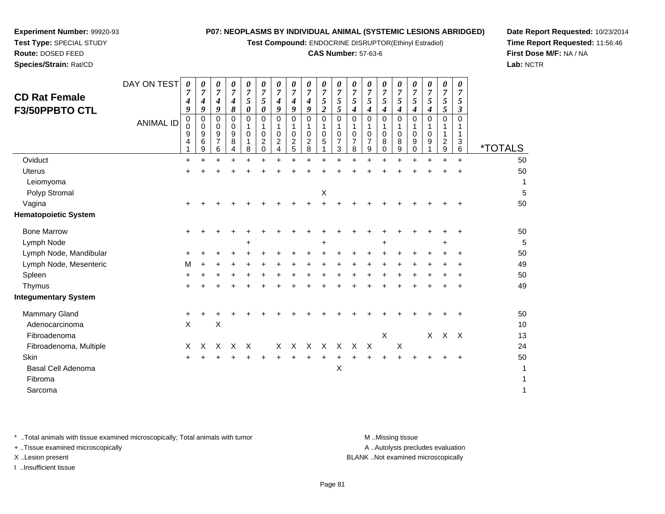**Test Compound:** ENDOCRINE DISRUPTOR(Ethinyl Estradiol)

#### **CAS Number:** 57-63-6

**Date Report Requested:** 10/23/2014**Time Report Requested:** 11:56:46**First Dose M/F:** NA / NA**Lab:** NCTR

| <b>CD Rat Female</b><br><b>F3/50PPBTO CTL</b> | DAY ON TEST      | 0<br>$\overline{7}$<br>4<br>9     | 0<br>$\overline{7}$<br>4<br>9 | 0<br>7<br>4<br>9                   | 0<br>7<br>4<br>8      | 0<br>$\overline{7}$<br>5<br>0 | 0<br>$\overline{7}$<br>5<br>0                        | $\boldsymbol{\theta}$<br>7<br>4<br>9                         | 0<br>$\overline{7}$<br>4<br>9                          | 0<br>$\overline{7}$<br>4<br>9                    | 0<br>7<br>5<br>$\boldsymbol{2}$ | 0<br>$\overline{7}$<br>5<br>5 | 0<br>$\overline{7}$<br>5<br>4 | 0<br>$\overline{7}$<br>5<br>$\boldsymbol{4}$ | 0<br>7<br>5<br>4                  | 0<br>$\overline{7}$<br>5<br>$\boldsymbol{4}$ | 0<br>7<br>5<br>4               | 0<br>$\overline{7}$<br>5<br>4 | 0<br>$\overline{7}$<br>5<br>5            | 0<br>$\overline{7}$<br>5<br>$\mathfrak{z}$          |                       |
|-----------------------------------------------|------------------|-----------------------------------|-------------------------------|------------------------------------|-----------------------|-------------------------------|------------------------------------------------------|--------------------------------------------------------------|--------------------------------------------------------|--------------------------------------------------|---------------------------------|-------------------------------|-------------------------------|----------------------------------------------|-----------------------------------|----------------------------------------------|--------------------------------|-------------------------------|------------------------------------------|-----------------------------------------------------|-----------------------|
|                                               | <b>ANIMAL ID</b> | $\mathbf 0$<br>$\Omega$<br>9<br>4 | 0<br>0<br>9<br>6<br>9         | 0<br>0<br>9<br>$\overline{7}$<br>6 | 0<br>0<br>9<br>8<br>4 | 0<br>$\mathbf 0$<br>8         | $\Omega$<br>0<br>$\overline{\mathbf{c}}$<br>$\Omega$ | $\Omega$<br>1<br>$\mathbf 0$<br>$\overline{\mathbf{c}}$<br>4 | $\mathbf 0$<br>1<br>$\mathbf 0$<br>$\overline{c}$<br>5 | $\Omega$<br>$\mathbf 0$<br>$\boldsymbol{2}$<br>8 | $\Omega$<br>$\mathbf 0$<br>5    | 0<br>0<br>3                   | 0<br>0<br>7<br>8              | $\mathbf 0$<br>1<br>0<br>7<br>9              | $\Omega$<br>$\mathbf 0$<br>8<br>0 | $\mathbf 0$<br>$\mathbf 0$<br>8<br>9         | $\Omega$<br>$\Omega$<br>9<br>0 | 0<br>$\mathbf 0$<br>9         | 0<br>$\mathbf{1}$<br>$\overline{c}$<br>9 | 0<br>$\mathbf{1}$<br>$\ensuremath{\mathsf{3}}$<br>6 | <i><b>*TOTALS</b></i> |
| Oviduct                                       |                  | $\ddot{}$                         |                               | $\ddot{}$                          |                       |                               |                                                      | $\ddot{}$                                                    |                                                        | $\ddot{}$                                        | $\ddot{}$                       |                               |                               |                                              | $\ddot{}$                         |                                              | $\ddot{}$                      | $\ddot{}$                     | $\ddot{}$                                | $\ddot{}$                                           | 50                    |
| <b>Uterus</b>                                 |                  | +                                 |                               |                                    |                       |                               |                                                      |                                                              |                                                        |                                                  |                                 |                               |                               |                                              |                                   |                                              |                                |                               |                                          | $\ddot{}$                                           | 50                    |
| Leiomyoma                                     |                  |                                   |                               |                                    |                       |                               |                                                      |                                                              |                                                        |                                                  |                                 |                               |                               |                                              |                                   |                                              |                                |                               |                                          |                                                     |                       |
| Polyp Stromal                                 |                  |                                   |                               |                                    |                       |                               |                                                      |                                                              |                                                        |                                                  | Х                               |                               |                               |                                              |                                   |                                              |                                |                               |                                          |                                                     | 5                     |
| Vagina                                        |                  |                                   |                               |                                    |                       |                               |                                                      |                                                              |                                                        |                                                  |                                 |                               |                               |                                              |                                   |                                              |                                |                               |                                          |                                                     | 50                    |
| <b>Hematopoietic System</b>                   |                  |                                   |                               |                                    |                       |                               |                                                      |                                                              |                                                        |                                                  |                                 |                               |                               |                                              |                                   |                                              |                                |                               |                                          |                                                     |                       |
| <b>Bone Marrow</b>                            |                  | $\pm$                             |                               |                                    |                       |                               |                                                      |                                                              |                                                        |                                                  |                                 |                               |                               |                                              |                                   |                                              |                                |                               |                                          | ٠                                                   | 50                    |
| Lymph Node                                    |                  |                                   |                               |                                    |                       |                               |                                                      |                                                              |                                                        |                                                  |                                 |                               |                               |                                              |                                   |                                              |                                |                               |                                          |                                                     | 5                     |
| Lymph Node, Mandibular                        |                  | ÷                                 |                               |                                    |                       |                               |                                                      |                                                              |                                                        |                                                  |                                 |                               |                               |                                              |                                   |                                              |                                |                               |                                          | ٠                                                   | 50                    |
| Lymph Node, Mesenteric                        |                  | M                                 |                               |                                    |                       |                               |                                                      |                                                              |                                                        |                                                  |                                 |                               |                               |                                              |                                   |                                              |                                |                               |                                          |                                                     | 49                    |
| Spleen                                        |                  |                                   |                               |                                    |                       |                               |                                                      |                                                              |                                                        |                                                  |                                 |                               |                               |                                              |                                   |                                              |                                |                               |                                          | +                                                   | 50                    |
| Thymus                                        |                  |                                   |                               |                                    |                       |                               |                                                      |                                                              |                                                        |                                                  |                                 |                               |                               |                                              |                                   |                                              |                                |                               |                                          |                                                     | 49                    |
| <b>Integumentary System</b>                   |                  |                                   |                               |                                    |                       |                               |                                                      |                                                              |                                                        |                                                  |                                 |                               |                               |                                              |                                   |                                              |                                |                               |                                          |                                                     |                       |
| <b>Mammary Gland</b>                          |                  | $\ddot{}$                         |                               |                                    |                       |                               |                                                      |                                                              |                                                        |                                                  |                                 |                               |                               |                                              |                                   |                                              |                                |                               |                                          |                                                     | 50                    |
| Adenocarcinoma                                |                  | $\pmb{\times}$                    |                               | X                                  |                       |                               |                                                      |                                                              |                                                        |                                                  |                                 |                               |                               |                                              |                                   |                                              |                                |                               |                                          |                                                     | 10                    |
| Fibroadenoma                                  |                  |                                   |                               |                                    |                       |                               |                                                      |                                                              |                                                        |                                                  |                                 |                               |                               |                                              | Χ                                 |                                              |                                | X                             | $\mathsf{X}$                             | $\mathsf{X}$                                        | 13                    |
| Fibroadenoma, Multiple                        |                  | Χ                                 | Х                             | X                                  | $\times$              | X                             |                                                      | X                                                            | $\times$                                               | $\times$                                         | $\times$                        | $\mathsf{X}$                  | X                             | X                                            |                                   | $\boldsymbol{\mathsf{X}}$                    |                                |                               |                                          |                                                     | 24                    |
| Skin                                          |                  | $\div$                            |                               |                                    |                       |                               |                                                      |                                                              |                                                        |                                                  |                                 |                               |                               |                                              |                                   |                                              |                                |                               |                                          |                                                     | 50                    |
| Basal Cell Adenoma                            |                  |                                   |                               |                                    |                       |                               |                                                      |                                                              |                                                        |                                                  |                                 | $\boldsymbol{\mathsf{X}}$     |                               |                                              |                                   |                                              |                                |                               |                                          |                                                     | 1                     |
| Fibroma                                       |                  |                                   |                               |                                    |                       |                               |                                                      |                                                              |                                                        |                                                  |                                 |                               |                               |                                              |                                   |                                              |                                |                               |                                          |                                                     |                       |
| Sarcoma                                       |                  |                                   |                               |                                    |                       |                               |                                                      |                                                              |                                                        |                                                  |                                 |                               |                               |                                              |                                   |                                              |                                |                               |                                          |                                                     | 1                     |

\* ..Total animals with tissue examined microscopically; Total animals with tumor **M** . Missing tissue M ..Missing tissue

+ ..Tissue examined microscopically

**Experiment Number:** 99920-93**Test Type:** SPECIAL STUDY**Route:** DOSED FEED**Species/Strain:** Rat/CD

I ..Insufficient tissue

A ..Autolysis precludes evaluation

X ..Lesion present BLANK ..Not examined microscopically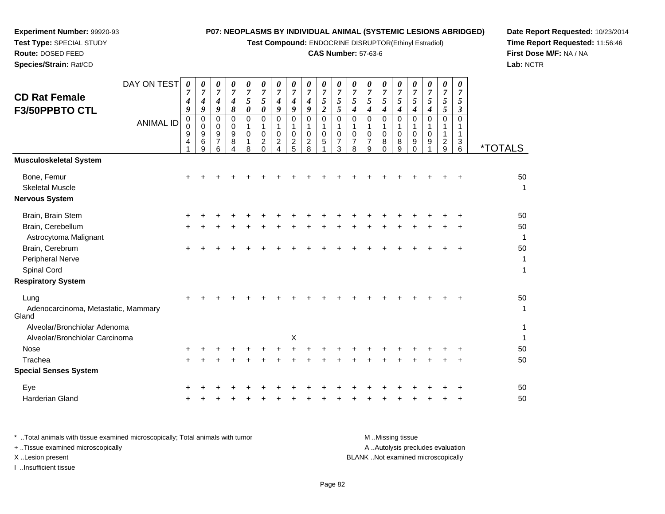**Test Compound:** ENDOCRINE DISRUPTOR(Ethinyl Estradiol)

# **CAS Number:** 57-63-6

**Date Report Requested:** 10/23/2014 **Time Report Requested:** 11:56:46**First Dose M/F:** NA / NA**Lab:** NCTR

| <b>CD Rat Female</b><br>F3/50PPBTO CTL                         | DAY ON TEST      | 0<br>$\overline{7}$<br>4<br>9 | 0<br>$\overline{7}$<br>$\boldsymbol{4}$<br>$\boldsymbol{g}$ | 0<br>$\overline{7}$<br>4<br>$\boldsymbol{g}$ | 0<br>$\overline{7}$<br>$\boldsymbol{4}$<br>8   | 0<br>$\boldsymbol{7}$<br>5<br>$\boldsymbol{\theta}$ | 0<br>$\boldsymbol{7}$<br>5<br>$\boldsymbol{\theta}$ | 0<br>$\overline{7}$<br>$\boldsymbol{4}$<br>9             | 0<br>$\boldsymbol{7}$<br>4<br>9                | 0<br>$\overline{7}$<br>4<br>9       | 0<br>$\boldsymbol{7}$<br>$\sqrt{5}$<br>$\overline{2}$ | 0<br>$\overline{7}$<br>$\sqrt{5}$<br>5                 | 0<br>$\overline{7}$<br>$\sqrt{5}$<br>$\boldsymbol{4}$            | 0<br>$\overline{7}$<br>$\sqrt{5}$<br>4 | 0<br>$\overline{7}$<br>5<br>$\overline{\mathbf{4}}$ | 0<br>$\boldsymbol{7}$<br>5<br>$\boldsymbol{4}$ | 0<br>$\overline{7}$<br>5<br>$\boldsymbol{4}$  | 0<br>$\overline{7}$<br>5<br>$\boldsymbol{4}$ | 0<br>$\boldsymbol{7}$<br>5<br>5                   | 0<br>$\overline{7}$<br>5<br>$\mathbf{3}$           |                       |
|----------------------------------------------------------------|------------------|-------------------------------|-------------------------------------------------------------|----------------------------------------------|------------------------------------------------|-----------------------------------------------------|-----------------------------------------------------|----------------------------------------------------------|------------------------------------------------|-------------------------------------|-------------------------------------------------------|--------------------------------------------------------|------------------------------------------------------------------|----------------------------------------|-----------------------------------------------------|------------------------------------------------|-----------------------------------------------|----------------------------------------------|---------------------------------------------------|----------------------------------------------------|-----------------------|
|                                                                | <b>ANIMAL ID</b> | $\mathbf 0$<br>0<br>9<br>4    | $\mathbf 0$<br>0<br>$\boldsymbol{9}$<br>6<br>9              | $\Omega$<br>0<br>9<br>$\overline{7}$<br>6    | $\mathbf 0$<br>0<br>$\boldsymbol{9}$<br>8<br>4 | $\Omega$<br>1<br>0<br>1<br>8                        | $\Omega$<br>1<br>0<br>$\boldsymbol{2}$<br>$\Omega$  | $\Omega$<br>1<br>0<br>$\boldsymbol{2}$<br>$\overline{A}$ | $\mathbf 0$<br>1<br>$\pmb{0}$<br>$\frac{2}{5}$ | $\Omega$<br>1<br>0<br>$\frac{2}{8}$ | $\mathbf 0$<br>1<br>$\pmb{0}$<br>5                    | $\mathbf 0$<br>1<br>$\mathbf 0$<br>$\overline{7}$<br>3 | $\mathbf 0$<br>$\mathbf 1$<br>$\mathbf 0$<br>$\overline{7}$<br>8 | $\Omega$<br>$\mathbf 0$<br>7<br>9      | 0<br>1<br>0<br>8<br>$\Omega$                        | $\Omega$<br>1<br>$\pmb{0}$<br>$\bf 8$<br>9     | $\Omega$<br>1<br>$\mathbf 0$<br>9<br>$\Omega$ | $\Omega$<br>-1<br>0<br>9                     | $\mathbf 0$<br>1<br>$\mathbf{1}$<br>$\frac{2}{9}$ | $\Omega$<br>1<br>$\mathbf{1}$<br>$\mathbf{3}$<br>6 | <i><b>*TOTALS</b></i> |
| <b>Musculoskeletal System</b>                                  |                  |                               |                                                             |                                              |                                                |                                                     |                                                     |                                                          |                                                |                                     |                                                       |                                                        |                                                                  |                                        |                                                     |                                                |                                               |                                              |                                                   |                                                    |                       |
| Bone, Femur<br><b>Skeletal Muscle</b>                          |                  |                               |                                                             |                                              |                                                |                                                     |                                                     |                                                          |                                                |                                     |                                                       |                                                        |                                                                  |                                        |                                                     |                                                |                                               |                                              |                                                   |                                                    | 50<br>$\mathbf{1}$    |
| <b>Nervous System</b>                                          |                  |                               |                                                             |                                              |                                                |                                                     |                                                     |                                                          |                                                |                                     |                                                       |                                                        |                                                                  |                                        |                                                     |                                                |                                               |                                              |                                                   |                                                    |                       |
| Brain, Brain Stem                                              |                  |                               |                                                             |                                              |                                                |                                                     |                                                     |                                                          |                                                |                                     |                                                       |                                                        |                                                                  |                                        |                                                     |                                                |                                               |                                              |                                                   |                                                    | 50                    |
| Brain, Cerebellum<br>Astrocytoma Malignant                     |                  | +                             |                                                             |                                              |                                                |                                                     |                                                     |                                                          |                                                |                                     |                                                       |                                                        |                                                                  |                                        |                                                     |                                                |                                               |                                              |                                                   |                                                    | 50<br>$\mathbf{1}$    |
| Brain, Cerebrum<br>Peripheral Nerve                            |                  |                               |                                                             |                                              |                                                |                                                     |                                                     |                                                          |                                                |                                     |                                                       |                                                        |                                                                  |                                        |                                                     |                                                |                                               |                                              |                                                   |                                                    | 50<br>1               |
| Spinal Cord<br><b>Respiratory System</b>                       |                  |                               |                                                             |                                              |                                                |                                                     |                                                     |                                                          |                                                |                                     |                                                       |                                                        |                                                                  |                                        |                                                     |                                                |                                               |                                              |                                                   |                                                    | $\mathbf{1}$          |
| Lung<br>Adenocarcinoma, Metastatic, Mammary<br>Gland           |                  |                               |                                                             |                                              |                                                |                                                     |                                                     |                                                          |                                                |                                     |                                                       |                                                        |                                                                  |                                        |                                                     |                                                |                                               |                                              |                                                   |                                                    | 50<br>1               |
| Alveolar/Bronchiolar Adenoma<br>Alveolar/Bronchiolar Carcinoma |                  |                               |                                                             |                                              |                                                |                                                     |                                                     |                                                          | X                                              |                                     |                                                       |                                                        |                                                                  |                                        |                                                     |                                                |                                               |                                              |                                                   |                                                    | 1<br>$\mathbf{1}$     |
| <b>Nose</b>                                                    |                  |                               |                                                             |                                              |                                                |                                                     |                                                     |                                                          |                                                |                                     |                                                       |                                                        |                                                                  |                                        |                                                     |                                                |                                               |                                              |                                                   |                                                    | 50                    |
| Trachea                                                        |                  | $\ddot{}$                     |                                                             |                                              |                                                |                                                     |                                                     |                                                          |                                                |                                     |                                                       |                                                        |                                                                  |                                        |                                                     |                                                |                                               |                                              |                                                   |                                                    | 50                    |
| <b>Special Senses System</b>                                   |                  |                               |                                                             |                                              |                                                |                                                     |                                                     |                                                          |                                                |                                     |                                                       |                                                        |                                                                  |                                        |                                                     |                                                |                                               |                                              |                                                   |                                                    |                       |
| Eye                                                            |                  |                               |                                                             |                                              |                                                |                                                     |                                                     |                                                          |                                                |                                     |                                                       |                                                        |                                                                  |                                        |                                                     |                                                |                                               |                                              |                                                   |                                                    | 50                    |
| <b>Harderian Gland</b>                                         |                  |                               |                                                             |                                              |                                                |                                                     |                                                     |                                                          |                                                |                                     |                                                       |                                                        |                                                                  |                                        |                                                     |                                                |                                               |                                              |                                                   |                                                    | 50                    |

| Total animals with tissue examined microscopically; Total animals with tumor | M Missing tissue                   |
|------------------------------------------------------------------------------|------------------------------------|
| + Tissue examined microscopically                                            | A Autolysis precludes evaluation   |
| X Lesion present                                                             | BLANK Not examined microscopically |
| Insufficient tissue                                                          |                                    |